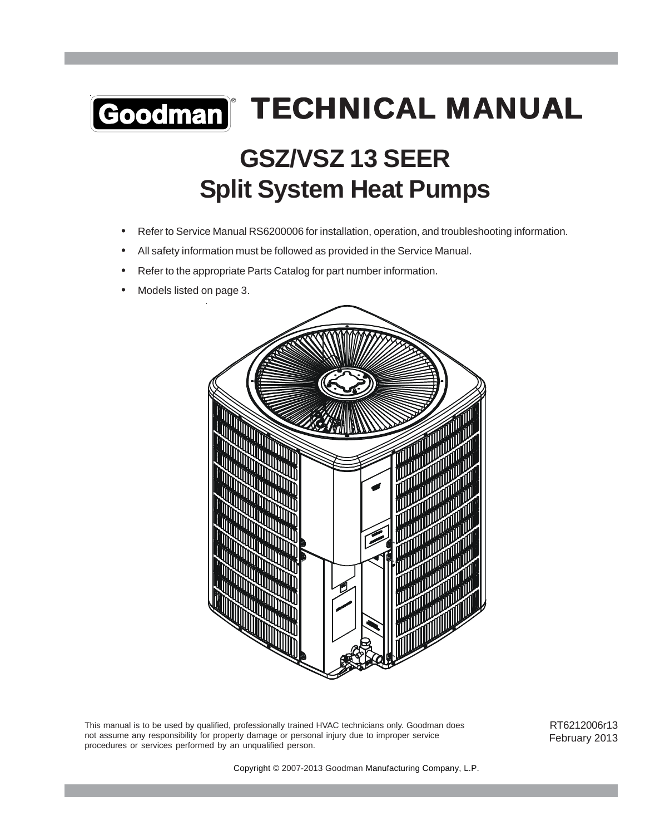# **GSZ/VSZ 13 SEER Split System Heat Pumps** ® TECHNICAL MANUAL

- Refer to Service Manual RS6200006 for installation, operation, and troubleshooting information.
- All safety information must be followed as provided in the Service Manual.
- Refer to the appropriate Parts Catalog for part number information.
- Models listed on page 3.



This manual is to be used by qualified, professionally trained HVAC technicians only. Goodman does not assume any responsibility for property damage or personal injury due to improper service procedures or services performed by an unqualified person.

RT6212006r13 February 2013

Copyright © 2007-2013 Goodman Manufacturing Company, L.P.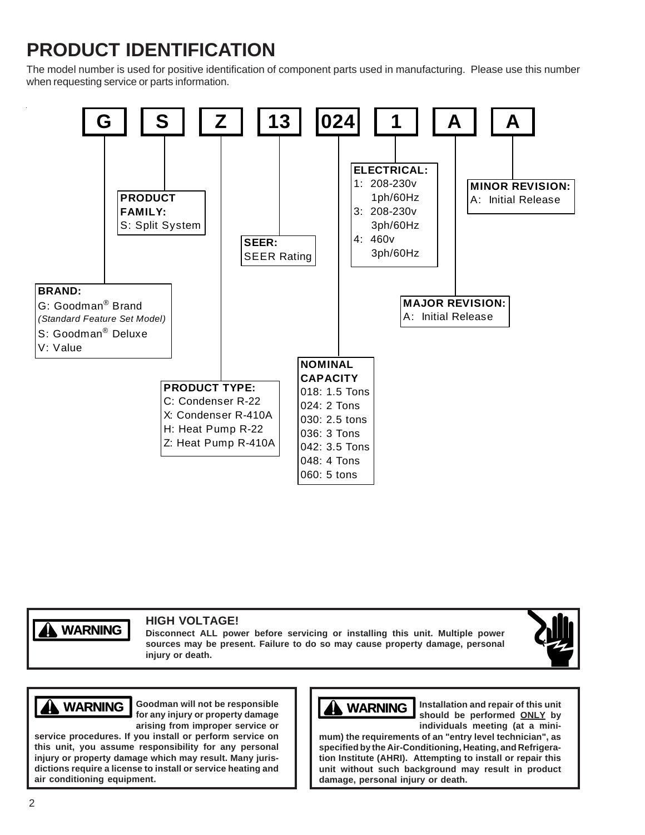# **PRODUCT IDENTIFICATION**

The model number is used for positive identification of component parts used in manufacturing. Please use this number when requesting service or parts information.





## **HIGH VOLTAGE!**

**Disconnect ALL power before servicing or installing this unit. Multiple power sources may be present. Failure to do so may cause property damage, personal injury or death.**



**WARNING**  $\begin{bmatrix} \text{Goodman will not be responsible} \\ \text{for any injury or property damage} \end{bmatrix}$ **for any injury or property damage arising from improper service or**

**service procedures. If you install or perform service on this unit, you assume responsibility for any personal injury or property damage which may result. Many jurisdictions require a license to install or service heating and air conditioning equipment.**

**Installation and repair of this unit should be performed ONLY by individuals meeting (at a mini-**

**mum) the requirements of an "entry level technician", as specified by the Air-Conditioning, Heating, and Refrigeration Institute (AHRI). Attempting to install or repair this unit without such background may result in product damage, personal injury or death.**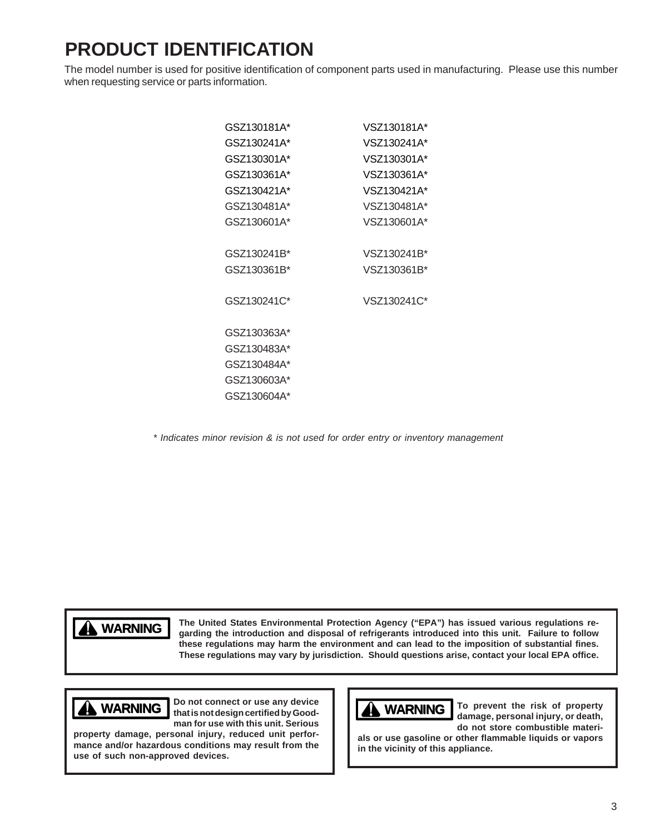# **PRODUCT IDENTIFICATION**

The model number is used for positive identification of component parts used in manufacturing. Please use this number when requesting service or parts information.

| GSZ130181A* | VSZ130181A* |
|-------------|-------------|
| GSZ130241A* | VSZ130241A* |
| GSZ130301A* | VSZ130301A* |
| GSZ130361A* | VSZ130361A* |
| GSZ130421A* | VSZ130421A* |
| GSZ130481A* | VSZ130481A* |
| GSZ130601A* | VSZ130601A* |
| GSZ130241B* | VSZ130241B* |
| GSZ130361B* | VSZ130361B* |
| GSZ130241C* | VSZ130241C* |
| GSZ130363A* |             |
| GSZ130483A* |             |
| GSZ130484A* |             |
| GSZ130603A* |             |
| GSZ130604A* |             |

*\* Indicates minor revision & is not used for order entry or inventory management*

**WARNING WARNING**

**The United States Environmental Protection Agency ("EPA") has issued various regulations regarding the introduction and disposal of refrigerants introduced into this unit. Failure to follow these regulations may harm the environment and can lead to the imposition of substantial fines. These regulations may vary by jurisdiction. Should questions arise, contact your local EPA office.**

**Do not connect or use any device that is not design certified by Goodman for use with this unit. Serious**

**property damage, personal injury, reduced unit performance and/or hazardous conditions may result from the use of such non-approved devices.**



**WARNING**  $\begin{bmatrix} 100 \text{ not connect or use any device} \\ \text{the set is not design certified by Good.} \end{bmatrix}$  **Tak WARNING** To prevent the risk of property **damage, personal injury, or death, do not store combustible materi-**

**als or use gasoline or other flammable liquids or vapors in the vicinity of this appliance.**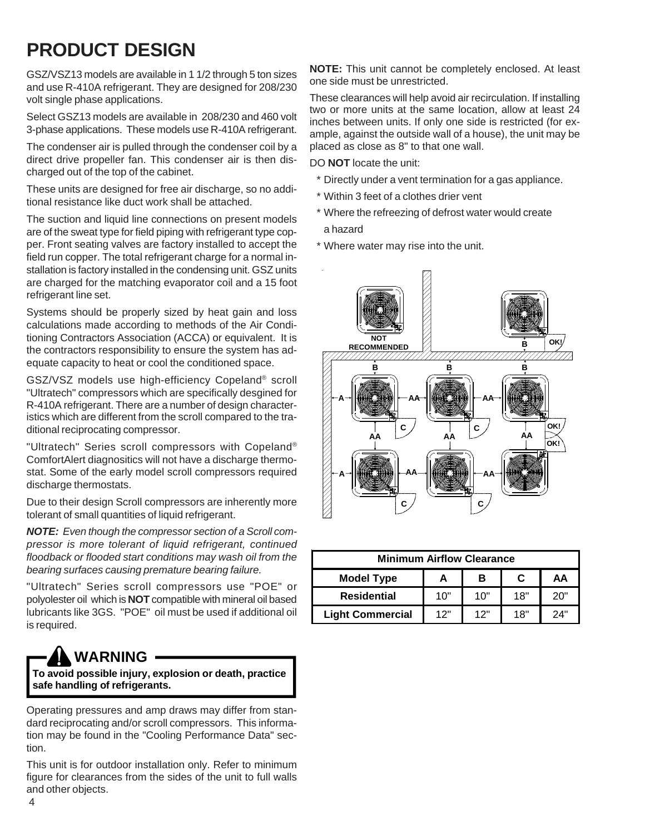# **PRODUCT DESIGN**

GSZ/VSZ13 models are available in 1 1/2 through 5 ton sizes and use R-410A refrigerant. They are designed for 208/230 volt single phase applications.

Select GSZ13 models are available in 208/230 and 460 volt 3-phase applications. These models use R-410A refrigerant.

The condenser air is pulled through the condenser coil by a direct drive propeller fan. This condenser air is then discharged out of the top of the cabinet.

These units are designed for free air discharge, so no additional resistance like duct work shall be attached.

The suction and liquid line connections on present models are of the sweat type for field piping with refrigerant type copper. Front seating valves are factory installed to accept the field run copper. The total refrigerant charge for a normal installation is factory installed in the condensing unit. GSZ units are charged for the matching evaporator coil and a 15 foot refrigerant line set.

Systems should be properly sized by heat gain and loss calculations made according to methods of the Air Conditioning Contractors Association (ACCA) or equivalent. It is the contractors responsibility to ensure the system has adequate capacity to heat or cool the conditioned space.

GSZ/VSZ models use high-efficiency Copeland® scroll "Ultratech" compressors which are specifically desgined for R-410A refrigerant. There are a number of design characteristics which are different from the scroll compared to the traditional reciprocating compressor.

"Ultratech" Series scroll compressors with Copeland® ComfortAlert diagnositics will not have a discharge thermostat. Some of the early model scroll compressors required discharge thermostats.

Due to their design Scroll compressors are inherently more tolerant of small quantities of liquid refrigerant.

*NOTE: Even though the compressor section of a Scroll compressor is more tolerant of liquid refrigerant, continued floodback or flooded start conditions may wash oil from the bearing surfaces causing premature bearing failure.*

"Ultratech" Series scroll compressors use "POE" or polyolester oil which is **NOT** compatible with mineral oil based lubricants like 3GS. "POE" oil must be used if additional oil is required.

# **WARNING**

**To avoid possible injury, explosion or death, practice safe handling of refrigerants.**

Operating pressures and amp draws may differ from standard reciprocating and/or scroll compressors. This information may be found in the "Cooling Performance Data" section.

This unit is for outdoor installation only. Refer to minimum figure for clearances from the sides of the unit to full walls and other objects.

**NOTE:** This unit cannot be completely enclosed. At least one side must be unrestricted.

These clearances will help avoid air recirculation. If installing two or more units at the same location, allow at least 24 inches between units. If only one side is restricted (for example, against the outside wall of a house), the unit may be placed as close as 8" to that one wall.

DO **NOT** locate the unit:

- \* Directly under a vent termination for a gas appliance.
- \* Within 3 feet of a clothes drier vent
- \* Where the refreezing of defrost water would create a hazard
- \* Where water may rise into the unit.



| <b>Minimum Airflow Clearance</b> |     |     |     |     |
|----------------------------------|-----|-----|-----|-----|
| <b>Model Type</b>                |     | R   |     | ΑА  |
| <b>Residential</b>               | 10" | 10" | 18" | 20" |
| <b>Light Commercial</b>          | 12" | 12" | 18" | 24" |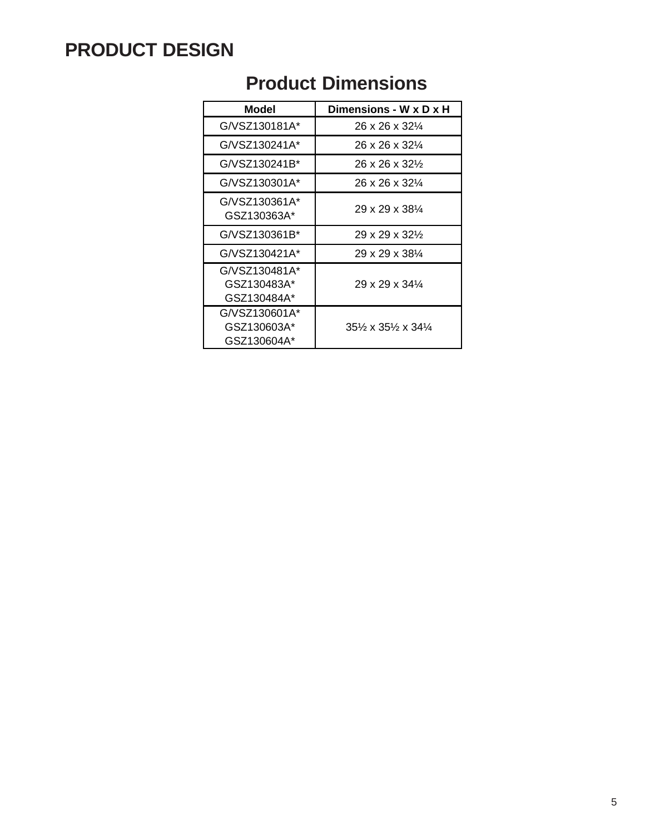# **PRODUCT DESIGN**

| Model                                       | Dimensions - W x D x H         |
|---------------------------------------------|--------------------------------|
| G/VSZ130181A*                               | 26 x 26 x 321/4                |
| G/VSZ130241A*                               | 26 x 26 x 32¼                  |
| G/VSZ130241B*                               | $26 \times 26 \times 32\%$     |
| G/VSZ130301A*                               | 26 x 26 x 32¼                  |
| G/VSZ130361A*<br>GSZ130363A*                | 29 x 29 x 381⁄4                |
| G/VSZ130361B*                               | 29 x 29 x 321/2                |
| G/VSZ130421A*                               | 29 x 29 x 38¼                  |
| G/VSZ130481A*<br>GSZ130483A*<br>GSZ130484A* | 29 x 29 x 341⁄4                |
| G/VSZ130601A*<br>GSZ130603A*<br>GSZ130604A* | $35\% \times 35\% \times 34\%$ |

# **Product Dimensions**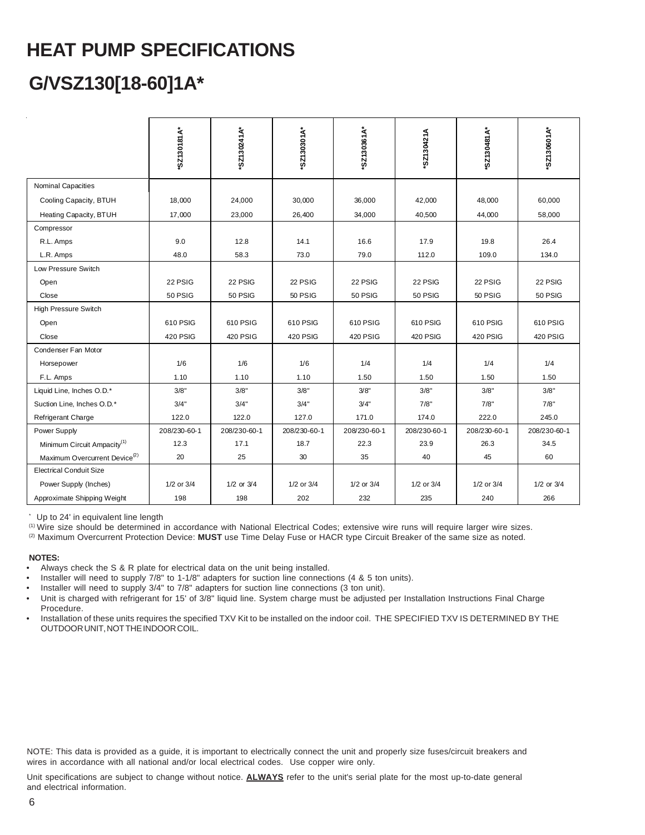# **G/VSZ130[18-60]1A\***

|                                                                                                                                                                                                                                                                                                                                                                                                                                                                                                                                                                                                                                                                                                                                                                                                                                                                                                                                                                 | "SZ130181A"  | SZ130241A*      | SZ130301A*     | SZ130361A*     | SZ130421A       | SZ130481A*   | "SZ130601A"     |
|-----------------------------------------------------------------------------------------------------------------------------------------------------------------------------------------------------------------------------------------------------------------------------------------------------------------------------------------------------------------------------------------------------------------------------------------------------------------------------------------------------------------------------------------------------------------------------------------------------------------------------------------------------------------------------------------------------------------------------------------------------------------------------------------------------------------------------------------------------------------------------------------------------------------------------------------------------------------|--------------|-----------------|----------------|----------------|-----------------|--------------|-----------------|
| Nominal Capacities                                                                                                                                                                                                                                                                                                                                                                                                                                                                                                                                                                                                                                                                                                                                                                                                                                                                                                                                              |              |                 |                |                |                 |              |                 |
| Cooling Capacity, BTUH                                                                                                                                                                                                                                                                                                                                                                                                                                                                                                                                                                                                                                                                                                                                                                                                                                                                                                                                          | 18,000       | 24,000          | 30,000         | 36,000         | 42,000          | 48,000       | 60,000          |
| Heating Capacity, BTUH                                                                                                                                                                                                                                                                                                                                                                                                                                                                                                                                                                                                                                                                                                                                                                                                                                                                                                                                          | 17,000       | 23,000          | 26,400         | 34,000         | 40,500          | 44,000       | 58,000          |
| Compressor                                                                                                                                                                                                                                                                                                                                                                                                                                                                                                                                                                                                                                                                                                                                                                                                                                                                                                                                                      |              |                 |                |                |                 |              |                 |
| R.L. Amps                                                                                                                                                                                                                                                                                                                                                                                                                                                                                                                                                                                                                                                                                                                                                                                                                                                                                                                                                       | 9.0          | 12.8            | 14.1           | 16.6           | 17.9            | 19.8         | 26.4            |
| L.R. Amps                                                                                                                                                                                                                                                                                                                                                                                                                                                                                                                                                                                                                                                                                                                                                                                                                                                                                                                                                       | 48.0         | 58.3            | 73.0           | 79.0           | 112.0           | 109.0        | 134.0           |
| Low Pressure Switch                                                                                                                                                                                                                                                                                                                                                                                                                                                                                                                                                                                                                                                                                                                                                                                                                                                                                                                                             |              |                 |                |                |                 |              |                 |
| Open                                                                                                                                                                                                                                                                                                                                                                                                                                                                                                                                                                                                                                                                                                                                                                                                                                                                                                                                                            | 22 PSIG      | 22 PSIG         | 22 PSIG        | 22 PSIG        | 22 PSIG         | 22 PSIG      | 22 PSIG         |
| Close                                                                                                                                                                                                                                                                                                                                                                                                                                                                                                                                                                                                                                                                                                                                                                                                                                                                                                                                                           | 50 PSIG      | 50 PSIG         | <b>50 PSIG</b> | 50 PSIG        | 50 PSIG         | 50 PSIG      | 50 PSIG         |
| <b>High Pressure Switch</b>                                                                                                                                                                                                                                                                                                                                                                                                                                                                                                                                                                                                                                                                                                                                                                                                                                                                                                                                     |              |                 |                |                |                 |              |                 |
| Open                                                                                                                                                                                                                                                                                                                                                                                                                                                                                                                                                                                                                                                                                                                                                                                                                                                                                                                                                            | 610 PSIG     | 610 PSIG        | 610 PSIG       | 610 PSIG       | 610 PSIG        | 610 PSIG     | 610 PSIG        |
| Close                                                                                                                                                                                                                                                                                                                                                                                                                                                                                                                                                                                                                                                                                                                                                                                                                                                                                                                                                           | 420 PSIG     | <b>420 PSIG</b> | 420 PSIG       | 420 PSIG       | <b>420 PSIG</b> | 420 PSIG     | <b>420 PSIG</b> |
| Condenser Fan Motor                                                                                                                                                                                                                                                                                                                                                                                                                                                                                                                                                                                                                                                                                                                                                                                                                                                                                                                                             |              |                 |                |                |                 |              |                 |
| Horsepower                                                                                                                                                                                                                                                                                                                                                                                                                                                                                                                                                                                                                                                                                                                                                                                                                                                                                                                                                      | 1/6          | 1/6             | 1/6            | 1/4            | 1/4             | 1/4          | 1/4             |
| F.L. Amps                                                                                                                                                                                                                                                                                                                                                                                                                                                                                                                                                                                                                                                                                                                                                                                                                                                                                                                                                       | 1.10         | 1.10            | 1.10           | 1.50           | 1.50            | 1.50         | 1.50            |
| Liquid Line, Inches O.D.*                                                                                                                                                                                                                                                                                                                                                                                                                                                                                                                                                                                                                                                                                                                                                                                                                                                                                                                                       | 3/8"         | 3/8"            | 3/8"           | 3/8"           | 3/8"            | 3/8"         | 3/8"            |
| Suction Line, Inches O.D.*                                                                                                                                                                                                                                                                                                                                                                                                                                                                                                                                                                                                                                                                                                                                                                                                                                                                                                                                      | 3/4"         | 3/4"            | 3/4"           | 3/4"           | 7/8"            | 7/8"         | 7/8"            |
| Refrigerant Charge                                                                                                                                                                                                                                                                                                                                                                                                                                                                                                                                                                                                                                                                                                                                                                                                                                                                                                                                              | 122.0        | 122.0           | 127.0          | 171.0          | 174.0           | 222.0        | 245.0           |
| Power Supply                                                                                                                                                                                                                                                                                                                                                                                                                                                                                                                                                                                                                                                                                                                                                                                                                                                                                                                                                    | 208/230-60-1 | 208/230-60-1    | 208/230-60-1   | 208/230-60-1   | 208/230-60-1    | 208/230-60-1 | 208/230-60-1    |
| Minimum Circuit Ampacity <sup>(1)</sup>                                                                                                                                                                                                                                                                                                                                                                                                                                                                                                                                                                                                                                                                                                                                                                                                                                                                                                                         | 12.3         | 17.1            | 18.7           | 22.3           | 23.9            | 26.3         | 34.5            |
| Maximum Overcurrent Device <sup>(2)</sup>                                                                                                                                                                                                                                                                                                                                                                                                                                                                                                                                                                                                                                                                                                                                                                                                                                                                                                                       | 20           | 25              | 30             | 35             | 40              | 45           | 60              |
| <b>Electrical Conduit Size</b>                                                                                                                                                                                                                                                                                                                                                                                                                                                                                                                                                                                                                                                                                                                                                                                                                                                                                                                                  |              |                 |                |                |                 |              |                 |
| Power Supply (Inches)                                                                                                                                                                                                                                                                                                                                                                                                                                                                                                                                                                                                                                                                                                                                                                                                                                                                                                                                           | 1/2 or 3/4   | 1/2 or 3/4      | 1/2 or 3/4     | $1/2$ or $3/4$ | 1/2 or 3/4      | 1/2 or 3/4   | $1/2$ or $3/4$  |
| Approximate Shipping Weight                                                                                                                                                                                                                                                                                                                                                                                                                                                                                                                                                                                                                                                                                                                                                                                                                                                                                                                                     | 198          | 198             | 202            | 232            | 235             | 240          | 266             |
| Up to 24' in equivalent line length<br>(1) Wire size should be determined in accordance with National Electrical Codes; extensive wire runs will require larger wire sizes.<br>(2) Maximum Overcurrent Protection Device: MUST use Time Delay Fuse or HACR type Circuit Breaker of the same size as noted.<br><b>NOTES:</b><br>Always check the S & R plate for electrical data on the unit being installed.<br>Installer will need to supply 7/8" to 1-1/8" adapters for suction line connections (4 & 5 ton units).<br>Installer will need to supply 3/4" to 7/8" adapters for suction line connections (3 ton unit).<br>Unit is charged with refrigerant for 15' of 3/8" liquid line. System charge must be adjusted per Installation Instructions Final Charge<br>Procedure.<br>Installation of these units requires the specified TXV Kit to be installed on the indoor coil. THE SPECIFIED TXV IS DETERMINED BY THE<br>OUTDOOR UNIT, NOT THE INDOOR COIL. |              |                 |                |                |                 |              |                 |

## **NOTES:**

- Installer will need to supply 3/4" to 7/8" adapters for suction line connections (3 ton unit).
- Unit is charged with refrigerant for 15' of 3/8" liquid line. System charge must be adjusted per Installation Instructions Final Charge Procedure.

• Installation of these units requires the specified TXV Kit to be installed on the indoor coil. THE SPECIFIED TXV IS DETERMINED BY THE

NOTE: This data is provided as a guide, it is important to electrically connect the unit and properly size fuses/circuit breakers and wires in accordance with all national and/or local electrical codes. Use copper wire only.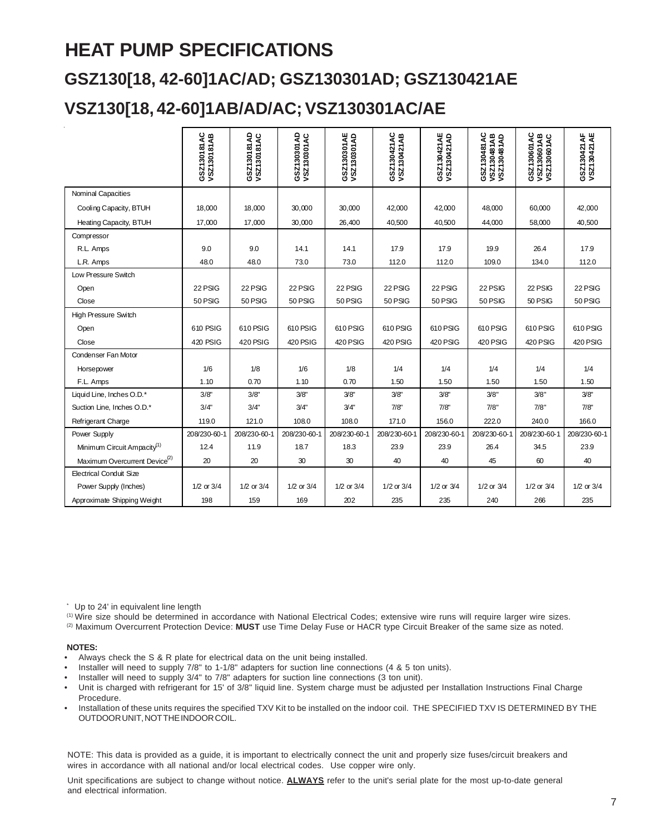## **GSZ130[18, 42-60]1AC/AD; GSZ130301AD; GSZ130421AE**

## **VSZ130[18, 42-60]1AB/AD/AC; VSZ130301AC/AE**

|                                                                                                                                                                                                                                                                                                                                                                                                                                                                                                                                                                                                                                                    | GSZ130181AC<br>VSZ130181AB | GSZ130181AD<br>VSZ130181AC | GSZ130301AD<br>VSZ130301AC | GSZ130301AE<br>VSZ130301AD | GSZ130421AC<br>VSZ130421AB | GSZ130421AE<br>VSZ130421AD | GSZ130481AC<br>VSZ130481AB<br>VSZ130481AD | GSZ130601AC<br>VSZ130601AB<br>VSZ130601AC | GSZ130421AF<br>VSZ130421AE |
|----------------------------------------------------------------------------------------------------------------------------------------------------------------------------------------------------------------------------------------------------------------------------------------------------------------------------------------------------------------------------------------------------------------------------------------------------------------------------------------------------------------------------------------------------------------------------------------------------------------------------------------------------|----------------------------|----------------------------|----------------------------|----------------------------|----------------------------|----------------------------|-------------------------------------------|-------------------------------------------|----------------------------|
| Nominal Capacities                                                                                                                                                                                                                                                                                                                                                                                                                                                                                                                                                                                                                                 |                            |                            |                            |                            |                            |                            |                                           |                                           |                            |
| Cooling Capacity, BTUH                                                                                                                                                                                                                                                                                                                                                                                                                                                                                                                                                                                                                             | 18,000                     | 18,000                     | 30,000                     | 30,000                     | 42,000                     | 42,000                     | 48.000                                    | 60,000                                    | 42,000                     |
| Heating Capacity, BTUH                                                                                                                                                                                                                                                                                                                                                                                                                                                                                                                                                                                                                             | 17,000                     | 17,000                     | 30,000                     | 26,400                     | 40,500                     | 40,500                     | 44,000                                    | 58,000                                    | 40,500                     |
| Compressor                                                                                                                                                                                                                                                                                                                                                                                                                                                                                                                                                                                                                                         |                            |                            |                            |                            |                            |                            |                                           |                                           |                            |
| R.L. Amps                                                                                                                                                                                                                                                                                                                                                                                                                                                                                                                                                                                                                                          | 9.0                        | 9.0                        | 14.1                       | 14.1                       | 17.9                       | 17.9                       | 19.9                                      | 26.4                                      | 17.9                       |
| L.R. Amps                                                                                                                                                                                                                                                                                                                                                                                                                                                                                                                                                                                                                                          | 48.0                       | 48.0                       | 73.0                       | 73.0                       | 112.0                      | 112.0                      | 109.0                                     | 134.0                                     | 112.0                      |
| Low Pressure Switch                                                                                                                                                                                                                                                                                                                                                                                                                                                                                                                                                                                                                                |                            |                            |                            |                            |                            |                            |                                           |                                           |                            |
| Open                                                                                                                                                                                                                                                                                                                                                                                                                                                                                                                                                                                                                                               | 22 PSIG                    | 22 PSIG                    | 22 PSIG                    | 22 PSIG                    | 22 PSIG                    | 22 PSIG                    | 22 PSIG                                   | 22 PSIG                                   | 22 PSIG                    |
| Close                                                                                                                                                                                                                                                                                                                                                                                                                                                                                                                                                                                                                                              | 50 PSIG                    | 50 PSIG                    | 50 PSIG                    | 50 PSIG                    | 50 PSIG                    | 50 PSIG                    | 50 PSIG                                   | <b>50 PSIG</b>                            | 50 PSIG                    |
| High Pressure Switch                                                                                                                                                                                                                                                                                                                                                                                                                                                                                                                                                                                                                               |                            |                            |                            |                            |                            |                            |                                           |                                           |                            |
| Open                                                                                                                                                                                                                                                                                                                                                                                                                                                                                                                                                                                                                                               | 610 PSIG                   | 610 PSIG                   | 610 PSIG                   | 610 PSIG                   | 610 PSIG                   | 610 PSIG                   | 610 PSIG                                  | 610 PSIG                                  | 610 PSIG                   |
| Close                                                                                                                                                                                                                                                                                                                                                                                                                                                                                                                                                                                                                                              | <b>420 PSIG</b>            | 420 PSIG                   | 420 PSIG                   | 420 PSIG                   | 420 PSIG                   | 420 PSIG                   | 420 PSIG                                  | 420 PSIG                                  | 420 PSIG                   |
| Condenser Fan Motor                                                                                                                                                                                                                                                                                                                                                                                                                                                                                                                                                                                                                                |                            |                            |                            |                            |                            |                            |                                           |                                           |                            |
| Horsepower                                                                                                                                                                                                                                                                                                                                                                                                                                                                                                                                                                                                                                         | 1/6                        | 1/8                        | 1/6                        | 1/8                        | 1/4                        | 1/4                        | 1/4                                       | 1/4                                       | 1/4                        |
| F.L. Amps                                                                                                                                                                                                                                                                                                                                                                                                                                                                                                                                                                                                                                          | 1.10                       | 0.70                       | 1.10                       | 0.70                       | 1.50                       | 1.50                       | 1.50                                      | 1.50                                      | 1.50                       |
| Liquid Line, Inches O.D.*                                                                                                                                                                                                                                                                                                                                                                                                                                                                                                                                                                                                                          | 3/8"                       | 3/8"                       | 3/8"                       | 3/8"                       | 3/8"                       | 3/8"                       | 3/8"                                      | 3/8"                                      | 3/8"                       |
| Suction Line, Inches O.D.*                                                                                                                                                                                                                                                                                                                                                                                                                                                                                                                                                                                                                         | 3/4"                       | 3/4"                       | 3/4"                       | 3/4"                       | 7/8"                       | 7/8"                       | 7/8"                                      | 7/8"                                      | 7/8"                       |
| Refrigerant Charge                                                                                                                                                                                                                                                                                                                                                                                                                                                                                                                                                                                                                                 | 119.0                      | 121.0                      | 108.0                      | 108.0                      | 171.0                      | 156.0                      | 222.0                                     | 240.0                                     | 166.0                      |
| Power Supply                                                                                                                                                                                                                                                                                                                                                                                                                                                                                                                                                                                                                                       | 208/230-60-1               | 208/230-60-1               | 208/230-60-1               | 208/230-60-1               | 208/230-60-1               | 208/230-60-1               | 208/230-60-1                              | 208/230-60-1                              | 208/230-60-1               |
| Minimum Circuit Ampacity <sup>(1)</sup>                                                                                                                                                                                                                                                                                                                                                                                                                                                                                                                                                                                                            | 12.4                       | 11.9                       | 18.7                       | 18.3                       | 23.9                       | 23.9                       | 26.4                                      | 34.5                                      | 23.9                       |
| Maximum Overcurrent Device <sup>(2)</sup>                                                                                                                                                                                                                                                                                                                                                                                                                                                                                                                                                                                                          | 20                         | 20                         | 30                         | 30                         | 40                         | 40                         | 45                                        | 60                                        | 40                         |
| Electrical Conduit Size                                                                                                                                                                                                                                                                                                                                                                                                                                                                                                                                                                                                                            |                            |                            |                            |                            |                            |                            |                                           |                                           |                            |
| Power Supply (Inches)                                                                                                                                                                                                                                                                                                                                                                                                                                                                                                                                                                                                                              | 1/2 or 3/4                 | 1/2 or 3/4                 | 1/2 or 3/4                 | $1/2$ or $3/4$             | $1/2$ or $3/4$             | 1/2 or 3/4                 | $1/2$ or $3/4$                            | $1/2$ or $3/4$                            | 1/2 or 3/4                 |
| Approximate Shipping Weight                                                                                                                                                                                                                                                                                                                                                                                                                                                                                                                                                                                                                        | 198                        | 159                        | 169                        | 202                        | 235                        | 235                        | 240                                       | 266                                       | 235                        |
| Up to 24' in equivalent line length<br><sup>(1)</sup> Wire size should be determined in accordance with National Electrical Codes; extensive wire runs will require larger wire sizes.                                                                                                                                                                                                                                                                                                                                                                                                                                                             |                            |                            |                            |                            |                            |                            |                                           |                                           |                            |
| (2) Maximum Overcurrent Protection Device: MUST use Time Delay Fuse or HACR type Circuit Breaker of the same size as noted.<br><b>NOTES:</b>                                                                                                                                                                                                                                                                                                                                                                                                                                                                                                       |                            |                            |                            |                            |                            |                            |                                           |                                           |                            |
| Always check the S & R plate for electrical data on the unit being installed.<br>Installer will need to supply 7/8" to 1-1/8" adapters for suction line connections (4 & 5 ton units).<br>Installer will need to supply 3/4" to 7/8" adapters for suction line connections (3 ton unit).<br>Unit is charged with refrigerant for 15' of 3/8" liquid line. System charge must be adjusted per Installation Instructions Final Charge<br>٠<br>Procedure.<br>Installation of these units requires the specified TXV Kit to be installed on the indoor coil. THE SPECIFIED TXV IS DETERMINED BY THE<br>$\bullet$<br>OUTDOOR UNIT, NOT THE INDOOR COIL. |                            |                            |                            |                            |                            |                            |                                           |                                           |                            |

## **NOTES:**

- Always check the S & R plate for electrical data on the unit being installed.
- Installer will need to supply 7/8" to 1-1/8" adapters for suction line connections (4 & 5 ton units).
- Installer will need to supply 3/4" to 7/8" adapters for suction line connections (3 ton unit).
- Unit is charged with refrigerant for 15' of 3/8" liquid line. System charge must be adjusted per Installation Instructions Final Charge Procedure.
- Installation of these units requires the specified TXV Kit to be installed on the indoor coil. THE SPECIFIED TXV IS DETERMINED BY THE OUTDOOR UNIT, NOT THE INDOOR COIL.

NOTE: This data is provided as a guide, it is important to electrically connect the unit and properly size fuses/circuit breakers and wires in accordance with all national and/or local electrical codes. Use copper wire only.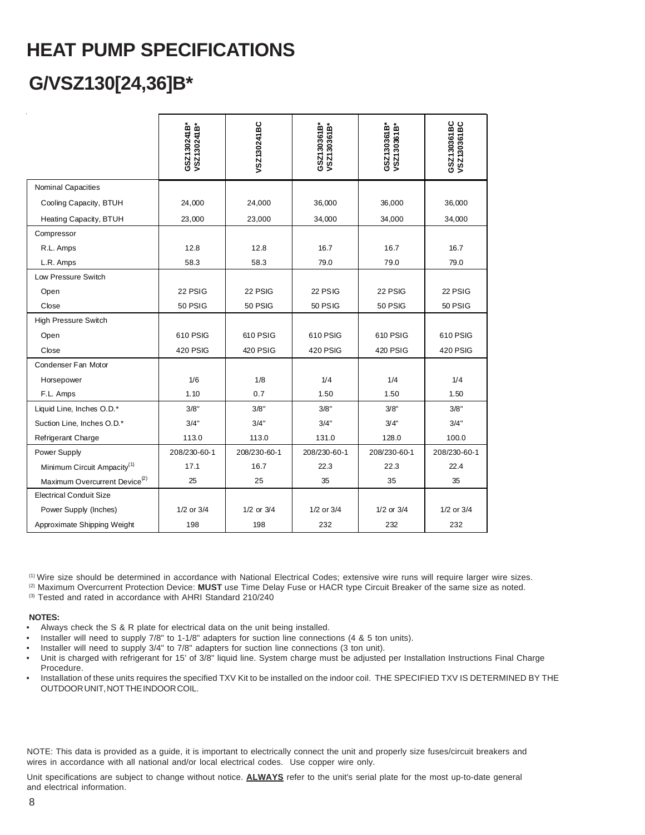# **G/VSZ130[24,36]B\***

|                                                                                                                                                                                                                                                                                                                                                                                                                                                                                                                                                                                                                                                                                                                                                                                                                                                                                                                                                                             | GSZ130241B*<br>VSZ130241B* | VSZ130241BC    | GSZ130361B*<br>VSZ130361B* | GSZ130361B*<br>VSZ130361B* | GSZ130361BC<br>VSZ130361BC |
|-----------------------------------------------------------------------------------------------------------------------------------------------------------------------------------------------------------------------------------------------------------------------------------------------------------------------------------------------------------------------------------------------------------------------------------------------------------------------------------------------------------------------------------------------------------------------------------------------------------------------------------------------------------------------------------------------------------------------------------------------------------------------------------------------------------------------------------------------------------------------------------------------------------------------------------------------------------------------------|----------------------------|----------------|----------------------------|----------------------------|----------------------------|
| <b>Nominal Capacities</b>                                                                                                                                                                                                                                                                                                                                                                                                                                                                                                                                                                                                                                                                                                                                                                                                                                                                                                                                                   |                            |                |                            |                            |                            |
| Cooling Capacity, BTUH                                                                                                                                                                                                                                                                                                                                                                                                                                                                                                                                                                                                                                                                                                                                                                                                                                                                                                                                                      | 24,000                     | 24,000         | 36,000                     | 36,000                     | 36,000                     |
| Heating Capacity, BTUH                                                                                                                                                                                                                                                                                                                                                                                                                                                                                                                                                                                                                                                                                                                                                                                                                                                                                                                                                      | 23,000                     | 23,000         | 34,000                     | 34,000                     | 34,000                     |
| Compressor                                                                                                                                                                                                                                                                                                                                                                                                                                                                                                                                                                                                                                                                                                                                                                                                                                                                                                                                                                  |                            |                |                            |                            |                            |
| R.L. Amps                                                                                                                                                                                                                                                                                                                                                                                                                                                                                                                                                                                                                                                                                                                                                                                                                                                                                                                                                                   | 12.8                       | 12.8           | 16.7                       | 16.7                       | 16.7                       |
| L.R. Amps                                                                                                                                                                                                                                                                                                                                                                                                                                                                                                                                                                                                                                                                                                                                                                                                                                                                                                                                                                   | 58.3                       | 58.3           | 79.0                       | 79.0                       | 79.0                       |
| Low Pressure Switch                                                                                                                                                                                                                                                                                                                                                                                                                                                                                                                                                                                                                                                                                                                                                                                                                                                                                                                                                         |                            |                |                            |                            |                            |
| Open                                                                                                                                                                                                                                                                                                                                                                                                                                                                                                                                                                                                                                                                                                                                                                                                                                                                                                                                                                        | 22 PSIG                    | 22 PSIG        | 22 PSIG                    | 22 PSIG                    | 22 PSIG                    |
| Close                                                                                                                                                                                                                                                                                                                                                                                                                                                                                                                                                                                                                                                                                                                                                                                                                                                                                                                                                                       | 50 PSIG                    | 50 PSIG        | <b>50 PSIG</b>             | 50 PSIG                    | 50 PSIG                    |
| <b>High Pressure Switch</b>                                                                                                                                                                                                                                                                                                                                                                                                                                                                                                                                                                                                                                                                                                                                                                                                                                                                                                                                                 |                            |                |                            |                            |                            |
| Open                                                                                                                                                                                                                                                                                                                                                                                                                                                                                                                                                                                                                                                                                                                                                                                                                                                                                                                                                                        | 610 PSIG                   | 610 PSIG       | 610 PSIG                   | 610 PSIG                   | 610 PSIG                   |
| Close                                                                                                                                                                                                                                                                                                                                                                                                                                                                                                                                                                                                                                                                                                                                                                                                                                                                                                                                                                       | 420 PSIG                   | 420 PSIG       | 420 PSIG                   | 420 PSIG                   | 420 PSIG                   |
| Condenser Fan Motor                                                                                                                                                                                                                                                                                                                                                                                                                                                                                                                                                                                                                                                                                                                                                                                                                                                                                                                                                         |                            |                |                            |                            |                            |
| Horsepower                                                                                                                                                                                                                                                                                                                                                                                                                                                                                                                                                                                                                                                                                                                                                                                                                                                                                                                                                                  | 1/6                        | 1/8            | 1/4                        | 1/4                        | 1/4                        |
| F.L. Amps                                                                                                                                                                                                                                                                                                                                                                                                                                                                                                                                                                                                                                                                                                                                                                                                                                                                                                                                                                   | 1.10                       | 0.7            | 1.50                       | 1.50                       | 1.50                       |
| Liquid Line, Inches O.D.*                                                                                                                                                                                                                                                                                                                                                                                                                                                                                                                                                                                                                                                                                                                                                                                                                                                                                                                                                   | 3/8"                       | 3/8"           | 3/8"                       | 3/8"                       | 3/8"                       |
| Suction Line, Inches O.D.*                                                                                                                                                                                                                                                                                                                                                                                                                                                                                                                                                                                                                                                                                                                                                                                                                                                                                                                                                  | 3/4"                       | 3/4"           | 3/4"                       | 3/4"                       | 3/4"                       |
| Refrigerant Charge                                                                                                                                                                                                                                                                                                                                                                                                                                                                                                                                                                                                                                                                                                                                                                                                                                                                                                                                                          | 113.0                      | 113.0          | 131.0                      | 128.0                      | 100.0                      |
| Power Supply                                                                                                                                                                                                                                                                                                                                                                                                                                                                                                                                                                                                                                                                                                                                                                                                                                                                                                                                                                | 208/230-60-1               | 208/230-60-1   | 208/230-60-1               | 208/230-60-1               | 208/230-60-1               |
| Minimum Circuit Ampacity <sup>(1)</sup>                                                                                                                                                                                                                                                                                                                                                                                                                                                                                                                                                                                                                                                                                                                                                                                                                                                                                                                                     | 17.1                       | 16.7           | 22.3                       | 22.3                       | 22.4                       |
| Maximum Overcurrent Device <sup>(2)</sup>                                                                                                                                                                                                                                                                                                                                                                                                                                                                                                                                                                                                                                                                                                                                                                                                                                                                                                                                   | 25                         | 25             | 35                         | 35                         | 35                         |
| <b>Electrical Conduit Size</b>                                                                                                                                                                                                                                                                                                                                                                                                                                                                                                                                                                                                                                                                                                                                                                                                                                                                                                                                              |                            |                |                            |                            |                            |
| Power Supply (Inches)                                                                                                                                                                                                                                                                                                                                                                                                                                                                                                                                                                                                                                                                                                                                                                                                                                                                                                                                                       | 1/2 or 3/4                 | $1/2$ or $3/4$ | 1/2 or 3/4                 | $1/2$ or $3/4$             | 1/2 or 3/4                 |
| Approximate Shipping Weight                                                                                                                                                                                                                                                                                                                                                                                                                                                                                                                                                                                                                                                                                                                                                                                                                                                                                                                                                 | 198                        | 198            | 232                        | 232                        | 232                        |
| <sup>(1)</sup> Wire size should be determined in accordance with National Electrical Codes; extensive wire runs will require larger<br>(2) Maximum Overcurrent Protection Device: MUST use Time Delay Fuse or HACR type Circuit Breaker of the same size<br>(3) Tested and rated in accordance with AHRI Standard 210/240<br><b>NOTES:</b><br>Always check the S & R plate for electrical data on the unit being installed.<br>٠<br>Installer will need to supply 7/8" to 1-1/8" adapters for suction line connections (4 & 5 ton units).<br>٠<br>Installer will need to supply 3/4" to 7/8" adapters for suction line connections (3 ton unit).<br>٠<br>Unit is charged with refrigerant for 15' of 3/8" liquid line. System charge must be adjusted per Installation Instruction<br>٠<br>Procedure.<br>Installation of these units requires the specified TXV Kit to be installed on the indoor coil. THE SPECIFIED TXV IS DET<br>٠<br>OUTDOOR UNIT, NOT THE INDOOR COIL. |                            |                |                            |                            |                            |

(1) Wire size should be determined in accordance with National Electrical Codes; extensive wire runs will require larger wire sizes. (2) Maximum Overcurrent Protection Device: **MUST** use Time Delay Fuse or HACR type Circuit Breaker of the same size as noted.

## **NOTES:**

- Always check the S & R plate for electrical data on the unit being installed.
- Installer will need to supply 7/8" to 1-1/8" adapters for suction line connections (4 & 5 ton units).
- Installer will need to supply 3/4" to 7/8" adapters for suction line connections (3 ton unit).
- Unit is charged with refrigerant for 15' of 3/8" liquid line. System charge must be adjusted per Installation Instructions Final Charge Procedure.
- Installation of these units requires the specified TXV Kit to be installed on the indoor coil. THE SPECIFIED TXV IS DETERMINED BY THE OUTDOOR UNIT. NOT THE INDOOR COIL.

NOTE: This data is provided as a guide, it is important to electrically connect the unit and properly size fuses/circuit breakers and wires in accordance with all national and/or local electrical codes. Use copper wire only.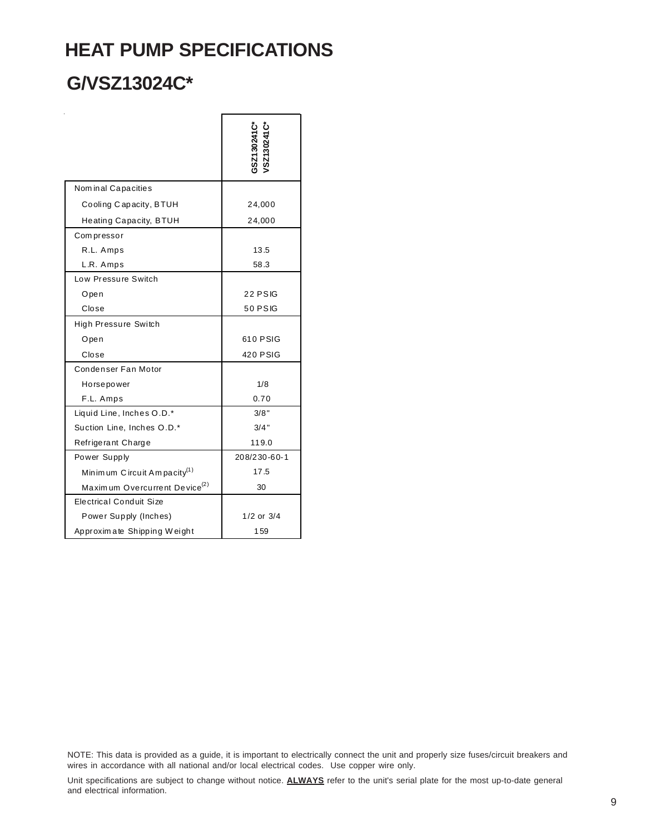# **G/VSZ13024C\***

|                                            | GSZ130241C*<br>VSZ130241C* |
|--------------------------------------------|----------------------------|
| Nom in al Capacities                       |                            |
| Cooling Capacity, BTUH                     | 24,000                     |
| Heating Capacity, BTUH                     | 24,000                     |
| Compressor                                 |                            |
| R.L. Amps                                  | 13.5                       |
| L.R. Amps                                  | 58.3                       |
| Low Pressure Switch                        |                            |
| Open                                       | <b>22 PSIG</b>             |
| Close                                      | <b>50 PSIG</b>             |
| High Pressure Switch                       |                            |
| Open                                       | 610 PSIG                   |
| Close                                      | 420 PSIG                   |
| Condenser Fan Motor                        |                            |
| Horsepower                                 | 1/8                        |
| F.L. Amps                                  | 0.70                       |
| Liquid Line, Inches O.D.*                  | 3/8"                       |
| Suction Line, Inches O.D.*                 | 3/4"                       |
| Refrigerant Charge                         | 119.0                      |
| Power Supply                               | 208/230-60-1               |
| Minim um Circuit Am pacity <sup>(1)</sup>  | 17.5                       |
| Maxim um Overcurrent Device <sup>(2)</sup> | 30                         |
| Electrical Conduit Size                    |                            |
| Power Supply (Inches)                      | $1/2$ or $3/4$             |
| Approximate Shipping Weight                | 159                        |

NOTE: This data is provided as a guide, it is important to electrically connect the unit and properly size fuses/circuit breakers and wires in accordance with all national and/or local electrical codes. Use copper wire only.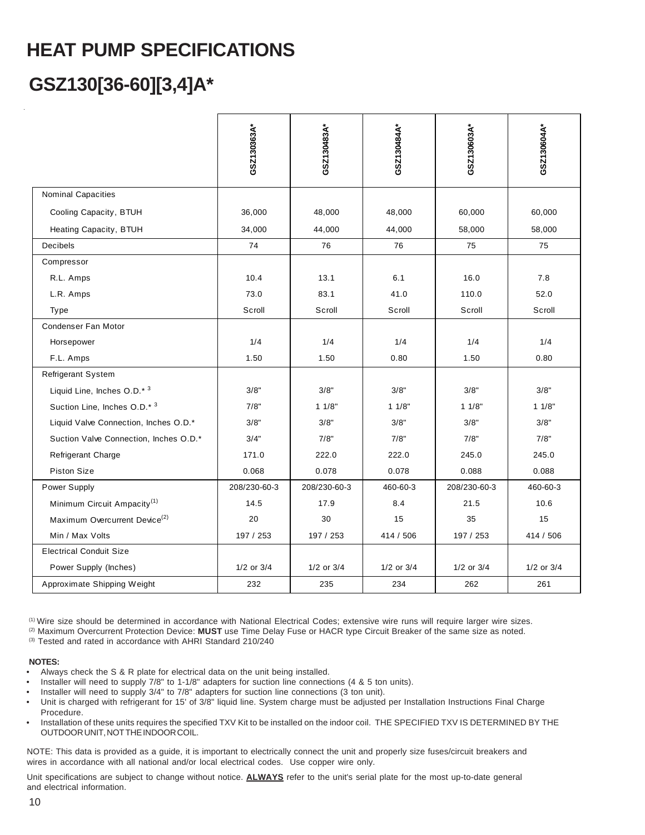# **GSZ130[36-60][3,4]A\***

|                                           | GSZ130363A*    | GSZ130483A*    | GSZ130484A*    | GSZ130603A*    | GSZ130604A*    |
|-------------------------------------------|----------------|----------------|----------------|----------------|----------------|
| <b>Nominal Capacities</b>                 |                |                |                |                |                |
| Cooling Capacity, BTUH                    | 36,000         | 48,000         | 48,000         | 60,000         | 60,000         |
| Heating Capacity, BTUH                    | 34,000         | 44,000         | 44,000         | 58,000         | 58,000         |
| Decibels                                  | 74             | 76             | 76             | 75             | 75             |
| Compressor                                |                |                |                |                |                |
| R.L. Amps                                 | 10.4           | 13.1           | 6.1            | 16.0           | 7.8            |
| L.R. Amps                                 | 73.0           | 83.1           | 41.0           | 110.0          | 52.0           |
| Type                                      | Scroll         | Scroll         | Scroll         | Scroll         | Scroll         |
| Condenser Fan Motor                       |                |                |                |                |                |
| Horsepower                                | 1/4            | 1/4            | 1/4            | 1/4            | 1/4            |
| F.L. Amps                                 | 1.50           | 1.50           | 0.80           | 1.50           | 0.80           |
| Refrigerant System                        |                |                |                |                |                |
| Liquid Line, Inches O.D.* 3               | 3/8"           | 3/8"           | 3/8"           | 3/8"           | 3/8"           |
| Suction Line, Inches O.D.* 3              | 7/8"           | 11/8"          | 11/8"          | 11/8"          | 11/8"          |
| Liquid Valve Connection, Inches O.D.*     | 3/8"           | 3/8"           | 3/8"           | 3/8"           | 3/8"           |
| Suction Valve Connection, Inches O.D.*    | 3/4"           | 7/8"           | 7/8"           | 7/8"           | 7/8"           |
| Refrigerant Charge                        | 171.0          | 222.0          | 222.0          | 245.0          | 245.0          |
| <b>Piston Size</b>                        | 0.068          | 0.078          | 0.078          | 0.088          | 0.088          |
| Power Supply                              | 208/230-60-3   | 208/230-60-3   | 460-60-3       | 208/230-60-3   | 460-60-3       |
| Minimum Circuit Ampacity <sup>(1)</sup>   | 14.5           | 17.9           | 8.4            | 21.5           | 10.6           |
| Maximum Overcurrent Device <sup>(2)</sup> | 20             | 30             | 15             | 35             | 15             |
| Min / Max Volts                           | 197 / 253      | 197 / 253      | 414 / 506      | 197 / 253      | 414 / 506      |
| <b>Electrical Conduit Size</b>            |                |                |                |                |                |
| Power Supply (Inches)                     | $1/2$ or $3/4$ | $1/2$ or $3/4$ | $1/2$ or $3/4$ | $1/2$ or $3/4$ | $1/2$ or $3/4$ |
| Approximate Shipping Weight               | 232            | 235            | 234            | 262            | 261            |

(1) Wire size should be determined in accordance with National Electrical Codes; extensive wire runs will require larger wire sizes.

(2) Maximum Overcurrent Protection Device: **MUST** use Time Delay Fuse or HACR type Circuit Breaker of the same size as noted. <sup>(3)</sup> Tested and rated in accordance with AHRI Standard 210/240

## **NOTES:**

- Always check the S & R plate for electrical data on the unit being installed.
- Installer will need to supply 7/8" to 1-1/8" adapters for suction line connections (4 & 5 ton units).
- Installer will need to supply 3/4" to 7/8" adapters for suction line connections (3 ton unit).
- Unit is charged with refrigerant for 15' of 3/8" liquid line. System charge must be adjusted per Installation Instructions Final Charge Procedure.
- Installation of these units requires the specified TXV Kit to be installed on the indoor coil. THE SPECIFIED TXV IS DETERMINED BY THE OUTDOOR UNIT, NOT THE INDOOR COIL.

NOTE: This data is provided as a guide, it is important to electrically connect the unit and properly size fuses/circuit breakers and wires in accordance with all national and/or local electrical codes. Use copper wire only.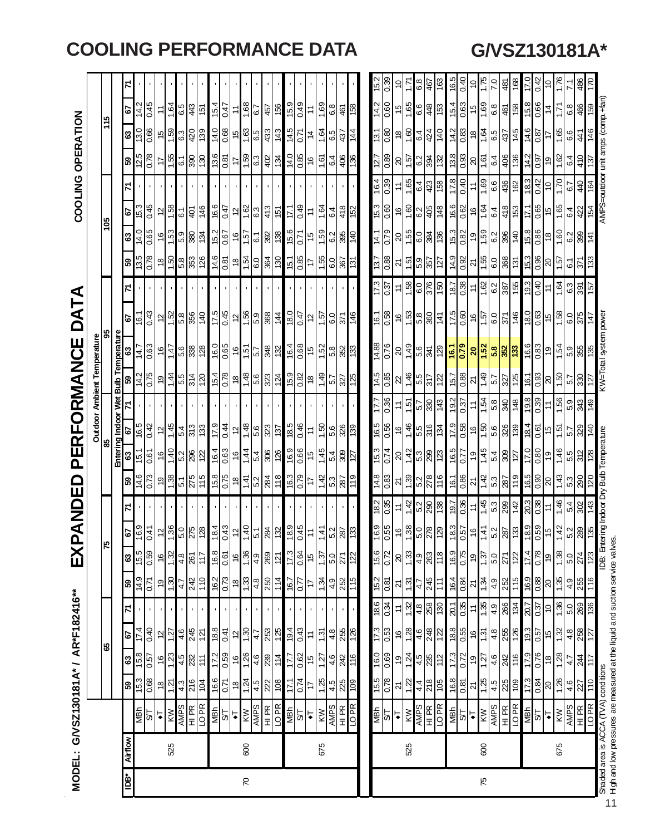| 16.5<br>17.0<br>1.76<br>0.40<br>$rac{42}{5}$<br>650<br>1.75<br>486<br>168<br>481<br>$\frac{1}{2}$<br>$^{\rm 6.8}$<br><b>S</b><br>$\overline{C}$<br>15.2<br>$\tilde{a}$<br>$\overline{\mathsf{C}}$<br>15<br>$\overline{71}$<br>71<br>amps (comp.+fan)<br>$\frac{14.2}{0.45}$<br>$\frac{15.9}{0.49}$<br>0.60<br>15.4<br>0.63<br>$\frac{15.8}{0.66}$<br>1.69<br>14.2<br>$15$<br>1.65<br>69<br>15.4<br>$rac{168}{1.68}$<br>1.64<br>43<br>0.47<br>156<br>6.6<br>ま<br>ခြို့<br>158<br>1.71<br>466<br>159<br>6.5<br>6.8<br>158<br>6.8<br>15<br>461<br>6.8<br>151<br>457<br>461<br><b>L9</b><br>$\overline{11}$<br>$\overline{1}$<br>$-115$<br>$\frac{13.0}{0.66}$<br>14.0<br>14.5<br>$\frac{14.2}{2}$<br>0.83<br>$\frac{1}{2}$<br>1.64<br>0.80<br>$\frac{1}{3}$ $\frac{1}{3}$ $\frac{1}{3}$<br>$\frac{15}{183}$<br>420<br>68<br>433<br>143<br>0+<br>145<br>$rac{14.6}{38}$<br>1.65<br>146<br>0.71<br>$\frac{8}{1.60}$<br>$\overline{42}$<br>144<br>13.1<br>437<br>$rac{65}{32}$<br>6.4<br>6.6<br>41<br><b>c</b><br>$\overline{1}$<br>$\frac{125}{0.78}$<br>13.6<br>$\frac{980}{07}$<br>13.8<br>0.93<br>0.89<br>1.55<br><u>다맹</u><br>136<br>6.4<br>406<br>136<br>$rac{6}{143}$<br>1.62<br><b>065</b><br>$\frac{1}{30}$<br>$rac{40}{400}$<br>12.7<br>410<br>0.81<br>402<br>134<br>$\overline{1.61}$<br><u>ig t</u><br>$rac{62}{38}$<br>$\frac{20}{1.61}$<br>9<br>6.4<br><b>G</b><br>61<br>137<br>17<br>İ<br>AMPS=outdoor<br>16.4<br>17.8<br>0.39<br>1.65<br>0.40<br>$\frac{18.3}{1042}$<br>1.70<br>1.69<br>4362<br>$\frac{4}{3}$<br>6.6<br>$\frac{40}{2}$<br>164<br>6.7<br>$\overline{a}$<br>$\overline{7}$<br>Ξ<br>15.3<br>$\frac{15.3}{0.45}$<br>16.6<br>0.49<br>16.6<br>0.60<br>$rac{17.1}{15.05}$<br>1.65<br>1.58<br>146<br>1.64<br>1.60<br>0.62<br>1.64<br>418<br>153<br>0.47<br>$\frac{12}{1.62}$<br>413<br>$\overline{171}$<br>418<br>$rac{2}{405}$<br>8+1<br>422<br>154<br>$rac{1}{401}$<br>151<br>152<br>$\frac{6}{5}$<br>6.4<br>6.4<br>6.4<br>$\approx$<br>49<br>$\overline{11}$<br>50L<br>$\frac{14.0}{0.65}$<br>15.6<br>0.79<br>15.3<br>$\frac{8}{15.8}$<br>1.53<br>15.2<br>1.59<br>$\frac{20}{1.55}$<br>0.82<br>$\frac{19}{1.59}$<br>14.1<br>1.60<br>0.67<br>0.71<br>$rac{9}{6.9}$<br>138<br><b>OFL</b><br>$rac{6}{18}$ $\frac{8}{18}$<br>$rac{2}{396}$<br>140<br>$\frac{6}{5}$<br>$+81$<br>$=$ $\frac{5}{15}$ $\frac{1}{15}$ $\frac{8}{15}$<br>9<br>$\frac{2}{3}$<br><u>영향 최</u><br>63<br>$-3.5$<br>14.6<br>$rac{11}{15}$<br>14.9<br>0.78<br>1.55<br>0.88<br>$rac{21}{150}$<br>$rac{8}{15.3}$<br>$\frac{150}{2}$<br>15.1<br><b>76°0</b><br>$rac{8}{353}$<br>$\frac{1.54}{1.54}$<br>364<br>130<br>13.7<br>$rac{6}{36}$<br>126<br>0.81<br>$\frac{1}{2}$<br>$\frac{29}{85}$<br>$rac{6}{25}$<br>$\frac{5}{15}$<br>1.57<br>$\overset{\circ}{\approx}$<br><b>G</b><br>173<br>$\frac{11}{11}$<br>0.38<br>1.58<br>6.61<br>0.37<br><u>이상</u><br>18.7<br>1.62<br>$rac{387}{155}$<br>1.64<br>6.2<br>6.3<br>391<br>$\overline{\mathcal{L}}$<br>157<br>$\mathbf{z}$<br>$\left  \right $<br>17.5<br>$\frac{0.45}{1.56}$<br>$\frac{450}{0.81}$<br>$\frac{17.5}{0.60}$<br>$\frac{1}{2}$<br>1.58<br>$\frac{16.1}{0.43}$<br>356<br>140<br>0.58<br>375<br>368<br>146<br>16.1<br>146<br>$\frac{2}{158}$<br>144<br>1.57<br>1.53<br>$rac{28}{36}$<br>KW=Total system powe<br>1.25<br>$\frac{15}{15}$<br>S.<br>6.0<br>12<br>$rac{6.0}{371}$<br>147<br>29<br>Outdoor Ambient Temperature<br>85<br><b>Bulb Temperature</b><br>14.88<br>$\frac{16.4}{0.68}$<br>0.76<br>$\frac{16.1}{0.79}$<br>$\frac{66}{1080}$<br>$\frac{14.7}{0.63}$<br>16.0<br>0.65<br>1.52<br>$\frac{20}{1.49}$<br>$\frac{20}{1.52}$<br>1.54<br>$\frac{1}{36}$<br><mark>ြို့အခြား</mark><br>5.6<br>128<br>$\frac{15}{15}$<br>132<br>ន $\frac{8}{3}$ ន<br>$rac{6}{312}$<br>5.9<br>135<br>$\frac{6}{5}$<br>1.47<br>$\frac{6}{7}$<br>ន<br>14.5<br>15.9<br>1.49<br>$\frac{14.2}{0.75}$<br>15.4<br>0.78<br>$\frac{9.5}{8}$<br>$rac{8}{18}$<br>0.85<br>$\frac{2}{1.46}$ $\frac{1}{1.2}$<br>6t <sup>-1</sup><br>15.7<br>0.88<br>$rac{16.7}{6.80}$<br>09'<br>$rac{5.5}{314}$<br>0z<br>323<br>$rac{5.7}{327}$<br>$\frac{327}{125}$<br><b>OEE</b><br>$\frac{1}{4}$<br>124<br> ¤<br>5.7<br>$\overline{5.7}$<br>127<br>ြို့<br>$\overline{\mathcal{L}}$<br>Entering Indoor Wet<br>0.36<br>$\frac{19.8}{0.39}$<br>1.56<br>19.2<br>17.7<br>1.54<br>$\overline{c}$ 0<br>$rac{8}{340}$<br>1.51<br>$\frac{48}{5}$<br>$\frac{5}{36}$<br>671<br>$\frac{25}{30}$<br>43<br>71<br>$\overline{a}$<br>$\overline{1}$<br>$\frac{16.5}{0.42}$<br>16.5<br>17.9<br>17.9<br>18.5<br>0.46<br>0.56<br>0.58<br>$\frac{148}{1.48}$<br>1.50<br>$\frac{146}{146}$<br>$\frac{150}{150}$<br>18.4<br>$rac{24}{313}$<br>$\overline{133}$<br>0.44<br>SZS.<br>$\frac{326}{139}$<br>$rac{55}{376}$<br>326<br>$\frac{139}{2}$<br>$rac{22}{329}$<br>$\frac{12}{145}$<br>ड़ि<br>$\frac{67}{15}$<br>$\overline{140}$<br>137<br>5.6<br>1.51<br>5.6<br>Temperature<br>$\overline{17}$<br>ഄ<br>16.9<br>0.66<br>15.3<br>1.45<br>0.74<br>$\frac{16.5}{0.77}$<br>$rac{61}{150}$<br>1.46<br>16.4<br>0.63<br>$\frac{19}{1.45}$<br>144<br>$\frac{20}{1.42}$<br>1,40<br>5.2<br>296<br>306<br>126<br>$\frac{4}{38}$<br>$\frac{38}{8}$<br>$rac{2}{38}$<br>312<br>$\frac{15.1}{0.61}$<br>5.4<br>$\frac{28}{2}$<br>122<br>$\frac{5}{1}$<br>5.5<br>ය<br>127<br>allu a<br>14.8<br>15.8<br>16.3<br>0.79<br>$\frac{8}{3}$<br>$\frac{14.6}{0.73}$<br>0.75<br>1.42<br>0.86<br>$rac{26}{16.5}$<br>5.1<br>284<br>118<br>119<br>$rac{21}{1.39}$<br>$rac{2}{278}$<br>16.1<br>$rac{21}{1.42}$<br><b>119</b><br>1.43<br>290<br>1.38<br>115<br>$\frac{141}{141}$<br>287<br>120<br>5.3<br>5.3<br>5.3<br><b>B</b><br>$\overline{9}$<br>17<br>ering Indoor Dry<br>0.36<br>$\frac{38}{15}$<br>1.46<br>182<br>0.35<br>1.42<br>$\frac{8}{28}$<br>19.7<br>4.45<br>$\frac{38}{28}$<br>143<br>302<br>5.4<br>$\overline{z}$<br>$\mathbf{z}$<br>$\overleftarrow{\tau}$<br>$\frac{18.9}{0.45}$<br>16.9<br>$\frac{18.3}{0.57}$<br>$\frac{16.9}{0.41}$<br>18.4<br>0.43<br>$2\frac{1}{2}\frac{1}{2}\sqrt{2}\approx 1$<br>0.55<br>$\frac{1}{\sqrt{2}}\frac{1}{\sqrt{2}}\frac{1}{\sqrt{2}}\frac{1}{\sqrt{2}}\frac{1}{\sqrt{2}}\frac{1}{\sqrt{2}}\frac{1}{\sqrt{2}}\frac{1}{\sqrt{2}}\frac{1}{\sqrt{2}}\frac{1}{\sqrt{2}}\frac{1}{\sqrt{2}}\frac{1}{\sqrt{2}}\frac{1}{\sqrt{2}}\frac{1}{\sqrt{2}}\frac{1}{\sqrt{2}}\frac{1}{\sqrt{2}}\frac{1}{\sqrt{2}}\frac{1}{\sqrt{2}}\frac{1}{\sqrt{2}}\frac{1}{\sqrt{2}}\frac{1}{\sqrt{2}}\frac{1}{\sqrt{2$<br>1.42<br> 2 88<br>$\frac{18}{136}$ $\frac{18}{12}$ $\frac{18}{12}$<br>1.41<br>$\frac{5.2}{289}$<br>135<br>5.2<br>$\frac{287}{133}$<br>59<br>$\overline{11}$<br>۴۶<br>IDB: Ent<br>15.6<br>16.9<br><mark>အမြို့</mark><br>17.3<br>0.75<br>16.8<br>$\frac{6}{1.36}$<br>0.64<br>0.72<br>$\frac{1}{3}$<br>$\frac{8}{15}$<br>$rac{61}{17.4}$<br>1.38<br>269<br>$\frac{271}{122}$<br>$rac{9}{263}$<br>274<br>123<br>$\frac{1.32}{1.32}$<br>0.61<br>1.37<br>271<br>122<br>121<br>1.37<br>4.8<br>261<br>117<br>5.0<br>0.9<br>5.0<br>45<br>$\hbox{S}$<br>$\overline{6}$<br>16.4<br>16.2<br>15.2<br>0.84<br>$rac{8}{168}$<br>1.35<br>$\frac{14.9}{0.71}$<br>0.73<br>$rac{18}{13}$<br>1.34<br>1.34<br>115<br>255<br>242<br>0 <sub>1</sub><br>250<br>114<br>$rac{4.9}{252}$<br>0.81<br>252<br>4.9<br>$\frac{9}{1.30}$<br>16.7<br>0.77<br>245<br>4.9<br>1.31<br>116<br>$\frac{7}{4}$<br>4.7<br>65<br>$\overline{17}$<br>$\overline{\mathcal{S}}$<br>$\overline{z}$<br>18.6<br>20.1<br>0.35<br>1.35<br>266<br>1.36<br>0.34<br>$\frac{48}{258}$<br>269<br>1.32<br>$rac{5}{100}$<br>136<br>081<br>67<br>5.0<br>$\Xi$<br>$\div$<br>71<br>$\mathbf{L}$<br>$\blacksquare$<br>$\mathbf{L}$<br>18.8<br>0.55<br>17.4<br>19.4<br>0.43<br>17.3<br>0.53<br>0.40<br>18.8<br>$\frac{18}{1.28}$<br>$\frac{1}{2}$<br>1.32<br>$\frac{5}{1.8}$<br>$\frac{4.6}{24}$<br>$rac{4.8}{250}$<br>245<br>253<br>125<br>1.31<br>$\frac{15}{1.31}$<br>258<br>4.6<br>0.41<br>4.8<br>255<br>126<br>4.8<br>$\frac{2}{12}$<br><u>ਨੂ</u><br>$\overline{11}$<br>127<br>29<br>8<br>17.3<br>$\frac{81}{17.9}$<br>15.8<br>0.59<br>0.62<br>16.0<br>0.69<br>0.72<br>1.28<br>17.2<br>$\frac{126}{1.26}$<br>1.24<br>1.23<br>1.27<br>116<br>114<br>17.7<br>$\frac{242}{116}$<br>242<br>$-50$<br>4.5<br>232<br>822<br>4.6<br>$\frac{45}{8}$<br>127<br>4.6<br>244<br>111<br>9<br>$\frac{1}{2}$<br>$\frac{6}{5}$<br>$\overline{6}$<br>4.7<br>63<br>$\ddot{ }$<br>conditions<br>16.8<br>0.74<br>15.5<br>0.78<br>16.6<br>1.25<br>1.25<br>$\frac{17.3}{0.84}$<br>1.26<br>$\frac{15.3}{0.68}$<br>$\frac{5}{12}$<br>$\frac{4}{12}$<br>17.1<br>$\frac{4.5}{200}$<br>216<br>108<br>$\frac{45}{28}$<br>1.22<br>$rac{4}{28}$<br>0.81<br>110<br>104<br>222<br>0.71<br>$\frac{18}{1.21}$<br>4.3<br>4.6<br>227<br><b>යි</b><br>$\overline{z}$<br>$\overline{z}$<br>17<br>Shaded area is ACCA (TVA)<br>$\frac{\text{NIPS}}{\text{H PR}}$<br>$\frac{10}{2}$<br>LO <sub>PR</sub><br>LO <sub>PR</sub><br><b>IOPR</b><br><b>SHNV</b><br>HI PR<br><b>AMPS</b><br><b>ANPS</b><br><b>AMPS</b><br>HI PR<br><b>AMPS</b><br>LO PR<br>HI <sub>PR</sub><br>PK<br>王<br>HI <sub>PR</sub><br><b>MBh</b><br><b>NBN</b><br><b>NBh</b><br>MBh<br>회의<br><b>MBh</b><br>S/T<br>∙⊺<br>KW<br>KW<br><b>L/S</b><br>KW<br>KW<br>KW<br> ऊ<br>$\overline{\bullet}$<br>$\overline{\phantom{a}}$<br>lв<br>$\overline{\bullet}$<br>5<br>$\overline{\bullet}$<br>⋤<br>Airflow<br>675<br>525<br>600<br>675<br>525<br>600<br>łаqі<br>$\mathcal{R}$<br>ß |  | MODEL: G/VSZ130181 A* / AR*F182416** |  |  | $\bf \Xi$ | ⋖<br><b>n</b> | Щ<br>$\overline{\mathsf{z}}$ | <u>ቢ</u><br>◘ | $\mathbf{\bar{E}}$ | FORMANCE | <b>TYQ</b> | ?. |  | COOLING OPERATION |  |  |
|-----------------------------------------------------------------------------------------------------------------------------------------------------------------------------------------------------------------------------------------------------------------------------------------------------------------------------------------------------------------------------------------------------------------------------------------------------------------------------------------------------------------------------------------------------------------------------------------------------------------------------------------------------------------------------------------------------------------------------------------------------------------------------------------------------------------------------------------------------------------------------------------------------------------------------------------------------------------------------------------------------------------------------------------------------------------------------------------------------------------------------------------------------------------------------------------------------------------------------------------------------------------------------------------------------------------------------------------------------------------------------------------------------------------------------------------------------------------------------------------------------------------------------------------------------------------------------------------------------------------------------------------------------------------------------------------------------------------------------------------------------------------------------------------------------------------------------------------------------------------------------------------------------------------------------------------------------------------------------------------------------------------------------------------------------------------------------------------------------------------------------------------------------------------------------------------------------------------------------------------------------------------------------------------------------------------------------------------------------------------------------------------------------------------------------------------------------------------------------------------------------------------------------------------------------------------------------------------------------------------------------------------------------------------------------------------------------------------------------------------------------------------------------------------------------------------------------------------------------------------------------------------------------------------------------------------------------------------------------------------------------------------------------------------------------------------------------------------------------------------------------------------------------------------------------------------------------------------------------------------------------------------------------------------------------------------------------------------------------------------------------------------------------------------------------------------------------------------------------------------------------------------------------------------------------------------------------------------------------------------------------------------------------------------------------------------------------------------------------------------------------------------------------------------------------------------------------------------------------------------------------------------------------------------------------------------------------------------------------------------------------------------------------------------------------------------------------------------------------------------------------------------------------------------------------------------------------------------------------------------------------------------------------------------------------------------------------------------------------------------------------------------------------------------------------------------------------------------------------------------------------------------------------------------------------------------------------------------------------------------------------------------------------------------------------------------------------------------------------------------------------------------------------------------------------------------------------------------------------------------------------------------------------------------------------------------------------------------------------------------------------------------------------------------------------------------------------------------------------------------------------------------------------------------------------------------------------------------------------------------------------------------------------------------------------------------------------------------------------------------------------------------------------------------------------------------------------------------------------------------------------------------------------------------------------------------------------------------------------------------------------------------------------------------------------------------------------------------------------------------------------------------------------------------------------------------------------------------------------------------------------------------------------------------------------------------------------------------------------------------------------------------------------------------------------------------------------------------------------------------------------------------------------------------------------------------------------------------------------------------------------------------------------------------------------------------------------------------------------------------------------------------------------------------------------------------------------------------------------------------------------------------------------------------------------------------------------------------------------------------------------------------------------------------------------------------------------------------------------------------------------------------------------------------------------------------------------------------------------------------------------------------------------------------------------------------------------------------------------------------------------------------------------------------------------------------------------------------------------------------------------------------------------------------------------------------------------------------------------------------------------------------------------------------------------------------------------------------------------------------------------------------------------------------------------------------------------------------------------------------------------------------------------------------------------------------------------------------------------------------------------------------------------------------------------------------------------------------------------------------------------------------------------------------------------------------------------------------------------------------------------------------------------------------------------------------------------------------------------------------------------------------------------------------------------------------------------------------------------------------------------------------------------------------------------------------------------------------------------------------------------------------------------------------------------------------------------------------------------------------------------------------------------------------------------------------------------------------------------------------------------------------------------------------------------------------------------------------------------------------------------------------------------------------------------------------------------------------------------------------------------------------------------------------------------------------------------------------------------------------------------------------------------------------------------------------------------------------------------------------------------------------------------------------------------------------------------------------------------------------------------------------------------------------------------------------------------------------------------------------------------------------------------------------------------------------------------------------------------|--|--------------------------------------|--|--|-----------|---------------|------------------------------|---------------|--------------------|----------|------------|----|--|-------------------|--|--|
|                                                                                                                                                                                                                                                                                                                                                                                                                                                                                                                                                                                                                                                                                                                                                                                                                                                                                                                                                                                                                                                                                                                                                                                                                                                                                                                                                                                                                                                                                                                                                                                                                                                                                                                                                                                                                                                                                                                                                                                                                                                                                                                                                                                                                                                                                                                                                                                                                                                                                                                                                                                                                                                                                                                                                                                                                                                                                                                                                                                                                                                                                                                                                                                                                                                                                                                                                                                                                                                                                                                                                                                                                                                                                                                                                                                                                                                                                                                                                                                                                                                                                                                                                                                                                                                                                                                                                                                                                                                                                                                                                                                                                                                                                                                                                                                                                                                                                                                                                                                                                                                                                                                                                                                                                                                                                                                                                                                                                                                                                                                                                                                                                                                                                                                                                                                                                                                                                                                                                                                                                                                                                                                                                                                                                                                                                                                                                                                                                                                                                                                                                                                                                                                                                                                                                                                                                                                                                                                                                                                                                                                                                                                                                                                                                                                                                                                                                                                                                                                                                                                                                                                                                                                                                                                                                                                                                                                                                                                                                                                                                                                                                                                                                                                                                                                                                                                                                                                                                                                                                                                                                                                                                                                                                                                                                                                                                                                                                                                                                                                                                                                                                                                                                                                                                                                                                                                                                     |  |                                      |  |  |           |               |                              |               |                    |          |            |    |  |                   |  |  |
|                                                                                                                                                                                                                                                                                                                                                                                                                                                                                                                                                                                                                                                                                                                                                                                                                                                                                                                                                                                                                                                                                                                                                                                                                                                                                                                                                                                                                                                                                                                                                                                                                                                                                                                                                                                                                                                                                                                                                                                                                                                                                                                                                                                                                                                                                                                                                                                                                                                                                                                                                                                                                                                                                                                                                                                                                                                                                                                                                                                                                                                                                                                                                                                                                                                                                                                                                                                                                                                                                                                                                                                                                                                                                                                                                                                                                                                                                                                                                                                                                                                                                                                                                                                                                                                                                                                                                                                                                                                                                                                                                                                                                                                                                                                                                                                                                                                                                                                                                                                                                                                                                                                                                                                                                                                                                                                                                                                                                                                                                                                                                                                                                                                                                                                                                                                                                                                                                                                                                                                                                                                                                                                                                                                                                                                                                                                                                                                                                                                                                                                                                                                                                                                                                                                                                                                                                                                                                                                                                                                                                                                                                                                                                                                                                                                                                                                                                                                                                                                                                                                                                                                                                                                                                                                                                                                                                                                                                                                                                                                                                                                                                                                                                                                                                                                                                                                                                                                                                                                                                                                                                                                                                                                                                                                                                                                                                                                                                                                                                                                                                                                                                                                                                                                                                                                                                                                                                     |  |                                      |  |  |           |               |                              |               |                    |          |            |    |  |                   |  |  |
|                                                                                                                                                                                                                                                                                                                                                                                                                                                                                                                                                                                                                                                                                                                                                                                                                                                                                                                                                                                                                                                                                                                                                                                                                                                                                                                                                                                                                                                                                                                                                                                                                                                                                                                                                                                                                                                                                                                                                                                                                                                                                                                                                                                                                                                                                                                                                                                                                                                                                                                                                                                                                                                                                                                                                                                                                                                                                                                                                                                                                                                                                                                                                                                                                                                                                                                                                                                                                                                                                                                                                                                                                                                                                                                                                                                                                                                                                                                                                                                                                                                                                                                                                                                                                                                                                                                                                                                                                                                                                                                                                                                                                                                                                                                                                                                                                                                                                                                                                                                                                                                                                                                                                                                                                                                                                                                                                                                                                                                                                                                                                                                                                                                                                                                                                                                                                                                                                                                                                                                                                                                                                                                                                                                                                                                                                                                                                                                                                                                                                                                                                                                                                                                                                                                                                                                                                                                                                                                                                                                                                                                                                                                                                                                                                                                                                                                                                                                                                                                                                                                                                                                                                                                                                                                                                                                                                                                                                                                                                                                                                                                                                                                                                                                                                                                                                                                                                                                                                                                                                                                                                                                                                                                                                                                                                                                                                                                                                                                                                                                                                                                                                                                                                                                                                                                                                                                                                     |  |                                      |  |  |           |               |                              |               |                    |          |            |    |  |                   |  |  |
|                                                                                                                                                                                                                                                                                                                                                                                                                                                                                                                                                                                                                                                                                                                                                                                                                                                                                                                                                                                                                                                                                                                                                                                                                                                                                                                                                                                                                                                                                                                                                                                                                                                                                                                                                                                                                                                                                                                                                                                                                                                                                                                                                                                                                                                                                                                                                                                                                                                                                                                                                                                                                                                                                                                                                                                                                                                                                                                                                                                                                                                                                                                                                                                                                                                                                                                                                                                                                                                                                                                                                                                                                                                                                                                                                                                                                                                                                                                                                                                                                                                                                                                                                                                                                                                                                                                                                                                                                                                                                                                                                                                                                                                                                                                                                                                                                                                                                                                                                                                                                                                                                                                                                                                                                                                                                                                                                                                                                                                                                                                                                                                                                                                                                                                                                                                                                                                                                                                                                                                                                                                                                                                                                                                                                                                                                                                                                                                                                                                                                                                                                                                                                                                                                                                                                                                                                                                                                                                                                                                                                                                                                                                                                                                                                                                                                                                                                                                                                                                                                                                                                                                                                                                                                                                                                                                                                                                                                                                                                                                                                                                                                                                                                                                                                                                                                                                                                                                                                                                                                                                                                                                                                                                                                                                                                                                                                                                                                                                                                                                                                                                                                                                                                                                                                                                                                                                                                     |  |                                      |  |  |           |               |                              |               |                    |          |            |    |  |                   |  |  |
|                                                                                                                                                                                                                                                                                                                                                                                                                                                                                                                                                                                                                                                                                                                                                                                                                                                                                                                                                                                                                                                                                                                                                                                                                                                                                                                                                                                                                                                                                                                                                                                                                                                                                                                                                                                                                                                                                                                                                                                                                                                                                                                                                                                                                                                                                                                                                                                                                                                                                                                                                                                                                                                                                                                                                                                                                                                                                                                                                                                                                                                                                                                                                                                                                                                                                                                                                                                                                                                                                                                                                                                                                                                                                                                                                                                                                                                                                                                                                                                                                                                                                                                                                                                                                                                                                                                                                                                                                                                                                                                                                                                                                                                                                                                                                                                                                                                                                                                                                                                                                                                                                                                                                                                                                                                                                                                                                                                                                                                                                                                                                                                                                                                                                                                                                                                                                                                                                                                                                                                                                                                                                                                                                                                                                                                                                                                                                                                                                                                                                                                                                                                                                                                                                                                                                                                                                                                                                                                                                                                                                                                                                                                                                                                                                                                                                                                                                                                                                                                                                                                                                                                                                                                                                                                                                                                                                                                                                                                                                                                                                                                                                                                                                                                                                                                                                                                                                                                                                                                                                                                                                                                                                                                                                                                                                                                                                                                                                                                                                                                                                                                                                                                                                                                                                                                                                                                                                     |  |                                      |  |  |           |               |                              |               |                    |          |            |    |  |                   |  |  |
|                                                                                                                                                                                                                                                                                                                                                                                                                                                                                                                                                                                                                                                                                                                                                                                                                                                                                                                                                                                                                                                                                                                                                                                                                                                                                                                                                                                                                                                                                                                                                                                                                                                                                                                                                                                                                                                                                                                                                                                                                                                                                                                                                                                                                                                                                                                                                                                                                                                                                                                                                                                                                                                                                                                                                                                                                                                                                                                                                                                                                                                                                                                                                                                                                                                                                                                                                                                                                                                                                                                                                                                                                                                                                                                                                                                                                                                                                                                                                                                                                                                                                                                                                                                                                                                                                                                                                                                                                                                                                                                                                                                                                                                                                                                                                                                                                                                                                                                                                                                                                                                                                                                                                                                                                                                                                                                                                                                                                                                                                                                                                                                                                                                                                                                                                                                                                                                                                                                                                                                                                                                                                                                                                                                                                                                                                                                                                                                                                                                                                                                                                                                                                                                                                                                                                                                                                                                                                                                                                                                                                                                                                                                                                                                                                                                                                                                                                                                                                                                                                                                                                                                                                                                                                                                                                                                                                                                                                                                                                                                                                                                                                                                                                                                                                                                                                                                                                                                                                                                                                                                                                                                                                                                                                                                                                                                                                                                                                                                                                                                                                                                                                                                                                                                                                                                                                                                                                     |  |                                      |  |  |           |               |                              |               |                    |          |            |    |  |                   |  |  |
|                                                                                                                                                                                                                                                                                                                                                                                                                                                                                                                                                                                                                                                                                                                                                                                                                                                                                                                                                                                                                                                                                                                                                                                                                                                                                                                                                                                                                                                                                                                                                                                                                                                                                                                                                                                                                                                                                                                                                                                                                                                                                                                                                                                                                                                                                                                                                                                                                                                                                                                                                                                                                                                                                                                                                                                                                                                                                                                                                                                                                                                                                                                                                                                                                                                                                                                                                                                                                                                                                                                                                                                                                                                                                                                                                                                                                                                                                                                                                                                                                                                                                                                                                                                                                                                                                                                                                                                                                                                                                                                                                                                                                                                                                                                                                                                                                                                                                                                                                                                                                                                                                                                                                                                                                                                                                                                                                                                                                                                                                                                                                                                                                                                                                                                                                                                                                                                                                                                                                                                                                                                                                                                                                                                                                                                                                                                                                                                                                                                                                                                                                                                                                                                                                                                                                                                                                                                                                                                                                                                                                                                                                                                                                                                                                                                                                                                                                                                                                                                                                                                                                                                                                                                                                                                                                                                                                                                                                                                                                                                                                                                                                                                                                                                                                                                                                                                                                                                                                                                                                                                                                                                                                                                                                                                                                                                                                                                                                                                                                                                                                                                                                                                                                                                                                                                                                                                                                     |  |                                      |  |  |           |               |                              |               |                    |          |            |    |  |                   |  |  |
|                                                                                                                                                                                                                                                                                                                                                                                                                                                                                                                                                                                                                                                                                                                                                                                                                                                                                                                                                                                                                                                                                                                                                                                                                                                                                                                                                                                                                                                                                                                                                                                                                                                                                                                                                                                                                                                                                                                                                                                                                                                                                                                                                                                                                                                                                                                                                                                                                                                                                                                                                                                                                                                                                                                                                                                                                                                                                                                                                                                                                                                                                                                                                                                                                                                                                                                                                                                                                                                                                                                                                                                                                                                                                                                                                                                                                                                                                                                                                                                                                                                                                                                                                                                                                                                                                                                                                                                                                                                                                                                                                                                                                                                                                                                                                                                                                                                                                                                                                                                                                                                                                                                                                                                                                                                                                                                                                                                                                                                                                                                                                                                                                                                                                                                                                                                                                                                                                                                                                                                                                                                                                                                                                                                                                                                                                                                                                                                                                                                                                                                                                                                                                                                                                                                                                                                                                                                                                                                                                                                                                                                                                                                                                                                                                                                                                                                                                                                                                                                                                                                                                                                                                                                                                                                                                                                                                                                                                                                                                                                                                                                                                                                                                                                                                                                                                                                                                                                                                                                                                                                                                                                                                                                                                                                                                                                                                                                                                                                                                                                                                                                                                                                                                                                                                                                                                                                                                     |  |                                      |  |  |           |               |                              |               |                    |          |            |    |  |                   |  |  |
|                                                                                                                                                                                                                                                                                                                                                                                                                                                                                                                                                                                                                                                                                                                                                                                                                                                                                                                                                                                                                                                                                                                                                                                                                                                                                                                                                                                                                                                                                                                                                                                                                                                                                                                                                                                                                                                                                                                                                                                                                                                                                                                                                                                                                                                                                                                                                                                                                                                                                                                                                                                                                                                                                                                                                                                                                                                                                                                                                                                                                                                                                                                                                                                                                                                                                                                                                                                                                                                                                                                                                                                                                                                                                                                                                                                                                                                                                                                                                                                                                                                                                                                                                                                                                                                                                                                                                                                                                                                                                                                                                                                                                                                                                                                                                                                                                                                                                                                                                                                                                                                                                                                                                                                                                                                                                                                                                                                                                                                                                                                                                                                                                                                                                                                                                                                                                                                                                                                                                                                                                                                                                                                                                                                                                                                                                                                                                                                                                                                                                                                                                                                                                                                                                                                                                                                                                                                                                                                                                                                                                                                                                                                                                                                                                                                                                                                                                                                                                                                                                                                                                                                                                                                                                                                                                                                                                                                                                                                                                                                                                                                                                                                                                                                                                                                                                                                                                                                                                                                                                                                                                                                                                                                                                                                                                                                                                                                                                                                                                                                                                                                                                                                                                                                                                                                                                                                                                     |  |                                      |  |  |           |               |                              |               |                    |          |            |    |  |                   |  |  |
|                                                                                                                                                                                                                                                                                                                                                                                                                                                                                                                                                                                                                                                                                                                                                                                                                                                                                                                                                                                                                                                                                                                                                                                                                                                                                                                                                                                                                                                                                                                                                                                                                                                                                                                                                                                                                                                                                                                                                                                                                                                                                                                                                                                                                                                                                                                                                                                                                                                                                                                                                                                                                                                                                                                                                                                                                                                                                                                                                                                                                                                                                                                                                                                                                                                                                                                                                                                                                                                                                                                                                                                                                                                                                                                                                                                                                                                                                                                                                                                                                                                                                                                                                                                                                                                                                                                                                                                                                                                                                                                                                                                                                                                                                                                                                                                                                                                                                                                                                                                                                                                                                                                                                                                                                                                                                                                                                                                                                                                                                                                                                                                                                                                                                                                                                                                                                                                                                                                                                                                                                                                                                                                                                                                                                                                                                                                                                                                                                                                                                                                                                                                                                                                                                                                                                                                                                                                                                                                                                                                                                                                                                                                                                                                                                                                                                                                                                                                                                                                                                                                                                                                                                                                                                                                                                                                                                                                                                                                                                                                                                                                                                                                                                                                                                                                                                                                                                                                                                                                                                                                                                                                                                                                                                                                                                                                                                                                                                                                                                                                                                                                                                                                                                                                                                                                                                                                                                     |  |                                      |  |  |           |               |                              |               |                    |          |            |    |  |                   |  |  |
|                                                                                                                                                                                                                                                                                                                                                                                                                                                                                                                                                                                                                                                                                                                                                                                                                                                                                                                                                                                                                                                                                                                                                                                                                                                                                                                                                                                                                                                                                                                                                                                                                                                                                                                                                                                                                                                                                                                                                                                                                                                                                                                                                                                                                                                                                                                                                                                                                                                                                                                                                                                                                                                                                                                                                                                                                                                                                                                                                                                                                                                                                                                                                                                                                                                                                                                                                                                                                                                                                                                                                                                                                                                                                                                                                                                                                                                                                                                                                                                                                                                                                                                                                                                                                                                                                                                                                                                                                                                                                                                                                                                                                                                                                                                                                                                                                                                                                                                                                                                                                                                                                                                                                                                                                                                                                                                                                                                                                                                                                                                                                                                                                                                                                                                                                                                                                                                                                                                                                                                                                                                                                                                                                                                                                                                                                                                                                                                                                                                                                                                                                                                                                                                                                                                                                                                                                                                                                                                                                                                                                                                                                                                                                                                                                                                                                                                                                                                                                                                                                                                                                                                                                                                                                                                                                                                                                                                                                                                                                                                                                                                                                                                                                                                                                                                                                                                                                                                                                                                                                                                                                                                                                                                                                                                                                                                                                                                                                                                                                                                                                                                                                                                                                                                                                                                                                                                                                     |  |                                      |  |  |           |               |                              |               |                    |          |            |    |  |                   |  |  |
|                                                                                                                                                                                                                                                                                                                                                                                                                                                                                                                                                                                                                                                                                                                                                                                                                                                                                                                                                                                                                                                                                                                                                                                                                                                                                                                                                                                                                                                                                                                                                                                                                                                                                                                                                                                                                                                                                                                                                                                                                                                                                                                                                                                                                                                                                                                                                                                                                                                                                                                                                                                                                                                                                                                                                                                                                                                                                                                                                                                                                                                                                                                                                                                                                                                                                                                                                                                                                                                                                                                                                                                                                                                                                                                                                                                                                                                                                                                                                                                                                                                                                                                                                                                                                                                                                                                                                                                                                                                                                                                                                                                                                                                                                                                                                                                                                                                                                                                                                                                                                                                                                                                                                                                                                                                                                                                                                                                                                                                                                                                                                                                                                                                                                                                                                                                                                                                                                                                                                                                                                                                                                                                                                                                                                                                                                                                                                                                                                                                                                                                                                                                                                                                                                                                                                                                                                                                                                                                                                                                                                                                                                                                                                                                                                                                                                                                                                                                                                                                                                                                                                                                                                                                                                                                                                                                                                                                                                                                                                                                                                                                                                                                                                                                                                                                                                                                                                                                                                                                                                                                                                                                                                                                                                                                                                                                                                                                                                                                                                                                                                                                                                                                                                                                                                                                                                                                                                     |  |                                      |  |  |           |               |                              |               |                    |          |            |    |  |                   |  |  |
|                                                                                                                                                                                                                                                                                                                                                                                                                                                                                                                                                                                                                                                                                                                                                                                                                                                                                                                                                                                                                                                                                                                                                                                                                                                                                                                                                                                                                                                                                                                                                                                                                                                                                                                                                                                                                                                                                                                                                                                                                                                                                                                                                                                                                                                                                                                                                                                                                                                                                                                                                                                                                                                                                                                                                                                                                                                                                                                                                                                                                                                                                                                                                                                                                                                                                                                                                                                                                                                                                                                                                                                                                                                                                                                                                                                                                                                                                                                                                                                                                                                                                                                                                                                                                                                                                                                                                                                                                                                                                                                                                                                                                                                                                                                                                                                                                                                                                                                                                                                                                                                                                                                                                                                                                                                                                                                                                                                                                                                                                                                                                                                                                                                                                                                                                                                                                                                                                                                                                                                                                                                                                                                                                                                                                                                                                                                                                                                                                                                                                                                                                                                                                                                                                                                                                                                                                                                                                                                                                                                                                                                                                                                                                                                                                                                                                                                                                                                                                                                                                                                                                                                                                                                                                                                                                                                                                                                                                                                                                                                                                                                                                                                                                                                                                                                                                                                                                                                                                                                                                                                                                                                                                                                                                                                                                                                                                                                                                                                                                                                                                                                                                                                                                                                                                                                                                                                                                     |  |                                      |  |  |           |               |                              |               |                    |          |            |    |  |                   |  |  |
|                                                                                                                                                                                                                                                                                                                                                                                                                                                                                                                                                                                                                                                                                                                                                                                                                                                                                                                                                                                                                                                                                                                                                                                                                                                                                                                                                                                                                                                                                                                                                                                                                                                                                                                                                                                                                                                                                                                                                                                                                                                                                                                                                                                                                                                                                                                                                                                                                                                                                                                                                                                                                                                                                                                                                                                                                                                                                                                                                                                                                                                                                                                                                                                                                                                                                                                                                                                                                                                                                                                                                                                                                                                                                                                                                                                                                                                                                                                                                                                                                                                                                                                                                                                                                                                                                                                                                                                                                                                                                                                                                                                                                                                                                                                                                                                                                                                                                                                                                                                                                                                                                                                                                                                                                                                                                                                                                                                                                                                                                                                                                                                                                                                                                                                                                                                                                                                                                                                                                                                                                                                                                                                                                                                                                                                                                                                                                                                                                                                                                                                                                                                                                                                                                                                                                                                                                                                                                                                                                                                                                                                                                                                                                                                                                                                                                                                                                                                                                                                                                                                                                                                                                                                                                                                                                                                                                                                                                                                                                                                                                                                                                                                                                                                                                                                                                                                                                                                                                                                                                                                                                                                                                                                                                                                                                                                                                                                                                                                                                                                                                                                                                                                                                                                                                                                                                                                                                     |  |                                      |  |  |           |               |                              |               |                    |          |            |    |  |                   |  |  |
|                                                                                                                                                                                                                                                                                                                                                                                                                                                                                                                                                                                                                                                                                                                                                                                                                                                                                                                                                                                                                                                                                                                                                                                                                                                                                                                                                                                                                                                                                                                                                                                                                                                                                                                                                                                                                                                                                                                                                                                                                                                                                                                                                                                                                                                                                                                                                                                                                                                                                                                                                                                                                                                                                                                                                                                                                                                                                                                                                                                                                                                                                                                                                                                                                                                                                                                                                                                                                                                                                                                                                                                                                                                                                                                                                                                                                                                                                                                                                                                                                                                                                                                                                                                                                                                                                                                                                                                                                                                                                                                                                                                                                                                                                                                                                                                                                                                                                                                                                                                                                                                                                                                                                                                                                                                                                                                                                                                                                                                                                                                                                                                                                                                                                                                                                                                                                                                                                                                                                                                                                                                                                                                                                                                                                                                                                                                                                                                                                                                                                                                                                                                                                                                                                                                                                                                                                                                                                                                                                                                                                                                                                                                                                                                                                                                                                                                                                                                                                                                                                                                                                                                                                                                                                                                                                                                                                                                                                                                                                                                                                                                                                                                                                                                                                                                                                                                                                                                                                                                                                                                                                                                                                                                                                                                                                                                                                                                                                                                                                                                                                                                                                                                                                                                                                                                                                                                                                     |  |                                      |  |  |           |               |                              |               |                    |          |            |    |  |                   |  |  |
|                                                                                                                                                                                                                                                                                                                                                                                                                                                                                                                                                                                                                                                                                                                                                                                                                                                                                                                                                                                                                                                                                                                                                                                                                                                                                                                                                                                                                                                                                                                                                                                                                                                                                                                                                                                                                                                                                                                                                                                                                                                                                                                                                                                                                                                                                                                                                                                                                                                                                                                                                                                                                                                                                                                                                                                                                                                                                                                                                                                                                                                                                                                                                                                                                                                                                                                                                                                                                                                                                                                                                                                                                                                                                                                                                                                                                                                                                                                                                                                                                                                                                                                                                                                                                                                                                                                                                                                                                                                                                                                                                                                                                                                                                                                                                                                                                                                                                                                                                                                                                                                                                                                                                                                                                                                                                                                                                                                                                                                                                                                                                                                                                                                                                                                                                                                                                                                                                                                                                                                                                                                                                                                                                                                                                                                                                                                                                                                                                                                                                                                                                                                                                                                                                                                                                                                                                                                                                                                                                                                                                                                                                                                                                                                                                                                                                                                                                                                                                                                                                                                                                                                                                                                                                                                                                                                                                                                                                                                                                                                                                                                                                                                                                                                                                                                                                                                                                                                                                                                                                                                                                                                                                                                                                                                                                                                                                                                                                                                                                                                                                                                                                                                                                                                                                                                                                                                                                     |  |                                      |  |  |           |               |                              |               |                    |          |            |    |  |                   |  |  |
|                                                                                                                                                                                                                                                                                                                                                                                                                                                                                                                                                                                                                                                                                                                                                                                                                                                                                                                                                                                                                                                                                                                                                                                                                                                                                                                                                                                                                                                                                                                                                                                                                                                                                                                                                                                                                                                                                                                                                                                                                                                                                                                                                                                                                                                                                                                                                                                                                                                                                                                                                                                                                                                                                                                                                                                                                                                                                                                                                                                                                                                                                                                                                                                                                                                                                                                                                                                                                                                                                                                                                                                                                                                                                                                                                                                                                                                                                                                                                                                                                                                                                                                                                                                                                                                                                                                                                                                                                                                                                                                                                                                                                                                                                                                                                                                                                                                                                                                                                                                                                                                                                                                                                                                                                                                                                                                                                                                                                                                                                                                                                                                                                                                                                                                                                                                                                                                                                                                                                                                                                                                                                                                                                                                                                                                                                                                                                                                                                                                                                                                                                                                                                                                                                                                                                                                                                                                                                                                                                                                                                                                                                                                                                                                                                                                                                                                                                                                                                                                                                                                                                                                                                                                                                                                                                                                                                                                                                                                                                                                                                                                                                                                                                                                                                                                                                                                                                                                                                                                                                                                                                                                                                                                                                                                                                                                                                                                                                                                                                                                                                                                                                                                                                                                                                                                                                                                                                     |  |                                      |  |  |           |               |                              |               |                    |          |            |    |  |                   |  |  |
|                                                                                                                                                                                                                                                                                                                                                                                                                                                                                                                                                                                                                                                                                                                                                                                                                                                                                                                                                                                                                                                                                                                                                                                                                                                                                                                                                                                                                                                                                                                                                                                                                                                                                                                                                                                                                                                                                                                                                                                                                                                                                                                                                                                                                                                                                                                                                                                                                                                                                                                                                                                                                                                                                                                                                                                                                                                                                                                                                                                                                                                                                                                                                                                                                                                                                                                                                                                                                                                                                                                                                                                                                                                                                                                                                                                                                                                                                                                                                                                                                                                                                                                                                                                                                                                                                                                                                                                                                                                                                                                                                                                                                                                                                                                                                                                                                                                                                                                                                                                                                                                                                                                                                                                                                                                                                                                                                                                                                                                                                                                                                                                                                                                                                                                                                                                                                                                                                                                                                                                                                                                                                                                                                                                                                                                                                                                                                                                                                                                                                                                                                                                                                                                                                                                                                                                                                                                                                                                                                                                                                                                                                                                                                                                                                                                                                                                                                                                                                                                                                                                                                                                                                                                                                                                                                                                                                                                                                                                                                                                                                                                                                                                                                                                                                                                                                                                                                                                                                                                                                                                                                                                                                                                                                                                                                                                                                                                                                                                                                                                                                                                                                                                                                                                                                                                                                                                                                     |  |                                      |  |  |           |               |                              |               |                    |          |            |    |  |                   |  |  |
|                                                                                                                                                                                                                                                                                                                                                                                                                                                                                                                                                                                                                                                                                                                                                                                                                                                                                                                                                                                                                                                                                                                                                                                                                                                                                                                                                                                                                                                                                                                                                                                                                                                                                                                                                                                                                                                                                                                                                                                                                                                                                                                                                                                                                                                                                                                                                                                                                                                                                                                                                                                                                                                                                                                                                                                                                                                                                                                                                                                                                                                                                                                                                                                                                                                                                                                                                                                                                                                                                                                                                                                                                                                                                                                                                                                                                                                                                                                                                                                                                                                                                                                                                                                                                                                                                                                                                                                                                                                                                                                                                                                                                                                                                                                                                                                                                                                                                                                                                                                                                                                                                                                                                                                                                                                                                                                                                                                                                                                                                                                                                                                                                                                                                                                                                                                                                                                                                                                                                                                                                                                                                                                                                                                                                                                                                                                                                                                                                                                                                                                                                                                                                                                                                                                                                                                                                                                                                                                                                                                                                                                                                                                                                                                                                                                                                                                                                                                                                                                                                                                                                                                                                                                                                                                                                                                                                                                                                                                                                                                                                                                                                                                                                                                                                                                                                                                                                                                                                                                                                                                                                                                                                                                                                                                                                                                                                                                                                                                                                                                                                                                                                                                                                                                                                                                                                                                                                     |  |                                      |  |  |           |               |                              |               |                    |          |            |    |  |                   |  |  |
|                                                                                                                                                                                                                                                                                                                                                                                                                                                                                                                                                                                                                                                                                                                                                                                                                                                                                                                                                                                                                                                                                                                                                                                                                                                                                                                                                                                                                                                                                                                                                                                                                                                                                                                                                                                                                                                                                                                                                                                                                                                                                                                                                                                                                                                                                                                                                                                                                                                                                                                                                                                                                                                                                                                                                                                                                                                                                                                                                                                                                                                                                                                                                                                                                                                                                                                                                                                                                                                                                                                                                                                                                                                                                                                                                                                                                                                                                                                                                                                                                                                                                                                                                                                                                                                                                                                                                                                                                                                                                                                                                                                                                                                                                                                                                                                                                                                                                                                                                                                                                                                                                                                                                                                                                                                                                                                                                                                                                                                                                                                                                                                                                                                                                                                                                                                                                                                                                                                                                                                                                                                                                                                                                                                                                                                                                                                                                                                                                                                                                                                                                                                                                                                                                                                                                                                                                                                                                                                                                                                                                                                                                                                                                                                                                                                                                                                                                                                                                                                                                                                                                                                                                                                                                                                                                                                                                                                                                                                                                                                                                                                                                                                                                                                                                                                                                                                                                                                                                                                                                                                                                                                                                                                                                                                                                                                                                                                                                                                                                                                                                                                                                                                                                                                                                                                                                                                                                     |  |                                      |  |  |           |               |                              |               |                    |          |            |    |  |                   |  |  |
|                                                                                                                                                                                                                                                                                                                                                                                                                                                                                                                                                                                                                                                                                                                                                                                                                                                                                                                                                                                                                                                                                                                                                                                                                                                                                                                                                                                                                                                                                                                                                                                                                                                                                                                                                                                                                                                                                                                                                                                                                                                                                                                                                                                                                                                                                                                                                                                                                                                                                                                                                                                                                                                                                                                                                                                                                                                                                                                                                                                                                                                                                                                                                                                                                                                                                                                                                                                                                                                                                                                                                                                                                                                                                                                                                                                                                                                                                                                                                                                                                                                                                                                                                                                                                                                                                                                                                                                                                                                                                                                                                                                                                                                                                                                                                                                                                                                                                                                                                                                                                                                                                                                                                                                                                                                                                                                                                                                                                                                                                                                                                                                                                                                                                                                                                                                                                                                                                                                                                                                                                                                                                                                                                                                                                                                                                                                                                                                                                                                                                                                                                                                                                                                                                                                                                                                                                                                                                                                                                                                                                                                                                                                                                                                                                                                                                                                                                                                                                                                                                                                                                                                                                                                                                                                                                                                                                                                                                                                                                                                                                                                                                                                                                                                                                                                                                                                                                                                                                                                                                                                                                                                                                                                                                                                                                                                                                                                                                                                                                                                                                                                                                                                                                                                                                                                                                                                                                     |  |                                      |  |  |           |               |                              |               |                    |          |            |    |  |                   |  |  |
|                                                                                                                                                                                                                                                                                                                                                                                                                                                                                                                                                                                                                                                                                                                                                                                                                                                                                                                                                                                                                                                                                                                                                                                                                                                                                                                                                                                                                                                                                                                                                                                                                                                                                                                                                                                                                                                                                                                                                                                                                                                                                                                                                                                                                                                                                                                                                                                                                                                                                                                                                                                                                                                                                                                                                                                                                                                                                                                                                                                                                                                                                                                                                                                                                                                                                                                                                                                                                                                                                                                                                                                                                                                                                                                                                                                                                                                                                                                                                                                                                                                                                                                                                                                                                                                                                                                                                                                                                                                                                                                                                                                                                                                                                                                                                                                                                                                                                                                                                                                                                                                                                                                                                                                                                                                                                                                                                                                                                                                                                                                                                                                                                                                                                                                                                                                                                                                                                                                                                                                                                                                                                                                                                                                                                                                                                                                                                                                                                                                                                                                                                                                                                                                                                                                                                                                                                                                                                                                                                                                                                                                                                                                                                                                                                                                                                                                                                                                                                                                                                                                                                                                                                                                                                                                                                                                                                                                                                                                                                                                                                                                                                                                                                                                                                                                                                                                                                                                                                                                                                                                                                                                                                                                                                                                                                                                                                                                                                                                                                                                                                                                                                                                                                                                                                                                                                                                                                     |  |                                      |  |  |           |               |                              |               |                    |          |            |    |  |                   |  |  |
|                                                                                                                                                                                                                                                                                                                                                                                                                                                                                                                                                                                                                                                                                                                                                                                                                                                                                                                                                                                                                                                                                                                                                                                                                                                                                                                                                                                                                                                                                                                                                                                                                                                                                                                                                                                                                                                                                                                                                                                                                                                                                                                                                                                                                                                                                                                                                                                                                                                                                                                                                                                                                                                                                                                                                                                                                                                                                                                                                                                                                                                                                                                                                                                                                                                                                                                                                                                                                                                                                                                                                                                                                                                                                                                                                                                                                                                                                                                                                                                                                                                                                                                                                                                                                                                                                                                                                                                                                                                                                                                                                                                                                                                                                                                                                                                                                                                                                                                                                                                                                                                                                                                                                                                                                                                                                                                                                                                                                                                                                                                                                                                                                                                                                                                                                                                                                                                                                                                                                                                                                                                                                                                                                                                                                                                                                                                                                                                                                                                                                                                                                                                                                                                                                                                                                                                                                                                                                                                                                                                                                                                                                                                                                                                                                                                                                                                                                                                                                                                                                                                                                                                                                                                                                                                                                                                                                                                                                                                                                                                                                                                                                                                                                                                                                                                                                                                                                                                                                                                                                                                                                                                                                                                                                                                                                                                                                                                                                                                                                                                                                                                                                                                                                                                                                                                                                                                                                     |  |                                      |  |  |           |               |                              |               |                    |          |            |    |  |                   |  |  |
|                                                                                                                                                                                                                                                                                                                                                                                                                                                                                                                                                                                                                                                                                                                                                                                                                                                                                                                                                                                                                                                                                                                                                                                                                                                                                                                                                                                                                                                                                                                                                                                                                                                                                                                                                                                                                                                                                                                                                                                                                                                                                                                                                                                                                                                                                                                                                                                                                                                                                                                                                                                                                                                                                                                                                                                                                                                                                                                                                                                                                                                                                                                                                                                                                                                                                                                                                                                                                                                                                                                                                                                                                                                                                                                                                                                                                                                                                                                                                                                                                                                                                                                                                                                                                                                                                                                                                                                                                                                                                                                                                                                                                                                                                                                                                                                                                                                                                                                                                                                                                                                                                                                                                                                                                                                                                                                                                                                                                                                                                                                                                                                                                                                                                                                                                                                                                                                                                                                                                                                                                                                                                                                                                                                                                                                                                                                                                                                                                                                                                                                                                                                                                                                                                                                                                                                                                                                                                                                                                                                                                                                                                                                                                                                                                                                                                                                                                                                                                                                                                                                                                                                                                                                                                                                                                                                                                                                                                                                                                                                                                                                                                                                                                                                                                                                                                                                                                                                                                                                                                                                                                                                                                                                                                                                                                                                                                                                                                                                                                                                                                                                                                                                                                                                                                                                                                                                                                     |  |                                      |  |  |           |               |                              |               |                    |          |            |    |  |                   |  |  |
|                                                                                                                                                                                                                                                                                                                                                                                                                                                                                                                                                                                                                                                                                                                                                                                                                                                                                                                                                                                                                                                                                                                                                                                                                                                                                                                                                                                                                                                                                                                                                                                                                                                                                                                                                                                                                                                                                                                                                                                                                                                                                                                                                                                                                                                                                                                                                                                                                                                                                                                                                                                                                                                                                                                                                                                                                                                                                                                                                                                                                                                                                                                                                                                                                                                                                                                                                                                                                                                                                                                                                                                                                                                                                                                                                                                                                                                                                                                                                                                                                                                                                                                                                                                                                                                                                                                                                                                                                                                                                                                                                                                                                                                                                                                                                                                                                                                                                                                                                                                                                                                                                                                                                                                                                                                                                                                                                                                                                                                                                                                                                                                                                                                                                                                                                                                                                                                                                                                                                                                                                                                                                                                                                                                                                                                                                                                                                                                                                                                                                                                                                                                                                                                                                                                                                                                                                                                                                                                                                                                                                                                                                                                                                                                                                                                                                                                                                                                                                                                                                                                                                                                                                                                                                                                                                                                                                                                                                                                                                                                                                                                                                                                                                                                                                                                                                                                                                                                                                                                                                                                                                                                                                                                                                                                                                                                                                                                                                                                                                                                                                                                                                                                                                                                                                                                                                                                                                     |  |                                      |  |  |           |               |                              |               |                    |          |            |    |  |                   |  |  |
|                                                                                                                                                                                                                                                                                                                                                                                                                                                                                                                                                                                                                                                                                                                                                                                                                                                                                                                                                                                                                                                                                                                                                                                                                                                                                                                                                                                                                                                                                                                                                                                                                                                                                                                                                                                                                                                                                                                                                                                                                                                                                                                                                                                                                                                                                                                                                                                                                                                                                                                                                                                                                                                                                                                                                                                                                                                                                                                                                                                                                                                                                                                                                                                                                                                                                                                                                                                                                                                                                                                                                                                                                                                                                                                                                                                                                                                                                                                                                                                                                                                                                                                                                                                                                                                                                                                                                                                                                                                                                                                                                                                                                                                                                                                                                                                                                                                                                                                                                                                                                                                                                                                                                                                                                                                                                                                                                                                                                                                                                                                                                                                                                                                                                                                                                                                                                                                                                                                                                                                                                                                                                                                                                                                                                                                                                                                                                                                                                                                                                                                                                                                                                                                                                                                                                                                                                                                                                                                                                                                                                                                                                                                                                                                                                                                                                                                                                                                                                                                                                                                                                                                                                                                                                                                                                                                                                                                                                                                                                                                                                                                                                                                                                                                                                                                                                                                                                                                                                                                                                                                                                                                                                                                                                                                                                                                                                                                                                                                                                                                                                                                                                                                                                                                                                                                                                                                                                     |  |                                      |  |  |           |               |                              |               |                    |          |            |    |  |                   |  |  |
|                                                                                                                                                                                                                                                                                                                                                                                                                                                                                                                                                                                                                                                                                                                                                                                                                                                                                                                                                                                                                                                                                                                                                                                                                                                                                                                                                                                                                                                                                                                                                                                                                                                                                                                                                                                                                                                                                                                                                                                                                                                                                                                                                                                                                                                                                                                                                                                                                                                                                                                                                                                                                                                                                                                                                                                                                                                                                                                                                                                                                                                                                                                                                                                                                                                                                                                                                                                                                                                                                                                                                                                                                                                                                                                                                                                                                                                                                                                                                                                                                                                                                                                                                                                                                                                                                                                                                                                                                                                                                                                                                                                                                                                                                                                                                                                                                                                                                                                                                                                                                                                                                                                                                                                                                                                                                                                                                                                                                                                                                                                                                                                                                                                                                                                                                                                                                                                                                                                                                                                                                                                                                                                                                                                                                                                                                                                                                                                                                                                                                                                                                                                                                                                                                                                                                                                                                                                                                                                                                                                                                                                                                                                                                                                                                                                                                                                                                                                                                                                                                                                                                                                                                                                                                                                                                                                                                                                                                                                                                                                                                                                                                                                                                                                                                                                                                                                                                                                                                                                                                                                                                                                                                                                                                                                                                                                                                                                                                                                                                                                                                                                                                                                                                                                                                                                                                                                                                     |  |                                      |  |  |           |               |                              |               |                    |          |            |    |  |                   |  |  |
|                                                                                                                                                                                                                                                                                                                                                                                                                                                                                                                                                                                                                                                                                                                                                                                                                                                                                                                                                                                                                                                                                                                                                                                                                                                                                                                                                                                                                                                                                                                                                                                                                                                                                                                                                                                                                                                                                                                                                                                                                                                                                                                                                                                                                                                                                                                                                                                                                                                                                                                                                                                                                                                                                                                                                                                                                                                                                                                                                                                                                                                                                                                                                                                                                                                                                                                                                                                                                                                                                                                                                                                                                                                                                                                                                                                                                                                                                                                                                                                                                                                                                                                                                                                                                                                                                                                                                                                                                                                                                                                                                                                                                                                                                                                                                                                                                                                                                                                                                                                                                                                                                                                                                                                                                                                                                                                                                                                                                                                                                                                                                                                                                                                                                                                                                                                                                                                                                                                                                                                                                                                                                                                                                                                                                                                                                                                                                                                                                                                                                                                                                                                                                                                                                                                                                                                                                                                                                                                                                                                                                                                                                                                                                                                                                                                                                                                                                                                                                                                                                                                                                                                                                                                                                                                                                                                                                                                                                                                                                                                                                                                                                                                                                                                                                                                                                                                                                                                                                                                                                                                                                                                                                                                                                                                                                                                                                                                                                                                                                                                                                                                                                                                                                                                                                                                                                                                                                     |  |                                      |  |  |           |               |                              |               |                    |          |            |    |  |                   |  |  |
|                                                                                                                                                                                                                                                                                                                                                                                                                                                                                                                                                                                                                                                                                                                                                                                                                                                                                                                                                                                                                                                                                                                                                                                                                                                                                                                                                                                                                                                                                                                                                                                                                                                                                                                                                                                                                                                                                                                                                                                                                                                                                                                                                                                                                                                                                                                                                                                                                                                                                                                                                                                                                                                                                                                                                                                                                                                                                                                                                                                                                                                                                                                                                                                                                                                                                                                                                                                                                                                                                                                                                                                                                                                                                                                                                                                                                                                                                                                                                                                                                                                                                                                                                                                                                                                                                                                                                                                                                                                                                                                                                                                                                                                                                                                                                                                                                                                                                                                                                                                                                                                                                                                                                                                                                                                                                                                                                                                                                                                                                                                                                                                                                                                                                                                                                                                                                                                                                                                                                                                                                                                                                                                                                                                                                                                                                                                                                                                                                                                                                                                                                                                                                                                                                                                                                                                                                                                                                                                                                                                                                                                                                                                                                                                                                                                                                                                                                                                                                                                                                                                                                                                                                                                                                                                                                                                                                                                                                                                                                                                                                                                                                                                                                                                                                                                                                                                                                                                                                                                                                                                                                                                                                                                                                                                                                                                                                                                                                                                                                                                                                                                                                                                                                                                                                                                                                                                                                     |  |                                      |  |  |           |               |                              |               |                    |          |            |    |  |                   |  |  |
|                                                                                                                                                                                                                                                                                                                                                                                                                                                                                                                                                                                                                                                                                                                                                                                                                                                                                                                                                                                                                                                                                                                                                                                                                                                                                                                                                                                                                                                                                                                                                                                                                                                                                                                                                                                                                                                                                                                                                                                                                                                                                                                                                                                                                                                                                                                                                                                                                                                                                                                                                                                                                                                                                                                                                                                                                                                                                                                                                                                                                                                                                                                                                                                                                                                                                                                                                                                                                                                                                                                                                                                                                                                                                                                                                                                                                                                                                                                                                                                                                                                                                                                                                                                                                                                                                                                                                                                                                                                                                                                                                                                                                                                                                                                                                                                                                                                                                                                                                                                                                                                                                                                                                                                                                                                                                                                                                                                                                                                                                                                                                                                                                                                                                                                                                                                                                                                                                                                                                                                                                                                                                                                                                                                                                                                                                                                                                                                                                                                                                                                                                                                                                                                                                                                                                                                                                                                                                                                                                                                                                                                                                                                                                                                                                                                                                                                                                                                                                                                                                                                                                                                                                                                                                                                                                                                                                                                                                                                                                                                                                                                                                                                                                                                                                                                                                                                                                                                                                                                                                                                                                                                                                                                                                                                                                                                                                                                                                                                                                                                                                                                                                                                                                                                                                                                                                                                                                     |  |                                      |  |  |           |               |                              |               |                    |          |            |    |  |                   |  |  |
|                                                                                                                                                                                                                                                                                                                                                                                                                                                                                                                                                                                                                                                                                                                                                                                                                                                                                                                                                                                                                                                                                                                                                                                                                                                                                                                                                                                                                                                                                                                                                                                                                                                                                                                                                                                                                                                                                                                                                                                                                                                                                                                                                                                                                                                                                                                                                                                                                                                                                                                                                                                                                                                                                                                                                                                                                                                                                                                                                                                                                                                                                                                                                                                                                                                                                                                                                                                                                                                                                                                                                                                                                                                                                                                                                                                                                                                                                                                                                                                                                                                                                                                                                                                                                                                                                                                                                                                                                                                                                                                                                                                                                                                                                                                                                                                                                                                                                                                                                                                                                                                                                                                                                                                                                                                                                                                                                                                                                                                                                                                                                                                                                                                                                                                                                                                                                                                                                                                                                                                                                                                                                                                                                                                                                                                                                                                                                                                                                                                                                                                                                                                                                                                                                                                                                                                                                                                                                                                                                                                                                                                                                                                                                                                                                                                                                                                                                                                                                                                                                                                                                                                                                                                                                                                                                                                                                                                                                                                                                                                                                                                                                                                                                                                                                                                                                                                                                                                                                                                                                                                                                                                                                                                                                                                                                                                                                                                                                                                                                                                                                                                                                                                                                                                                                                                                                                                                                     |  |                                      |  |  |           |               |                              |               |                    |          |            |    |  |                   |  |  |
|                                                                                                                                                                                                                                                                                                                                                                                                                                                                                                                                                                                                                                                                                                                                                                                                                                                                                                                                                                                                                                                                                                                                                                                                                                                                                                                                                                                                                                                                                                                                                                                                                                                                                                                                                                                                                                                                                                                                                                                                                                                                                                                                                                                                                                                                                                                                                                                                                                                                                                                                                                                                                                                                                                                                                                                                                                                                                                                                                                                                                                                                                                                                                                                                                                                                                                                                                                                                                                                                                                                                                                                                                                                                                                                                                                                                                                                                                                                                                                                                                                                                                                                                                                                                                                                                                                                                                                                                                                                                                                                                                                                                                                                                                                                                                                                                                                                                                                                                                                                                                                                                                                                                                                                                                                                                                                                                                                                                                                                                                                                                                                                                                                                                                                                                                                                                                                                                                                                                                                                                                                                                                                                                                                                                                                                                                                                                                                                                                                                                                                                                                                                                                                                                                                                                                                                                                                                                                                                                                                                                                                                                                                                                                                                                                                                                                                                                                                                                                                                                                                                                                                                                                                                                                                                                                                                                                                                                                                                                                                                                                                                                                                                                                                                                                                                                                                                                                                                                                                                                                                                                                                                                                                                                                                                                                                                                                                                                                                                                                                                                                                                                                                                                                                                                                                                                                                                                                     |  |                                      |  |  |           |               |                              |               |                    |          |            |    |  |                   |  |  |
|                                                                                                                                                                                                                                                                                                                                                                                                                                                                                                                                                                                                                                                                                                                                                                                                                                                                                                                                                                                                                                                                                                                                                                                                                                                                                                                                                                                                                                                                                                                                                                                                                                                                                                                                                                                                                                                                                                                                                                                                                                                                                                                                                                                                                                                                                                                                                                                                                                                                                                                                                                                                                                                                                                                                                                                                                                                                                                                                                                                                                                                                                                                                                                                                                                                                                                                                                                                                                                                                                                                                                                                                                                                                                                                                                                                                                                                                                                                                                                                                                                                                                                                                                                                                                                                                                                                                                                                                                                                                                                                                                                                                                                                                                                                                                                                                                                                                                                                                                                                                                                                                                                                                                                                                                                                                                                                                                                                                                                                                                                                                                                                                                                                                                                                                                                                                                                                                                                                                                                                                                                                                                                                                                                                                                                                                                                                                                                                                                                                                                                                                                                                                                                                                                                                                                                                                                                                                                                                                                                                                                                                                                                                                                                                                                                                                                                                                                                                                                                                                                                                                                                                                                                                                                                                                                                                                                                                                                                                                                                                                                                                                                                                                                                                                                                                                                                                                                                                                                                                                                                                                                                                                                                                                                                                                                                                                                                                                                                                                                                                                                                                                                                                                                                                                                                                                                                                                                     |  |                                      |  |  |           |               |                              |               |                    |          |            |    |  |                   |  |  |
|                                                                                                                                                                                                                                                                                                                                                                                                                                                                                                                                                                                                                                                                                                                                                                                                                                                                                                                                                                                                                                                                                                                                                                                                                                                                                                                                                                                                                                                                                                                                                                                                                                                                                                                                                                                                                                                                                                                                                                                                                                                                                                                                                                                                                                                                                                                                                                                                                                                                                                                                                                                                                                                                                                                                                                                                                                                                                                                                                                                                                                                                                                                                                                                                                                                                                                                                                                                                                                                                                                                                                                                                                                                                                                                                                                                                                                                                                                                                                                                                                                                                                                                                                                                                                                                                                                                                                                                                                                                                                                                                                                                                                                                                                                                                                                                                                                                                                                                                                                                                                                                                                                                                                                                                                                                                                                                                                                                                                                                                                                                                                                                                                                                                                                                                                                                                                                                                                                                                                                                                                                                                                                                                                                                                                                                                                                                                                                                                                                                                                                                                                                                                                                                                                                                                                                                                                                                                                                                                                                                                                                                                                                                                                                                                                                                                                                                                                                                                                                                                                                                                                                                                                                                                                                                                                                                                                                                                                                                                                                                                                                                                                                                                                                                                                                                                                                                                                                                                                                                                                                                                                                                                                                                                                                                                                                                                                                                                                                                                                                                                                                                                                                                                                                                                                                                                                                                                                     |  |                                      |  |  |           |               |                              |               |                    |          |            |    |  |                   |  |  |
|                                                                                                                                                                                                                                                                                                                                                                                                                                                                                                                                                                                                                                                                                                                                                                                                                                                                                                                                                                                                                                                                                                                                                                                                                                                                                                                                                                                                                                                                                                                                                                                                                                                                                                                                                                                                                                                                                                                                                                                                                                                                                                                                                                                                                                                                                                                                                                                                                                                                                                                                                                                                                                                                                                                                                                                                                                                                                                                                                                                                                                                                                                                                                                                                                                                                                                                                                                                                                                                                                                                                                                                                                                                                                                                                                                                                                                                                                                                                                                                                                                                                                                                                                                                                                                                                                                                                                                                                                                                                                                                                                                                                                                                                                                                                                                                                                                                                                                                                                                                                                                                                                                                                                                                                                                                                                                                                                                                                                                                                                                                                                                                                                                                                                                                                                                                                                                                                                                                                                                                                                                                                                                                                                                                                                                                                                                                                                                                                                                                                                                                                                                                                                                                                                                                                                                                                                                                                                                                                                                                                                                                                                                                                                                                                                                                                                                                                                                                                                                                                                                                                                                                                                                                                                                                                                                                                                                                                                                                                                                                                                                                                                                                                                                                                                                                                                                                                                                                                                                                                                                                                                                                                                                                                                                                                                                                                                                                                                                                                                                                                                                                                                                                                                                                                                                                                                                                                                     |  |                                      |  |  |           |               |                              |               |                    |          |            |    |  |                   |  |  |
|                                                                                                                                                                                                                                                                                                                                                                                                                                                                                                                                                                                                                                                                                                                                                                                                                                                                                                                                                                                                                                                                                                                                                                                                                                                                                                                                                                                                                                                                                                                                                                                                                                                                                                                                                                                                                                                                                                                                                                                                                                                                                                                                                                                                                                                                                                                                                                                                                                                                                                                                                                                                                                                                                                                                                                                                                                                                                                                                                                                                                                                                                                                                                                                                                                                                                                                                                                                                                                                                                                                                                                                                                                                                                                                                                                                                                                                                                                                                                                                                                                                                                                                                                                                                                                                                                                                                                                                                                                                                                                                                                                                                                                                                                                                                                                                                                                                                                                                                                                                                                                                                                                                                                                                                                                                                                                                                                                                                                                                                                                                                                                                                                                                                                                                                                                                                                                                                                                                                                                                                                                                                                                                                                                                                                                                                                                                                                                                                                                                                                                                                                                                                                                                                                                                                                                                                                                                                                                                                                                                                                                                                                                                                                                                                                                                                                                                                                                                                                                                                                                                                                                                                                                                                                                                                                                                                                                                                                                                                                                                                                                                                                                                                                                                                                                                                                                                                                                                                                                                                                                                                                                                                                                                                                                                                                                                                                                                                                                                                                                                                                                                                                                                                                                                                                                                                                                                                                     |  |                                      |  |  |           |               |                              |               |                    |          |            |    |  |                   |  |  |
|                                                                                                                                                                                                                                                                                                                                                                                                                                                                                                                                                                                                                                                                                                                                                                                                                                                                                                                                                                                                                                                                                                                                                                                                                                                                                                                                                                                                                                                                                                                                                                                                                                                                                                                                                                                                                                                                                                                                                                                                                                                                                                                                                                                                                                                                                                                                                                                                                                                                                                                                                                                                                                                                                                                                                                                                                                                                                                                                                                                                                                                                                                                                                                                                                                                                                                                                                                                                                                                                                                                                                                                                                                                                                                                                                                                                                                                                                                                                                                                                                                                                                                                                                                                                                                                                                                                                                                                                                                                                                                                                                                                                                                                                                                                                                                                                                                                                                                                                                                                                                                                                                                                                                                                                                                                                                                                                                                                                                                                                                                                                                                                                                                                                                                                                                                                                                                                                                                                                                                                                                                                                                                                                                                                                                                                                                                                                                                                                                                                                                                                                                                                                                                                                                                                                                                                                                                                                                                                                                                                                                                                                                                                                                                                                                                                                                                                                                                                                                                                                                                                                                                                                                                                                                                                                                                                                                                                                                                                                                                                                                                                                                                                                                                                                                                                                                                                                                                                                                                                                                                                                                                                                                                                                                                                                                                                                                                                                                                                                                                                                                                                                                                                                                                                                                                                                                                                                                     |  |                                      |  |  |           |               |                              |               |                    |          |            |    |  |                   |  |  |
|                                                                                                                                                                                                                                                                                                                                                                                                                                                                                                                                                                                                                                                                                                                                                                                                                                                                                                                                                                                                                                                                                                                                                                                                                                                                                                                                                                                                                                                                                                                                                                                                                                                                                                                                                                                                                                                                                                                                                                                                                                                                                                                                                                                                                                                                                                                                                                                                                                                                                                                                                                                                                                                                                                                                                                                                                                                                                                                                                                                                                                                                                                                                                                                                                                                                                                                                                                                                                                                                                                                                                                                                                                                                                                                                                                                                                                                                                                                                                                                                                                                                                                                                                                                                                                                                                                                                                                                                                                                                                                                                                                                                                                                                                                                                                                                                                                                                                                                                                                                                                                                                                                                                                                                                                                                                                                                                                                                                                                                                                                                                                                                                                                                                                                                                                                                                                                                                                                                                                                                                                                                                                                                                                                                                                                                                                                                                                                                                                                                                                                                                                                                                                                                                                                                                                                                                                                                                                                                                                                                                                                                                                                                                                                                                                                                                                                                                                                                                                                                                                                                                                                                                                                                                                                                                                                                                                                                                                                                                                                                                                                                                                                                                                                                                                                                                                                                                                                                                                                                                                                                                                                                                                                                                                                                                                                                                                                                                                                                                                                                                                                                                                                                                                                                                                                                                                                                                                     |  |                                      |  |  |           |               |                              |               |                    |          |            |    |  |                   |  |  |
|                                                                                                                                                                                                                                                                                                                                                                                                                                                                                                                                                                                                                                                                                                                                                                                                                                                                                                                                                                                                                                                                                                                                                                                                                                                                                                                                                                                                                                                                                                                                                                                                                                                                                                                                                                                                                                                                                                                                                                                                                                                                                                                                                                                                                                                                                                                                                                                                                                                                                                                                                                                                                                                                                                                                                                                                                                                                                                                                                                                                                                                                                                                                                                                                                                                                                                                                                                                                                                                                                                                                                                                                                                                                                                                                                                                                                                                                                                                                                                                                                                                                                                                                                                                                                                                                                                                                                                                                                                                                                                                                                                                                                                                                                                                                                                                                                                                                                                                                                                                                                                                                                                                                                                                                                                                                                                                                                                                                                                                                                                                                                                                                                                                                                                                                                                                                                                                                                                                                                                                                                                                                                                                                                                                                                                                                                                                                                                                                                                                                                                                                                                                                                                                                                                                                                                                                                                                                                                                                                                                                                                                                                                                                                                                                                                                                                                                                                                                                                                                                                                                                                                                                                                                                                                                                                                                                                                                                                                                                                                                                                                                                                                                                                                                                                                                                                                                                                                                                                                                                                                                                                                                                                                                                                                                                                                                                                                                                                                                                                                                                                                                                                                                                                                                                                                                                                                                                                     |  |                                      |  |  |           |               |                              |               |                    |          |            |    |  |                   |  |  |
|                                                                                                                                                                                                                                                                                                                                                                                                                                                                                                                                                                                                                                                                                                                                                                                                                                                                                                                                                                                                                                                                                                                                                                                                                                                                                                                                                                                                                                                                                                                                                                                                                                                                                                                                                                                                                                                                                                                                                                                                                                                                                                                                                                                                                                                                                                                                                                                                                                                                                                                                                                                                                                                                                                                                                                                                                                                                                                                                                                                                                                                                                                                                                                                                                                                                                                                                                                                                                                                                                                                                                                                                                                                                                                                                                                                                                                                                                                                                                                                                                                                                                                                                                                                                                                                                                                                                                                                                                                                                                                                                                                                                                                                                                                                                                                                                                                                                                                                                                                                                                                                                                                                                                                                                                                                                                                                                                                                                                                                                                                                                                                                                                                                                                                                                                                                                                                                                                                                                                                                                                                                                                                                                                                                                                                                                                                                                                                                                                                                                                                                                                                                                                                                                                                                                                                                                                                                                                                                                                                                                                                                                                                                                                                                                                                                                                                                                                                                                                                                                                                                                                                                                                                                                                                                                                                                                                                                                                                                                                                                                                                                                                                                                                                                                                                                                                                                                                                                                                                                                                                                                                                                                                                                                                                                                                                                                                                                                                                                                                                                                                                                                                                                                                                                                                                                                                                                                                     |  |                                      |  |  |           |               |                              |               |                    |          |            |    |  |                   |  |  |
|                                                                                                                                                                                                                                                                                                                                                                                                                                                                                                                                                                                                                                                                                                                                                                                                                                                                                                                                                                                                                                                                                                                                                                                                                                                                                                                                                                                                                                                                                                                                                                                                                                                                                                                                                                                                                                                                                                                                                                                                                                                                                                                                                                                                                                                                                                                                                                                                                                                                                                                                                                                                                                                                                                                                                                                                                                                                                                                                                                                                                                                                                                                                                                                                                                                                                                                                                                                                                                                                                                                                                                                                                                                                                                                                                                                                                                                                                                                                                                                                                                                                                                                                                                                                                                                                                                                                                                                                                                                                                                                                                                                                                                                                                                                                                                                                                                                                                                                                                                                                                                                                                                                                                                                                                                                                                                                                                                                                                                                                                                                                                                                                                                                                                                                                                                                                                                                                                                                                                                                                                                                                                                                                                                                                                                                                                                                                                                                                                                                                                                                                                                                                                                                                                                                                                                                                                                                                                                                                                                                                                                                                                                                                                                                                                                                                                                                                                                                                                                                                                                                                                                                                                                                                                                                                                                                                                                                                                                                                                                                                                                                                                                                                                                                                                                                                                                                                                                                                                                                                                                                                                                                                                                                                                                                                                                                                                                                                                                                                                                                                                                                                                                                                                                                                                                                                                                                                                     |  |                                      |  |  |           |               |                              |               |                    |          |            |    |  |                   |  |  |
|                                                                                                                                                                                                                                                                                                                                                                                                                                                                                                                                                                                                                                                                                                                                                                                                                                                                                                                                                                                                                                                                                                                                                                                                                                                                                                                                                                                                                                                                                                                                                                                                                                                                                                                                                                                                                                                                                                                                                                                                                                                                                                                                                                                                                                                                                                                                                                                                                                                                                                                                                                                                                                                                                                                                                                                                                                                                                                                                                                                                                                                                                                                                                                                                                                                                                                                                                                                                                                                                                                                                                                                                                                                                                                                                                                                                                                                                                                                                                                                                                                                                                                                                                                                                                                                                                                                                                                                                                                                                                                                                                                                                                                                                                                                                                                                                                                                                                                                                                                                                                                                                                                                                                                                                                                                                                                                                                                                                                                                                                                                                                                                                                                                                                                                                                                                                                                                                                                                                                                                                                                                                                                                                                                                                                                                                                                                                                                                                                                                                                                                                                                                                                                                                                                                                                                                                                                                                                                                                                                                                                                                                                                                                                                                                                                                                                                                                                                                                                                                                                                                                                                                                                                                                                                                                                                                                                                                                                                                                                                                                                                                                                                                                                                                                                                                                                                                                                                                                                                                                                                                                                                                                                                                                                                                                                                                                                                                                                                                                                                                                                                                                                                                                                                                                                                                                                                                                                     |  |                                      |  |  |           |               |                              |               |                    |          |            |    |  |                   |  |  |
| 11                                                                                                                                                                                                                                                                                                                                                                                                                                                                                                                                                                                                                                                                                                                                                                                                                                                                                                                                                                                                                                                                                                                                                                                                                                                                                                                                                                                                                                                                                                                                                                                                                                                                                                                                                                                                                                                                                                                                                                                                                                                                                                                                                                                                                                                                                                                                                                                                                                                                                                                                                                                                                                                                                                                                                                                                                                                                                                                                                                                                                                                                                                                                                                                                                                                                                                                                                                                                                                                                                                                                                                                                                                                                                                                                                                                                                                                                                                                                                                                                                                                                                                                                                                                                                                                                                                                                                                                                                                                                                                                                                                                                                                                                                                                                                                                                                                                                                                                                                                                                                                                                                                                                                                                                                                                                                                                                                                                                                                                                                                                                                                                                                                                                                                                                                                                                                                                                                                                                                                                                                                                                                                                                                                                                                                                                                                                                                                                                                                                                                                                                                                                                                                                                                                                                                                                                                                                                                                                                                                                                                                                                                                                                                                                                                                                                                                                                                                                                                                                                                                                                                                                                                                                                                                                                                                                                                                                                                                                                                                                                                                                                                                                                                                                                                                                                                                                                                                                                                                                                                                                                                                                                                                                                                                                                                                                                                                                                                                                                                                                                                                                                                                                                                                                                                                                                                                                                                  |  |                                      |  |  |           |               |                              |               |                    |          |            |    |  |                   |  |  |
|                                                                                                                                                                                                                                                                                                                                                                                                                                                                                                                                                                                                                                                                                                                                                                                                                                                                                                                                                                                                                                                                                                                                                                                                                                                                                                                                                                                                                                                                                                                                                                                                                                                                                                                                                                                                                                                                                                                                                                                                                                                                                                                                                                                                                                                                                                                                                                                                                                                                                                                                                                                                                                                                                                                                                                                                                                                                                                                                                                                                                                                                                                                                                                                                                                                                                                                                                                                                                                                                                                                                                                                                                                                                                                                                                                                                                                                                                                                                                                                                                                                                                                                                                                                                                                                                                                                                                                                                                                                                                                                                                                                                                                                                                                                                                                                                                                                                                                                                                                                                                                                                                                                                                                                                                                                                                                                                                                                                                                                                                                                                                                                                                                                                                                                                                                                                                                                                                                                                                                                                                                                                                                                                                                                                                                                                                                                                                                                                                                                                                                                                                                                                                                                                                                                                                                                                                                                                                                                                                                                                                                                                                                                                                                                                                                                                                                                                                                                                                                                                                                                                                                                                                                                                                                                                                                                                                                                                                                                                                                                                                                                                                                                                                                                                                                                                                                                                                                                                                                                                                                                                                                                                                                                                                                                                                                                                                                                                                                                                                                                                                                                                                                                                                                                                                                                                                                                                                     |  |                                      |  |  |           |               |                              |               |                    |          |            |    |  |                   |  |  |
|                                                                                                                                                                                                                                                                                                                                                                                                                                                                                                                                                                                                                                                                                                                                                                                                                                                                                                                                                                                                                                                                                                                                                                                                                                                                                                                                                                                                                                                                                                                                                                                                                                                                                                                                                                                                                                                                                                                                                                                                                                                                                                                                                                                                                                                                                                                                                                                                                                                                                                                                                                                                                                                                                                                                                                                                                                                                                                                                                                                                                                                                                                                                                                                                                                                                                                                                                                                                                                                                                                                                                                                                                                                                                                                                                                                                                                                                                                                                                                                                                                                                                                                                                                                                                                                                                                                                                                                                                                                                                                                                                                                                                                                                                                                                                                                                                                                                                                                                                                                                                                                                                                                                                                                                                                                                                                                                                                                                                                                                                                                                                                                                                                                                                                                                                                                                                                                                                                                                                                                                                                                                                                                                                                                                                                                                                                                                                                                                                                                                                                                                                                                                                                                                                                                                                                                                                                                                                                                                                                                                                                                                                                                                                                                                                                                                                                                                                                                                                                                                                                                                                                                                                                                                                                                                                                                                                                                                                                                                                                                                                                                                                                                                                                                                                                                                                                                                                                                                                                                                                                                                                                                                                                                                                                                                                                                                                                                                                                                                                                                                                                                                                                                                                                                                                                                                                                                                                     |  |                                      |  |  |           |               |                              |               |                    |          |            |    |  |                   |  |  |
| High and low pressures are measured at the liquid and suction service valves                                                                                                                                                                                                                                                                                                                                                                                                                                                                                                                                                                                                                                                                                                                                                                                                                                                                                                                                                                                                                                                                                                                                                                                                                                                                                                                                                                                                                                                                                                                                                                                                                                                                                                                                                                                                                                                                                                                                                                                                                                                                                                                                                                                                                                                                                                                                                                                                                                                                                                                                                                                                                                                                                                                                                                                                                                                                                                                                                                                                                                                                                                                                                                                                                                                                                                                                                                                                                                                                                                                                                                                                                                                                                                                                                                                                                                                                                                                                                                                                                                                                                                                                                                                                                                                                                                                                                                                                                                                                                                                                                                                                                                                                                                                                                                                                                                                                                                                                                                                                                                                                                                                                                                                                                                                                                                                                                                                                                                                                                                                                                                                                                                                                                                                                                                                                                                                                                                                                                                                                                                                                                                                                                                                                                                                                                                                                                                                                                                                                                                                                                                                                                                                                                                                                                                                                                                                                                                                                                                                                                                                                                                                                                                                                                                                                                                                                                                                                                                                                                                                                                                                                                                                                                                                                                                                                                                                                                                                                                                                                                                                                                                                                                                                                                                                                                                                                                                                                                                                                                                                                                                                                                                                                                                                                                                                                                                                                                                                                                                                                                                                                                                                                                                                                                                                                        |  |                                      |  |  |           |               |                              |               |                    |          |            |    |  |                   |  |  |

# **COOLING PERFORMANCE DATA G/VSZ130181A\***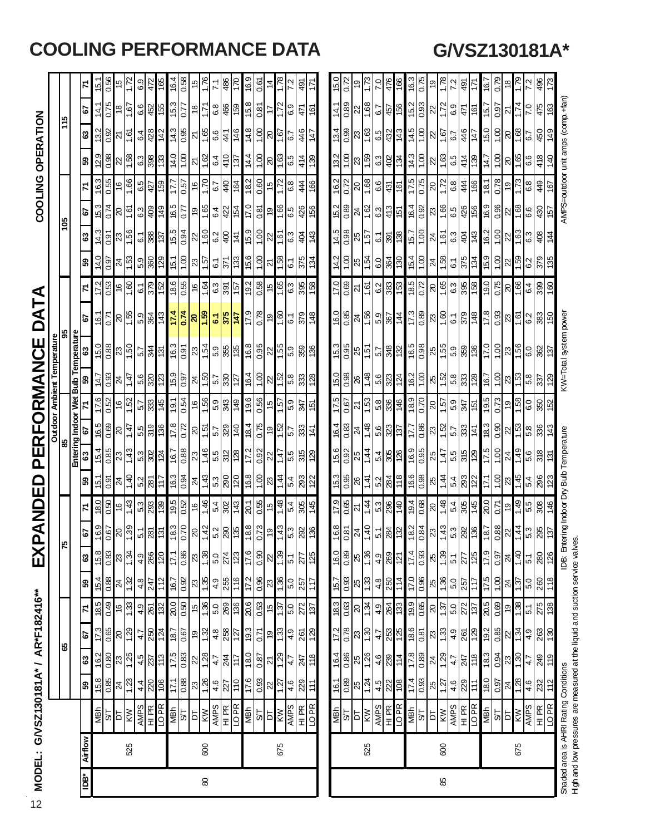# **COOLING PERFORMANCE DATA G/VSZ130181A\***

|     |                | MODEL: G/VSZ130181A* / AR*F182416**                                          |                     |                   |                        |                     |                   | $\bf \Xi$                 | ⋖<br><u>ה</u>                                           | <b>DEI</b>                                                                                                                    | <b>Q</b>                                     | $\overline{\mathbf{K}}$                                 | Lĭ                                | <b>ORM</b>        | Z<br>⋖                                                                                                                        | อี<br>ш<br>$\overline{\mathbf{C}}$ | ⋖                                             |                                             |                                                                                                                                                                                                    |                                                                            | COOLING                                                                                                                                |                                                                       | <b>OPERATION</b>                                                                                                                                                            |                                                          |                            |
|-----|----------------|------------------------------------------------------------------------------|---------------------|-------------------|------------------------|---------------------|-------------------|---------------------------|---------------------------------------------------------|-------------------------------------------------------------------------------------------------------------------------------|----------------------------------------------|---------------------------------------------------------|-----------------------------------|-------------------|-------------------------------------------------------------------------------------------------------------------------------|------------------------------------|-----------------------------------------------|---------------------------------------------|----------------------------------------------------------------------------------------------------------------------------------------------------------------------------------------------------|----------------------------------------------------------------------------|----------------------------------------------------------------------------------------------------------------------------------------|-----------------------------------------------------------------------|-----------------------------------------------------------------------------------------------------------------------------------------------------------------------------|----------------------------------------------------------|----------------------------|
|     |                |                                                                              |                     |                   |                        |                     |                   |                           |                                                         |                                                                                                                               |                                              |                                                         | Outdoor                           |                   | Ambient Temperature                                                                                                           |                                    |                                               |                                             |                                                                                                                                                                                                    |                                                                            |                                                                                                                                        |                                                                       |                                                                                                                                                                             |                                                          |                            |
|     |                |                                                                              |                     |                   | 65                     |                     |                   | ド                         |                                                         |                                                                                                                               |                                              | 85                                                      | <b>Entering Indoor Wet</b>        |                   | Bulb T                                                                                                                        | န္တ<br>emperature                  |                                               |                                             |                                                                                                                                                                                                    | 105                                                                        |                                                                                                                                        |                                                                       |                                                                                                                                                                             | 115                                                      |                            |
| SQI | <b>Airflow</b> |                                                                              | 69                  | 63                | 5                      | 7                   | S,                | $\boldsymbol{\mathsf{3}}$ | 5                                                       | 7                                                                                                                             | Gā                                           | 3                                                       | 2                                 | 7                 | ន                                                                                                                             | ఴ                                  | ĉ,                                            | 2                                           | 3<br>8                                                                                                                                                                                             | 5                                                                          | 7                                                                                                                                      | 59                                                                    | $\boldsymbol{\mathbb{S}}$                                                                                                                                                   | 5                                                        | 7                          |
|     |                | MBh                                                                          | 15.8                | 16.2              | $\frac{173}{2}$        | 18.5                | 15.4              | 15.8                      | 16.9                                                    | 18.0                                                                                                                          | 15.1                                         | 54                                                      | 16.5                              |                   | 14.7                                                                                                                          | 16.1<br>15.0                       |                                               |                                             | 14.3<br>14.0                                                                                                                                                                                       | 15.3                                                                       | 16.3                                                                                                                                   | 12.9                                                                  | $\frac{2}{3}$                                                                                                                                                               | $\frac{4}{1}$                                            | $\overline{5}$             |
|     |                | 입                                                                            | 0.85                | 0.80              | 0.65                   | 0.49                | 0.88              | 0.83                      | 0.67                                                    | 0.50                                                                                                                          | 0.91                                         | 0.85                                                    | 0.69                              | 0.52              | 0.93                                                                                                                          | 0.71<br>0.88                       |                                               | 0.53                                        | 0.91<br>0.97                                                                                                                                                                                       | 0.74                                                                       | 0.55                                                                                                                                   | 0.98                                                                  | 0.92                                                                                                                                                                        | 0.75                                                     | 0.56                       |
|     |                |                                                                              | 24                  | 23                | $\infty$               | 9                   | 24                | 23                        | 0Z                                                      | $\frac{1}{2}$                                                                                                                 | $\overline{24}$                              | 23                                                      | $\overline{\Omega}$               |                   | $rac{24}{1.47}$                                                                                                               | $\frac{23}{150}$                   |                                               | $\frac{1}{6}$                               | 23                                                                                                                                                                                                 | $\Omega$                                                                   | $\frac{6}{5}$                                                                                                                          | 22                                                                    | 2                                                                                                                                                                           | $\frac{8}{1}$                                            | 5                          |
|     | 525            | KW                                                                           | 1.23                | 1.25              | 1.29                   | 1.33                | 1.32              | 1.34                      | 1.39                                                    | 1.43                                                                                                                          | <u>नि</u>                                    |                                                         | 1.47                              | 1.52              |                                                                                                                               |                                    |                                               | 1,60                                        | $\frac{156}{ }$                                                                                                                                                                                    | 1.61                                                                       | 1.66                                                                                                                                   |                                                                       | 1.61                                                                                                                                                                        | 1.67                                                     | $\frac{17}{2}$             |
|     |                | $\frac{\text{NIPS}}{\text{HER}}$                                             | $rac{44}{200}$      | $\frac{4.5}{28}$  | $rac{1}{25}$           | $rac{9}{261}$       | 247<br>4.8        | 4.9                       | <mark> - အမြွှေ့ခြွှေမြွှေးမြှုပ်မြှာ</mark>            | $\frac{38}{28}$                                                                                                               | $\frac{2}{3}$ $\frac{2}{3}$                  | $\frac{1}{2}$ $\frac{1}{2}$ $\frac{1}{2}$ $\frac{1}{2}$ | $\frac{55}{20}$                   | 5.7845            | $rac{6}{320}$                                                                                                                 | 일 第                                |                                               | $rac{61}{378}$                              | $rac{61}{88}$<br>$\frac{1}{2}$ $\frac{1}{2}$ $\frac{1}{2}$ $\frac{1}{2}$ $\frac{1}{2}$ $\frac{1}{2}$                                                                                               | $rac{6}{49}$                                                               | $rac{65}{420}$                                                                                                                         | <u>မြို့ဒါမ္အိုသ</u>                                                  | 역 성 동                                                                                                                                                                       | <b>es</b> 29                                             | $rac{1}{60}$ $rac{1}{160}$ |
|     |                |                                                                              |                     |                   |                        | 132                 | $\overline{2}$    | <b>266</b><br>120         |                                                         |                                                                                                                               |                                              |                                                         |                                   |                   |                                                                                                                               |                                    |                                               |                                             |                                                                                                                                                                                                    |                                                                            |                                                                                                                                        |                                                                       |                                                                                                                                                                             |                                                          |                            |
|     |                |                                                                              |                     |                   | 18.7                   |                     |                   |                           |                                                         |                                                                                                                               |                                              |                                                         |                                   |                   |                                                                                                                               |                                    |                                               |                                             |                                                                                                                                                                                                    |                                                                            |                                                                                                                                        |                                                                       |                                                                                                                                                                             |                                                          |                            |
|     |                | $\frac{\sqrt{2}}{2\sqrt{2}}$                                                 | $\frac{17.1}{0.88}$ | 17.5<br>0.83      | <b>790</b>             | $\frac{1}{8}$       | $16.7$<br>0.92    | $\frac{17.1}{1.71}$       |                                                         | $\frac{1}{2}$                                                                                                                 | <u>မြို့ချို့အခြံခြံခြံ</u>                  | $\frac{167}{168}$                                       | <u>ြိုင်မြို့ မြို့မြို့မြို့</u> | $19.1$<br>0.54    | $\frac{1}{2}$ $\frac{1}{2}$ $\frac{1}{2}$ $\frac{1}{2}$ $\frac{1}{2}$ $\frac{1}{2}$ $\frac{1}{2}$ $\frac{1}{2}$ $\frac{1}{2}$ | 16.3                               |                                               | <u>ိုင်းမြို့ရေးမြို့</u>                   | $\frac{15}{15}$ $\frac{15}{15}$ $\frac{15}{15}$ $\frac{15}{15}$ $\frac{15}{15}$ $\frac{15}{15}$<br>$\frac{15}{15}$ $\frac{12}{15}$ $\frac{12}{15}$ $\frac{12}{15}$ $\frac{12}{15}$ $\frac{12}{15}$ | $\frac{16.5}{0.77}$                                                        | $\frac{17.7}{150}$                                                                                                                     | <u>ခြံခြံ အခြံခြံ မ</u>                                               | $\left  \frac{1}{36} \right  \frac{1}{36} \approx \left  \frac{1}{36} \right  \approx \left  \frac{1}{36} \right  \approx \left  \frac{1}{36} \right  \approx \frac{1}{36}$ | $\frac{15.3}{0.77}$                                      | $\frac{4}{164}$            |
|     |                |                                                                              |                     |                   |                        |                     |                   |                           |                                                         |                                                                                                                               |                                              |                                                         |                                   |                   |                                                                                                                               |                                    |                                               |                                             |                                                                                                                                                                                                    |                                                                            |                                                                                                                                        |                                                                       |                                                                                                                                                                             |                                                          |                            |
| 8   | 600            |                                                                              | $\frac{25}{18}$     | $\frac{22}{128}$  |                        |                     | $\frac{23}{1.35}$ | $\frac{23}{1.38}$         |                                                         |                                                                                                                               |                                              |                                                         |                                   | $\frac{16}{1.56}$ |                                                                                                                               |                                    |                                               |                                             |                                                                                                                                                                                                    |                                                                            |                                                                                                                                        |                                                                       |                                                                                                                                                                             | $\frac{18}{1.71}$                                        | 1.76                       |
|     |                | <b>SHNN</b>                                                                  |                     | 4.7               |                        |                     | $4.9$<br>255      | 0.9                       |                                                         |                                                                                                                               |                                              |                                                         |                                   |                   |                                                                                                                               |                                    |                                               |                                             |                                                                                                                                                                                                    |                                                                            |                                                                                                                                        |                                                                       |                                                                                                                                                                             |                                                          | $\overline{7.1}$           |
|     |                | $\frac{1}{\frac{1}{2}}$                                                      |                     | $rac{54}{17}$     | 이 등 <mark>속 없</mark> 설 |                     |                   | 274                       |                                                         | $\frac{24}{30}$                                                                                                               |                                              | $\frac{55}{20}$                                         |                                   | $\frac{6}{38}$    |                                                                                                                               | 3 2 2 8 8                          |                                               |                                             |                                                                                                                                                                                                    | $=$ $\frac{16}{3}$ $\frac{1}{3}$ $\frac{1}{3}$ $\frac{1}{2}$ $\frac{1}{2}$ | 일출                                                                                                                                     |                                                                       |                                                                                                                                                                             | $\frac{12}{36}$                                          | 8                          |
|     |                |                                                                              | $\frac{1}{10}$      |                   |                        |                     | 116               | 123                       |                                                         |                                                                                                                               |                                              |                                                         |                                   |                   |                                                                                                                               |                                    |                                               |                                             |                                                                                                                                                                                                    |                                                                            |                                                                                                                                        |                                                                       |                                                                                                                                                                             |                                                          | 021                        |
|     |                | <b>MBh</b>                                                                   | 17.6                | 18.0              | £ 6L                   | 20.6                | 17.2              | 17.6                      | $\frac{18.8}{0.73}$                                     | 20.1                                                                                                                          | 16.8                                         | 17.2                                                    | 18.4                              | 19.6              | 16.4                                                                                                                          | 16.8                               | $\frac{15}{28}$                               | 19.2                                        | $\frac{00}{1.00}$                                                                                                                                                                                  | 17.0                                                                       | 18.2                                                                                                                                   | 14.4                                                                  | 14.8                                                                                                                                                                        | 15.8                                                     | 16.9                       |
|     |                | 하                                                                            | 0.93                | 0.87              | 0.71                   | 0.53                | 0.96              | 0.90                      |                                                         | 0.55                                                                                                                          |                                              | 0.92                                                    | 0.75                              | 0.56              |                                                                                                                               | 0.95                               |                                               |                                             |                                                                                                                                                                                                    | 0.81                                                                       |                                                                                                                                        | 0.00                                                                  | 0.1 <sub>0</sub>                                                                                                                                                            | 0.81                                                     | 0.61                       |
|     |                |                                                                              |                     | $\overline{2}$    | é,                     | $\frac{5}{2}$       |                   |                           | $\overline{19}$                                         | $\frac{5}{2}$                                                                                                                 | $\frac{100}{23}$                             | 22                                                      |                                   | $\frac{5}{3}$     | 38.5                                                                                                                          |                                    |                                               | $\frac{8}{15}$                              | $\frac{15.9}{1.00}$                                                                                                                                                                                | $\frac{19}{1.66}$                                                          | $\frac{60}{15}$                                                                                                                        |                                                                       | $\overline{20}$                                                                                                                                                             |                                                          | $\ddot{4}$                 |
|     | 675            | KW                                                                           | $\frac{2}{12}$      | 1.29              | 1.33                   | 1.37                | $\frac{23}{1.36}$ | $\frac{28}{13}$           | 64.1                                                    | 1.48                                                                                                                          | 1.44                                         | 147                                                     | $\frac{5}{15}$                    | 1.57              |                                                                                                                               | $\frac{22}{1.55}$                  |                                               |                                             | $\frac{27}{1.58}$                                                                                                                                                                                  |                                                                            |                                                                                                                                        | $\frac{8}{1}$                                                         | 1.67                                                                                                                                                                        | 1.72                                                     |                            |
|     |                | <b>SHNV</b>                                                                  | 4.6                 | $\frac{47}{1}$    | 4.9                    | 5.0                 | 5.0               | 5.1                       | 5.3                                                     | 5.4                                                                                                                           | 5.4                                          | 5.5                                                     | $\overline{57}$                   | 5.9               |                                                                                                                               | 5.9                                |                                               |                                             | $\overline{61}$                                                                                                                                                                                    | 6.5                                                                        | 6.8                                                                                                                                    | 6.5                                                                   | $\overline{c}$                                                                                                                                                              | 6.9                                                      |                            |
|     |                | $\frac{H}{10}$                                                               | 229                 | 247               | 261                    | 272                 | 257               | 277                       | 292                                                     | 305                                                                                                                           | 293                                          | 315                                                     | 333                               | <b>ZFC</b>        | $\frac{6}{33}$                                                                                                                | 359                                | $rac{1}{25}$                                  | $rac{3}{25}$                                | ु ई स<br>375                                                                                                                                                                                       | 426                                                                        | 44                                                                                                                                     | $\frac{4}{4}$                                                         | 446                                                                                                                                                                         | 471                                                      | 491                        |
|     |                |                                                                              | 111                 | 118               | 129                    | 137                 | 117               | 125                       | 136                                                     | 145                                                                                                                           | 122                                          | <b>92</b>                                               | 141                               | 151               | 128                                                                                                                           | 136                                |                                               |                                             | 134                                                                                                                                                                                                |                                                                            | 166                                                                                                                                    | 139                                                                   | 147                                                                                                                                                                         | $\overline{6}$                                           |                            |
|     |                |                                                                              |                     |                   |                        |                     |                   |                           |                                                         |                                                                                                                               |                                              |                                                         |                                   |                   |                                                                                                                               |                                    |                                               |                                             |                                                                                                                                                                                                    |                                                                            |                                                                                                                                        |                                                                       |                                                                                                                                                                             |                                                          |                            |
|     |                | <b>VIBN</b>                                                                  | 16.1                | 16.4              | $\frac{172}{2}$        | 18.3                | 15.7              | 16.0                      | 16.8                                                    | 0.11                                                                                                                          | $\frac{15.3}{2}$                             | $\frac{6}{6}$                                           | 16.4                              | 17.5              | $\frac{0}{2}$                                                                                                                 | 15.3                               |                                               |                                             | 14.5<br>$\frac{14.2}{5}$                                                                                                                                                                           | 15.2                                                                       | 16.2                                                                                                                                   | $\frac{2}{3}$                                                         | 13.4                                                                                                                                                                        | 14.1                                                     | 15.0                       |
|     |                | 5년                                                                           | 0.89                | 0.86              | 0.78                   | 0.63                | 0.93              | 0.89                      | 0.87                                                    | 0.65                                                                                                                          | 0.95                                         | 0.92                                                    | 0.83                              | 0.67              | 0.98                                                                                                                          | 0.95                               | $rac{160}{0.85}$                              | $\frac{60}{0.71}$                           | 0.98<br>0.100                                                                                                                                                                                      | 0.89                                                                       | 0.72                                                                                                                                   | 1.00                                                                  | 0.99                                                                                                                                                                        | 0.89                                                     | 0.72                       |
|     |                |                                                                              | $\frac{5}{25}$      | 25                | $\mathbbm{S}$          | 0 <sup>z</sup>      | 25                | 82                        | $\frac{24}{1.40}$                                       | 2                                                                                                                             | $\frac{8}{2}$                                | 25                                                      | $rac{5}{24}$                      | $\overline{21}$   | $\frac{8}{1.8}$                                                                                                               | $\frac{25}{1.51}$                  |                                               | $\overline{12}$                             | $rac{25}{1.57}$<br>$\frac{15}{4}$                                                                                                                                                                  | $\frac{24}{10}$                                                            | $\frac{891}{105}$                                                                                                                      |                                                                       | $\frac{1}{2}$                                                                                                                                                               | $\frac{22}{1.68}$                                        | 61                         |
|     | 525            | KW                                                                           | 1.24                | 1.26              | $\frac{30}{2}$         | 1.34                | 1.33              | 1.36                      |                                                         | $\frac{1}{4}$                                                                                                                 | $\frac{1}{4}$                                | 1.44                                                    |                                   | $\frac{153}{2}$   |                                                                                                                               |                                    |                                               | $\frac{1}{6}$                               |                                                                                                                                                                                                    |                                                                            |                                                                                                                                        | $\frac{1}{2}$ $\frac{1}{2}$ $\frac{1}{2}$ $\frac{1}{2}$ $\frac{1}{2}$ |                                                                                                                                                                             |                                                          | l<br>12                    |
|     |                |                                                                              | 4.5                 | 4.6               | 4.7                    | 4.9                 | 4.8               | 4.9                       |                                                         | 5.3                                                                                                                           | 5.2                                          |                                                         |                                   |                   |                                                                                                                               | 5.7                                |                                               |                                             |                                                                                                                                                                                                    | 6.3                                                                        |                                                                                                                                        |                                                                       | 6.5                                                                                                                                                                         | 6.7                                                      | 7.0                        |
|     |                |                                                                              | 222                 | 239               | 253                    |                     | 250               | 269                       |                                                         |                                                                                                                               | 284<br>118                                   |                                                         | $rac{6}{32}$                      |                   |                                                                                                                               |                                    |                                               |                                             |                                                                                                                                                                                                    |                                                                            |                                                                                                                                        |                                                                       |                                                                                                                                                                             |                                                          | 476                        |
|     |                | $\frac{\text{AMPS}}{\text{H IR}}$                                            | 108                 | 114               |                        | <b>264</b><br>133   | 114               | $\frac{21}{2}$            |                                                         | 296                                                                                                                           |                                              | $\frac{24}{38}$                                         |                                   | $rac{8}{38}$      | $\frac{58}{324}$                                                                                                              |                                    |                                               |                                             | ္ဗုန္ကုဆ                                                                                                                                                                                           | 413                                                                        | $\frac{15}{9}$                                                                                                                         |                                                                       | 32日                                                                                                                                                                         |                                                          | 166                        |
|     |                | <b>MAN</b><br>MAN<br>MAN                                                     | 17.4                | 17.8              | 18.6                   | 19.9                | 17.0              | 17.4                      |                                                         |                                                                                                                               | $\frac{16}{100}$ $\frac{1}{2}$ $\frac{1}{2}$ | $rac{16.9}{0.95}$                                       |                                   | 18.9              |                                                                                                                               |                                    |                                               |                                             |                                                                                                                                                                                                    |                                                                            | 7.5                                                                                                                                    | $\frac{14.3}{1.00}$                                                   |                                                                                                                                                                             | $\frac{45}{150}$<br>$\frac{15}{150}$<br>$\frac{12}{152}$ | $\frac{16.3}{0.75}$        |
|     |                |                                                                              | 0.93                | 680               | 0.81                   | 0.65                | 0.96              | 0.93                      |                                                         |                                                                                                                               |                                              |                                                         |                                   | 0.70              |                                                                                                                               |                                    |                                               |                                             |                                                                                                                                                                                                    |                                                                            | 0.75                                                                                                                                   |                                                                       |                                                                                                                                                                             |                                                          |                            |
|     |                |                                                                              | $\frac{25}{1.27}$   | $\frac{24}{1.29}$ | $\frac{23}{1.39}$      | $\overline{5}$      | $\frac{25}{1.36}$ | $\mathbb{Z}^2$            |                                                         |                                                                                                                               |                                              | $\frac{25}{1.47}$                                       |                                   |                   |                                                                                                                               |                                    |                                               |                                             |                                                                                                                                                                                                    |                                                                            |                                                                                                                                        |                                                                       |                                                                                                                                                                             |                                                          | 6 <sub>1</sub>             |
| 88  | 600            |                                                                              |                     |                   |                        | $\frac{1}{3}$       |                   | $\frac{8}{1.39}$          |                                                         |                                                                                                                               |                                              |                                                         |                                   |                   |                                                                                                                               |                                    |                                               |                                             |                                                                                                                                                                                                    |                                                                            |                                                                                                                                        |                                                                       |                                                                                                                                                                             |                                                          | 1.78                       |
|     |                | <b>AMPS</b>                                                                  | 4.6                 | $\frac{47}{4}$    |                        | $\frac{15}{20}$     | 5.0               | 5.1                       | ဌါန္လျံအျဖစ္အျဖစ္အျဖစ္ကျ<br> အခြားဆြဲဆြဲဆြဲဆြဲဆြဲဆြဲဆြဲ | $\frac{1}{2}$ $\frac{1}{2}$ $\frac{1}{2}$ $\frac{1}{2}$ $\frac{1}{2}$ $\frac{1}{2}$ $\frac{1}{2}$ $\frac{1}{2}$ $\frac{1}{2}$ | $\frac{1}{28}$ $\frac{1}{20}$                | $rac{25}{315}$                                          |                                   | $\frac{25}{25}$   | $\frac{1}{2}$ $\frac{1}{2}$ $\frac{1}{2}$ $\frac{1}{2}$ $\frac{1}{2}$ $\frac{1}{2}$ $\frac{1}{2}$ $\frac{1}{2}$ $\frac{1}{2}$ |                                    | <u>  နမ္မြံမြန္မွု မြန္မူမမြန္မြန္မြန္မွု</u> | <u>ျွိုင္ကာ မြိုင္ကို ဆိုင္ကို ျဖစ္သူ အ</u> | <u>입행 등 등 위 기회 역 후 동</u><br>$\frac{154}{100}$ $\frac{126}{100}$ $\frac{126}{100}$ $\frac{124}{100}$                                                                                                |                                                                            | $\frac{5}{25}$ $\frac{1}{25}$ $\frac{1}{25}$ $\frac{1}{25}$ $\frac{1}{25}$ $\frac{1}{25}$ $\frac{1}{25}$ $\frac{1}{25}$ $\frac{1}{25}$ | $ z _{\widehat{\mathfrak{B}}}^2 z _{\widehat{\mathfrak{B}}}$          | $\frac{15}{10}$ $\frac{1}{10}$ $\frac{1}{10}$ $\frac{1}{10}$ $\frac{1}{10}$ $\frac{1}{10}$ $\frac{1}{10}$ $\frac{1}{10}$                                                    | $rac{6}{3}$ $\frac{1}{2}$ $\frac{1}{2}$                  | $\frac{1}{2}$              |
|     |                |                                                                              | $\frac{8}{2}$       | $\frac{1}{247}$   | $\frac{25}{129}$       |                     | <b>157</b>        | 277                       |                                                         |                                                                                                                               |                                              |                                                         |                                   |                   |                                                                                                                               |                                    |                                               |                                             |                                                                                                                                                                                                    |                                                                            |                                                                                                                                        |                                                                       |                                                                                                                                                                             |                                                          |                            |
|     |                |                                                                              | 111                 | 118               |                        |                     | 117               | 125                       |                                                         |                                                                                                                               |                                              |                                                         |                                   |                   |                                                                                                                               |                                    |                                               |                                             |                                                                                                                                                                                                    |                                                                            |                                                                                                                                        |                                                                       |                                                                                                                                                                             |                                                          | 171                        |
|     |                | <b>VIBN</b>                                                                  | 18.0                | 18.3              | 19.2                   | $\frac{20.5}{0.69}$ | $\frac{175}{ }$   | $\frac{17.9}{ }$          |                                                         | 20.71                                                                                                                         | 17.1                                         | 5'Z P                                                   | $\frac{18.3}{0.90}$               | 19.5              |                                                                                                                               | $\frac{100}{1.5}$                  | $\frac{17.8}{0.93}$                           | $\frac{970}{0.61}$                          |                                                                                                                                                                                                    | $\frac{16.9}{0.96}$                                                        |                                                                                                                                        | $\frac{14.7}{1.00}$                                                   | $\frac{15.0}{1.00}$                                                                                                                                                         | $\frac{15.7}{0.97}$                                      | $\frac{67}{101}$           |
|     |                | <u>PL</u>                                                                    | 0.97                | 0.94              | 0.85                   |                     | 00.1              | 16'0                      | $\frac{18.7}{0.88}$                                     |                                                                                                                               | 00.1                                         | 00.1                                                    |                                   | 0.73              | $rac{16}{100}$                                                                                                                |                                    |                                               |                                             | $rac{2}{1.00}$<br><u>ြိုဒ္ဒြါရခြိုး</u>                                                                                                                                                            |                                                                            | $\frac{61}{181}$                                                                                                                       |                                                                       |                                                                                                                                                                             |                                                          |                            |
|     |                |                                                                              | $\overline{24}$     | 23                | $\mathbf{z}$           | $\overline{e}$      | $\overline{24}$   | $\overline{\mathcal{A}}$  |                                                         | $\overline{6}$                                                                                                                | $\mathbb{Z}^3$                               | 24                                                      | $\approx$                         | $\frac{1}{2}$     |                                                                                                                               | 23                                 | 23                                            | 0 <sup>2</sup>                              |                                                                                                                                                                                                    | $\approx$                                                                  |                                                                                                                                        | 02                                                                    | 02                                                                                                                                                                          | $\overline{2}$                                           | $\frac{8}{3}$              |
|     | 675            | <b>MX</b>                                                                    | $\frac{1.28}{4.6}$  | 1.30              | 1.34                   | 1.38                | 1.37              | $\frac{1.40}{5.1}$        | $\frac{1.44}{5.3}$                                      | 4.49                                                                                                                          | 1.45                                         | 67.1                                                    | 1.53                              | 1.58              | $\frac{8}{1.53}$                                                                                                              | $\frac{0.96}{99}$                  | 1.61                                          | 1.66                                        | $\frac{63}{63}$                                                                                                                                                                                    | $\frac{9.9}{6.6}$                                                          | 1.73                                                                                                                                   | $\frac{9.9}{6.6}$                                                     | $\frac{1.8}{6.7}$                                                                                                                                                           | 1.74                                                     | 62.1                       |
|     |                | <b>AMPS</b>                                                                  |                     | 4.7               | 4.9                    |                     | 0.9               |                           |                                                         | 5.5                                                                                                                           | $\frac{54}{3}$                               | 9.5                                                     | ြို့                              | 0.9               |                                                                                                                               |                                    |                                               |                                             |                                                                                                                                                                                                    |                                                                            | ြို့                                                                                                                                   |                                                                       |                                                                                                                                                                             | 0.7                                                      |                            |
|     |                | $\frac{d}{d}$                                                                | 232                 | $\frac{29}{19}$   | $\frac{263}{130}$      | $\frac{275}{138}$   | $rac{260}{18}$    | $\frac{280}{126}$         | 295                                                     | 308                                                                                                                           | 296                                          | 318                                                     | 336                               | $\frac{350}{152}$ | $\frac{37}{129}$                                                                                                              | $\frac{8}{3}$                      | $\frac{383}{150}$                             | $rac{39}{160}$                              | $\frac{4}{3}$<br>$rac{379}{135}$                                                                                                                                                                   | $rac{430}{157}$                                                            | 49                                                                                                                                     | 418                                                                   | 450                                                                                                                                                                         | 475                                                      | 496                        |
|     |                |                                                                              | 112                 |                   |                        |                     |                   |                           | $\frac{137}{2}$                                         |                                                                                                                               |                                              | $\frac{5}{2}$                                           | 143                               |                   |                                                                                                                               |                                    |                                               |                                             |                                                                                                                                                                                                    |                                                                            |                                                                                                                                        |                                                                       | 149                                                                                                                                                                         | 163                                                      |                            |
|     |                | Shaded area is AHRI Rating Conditions                                        |                     |                   |                        |                     |                   | ide: En                   | tering Indoor Dry                                       |                                                                                                                               | <b>Bulb Temperature</b>                      |                                                         |                                   |                   | $(W=Tota$                                                                                                                     | system power                       |                                               |                                             |                                                                                                                                                                                                    |                                                                            | AMPS=outdoor unit amps (comp.+fan)                                                                                                     |                                                                       |                                                                                                                                                                             |                                                          |                            |
|     |                | High and low pressures are measured at the liquid and suction service valves |                     |                   |                        |                     |                   |                           |                                                         |                                                                                                                               |                                              |                                                         |                                   |                   |                                                                                                                               |                                    |                                               |                                             |                                                                                                                                                                                                    |                                                                            |                                                                                                                                        |                                                                       |                                                                                                                                                                             |                                                          |                            |

NODEL: GVSZ130181A\* / AR\*F182416\*\*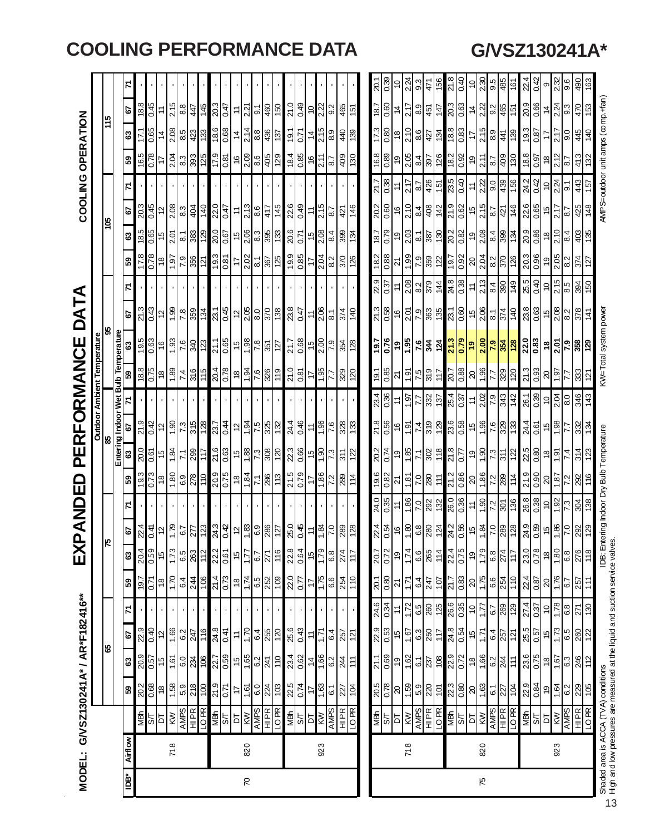|               | MODEL: G/VSZ130241A* / AR*F182416**                                                                                  |                                            |                     |                                |                     |                  |                     | $\overline{\mathbf{K}}$    | Ⴍ                                                          | ANDED                  |                                   |                                                      |                    | <b>PERFORMANCE</b>          |                                      | DATA                       |                     |                                               |                     | COOLING                  |                    | <b>OPERATION</b>  |                                             |                     |  |
|---------------|----------------------------------------------------------------------------------------------------------------------|--------------------------------------------|---------------------|--------------------------------|---------------------|------------------|---------------------|----------------------------|------------------------------------------------------------|------------------------|-----------------------------------|------------------------------------------------------|--------------------|-----------------------------|--------------------------------------|----------------------------|---------------------|-----------------------------------------------|---------------------|--------------------------|--------------------|-------------------|---------------------------------------------|---------------------|--|
|               |                                                                                                                      |                                            |                     |                                |                     |                  |                     |                            |                                                            |                        |                                   |                                                      |                    |                             | Outdoor Ambient Temperature          |                            |                     |                                               |                     |                          |                    |                   |                                             |                     |  |
|               |                                                                                                                      |                                            |                     | 8                              |                     |                  |                     | ∣۳                         |                                                            |                        |                                   | 85                                                   |                    |                             |                                      | 8                          |                     |                                               | 105                 |                          |                    |                   | $-115$                                      |                     |  |
|               |                                                                                                                      |                                            |                     |                                |                     |                  |                     |                            |                                                            |                        |                                   |                                                      |                    |                             | Entering Indoor Wet Bulb Temperature |                            |                     |                                               |                     |                          |                    |                   |                                             |                     |  |
| ∗aal          | Airflow                                                                                                              |                                            | ß,                  | $\mathbb{S}^3$                 | 5                   | $\mathbf{r}$     | 65                  | 63                         | 5                                                          | ч                      | 65                                | 5<br>౭                                               |                    | ႙                           | జ                                    | 79                         | 7                   | 65                                            | ශී                  | 19                       | 7                  | 65                | 49<br>ය                                     |                     |  |
|               |                                                                                                                      | MBh                                        | 20.2                | 20.9                           | 22.9                |                  | 19.7                | 20.4                       | 22.4                                                       |                        | 19.3                              | 21.9<br>20.0                                         |                    | 18.8                        | 19.5                                 | 21.3                       |                     |                                               | <b>G</b> 8          | 20.3                     |                    | 16.5              | 8.8<br>17.1                                 |                     |  |
|               |                                                                                                                      | LS                                         | 0.68                | 0.57                           | 0.40                |                  | 0.71                | 0.59                       | 0.41                                                       |                        | 0.73                              | 0.42<br>0.61                                         |                    | 0.75                        | 0.63                                 | 0.43                       |                     | 0.78                                          | 0.65                | <b>9t0</b>               |                    | 0.78              | 0.45<br>0.65                                |                     |  |
|               |                                                                                                                      | 히                                          | ₿                   | $\frac{6}{1}$                  | <u>인</u>            |                  | ₿,                  | 15                         |                                                            |                        | $\overset{\circ}{\phantom{a}}$    | 5<br>40                                              |                    | $\frac{8}{10}$              | $\frac{6}{5}$                        | 57                         |                     | $\overset{\circ}{\phantom{1}}$                | 45                  | 57                       |                    | H                 | $\tilde{t}$<br>$\frac{4}{4}$                |                     |  |
|               | 718                                                                                                                  | <b>KW</b>                                  | 1.58                | 1.61                           | 1.66                |                  | 1.70                | 1.73                       | $\frac{2}{1.79}$                                           |                        | 1.80                              | 1.90<br>$\frac{1}{84}$                               |                    | 1.89                        | 1,93                                 | 1.99                       |                     | 1.97                                          | 2.01                | 2.08                     |                    | 2.04              | 2.15<br>2.08                                |                     |  |
|               |                                                                                                                      | $\frac{\overline{AMPS}}{\underline{HIPR}}$ |                     | 6.0                            | 62<br>6             |                  | 6.4                 | 6.5                        | $rac{27}{2}$                                               |                        |                                   | $\frac{7.3}{315}$<br>$\overline{z}$                  |                    |                             |                                      |                            |                     |                                               |                     |                          |                    | $\frac{8.3}{393}$ | 8.8<br>8.5                                  |                     |  |
|               |                                                                                                                      |                                            | $rac{5.9}{218}$     | 234                            | 247                 |                  | 244                 | 263                        |                                                            |                        | $rac{0}{278}$                     | 299                                                  |                    | $\frac{74}{316}$            | $\frac{6}{3}$                        | $\frac{78}{359}$           |                     | $\frac{7.9}{356}$                             | $\frac{81}{382}$    | $rac{83}{404}$           |                    |                   | 447                                         |                     |  |
|               |                                                                                                                      | LO <sub>PR</sub>                           | 100                 | 106                            | 116                 |                  | 106                 | 112                        | 123                                                        |                        | 0 <sub>1</sub>                    | 128<br>117                                           |                    | 115                         | 123                                  | 134                        |                     | <u>121</u>                                    | 129                 | $\frac{1}{40}$           |                    | 125               | 145<br>133                                  |                     |  |
|               |                                                                                                                      | MBh                                        |                     | 22.7                           | 24.8                |                  |                     | 22.2                       |                                                            |                        |                                   | 21.6                                                 |                    |                             |                                      |                            |                     |                                               |                     |                          |                    | 17.9              |                                             |                     |  |
|               |                                                                                                                      | ৯                                          | $\frac{27.9}{0.71}$ | 0.59                           | 0.41                |                  | 21.4                | 0.61                       | 24.3                                                       |                        | 20.9                              | $\frac{5.7}{2.37}$<br>0.63                           |                    | 20.4                        | 21.1                                 | 23.1                       |                     | $\frac{19.3}{0.81}$                           | $\frac{20.0}{0.67}$ | 22.0                     |                    | 0.81              | $\frac{20.3}{0.47}$<br>$\frac{18.6}{0.68}$  |                     |  |
|               |                                                                                                                      |                                            | 17                  |                                | $\tilde{t}$         |                  |                     |                            |                                                            |                        |                                   |                                                      |                    |                             |                                      |                            |                     | $\overline{1}$                                |                     | $\overline{\phantom{a}}$ |                    |                   | $\overline{\phantom{a}}$<br>$\overline{14}$ |                     |  |
| $\mathcal{R}$ | 820                                                                                                                  | $\frac{1}{10}$                             | 1.61                | 15                             | 1.70                |                  | $\frac{1.74}{1.74}$ | $\frac{15}{1.77}$          | $\frac{12}{1.83}$                                          |                        | 1.84                              | 1.34<br>1.88                                         |                    | $\frac{1.34}{5}$            | 1.98                                 |                            |                     | 2.02                                          | $15$<br>$2.06$      | 2.13                     |                    | $\frac{16}{2.09}$ | 2.21<br>2.14                                |                     |  |
|               |                                                                                                                      | <b>AMPS</b>                                | 6.0                 | 6.2                            | 6.4                 |                  | 6.5                 | 6.7                        | 6.9                                                        |                        |                                   | 7.5                                                  |                    |                             | 7.8                                  |                            |                     |                                               | 8.3                 | 8.6                      |                    |                   | $\overline{9}$ .<br>8.8                     |                     |  |
|               |                                                                                                                      | HIPR                                       |                     | 241                            | 255                 |                  |                     | 271                        |                                                            |                        | $rac{28}{280}$                    | $\frac{88}{20}$                                      |                    | $rac{6}{128}$               |                                      | 28.86                      |                     | $\frac{1}{8}$ $\frac{1}{8}$                   | 385                 | 117                      |                    | 8.6               | 460                                         |                     |  |
|               |                                                                                                                      | <b>HdO1</b>                                | $\frac{224}{103}$   | $\frac{10}{10}$                | 120                 |                  | 252<br>109          | 116                        | 286                                                        |                        |                                   | $\frac{325}{132}$                                    |                    |                             | <u>ន្លា</u>                          |                            |                     |                                               | ස                   | 145                      |                    | 129               | 150<br>436                                  |                     |  |
|               |                                                                                                                      | MBh                                        | 2.5                 | 23.4                           | 25.6                |                  | $220$               | 22.8                       | 25.0                                                       |                        | 21.5                              | 24.4<br>22.3                                         |                    | 21.0                        | 21.7                                 | 23.8                       |                     | 19.9                                          | 20.6                | 22.6                     |                    | 18.4              | 21.0<br>19.1                                |                     |  |
|               |                                                                                                                      |                                            |                     |                                |                     |                  |                     |                            |                                                            |                        |                                   |                                                      |                    |                             |                                      |                            |                     |                                               |                     |                          |                    |                   |                                             |                     |  |
|               |                                                                                                                      |                                            | $\frac{24}{17}$     | 0.62                           | 0.43                |                  | 0.77                | 0.64                       | 0.45                                                       |                        | $rac{17}{627}$                    | $rac{46}{1}$                                         |                    | $rac{1}{150}$               |                                      | $rac{1}{\sqrt{2}}$         |                     | $\frac{11}{15}$                               | $\frac{5}{15}$      | 11                       |                    | $\frac{85}{16}$   | 0.49<br>0.71                                |                     |  |
|               |                                                                                                                      |                                            |                     | $\left  \frac{1}{4} \right $   | $\div$              |                  | $\overline{1}$      | $\frac{5}{2}$              |                                                            |                        |                                   | $\frac{8}{2}$ = $\frac{1}{2}$                        |                    |                             |                                      |                            |                     |                                               |                     |                          |                    |                   | $\breve{=}$<br>14                           |                     |  |
|               | 923                                                                                                                  | $\frac{\frac{S/T}{DT}}{\frac{R}{N}}$       | 1.63                | $\frac{1.66}{6.2}$             | 1.71                |                  | 1.75                | 1.79                       | 1.84                                                       |                        | 1.86                              | 1.96                                                 |                    | $\frac{1.95}{7.7}$          | $\frac{28}{15}$                      | $\frac{8}{2}$              |                     | $\frac{2.04}{8.2}$                            | $\frac{2.08}{8.4}$  | 2.15                     |                    | $rac{2.11}{8.7}$  | 2.22<br>$\frac{2.15}{8.9}$                  |                     |  |
|               |                                                                                                                      |                                            | ြ                   |                                | 6.4                 |                  | 6.6                 | $\frac{8}{6}$              | $\frac{0.7}{2}$                                            |                        | $\overline{\mathbb{S}}$           | $\frac{8}{7}$<br>ြို                                 |                    |                             |                                      | ≂                          |                     |                                               |                     | $\frac{5}{2}$            |                    |                   | ခြိ                                         |                     |  |
|               |                                                                                                                      | <b>HIPR</b>                                | 227                 | 244                            | 257                 |                  | 254                 | 274                        | 289                                                        |                        | 687                               | 328<br>311                                           |                    | 329                         | 354                                  | <b>774</b>                 |                     | 370                                           | <b>665</b>          | 124                      |                    | 60t               | 465<br>40                                   |                     |  |
|               |                                                                                                                      | LO <sub>PR</sub>                           | 104                 | 111                            | 121                 |                  | 110                 | 117                        | $\overline{28}$                                            |                        | 14                                | 133<br>122                                           |                    | 120                         | 8Z                                   | 140                        |                     | 126                                           | $\frac{1}{2}$       | 146                      |                    | 130               | 151<br>139                                  |                     |  |
|               |                                                                                                                      |                                            |                     |                                |                     |                  |                     |                            |                                                            |                        |                                   |                                                      |                    |                             |                                      |                            |                     |                                               |                     |                          |                    |                   |                                             |                     |  |
|               |                                                                                                                      | MBh                                        | 20.5                | 21.1                           | 22.9                | 24.6             | 20.1                | 20.7                       |                                                            | 24.0                   | 19.6                              |                                                      |                    | 19.1                        | 19.7                                 |                            | 22.9                | $\frac{2}{18.2}$                              | 18.7                | 20.2                     | 21.7               | 16.8              | 18.7<br>$\frac{173}{ }$                     | <u>ର୍</u>           |  |
|               |                                                                                                                      | 하                                          | 0.78                | 0.69                           | $\frac{9}{15}$      | 0.34             | 0.80                |                            | $\frac{24}{0.54}$                                          | $\frac{35}{6}$         | 0.82                              | $\frac{21.8}{0.56}$<br>$\frac{2}{10}$ $\frac{2}{10}$ | $\frac{234}{0.36}$ | $rac{85}{21}$               | 0.76                                 | $\frac{2}{5}$              | 0.37                | 0.88                                          |                     | $\frac{91}{16}$          | 0.38               | $rac{6}{19}$      | 0.60<br>0.80                                | 8<br>0.39           |  |
|               |                                                                                                                      |                                            | ମ                   | စ္                             |                     | ≒                | ম                   | $\frac{0.72}{19}$          | ۱ę                                                         |                        | ন                                 | $\frac{1}{2}$                                        |                    |                             |                                      |                            | Ż                   | $\overline{21}$                               | <u>၉</u><br>၁၉      |                          | 두                  |                   | ≄<br>∣္జ                                    | $\overline{0}$      |  |
|               | 718                                                                                                                  | <b>KW</b>                                  | 1.59                | 1.62                           | 1.67                | 1.72             | 1.71                | 1.74                       | 1.80                                                       | 1.86                   | 1.81                              | 1.91<br><b>GS.1</b>                                  | 1.97               | 1.91                        | $\frac{15}{15}$                      | 2.01                       | 2.08                | 66.1                                          | 2.03                | 2.10                     | 2.17               | 2.05              | 2.17<br>2.10                                | 2.24                |  |
|               |                                                                                                                      | AMPS                                       | 5.9                 | $61$                           | 6.3                 | 6.5              | 6.4                 | 6.6                        | 6.8                                                        | 7.0                    | $\overline{C}$                    | $\overline{71}$                                      | 7.7                |                             |                                      |                            | 82                  | 7.9                                           | $\overline{8}$      | 8.4                      | 8.7                |                   | 8.9<br>8.6                                  | 9.3                 |  |
|               |                                                                                                                      | HIPR<br>T                                  | 220                 | 237                            | 250                 | 260              | 247                 | 265                        | 280                                                        | 292                    | 280                               | 319<br>302                                           | 332                | $\frac{75}{319}$            | $rac{2}{3}$                          | $\frac{7.9}{363}$          | 379                 | 359                                           | 387                 | 408                      | 426                | $rac{84}{87}$     | 451<br>427                                  | 471                 |  |
|               |                                                                                                                      | LO <sub>PR</sub>                           | 101                 | 108                            | 117                 | 125              | $\frac{20}{2}$      | 114                        | 124                                                        | 132                    | $\ddot{ }$                        | 129<br>118                                           | 137                | 117                         | 124                                  | 135                        | 144                 | <u>있</u>                                      | $\frac{30}{2}$      | 142                      | 151                | 126               | 147<br>134                                  | 156                 |  |
|               |                                                                                                                      | <b>MBh</b>                                 | 2.3                 | 22.9                           | 24.8                |                  | 21.7                | 22.4                       | 24.2                                                       |                        | 21.2                              | 23.6<br>21.8                                         | 25.4               | 20.7                        |                                      | $\frac{23.1}{0.60}$        | 24.8                | 19.7                                          | 20.2                | 21.9                     | S 82               | 18.2              | 20.3<br>18.8                                | 21.8                |  |
|               |                                                                                                                      | াত                                         | 0.80                | 0.72                           | 0.54                | 26.6             | 0.83                | <b>970</b>                 | 0.56                                                       | 26.0                   | 0.77<br>0.86                      | 0.58                                                 | $\frac{1}{37}$     |                             | $\frac{21.3}{0.79}$                  |                            | $\frac{38}{6}$      |                                               | $\frac{82}{3}$      | 0.62                     | 0.40               | <b>76°0</b>       | ි<br>$\frac{83}{2}$                         | 0.40                |  |
|               |                                                                                                                      |                                            | $\otimes$           | $\overset{\circ}{\phantom{a}}$ | $\frac{5}{2}$       | $\overline{0}$   | $\otimes$           | $\overline{6}$             |                                                            | $\overleftarrow{\tau}$ | $20\,$                            | $\frac{5}{2}$<br>$\mathsf{\underline{e}}$            | $\tilde{t}$        | $\frac{8}{20}$              | $\overline{e}$                       | $\frac{5}{15}$             | $\div$              | $\frac{0.92}{20}$                             | $\overline{6}$      | $\frac{5}{2}$            | $\div$             | $\overline{e}$    | $\overline{4}$<br>77                        | $\tilde{a}$         |  |
| ß             | 820                                                                                                                  |                                            | 1.63                | 1.66                           | 1.71                | $1\overline{I}$  | 1.75                | 1.79                       |                                                            | 1.90                   | 1.86                              | 1.96<br>1.90                                         | 2.02               |                             |                                      |                            | 2.13                |                                               | 2.08                | 2.15                     |                    | 2.11              | 2.22<br>2.15                                | 2.30                |  |
|               |                                                                                                                      | <b>DT<br/>KW<br/>AMPS</b>                  | 6.1                 | 6.2                            | 6.4                 | 67               | 6.6                 | 6.8                        |                                                            | 72                     |                                   | 7.6<br>73                                            | 7.9                |                             | $\frac{2.00}{7.9}$                   |                            |                     |                                               |                     |                          | $\frac{2.22}{9.0}$ |                   | 9.2<br>8.9                                  | 9.5                 |  |
|               |                                                                                                                      | HIPR                                       | 227                 | 244                            |                     |                  | 254                 | 274                        |                                                            | 301                    | 7.2<br>289                        | 311                                                  | 843                |                             |                                      |                            | $\frac{4}{390}$     |                                               |                     |                          |                    | $rac{26}{409}$    | 465<br>41                                   | 485                 |  |
|               |                                                                                                                      | LO <sub>PR</sub>                           | 104                 | $\frac{1}{11}$                 | $\frac{257}{121}$   | 88               | $rac{10}{1}$        | 117                        | $\frac{15}{18}$ $\frac{1}{28}$ $\frac{1}{8}$ $\frac{1}{8}$ | 136                    | 114                               | $\frac{28}{13}$<br>$\overline{2}$                    | 142                | $rac{18}{17}$ $rac{18}{29}$ | $\frac{35}{28}$                      | $rac{26}{8}$ $rac{27}{14}$ | $\frac{6}{149}$     | $\frac{25}{38}$ $\frac{1}{28}$ $\frac{1}{28}$ | $rac{4}{18}$        | $rac{6}{5}$ $rac{1}{46}$ | $rac{439}{156}$    | 130               | $\frac{5}{15}$<br>93                        | $\frac{5}{16}$      |  |
|               |                                                                                                                      | MBh                                        | 2.9                 | 23.6                           |                     | 27.4             |                     | 23.0                       |                                                            |                        | 21.9                              | 24.4                                                 | 26.1               | 21.3                        | 22.0                                 |                            |                     |                                               |                     |                          | 24.2               | 18.8              | 19.3                                        |                     |  |
|               |                                                                                                                      |                                            | 0.84                | 0.75                           | $\frac{25.5}{0.57}$ | 0.37             | $\frac{24}{0.87}$   | 0.78                       |                                                            | 26.8                   | 0.90                              | 0.61<br>$\frac{22.5}{0.80}$                          | 0.39               | 0.93                        | န္တြ                                 | $\frac{238}{0.63}$         | $\frac{25.5}{0.40}$ | $\frac{20.3}{0.96}$                           | $\frac{20.9}{0.86}$ | 226                      | 0.42               | 0.97              | $\frac{20.9}{0.66}$<br>0.87                 | $\frac{22.4}{0.42}$ |  |
|               |                                                                                                                      | <u>ञा</u>                                  | é,                  | $\frac{8}{1}$                  | $\frac{1}{2}$       | $\overline{C}$   | $\infty$            | $\overset{\circ}{\approx}$ | $\frac{24.9}{0.59}$                                        | $\overline{0}$         | $\overline{0}$                    | 15<br>$\frac{8}{3}$                                  | $\tilde{0}$        | $\Omega$                    | $\frac{8}{2}$                        | 15                         | $\tilde{c}$         | 61                                            | $\frac{8}{3}$       | 15                       | $\overline{C}$     | $\frac{8}{3}$     | $\dot{4}$                                   | თ                   |  |
|               | 923                                                                                                                  | $\leq$                                     | 1.64                | 1.67                           | 1.73                | 1.78             | 1.76                | 1.80                       | 1.86                                                       | 1.92                   | 1.87                              | 1.98<br>1.91                                         | 2.04               | 46.L                        | 2.01                                 | 2.08                       | 2.15                |                                               | 2.10                | 2.17                     | 2.24               | 2.12              | 2.24<br>2.17                                | 2.32                |  |
|               |                                                                                                                      | AMPS                                       | 6.2                 | 6.3                            | 6.5                 | $\frac{8}{3}$    | 67                  | 6.8                        |                                                            |                        |                                   | 74                                                   | 0.8                | $\frac{77}{2}$              |                                      | $\frac{2}{8}$              |                     | $\frac{2.05}{8.2}$                            | 8.4                 |                          | $\overline{5}$     | $\frac{1}{8}$     | $\frac{3}{2}$<br>0.6                        | 9.6                 |  |
|               |                                                                                                                      |                                            | 229                 |                                |                     |                  |                     | <b>276</b><br>118          | 292                                                        | 304                    | 292                               | 314                                                  |                    |                             | <u>ြို့ မြို့</u>                    |                            | $\frac{126}{994}$   |                                               |                     | $rac{25}{48}$            |                    |                   | 44                                          |                     |  |
|               |                                                                                                                      | $\frac{HPR}{LOPR}$                         |                     | 246<br>112                     | $\frac{260}{122}$   | $\frac{27}{130}$ | $\frac{257}{111}$   |                            | 129                                                        | 138                    |                                   | 332<br>123                                           | 346<br>143         | 333                         |                                      | 378                        |                     |                                               | $\frac{403}{135}$   |                          | 443                | 413               | $rac{15}{153}$                              | 490                 |  |
|               |                                                                                                                      |                                            |                     |                                |                     |                  |                     |                            |                                                            |                        | ering Indoor Dry Bulb Temperature |                                                      |                    |                             | KW=Total system power                |                            |                     |                                               |                     |                          |                    |                   | AMP S=outdoor unit amps (comp.+fan)         |                     |  |
|               | Shaded area is ACCA (TVA) conditions<br>High and low pressures are measured at the liquid and suction service valves |                                            |                     |                                |                     |                  |                     |                            |                                                            |                        |                                   |                                                      |                    |                             |                                      |                            |                     |                                               |                     |                          |                    |                   |                                             |                     |  |

# **COOLING PERFORMANCE DATA G/VSZ130241A\***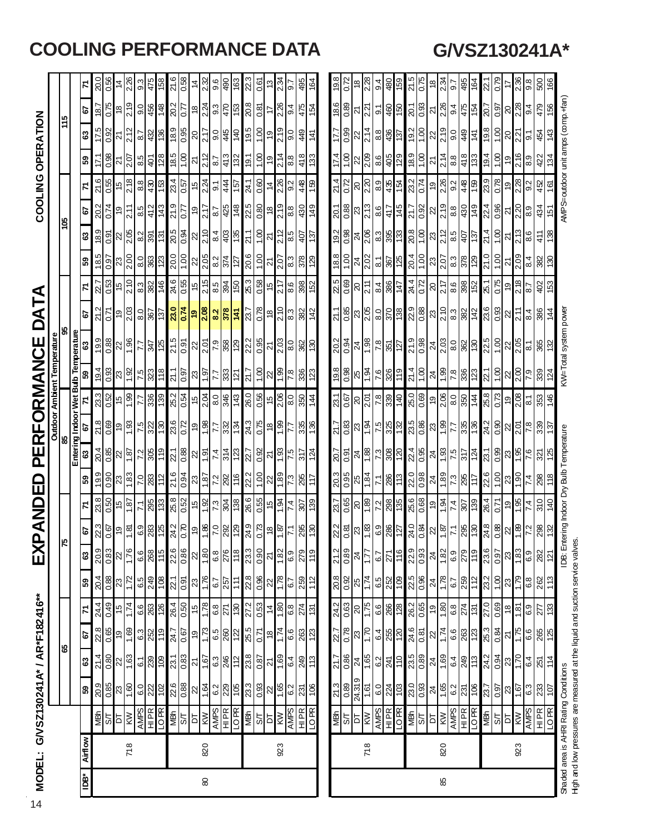# **COOLING PERFORMANCE DATA G/VSZ130241A\***

| 14              |         |                                                         | MODEL: G/VSZ130241A* / AR*F182416**   |                                                                                                                                                                                                                                                                                                                                                                                                                                                                     |                                                                           |                                                                                                                                                                          |                                                                               | 只                                                                                                        | $\mathbf{a}$                                                                                                                                                                                                                                                                                                                                                    | ANDED                                           |                                                                                                                                                                                         |                                                                                                                       |                                                                                                                                                                                                                                                                                                                                                                                        |                                                                                                                                                                                                                                 | <b>PERFORMANCE</b>                                                                                                   | DATA                                                                        |                                                                                                                                                                                                                                                                                                                     |                                                                                                                                                                                                     |                                                                                                                                                                      | COOLING OPERATION                               |                                                                                                   |                                                                                                                                 |                                                                                     |                                       |                                                  |
|-----------------|---------|---------------------------------------------------------|---------------------------------------|---------------------------------------------------------------------------------------------------------------------------------------------------------------------------------------------------------------------------------------------------------------------------------------------------------------------------------------------------------------------------------------------------------------------------------------------------------------------|---------------------------------------------------------------------------|--------------------------------------------------------------------------------------------------------------------------------------------------------------------------|-------------------------------------------------------------------------------|----------------------------------------------------------------------------------------------------------|-----------------------------------------------------------------------------------------------------------------------------------------------------------------------------------------------------------------------------------------------------------------------------------------------------------------------------------------------------------------|-------------------------------------------------|-----------------------------------------------------------------------------------------------------------------------------------------------------------------------------------------|-----------------------------------------------------------------------------------------------------------------------|----------------------------------------------------------------------------------------------------------------------------------------------------------------------------------------------------------------------------------------------------------------------------------------------------------------------------------------------------------------------------------------|---------------------------------------------------------------------------------------------------------------------------------------------------------------------------------------------------------------------------------|----------------------------------------------------------------------------------------------------------------------|-----------------------------------------------------------------------------|---------------------------------------------------------------------------------------------------------------------------------------------------------------------------------------------------------------------------------------------------------------------------------------------------------------------|-----------------------------------------------------------------------------------------------------------------------------------------------------------------------------------------------------|----------------------------------------------------------------------------------------------------------------------------------------------------------------------|-------------------------------------------------|---------------------------------------------------------------------------------------------------|---------------------------------------------------------------------------------------------------------------------------------|-------------------------------------------------------------------------------------|---------------------------------------|--------------------------------------------------|
|                 |         |                                                         |                                       |                                                                                                                                                                                                                                                                                                                                                                                                                                                                     |                                                                           |                                                                                                                                                                          |                                                                               |                                                                                                          |                                                                                                                                                                                                                                                                                                                                                                 |                                                 |                                                                                                                                                                                         |                                                                                                                       |                                                                                                                                                                                                                                                                                                                                                                                        |                                                                                                                                                                                                                                 | Outdoor Ambient Temperature<br>85                                                                                    |                                                                             |                                                                                                                                                                                                                                                                                                                     |                                                                                                                                                                                                     |                                                                                                                                                                      |                                                 |                                                                                                   |                                                                                                                                 |                                                                                     |                                       |                                                  |
|                 |         |                                                         |                                       | 99                                                                                                                                                                                                                                                                                                                                                                                                                                                                  |                                                                           |                                                                                                                                                                          |                                                                               |                                                                                                          |                                                                                                                                                                                                                                                                                                                                                                 |                                                 |                                                                                                                                                                                         |                                                                                                                       |                                                                                                                                                                                                                                                                                                                                                                                        |                                                                                                                                                                                                                                 |                                                                                                                      | 99                                                                          |                                                                                                                                                                                                                                                                                                                     |                                                                                                                                                                                                     | <b>SOL</b>                                                                                                                                                           |                                                 |                                                                                                   |                                                                                                                                 | 115                                                                                 |                                       |                                                  |
|                 |         |                                                         |                                       |                                                                                                                                                                                                                                                                                                                                                                                                                                                                     |                                                                           |                                                                                                                                                                          |                                                                               |                                                                                                          |                                                                                                                                                                                                                                                                                                                                                                 |                                                 |                                                                                                                                                                                         |                                                                                                                       |                                                                                                                                                                                                                                                                                                                                                                                        |                                                                                                                                                                                                                                 | Entering Indoor Wet Bulb Temperature                                                                                 |                                                                             |                                                                                                                                                                                                                                                                                                                     |                                                                                                                                                                                                     |                                                                                                                                                                      |                                                 |                                                                                                   |                                                                                                                                 |                                                                                     |                                       |                                                  |
| ®<br>M          | Airflow |                                                         | <b>B</b>                              | $\boldsymbol{\mathbb{S}}$                                                                                                                                                                                                                                                                                                                                                                                                                                           | 29                                                                        | $\mathsf{r}$                                                                                                                                                             | 8                                                                             | $\mathbbmss{3}$                                                                                          | 5                                                                                                                                                                                                                                                                                                                                                               | 71                                              | 59                                                                                                                                                                                      |                                                                                                                       | 5                                                                                                                                                                                                                                                                                                                                                                                      | ဥ္ပ                                                                                                                                                                                                                             |                                                                                                                      | 2                                                                           | 71                                                                                                                                                                                                                                                                                                                  | 59                                                                                                                                                                                                  | ශී                                                                                                                                                                   | S.                                              | 71                                                                                                | 59                                                                                                                              | 5<br>ය                                                                              | Σ                                     |                                                  |
|                 |         |                                                         | 0.9                                   |                                                                                                                                                                                                                                                                                                                                                                                                                                                                     |                                                                           |                                                                                                                                                                          | 20.4                                                                          |                                                                                                          | 22.3                                                                                                                                                                                                                                                                                                                                                            | 23.8                                            | 19.9                                                                                                                                                                                    |                                                                                                                       | 21.8                                                                                                                                                                                                                                                                                                                                                                                   | 19.4                                                                                                                                                                                                                            |                                                                                                                      |                                                                             |                                                                                                                                                                                                                                                                                                                     |                                                                                                                                                                                                     | 6'81                                                                                                                                                                 |                                                 |                                                                                                   | 17.1                                                                                                                            |                                                                                     | 18.7                                  | 20.56                                            |
|                 |         |                                                         |                                       |                                                                                                                                                                                                                                                                                                                                                                                                                                                                     |                                                                           |                                                                                                                                                                          | 0.88                                                                          |                                                                                                          |                                                                                                                                                                                                                                                                                                                                                                 | 0.50                                            | 0.90                                                                                                                                                                                    |                                                                                                                       |                                                                                                                                                                                                                                                                                                                                                                                        |                                                                                                                                                                                                                                 |                                                                                                                      |                                                                             |                                                                                                                                                                                                                                                                                                                     |                                                                                                                                                                                                     |                                                                                                                                                                      |                                                 |                                                                                                   | 86.0                                                                                                                            | 0.92                                                                                | 0.75                                  |                                                  |
|                 |         | 화장정                                                     | $\frac{23}{1.60}$                     | $\frac{8}{2}$                                                                                                                                                                                                                                                                                                                                                                                                                                                       | $\frac{8}{28}$                                                            | $\frac{54}{49}$                                                                                                                                                          | $\frac{23}{1.72}$                                                             | $\frac{1}{20}$                                                                                           | $rac{18}{1.81}$                                                                                                                                                                                                                                                                                                                                                 | $-5$                                            | $\frac{23}{18}$                                                                                                                                                                         | $\frac{2}{3}$ $\frac{1}{3}$ $\frac{1}{3}$ $\frac{1}{3}$ $\frac{1}{3}$                                                 | $\frac{23.3}{0.52}$<br>$rac{60}{100}$                                                                                                                                                                                                                                                                                                                                                  |                                                                                                                                                                                                                                 |                                                                                                                      |                                                                             |                                                                                                                                                                                                                                                                                                                     | $rac{185}{180}$                                                                                                                                                                                     | $\frac{5}{10}$ $\frac{10}{10}$                                                                                                                                       | $\frac{202}{2074}$ $\frac{1}{21}$               |                                                                                                   | $\frac{21}{2.07}$                                                                                                               | $\frac{21}{2.12}$                                                                   | $\frac{8}{2.19}$                      |                                                  |
|                 | 718     |                                                         |                                       |                                                                                                                                                                                                                                                                                                                                                                                                                                                                     |                                                                           |                                                                                                                                                                          |                                                                               |                                                                                                          |                                                                                                                                                                                                                                                                                                                                                                 | $\frac{187}{2}$                                 |                                                                                                                                                                                         |                                                                                                                       |                                                                                                                                                                                                                                                                                                                                                                                        |                                                                                                                                                                                                                                 |                                                                                                                      |                                                                             |                                                                                                                                                                                                                                                                                                                     |                                                                                                                                                                                                     |                                                                                                                                                                      |                                                 |                                                                                                   |                                                                                                                                 |                                                                                     |                                       | 2.26                                             |
|                 |         |                                                         |                                       |                                                                                                                                                                                                                                                                                                                                                                                                                                                                     |                                                                           |                                                                                                                                                                          |                                                                               |                                                                                                          |                                                                                                                                                                                                                                                                                                                                                                 |                                                 |                                                                                                                                                                                         |                                                                                                                       |                                                                                                                                                                                                                                                                                                                                                                                        |                                                                                                                                                                                                                                 |                                                                                                                      |                                                                             |                                                                                                                                                                                                                                                                                                                     |                                                                                                                                                                                                     |                                                                                                                                                                      |                                                 |                                                                                                   |                                                                                                                                 |                                                                                     | 9.3                                   |                                                  |
|                 |         |                                                         |                                       |                                                                                                                                                                                                                                                                                                                                                                                                                                                                     |                                                                           |                                                                                                                                                                          |                                                                               |                                                                                                          |                                                                                                                                                                                                                                                                                                                                                                 |                                                 |                                                                                                                                                                                         |                                                                                                                       |                                                                                                                                                                                                                                                                                                                                                                                        |                                                                                                                                                                                                                                 |                                                                                                                      |                                                                             |                                                                                                                                                                                                                                                                                                                     |                                                                                                                                                                                                     |                                                                                                                                                                      |                                                 |                                                                                                   |                                                                                                                                 |                                                                                     |                                       |                                                  |
|                 |         |                                                         |                                       | $rac{1}{28}$                                                                                                                                                                                                                                                                                                                                                                                                                                                        | $rac{63}{28}$                                                             |                                                                                                                                                                          | $rac{6.5}{248}$                                                               |                                                                                                          |                                                                                                                                                                                                                                                                                                                                                                 |                                                 |                                                                                                                                                                                         |                                                                                                                       |                                                                                                                                                                                                                                                                                                                                                                                        |                                                                                                                                                                                                                                 |                                                                                                                      |                                                                             |                                                                                                                                                                                                                                                                                                                     |                                                                                                                                                                                                     |                                                                                                                                                                      |                                                 |                                                                                                   |                                                                                                                                 |                                                                                     |                                       | $rac{475}{158}$                                  |
|                 |         |                                                         |                                       |                                                                                                                                                                                                                                                                                                                                                                                                                                                                     | 24.7                                                                      | 68884699                                                                                                                                                                 |                                                                               |                                                                                                          |                                                                                                                                                                                                                                                                                                                                                                 |                                                 |                                                                                                                                                                                         |                                                                                                                       |                                                                                                                                                                                                                                                                                                                                                                                        |                                                                                                                                                                                                                                 |                                                                                                                      |                                                                             |                                                                                                                                                                                                                                                                                                                     |                                                                                                                                                                                                     |                                                                                                                                                                      |                                                 |                                                                                                   |                                                                                                                                 | $rac{1}{2}$ $rac{1}{2}$ $rac{1}{2}$ $rac{1}{2}$ $rac{1}{2}$ $rac{1}{2}$ $rac{1}{2}$ |                                       | 21.6                                             |
|                 |         |                                                         |                                       |                                                                                                                                                                                                                                                                                                                                                                                                                                                                     |                                                                           |                                                                                                                                                                          |                                                                               |                                                                                                          |                                                                                                                                                                                                                                                                                                                                                                 |                                                 |                                                                                                                                                                                         |                                                                                                                       |                                                                                                                                                                                                                                                                                                                                                                                        |                                                                                                                                                                                                                                 |                                                                                                                      |                                                                             |                                                                                                                                                                                                                                                                                                                     |                                                                                                                                                                                                     |                                                                                                                                                                      |                                                 |                                                                                                   |                                                                                                                                 |                                                                                     |                                       | 0.58                                             |
|                 |         |                                                         | <u>gale alalalalalala dalalala</u>    | $\frac{23}{28}$ $\frac{1}{2}$ $\frac{1}{2}$ $\frac{1}{2}$ $\frac{1}{2}$ $\frac{1}{2}$ $\frac{1}{2}$ $\frac{1}{2}$ $\frac{1}{2}$ $\frac{1}{2}$ $\frac{1}{2}$ $\frac{1}{2}$ $\frac{1}{2}$                                                                                                                                                                                                                                                                             | <mark>ြို့ချိုး မြို့အမြို့ မြို့</mark><br>မြို့များ မြို့သူ မြို့       |                                                                                                                                                                          | $ \tilde{z} \tilde{\mathbb{S}} $ 8 $ \tilde{z} \tilde{z} \tilde{z} \tilde{z}$ | <u>ိမ္မွစ္တိုင္ မြွစ္ကို မြွစ္ကိုင္ကိုင္ကို မြွံ</u> သြား<br>မြန္မာ မြန္မာ မြန္မာ မြန္မာ မြန္မာ မြွံသြား | <u>း အမြို့ အမြို့ အမြို့ အမြို့ အမြို့</u>                                                                                                                                                                                                                                                                                                                     | <u>   ၂၂၂၁ မြို့မှုမှုမှုမှုမှုမှုမှုမှုမှု</u> | $ S $ မြို့ မြို့သူမျိုး မြို့မျိုး မြို့မျိုး မြို့မျိုး                                                                                                                               | <u>ျမွန် ျွမ္မူဒါများ မြို့မျိုးမြို့</u>                                                                             | <u>rigg alalajajaja alalajaja</u>                                                                                                                                                                                                                                                                                                                                                      | <u>ိုးပြီးပြီး မြို့သူ မြို့သူမြို့ မြို့သူမြို့ မြို့မြို့မြို့</u>                                                                                                                                                            | <u>ခံခြံမျွန်းပြည်မှု မြို့ချီမျှ များမြန်းမြို့မျှ များမြို့များ</u>                                                | <u>ျင္ပြုခင္ပြုခင္ပြဲဆြဲဆြဲ <mark>အသြင္ အျမင္ဆု</mark>ံ႕ အျမင္</u> ပြဲအတြက္ | $\frac{1}{2}$ $\frac{1}{2}$ $\frac{1}{2}$ $\frac{1}{2}$ $\frac{1}{2}$ $\frac{1}{2}$ $\frac{1}{2}$ $\frac{1}{2}$ $\frac{1}{2}$ $\frac{1}{2}$ $\frac{1}{2}$ $\frac{1}{2}$ $\frac{1}{2}$ $\frac{1}{2}$ $\frac{1}{2}$ $\frac{1}{2}$ $\frac{1}{2}$ $\frac{1}{2}$ $\frac{1}{2}$ $\frac{1}{2}$ $\frac{1}{2}$ $\frac{1}{2}$ | <u>့ချွိစ္ကုတ္လုတ္လုတ္လုတ္လုတ္လုတ္လုတ္လုတ္လုတ္</u> လုပ္သ                                                                                                                                            | <u>ြို့အခြံခြံခြံခြံခြံခြံခြံခြံခြံခြံ</u>                                                                                                                           |                                                 |                                                                                                   | $\frac{15}{36}$ $\frac{15}{36}$ $\frac{15}{36}$ $\frac{15}{36}$ $\frac{15}{36}$                                                 | <u>ြို့အမြစ္အဖြံ့အမြန္အဖြံ့အမြန္အဖြံ့အမြန္</u>                                      | $\frac{8}{2}$                         | $\frac{4}{3}$                                    |
| $\pmb{\otimes}$ | 820     |                                                         |                                       |                                                                                                                                                                                                                                                                                                                                                                                                                                                                     |                                                                           |                                                                                                                                                                          |                                                                               |                                                                                                          |                                                                                                                                                                                                                                                                                                                                                                 |                                                 |                                                                                                                                                                                         |                                                                                                                       |                                                                                                                                                                                                                                                                                                                                                                                        |                                                                                                                                                                                                                                 |                                                                                                                      |                                                                             |                                                                                                                                                                                                                                                                                                                     |                                                                                                                                                                                                     |                                                                                                                                                                      |                                                 |                                                                                                   |                                                                                                                                 |                                                                                     |                                       |                                                  |
|                 |         |                                                         |                                       |                                                                                                                                                                                                                                                                                                                                                                                                                                                                     |                                                                           | $\frac{178}{68}$                                                                                                                                                         |                                                                               |                                                                                                          |                                                                                                                                                                                                                                                                                                                                                                 |                                                 |                                                                                                                                                                                         |                                                                                                                       |                                                                                                                                                                                                                                                                                                                                                                                        |                                                                                                                                                                                                                                 |                                                                                                                      |                                                                             |                                                                                                                                                                                                                                                                                                                     |                                                                                                                                                                                                     |                                                                                                                                                                      |                                                 |                                                                                                   | $\frac{27}{25}$ $\frac{27}{25}$ $\frac{27}{25}$ $\frac{27}{25}$ $\frac{27}{25}$ $\frac{27}{25}$ $\frac{27}{25}$ $\frac{27}{25}$ |                                                                                     | $\frac{23}{9}$<br>$\frac{3}{10}$      | $rac{96}{96}$                                    |
|                 |         |                                                         |                                       |                                                                                                                                                                                                                                                                                                                                                                                                                                                                     |                                                                           |                                                                                                                                                                          |                                                                               |                                                                                                          |                                                                                                                                                                                                                                                                                                                                                                 |                                                 |                                                                                                                                                                                         |                                                                                                                       |                                                                                                                                                                                                                                                                                                                                                                                        |                                                                                                                                                                                                                                 |                                                                                                                      |                                                                             |                                                                                                                                                                                                                                                                                                                     |                                                                                                                                                                                                     |                                                                                                                                                                      |                                                 |                                                                                                   |                                                                                                                                 |                                                                                     |                                       |                                                  |
|                 |         |                                                         |                                       |                                                                                                                                                                                                                                                                                                                                                                                                                                                                     |                                                                           |                                                                                                                                                                          |                                                                               |                                                                                                          |                                                                                                                                                                                                                                                                                                                                                                 |                                                 |                                                                                                                                                                                         |                                                                                                                       |                                                                                                                                                                                                                                                                                                                                                                                        |                                                                                                                                                                                                                                 |                                                                                                                      |                                                                             |                                                                                                                                                                                                                                                                                                                     |                                                                                                                                                                                                     |                                                                                                                                                                      |                                                 |                                                                                                   |                                                                                                                                 |                                                                                     |                                       | 163                                              |
|                 |         |                                                         |                                       |                                                                                                                                                                                                                                                                                                                                                                                                                                                                     |                                                                           | $\frac{27.2}{0.53}$                                                                                                                                                      | $\frac{8}{18}$                                                                |                                                                                                          |                                                                                                                                                                                                                                                                                                                                                                 |                                                 |                                                                                                                                                                                         |                                                                                                                       |                                                                                                                                                                                                                                                                                                                                                                                        |                                                                                                                                                                                                                                 |                                                                                                                      |                                                                             |                                                                                                                                                                                                                                                                                                                     |                                                                                                                                                                                                     |                                                                                                                                                                      |                                                 |                                                                                                   |                                                                                                                                 |                                                                                     | $\frac{80}{60}$                       | $\frac{22.3}{0.61}$                              |
|                 |         |                                                         |                                       |                                                                                                                                                                                                                                                                                                                                                                                                                                                                     |                                                                           |                                                                                                                                                                          |                                                                               |                                                                                                          |                                                                                                                                                                                                                                                                                                                                                                 |                                                 |                                                                                                                                                                                         |                                                                                                                       |                                                                                                                                                                                                                                                                                                                                                                                        |                                                                                                                                                                                                                                 |                                                                                                                      |                                                                             |                                                                                                                                                                                                                                                                                                                     |                                                                                                                                                                                                     |                                                                                                                                                                      |                                                 |                                                                                                   |                                                                                                                                 |                                                                                     |                                       |                                                  |
|                 |         |                                                         |                                       |                                                                                                                                                                                                                                                                                                                                                                                                                                                                     | $\frac{8}{2}$                                                             |                                                                                                                                                                          |                                                                               |                                                                                                          |                                                                                                                                                                                                                                                                                                                                                                 |                                                 |                                                                                                                                                                                         |                                                                                                                       |                                                                                                                                                                                                                                                                                                                                                                                        |                                                                                                                                                                                                                                 |                                                                                                                      |                                                                             |                                                                                                                                                                                                                                                                                                                     |                                                                                                                                                                                                     |                                                                                                                                                                      |                                                 |                                                                                                   |                                                                                                                                 |                                                                                     |                                       |                                                  |
|                 | 923     |                                                         |                                       | 1.69                                                                                                                                                                                                                                                                                                                                                                                                                                                                | $\frac{174}{ }$                                                           | 1.80                                                                                                                                                                     |                                                                               |                                                                                                          | 18.1                                                                                                                                                                                                                                                                                                                                                            | 1.94                                            |                                                                                                                                                                                         |                                                                                                                       |                                                                                                                                                                                                                                                                                                                                                                                        |                                                                                                                                                                                                                                 |                                                                                                                      |                                                                             |                                                                                                                                                                                                                                                                                                                     |                                                                                                                                                                                                     |                                                                                                                                                                      |                                                 |                                                                                                   | $\frac{1}{2}$                                                                                                                   |                                                                                     | 2.26                                  | 2.34                                             |
|                 |         | <b>SEINV</b>                                            |                                       | 64                                                                                                                                                                                                                                                                                                                                                                                                                                                                  | 9.9                                                                       | 6.8                                                                                                                                                                      | <b>L9</b>                                                                     | $\frac{1.82}{6.9}$                                                                                       |                                                                                                                                                                                                                                                                                                                                                                 |                                                 |                                                                                                                                                                                         | 1.93                                                                                                                  | $\frac{0}{8}$                                                                                                                                                                                                                                                                                                                                                                          |                                                                                                                                                                                                                                 |                                                                                                                      |                                                                             |                                                                                                                                                                                                                                                                                                                     |                                                                                                                                                                                                     |                                                                                                                                                                      | $\frac{88}{9}$                                  | $\frac{28}{90}$                                                                                   | 8.8                                                                                                                             | $\frac{0.6}{0.2}$                                                                   | $\frac{2}{9}$<br>0.4                  |                                                  |
|                 |         |                                                         |                                       |                                                                                                                                                                                                                                                                                                                                                                                                                                                                     |                                                                           |                                                                                                                                                                          |                                                                               |                                                                                                          |                                                                                                                                                                                                                                                                                                                                                                 |                                                 |                                                                                                                                                                                         |                                                                                                                       |                                                                                                                                                                                                                                                                                                                                                                                        |                                                                                                                                                                                                                                 |                                                                                                                      |                                                                             |                                                                                                                                                                                                                                                                                                                     |                                                                                                                                                                                                     |                                                                                                                                                                      |                                                 |                                                                                                   |                                                                                                                                 |                                                                                     |                                       |                                                  |
|                 |         | <b>HIPR</b><br>LOPR                                     | $\frac{231}{106}$                     | $\frac{249}{113}$                                                                                                                                                                                                                                                                                                                                                                                                                                                   | $\frac{263}{123}$                                                         | $\frac{274}{131}$                                                                                                                                                        | $\frac{259}{112}$                                                             | $\frac{279}{119}$                                                                                        | $\frac{295}{130}$                                                                                                                                                                                                                                                                                                                                               | $\frac{307}{139}$                               | $rac{295}{17}$                                                                                                                                                                          | $\frac{317}{124}$                                                                                                     | $\frac{350}{144}$<br>$\frac{335}{136}$                                                                                                                                                                                                                                                                                                                                                 | $\frac{336}{123}$                                                                                                                                                                                                               |                                                                                                                      | $\frac{218}{8}$<br>$\frac{28}{8}$                                           | $\frac{17}{28882}$                                                                                                                                                                                                                                                                                                  | <u>္ဂြ</u> ံျွစ္ကုတ္လု                                                                                                                                                                              | $\frac{5}{15}$                                                                                                                                                       | 430                                             | $\frac{448}{159}$                                                                                 | $\frac{418}{133}$                                                                                                               | $rac{449}{141}$                                                                     | $\frac{475}{154}$                     | 495                                              |
|                 |         |                                                         |                                       |                                                                                                                                                                                                                                                                                                                                                                                                                                                                     |                                                                           |                                                                                                                                                                          |                                                                               |                                                                                                          |                                                                                                                                                                                                                                                                                                                                                                 |                                                 |                                                                                                                                                                                         |                                                                                                                       |                                                                                                                                                                                                                                                                                                                                                                                        |                                                                                                                                                                                                                                 |                                                                                                                      |                                                                             |                                                                                                                                                                                                                                                                                                                     |                                                                                                                                                                                                     |                                                                                                                                                                      |                                                 |                                                                                                   |                                                                                                                                 |                                                                                     |                                       |                                                  |
|                 |         | MBh                                                     | 21.3                                  | 21.7                                                                                                                                                                                                                                                                                                                                                                                                                                                                |                                                                           |                                                                                                                                                                          |                                                                               |                                                                                                          |                                                                                                                                                                                                                                                                                                                                                                 |                                                 |                                                                                                                                                                                         |                                                                                                                       | 7.12                                                                                                                                                                                                                                                                                                                                                                                   |                                                                                                                                                                                                                                 |                                                                                                                      |                                                                             |                                                                                                                                                                                                                                                                                                                     |                                                                                                                                                                                                     |                                                                                                                                                                      |                                                 |                                                                                                   | 17.4                                                                                                                            | 17.7                                                                                | 98                                    |                                                  |
|                 |         | 회하지                                                     | $\frac{1}{0.89}$<br>24.319            | $\frac{8}{24}$                                                                                                                                                                                                                                                                                                                                                                                                                                                      | $\frac{1}{2} \frac{1}{2} \frac{1}{2} \frac{1}{2} \frac{1}{2} \frac{1}{2}$ | $\frac{24.2}{0.63}$                                                                                                                                                      | $\frac{8}{8}$ $\frac{8}{8}$ $\frac{17}{12}$                                   | $\frac{212}{0.88}$ $\frac{1}{2}$                                                                         | $\frac{22}{0.81}$                                                                                                                                                                                                                                                                                                                                               | $\frac{23.7}{0.65}$                             | $\frac{20.3}{0.95}$                                                                                                                                                                     | $\frac{507}{109}$                                                                                                     | $\left \frac{1}{3}\right \frac{1}{3}$                                                                                                                                                                                                                                                                                                                                                  |                                                                                                                                                                                                                                 |                                                                                                                      | $\frac{21.1}{0.85}$                                                         | $\frac{15}{288}$                                                                                                                                                                                                                                                                                                    | $\frac{28}{10}$ $\frac{24}{10}$                                                                                                                                                                     | $\frac{28}{9}$ $\frac{8}{8}$ $\frac{18}{8}$ $\frac{8}{8}$                                                                                                            | $\frac{2}{100}$ $\frac{2}{100}$ $\frac{2}{100}$ | $\frac{1}{2}$ $\frac{1}{2}$ $\frac{1}{2}$ $\frac{1}{2}$ $\frac{1}{2}$ $\frac{1}{2}$ $\frac{1}{2}$ |                                                                                                                                 | $  \frac{8}{5}  $ ମ୍ବି<br>$\frac{1}{2}$                                             |                                       | $\frac{88}{20}$<br>$\frac{8}{20}$                |
|                 |         |                                                         |                                       |                                                                                                                                                                                                                                                                                                                                                                                                                                                                     |                                                                           |                                                                                                                                                                          |                                                                               |                                                                                                          |                                                                                                                                                                                                                                                                                                                                                                 | $rac{66}{180}$                                  |                                                                                                                                                                                         |                                                                                                                       |                                                                                                                                                                                                                                                                                                                                                                                        |                                                                                                                                                                                                                                 |                                                                                                                      |                                                                             |                                                                                                                                                                                                                                                                                                                     |                                                                                                                                                                                                     |                                                                                                                                                                      |                                                 |                                                                                                   | $rac{8}{2}$ $\approx$ $\frac{8}{2}$                                                                                             |                                                                                     |                                       |                                                  |
|                 | 718     |                                                         | 1.61                                  |                                                                                                                                                                                                                                                                                                                                                                                                                                                                     |                                                                           |                                                                                                                                                                          |                                                                               |                                                                                                          | $\frac{23}{1.83}$                                                                                                                                                                                                                                                                                                                                               |                                                 | $\frac{25}{1.84}$                                                                                                                                                                       | $\frac{34}{1.88}$                                                                                                     |                                                                                                                                                                                                                                                                                                                                                                                        |                                                                                                                                                                                                                                 |                                                                                                                      |                                                                             |                                                                                                                                                                                                                                                                                                                     |                                                                                                                                                                                                     |                                                                                                                                                                      |                                                 |                                                                                                   |                                                                                                                                 |                                                                                     |                                       |                                                  |
|                 |         | <b>AMPS</b>                                             | 6.0                                   | 6.2                                                                                                                                                                                                                                                                                                                                                                                                                                                                 | 64                                                                        | 6.6                                                                                                                                                                      | 65                                                                            | 6.7                                                                                                      | 6.9                                                                                                                                                                                                                                                                                                                                                             |                                                 | $\overline{21}$                                                                                                                                                                         |                                                                                                                       |                                                                                                                                                                                                                                                                                                                                                                                        |                                                                                                                                                                                                                                 |                                                                                                                      |                                                                             |                                                                                                                                                                                                                                                                                                                     |                                                                                                                                                                                                     |                                                                                                                                                                      | 8.6                                             |                                                                                                   | 8.6                                                                                                                             | 8.8                                                                                 | 94<br>$\overline{9}$ .                |                                                  |
|                 |         | HIPR<br>LOPR                                            | $\frac{224}{103}$                     | $\frac{241}{110}$                                                                                                                                                                                                                                                                                                                                                                                                                                                   | 255                                                                       | 266                                                                                                                                                                      | 252                                                                           | 271                                                                                                      | 286<br>127                                                                                                                                                                                                                                                                                                                                                      | 298                                             | 286                                                                                                                                                                                     | <u>ှင်း မြို့များ မြို့များ မြို့များ မြို့များ မြို့များ မြို့များ မြို့များ မြို့များ မြို့များ မြို့များ မြို့</u> | $\frac{1}{2}$ $\frac{1}{2}$ $\frac{1}{2}$ $\frac{1}{2}$ $\frac{1}{2}$ $\frac{1}{2}$ $\frac{1}{2}$ $\frac{1}{2}$ $\frac{1}{2}$ $\frac{1}{2}$ $\frac{1}{2}$ $\frac{1}{2}$ $\frac{1}{2}$ $\frac{1}{2}$ $\frac{1}{2}$ $\frac{1}{2}$ $\frac{1}{2}$ $\frac{1}{2}$ $\frac{1}{2}$ $\frac{1}{2}$ $\frac{1}{2}$ $\frac{1}{2}$<br><u>ြိုင္ကုိ ျပည္သြား ျဖစ္သူ ျပည္သြား ျပည္သူ ျပည္သူ ျပည္သူ အ</u> | <u>ခံခြံမြိုင်မြိုင်မြိုင်</u>                                                                                                                                                                                                  | <u>ျွိုဒ္ကို ျွိုင္ကို ျွိုင္ကူ ျွိဳ ျွိုင္လူ ျွိဳ ျွိဳ ျခင္း ျခင္း ျမွာ ျပည့္ အတြက္ ျပည့္ အတြက္ အတြက္ အတြက္ အတြ</u> |                                                                             |                                                                                                                                                                                                                                                                                                                     | <u>역  영</u>                                                                                                                                                                                         | $\frac{38}{38}$                                                                                                                                                      | $rac{417}{145}$                                 | $rac{8}{435}$                                                                                     | $\frac{405}{129}$                                                                                                               | $rac{460}{150}$<br>$\frac{437}{37}$                                                 |                                       | $rac{80}{40}$                                    |
|                 |         |                                                         |                                       |                                                                                                                                                                                                                                                                                                                                                                                                                                                                     |                                                                           |                                                                                                                                                                          |                                                                               | 116                                                                                                      |                                                                                                                                                                                                                                                                                                                                                                 |                                                 |                                                                                                                                                                                         |                                                                                                                       |                                                                                                                                                                                                                                                                                                                                                                                        |                                                                                                                                                                                                                                 |                                                                                                                      |                                                                             |                                                                                                                                                                                                                                                                                                                     |                                                                                                                                                                                                     |                                                                                                                                                                      |                                                 |                                                                                                   |                                                                                                                                 |                                                                                     |                                       | 69                                               |
|                 |         | $\frac{\mathbb{E}[\mathbb{E}]}{\mathbb{E}[\mathbb{E}]}$ | 23.0<br>0.93                          | $\frac{23.5}{0.89}$                                                                                                                                                                                                                                                                                                                                                                                                                                                 | $\frac{24.6}{0.81}$                                                       | $\frac{8}{85}$ $\frac{1}{8}$ $\frac{1}{8}$ $\frac{1}{8}$ $\frac{1}{8}$ $\frac{1}{8}$ $\frac{1}{8}$ $\frac{1}{8}$ $\frac{1}{8}$ $\frac{1}{8}$ $\frac{1}{8}$ $\frac{1}{8}$ | $\frac{25}{0.96}$                                                             | 22.9                                                                                                     | $33  200 \times 10^{-10} \text{ m}^2/\text{m}^2/\text{m}^2/\text{m}^2/\text{m}^2/\text{m}^2/\text{m}^2/\text{m}^2/\text{m}^2/\text{m}^2/\text{m}^2/\text{m}^2/\text{m}^2/\text{m}^2/\text{m}^2/\text{m}^2/\text{m}^2/\text{m}^2/\text{m}^2/\text{m}^2/\text{m}^2/\text{m}^2/\text{m}^2/\text{m}^2/\text{m}^2/\text{m}^2/\text{m}^2/\text{m}^2/\text{m}^2/\text$ |                                                 | $\frac{1}{20} \frac{1}{80} \frac{1}{80} \frac{1}{80} \frac{1}{80} \frac{1}{80} \frac{1}{80} \frac{1}{80} \frac{1}{80} \frac{1}{80} \frac{1}{80} \frac{1}{80} \frac{1}{80} \frac{1}{80}$ |                                                                                                                       |                                                                                                                                                                                                                                                                                                                                                                                        | $\frac{1}{2}$ $\frac{1}{2}$ $\frac{1}{2}$ $\frac{1}{2}$ $\frac{1}{2}$ $\frac{1}{2}$ $\frac{1}{2}$ $\frac{1}{2}$ $\frac{1}{2}$ $\frac{1}{2}$ $\frac{1}{2}$ $\frac{1}{2}$ $\frac{1}{2}$ $\frac{1}{2}$ $\frac{1}{2}$ $\frac{1}{2}$ |                                                                                                                      |                                                                             |                                                                                                                                                                                                                                                                                                                     | $\frac{1}{8}$ $\frac{1}{8}$ $\frac{1}{8}$ $\frac{1}{8}$ $\frac{1}{8}$ $\frac{1}{8}$ $\frac{1}{8}$ $\frac{1}{8}$ $\frac{1}{8}$ $\frac{1}{8}$ $\frac{1}{8}$ $\frac{1}{8}$ $\frac{1}{8}$ $\frac{1}{8}$ | $\frac{18}{8}$ $\frac{18}{8}$ $\frac{18}{8}$ $\frac{18}{8}$ $\frac{18}{8}$ $\frac{18}{8}$ $\frac{18}{8}$ $\frac{18}{8}$ $\frac{18}{8}$ $\frac{18}{8}$ $\frac{18}{8}$ |                                                 | <u>ြိုင္က ေမြးေမြးေမြးေမြးေမြး</u>                                                                |                                                                                                                                 | <u>ြိုင္ပုံ</u> လုိင္ပုံေဆြးေဆြးေတြ ေ                                               | 5   <u>8  ၁  ၂၁  6  5  ၁  ၁  ၁  ၁</u> | $\frac{21.5}{0.75}$                              |
|                 |         |                                                         |                                       |                                                                                                                                                                                                                                                                                                                                                                                                                                                                     |                                                                           |                                                                                                                                                                          |                                                                               |                                                                                                          |                                                                                                                                                                                                                                                                                                                                                                 |                                                 |                                                                                                                                                                                         |                                                                                                                       |                                                                                                                                                                                                                                                                                                                                                                                        |                                                                                                                                                                                                                                 |                                                                                                                      |                                                                             |                                                                                                                                                                                                                                                                                                                     |                                                                                                                                                                                                     |                                                                                                                                                                      |                                                 |                                                                                                   |                                                                                                                                 |                                                                                     |                                       |                                                  |
| s8              | 820     |                                                         | $\frac{24}{1.65}$                     | $\frac{1}{2} \left  \frac{1}{2} \right  \frac{1}{2} \left  \frac{1}{2} \right  \frac{1}{2} \left  \frac{1}{2} \right  \left  \frac{1}{2} \right  \left  \frac{1}{2} \right  \left  \frac{1}{2} \right  \left  \frac{1}{2} \right  \left  \frac{1}{2} \right  \left  \frac{1}{2} \right  \left  \frac{1}{2} \right  \left  \frac{1}{2} \right  \left  \frac{1}{2} \right  \left  \frac{1}{2} \right  \left  \frac{1}{2} \right  \left  \frac{1}{2} \right  \left  \$ | $\frac{2}{1.74}$                                                          |                                                                                                                                                                          | $\frac{24}{1.78}$                                                             | ສ  <u>ສ</u>    <sub>အ  </sub> ဆ  အ  အ  အ  အ  အ  အ  အ                                                     |                                                                                                                                                                                                                                                                                                                                                                 |                                                 |                                                                                                                                                                                         |                                                                                                                       |                                                                                                                                                                                                                                                                                                                                                                                        |                                                                                                                                                                                                                                 |                                                                                                                      |                                                                             |                                                                                                                                                                                                                                                                                                                     |                                                                                                                                                                                                     |                                                                                                                                                                      |                                                 |                                                                                                   |                                                                                                                                 |                                                                                     |                                       | <u>ฅ؆ٳ</u> ۜ૿ૢ૿૿ૢ૿૿ <u>ૣ</u> ૣૣૣૣૣૣૣૣૣૣૣૣૣૣૣૺૢૢૣ |
|                 |         |                                                         |                                       |                                                                                                                                                                                                                                                                                                                                                                                                                                                                     |                                                                           |                                                                                                                                                                          | $rac{67}{259}$                                                                |                                                                                                          |                                                                                                                                                                                                                                                                                                                                                                 |                                                 |                                                                                                                                                                                         |                                                                                                                       |                                                                                                                                                                                                                                                                                                                                                                                        |                                                                                                                                                                                                                                 |                                                                                                                      |                                                                             |                                                                                                                                                                                                                                                                                                                     |                                                                                                                                                                                                     |                                                                                                                                                                      |                                                 |                                                                                                   |                                                                                                                                 |                                                                                     |                                       |                                                  |
|                 |         |                                                         |                                       |                                                                                                                                                                                                                                                                                                                                                                                                                                                                     |                                                                           |                                                                                                                                                                          |                                                                               |                                                                                                          |                                                                                                                                                                                                                                                                                                                                                                 |                                                 |                                                                                                                                                                                         |                                                                                                                       |                                                                                                                                                                                                                                                                                                                                                                                        |                                                                                                                                                                                                                                 |                                                                                                                      |                                                                             |                                                                                                                                                                                                                                                                                                                     |                                                                                                                                                                                                     |                                                                                                                                                                      |                                                 |                                                                                                   |                                                                                                                                 |                                                                                     |                                       |                                                  |
|                 |         |                                                         |                                       |                                                                                                                                                                                                                                                                                                                                                                                                                                                                     |                                                                           |                                                                                                                                                                          |                                                                               |                                                                                                          |                                                                                                                                                                                                                                                                                                                                                                 |                                                 |                                                                                                                                                                                         |                                                                                                                       |                                                                                                                                                                                                                                                                                                                                                                                        |                                                                                                                                                                                                                                 |                                                                                                                      |                                                                             |                                                                                                                                                                                                                                                                                                                     |                                                                                                                                                                                                     |                                                                                                                                                                      |                                                 |                                                                                                   |                                                                                                                                 |                                                                                     |                                       |                                                  |
|                 |         | $\frac{\frac{NMS}{NMS}}{\frac{NMS}{NMS}}$               | အကြံ့  အမြံ့  အမြံ့  အ                |                                                                                                                                                                                                                                                                                                                                                                                                                                                                     | 68 3 3 3 3 5 5 6 8 9 8                                                    |                                                                                                                                                                          | 33                                                                            |                                                                                                          |                                                                                                                                                                                                                                                                                                                                                                 |                                                 |                                                                                                                                                                                         |                                                                                                                       |                                                                                                                                                                                                                                                                                                                                                                                        |                                                                                                                                                                                                                                 |                                                                                                                      |                                                                             |                                                                                                                                                                                                                                                                                                                     |                                                                                                                                                                                                     |                                                                                                                                                                      |                                                 |                                                                                                   |                                                                                                                                 |                                                                                     |                                       |                                                  |
|                 |         |                                                         |                                       |                                                                                                                                                                                                                                                                                                                                                                                                                                                                     |                                                                           |                                                                                                                                                                          |                                                                               |                                                                                                          |                                                                                                                                                                                                                                                                                                                                                                 |                                                 |                                                                                                                                                                                         |                                                                                                                       |                                                                                                                                                                                                                                                                                                                                                                                        |                                                                                                                                                                                                                                 |                                                                                                                      |                                                                             |                                                                                                                                                                                                                                                                                                                     |                                                                                                                                                                                                     |                                                                                                                                                                      |                                                 |                                                                                                   |                                                                                                                                 |                                                                                     |                                       |                                                  |
|                 |         |                                                         |                                       |                                                                                                                                                                                                                                                                                                                                                                                                                                                                     |                                                                           |                                                                                                                                                                          |                                                                               |                                                                                                          |                                                                                                                                                                                                                                                                                                                                                                 |                                                 |                                                                                                                                                                                         |                                                                                                                       |                                                                                                                                                                                                                                                                                                                                                                                        |                                                                                                                                                                                                                                 |                                                                                                                      |                                                                             |                                                                                                                                                                                                                                                                                                                     |                                                                                                                                                                                                     |                                                                                                                                                                      |                                                 |                                                                                                   |                                                                                                                                 |                                                                                     | H                                     |                                                  |
|                 | 923     |                                                         |                                       |                                                                                                                                                                                                                                                                                                                                                                                                                                                                     |                                                                           | $\frac{69}{181}$                                                                                                                                                         |                                                                               |                                                                                                          |                                                                                                                                                                                                                                                                                                                                                                 | $rac{4}{1.95}$                                  |                                                                                                                                                                                         |                                                                                                                       |                                                                                                                                                                                                                                                                                                                                                                                        |                                                                                                                                                                                                                                 |                                                                                                                      |                                                                             |                                                                                                                                                                                                                                                                                                                     |                                                                                                                                                                                                     |                                                                                                                                                                      |                                                 |                                                                                                   |                                                                                                                                 |                                                                                     |                                       | $\frac{86}{98}$                                  |
|                 |         |                                                         |                                       |                                                                                                                                                                                                                                                                                                                                                                                                                                                                     |                                                                           |                                                                                                                                                                          |                                                                               |                                                                                                          |                                                                                                                                                                                                                                                                                                                                                                 |                                                 |                                                                                                                                                                                         |                                                                                                                       |                                                                                                                                                                                                                                                                                                                                                                                        |                                                                                                                                                                                                                                 |                                                                                                                      |                                                                             |                                                                                                                                                                                                                                                                                                                     |                                                                                                                                                                                                     |                                                                                                                                                                      |                                                 |                                                                                                   |                                                                                                                                 |                                                                                     |                                       |                                                  |
|                 |         | <b>HIPR</b>                                             | $\frac{233}{107}$                     |                                                                                                                                                                                                                                                                                                                                                                                                                                                                     |                                                                           | $\frac{2}{3}$                                                                                                                                                            | $\frac{262}{113}$                                                             |                                                                                                          |                                                                                                                                                                                                                                                                                                                                                                 | $rac{10}{25}$                                   | <sub>81 </sub> 은                                                                                                                                                                        |                                                                                                                       |                                                                                                                                                                                                                                                                                                                                                                                        |                                                                                                                                                                                                                                 |                                                                                                                      |                                                                             |                                                                                                                                                                                                                                                                                                                     |                                                                                                                                                                                                     |                                                                                                                                                                      | $\frac{43}{5}$                                  | $rac{452}{161}$                                                                                   | $rac{422}{134}$                                                                                                                 | 454                                                                                 | $rac{479}{156}$                       | 500<br>166                                       |
|                 |         | LOPR <sub></sub>                                        |                                       |                                                                                                                                                                                                                                                                                                                                                                                                                                                                     |                                                                           |                                                                                                                                                                          |                                                                               |                                                                                                          |                                                                                                                                                                                                                                                                                                                                                                 |                                                 |                                                                                                                                                                                         |                                                                                                                       |                                                                                                                                                                                                                                                                                                                                                                                        |                                                                                                                                                                                                                                 |                                                                                                                      |                                                                             |                                                                                                                                                                                                                                                                                                                     |                                                                                                                                                                                                     |                                                                                                                                                                      |                                                 |                                                                                                   |                                                                                                                                 |                                                                                     |                                       |                                                  |
| ر<br>با<br>با   |         |                                                         | Shaded area is AHRI Rating Conditions |                                                                                                                                                                                                                                                                                                                                                                                                                                                                     |                                                                           |                                                                                                                                                                          |                                                                               | iDB: Er                                                                                                  |                                                                                                                                                                                                                                                                                                                                                                 |                                                 |                                                                                                                                                                                         | tering Indoor Dry Bulb Temperature                                                                                    |                                                                                                                                                                                                                                                                                                                                                                                        |                                                                                                                                                                                                                                 | W-Total system power                                                                                                 |                                                                             |                                                                                                                                                                                                                                                                                                                     |                                                                                                                                                                                                     |                                                                                                                                                                      | WPS=outdoor unit amps (comp.+fan)               |                                                                                                   |                                                                                                                                 |                                                                                     |                                       |                                                  |

servee valves. High and low pressures are measured at the liquid and suction service valves.suction nd nn bhn  $\frac{D}{2}$ ā Ŗ ⊅<br>त **High and low pressures**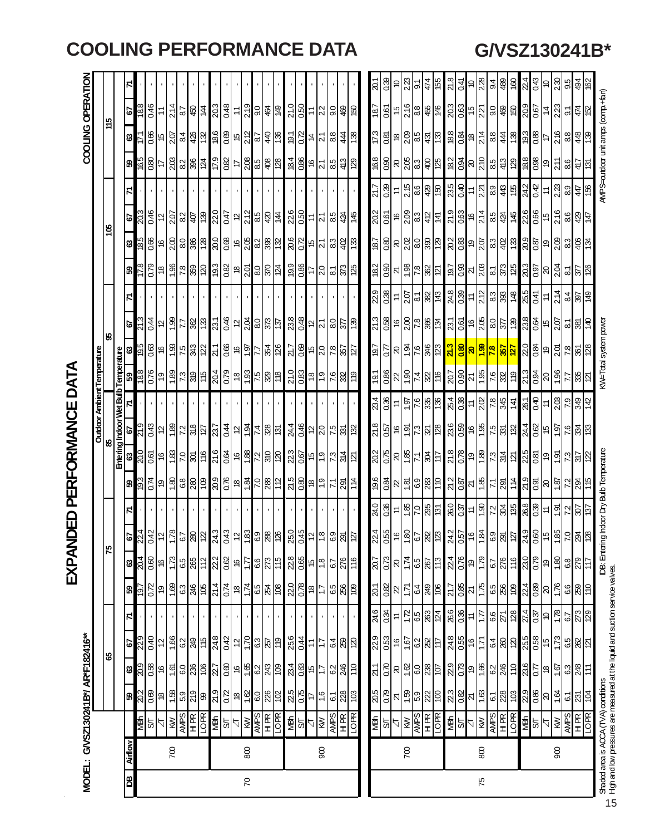|        | MODEL: GVSZ130241B*/ AR*F182416**                                                                                        |                                 |                            |                                                                |                                  |                          |                                                                  | EXPAN                                                                 |                                              |                |                               |                                                |                                                                                                                      | DED PERFORMANCE DATA                                                                                                                                          |                                                                                           |                                                                                                                                                                                                                                                                                                                     |                                 |                                       |                                                                        |                                                                                |                     |                                                                       | COOLING OPERATION                                                   |                                                                                                 |                                                                       |
|--------|--------------------------------------------------------------------------------------------------------------------------|---------------------------------|----------------------------|----------------------------------------------------------------|----------------------------------|--------------------------|------------------------------------------------------------------|-----------------------------------------------------------------------|----------------------------------------------|----------------|-------------------------------|------------------------------------------------|----------------------------------------------------------------------------------------------------------------------|---------------------------------------------------------------------------------------------------------------------------------------------------------------|-------------------------------------------------------------------------------------------|---------------------------------------------------------------------------------------------------------------------------------------------------------------------------------------------------------------------------------------------------------------------------------------------------------------------|---------------------------------|---------------------------------------|------------------------------------------------------------------------|--------------------------------------------------------------------------------|---------------------|-----------------------------------------------------------------------|---------------------------------------------------------------------|-------------------------------------------------------------------------------------------------|-----------------------------------------------------------------------|
|        |                                                                                                                          |                                 |                            |                                                                |                                  |                          |                                                                  |                                                                       |                                              |                |                               |                                                |                                                                                                                      | Outdoor Ambient Temperature                                                                                                                                   |                                                                                           |                                                                                                                                                                                                                                                                                                                     |                                 |                                       |                                                                        |                                                                                |                     |                                                                       |                                                                     |                                                                                                 |                                                                       |
|        |                                                                                                                          |                                 |                            |                                                                | 8                                |                          |                                                                  | 75                                                                    |                                              |                |                               | 8                                              |                                                                                                                      |                                                                                                                                                               |                                                                                           | 8                                                                                                                                                                                                                                                                                                                   |                                 |                                       |                                                                        | 105                                                                            |                     |                                                                       | 115                                                                 |                                                                                                 |                                                                       |
|        |                                                                                                                          |                                 |                            |                                                                |                                  |                          |                                                                  |                                                                       |                                              |                |                               | Enterin                                        |                                                                                                                      | ng Indoor Wet Bulb Temperature                                                                                                                                |                                                                                           |                                                                                                                                                                                                                                                                                                                     |                                 |                                       |                                                                        |                                                                                |                     |                                                                       |                                                                     |                                                                                                 |                                                                       |
| Bd     | <b>Airflow</b>                                                                                                           |                                 | $\frac{3}{20}$             | ශ                                                              | 67                               | π                        | ශී                                                               | ଞ                                                                     |                                              | 7              | <u>යි</u>                     | ඍ                                              | ত।                                                                                                                   | ္က                                                                                                                                                            | ଞ                                                                                         | ত                                                                                                                                                                                                                                                                                                                   |                                 | க                                     | <b>8</b><br>8                                                          | ভা $\frac{2}{3}$                                                               |                     | ය<br>මේ                                                               | ଞ∏                                                                  | 29                                                                                              | 7                                                                     |
|        |                                                                                                                          | S/T                             |                            | 80S                                                            | 22.9                             |                          | $\frac{1}{9}$                                                    | 204                                                                   |                                              |                |                               | 20.0                                           |                                                                                                                      | 18.8                                                                                                                                                          | 195                                                                                       | 213                                                                                                                                                                                                                                                                                                                 |                                 |                                       |                                                                        |                                                                                |                     |                                                                       |                                                                     | 188                                                                                             |                                                                       |
|        |                                                                                                                          |                                 | 0.69                       | 0.58                                                           | 0.40                             |                          | 0.72                                                             | 0.60                                                                  |                                              |                | 0.74                          | 0.61                                           |                                                                                                                      |                                                                                                                                                               |                                                                                           |                                                                                                                                                                                                                                                                                                                     |                                 |                                       | 80                                                                     |                                                                                |                     | $\frac{80}{2}$                                                        |                                                                     |                                                                                                 |                                                                       |
|        |                                                                                                                          | Д                               | $\overset{\circ}{\approx}$ | $\mathfrak{g}_\mathsf{f}$                                      | $\frac{1}{2}$                    |                          | Ġ,                                                               | $\frac{1}{2}$                                                         |                                              |                |                               |                                                |                                                                                                                      |                                                                                                                                                               |                                                                                           |                                                                                                                                                                                                                                                                                                                     |                                 |                                       |                                                                        |                                                                                |                     |                                                                       |                                                                     | $\overline{11}$                                                                                 |                                                                       |
|        | $\infty$                                                                                                                 | <b>NN</b>                       | 1.58                       | 1.61                                                           | 1.66                             |                          | 1.69                                                             | 1.73                                                                  |                                              |                | $\frac{18}{18}$               | $\varepsilon$ $ $ $\frac{2}{32}$               | <u>မိုခြံခြံမြံမြို့မြံမြံမြံမြံမြံမြံမြံမြို့မြံ</u>                                                                | $\frac{6}{10}$                                                                                                                                                |                                                                                           | $\frac{q}{4}$ $\frac{5}{8}$                                                                                                                                                                                                                                                                                         |                                 | $\frac{8}{18}$                        | မ  ဒ္လုဒ္အန္ကုန္ယ   ဒ္လုဒ္မုဒ္ကုန္ကုန္သူ                               |                                                                                |                     | 3   3   8    <u>2</u>                                                 |                                                                     | 2.14                                                                                            |                                                                       |
|        |                                                                                                                          | <b>AMPS</b><br>HIPR<br>LOPR     | $rac{59}{27}$              | $rac{8}{8}$                                                    | $rac{2}{8}$                      |                          |                                                                  | <b>882</b>                                                            |                                              |                |                               |                                                |                                                                                                                      |                                                                                                                                                               |                                                                                           |                                                                                                                                                                                                                                                                                                                     |                                 |                                       |                                                                        |                                                                                |                     |                                                                       |                                                                     |                                                                                                 |                                                                       |
|        |                                                                                                                          |                                 |                            |                                                                |                                  |                          | $rac{3}{8}$                                                      |                                                                       |                                              |                |                               |                                                |                                                                                                                      |                                                                                                                                                               |                                                                                           |                                                                                                                                                                                                                                                                                                                     |                                 |                                       |                                                                        |                                                                                |                     |                                                                       |                                                                     |                                                                                                 |                                                                       |
|        |                                                                                                                          |                                 | 8                          |                                                                |                                  |                          |                                                                  |                                                                       |                                              |                |                               |                                                |                                                                                                                      |                                                                                                                                                               |                                                                                           |                                                                                                                                                                                                                                                                                                                     |                                 |                                       |                                                                        |                                                                                |                     |                                                                       |                                                                     |                                                                                                 |                                                                       |
|        |                                                                                                                          | MBh                             | 21.9                       | $\overline{27}$                                                | 24.8                             |                          | 21.4                                                             | 222                                                                   |                                              |                | <u>ၛၟႜၛၛၟႜၛၛၟႜၛၯၟႜၛၯၟႜႜၛ</u>  | <u> ၁  ၃  ၃  ၃  ၃  ၃  ၃  ၃</u>                 |                                                                                                                      |                                                                                                                                                               |                                                                                           |                                                                                                                                                                                                                                                                                                                     |                                 | <u>ြိုင်းမြို့မြို့မြို့များမြို့</u> |                                                                        |                                                                                |                     |                                                                       |                                                                     | $\frac{15}{10}$ $\frac{15}{10}$ $\frac{15}{10}$ $\frac{15}{10}$ $\frac{15}{10}$ $\frac{15}{10}$ |                                                                       |
|        |                                                                                                                          | $\overline{1}$                  | 0.72                       | 0.60                                                           | 0.42                             |                          | 0.74                                                             | 0.62                                                                  |                                              |                |                               |                                                |                                                                                                                      |                                                                                                                                                               |                                                                                           |                                                                                                                                                                                                                                                                                                                     |                                 |                                       |                                                                        |                                                                                |                     |                                                                       |                                                                     |                                                                                                 |                                                                       |
|        |                                                                                                                          | $\mathbb{Z}$                    |                            |                                                                |                                  |                          | $\overline{8}$                                                   |                                                                       |                                              |                |                               |                                                |                                                                                                                      |                                                                                                                                                               |                                                                                           |                                                                                                                                                                                                                                                                                                                     |                                 |                                       |                                                                        |                                                                                |                     |                                                                       |                                                                     |                                                                                                 |                                                                       |
| $\sim$ | $800\,$                                                                                                                  | $\leq$                          | $\frac{18}{1.62}$          | $ \hat{\sigma} ^2_{\mathcal{B}} \hat{\sigma} ^2_{\mathcal{B}}$ | $\frac{12}{1.70}$                |                          | 1.74                                                             | $\frac{177}{2}$                                                       |                                              |                |                               |                                                |                                                                                                                      |                                                                                                                                                               |                                                                                           |                                                                                                                                                                                                                                                                                                                     |                                 |                                       |                                                                        |                                                                                |                     |                                                                       |                                                                     |                                                                                                 |                                                                       |
|        |                                                                                                                          | <b>AMPS</b><br>HIPR<br>COPR     |                            |                                                                |                                  |                          |                                                                  |                                                                       |                                              |                |                               |                                                |                                                                                                                      |                                                                                                                                                               |                                                                                           |                                                                                                                                                                                                                                                                                                                     |                                 |                                       |                                                                        |                                                                                |                     |                                                                       |                                                                     |                                                                                                 |                                                                       |
|        |                                                                                                                          |                                 |                            |                                                                |                                  |                          | $rac{25}{25}$                                                    |                                                                       |                                              |                |                               |                                                |                                                                                                                      |                                                                                                                                                               |                                                                                           |                                                                                                                                                                                                                                                                                                                     |                                 |                                       |                                                                        |                                                                                |                     |                                                                       |                                                                     |                                                                                                 |                                                                       |
|        |                                                                                                                          |                                 | <u>့္တူေ</u>               |                                                                | $rac{25}{25}$                    |                          |                                                                  | $rac{66}{273}$                                                        |                                              |                |                               |                                                |                                                                                                                      |                                                                                                                                                               |                                                                                           |                                                                                                                                                                                                                                                                                                                     |                                 |                                       |                                                                        |                                                                                |                     |                                                                       |                                                                     | 의 효 동                                                                                           |                                                                       |
|        |                                                                                                                          |                                 |                            |                                                                | 25.6                             |                          | 20                                                               | 228                                                                   |                                              |                |                               |                                                |                                                                                                                      |                                                                                                                                                               |                                                                                           |                                                                                                                                                                                                                                                                                                                     |                                 |                                       |                                                                        |                                                                                |                     |                                                                       |                                                                     |                                                                                                 |                                                                       |
|        |                                                                                                                          | <b>MBh</b><br>S/T               | $\frac{25}{0.75}$          | $\frac{234}{0.63}$                                             | 0.44                             |                          | 0.78                                                             | 0.65                                                                  |                                              |                |                               |                                                |                                                                                                                      |                                                                                                                                                               |                                                                                           | 23.8                                                                                                                                                                                                                                                                                                                |                                 |                                       |                                                                        |                                                                                |                     |                                                                       |                                                                     |                                                                                                 |                                                                       |
|        |                                                                                                                          | $\Delta$                        | 17                         |                                                                | $\overline{r}$                   |                          |                                                                  |                                                                       |                                              |                |                               |                                                |                                                                                                                      |                                                                                                                                                               |                                                                                           |                                                                                                                                                                                                                                                                                                                     |                                 |                                       |                                                                        |                                                                                |                     |                                                                       |                                                                     |                                                                                                 |                                                                       |
|        | 80                                                                                                                       | KW                              | <u>م ا</u>                 | $\frac{17}{9}$                                                 | ĽΙ                               |                          | $\frac{17}{8}$                                                   | $\frac{81}{9}$                                                        |                                              |                |                               | <u>ကျွိမြိုးခြ</u>                             |                                                                                                                      |                                                                                                                                                               |                                                                                           |                                                                                                                                                                                                                                                                                                                     |                                 | $\frac{1}{1980}$                      | $\frac{1}{8}$                                                          |                                                                                |                     |                                                                       |                                                                     | $\frac{210}{25}$ $\frac{21}{25}$                                                                |                                                                       |
|        |                                                                                                                          |                                 | 61                         | $62\,$                                                         | 64                               |                          |                                                                  | 67                                                                    |                                              |                |                               |                                                |                                                                                                                      |                                                                                                                                                               |                                                                                           |                                                                                                                                                                                                                                                                                                                     |                                 |                                       |                                                                        |                                                                                |                     |                                                                       |                                                                     |                                                                                                 |                                                                       |
|        |                                                                                                                          | $\frac{\text{MPS}}{\text{HPR}}$ |                            |                                                                |                                  |                          | $rac{65}{26}$                                                    | 276                                                                   |                                              |                |                               |                                                |                                                                                                                      |                                                                                                                                                               |                                                                                           |                                                                                                                                                                                                                                                                                                                     |                                 |                                       |                                                                        |                                                                                |                     |                                                                       |                                                                     |                                                                                                 |                                                                       |
|        |                                                                                                                          | <b>LOPR</b>                     | 28                         | $rac{246}{110}$                                                | $\frac{8}{20}$                   |                          | 109                                                              | 116                                                                   | ေပြးေမြးေမြးေမြးေဆြးေမြးေမြးေမြးေမြးေမြးေမြး |                | 18일 이 기 시 회 보                 | 烏월화                                            | $\frac{4}{3}$ $\frac{2}{3}$ $\frac{2}{3}$ $\frac{2}{3}$ $\frac{2}{3}$ $\frac{2}{3}$ $\frac{2}{3}$                    | <u>   ဗြိန္မွု မြိုင္ပုံမြိမ္မွုမြိမ္မွု မြိုင္ပုံမြိမ္မွု မြိုင္ပုံမွု မြိုင္</u>                                                                            | <u>ဖြံ့ခြံခြံမြို့ မြို့ခြံခြံခြံခြံမြို့ မြို့ခြံခြံခြံမြို့မြို့</u>                    | $\frac{1}{2}$ 일임 중                                                                                                                                                                                                                                                                                                  |                                 | $\frac{5}{8}$ $\frac{25}{8}$          | $\frac{38}{9}$                                                         | $\frac{26}{256}$ = $\frac{1}{21}$ $\frac{1}{81}$ $\frac{1}{41}$ $\frac{1}{81}$ |                     | $\frac{85}{45}$                                                       | <u>၉ြံခြံ အိုဒ္မြံ အွဲခြံ ခြံ ဒုံ ဒုံ အွဲ ခြံ ခြံ ဒုံ အခြံ မွှဲ</u> | $\frac{1}{3}$                                                                                   |                                                                       |
|        |                                                                                                                          |                                 |                            |                                                                |                                  |                          |                                                                  |                                                                       |                                              |                |                               |                                                |                                                                                                                      |                                                                                                                                                               |                                                                                           |                                                                                                                                                                                                                                                                                                                     |                                 |                                       |                                                                        |                                                                                |                     |                                                                       |                                                                     |                                                                                                 |                                                                       |
|        |                                                                                                                          | MBh                             | 20.5                       | 21.1                                                           | 22.9                             | 24.6                     | 20.1                                                             | 207                                                                   |                                              | 24.0           |                               |                                                | 21.8                                                                                                                 |                                                                                                                                                               |                                                                                           |                                                                                                                                                                                                                                                                                                                     |                                 | 18.2                                  |                                                                        |                                                                                | 21.7                | 168                                                                   | 17.3                                                                | 781                                                                                             |                                                                       |
|        |                                                                                                                          | $\frac{2}{4}$                   | 0.79                       |                                                                | 0.53<br>16                       | 0.34                     |                                                                  | 0.73                                                                  |                                              | 0.36           |                               |                                                |                                                                                                                      | $\frac{34}{0.36}$                                                                                                                                             |                                                                                           |                                                                                                                                                                                                                                                                                                                     | $\frac{29}{15}$                 |                                       |                                                                        |                                                                                | $rac{11}{11}$       |                                                                       |                                                                     | $\frac{61}{5}$                                                                                  | $\frac{5}{10}$                                                        |
|        |                                                                                                                          |                                 | $\overline{\mathcal{Z}}$   | $\frac{8}{20}$                                                 |                                  | $\overline{\phantom{a}}$ | $\frac{5}{2}$                                                    | $\infty$                                                              |                                              | $\pm$          |                               |                                                |                                                                                                                      |                                                                                                                                                               |                                                                                           |                                                                                                                                                                                                                                                                                                                     |                                 |                                       |                                                                        |                                                                                |                     |                                                                       |                                                                     |                                                                                                 |                                                                       |
|        | $8^{\circ}$                                                                                                              |                                 |                            | 1.62                                                           | 1.67                             |                          | 171                                                              |                                                                       |                                              |                |                               |                                                |                                                                                                                      |                                                                                                                                                               |                                                                                           |                                                                                                                                                                                                                                                                                                                     |                                 |                                       |                                                                        |                                                                                |                     |                                                                       |                                                                     |                                                                                                 | $\frac{28}{9}$                                                        |
|        |                                                                                                                          |                                 | $\frac{8}{55}$             |                                                                |                                  | 1.72                     |                                                                  |                                                                       |                                              |                |                               |                                                |                                                                                                                      |                                                                                                                                                               |                                                                                           |                                                                                                                                                                                                                                                                                                                     |                                 |                                       |                                                                        |                                                                                |                     |                                                                       |                                                                     |                                                                                                 |                                                                       |
|        |                                                                                                                          | $\frac{1}{2}$                   | $\frac{22}{100}$           | <b>238</b>                                                     | $\frac{1}{38}$                   | 263                      | $\frac{64}{36}$                                                  | $\frac{1}{2}$ $\frac{1}{2}$ $\frac{1}{2}$ $\frac{1}{2}$ $\frac{1}{2}$ |                                              | $rac{18}{188}$ | <u>ို့ချီမျှချီမျွို့မျှ</u>  | <u>영립의 중</u> 년                                 | ခြုံခြုံခြုံငွံအြို့                                                                                                 | $\frac{1}{2}$ $\frac{1}{2}$ $\frac{1}{2}$ $\frac{1}{2}$ $\frac{1}{2}$ $\frac{1}{2}$ $\frac{1}{2}$ $\frac{1}{2}$ $\frac{1}{2}$<br> 티 <mark>ુલ  상  공</mark>   국 | ြစ် မြို့ဆိုင်းမြို့ <mark>မြို့အို မြို့မြို့မြို့ မြို့</mark> အို မြို့မြို့ မြို့များ | <u>ဌိုမ္မွုိင္ပုိမ္ကုိ မွ</u> ာ                                                                                                                                                                                                                                                                                     | $rac{25}{3}$ 8 5                | 8  2  8  2  8  2                      | <u>ြစ်ခြံမြိုင်ခြံမြိုင်ခြံခြံခြံမြိုင်ခြံခြံမြံမြံခြံမြံခြံမြိုင်</u> | <u>ျွိခြံ့မျွိချွိချွိနျွန</u>                                                 | $\frac{2.15}{1.88}$ | ခြံမြှ မြို့အခြံမြို့ မြံ့ခြံ့ခြံမြို့မျှ မြံ့ခြံ့ခြံ့ခြံ့ခြံ့ခြံ့ခြံ | <u>ြစ္က မြစ္လ အဆြံ အဆြံ႕ေမွ အဆြံ႕ေမွ အဆြံ႕ေမွ အ</u>                 | $rac{216}{88}$                                                                                  | 474                                                                   |
|        |                                                                                                                          |                                 |                            |                                                                |                                  |                          |                                                                  |                                                                       |                                              |                |                               |                                                |                                                                                                                      |                                                                                                                                                               |                                                                                           |                                                                                                                                                                                                                                                                                                                     |                                 |                                       |                                                                        |                                                                                |                     |                                                                       |                                                                     |                                                                                                 |                                                                       |
|        |                                                                                                                          | <b>MBh</b><br>S/T               | $\frac{23}{0.82}$          |                                                                |                                  | 26.6                     | 21.7                                                             | 224                                                                   |                                              |                |                               |                                                |                                                                                                                      |                                                                                                                                                               |                                                                                           |                                                                                                                                                                                                                                                                                                                     |                                 |                                       |                                                                        |                                                                                |                     |                                                                       |                                                                     |                                                                                                 |                                                                       |
|        |                                                                                                                          |                                 |                            | $\frac{29}{8}$ $\frac{29}{8}$                                  | $\frac{248}{055}$ $\frac{6}{17}$ |                          | 0.85                                                             |                                                                       |                                              |                |                               |                                                |                                                                                                                      | $\frac{254}{158}$                                                                                                                                             |                                                                                           |                                                                                                                                                                                                                                                                                                                     | $\frac{28}{20}$ $\frac{22}{20}$ |                                       |                                                                        |                                                                                |                     |                                                                       |                                                                     |                                                                                                 | $\frac{25}{25}$                                                       |
|        |                                                                                                                          | $\overline{\mathcal{L}}$        | Z                          |                                                                |                                  | $\tilde{t}$              | <u>ដ</u>                                                         | e)                                                                    |                                              |                |                               |                                                |                                                                                                                      |                                                                                                                                                               |                                                                                           |                                                                                                                                                                                                                                                                                                                     |                                 |                                       |                                                                        |                                                                                |                     |                                                                       |                                                                     |                                                                                                 |                                                                       |
| 75     | 800                                                                                                                      | $\overline{\mathbb{R}}$         | 1.63                       |                                                                |                                  | Ľί                       |                                                                  | $\frac{621}{1}$                                                       |                                              |                |                               |                                                |                                                                                                                      |                                                                                                                                                               |                                                                                           |                                                                                                                                                                                                                                                                                                                     |                                 |                                       |                                                                        |                                                                                |                     |                                                                       |                                                                     |                                                                                                 |                                                                       |
|        |                                                                                                                          | <b>AVPS</b>                     | 61                         |                                                                |                                  | 6.6                      |                                                                  | 67                                                                    |                                              |                |                               |                                                |                                                                                                                      |                                                                                                                                                               |                                                                                           |                                                                                                                                                                                                                                                                                                                     |                                 |                                       |                                                                        |                                                                                |                     |                                                                       |                                                                     |                                                                                                 | 94                                                                    |
|        |                                                                                                                          | $\frac{HPR}{LOR}$               | $\frac{28}{103}$           | $rac{1}{28}$                                                   | $rac{4}{80}$                     | $\frac{27}{128}$         | $rac{1}{65}$ $rac{1}{65}$ $rac{1}{65}$ $rac{1}{65}$ $rac{1}{65}$ | 276                                                                   |                                              |                |                               |                                                |                                                                                                                      | $\frac{1}{2}$ $\frac{1}{2}$ $\frac{1}{2}$ $\frac{1}{2}$ $\frac{1}{2}$ $\frac{1}{2}$ $\frac{1}{2}$ $\frac{1}{2}$ $\frac{1}{2}$ $\frac{1}{2}$<br>진행 전           |                                                                                           | $\frac{1}{3}$ $\frac{1}{3}$ $\frac{1}{3}$ $\frac{1}{3}$ $\frac{1}{3}$ $\frac{1}{3}$ $\frac{1}{3}$ $\frac{1}{3}$ $\frac{1}{3}$ $\frac{1}{3}$ $\frac{1}{3}$ $\frac{1}{3}$ $\frac{1}{3}$ $\frac{1}{3}$ $\frac{1}{3}$ $\frac{1}{3}$ $\frac{1}{3}$ $\frac{1}{3}$ $\frac{1}{3}$ $\frac{1}{3}$ $\frac{1}{3}$ $\frac{1}{3}$ |                                 |                                       |                                                                        |                                                                                |                     |                                                                       |                                                                     |                                                                                                 | 489                                                                   |
|        |                                                                                                                          |                                 |                            |                                                                |                                  |                          |                                                                  |                                                                       |                                              |                |                               | <u> နျိုင္ပုံေနျပည္သူ မျခင္သူ မျခင္သူ များ</u> | <u>မြို့မြို့မြို့ မြို့မျှ မြို့မျှ မြို့မျှ မြို့မျှ မြို့မျှ မြို့မျှ မြို့မျှ မြို့မျှ မြို့မျှ မြို့မျှ မြိ</u> |                                                                                                                                                               |                                                                                           |                                                                                                                                                                                                                                                                                                                     |                                 | <u>digly (3) ๆ 8 m s (3) e grade</u>  |                                                                        | 2009 2009 2009 2009 2009 2009 2014                                             |                     |                                                                       |                                                                     | <u>ြို့ဒွိုမှုဩခြေနခြေခြေးမြေမြ</u>                                                             |                                                                       |
|        |                                                                                                                          |                                 |                            |                                                                |                                  |                          |                                                                  |                                                                       |                                              |                |                               |                                                |                                                                                                                      |                                                                                                                                                               |                                                                                           |                                                                                                                                                                                                                                                                                                                     |                                 |                                       |                                                                        |                                                                                |                     |                                                                       |                                                                     |                                                                                                 |                                                                       |
|        |                                                                                                                          | <u>ह्या</u><br>अ                | $\frac{8}{8}$ ଷ୍ଟ          | $\frac{26}{25}$                                                | $\frac{255}{10}$                 | $\frac{574}{25}$         | $\frac{4}{8}$ $\frac{8}{8}$ $\frac{8}{8}$                        | $\frac{230}{0.79}$                                                    |                                              |                |                               |                                                |                                                                                                                      | $\frac{261}{0.40}$                                                                                                                                            |                                                                                           |                                                                                                                                                                                                                                                                                                                     |                                 |                                       |                                                                        |                                                                                |                     |                                                                       |                                                                     |                                                                                                 | $\frac{1}{8}$ $\frac{1}{8}$ $\frac{1}{8}$ $\frac{1}{8}$ $\frac{1}{8}$ |
|        |                                                                                                                          |                                 |                            |                                                                |                                  |                          |                                                                  |                                                                       |                                              |                |                               |                                                |                                                                                                                      |                                                                                                                                                               |                                                                                           |                                                                                                                                                                                                                                                                                                                     |                                 |                                       |                                                                        |                                                                                |                     |                                                                       |                                                                     |                                                                                                 |                                                                       |
|        | 80                                                                                                                       | KW                              | 1.64                       | 1.67                                                           |                                  | $\frac{29}{811}$         | $\frac{99}{961}$                                                 | 1.80                                                                  |                                              |                |                               |                                                |                                                                                                                      |                                                                                                                                                               |                                                                                           |                                                                                                                                                                                                                                                                                                                     |                                 |                                       |                                                                        |                                                                                |                     |                                                                       |                                                                     |                                                                                                 |                                                                       |
|        |                                                                                                                          | <b>AVPS</b>                     | 61                         | 6.3                                                            |                                  |                          |                                                                  | $^{\rm 63}$                                                           |                                              |                |                               |                                                |                                                                                                                      |                                                                                                                                                               |                                                                                           |                                                                                                                                                                                                                                                                                                                     |                                 |                                       |                                                                        |                                                                                |                     |                                                                       |                                                                     |                                                                                                 |                                                                       |
|        |                                                                                                                          | $\frac{HPR}{LOR}$               | $\overline{182}$           | 875                                                            | <u>82</u>                        | $rac{273}{129}$          | $rac{25}{10}$                                                    | 622                                                                   |                                              |                | ္လြန္မွုအဆြဲ အဆ               |                                                |                                                                                                                      | <u>ျှိဒ္ဓိခြိုင်မြို့</u><br>  영 <mark>양</mark>   용  유                                                                                                        | 198                                                                                       | <u>ြို့အမြေမြေမြေမြေ</u>                                                                                                                                                                                                                                                                                            | $rac{214}{88}$                  |                                       |                                                                        |                                                                                | 47                  | 417                                                                   |                                                                     | $rac{44}{5}$                                                                                    | <b>494</b>                                                            |
|        |                                                                                                                          |                                 | $\overline{104}$           | $\frac{1}{11}$                                                 |                                  |                          |                                                                  | $\frac{17}{2}$                                                        |                                              | 3              |                               |                                                |                                                                                                                      |                                                                                                                                                               | $\frac{8}{2}$                                                                             |                                                                                                                                                                                                                                                                                                                     |                                 |                                       |                                                                        |                                                                                | ន្រ្ត               | 131                                                                   |                                                                     |                                                                                                 |                                                                       |
|        | Staded area is ACCA (TVA) conditions<br>of High and low pressures are measured at the liquid and suction service valves. |                                 |                            |                                                                |                                  |                          |                                                                  | IDB: Enterin                                                          |                                              |                | ig IndoorDry Bulb Temperature |                                                |                                                                                                                      |                                                                                                                                                               |                                                                                           | W-Total system power                                                                                                                                                                                                                                                                                                |                                 |                                       |                                                                        |                                                                                |                     |                                                                       | AMPS=outdoor unit amps (comp.+fan)                                  |                                                                                                 |                                                                       |
|        |                                                                                                                          |                                 |                            |                                                                |                                  |                          |                                                                  |                                                                       |                                              |                |                               |                                                |                                                                                                                      |                                                                                                                                                               |                                                                                           |                                                                                                                                                                                                                                                                                                                     |                                 |                                       |                                                                        |                                                                                |                     |                                                                       |                                                                     |                                                                                                 |                                                                       |

# **COOLING PERFORMANCE DATA G/VSZ130241B\***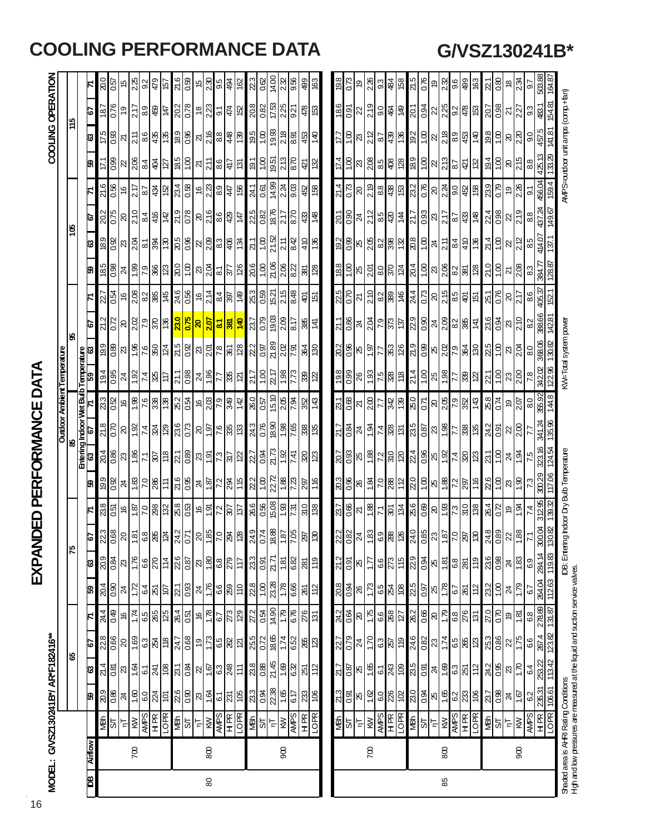# **EXPANDED PERFORMANCE DATA MODEL: G/VSZ130241B\*/ AR\*F182416\*\* COOLING OPERATION Outdoor Ambient Temperature 65 75 85 95 105 115 Entering Indoor Wet Bulb Temperature IDB Airflow 59 63 67 71 59 63 67 71 59 63 67 71 59 63 67 71 59 63 67 71 59 63 67 71** MBh 20.9 21.4 22.8 24.4 20.4 20.9 22.3 23.8 19.9 20.4 21.8 23.3 19.4 19.9 21.2 22.7 18.5 18.9 20.2 21.6 17.1 17.5 18.7 20.0 S/T 0.86 0.81 0.66 0.49 0.90 0.84 0.68 0.51 0.92 0.86 0.70 0.52 0.95 0.89 0.72 0.54 0.98 0.92 0.75 0.56 0.99 0.93 0.76 0.57 EXPANDED PERFORMANCE DATA

ηT 24 23 20 16 24 23 20 16 24 23 20 16 24 23 20 16 24 23 20 16 22 21 19 15 700 KW 1.60 1.64 1.69 1.74 1.72 1.76 1.81 1.87 1.83 1.86 1.92 1.98 1.92 1.96 2.02 2.08 1.99 2.04 2.10 2.17 2.06 2.11 2.17 2.25 AMPS 6.0 6.1 6.3 6.5 6.4 6.6 6.8 7.0 7.0 7.1 7.4 7.6 7.4 7.6 7.9 8.2 7.9 8.1 8.4 8.7 8.4 8.6 8.9 9.2 HIPR 224 224 225 225 225 226 226 228 238 327 327 322 323 323 333 334 335 339 339 429 424 435 429 435 429 479 LO PR 101 108 118 125 107 114 124 132 111 118 129 138 117 124 136 145 123 130 142 152 127 135 147 157

 $0.52$ 1.98

070  $1.92$ 

0.86 1.86

0.92  $1,83$ 

 $0.51$ 

0.68  $\frac{20}{181}$ 6.8 **zd** 

0.84 1.76 270 114

0.49  $1.74$ **6.5** 125

ଅ

 $rac{24}{1.72}$  $0.90$  $20.4$ 

 $\frac{1}{2}$ 

 $rac{66}{20}$ 

 $1.64$ 

 $\frac{24}{1.60}$ 8.0 20.9

> $\frac{1}{\Delta \mu}$ Sπ

> > $\infty$

ă

20.4 ಔ

eğ

ඝ

 $\frac{2}{3}$ 

ಔ

69

 $\mathbf{r}$ 

<u>ام</u> 8  $\frac{1}{2}$ 

 $59$ 

DB | Airflow

21.4 80<br>08

MBh

75

23.3  $\frac{1}{2}$ 7.6

MODEL: GVSZ130241B\*/ AR\*F182416\*\*

COOLING OPERATION

| <b>COOLING PERFORMANCE DATA</b> |  |
|---------------------------------|--|
|                                 |  |

157

135

435  $211$ 8.6

404

416 84 142

 $\frac{81}{394}$ 130

 $88$ 123

æ 45  $8.2$ 

> $\frac{8}{30}$ 136

정 는  $74$ 

> $\frac{8}{3}$ 338

129 324 74  $\mathcal{B}$ 

118

 $\pm$ 

æ

286

 $7.0$  $\overline{z}$ 

 $\frac{|\epsilon|}{|\tilde{\epsilon}|}$ ည်းမြို

6.6

 $64$ <br>251

 $rac{63}{254}$ 

24 6.0  $\overline{5}$ 

107

 $\frac{8}{3}$ 241  $61$  $\mathbb{S}^2$ 

> LOPR<sub>I</sub>  $\frac{\text{AUPS}}{\text{HIPR}}$

7.9

225  $\frac{1}{6}$ 

 $2.06$ 

84  $\bowtie$ 

 $92$ 10

0.57

0.76 2.17  $\frac{48}{36}$ 

8

8.0

0.56 2.17

0.75  $\frac{210}{2}$ 

 $0.92$  $\frac{8}{2}$ 

 $\frac{8}{3}$   $\frac{8}{1}$ 

 $\frac{6}{2}$ 

 $0.89$  $19.9$ 

 $\mathbb{Z}$ 

 $\frac{0.95}{24}$ 19.4

2.08 0.54

> 1.96 350  $124$ 7.6

 $\frac{20}{20}$  $\mathcal{C}$ 

 $\frac{6}{2}$  $87$ 434 152

 $\overline{e}$ 

ਨ

 $\frac{2}{2}$  $\approx$ 

ಣ

ន្ត្រ

 $\mathsf{r}$ 

**g** ຊິ

ຜິ

8

ø

ೞ

 $\begin{tabular}{c|c|c|c} \hline & 85 & \textcolor{red}{\textbf{3.5}} & \textcolor{red}{\textbf{5.6}} \\ \hline \textbf{5.7} & \textcolor{red}{\textbf{5.8}} & \textcolor{red}{\textbf{5.9}} & \textcolor{red}{\textbf{6.9}} \\ \hline \textbf{63} & \textcolor{red}{\textbf{67}} & \textcolor{red}{\textbf{77}} & \textcolor{red}{\textbf{79}} & \textcolor{red}{\textbf{59}} & \textcolor{red}{\textbf{63}} \\ \hline \end{tabular}$ 

SS

Outdoor Ambient Temperature

89

105

115

**COOLING PERFORMANCE DATA G/VSZ130241B\***

| $\frac{1}{25}$     |                   | 15                       | 230             | 9.5                   |                                                                       | $\frac{4}{9}$                                                                                                                                                                                                                                                                                                                                                                                | 23              | 0.62           | 14.00                                                                                                                                       | $\frac{2.32}{9.56}$                                                                                                                                                                                                                                                                                                 |               | 499                                                                                                                                                                                                                                                                       | 163                       | 19.8              | 0.73              | Ó,              | 2.26                          | 93             | 484             | 158                                             | 21.5                                                                                              | 0.76 | é,                           | 232                             | 9.6                                                                                               | 499                  | 163                                                                                                                                                                                                               | 21                 | 0.80           | $\overset{\circ}{\approx}$                              | 2.34 | 50              | 503.88         |                  |                                                                                                                      |
|--------------------|-------------------|--------------------------|-----------------|-----------------------|-----------------------------------------------------------------------|----------------------------------------------------------------------------------------------------------------------------------------------------------------------------------------------------------------------------------------------------------------------------------------------------------------------------------------------------------------------------------------------|-----------------|----------------|---------------------------------------------------------------------------------------------------------------------------------------------|---------------------------------------------------------------------------------------------------------------------------------------------------------------------------------------------------------------------------------------------------------------------------------------------------------------------|---------------|---------------------------------------------------------------------------------------------------------------------------------------------------------------------------------------------------------------------------------------------------------------------------|---------------------------|-------------------|-------------------|-----------------|-------------------------------|----------------|-----------------|-------------------------------------------------|---------------------------------------------------------------------------------------------------|------|------------------------------|---------------------------------|---------------------------------------------------------------------------------------------------|----------------------|-------------------------------------------------------------------------------------------------------------------------------------------------------------------------------------------------------------------|--------------------|----------------|---------------------------------------------------------|------|-----------------|----------------|------------------|----------------------------------------------------------------------------------------------------------------------|
|                    |                   |                          |                 |                       |                                                                       |                                                                                                                                                                                                                                                                                                                                                                                              |                 |                |                                                                                                                                             |                                                                                                                                                                                                                                                                                                                     |               |                                                                                                                                                                                                                                                                           |                           |                   |                   |                 |                               |                |                 |                                                 |                                                                                                   |      |                              |                                 |                                                                                                   |                      |                                                                                                                                                                                                                   |                    |                |                                                         |      |                 |                | 164.87<br>154.81 |                                                                                                                      |
| $\frac{20}{2}$     | 820               | $\frac{8}{10}$           | 223             | 5                     | 474                                                                   | $\overline{\omega}$                                                                                                                                                                                                                                                                                                                                                                          | 20.8            |                | $\frac{82}{153}$                                                                                                                            | $\frac{25}{921}$                                                                                                                                                                                                                                                                                                    |               | 478                                                                                                                                                                                                                                                                       | $\mathfrak{B}$            | 18.6              | 0.91              | $\overline{2}$  | 2.19                          | $\overline{0}$ | 464             | \$                                              | 20.1                                                                                              | 0.94 |                              | $\frac{22}{25}$                 | $rac{2}{48}$                                                                                      |                      |                                                                                                                                                                                                                   | 20.7               | 0.98           | $\frac{1}{2}$                                           | 227  | 93              | 483.1          |                  |                                                                                                                      |
| 8.9                | 88                | $\overline{\mathcal{N}}$ |                 | 216                   |                                                                       | $rac{48}{18}$                                                                                                                                                                                                                                                                                                                                                                                | 19.5            | $\frac{8}{1}$  | 19.93                                                                                                                                       | $rac{2.8}{8.9}$                                                                                                                                                                                                                                                                                                     |               | 453                                                                                                                                                                                                                                                                       | $\frac{40}{3}$            | 77                | $\overline{10}$   | ଅ               | 2.12                          | $\overline{8}$ | 439             | $\mathfrak{B}$                                  | 192                                                                                               |      | $\frac{1}{2}$                | 2.18                            | $rac{6}{36}$                                                                                      |                      |                                                                                                                                                                                                                   | 19.8               | 1.00           | $\mathcal{R}$                                           | 2.20 | 9.0             | 457.5          | 141.81           | AMPS=outdoor unit amps (comp.+fan)                                                                                   |
| $\frac{85}{10}$    |                   | $\overline{\mathcal{N}}$ | 211             | 8.6                   | 417                                                                   | 131                                                                                                                                                                                                                                                                                                                                                                                          | 19.1            | 1.00           | 19.51                                                                                                                                       | $\frac{213}{870}$                                                                                                                                                                                                                                                                                                   |               | 21                                                                                                                                                                                                                                                                        | 132                       | 17.4              | $\frac{8}{1}$     | $\mathbb{Z}$    | 2.08                          | 85             | 408             | 87                                              | 68                                                                                                |      | <u>ខ្ទៀ</u> ង                | 2.13                            | 87                                                                                                | $rac{47}{132}$       |                                                                                                                                                                                                                   | 19.4               | $\frac{8}{20}$ |                                                         | 2.15 | 8.8             | 425.13         | 133.29           |                                                                                                                      |
| 23.4               | 0.58              | $\frac{6}{5}$            |                 | $\frac{2.23}{8.9}$    |                                                                       | 电图                                                                                                                                                                                                                                                                                                                                                                                           | 24.1            | 0.61           |                                                                                                                                             | $\frac{3}{2}$ $\frac{1}{2}$ $\frac{1}{2}$ $\frac{1}{2}$ $\frac{1}{2}$ $\frac{1}{2}$ $\frac{1}{2}$ $\frac{1}{2}$ $\frac{1}{2}$ $\frac{1}{2}$ $\frac{1}{2}$ $\frac{1}{2}$ $\frac{1}{2}$ $\frac{1}{2}$ $\frac{1}{2}$ $\frac{1}{2}$ $\frac{1}{2}$ $\frac{1}{2}$ $\frac{1}{2}$ $\frac{1}{2}$ $\frac{1}{2}$ $\frac{1}{2}$ |               | 42                                                                                                                                                                                                                                                                        | $\overline{\mathfrak{B}}$ |                   | 0.73              | $\overline{20}$ | 2.19                          |                | $\frac{88}{48}$ | $\mathbb{S}^1$                                  | 23.2                                                                                              |      | $\frac{0.76}{20}$            | 2.24                            | <u>ී ලී ලි</u>                                                                                    |                      |                                                                                                                                                                                                                   |                    |                | $\frac{1}{2}$                                           |      | $\overline{9}$  | 456.04         | 159.4            |                                                                                                                      |
| হা.<br>ম           | $\frac{8}{20}$    |                          |                 |                       | $R = \frac{10}{2}$                                                    | $\frac{47}{1}$                                                                                                                                                                                                                                                                                                                                                                               | 225             | 0.82           |                                                                                                                                             | $\frac{18.76}{2.17}$                                                                                                                                                                                                                                                                                                | 8.70          | 433                                                                                                                                                                                                                                                                       | 148                       | 20.1              | 0.90              | শ্ৰ             | 212                           | 85             | $\frac{1}{2}$   | $\frac{4}{4}$                                   | 71.7                                                                                              |      | $\frac{3}{8}$                |                                 | $rac{217}{87}$                                                                                    |                      |                                                                                                                                                                                                                   |                    |                | $\frac{24}{29}$ 8 2 $\frac{2}{21}$                      |      | 88              | 437.24         | 149.67           |                                                                                                                      |
| $\frac{5}{88}$     |                   |                          |                 |                       |                                                                       | $\frac{1}{2}$ 이 없는 서비스                                                                                                                                                                                                                                                                                                                                                                       | $\overline{21}$ |                | $\frac{10}{21.52}$                                                                                                                          |                                                                                                                                                                                                                                                                                                                     | $rac{11}{84}$ | 410                                                                                                                                                                                                                                                                       | 136                       |                   | $\frac{2}{9}$     |                 |                               |                |                 | $\frac{18}{28}$ $\frac{18}{28}$ $\frac{18}{28}$ | 308                                                                                               |      | $\frac{18}{2}$ $\frac{1}{2}$ |                                 | $rac{4}{10}$<br>$rac{1}{2}$                                                                       |                      |                                                                                                                                                                                                                   | 21.4               | 1.00           | $\frac{8}{2}$                                           |      | 8.5             | 414.07         | 137.1            |                                                                                                                      |
| <u>තු</u>          | 1,00              | $\mathbbm{S}$            | 204             |                       |                                                                       | 의성의                                                                                                                                                                                                                                                                                                                                                                                          | 20.6            |                | $\frac{1}{2}$ $\frac{1}{2}$ $\frac{1}{2}$ $\frac{1}{2}$ $\frac{1}{2}$ $\frac{1}{2}$ $\frac{1}{2}$ $\frac{1}{2}$ $\frac{1}{2}$ $\frac{1}{2}$ |                                                                                                                                                                                                                                                                                                                     |               | 381                                                                                                                                                                                                                                                                       | 128                       | 18.8              | $\overline{0}$    |                 | ង  ଥୁଁ  ឌួ  ឌួ                |                |                 |                                                 | 204                                                                                               |      |                              |                                 | $\frac{1}{2}$ 8 8 3 8 9 9                                                                         |                      |                                                                                                                                                                                                                   | 21.0               | $rac{3}{2}$    |                                                         | 2.08 | 83              | 384.77         | 12887            |                                                                                                                      |
| $\frac{46}{0.56}$  |                   | $\frac{6}{2}$            | 2.14            |                       |                                                                       | $rac{26}{36}$                                                                                                                                                                                                                                                                                                                                                                                | 25.3            | 0.59           | 15.21                                                                                                                                       | $\frac{2.15}{8.48}$                                                                                                                                                                                                                                                                                                 |               | $\tilde{\mathcal{A}}$                                                                                                                                                                                                                                                     | 151                       | 225               | 070               | <u>ম</u>        | 2.10                          |                | $\frac{1}{38}$  |                                                 | 24.4                                                                                              | 0.73 | $\overline{20}$              | 2.15                            |                                                                                                   | $\frac{1}{2}$        |                                                                                                                                                                                                                   | 25.1               | 0.76           | $\overline{20}$                                         | 2.17 | 8.6             | 405.37         | 152.1            |                                                                                                                      |
| នី                 | $\frac{22}{10}$   | R                        | 207             | $\overline{\text{a}}$ | $\frac{8}{36}$                                                        | $\frac{40}{5}$                                                                                                                                                                                                                                                                                                                                                                               | 23.7            | 0.79           | 19.03                                                                                                                                       | 2.09                                                                                                                                                                                                                                                                                                                | 8.17          | 385                                                                                                                                                                                                                                                                       | $\frac{4}{1}$             | $\overline{21.1}$ | 0.86              | শ্ৰ             | 204                           | 7.9            | 373             | /S)                                             | 672                                                                                               | 0.90 | ź,                           | 2.09                            |                                                                                                   | $\frac{2}{38}$       | 141                                                                                                                                                                                                               | 23.6               | 0.94           | $\mathbb{S}^2$                                          | 2.10 | 82              | 388.66         | 142.81           |                                                                                                                      |
| 215<br>Zi          | 0.92              | $\mathbbm{S}$            | 2.01            | 78                    |                                                                       | $\frac{1}{8}$                                                                                                                                                                                                                                                                                                                                                                                | 22              | 0.97           | 21.89                                                                                                                                       | $\frac{200}{7.91}$                                                                                                                                                                                                                                                                                                  |               | 364                                                                                                                                                                                                                                                                       | 130                       | 202               | 0.96              | ধ্য             | $\tilde{\mathbf{g}}$          |                |                 | 353                                             | 6.12                                                                                              | 0.99 |                              | $\frac{18}{20}$                 | $\frac{8}{28}$                                                                                    |                      |                                                                                                                                                                                                                   | 25                 |                | $\frac{18}{3}$ 8                                        |      | $\overline{80}$ | 388.06         | 130.82           |                                                                                                                      |
| 71.<br>21          | 0.98              | 24                       |                 |                       |                                                                       | $\frac{18}{25}$ $\frac{12}{25}$                                                                                                                                                                                                                                                                                                                                                              | 21.7            | $\frac{00}{1}$ | 217                                                                                                                                         | $rac{22}{1,28}$                                                                                                                                                                                                                                                                                                     |               | ඝී                                                                                                                                                                                                                                                                        | 122                       | 19.8              | 0.99              | $\frac{8}{2}$   | 93                            | 7.5            | <b>BCC</b>      | $\frac{8}{16}$                                  | 21.4                                                                                              |      |                              | $\frac{2}{3}$ $\frac{8}{3}$     | $\frac{5}{12}$  정                                                                                 |                      |                                                                                                                                                                                                                   | 22.1               | 1.00           | $\mathbf{z}$                                            | 2.00 | 7.8             | 342 02         | 12296            | WETotal system power                                                                                                 |
| $rac{2}{65}$       |                   | $\frac{1}{2}$            |                 | $\frac{2.03}{7.9}$    |                                                                       | $\frac{3}{4}$                                                                                                                                                                                                                                                                                                                                                                                | 26.0            | 0.57           | 1510                                                                                                                                        | $\frac{205}{7.94}$                                                                                                                                                                                                                                                                                                  |               | 352                                                                                                                                                                                                                                                                       | 143                       | 23.1              | 89.0              | 인               | 200                           | 77             |                 | $rac{8}{36}$                                    | 25.0                                                                                              |      | $\frac{25}{20}$              |                                 | $rac{26}{56}$ $rac{12}{56}$ $rac{12}{56}$                                                         |                      |                                                                                                                                                                                                                   | 25.8               | 0.74           | $\frac{5}{20}$                                          |      | $\overline{a}$  | 355.92         | 14.8             |                                                                                                                      |
| <u>ଞ୍ଜ</u>         | $\alpha$          |                          | $8\frac{5}{26}$ |                       |                                                                       | ន <mark>្លា</mark> ឌ                                                                                                                                                                                                                                                                                                                                                                         | 24.3            |                | $\frac{0.76}{18.90}$                                                                                                                        | $rac{26}{1.86}$                                                                                                                                                                                                                                                                                                     |               | 338                                                                                                                                                                                                                                                                       | 135                       | $\overline{2.7}$  | 0.84              | শ্ৰ             | 1.34                          | 74             | 328             | $\overline{131}$                                | 2.5                                                                                               |      |                              |                                 | $\frac{1}{8}$ 8 $\frac{1}{8}$ $\frac{1}{12}$ $\frac{1}{8}$ $\frac{1}{8}$                          |                      |                                                                                                                                                                                                                   |                    |                | $\frac{2}{8}$ $\frac{5}{8}$ $\frac{8}{8}$ $\frac{8}{8}$ |      | 77              | 341.24         | 135.96           |                                                                                                                      |
| ដ                  | 680               |                          | $\frac{25}{25}$ |                       |                                                                       | <u> 일</u>                                                                                                                                                                                                                                                                                                                                                                                    | $\frac{27}{2}$  | 0.94           | 21.73                                                                                                                                       | $\frac{1.92}{7.41}$                                                                                                                                                                                                                                                                                                 |               | ଷ                                                                                                                                                                                                                                                                         | 123                       | $\frac{207}{1}$   | 0.93              | 8               | <u>88</u>                     | $\overline{2}$ |                 | $\frac{20}{20}$                                 | 22.4                                                                                              |      |                              |                                 | $\frac{1}{2}$ $\frac{1}{2}$ $\frac{1}{2}$ $\frac{1}{2}$ $\frac{1}{2}$ $\frac{1}{2}$ $\frac{1}{2}$ |                      |                                                                                                                                                                                                                   |                    |                | $\frac{1}{2}$ $\frac{1}{2}$ $\frac{1}{2}$ $\frac{1}{2}$ |      | 7.5             | 323.16         | 124.54           |                                                                                                                      |
| ৪<br>শ             | $\frac{8}{0}$     | $\approx$                |                 |                       |                                                                       | $rac{25}{28}$                                                                                                                                                                                                                                                                                                                                                                                | 22              |                | $\frac{1.00}{22.72}$                                                                                                                        | $\frac{88}{7.23}$                                                                                                                                                                                                                                                                                                   |               | 797                                                                                                                                                                                                                                                                       | 116                       | <u>කු</u>         | 0.96              |                 | क्ष  <u>क</u> ्ष ⊰            |                | 288             | 112                                             | $0\overline{z}$                                                                                   |      |                              |                                 | $\frac{2}{3}$ 8 $\frac{2}{3}$ $\frac{2}{3}$                                                       |                      | 116                                                                                                                                                                                                               | 2.6                | $\frac{8}{1}$  | $\frac{23}{1.30}$                                       |      | 7.3             | 300.29         | 117.06           | Indoor Dry Bulb Temperature                                                                                          |
|                    |                   |                          |                 |                       |                                                                       |                                                                                                                                                                                                                                                                                                                                                                                              |                 |                |                                                                                                                                             |                                                                                                                                                                                                                                                                                                                     |               |                                                                                                                                                                                                                                                                           |                           |                   |                   |                 |                               |                |                 |                                                 |                                                                                                   |      |                              |                                 |                                                                                                   |                      |                                                                                                                                                                                                                   |                    |                |                                                         |      |                 |                |                  |                                                                                                                      |
| &.<br>හි           | $\frac{3}{2}$     | $\frac{6}{5}$            |                 |                       |                                                                       | $rac{26}{13}$                                                                                                                                                                                                                                                                                                                                                                                | 26.6            | 0.56           | 15.08                                                                                                                                       | $rac{1.8}{7.31}$                                                                                                                                                                                                                                                                                                    |               | 310                                                                                                                                                                                                                                                                       | 138                       | 23.7              | 0.66              | 요               | 1.88                          |                | 108             | 134                                             | 25.6                                                                                              | 0.69 |                              |                                 | <u> 의 등 등 일</u>                                                                                   |                      |                                                                                                                                                                                                                   | 26.4               | 0.72           | $rac{1}{9}$                                             |      | 74              | 312.95<br>0.04 | 139.32<br>0.82   |                                                                                                                      |
|                    |                   |                          |                 |                       |                                                                       |                                                                                                                                                                                                                                                                                                                                                                                              |                 |                |                                                                                                                                             |                                                                                                                                                                                                                                                                                                                     |               | $\frac{1}{3}$ $\frac{1}{2}$ $\frac{1}{2}$ $\frac{1}{2}$ $\frac{1}{2}$ $\frac{1}{2}$ $\frac{1}{2}$ $\frac{1}{2}$ $\frac{1}{2}$ $\frac{1}{2}$ $\frac{1}{2}$ $\frac{1}{2}$ $\frac{1}{2}$ $\frac{1}{2}$ $\frac{1}{2}$ $\frac{1}{2}$ $\frac{1}{2}$ $\frac{1}{2}$ $\frac{1}{2}$ |                           |                   |                   |                 |                               |                |                 |                                                 |                                                                                                   |      |                              |                                 |                                                                                                   |                      | $\frac{1}{2}$ $\frac{1}{2}$ $\frac{1}{2}$ $\frac{1}{2}$ $\frac{1}{2}$ $\frac{1}{2}$ $\frac{1}{2}$ $\frac{1}{2}$ $\frac{1}{2}$ $\frac{1}{2}$ $\frac{1}{2}$ $\frac{1}{2}$ $\frac{1}{2}$ $\frac{1}{2}$ $\frac{1}{2}$ |                    |                | $\frac{48}{0.89}$ $\frac{8}{1.88}$                      |      |                 | $\infty$       | 119.83 130       | IDB: Entering                                                                                                        |
| $\frac{226}{0.87}$ |                   |                          |                 |                       |                                                                       | $R_{\text{S}} = 2R_{\text{S}}$                                                                                                                                                                                                                                                                                                                                                               | 233             | 0.91           | 21.71                                                                                                                                       | $\frac{181}{682}$                                                                                                                                                                                                                                                                                                   |               | $\frac{8}{10}$                                                                                                                                                                                                                                                            |                           | 21.2              | 0.91              | ধ্ব             | ITI                           |                | $rac{66}{276}$  |                                                 | <u>ပြိုချို မျှ အမြို့ မြို့</u>                                                                  |      |                              |                                 |                                                                                                   |                      |                                                                                                                                                                                                                   |                    |                | $\frac{88}{18}$ $\frac{8}{18}$                          |      | 6.9             | 284.14         |                  |                                                                                                                      |
| ส                  | $\overline{0.93}$ |                          |                 |                       |                                                                       | $\frac{1}{2} \frac{1}{2} \frac{1}{2} \frac{1}{2} \frac{1}{2} \frac{1}{2} \frac{1}{2} \frac{1}{2} \frac{1}{2} \frac{1}{2} \frac{1}{2} \frac{1}{2} \frac{1}{2} \frac{1}{2} \frac{1}{2} \frac{1}{2} \frac{1}{2} \frac{1}{2} \frac{1}{2} \frac{1}{2} \frac{1}{2} \frac{1}{2} \frac{1}{2} \frac{1}{2} \frac{1}{2} \frac{1}{2} \frac{1}{2} \frac{1}{2} \frac{1}{2} \frac{1}{2} \frac{1}{2} \frac{$ | 28              |                | $\frac{100}{278}$                                                                                                                           |                                                                                                                                                                                                                                                                                                                     |               | $\overline{\mathcal{E}}$                                                                                                                                                                                                                                                  | 112                       |                   | <u>ञ्जूष्ठ</u>    |                 |                               |                |                 |                                                 | <u>ြိုင်း အခြံခြံမြို့</u>                                                                        |      | $rac{25}{1.78}$              |                                 |                                                                                                   | $rac{25}{12}$        |                                                                                                                                                                                                                   | 23.2               | 1.00           | $\frac{24}{1.79}$                                       |      | 67              | 264.04         | 112.63           |                                                                                                                      |
| $\frac{264}{051}$  |                   |                          |                 |                       |                                                                       | $\frac{18}{16}$ $\frac{12}{16}$ $\frac{12}{12}$                                                                                                                                                                                                                                                                                                                                              |                 |                | $\frac{21}{25}$ $\frac{1}{25}$ $\frac{1}{25}$ $\frac{1}{25}$ $\frac{1}{25}$ $\frac{1}{25}$ $\frac{1}{25}$ $\frac{1}{25}$                    |                                                                                                                                                                                                                                                                                                                     |               | 276                                                                                                                                                                                                                                                                       |                           |                   |                   |                 |                               |                |                 | <u>ဒွိုဒွိုချင်းခြံ့နွိုင်း</u>                 | $\frac{1}{8}$ $\frac{1}{8}$ $\frac{1}{8}$ $\frac{1}{8}$ $\frac{1}{8}$ $\frac{1}{8}$ $\frac{1}{8}$ |      |                              |                                 |                                                                                                   |                      |                                                                                                                                                                                                                   | 27.0               | 0.70           | $\frac{18}{2}$                                          |      | 68              | 278.89         | 131.87           |                                                                                                                      |
| 24.7               | 0.68              | $\overline{9}$           |                 |                       |                                                                       | $\frac{1}{2}$ $\frac{1}{2}$ $\frac{1}{2}$                                                                                                                                                                                                                                                                                                                                                    |                 |                | $rac{25}{228}$                                                                                                                              |                                                                                                                                                                                                                                                                                                                     |               | $\frac{1}{28}$                                                                                                                                                                                                                                                            |                           |                   | $\frac{27}{0.79}$ | $\frac{4}{3}$   | 1.70                          |                | $\frac{25}{10}$ |                                                 |                                                                                                   |      |                              | $\frac{25}{38}$ $\frac{25}{38}$ | $rac{65}{88}$                                                                                     |                      |                                                                                                                                                                                                                   |                    |                | $\frac{253}{98}$ $\frac{8}{175}$                        |      | 6.6             | 267.4          | 123.82           |                                                                                                                      |
| ಸ್ಪತ್ತ             |                   |                          |                 |                       | $\frac{1}{2}$ $\frac{1}{2}$ $\frac{1}{2}$ $\frac{1}{2}$ $\frac{1}{2}$ |                                                                                                                                                                                                                                                                                                                                                                                              | 238             | 0.88           | 21.45                                                                                                                                       | $rac{1.69}{6.32}$                                                                                                                                                                                                                                                                                                   |               | $\frac{251}{12}$                                                                                                                                                                                                                                                          |                           | 21.7              |                   |                 | $\frac{18}{8}$ $\frac{18}{8}$ |                | $rac{2}{8}$     |                                                 | 23.5                                                                                              |      |                              | $\frac{5}{2}$  स $\frac{8}{10}$ | $rac{3}{25}$                                                                                      |                      |                                                                                                                                                                                                                   | 24.2               |                | $\frac{8}{3}$ 8                                         |      | 64              | 253.22         | 113.42           |                                                                                                                      |
| ္မေဆြ<br>ရခြ       |                   |                          | $\frac{1}{2}$   | $\overline{61}$       |                                                                       | $\frac{25}{105}$                                                                                                                                                                                                                                                                                                                                                                             | 233             |                | $\frac{6.94}{22.38}$                                                                                                                        | $rac{1}{6}$<br>6.17                                                                                                                                                                                                                                                                                                 |               | 23 <sup>3</sup>                                                                                                                                                                                                                                                           | 106                       |                   | $\frac{25}{20}$   | SS.             | $\frac{16}{60}$               |                | $rac{26}{102}$  |                                                 | အျို့အျို့အျိုး<br>  <br>  <br>  <br>  <br>  <br>  <br>  <br>  <br>  <br>  <br>  <br>             |      |                              |                                 |                                                                                                   |                      |                                                                                                                                                                                                                   | $\frac{237}{0.98}$ |                | $\frac{1}{2}$                                           | 1.67 | 62              | 235.31         | 106.61           |                                                                                                                      |
| 황                  |                   | Ļ                        |                 | <b>KW</b><br>AVPS     | H <sub>I</sub> R                                                      | LOPR                                                                                                                                                                                                                                                                                                                                                                                         |                 |                | ▓▏ <sub></sub>                                                                                                                              |                                                                                                                                                                                                                                                                                                                     |               | <b>HIPR</b>                                                                                                                                                                                                                                                               | LOPR                      |                   | 휇                 | $\frac{1}{2}$   | ΚŅ                            | SdW            |                 | H <sub>R</sub><br>LOPR                          | VВM                                                                                               |      | 일부                           | ΚW                              | <b>ANPS</b>                                                                                       | $\frac{1}{\sqrt{2}}$ |                                                                                                                                                                                                                   |                    |                | 회의설                                                     |      | <b>AVPS</b>     | <b>HIPR</b>    | LOPR <sub></sub> |                                                                                                                      |
|                    |                   |                          | 800             |                       |                                                                       |                                                                                                                                                                                                                                                                                                                                                                                              |                 |                |                                                                                                                                             | 80                                                                                                                                                                                                                                                                                                                  |               |                                                                                                                                                                                                                                                                           |                           |                   |                   |                 | 8                             |                |                 |                                                 |                                                                                                   |      |                              | 800                             |                                                                                                   |                      |                                                                                                                                                                                                                   |                    |                |                                                         | 80   |                 |                |                  | Sraded area is AHR Rating Corditions<br>Hgh and low pressures are measured at the liquid and sudtion service valves. |
|                    |                   |                          | 80              |                       |                                                                       |                                                                                                                                                                                                                                                                                                                                                                                              |                 |                |                                                                                                                                             |                                                                                                                                                                                                                                                                                                                     |               |                                                                                                                                                                                                                                                                           |                           |                   |                   |                 |                               |                |                 |                                                 |                                                                                                   |      |                              | 85                              |                                                                                                   |                      |                                                                                                                                                                                                                   |                    |                |                                                         |      |                 |                |                  |                                                                                                                      |
|                    |                   |                          |                 |                       |                                                                       |                                                                                                                                                                                                                                                                                                                                                                                              |                 |                |                                                                                                                                             |                                                                                                                                                                                                                                                                                                                     |               |                                                                                                                                                                                                                                                                           |                           |                   |                   |                 |                               |                |                 |                                                 |                                                                                                   |      |                              |                                 |                                                                                                   |                      |                                                                                                                                                                                                                   |                    |                |                                                         |      |                 |                |                  |                                                                                                                      |

16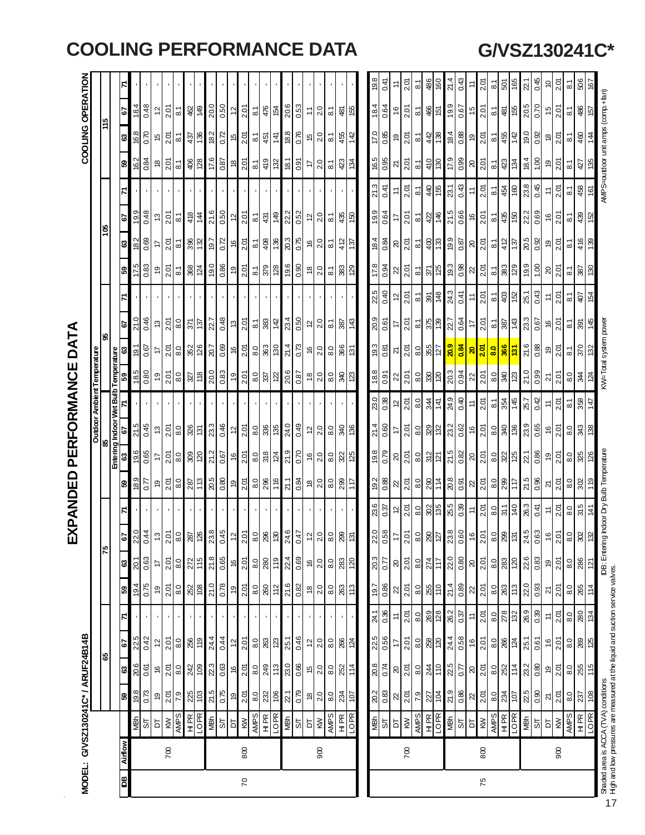|                |                | MODEL: G/VSZ130241C* / ARUF24B14B |                                                                                                                       |                  |                           |                |                   |                   |                                                                                                                                                                                                     |                           |                                                                                                                         |                                        |                                                             |                                                                                                                                                                                                                                                                                                                                                                                                                                                                                                                                                                                                                                                                                                                                         | EXPANDED PERFORMANCE DATA                                          |                          |                          |                                                                      |                                           |                                                                                                                                                                                                                                                                                                                       |                         |                         |                         | <b>COOLING OPERATION</b>                                            |                  |  |
|----------------|----------------|-----------------------------------|-----------------------------------------------------------------------------------------------------------------------|------------------|---------------------------|----------------|-------------------|-------------------|-----------------------------------------------------------------------------------------------------------------------------------------------------------------------------------------------------|---------------------------|-------------------------------------------------------------------------------------------------------------------------|----------------------------------------|-------------------------------------------------------------|-----------------------------------------------------------------------------------------------------------------------------------------------------------------------------------------------------------------------------------------------------------------------------------------------------------------------------------------------------------------------------------------------------------------------------------------------------------------------------------------------------------------------------------------------------------------------------------------------------------------------------------------------------------------------------------------------------------------------------------------|--------------------------------------------------------------------|--------------------------|--------------------------|----------------------------------------------------------------------|-------------------------------------------|-----------------------------------------------------------------------------------------------------------------------------------------------------------------------------------------------------------------------------------------------------------------------------------------------------------------------|-------------------------|-------------------------|-------------------------|---------------------------------------------------------------------|------------------|--|
|                |                |                                   |                                                                                                                       |                  |                           |                |                   |                   |                                                                                                                                                                                                     |                           |                                                                                                                         |                                        | Outdoor Ambient<br>85                                       |                                                                                                                                                                                                                                                                                                                                                                                                                                                                                                                                                                                                                                                                                                                                         | Temperature                                                        |                          |                          |                                                                      |                                           |                                                                                                                                                                                                                                                                                                                       |                         |                         |                         |                                                                     |                  |  |
|                |                |                                   |                                                                                                                       |                  | 8                         |                |                   | 75                |                                                                                                                                                                                                     |                           |                                                                                                                         |                                        |                                                             |                                                                                                                                                                                                                                                                                                                                                                                                                                                                                                                                                                                                                                                                                                                                         |                                                                    | နွ                       |                          |                                                                      |                                           | <u>je</u>                                                                                                                                                                                                                                                                                                             |                         |                         |                         | $\frac{1}{15}$                                                      |                  |  |
| B              | <b>Airflow</b> |                                   | 65                                                                                                                    | <b>CS</b>        | 67                        | 71             | 65                | 63                | 79                                                                                                                                                                                                  | κ                         | <b>B</b>                                                                                                                |                                        |                                                             |                                                                                                                                                                                                                                                                                                                                                                                                                                                                                                                                                                                                                                                                                                                                         | Entering Indoor Wet Bulb Temperature<br>63   67   71   59   63<br> |                          | 2                        | æ,<br>71                                                             | ಣ                                         | 49                                                                                                                                                                                                                                                                                                                    |                         | 65                      | <b>G3</b>               | <b>L9</b>                                                           |                  |  |
|                |                |                                   |                                                                                                                       | 20.6             | 22.5                      |                | 19.4              | 20.1              |                                                                                                                                                                                                     |                           |                                                                                                                         | 19.6                                   |                                                             |                                                                                                                                                                                                                                                                                                                                                                                                                                                                                                                                                                                                                                                                                                                                         |                                                                    | $\overline{19}$          | 21.0                     |                                                                      |                                           | 19.9                                                                                                                                                                                                                                                                                                                  |                         |                         |                         | 18.4                                                                |                  |  |
|                |                | 휇                                 | $\frac{198}{0.73}$                                                                                                    | 0.61             | 0.42                      |                | 0.75              | 0.63              |                                                                                                                                                                                                     |                           | $\frac{28}{100}$                                                                                                        | 0.65                                   | $\frac{21.5}{0.45}$                                         |                                                                                                                                                                                                                                                                                                                                                                                                                                                                                                                                                                                                                                                                                                                                         | $\frac{18.5}{0.80}$                                                | 0.67                     | 0.46                     |                                                                      | $\frac{182}{0.69}$<br>$\frac{17.5}{0.83}$ | 0.48                                                                                                                                                                                                                                                                                                                  |                         | $\frac{16.2}{0.84}$     | $\frac{168}{0.70}$      | 0.48                                                                |                  |  |
|                |                | 이                                 |                                                                                                                       |                  | $\overline{5}$            |                |                   | $\overline{z}$    | $\frac{1}{2}$ $\frac{1}{3}$ $\frac{1}{3}$ $\frac{1}{3}$ $\frac{1}{3}$ $\frac{1}{3}$ $\frac{1}{3}$ $\frac{1}{3}$ $\frac{1}{3}$ $\frac{1}{3}$ $\frac{1}{3}$ $\frac{1}{3}$ $\frac{1}{3}$ $\frac{1}{3}$ |                           |                                                                                                                         | $\overline{17}$                        | $\frac{13}{200}$                                            |                                                                                                                                                                                                                                                                                                                                                                                                                                                                                                                                                                                                                                                                                                                                         | $\frac{19}{2.01}$                                                  | $\overline{\mathcal{L}}$ |                          |                                                                      | $\overline{\phantom{a}}$                  | $\frac{13}{201}$                                                                                                                                                                                                                                                                                                      |                         | $\frac{18}{201}$        |                         | $\frac{1}{2}$                                                       |                  |  |
|                | 700            |                                   | $\frac{9}{20}$                                                                                                        | $\frac{16}{20}$  | 2.01                      |                | ್ $\frac{9}{20}$  | 2.01              |                                                                                                                                                                                                     |                           | $\frac{19}{2.01}$                                                                                                       | 2.01                                   |                                                             |                                                                                                                                                                                                                                                                                                                                                                                                                                                                                                                                                                                                                                                                                                                                         |                                                                    | 2.01                     | $\frac{13}{2.01}$        | $\frac{9}{20}$                                                       | 200                                       |                                                                                                                                                                                                                                                                                                                       |                         |                         | $\frac{15}{2.01}$       | 2.01                                                                |                  |  |
|                |                | <b>AMPS</b>                       | 7.9                                                                                                                   | 8.0              | $_{\rm 8.0}$              |                | 8 <sub>0</sub>    | 8.0               |                                                                                                                                                                                                     |                           | 0.8                                                                                                                     | 0.8                                    | $8.0\,$                                                     |                                                                                                                                                                                                                                                                                                                                                                                                                                                                                                                                                                                                                                                                                                                                         | $_{\rm 8.0}$                                                       | 0.8                      | $_{\rm 80}$              | $\overline{\textrm{s}}$                                              | $\overline{\textrm{8}}$                   | $\overline{\mathsf{8}}$                                                                                                                                                                                                                                                                                               |                         | $\overline{\textrm{s}}$ | $\overline{\textrm{8}}$ | $\overline{\mathbf{a}}$                                             |                  |  |
|                |                | <b>HIPR</b>                       | 225                                                                                                                   | 242              | 256                       |                | <b>252</b><br>108 | 272               |                                                                                                                                                                                                     |                           | 287                                                                                                                     | $\frac{8}{20}$                         | 326                                                         |                                                                                                                                                                                                                                                                                                                                                                                                                                                                                                                                                                                                                                                                                                                                         | $\frac{327}{18}$                                                   | 352                      | 371                      |                                                                      | $\frac{39}{12}$<br>368                    | 418                                                                                                                                                                                                                                                                                                                   |                         | 406                     | 437                     | <b>会话</b>                                                           |                  |  |
|                |                | LOPR                              | 103                                                                                                                   |                  | 119                       |                |                   | 115               |                                                                                                                                                                                                     |                           |                                                                                                                         |                                        |                                                             |                                                                                                                                                                                                                                                                                                                                                                                                                                                                                                                                                                                                                                                                                                                                         |                                                                    |                          | 137                      |                                                                      | 124                                       | 14                                                                                                                                                                                                                                                                                                                    |                         | 128                     |                         |                                                                     |                  |  |
|                |                | MBh                               | $21.5$                                                                                                                | 223              | 24.4                      |                | 21.0              | 21.8              |                                                                                                                                                                                                     |                           | 20.5                                                                                                                    | 21.2                                   | 23.3                                                        |                                                                                                                                                                                                                                                                                                                                                                                                                                                                                                                                                                                                                                                                                                                                         | 20.0                                                               | $\frac{20.7}{0.69}$      | 27                       |                                                                      | 19.7<br>19.0                              | 21.6                                                                                                                                                                                                                                                                                                                  |                         | 17.6                    | 182                     | 20.0                                                                |                  |  |
|                |                | LS                                | 0.75                                                                                                                  | 0.63             | 0.44                      |                | 0.78              | 0.65              |                                                                                                                                                                                                     |                           | 0.80                                                                                                                    | $\frac{0.67}{16}$                      |                                                             |                                                                                                                                                                                                                                                                                                                                                                                                                                                                                                                                                                                                                                                                                                                                         | 0.83                                                               |                          | 0.48                     |                                                                      | 0.72<br>0.86                              | 0.50                                                                                                                                                                                                                                                                                                                  |                         | 0.87                    | 0.72                    | 0.50                                                                |                  |  |
|                |                | $\overline{\mathbf{D}}$           | $\overline{9}$                                                                                                        | $\frac{6}{5}$    | $\tilde{c}$               |                | 6,                | $\frac{6}{5}$     |                                                                                                                                                                                                     |                           |                                                                                                                         |                                        | $\overline{2}$                                              |                                                                                                                                                                                                                                                                                                                                                                                                                                                                                                                                                                                                                                                                                                                                         | $\frac{9}{2}$                                                      | $\frac{6}{2}$            | $\tilde{\mathfrak{c}}$   | $\overline{9}$                                                       | $\overline{\mathbf{e}}$                   | $\overline{2}$                                                                                                                                                                                                                                                                                                        |                         | $\frac{8}{5}$           | $\frac{15}{2}$          |                                                                     |                  |  |
| $\overline{C}$ | 800            | <b>KVX</b>                        | 2.01                                                                                                                  | 2.01             | 2.01                      |                | 2.01              | 2.01              |                                                                                                                                                                                                     |                           | 2.01                                                                                                                    | 2.01                                   | 201                                                         |                                                                                                                                                                                                                                                                                                                                                                                                                                                                                                                                                                                                                                                                                                                                         | 2.01                                                               | 2.01                     | 2.01                     | 2.01                                                                 | 200                                       | 2.01                                                                                                                                                                                                                                                                                                                  |                         | 2.01                    | 2.01                    | 2.01                                                                |                  |  |
|                |                | <b>AMPS</b>                       | 8.0                                                                                                                   | 8.0              | 8.0                       |                | 8.0               | 8.0               |                                                                                                                                                                                                     |                           | 8.0                                                                                                                     | 8.0                                    | 8.0                                                         |                                                                                                                                                                                                                                                                                                                                                                                                                                                                                                                                                                                                                                                                                                                                         | 8.0                                                                | 8.0                      | $\overline{8.1}$         | $\overline{8}$                                                       | $\overline{8}$ .                          | $\overline{\textrm{a}}$                                                                                                                                                                                                                                                                                               |                         | $\overline{8}$ .        | $\overline{8.1}$        | $\overline{\mathrm{a}}$                                             |                  |  |
|                |                | H <sub>E</sub>                    | 232                                                                                                                   | 249              | 263                       |                | 260               | 280               |                                                                                                                                                                                                     |                           | 296                                                                                                                     | 318                                    | $\frac{36}{13}$                                             |                                                                                                                                                                                                                                                                                                                                                                                                                                                                                                                                                                                                                                                                                                                                         | $\frac{37}{206}$                                                   | $\frac{363}{130}$        | 383                      |                                                                      | $rac{408}{136}$<br>379                    | 431                                                                                                                                                                                                                                                                                                                   |                         | 419                     | 451                     | $\frac{476}{154}$                                                   |                  |  |
|                |                | LO <sub>PR</sub>                  | 106                                                                                                                   | $113$            | 123                       |                | 112               | 119               |                                                                                                                                                                                                     |                           |                                                                                                                         | $\frac{124}{2}$                        |                                                             |                                                                                                                                                                                                                                                                                                                                                                                                                                                                                                                                                                                                                                                                                                                                         |                                                                    |                          | 142                      |                                                                      | 128                                       | $\frac{40}{3}$                                                                                                                                                                                                                                                                                                        |                         | 132                     |                         |                                                                     |                  |  |
|                |                | MBh                               | 22.1                                                                                                                  | 23.0             | 25.1                      |                | 21.6              | 224               |                                                                                                                                                                                                     |                           | 21.1                                                                                                                    | $\frac{3}{21.9}$                       |                                                             |                                                                                                                                                                                                                                                                                                                                                                                                                                                                                                                                                                                                                                                                                                                                         |                                                                    | 21.4                     | 23.4                     |                                                                      | $\overline{\text{S}}\propto$<br>19.6      | 22.2                                                                                                                                                                                                                                                                                                                  |                         | 18.1                    | $\frac{141}{188}$       |                                                                     |                  |  |
|                |                | $\mathsf{S}\mathsf{\Gamma}$       | 0.79                                                                                                                  | 0.66             | 0.46                      |                | 0.82              | 0.69              |                                                                                                                                                                                                     |                           | 0.84                                                                                                                    | 0.70                                   | 0.49                                                        |                                                                                                                                                                                                                                                                                                                                                                                                                                                                                                                                                                                                                                                                                                                                         | 0.87                                                               | 0.73                     | 0.50                     | 0.90                                                                 | 0.75                                      | 0.52                                                                                                                                                                                                                                                                                                                  |                         | 0.91                    | 0.76                    | 0.53                                                                |                  |  |
|                |                | $\overline{\mathbf{p}}$           | $\frac{8}{2}$                                                                                                         | $\overline{5}$   | $\overline{\mathfrak{c}}$ |                | $\frac{8}{2}$     | $\frac{6}{2}$     | 147                                                                                                                                                                                                 |                           | $\frac{8}{2}$                                                                                                           | $\frac{6}{2}$                          | $\overline{2}$                                              |                                                                                                                                                                                                                                                                                                                                                                                                                                                                                                                                                                                                                                                                                                                                         | 18                                                                 | $\frac{6}{2}$            | $12$                     |                                                                      | $\frac{1}{2}$<br>$\frac{8}{2}$            | 12                                                                                                                                                                                                                                                                                                                    |                         | $\ddot{ }$              | 15                      | $\overline{z}$                                                      |                  |  |
|                | 900            | $\lessgtr$                        | 2.0                                                                                                                   | 2.0              | 20                        |                | 20                | 2.0               | 2.0                                                                                                                                                                                                 |                           | 2.0                                                                                                                     | 2.0                                    | 2.0                                                         |                                                                                                                                                                                                                                                                                                                                                                                                                                                                                                                                                                                                                                                                                                                                         | 20                                                                 | 2.0                      | 2.0                      | 2.0                                                                  | 2.0                                       | 20                                                                                                                                                                                                                                                                                                                    |                         | 2.0                     | 2.0                     | 20                                                                  |                  |  |
|                |                | <b>AMPS</b>                       | $_{\rm 8.0}$                                                                                                          | 8.0              | $_{\rm 8.0}$              |                | $_{\rm 80}$       | 8.0               | 8.0                                                                                                                                                                                                 |                           | 8.0                                                                                                                     | $_{\rm 8.0}$                           | $8.0\,$                                                     |                                                                                                                                                                                                                                                                                                                                                                                                                                                                                                                                                                                                                                                                                                                                         | $_{\rm 80}$                                                        | $_{\rm 8.0}$             | $\overline{\textrm{8}}$  | $\overline{\textrm{8}}$                                              | $\overline{\textrm{8}}$                   | $\overline{\mathbf{a}}$                                                                                                                                                                                                                                                                                               |                         | $\overline{8}$          | $\overline{\textrm{8}}$ | $\overline{\mathsf{a}}$                                             |                  |  |
|                |                | HI PR                             | 234                                                                                                                   | 252              | 266                       |                | 263               | 283               | 89                                                                                                                                                                                                  |                           | $\frac{299}{117}$                                                                                                       |                                        |                                                             |                                                                                                                                                                                                                                                                                                                                                                                                                                                                                                                                                                                                                                                                                                                                         |                                                                    | 366                      | 387                      | $\frac{3}{2}$                                                        | 412                                       |                                                                                                                                                                                                                                                                                                                       |                         | 423                     |                         |                                                                     |                  |  |
|                |                | $\overline{DR}$                   | 107                                                                                                                   | 114              | 124                       |                | $\frac{13}{2}$    | 120               | 131                                                                                                                                                                                                 |                           |                                                                                                                         | $\frac{22}{5}$                         | $\frac{340}{136}$                                           |                                                                                                                                                                                                                                                                                                                                                                                                                                                                                                                                                                                                                                                                                                                                         | $\frac{1}{2}$                                                      | $\frac{5}{2}$            | 143                      |                                                                      | 137<br>129                                | $rac{48}{150}$                                                                                                                                                                                                                                                                                                        |                         | 134                     | $rac{45}{142}$          | $rac{45}{155}$                                                      |                  |  |
|                |                |                                   |                                                                                                                       |                  |                           |                |                   |                   |                                                                                                                                                                                                     |                           |                                                                                                                         |                                        |                                                             |                                                                                                                                                                                                                                                                                                                                                                                                                                                                                                                                                                                                                                                                                                                                         |                                                                    |                          |                          |                                                                      |                                           |                                                                                                                                                                                                                                                                                                                       |                         |                         |                         |                                                                     |                  |  |
|                |                | MBh                               | 20.2                                                                                                                  | 20.8             | 22.5                      | 24.1           | 19.7              | 20.3              | 20                                                                                                                                                                                                  | 23.6                      | 19.2                                                                                                                    | 19.8                                   | 21.4                                                        | 23.0                                                                                                                                                                                                                                                                                                                                                                                                                                                                                                                                                                                                                                                                                                                                    | 18.8                                                               | 19.3                     | 20.9                     | 22.5                                                                 | 18.4                                      | 19.9                                                                                                                                                                                                                                                                                                                  | 21.3                    | 16.5                    | 17.0                    | 18.4                                                                | 19.8             |  |
|                |                | $\mathsf{S}\mathsf{L}$            | $0.83\,$                                                                                                              | 0.74             | 0.56                      | 0.36           | 0.86              | 0.77              | $rac{17}{17}$                                                                                                                                                                                       | 0.37                      | 0.88                                                                                                                    | 0.79                                   | 0.60                                                        | 0.38                                                                                                                                                                                                                                                                                                                                                                                                                                                                                                                                                                                                                                                                                                                                    | 0.91                                                               | 0.81                     | 0.61                     | 0.94<br>0.40                                                         | 0.84                                      | 0.64                                                                                                                                                                                                                                                                                                                  | 0.41                    | 0.95                    | 0.85                    | 0.64                                                                | 0.41             |  |
|                |                | $\overline{\mathsf{D}}$           | $\approx$                                                                                                             | ର                | 17                        | H              | $\approx$         | 8                 |                                                                                                                                                                                                     | $\overline{\mathfrak{c}}$ | $\approx$                                                                                                               | $\overline{20}$                        |                                                             | $\overline{5}$                                                                                                                                                                                                                                                                                                                                                                                                                                                                                                                                                                                                                                                                                                                          | 22                                                                 | $\overline{\mathcal{N}}$ | 1                        | ଷା                                                                   | ୡ                                         | 4                                                                                                                                                                                                                                                                                                                     |                         | $\overline{\mathbf{z}}$ | $\overline{6}$          | $\frac{6}{2}$                                                       | Ξ                |  |
|                | 700            | <b>RAINES</b>                     | $\frac{20}{7}$                                                                                                        | 2.01             | 2.01                      | 2.01           | $rac{20}{80}$     | 2.01              |                                                                                                                                                                                                     | 2.01                      | $\frac{2.01}{8.0}$                                                                                                      | $\frac{5}{2}$                          | $rac{20}{80}$                                               | 2.01                                                                                                                                                                                                                                                                                                                                                                                                                                                                                                                                                                                                                                                                                                                                    | 2.01                                                               | 2.01                     | 2.01                     | 2.01<br>2.01                                                         | 20 <sub>0</sub>                           | 2.01                                                                                                                                                                                                                                                                                                                  | 2.01                    | 2.01                    | 2.01                    | 2.01                                                                | <b>2.01</b>      |  |
|                |                |                                   |                                                                                                                       | 8.0              | $\frac{8}{10}$            | 8.0            |                   | 8.0               |                                                                                                                                                                                                     | 8.0                       |                                                                                                                         | 8.0                                    |                                                             | 8.0                                                                                                                                                                                                                                                                                                                                                                                                                                                                                                                                                                                                                                                                                                                                     | $\overline{a}$                                                     | 8.0                      | $\overline{\textrm{8}}$  | $\overline{8}$<br>$\overline{8.1}$                                   | $\overline{8}$                            | $\overline{8}$                                                                                                                                                                                                                                                                                                        | $\overline{81}$         | $\overline{\circ}$      | $\overline{81}$         | $\overline{\circ}$                                                  | $\overline{8}$ . |  |
|                |                | HIPR<br>LOPR                      | $\frac{227}{104}$                                                                                                     | $\frac{244}{10}$ | 258                       | 269            | 255               | $\frac{274}{117}$ | 5 2 3 8 5 3 6 5 5 8 8 5 4 9 8                                                                                                                                                                       | 302                       | 290                                                                                                                     | $\frac{32}{21}$                        | 329                                                         | $rac{34}{4}$                                                                                                                                                                                                                                                                                                                                                                                                                                                                                                                                                                                                                                                                                                                            | $\frac{33}{2}$                                                     | 355                      | $\frac{375}{139}$        | $\frac{371}{25}$<br>$\frac{1}{28}$                                   | $\frac{400}{133}$                         | 42                                                                                                                                                                                                                                                                                                                    | $\frac{4}{8}$           | $\frac{410}{130}$       | 448                     | $\frac{466}{51}$                                                    | 486              |  |
|                |                |                                   |                                                                                                                       | $22.5\,$         | 24.4                      | 26.2           | 21.4              | 220               |                                                                                                                                                                                                     |                           |                                                                                                                         |                                        |                                                             | 24.9                                                                                                                                                                                                                                                                                                                                                                                                                                                                                                                                                                                                                                                                                                                                    |                                                                    | <b>20.9</b>              |                          | 24.3                                                                 |                                           |                                                                                                                                                                                                                                                                                                                       | 23.1                    |                         | 18.4                    | 19.9                                                                | 21.4             |  |
|                |                | MBh<br>S/T                        | $\frac{6.12}{6.08}$                                                                                                   | 0.77             | 0.58                      | 0.37           | 0.89              | 0.80              |                                                                                                                                                                                                     | 25.5                      |                                                                                                                         | $\frac{21.5}{0.82}$                    | 23.2                                                        | $\frac{1}{2}$                                                                                                                                                                                                                                                                                                                                                                                                                                                                                                                                                                                                                                                                                                                           | 20.3                                                               | <b>B</b>                 | $\frac{27}{0.64}$        | 0.41                                                                 | 80<br>80<br>$\frac{19.3}{0.98}$           | $\frac{21.5}{0.66}$                                                                                                                                                                                                                                                                                                   | 0.43                    | $\frac{17.9}{0.99}$     | 0.88                    | 0.67                                                                | 0.43             |  |
|                |                | $\overline{\mathbf{p}}$           | $\approx$                                                                                                             | $\approx$        | $\frac{1}{6}$             | $\mathcal{L}$  | $\approx$         | $\infty$          |                                                                                                                                                                                                     | $\mathcal{L}$             |                                                                                                                         | $\frac{20}{20}$                        | $\overline{e}$                                              | $\mathrel{\mathop{\mathrel{\mathop{\scriptstyle\mathop{\scriptstyle\mathop{\scriptstyle\mathop{\scriptstyle\mathop{\scriptstyle\mathop{\scriptstyle\mathop{\scriptstyle\mathop{\scriptstyle\mathop{\scriptstyle\mathop{\scriptstyle\mathop{\scriptstyle\mathop{\scriptstyle\mathop{\scriptstyle\mathop{\scriptstyle\mathop{\scriptstyle\mathop{\scriptstyle\mathop{\scriptstyle\mathop{\scriptstyle\mathop{\scriptstyle\mathop{\scriptstyle\mathop{\scriptstyle\mathop{\scriptstyle\mathop{\scriptstyle\mathop{\scriptstyle\mathop{\scriptstyle\mathop{\scriptstyle\mathop{\scriptstyle\mathop{\scriptstyle\mathop{\scriptstyle\mathop{\cal F}}}}}}}}}}}}}\math_{\mathop{\scriptstyle\mathop{\scriptstyle\mathop{\scriptstyle\mathop{\$ | 22                                                                 | <u>ន</u>                 | $\overline{\phantom{a}}$ | ଥ<br>Ξ                                                               | $\frac{20}{2}$                            | $\overline{\mathbf{e}}$                                                                                                                                                                                                                                                                                               | Ξ                       | $\approx$               | $\overline{6}$          | $\frac{15}{2.01}$                                                   | Ξ                |  |
| 75             | 800            | KW                                | 2.01                                                                                                                  | 2.01             | 0.2                       | 2.01           | 2.01              | 2.01              |                                                                                                                                                                                                     | 2.01                      | $ S_{\alpha}^{3} $ $\frac{1}{2}$ $ S_{\alpha} $ $\frac{1}{2}$ $ S_{\alpha} $ $\frac{1}{2}$ $ S_{\alpha} $ $\frac{1}{2}$ |                                        | 200                                                         | 2.01                                                                                                                                                                                                                                                                                                                                                                                                                                                                                                                                                                                                                                                                                                                                    | <b>LOZ</b>                                                         | $\frac{2.01}{2.01}$      | 201                      | 2.01<br>2.01                                                         |                                           | 2.01                                                                                                                                                                                                                                                                                                                  | 2.01                    | 2.01                    | 0.2                     |                                                                     | 2.01             |  |
|                |                | <b>AMPS</b>                       | $_{\rm 8.0}$                                                                                                          |                  | $_{\rm 8.0}$              | 8.0            | 8.0               | 8.0               |                                                                                                                                                                                                     | $\frac{80}{31}$           |                                                                                                                         |                                        |                                                             | $\overline{\mathrm{a}}$                                                                                                                                                                                                                                                                                                                                                                                                                                                                                                                                                                                                                                                                                                                 | 8.0                                                                | $\overline{\mathbf{a}}$  | $\overline{81}$          | $\overline{8}$                                                       | $\overline{81}$                           |                                                                                                                                                                                                                                                                                                                       |                         | $\overline{8}$          | $\overline{\textrm{a}}$ |                                                                     |                  |  |
|                |                | <b>HIPR</b>                       | <b>234</b>                                                                                                            | $rac{80}{252}$   | 266<br>124                | 278            | 263               | 283               |                                                                                                                                                                                                     |                           |                                                                                                                         |                                        |                                                             | 354                                                                                                                                                                                                                                                                                                                                                                                                                                                                                                                                                                                                                                                                                                                                     | $\frac{1}{2}$                                                      | $\frac{36}{5}$           | $\frac{18}{38}$          | 383                                                                  | 412                                       |                                                                                                                                                                                                                                                                                                                       | 의 효율                    | 423                     |                         |                                                                     | $rac{21}{80}$    |  |
|                |                | LO <sub>PR</sub>                  |                                                                                                                       |                  |                           | 132            | 113               | 120               |                                                                                                                                                                                                     | 140                       |                                                                                                                         | $rac{8}{32}$ $rac{1}{22}$ $rac{1}{21}$ | $\frac{10}{3}$ $\frac{10}{3}$ $\frac{10}{3}$ $\frac{10}{3}$ |                                                                                                                                                                                                                                                                                                                                                                                                                                                                                                                                                                                                                                                                                                                                         |                                                                    | $\frac{1}{2}$            |                          | $rac{1}{8}$ $\frac{1}{8}$ $\frac{1}{8}$ $\frac{1}{8}$ $\frac{1}{10}$ | 137                                       | $rac{1}{6}$ $\frac{1}{3}$ $\frac{1}{2}$ $\frac{1}{2}$ $\frac{1}{2}$ $\frac{1}{2}$ $\frac{1}{2}$ $\frac{1}{2}$ $\frac{1}{2}$ $\frac{1}{2}$ $\frac{1}{2}$ $\frac{1}{2}$ $\frac{1}{2}$ $\frac{1}{2}$ $\frac{1}{2}$ $\frac{1}{2}$ $\frac{1}{2}$ $\frac{1}{2}$ $\frac{1}{2}$ $\frac{1}{2}$ $\frac{1}{2}$ $\frac{1}{2}$ $\$ |                         |                         | $\frac{456}{142}$       | $rac{2}{8}$ $\frac{1}{8}$ $\frac{1}{8}$ $\frac{1}{8}$ $\frac{1}{8}$ |                  |  |
|                |                | MBh                               | 22.5                                                                                                                  | 232              | 25.1                      | 26.9           | 22.0              | 226               |                                                                                                                                                                                                     |                           | 21.5                                                                                                                    |                                        |                                                             | 25.7                                                                                                                                                                                                                                                                                                                                                                                                                                                                                                                                                                                                                                                                                                                                    | 21.0                                                               | 21.6                     | 23.3                     |                                                                      | 20.5<br>19.9                              |                                                                                                                                                                                                                                                                                                                       | 23.8                    | 18.4                    |                         |                                                                     | 221              |  |
|                |                | $S$ T                             | 0.90                                                                                                                  | 0.80             | 0.61                      | 0.39           | 0.93              | 0.83              |                                                                                                                                                                                                     | 0.41                      | 0.96                                                                                                                    | 0.86                                   | 0.65                                                        | 0.42                                                                                                                                                                                                                                                                                                                                                                                                                                                                                                                                                                                                                                                                                                                                    | 0.99                                                               | 0.88                     | 0.67                     | 1.00<br>0.43                                                         | 0.92                                      | 0.69                                                                                                                                                                                                                                                                                                                  | 0.45                    | 1.00                    | $0.\overline{92}$       | 0.70                                                                | 0.45             |  |
|                |                | $\overline{\mathsf{D}}$           | $\mathbb{Z}$                                                                                                          | $\overline{9}$   | $\frac{6}{2}$             | $\overline{a}$ | $\overline{z}$    | <b>0</b>          |                                                                                                                                                                                                     | $\overline{\mathcal{L}}$  | $\overline{\mathcal{N}}$                                                                                                | $\overline{6}$                         | $\frac{16}{20}$                                             | $\stackrel{\scriptstyle\smile}{\scriptstyle\smile}$                                                                                                                                                                                                                                                                                                                                                                                                                                                                                                                                                                                                                                                                                     | $\overline{21}$                                                    | $\overline{e}$           | $\frac{16}{200}$         | $\frac{20}{2}$<br>$\overline{1}$                                     | $\frac{19}{20}$                           | $\approx$                                                                                                                                                                                                                                                                                                             | $\overleftarrow{\cdot}$ | $\overline{5}$          | $\frac{18}{20}$         | $\frac{5}{2}$                                                       | $\tilde{a}$      |  |
|                | 900            | $\lessgtr$                        | 2.01                                                                                                                  | 2.01             | 2.01                      | 2.01           | 2.01              | 2.01              | $\frac{16}{25}$                                                                                                                                                                                     | 2.01                      | 2.01                                                                                                                    | 2.01                                   |                                                             | 2.01                                                                                                                                                                                                                                                                                                                                                                                                                                                                                                                                                                                                                                                                                                                                    | 2.01                                                               | 2.01                     |                          | 2.01                                                                 |                                           | 2.01                                                                                                                                                                                                                                                                                                                  | 2.01                    | 2.01                    |                         | 2.01                                                                | 2.01             |  |
|                |                | AMP <sub>S</sub>                  | 8.0                                                                                                                   | 8.0              | 8.0                       | $_{\rm 8.0}$   | 8 <sub>0</sub>    | 8.0               |                                                                                                                                                                                                     | 8.0                       | 8.0                                                                                                                     | 8.0                                    | $8.0\,$                                                     | $\overline{a}$                                                                                                                                                                                                                                                                                                                                                                                                                                                                                                                                                                                                                                                                                                                          | $_{\rm 80}$                                                        | $\overline{8}$           | $\overline{\mathbf{8}}$  | $\overline{8}$<br>$\overline{8}$                                     | $\overline{8}$                            | $\overline{a}$                                                                                                                                                                                                                                                                                                        | $\overline{81}$         | $\overline{8}$          | $\overline{8}$          | $\overline{\mathbf{a}}$                                             | $\overline{8}$   |  |
|                |                | HI PR                             | 237                                                                                                                   | 255              | 269                       | 280            | 265               | 286               | $\frac{8}{2}$                                                                                                                                                                                       | 315                       | 302                                                                                                                     | 325                                    | 343                                                         | 358                                                                                                                                                                                                                                                                                                                                                                                                                                                                                                                                                                                                                                                                                                                                     | र्भ्र                                                              | 370                      | 391                      | 387<br>$\overline{40}$                                               | 416                                       | 439                                                                                                                                                                                                                                                                                                                   | 458                     | 427                     | 460                     | \$                                                                  | 506              |  |
|                |                | LOPR                              | 108                                                                                                                   | 115              | 125                       | 134            | 114               | 121               |                                                                                                                                                                                                     |                           | 119                                                                                                                     |                                        | 138                                                         | 147                                                                                                                                                                                                                                                                                                                                                                                                                                                                                                                                                                                                                                                                                                                                     | <u>ਲ੍</u>                                                          | 132                      |                          | 154                                                                  | 130                                       | 152                                                                                                                                                                                                                                                                                                                   | 161                     |                         |                         | 157                                                                 | 167              |  |
|                |                |                                   | Shaded area is ACCA (TVA) conditions<br>High and low pressures are measured at the liquid and suction service valves. |                  |                           |                |                   |                   |                                                                                                                                                                                                     |                           | g Indoor Dry Bulb Temperature                                                                                           |                                        |                                                             |                                                                                                                                                                                                                                                                                                                                                                                                                                                                                                                                                                                                                                                                                                                                         | W-Total system power                                               |                          |                          |                                                                      |                                           |                                                                                                                                                                                                                                                                                                                       |                         |                         |                         | AMPS=outdoor unit amps (comp.+fan)                                  |                  |  |

# **EXPANDED PERFORMANCE DATA**

# **COOLING PERFORMANCE DATA G/VSZ130241C\***

o label area b ACCA (1 v A) consulus<br>179 Marc I ou pressures are measured at the liquid and suction service valves.<br>17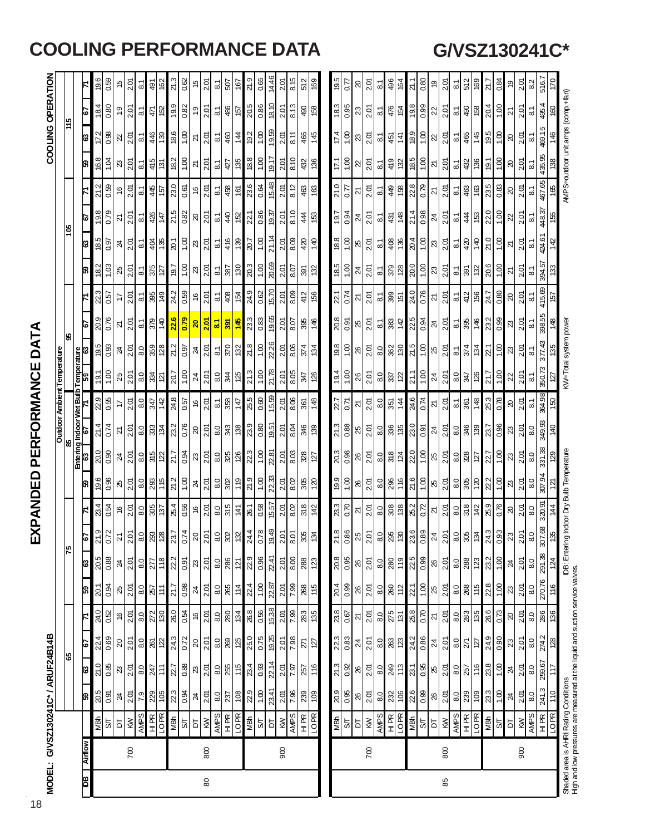18 ణ

ρι

Gme

**ndoor Wet Bu** 

lg gui C)

န္တ

**Outdoor Ambient Temperature** 

**MODEL: G/VSZ130241C\* / ARUF24B14B COOLING OPERATION Outdoor Ambient Temperature 65 75 85 95 105 115 Entering Indoor Wet Bulb Temperature IDB Airflo** MODEL: GVSZ130241C\* / ARUF24B14B

**COOLING OPERATION** 

Įچ

5 8

# **COOLING PERFORMANCE DATA G/VSZ130241C\***

| <b>Airflow</b><br>胷                                                           | ြို့                                   | S                 | 5                 | F                 | ြို့              | β                          | قا                                                          |                             | ၉                 | ြိ                | Ø,                |                          | င္ကြ                    | r<br>B                                               |                                                    | ß,                       | 8                          | r.                       |                         | ၉                                  | З                       |                         |                   |
|-------------------------------------------------------------------------------|----------------------------------------|-------------------|-------------------|-------------------|-------------------|----------------------------|-------------------------------------------------------------|-----------------------------|-------------------|-------------------|-------------------|--------------------------|-------------------------|------------------------------------------------------|----------------------------------------------------|--------------------------|----------------------------|--------------------------|-------------------------|------------------------------------|-------------------------|-------------------------|-------------------|
|                                                                               |                                        |                   |                   |                   |                   |                            |                                                             |                             |                   |                   |                   |                          |                         |                                                      |                                                    |                          |                            |                          |                         |                                    |                         |                         |                   |
|                                                                               | 20.5                                   | 21.0              | 22.4              | 24.0              | 20.1              | 20.5                       |                                                             | 23.4                        | 19.6              | 20.0              | 21.4              | တု<br>ଧି                 | 19.1                    | 9.5                                                  | 223<br>20.9                                        | 18.2                     | 18.5                       | 19.8                     | 21.2                    | 16.8                               |                         | 84                      | 19.6              |
|                                                                               | 0.91                                   | 0.85              | 0.69              | 0.52              | 0.94              | 0.88                       | $\frac{21.9}{0.72}$                                         | 0.54                        | 0.96              | 0.90              | 0.74              | 0.55                     | 1.00                    | 0.93                                                 | 0.57<br>0.76                                       | 1.03                     | 0.97                       | 0.79                     | 0.59                    | 1.04                               | 0.38                    | 0.80                    | 0.59              |
|                                                                               | $\overline{\mathcal{Z}}$<br>휑일         |                   |                   | $\frac{6}{5}$     |                   | $\overline{\mathcal{Z}}$   | $\overline{\mathbf{z}}$                                     | $\frac{6}{5}$               | 25                | $\overline{24}$   | R                 |                          | 25                      | $\overline{\mathcal{S}}$<br>$\overline{\mathcal{Z}}$ | 17                                                 | ୱ                        | $\overline{\mathcal{A}}$   | Z.                       | $\frac{6}{5}$           | ಔ                                  | ଧ୍ୟ                     | $\frac{6}{5}$           | 15                |
| 700                                                                           | 2.01<br>KW                             | $\frac{23}{2.01}$ | $\frac{20}{2.01}$ | 2.01              | $\frac{25}{200}$  | 2.01                       |                                                             | 2.01                        | 2.07              | 2.01              | 200               | 2.01                     | 2.01                    | 2.01<br>2.01                                         | 2.01                                               | 2.01                     | 200                        | 2.01                     | 2.01                    | 2.01                               | 2.01                    | $\overline{5}$          | 2.01              |
|                                                                               | 7.9<br><b>AMPS</b>                     | 8.0               | 8.0               | 8.0               |                   | 8.0                        |                                                             | 8.0                         | 8.0               | 8.0               | 8.0               | 8.0                      | 8 <sub>0</sub>          | $\overline{8}$<br>8.0                                | $\overline{8}$ .                                   | $\overline{8}$           | $\overline{81}$            | $\overline{\mathrm{a}}$  | 81                      | 8.1                                | $\overline{8}$          | $\overline{8}$          | 8.1               |
|                                                                               | 229<br>HI <sub>PR</sub>                | 247               |                   |                   | 8.0<br>257        | 277                        |                                                             |                             | 293               |                   |                   | 347                      |                         |                                                      | 395<br>379                                         | 375                      | 404                        |                          |                         | 415                                | 446                     | 471                     | 491               |
|                                                                               | 105<br>LO <sub>PR</sub>                | $\pm$             |                   | $\frac{272}{130}$ | $\frac{1}{2}$     | 118                        |                                                             | 305                         | 115               | $\frac{35}{22}$   | $\frac{33}{134}$  | $\frac{42}{3}$           | ਲ਼੍ਹੋ                   | 359                                                  | $\frac{9}{4}$<br>140                               | 127                      | 135                        | 426                      | 45                      | $\overline{131}$                   | 861                     | 152                     | 162               |
|                                                                               | MBh                                    |                   |                   | 26.0              | Z1.7              |                            |                                                             | 25.4                        | 212               | 21.7              | 23.2              | 24.8                     | 20.7                    | 21.2                                                 | 24.2<br>$\frac{2.6}{2}$                            | 19.7                     | 20.1                       | 21.5                     | 23.0                    | 18.2                               | 18.6                    | 19.9                    | 21.3              |
|                                                                               | $\frac{22.3}{0.94}$<br>$5\overline{1}$ | $\frac{27}{180}$  | 8 일 3 3 0.72      | 0.54              | 0.98              | $\frac{222}{0.91}$         | $rac{25}{8}$ $rac{8}{28}$ $rac{8}{25}$ $rac{7}{25}$         | 0.56                        | 1,00              | 0.94              | 0.76              | 0.57                     | 00.1                    | $\frac{8}{2}$<br>0.97                                | 0.59                                               | $\frac{8}{1}$            | $\tilde{6}$                | 0.82                     | 0.61                    | $\frac{8}{1}$                      | 1.00                    | 0.82                    | 0.62              |
|                                                                               | $24$<br>$\overline{\mathbf{p}}$        |                   | $20\,$            | $\mathfrak{S}$    | $24$              | $\boldsymbol{\mathcal{Z}}$ |                                                             | $\frac{1}{6}$               | 24                | 23                | $\approx$         | $\frac{6}{2}$            | 24                      | ន<br>24                                              | $\frac{6}{1}$                                      | $\mathbb{S}^2$           | $\boldsymbol{\mathcal{S}}$ | $\approx$                | $\frac{6}{2}$           | 5                                  | 21                      | $\frac{1}{6}$           | 15                |
| 800<br>$80$                                                                   | 2.01<br>$\lessgtr$                     | 2.01              | 2.01              | 2.01              | 2.01              | 2.01                       | $\frac{20}{2.01}$                                           | 2.01                        | 2.01              | 2.01              | 201               | 2.01                     | 2.01                    | $\frac{20}{2}$<br>2.01                               | 2.01                                               | 2.01                     | 201                        | 2.01                     | 2.01                    | 2.01                               | 201                     | 2.01                    | 2.01              |
|                                                                               | 8.0<br><b>AMPS</b>                     | 8.0               | 8.0               | 8.0               | 8 <sub>0</sub>    | 8.0                        |                                                             | 8.0                         | 8.0               | 8.0               | 8.0               | $\overline{8}$ 1         | 80                      | 8.1                                                  | $\overline{8}$ 1<br>$\overline{\mathbf{a}}$        | 8.1                      | 8.1                        | $\overline{\mathbf{a}}$  | $\overline{8}$          | $\overline{8}$                     | $\overline{8}$          | $\overline{8}$ 1        | $\overline{8}$    |
|                                                                               | 237                                    |                   |                   |                   | 265               |                            |                                                             | 315                         | 302               | 325               | 343               | 358                      | $\mathcal{L}$           | $\frac{5}{3}$<br>370                                 | 408                                                | 387                      | 416                        | 440                      |                         | 427                                | 460                     | $\frac{48}{5}$          | 507               |
|                                                                               | 108<br>HIPR<br>LOPR                    | 255               | <b>260</b><br>125 | $\frac{280}{134}$ | 114               | 286                        | $\frac{1}{2}$ $\frac{1}{2}$                                 | $\frac{14}{1}$              | 611               | 126               | 138               | $\overline{47}$          | <b>SZL</b>              | 132                                                  | 154<br>145                                         | 08                       | 63                         | 752                      | $\frac{48}{6}$          | 135                                | $\overline{4}$          | তি                      | $\overline{67}$   |
|                                                                               | 22.9<br>МВ,                            | 23.4              | 25.0              | 26.8              | 22.4              | 229                        |                                                             | 26.1                        | 21.9              | 22.3              | 23.9              | 25.5                     | 21.3                    | 23.3<br>21.8                                         | 24.9                                               | 20.3                     | 70%                        | 221                      | 23.6                    | 18.8                               | 192                     | 20.5                    | 21.9              |
|                                                                               | 1,00<br>5 <sub>7</sub>                 | 0.93              | 0.75              | 0.56              | 1.00              | 0.96                       |                                                             | 0.58                        | 1.00              | 1.00              | 0.80              | 0.60                     | 1.00                    | 0.83<br>1.00                                         | 0.62                                               | 1.00                     | 1.00                       | 0.86                     | 0.64                    | 1.00                               | 1.00                    | 0.86                    | 0.65              |
|                                                                               | 23.41<br>$\overline{\mathbf{p}}$       | 22.14             | 19.25             | 15.38             | 2287              | 22.41                      | 24.4<br>0.78<br>19.49                                       | 15.57                       | 22.33             | 2.81              | 19.51             | 5.59                     | 21.78                   | 2226                                                 | 15.70<br>19.65                                     | 20.69                    | 21.14                      | 19.37                    | 15.48                   | 19.1                               | <b>1959</b>             | 18.10                   | 14.46             |
| 900                                                                           | 2.01<br>$\tilde{\mathbb{R}}$           | 2.01              | 2.01              | 2.01              | <b>2.01</b>       | 2.01                       | 2.01                                                        | 2.01                        | 2.01              | 2.01              | 201               | 2.01                     | 2.01                    | 201<br>2.01                                          | 2.01                                               | 2.01                     | 201                        | 2.01                     | 2.01                    | 2.01                               | 2.01                    | <b>2.01</b>             | 2.01              |
|                                                                               | 7.96<br><b>AMPS</b>                    | 7.97              | 7.98              | 7.99              | 7.99              | 8.00                       |                                                             | $8.\textcircled{m}$         | 8.02              | 8.03              | 8.04              | 8.06                     | 8.05                    | 8.07<br>8.06                                         | 8.09                                               | 8.07                     | 8.09                       | 8.10                     | 8.12                    | 8.10                               | 8.11                    | 8.13                    | 8.15              |
|                                                                               |                                        | 257               |                   |                   |                   |                            |                                                             | 318                         | 305               |                   |                   | 361                      |                         | 374                                                  | 412<br>395                                         | $\overline{\mathcal{B}}$ | 420                        | 444                      | $\frac{1}{2}$           | 432                                | 465                     | $\frac{1}{2}$           | 512               |
|                                                                               | $\frac{29}{109}$<br>$\frac{H}{LOR}$    | 116               | $\frac{271}{127}$ | $\frac{283}{135}$ | $\frac{268}{115}$ | 288                        | $rac{5}{8}$ $\frac{8}{3}$                                   | 142                         | 120               | $\frac{328}{127}$ | $\frac{346}{139}$ | 148                      | $\frac{37}{126}$        | 134                                                  | 156<br>146                                         | 132                      | 140                        | 153                      | $\mathfrak{B}$          | 136                                | 145                     | 158                     | 169               |
|                                                                               |                                        |                   |                   |                   |                   |                            |                                                             |                             |                   |                   |                   |                          |                         |                                                      |                                                    |                          |                            |                          |                         |                                    |                         |                         |                   |
|                                                                               | 20.9                                   | 21.3              | 22.3              | 23.8              | 20.4              | 20.8                       | $\infty$<br>$\overline{21}$                                 | 23.3                        | 19.9              | 20.3              | 21.3              | 22.7                     | 19.4                    | 19.8                                                 | 22.1<br>20.8                                       | 18.5                     | 18.8                       | 19.7                     | 21.0                    | 17.1                               | 174                     | 18.3                    | 19.5              |
|                                                                               | 0.95<br>$\frac{MP}{S}$                 | 0.92              | 0.83              | 0.67              | 0.99              | 0.95                       | 0.86                                                        | $0.\overline{70}$           | 1.00              | 0.98              | 0.88              | 0.71                     | 001                     | 0.91<br>0.100                                        | 0.74                                               | 1.00                     | 1.00                       | 0.94                     | Γ.                      | 1,00                               | 1.00                    | 0.95                    | <b>Γ</b> .        |
|                                                                               | $26$<br>$\Xi$                          | $26\,$            | 24                | Z                 | $26\,$            | $26\,$                     |                                                             | 21                          | 26                | 26                | $\mathcal{B}$     | $\overline{\mathcal{S}}$ | 26                      | 26                                                   | $\overline{21}$<br>25                              | শ্ৰ                      | $\mathcal{B}$              | $\overline{\mathcal{A}}$ | $\overline{2}$          | $\approx$                          | $\mathbbm{S}$           | 23                      | $\rm 20$          |
| 700                                                                           | 2.07<br>$\lesssim$                     | 2.01              | 2.01              | 2.01              | 2.01              | 2.01                       |                                                             | 2.01                        | 2.01              | 2.01              | 201               | 2.01                     | 2.01                    | 2.01<br>2.01                                         | 2.01                                               | 2.01                     | 201                        | 2.01                     | 2.01                    | 2.01                               | 2.01                    | 2.01                    | 2.01              |
|                                                                               | 8.0<br><b>AMPS</b>                     | 8.0               | $_{\rm 8.0}$      | 8.0               | $_{\rm 8.0}$      | $8.0\,$                    |                                                             | 8.0                         | 8.0               | 8.0               | 8.0               | 8.0                      | 80                      | $\overline{8}$<br>8.0                                | $\overline{8.1}$                                   | $\overline{8}$           | $\frac{1}{8}$              | $\overline{a}$           | వ                       | $\overline{5}$                     | $\frac{1}{8}$           | $\overline{a}$          | $\overline{8}$    |
|                                                                               |                                        |                   |                   |                   |                   |                            |                                                             | 308                         |                   |                   |                   |                          |                         |                                                      |                                                    |                          |                            |                          |                         | 419                                |                         |                         |                   |
|                                                                               | 232<br>HIPR<br>LOPR                    | 249               | 263               | 275               | $\frac{260}{112}$ | $\frac{280}{19}$           | $\frac{15}{2}$ $\frac{12}{2}$ $\frac{12}{2}$ $\frac{12}{2}$ | 138                         | $\frac{296}{116}$ | $\frac{38}{24}$   | $\frac{336}{135}$ | $\frac{35}{4}$           | <u>ន្លា</u>             | 383<br>$\frac{362}{130}$                             | 390                                                | $rac{379}{28}$           | $rac{408}{136}$            | $rac{43}{148}$           | 48                      | 132                                | $\frac{45}{4}$          | 电<br>125                | $rac{46}{64}$     |
|                                                                               | 22.6<br>画                              | 23.1              | 24.2              | 25.8              | 22.1              | 225                        | $\frac{25}{28}$                                             | 25.2                        | 21.6              | 22.0              | 23.0              | 24.6                     | 21.1                    | 21.5                                                 | 24.0<br>22.5                                       | 20.0                     | 20.4                       | 21.4                     | 22.8                    | 18.5                               | 18.9                    | 19.8                    | 21.1              |
|                                                                               | 0.99                                   | 0.95              | 0.86              | 0.70              |                   | 660                        |                                                             | 0.72                        | 1.00              | 00.1              | 0.9               | 0.74                     | $\frac{15}{2}$          | 0.94<br>1.00                                         | 0.76                                               | 1,00                     | 1.00                       | 0.98                     | 0.79                    | $\frac{8}{1}$                      | 1.00                    | 0.99                    | 0.80              |
|                                                                               | 26<br>일의회                              | $\frac{25}{2.01}$ | $\frac{24}{2.01}$ | $\frac{25}{2}$    | $rac{8}{25}$      | 26                         |                                                             | <u>ম</u>                    | $\mathbb{Z}$      | 25                | শ্ৰ               | 2                        | $\overline{24}$         | $\frac{1}{2}$<br>25                                  | $\overline{2}$                                     | $\frac{20}{2}$           | $\frac{20}{2}$             | ¥                        | ត                       | 2                                  | ଧ୍ୟ                     | 22                      | $\overline{9}$    |
| 800<br>85                                                                     | 2.01                                   |                   |                   |                   | 2.01              | 2.01                       |                                                             | 2.01                        | 2.01              | 2.01              | 201               | 2.01                     | 2.01                    | 2.01<br>2.01                                         | 2.01                                               |                          |                            | 2.01                     | 2.01                    | 2.01                               | 2.01                    | 2.01                    | 2.01              |
|                                                                               | 8.0<br><b>AMPS</b>                     | 8.0               | $_{\rm 8.0}$      | $8.0\,$           | $\rm ^{80}$       | 8.0                        |                                                             | 8.0                         | 8.0               | 8.0               | 8.0               | $\frac{1}{8}$            | 80                      | $\approx$<br>$\overline{81}$                         | $\overline{8}$                                     | $\overline{81}$          | $\overline{81}$            | $\overline{a}$           | $\overline{81}$         | $\overline{\circ}$                 | $\approx$               | $\overline{\mathbf{a}}$ | $\overline{8}$ .1 |
|                                                                               | 239<br>HI <sub>DR</sub>                | 257               |                   |                   | 268               | 288                        |                                                             | 318                         | 305               | 328               | 346               | 361                      | प्र                     | 374                                                  | 412<br>395                                         | 391                      | $\frac{8}{420}$            | 44                       | \$                      | 432                                | 465                     | $\frac{8}{2}$           | 512               |
|                                                                               | 109<br>LO <sub>PR</sub>                |                   | $\frac{271}{27}$  | 283               |                   |                            |                                                             | 142                         | ସୁ                |                   | 139               | 148                      | $\frac{1}{2}$           | 134                                                  | 156<br>146                                         | 132                      | 140                        | 153                      | 163                     | 136                                | 145                     | 158                     | 69                |
|                                                                               | 23.3<br><b>VBN</b>                     | 23.8              | 24.9              | 26.6              | 22.8              | 23.2                       | 24.3                                                        | 25.9                        | 222               | 22.7              | 23.7              | 25.3                     | 21.7                    | $\overline{21}$                                      | 24.7<br>23.2                                       | 20.6                     | 21.0                       | 22.0                     | 23.5                    | $\overline{9}$                     | 19.5                    | 20.4                    | 21.7              |
|                                                                               | 1.00<br>5 <sub>7</sub>                 | 1.00              | 0.90              | 0.73              | 1.00              | 1.00                       | 0.93                                                        | 0.76                        | 1.00              | 1.00              | 0.96              | 0.78                     | 1.00                    | 0.39<br>1.00                                         | 0.80                                               | 1,00                     | 1.00                       | 1.00                     | 0.83                    | 1.00                               | 1.00                    | 1.00                    | 0.84              |
|                                                                               | $\approx$<br>đ                         | $\approx$         | 23                | $\mathbb{S}$      | $\mathbbm{S}$     | $\overline{a}$             | 23                                                          | $\approx$                   | $\mathbf{z}$      | 23                | $\mathbbmss{S}$   | ସ                        |                         | $\mathbf{z}$                                         | 20<br>$\mathbb{Z}$                                 | ম<br>                    | ম                          | $\bowtie$                | 20                      | $\overline{20}$                    | $\approx$               | $\overline{21}$         | $\overline{6}$    |
| 800                                                                           | 2.01<br>$\tilde{\leq}$                 | 2.01              | 2.01              | 2.01              | 2.01              | 2.01                       | 2.01                                                        | 2.01                        | 2.01              | 2.01              | 20                | 2.01                     | $\frac{22}{2.01}$       | 2.01<br>2.01                                         | 2.01                                               | 2.01                     | 2 M                        | 2.01                     | 2.01                    | 2.01                               | 2.01                    | 2.01                    | 2.01              |
|                                                                               | 8.0<br><b>AMPS</b>                     | 8.0               | 8.0               | 8.0               | $\overline{8}0$   | $\overline{8}$ .0          | $\frac{8}{3}$                                               | $_{\rm 8.0}$                | $_{\rm 8.0}$      | 8.0               | $_{\rm 8.0}$      | $\overline{\mathbf{8}}$  | $\overline{\mathsf{8}}$ | $\overline{\textrm{s}}$                              | $\overline{\textrm{8}}$<br>$\overline{\textrm{8}}$ | $\overline{\textrm{8}}$  | $\overline{\textrm{8}}$    | $\overline{\text{a}}$    | $\overline{\textrm{8}}$ | 8.1                                | $\overline{\textrm{8}}$ | $\overline{\textrm{8}}$ | 82                |
|                                                                               | 241.3<br>HIPR<br>H                     | 259.67            | 274.2             | 286               | 270.76            | 291.38                     | 307.68                                                      | 320.91                      | 307.94            | 331.38            | 349.93            | 364.98                   | 350.73                  | 377.43                                               | 415.69<br>398.55                                   | 394.57                   | 424.61                     | 448.37                   | 467.65                  | 435.95                             | 469.15                  | 495.4                   | 516.7             |
|                                                                               | 110<br><b>LOPR</b>                     | 117               | 128               | 136               | 116               | 124                        | 35                                                          | 144                         | 121               | 129               | 140               | 150                      | ā                       | 135                                                  | 157<br>148                                         | 133                      | 142                        | 155                      | 165                     | 138                                | 146                     | 160                     | 170               |
| Shaded area is AHRI Rating Conditions                                         |                                        |                   |                   |                   |                   | IDB: Entering              |                                                             | Indoor Dry Bulb Temperature |                   |                   |                   |                          |                         | W=Total system power                                 |                                                    |                          |                            |                          |                         | AMPS=outdoor unit amps (comp.+fan) |                         |                         |                   |
| High and low pressures are measured at the liquid and suction service valves. |                                        |                   |                   |                   |                   |                            |                                                             |                             |                   |                   |                   |                          |                         |                                                      |                                                    |                          |                            |                          |                         |                                    |                         |                         |                   |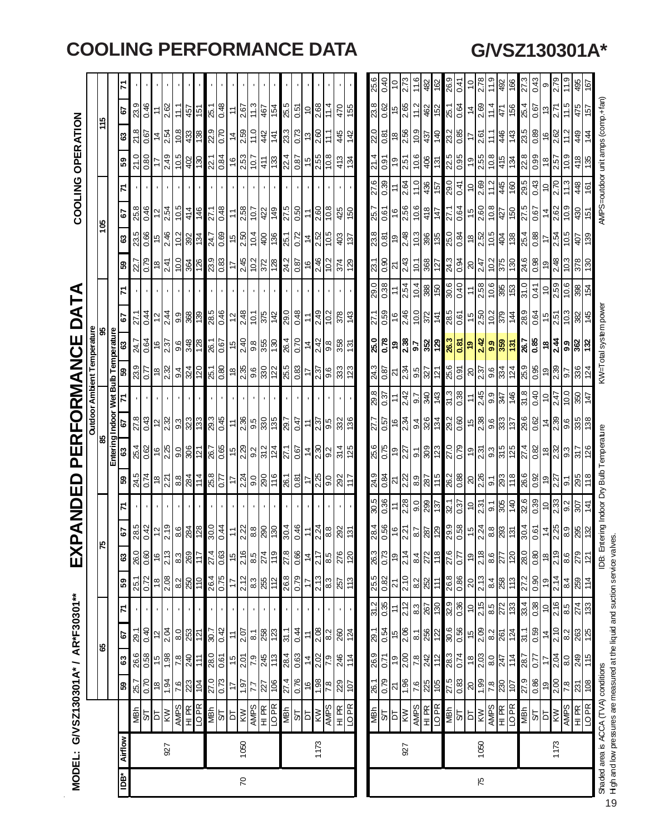|                                                                                                                         | MODEL: G/VSZ130301A* / AR*F30301** |                                   |                                                                                                 |                   |                                                 |                                  |                                               | ΣŽ                  | <u>ה</u>                                       | ANDED               |                                                                         |                                                                       |                                                                       |                                   | <b>PERFORMANCE</b>                                                                                                                                                         | DATA                                                                                                                                                                            |                                                                                                                               |                                                          |                                               |                          |                                        |                                                                                                 | COOLING OPERATION                                                     |                                                                                                                                                                                                                                                                                                                   |                  |
|-------------------------------------------------------------------------------------------------------------------------|------------------------------------|-----------------------------------|-------------------------------------------------------------------------------------------------|-------------------|-------------------------------------------------|----------------------------------|-----------------------------------------------|---------------------|------------------------------------------------|---------------------|-------------------------------------------------------------------------|-----------------------------------------------------------------------|-----------------------------------------------------------------------|-----------------------------------|----------------------------------------------------------------------------------------------------------------------------------------------------------------------------|---------------------------------------------------------------------------------------------------------------------------------------------------------------------------------|-------------------------------------------------------------------------------------------------------------------------------|----------------------------------------------------------|-----------------------------------------------|--------------------------|----------------------------------------|-------------------------------------------------------------------------------------------------|-----------------------------------------------------------------------|-------------------------------------------------------------------------------------------------------------------------------------------------------------------------------------------------------------------------------------------------------------------------------------------------------------------|------------------|
|                                                                                                                         |                                    |                                   |                                                                                                 |                   |                                                 |                                  |                                               |                     |                                                |                     |                                                                         |                                                                       |                                                                       |                                   | <b>Outdoor Ambient Temperature</b>                                                                                                                                         |                                                                                                                                                                                 |                                                                                                                               |                                                          |                                               |                          |                                        |                                                                                                 |                                                                       |                                                                                                                                                                                                                                                                                                                   |                  |
|                                                                                                                         |                                    |                                   |                                                                                                 |                   | శి                                              |                                  |                                               |                     |                                                |                     |                                                                         | ఐ                                                                     |                                                                       |                                   |                                                                                                                                                                            | SS                                                                                                                                                                              |                                                                                                                               |                                                          | <b>a</b>                                      |                          |                                        |                                                                                                 | 115                                                                   |                                                                                                                                                                                                                                                                                                                   |                  |
|                                                                                                                         |                                    |                                   |                                                                                                 |                   |                                                 |                                  |                                               |                     |                                                |                     |                                                                         | Entering Indoor                                                       |                                                                       |                                   | Wet Bulb Temperature                                                                                                                                                       |                                                                                                                                                                                 |                                                                                                                               |                                                          |                                               |                          |                                        |                                                                                                 |                                                                       |                                                                                                                                                                                                                                                                                                                   |                  |
| <u>aai</u>                                                                                                              | Airflow                            |                                   | 69                                                                                              | <b>63</b>         | 5                                               | Z                                | 69                                            | c <sub>9</sub>      | 57                                             | 7                   | 69                                                                      | 63                                                                    | $\overline{7}$<br>49                                                  | S5                                | 63                                                                                                                                                                         | 67                                                                                                                                                                              |                                                                                                                               | 69                                                       | ශී                                            | 57                       | 7                                      | 69                                                                                              | 63                                                                    | 2                                                                                                                                                                                                                                                                                                                 |                  |
|                                                                                                                         |                                    |                                   | 25.7                                                                                            | 26.6              |                                                 |                                  | 25.1                                          | $\frac{26.0}{0.60}$ | $\frac{28.5}{0.42}$                            |                     | $\frac{24.5}{0.74}$                                                     |                                                                       |                                                                       | 23.9                              |                                                                                                                                                                            |                                                                                                                                                                                 |                                                                                                                               | 22.7                                                     | $\begin{array}{c}\n5 \\ 36 \\ 0\n\end{array}$ | 25.8                     |                                        |                                                                                                 |                                                                       | 23.9                                                                                                                                                                                                                                                                                                              |                  |
|                                                                                                                         |                                    | <u>해이</u>                         | 0.70                                                                                            | 0.58              | $\frac{29.1}{0.40}$                             |                                  | 0.72                                          |                     |                                                |                     |                                                                         | 25.4                                                                  | $\frac{27.8}{0.43}$                                                   | $\overline{0.77}$                 | $\frac{24.7}{0.64}$                                                                                                                                                        | $\frac{27.1}{0.44}$                                                                                                                                                             |                                                                                                                               | 0.79                                                     |                                               | 0.46                     |                                        | $\frac{21.0}{0.80}$                                                                             | $\frac{21.8}{0.67}$                                                   |                                                                                                                                                                                                                                                                                                                   |                  |
|                                                                                                                         |                                    | $\frac{1}{K}$                     | 8                                                                                               | 6 <sub>1</sub>    | $\tilde{c}$                                     |                                  | $\overline{8}$                                | 91                  | 12                                             |                     |                                                                         |                                                                       |                                                                       | $\frac{8}{3}$                     |                                                                                                                                                                            |                                                                                                                                                                                 |                                                                                                                               | 8                                                        | 61                                            | 12                       |                                        |                                                                                                 | $\frac{4}{7}$                                                         | $\overline{11}$                                                                                                                                                                                                                                                                                                   |                  |
|                                                                                                                         | 927                                |                                   | 1.34                                                                                            | 1.98              | 2.04                                            |                                  | 2.08                                          | 2.13                | $\frac{2.19}{8.6}$                             |                     | $\frac{1}{8}$ $\frac{1}{8}$ $\frac{1}{8}$                               | $\frac{16}{20}$                                                       | $\frac{2}{3}$                                                         | $\frac{5}{28}$                    | $rac{16}{2.37}$                                                                                                                                                            | $\frac{5}{12}$                                                                                                                                                                  |                                                                                                                               | $\frac{24}{100}$                                         | 2.46                                          | 2.54                     |                                        | 2.49                                                                                            | $\frac{2.54}{10.8}$                                                   | 2.62                                                                                                                                                                                                                                                                                                              |                  |
|                                                                                                                         |                                    |                                   | <b>67</b>                                                                                       | 8.7               | 8.0                                             |                                  | 8.2                                           | 8.3                 |                                                |                     |                                                                         |                                                                       |                                                                       |                                   | 9.6                                                                                                                                                                        |                                                                                                                                                                                 |                                                                                                                               |                                                          |                                               |                          |                                        |                                                                                                 |                                                                       | 11.1                                                                                                                                                                                                                                                                                                              |                  |
|                                                                                                                         |                                    | <b>AVIPS</b><br>HI PR<br>LO PR    | 223                                                                                             | 240               | 253                                             |                                  | 250                                           | 269                 |                                                |                     |                                                                         | 306                                                                   | 323                                                                   |                                   | $\frac{348}{5}$                                                                                                                                                            |                                                                                                                                                                                 |                                                                                                                               | 364                                                      | 392                                           | 414                      |                                        | 402                                                                                             | 433                                                                   | 457                                                                                                                                                                                                                                                                                                               |                  |
|                                                                                                                         |                                    |                                   | $\frac{1}{2}$                                                                                   | $\frac{11}{11}$   | 121                                             |                                  | 110                                           | 117                 | $\frac{284}{128}$                              |                     | $\frac{284}{114}$                                                       | 121                                                                   | 133                                                                   | $\frac{324}{120}$                 | 128                                                                                                                                                                        | $\frac{8}{2}$                                                                                                                                                                   |                                                                                                                               | 126                                                      | 134                                           | 46                       |                                        | 130                                                                                             | 138                                                                   | 151                                                                                                                                                                                                                                                                                                               |                  |
|                                                                                                                         |                                    | MBh                               | 27.0                                                                                            | 28.0              | 30.7                                            |                                  | 26.4                                          | 27.4                | $\frac{300}{344}$                              |                     |                                                                         |                                                                       | 29.3                                                                  |                                   |                                                                                                                                                                            |                                                                                                                                                                                 |                                                                                                                               |                                                          | 24.7                                          |                          |                                        |                                                                                                 |                                                                       | 25.1                                                                                                                                                                                                                                                                                                              |                  |
|                                                                                                                         |                                    | 25                                | 0.73                                                                                            | 0.61              | 0.42                                            |                                  | 0.75                                          | 0.63                |                                                |                     | $\frac{25.8}{0.77}$                                                     |                                                                       | 0.45                                                                  | $\frac{25.1}{0.80}$               | 26.1                                                                                                                                                                       |                                                                                                                                                                                 |                                                                                                                               | $\begin{array}{c}\n 3.9 \\  \hline\n 0.83\n \end{array}$ |                                               | 27.1<br>0.48             |                                        | $\frac{22.1}{0.84}$                                                                             | 22.9                                                                  | $\frac{48}{6}$                                                                                                                                                                                                                                                                                                    |                  |
|                                                                                                                         |                                    |                                   |                                                                                                 |                   |                                                 |                                  | $\overline{1}$                                |                     |                                                |                     |                                                                         |                                                                       |                                                                       |                                   |                                                                                                                                                                            |                                                                                                                                                                                 |                                                                                                                               |                                                          |                                               |                          |                                        |                                                                                                 |                                                                       |                                                                                                                                                                                                                                                                                                                   |                  |
| $\mathcal{R}$                                                                                                           | 1050                               | $\frac{1}{\sqrt{M}}$              | $\frac{15}{1.97}$                                                                               | $\frac{15}{2.01}$ | $\frac{1}{2.07}$                                |                                  | $\frac{12}{212}$                              | $\frac{15}{2.16}$   |                                                |                     |                                                                         |                                                                       |                                                                       |                                   |                                                                                                                                                                            |                                                                                                                                                                                 |                                                                                                                               |                                                          |                                               |                          |                                        |                                                                                                 | $\frac{1}{2}$ $\frac{1}{2}$ $\frac{1}{2}$ $\frac{1}{2}$ $\frac{1}{2}$ |                                                                                                                                                                                                                                                                                                                   |                  |
|                                                                                                                         |                                    |                                   |                                                                                                 |                   |                                                 |                                  |                                               |                     |                                                |                     |                                                                         |                                                                       |                                                                       |                                   |                                                                                                                                                                            |                                                                                                                                                                                 |                                                                                                                               |                                                          |                                               |                          |                                        |                                                                                                 |                                                                       |                                                                                                                                                                                                                                                                                                                   |                  |
|                                                                                                                         |                                    |                                   |                                                                                                 |                   |                                                 |                                  |                                               | $\frac{8.5}{274}$   |                                                |                     |                                                                         |                                                                       |                                                                       |                                   |                                                                                                                                                                            |                                                                                                                                                                                 |                                                                                                                               |                                                          |                                               |                          |                                        |                                                                                                 |                                                                       |                                                                                                                                                                                                                                                                                                                   |                  |
|                                                                                                                         |                                    | $\frac{\text{MDS}}{\text{LOR}}$   | $rac{17}{227}$                                                                                  | $\frac{5}{28}$    | $rac{1}{28}$                                    |                                  | $rac{3}{25}$                                  | $\frac{6}{11}$      | $= 228$                                        |                     | <u> 다اواقام اخ</u>                                                      | $\frac{265}{89}$ $\frac{193}{89}$ $\frac{27}{89}$ $\frac{1}{24}$      | $= 88.882$                                                            | <u>ခုုမ္ကုုံမွုုမွုုး</u>         | ဗ နျိန္ကူနယမြို့<br> ဗ                                                                                                                                                     |                                                                                                                                                                                 |                                                                                                                               | <u> 다음 중심</u>                                            | $= 2.5$                                       | <u>=  영승  경남</u>         |                                        | <u>ခုပ္ဖိုင္ခုိင္ခုံအ</u>                                                                       | <u> 4</u>                                                             | $= 5\frac{1}{2}$                                                                                                                                                                                                                                                                                                  |                  |
|                                                                                                                         |                                    | <b>MBh</b>                        | 27.4                                                                                            | 28.4              | $\frac{1}{31}$                                  |                                  | 26.8                                          | 27.8                | 30.4                                           |                     |                                                                         |                                                                       | 29.7                                                                  |                                   |                                                                                                                                                                            |                                                                                                                                                                                 |                                                                                                                               | $\frac{24}{8}$ $\frac{8}{9}$ $\frac{9}{9}$               |                                               |                          |                                        | 22.4                                                                                            | 23.3                                                                  |                                                                                                                                                                                                                                                                                                                   |                  |
|                                                                                                                         |                                    |                                   | 0.76                                                                                            |                   | 0.44                                            |                                  | 0.79                                          | 0.66                | 0.46                                           |                     |                                                                         |                                                                       |                                                                       | $\frac{25.5}{0.80}$               | $\frac{26.4}{0.70}$                                                                                                                                                        |                                                                                                                                                                                 |                                                                                                                               |                                                          | 0.72                                          | $\frac{11}{9.50}$        |                                        |                                                                                                 | 0.73                                                                  | 0.51                                                                                                                                                                                                                                                                                                              |                  |
|                                                                                                                         |                                    |                                   |                                                                                                 | 0.63              | $\overline{r}$                                  |                                  | $\ddot{ }$                                    | $\overline{1}$      | $\overline{11}$                                |                     |                                                                         |                                                                       | $\frac{11}{10}$                                                       |                                   |                                                                                                                                                                            |                                                                                                                                                                                 |                                                                                                                               |                                                          |                                               |                          |                                        |                                                                                                 | 13                                                                    | 0 <sub>k</sub>                                                                                                                                                                                                                                                                                                    |                  |
|                                                                                                                         | 1173                               | 일리                                | $\frac{16}{1.98}$                                                                               | 2.02              | 2.08                                            |                                  | 2.13                                          | 2.17                |                                                |                     |                                                                         | $\frac{27.1}{0.67}$ $\frac{4}{2.30}$                                  | 2.37                                                                  | 2.37                              | 2.42                                                                                                                                                                       |                                                                                                                                                                                 |                                                                                                                               | 2.46                                                     | $\frac{4}{2.52}$                              | 2.60                     |                                        | $\frac{0.87}{15}$                                                                               | 2.60                                                                  | 2.68                                                                                                                                                                                                                                                                                                              |                  |
|                                                                                                                         |                                    | <b>SHNN</b>                       | 7.8                                                                                             | 7.9               | 8.2                                             |                                  | 8.3                                           | 8.5                 |                                                |                     |                                                                         | 9.2                                                                   |                                                                       |                                   |                                                                                                                                                                            |                                                                                                                                                                                 |                                                                                                                               |                                                          | $\frac{10}{5}$                                |                          |                                        |                                                                                                 | 11.1                                                                  | 11.4                                                                                                                                                                                                                                                                                                              |                  |
|                                                                                                                         |                                    |                                   |                                                                                                 |                   |                                                 |                                  |                                               |                     |                                                |                     |                                                                         | 314                                                                   |                                                                       |                                   |                                                                                                                                                                            |                                                                                                                                                                                 |                                                                                                                               |                                                          |                                               | 10.8                     |                                        | 10.8                                                                                            |                                                                       |                                                                                                                                                                                                                                                                                                                   |                  |
|                                                                                                                         |                                    | $\frac{H}{10}$                    | 229<br>107                                                                                      | 246<br>$114$      | 260<br>124                                      |                                  | 113<br>257                                    | 276                 | $\frac{24}{188}$ $\frac{8}{12}$ $\frac{1}{24}$ |                     | ရွိ  ဒ္ဓ   <u>-  ရွိ ချွိချွိ   -</u>                                   | 125                                                                   | $\frac{95}{300}$                                                      | $\frac{98}{323}$                  | $rac{8}{36}$                                                                                                                                                               | $\frac{85}{81}$ $\frac{85}{81}$ $\frac{85}{81}$ $\frac{85}{81}$ $\frac{85}{81}$ $\frac{85}{81}$ $\frac{85}{81}$ $\frac{85}{81}$ $\frac{85}{81}$ $\frac{85}{81}$ $\frac{85}{81}$ |                                                                                                                               | $\frac{2}{378}$                                          | $\frac{403}{137}$                             | $\frac{425}{150}$        |                                        | $\frac{413}{124}$                                                                               | $\frac{445}{142}$                                                     | 470<br>155                                                                                                                                                                                                                                                                                                        |                  |
|                                                                                                                         |                                    |                                   |                                                                                                 |                   |                                                 |                                  |                                               |                     |                                                |                     |                                                                         |                                                                       |                                                                       |                                   |                                                                                                                                                                            |                                                                                                                                                                                 |                                                                                                                               |                                                          |                                               |                          |                                        |                                                                                                 |                                                                       |                                                                                                                                                                                                                                                                                                                   |                  |
|                                                                                                                         |                                    | <b>MBh</b>                        | 26.1                                                                                            | 26.9              | 29.1                                            | 31.2                             | 25.5                                          |                     | 28.4                                           | 30.5                | 24.9                                                                    |                                                                       | 27.7                                                                  | 24.3<br>29.8                      | 25.0                                                                                                                                                                       | 27.1                                                                                                                                                                            |                                                                                                                               | 23.1                                                     | 23.8                                          | 25.7                     |                                        | 21.4                                                                                            |                                                                       | 23.8                                                                                                                                                                                                                                                                                                              |                  |
|                                                                                                                         |                                    |                                   | 0.79                                                                                            |                   | 0.54                                            | 0.35                             | 0.82                                          | $\frac{26.3}{0.73}$ |                                                | 0.36                | 0.84                                                                    |                                                                       | 0.37<br>0.57                                                          | 0.87                              |                                                                                                                                                                            |                                                                                                                                                                                 | $\frac{29.0}{0.38}$                                                                                                           | 0.90                                                     | 18.0                                          | 0.61                     | $\frac{27.6}{0.39}$                    | 0.91                                                                                            | $\frac{20}{0.81}$                                                     | $\frac{256}{0.40}$<br>0.62                                                                                                                                                                                                                                                                                        |                  |
|                                                                                                                         |                                    | 회회장                               |                                                                                                 |                   |                                                 |                                  | $\overline{2}$                                | $\overline{6}$      | $rac{16}{16}$                                  |                     |                                                                         | $\frac{25.6}{0.75}$                                                   |                                                                       |                                   |                                                                                                                                                                            | $rac{96}{16}$                                                                                                                                                                   |                                                                                                                               |                                                          | 61                                            |                          |                                        |                                                                                                 |                                                                       |                                                                                                                                                                                                                                                                                                                   |                  |
|                                                                                                                         | 927                                |                                   | $\frac{21}{1.96}$                                                                               | $\frac{9}{2.00}$  | $\frac{15}{2.06}$                               | 2.12                             | $\frac{10}{210}$                              | 2.14                |                                                | $\frac{8}{2}$       |                                                                         |                                                                       | 2.42<br>$rac{16}{2.34}$                                               | $\frac{21}{3}$                    |                                                                                                                                                                            |                                                                                                                                                                                 | 2.54                                                                                                                          | $\frac{21}{243}$                                         | $\frac{48}{24}$                               | $\frac{16}{2.56}$        | 2.64                                   | $\frac{19}{2.51}$                                                                               | $\frac{18}{2.56}$                                                     | 2.73<br>$\frac{15}{2.65}$                                                                                                                                                                                                                                                                                         |                  |
|                                                                                                                         |                                    |                                   | 7.6                                                                                             | 7.8               | $\approx$                                       | 8.3                              | 8.2                                           | 8.4                 |                                                |                     |                                                                         |                                                                       |                                                                       |                                   |                                                                                                                                                                            |                                                                                                                                                                                 |                                                                                                                               |                                                          |                                               | 10.6                     | 11.0                                   |                                                                                                 | 10.9                                                                  | 11.2                                                                                                                                                                                                                                                                                                              | 11.6             |
|                                                                                                                         |                                    |                                   |                                                                                                 |                   |                                                 |                                  |                                               | 272                 |                                                |                     |                                                                         |                                                                       |                                                                       |                                   |                                                                                                                                                                            |                                                                                                                                                                                 |                                                                                                                               |                                                          |                                               | 418                      |                                        |                                                                                                 |                                                                       |                                                                                                                                                                                                                                                                                                                   |                  |
|                                                                                                                         |                                    | $\frac{\text{ANPS}}{\text{H PR}}$ | 225                                                                                             | 242               | 256                                             | <b>267</b><br>130                | $\frac{252}{11}$                              | 118                 | <mark>့္ဌာန အမြန္</mark> က ဆို အမြန္က          | $rac{6}{298}$       | ಸ ೫  ೫  ೫  ೫  ೫  ೫  ೫   <u>೫  </u><br> ಸ  ೫  ೫   <u>೫  ೫  ೫  ೫  ೫  </u> | $\frac{51}{28}$                                                       | $rac{2}{38}$<br><u> 일정 등 영</u> 리 이 원 원 일 일 일<br>  국 영 대 정 영 리 영 리 정 설 |                                   | ၜ႞ၛၟၣၟႜၛ <mark>ၟၛၟႜၛၟႜၛၟႜၛၛၛၟၣႍ</mark>                                                                                                                                     | $\frac{1}{2}$ $\frac{1}{2}$ $\frac{1}{2}$                                                                                                                                       | $\frac{10.4}{388}$                                                                                                            | $\frac{518}{36}$                                         | $\frac{3}{8}$                                 | 147                      | 436                                    | $\frac{10.6}{406}$                                                                              | $rac{43}{48}$                                                         | $\frac{28}{9}$ $\frac{29}{9}$ $\frac{27}{9}$ $\frac{29}{9}$<br>462                                                                                                                                                                                                                                                |                  |
|                                                                                                                         |                                    |                                   |                                                                                                 | 28.3              |                                                 |                                  |                                               | 27.6                |                                                |                     |                                                                         |                                                                       |                                                                       |                                   |                                                                                                                                                                            |                                                                                                                                                                                 |                                                                                                                               |                                                          |                                               |                          |                                        |                                                                                                 |                                                                       |                                                                                                                                                                                                                                                                                                                   |                  |
|                                                                                                                         |                                    |                                   |                                                                                                 |                   |                                                 |                                  |                                               | $\overline{77}$     |                                                |                     |                                                                         |                                                                       |                                                                       |                                   |                                                                                                                                                                            |                                                                                                                                                                                 |                                                                                                                               |                                                          |                                               |                          |                                        |                                                                                                 | $\frac{23.2}{0.85}$                                                   |                                                                                                                                                                                                                                                                                                                   |                  |
|                                                                                                                         |                                    | $\frac{\sqrt{25}}{25}$            | $\frac{15}{10}$ $\frac{12}{10}$ $\frac{12}{10}$ $\frac{12}{10}$ $\frac{12}{10}$ $\frac{12}{10}$ | $\frac{14}{18}$   | 80.5 pl 0.8                                     | $\frac{32.9}{0.36}$              | $rac{88}{100}$ $\frac{8}{10}$ $\frac{13}{10}$ | $\overline{5}$      |                                                |                     |                                                                         | <mark>ြင်မြို့ မြို့အမြို့</mark>                                     | $rac{37.3}{0.38}$                                                     |                                   |                                                                                                                                                                            |                                                                                                                                                                                 | $\frac{1}{2}$ $\frac{1}{2}$ $\frac{1}{2}$ $\frac{1}{2}$ $\frac{1}{2}$ $\frac{1}{2}$ $\frac{1}{2}$ $\frac{1}{2}$ $\frac{1}{2}$ |                                                          |                                               |                          | $rac{50}{10}$                          | $\frac{15}{25}$ $\frac{15}{25}$ $\frac{15}{25}$ $\frac{15}{25}$ $\frac{15}{25}$ $\frac{15}{25}$ |                                                                       | $\frac{15}{10}$ $\frac{1}{9}$ $\frac{1}{10}$ $\frac{1}{9}$ $\frac{1}{9}$ $\frac{1}{10}$ $\frac{1}{10}$ $\frac{1}{10}$ $\frac{1}{10}$ $\frac{1}{10}$ $\frac{1}{10}$ $\frac{1}{10}$ $\frac{1}{10}$ $\frac{1}{10}$ $\frac{1}{10}$ $\frac{1}{10}$ $\frac{1}{10}$ $\frac{1}{10}$ $\frac{1}{10}$ $\frac{1}{10}$ $\frac$ |                  |
| 75                                                                                                                      | 1050                               |                                   |                                                                                                 |                   |                                                 | 2.15                             |                                               | $\frac{1}{2.18}$    |                                                |                     |                                                                         |                                                                       |                                                                       |                                   |                                                                                                                                                                            |                                                                                                                                                                                 |                                                                                                                               |                                                          |                                               |                          |                                        |                                                                                                 |                                                                       |                                                                                                                                                                                                                                                                                                                   | 2.78             |
|                                                                                                                         |                                    | <b>AMPS</b>                       |                                                                                                 |                   | 8.2                                             | $rac{6}{272}$                    | $rac{84}{258}$                                | $_{\rm 8.6}$        |                                                |                     |                                                                         |                                                                       | $\frac{5}{16}$ $\frac{1}{28}$ $\frac{1}{24}$ $\frac{1}{26}$           |                                   |                                                                                                                                                                            |                                                                                                                                                                                 |                                                                                                                               |                                                          |                                               |                          | $rac{60}{2}$ $rac{14}{3}$ $rac{60}{6}$ |                                                                                                 |                                                                       |                                                                                                                                                                                                                                                                                                                   | $rac{11.9}{492}$ |
|                                                                                                                         |                                    |                                   |                                                                                                 |                   | $rac{261}{124}$                                 |                                  |                                               | 277                 |                                                |                     |                                                                         |                                                                       |                                                                       |                                   |                                                                                                                                                                            |                                                                                                                                                                                 |                                                                                                                               |                                                          |                                               |                          |                                        |                                                                                                 |                                                                       |                                                                                                                                                                                                                                                                                                                   |                  |
|                                                                                                                         |                                    | HIP<br>SPR                        |                                                                                                 | $\frac{14}{3}$    |                                                 |                                  |                                               | $\frac{5}{20}$      |                                                | <u> 위일  이기 위원 =</u> |                                                                         |                                                                       |                                                                       |                                   |                                                                                                                                                                            | <u>ှိုင်မြို့ မြို့ပြိုင်မြို့ မြို့</u>                                                                                                                                        |                                                                                                                               | <u>ျှိုဒ္ဓုဓုမြို့ချိုင်မြို့</u>                        | <u>ဗိုဒ္ဓိုချီမျှ မျှ မျှ မျှ</u>             | $\frac{27.164}{10.061}$  |                                        |                                                                                                 | $\frac{25}{25}$                                                       |                                                                                                                                                                                                                                                                                                                   |                  |
|                                                                                                                         |                                    | MBh                               | 27.9                                                                                            | 78.7              | 31.1                                            |                                  | 27.2                                          | 28.0                |                                                |                     | 26.6                                                                    |                                                                       | 29.6                                                                  |                                   |                                                                                                                                                                            |                                                                                                                                                                                 | 31.0                                                                                                                          | 3 + 2                                                    | 88                                            | 27.5<br>0.67             | 29.5                                   | 22.8                                                                                            | 23.5                                                                  | 27.3<br>25.4                                                                                                                                                                                                                                                                                                      |                  |
|                                                                                                                         |                                    |                                   | 0.86                                                                                            | 0.77              | 0.59                                            | $\frac{33.4}{0.38}$              | 0.90                                          | 0.80                | $\frac{30.4}{0.61}$                            | $\frac{32.6}{0.39}$ |                                                                         |                                                                       | $rac{91.8}{0.40}$<br>0.62                                             |                                   |                                                                                                                                                                            |                                                                                                                                                                                 | 0.41                                                                                                                          | 0.98                                                     |                                               |                          | 0.43                                   | 66.0                                                                                            | $\frac{8}{5}$                                                         | 64.0<br>0.67                                                                                                                                                                                                                                                                                                      |                  |
|                                                                                                                         |                                    | $rac{2L}{L}$                      | $\overline{5}$                                                                                  | $\ddot{ }$        | $\frac{4}{3}$                                   | $\overline{a}$                   | $\frac{6}{5}$                                 | $\frac{8}{2}$       | $\frac{4}{3}$                                  | $\overline{a}$      | $rac{6}{19}$                                                            | $\frac{1}{2}$ $\frac{1}{2}$ $\frac{1}{2}$ $\frac{1}{2}$ $\frac{1}{2}$ | $\overline{c}$                                                        |                                   | $\frac{56.7}{180}$                                                                                                                                                         | $\frac{28}{36}$                                                                                                                                                                 | $\overline{C}$                                                                                                                | 6                                                        | $\overline{1}$                                | $\frac{4}{3}$            | $\overline{a}$                         | $\overline{8}$                                                                                  | $\overline{16}$                                                       | $\circ$<br>$\frac{1}{2}$                                                                                                                                                                                                                                                                                          |                  |
|                                                                                                                         | 1173                               |                                   | 2.00                                                                                            | 2.04              |                                                 |                                  | 2.14                                          |                     |                                                | 2.33                |                                                                         |                                                                       | 2.47                                                                  |                                   |                                                                                                                                                                            | 2.51                                                                                                                                                                            | 2.59                                                                                                                          |                                                          |                                               |                          | 2.70                                   | 2.57                                                                                            | 2.62                                                                  | 2.79<br>2.71                                                                                                                                                                                                                                                                                                      |                  |
|                                                                                                                         |                                    | <b>KW<br/>AMPS</b><br>HI PR       | 7.8                                                                                             |                   | $rac{2}{3}$ $rac{1}{3}$ $rac{2}{3}$ $rac{1}{2}$ | $rac{26}{85}$<br>$rac{274}{273}$ | 8.4                                           | $\frac{2.19}{8.6}$  | $\frac{2.25}{8.9}$                             | $rac{20}{307}$      | $\frac{2.27}{9.15}$                                                     | $\frac{2.32}{9.312}$                                                  | <u>이행</u><br>$= 88.88$                                                | <u>ြို့ရွိခြုံဖြံ့ခြို့ရွိခြဲ</u> | $rac{2}{3}$ $\frac{1}{3}$ $\frac{1}{3}$ $\frac{1}{3}$ $\frac{1}{2}$                                                                                                        | ခြုံမွှုန                                                                                                                                                                       | $\overline{\overline{10}}$                                                                                                    | $\frac{46}{15}$                                          | 입히힘                                           | <mark>ဖြို့ခြ</mark> န်း | ت<br>11                                | 10.9                                                                                            | 11.2                                                                  | Ξ<br>11.5                                                                                                                                                                                                                                                                                                         |                  |
|                                                                                                                         |                                    |                                   | $\frac{231}{108}$                                                                               | $rac{60}{28}$     |                                                 |                                  | 259                                           | 279                 | $\frac{85}{32}$                                |                     |                                                                         |                                                                       |                                                                       |                                   |                                                                                                                                                                            |                                                                                                                                                                                 | 8 포                                                                                                                           |                                                          |                                               |                          | 448                                    | $rac{418}{135}$                                                                                 | 449                                                                   | $rac{485}{167}$<br>$rac{475}{157}$                                                                                                                                                                                                                                                                                |                  |
|                                                                                                                         |                                    |                                   |                                                                                                 |                   |                                                 |                                  |                                               |                     |                                                |                     | $\frac{8}{118}$                                                         |                                                                       |                                                                       |                                   |                                                                                                                                                                            |                                                                                                                                                                                 |                                                                                                                               |                                                          |                                               |                          | 161                                    |                                                                                                 |                                                                       |                                                                                                                                                                                                                                                                                                                   |                  |
|                                                                                                                         |                                    |                                   |                                                                                                 |                   |                                                 |                                  |                                               |                     |                                                |                     | tering Indoor Dry Bulb Temperature                                      |                                                                       |                                                                       |                                   | <w=total power<="" system="" th=""><th></th><th></th><th></th><th></th><th>NVIPS=outdo or</th><th></th><th></th><th>unit amps (comp.+fan)</th><th></th><th></th></w=total> |                                                                                                                                                                                 |                                                                                                                               |                                                          |                                               | NVIPS=outdo or           |                                        |                                                                                                 | unit amps (comp.+fan)                                                 |                                                                                                                                                                                                                                                                                                                   |                  |
| Shaded area is ACCA (TVA) conditions<br>a High and low pressures are measured at the liquid and suction service valvier |                                    |                                   |                                                                                                 |                   |                                                 |                                  |                                               |                     |                                                |                     |                                                                         |                                                                       |                                                                       |                                   |                                                                                                                                                                            |                                                                                                                                                                                 |                                                                                                                               |                                                          |                                               |                          |                                        |                                                                                                 |                                                                       |                                                                                                                                                                                                                                                                                                                   |                  |

# **COOLING PERFORMANCE DATA G/VSZ130301A\***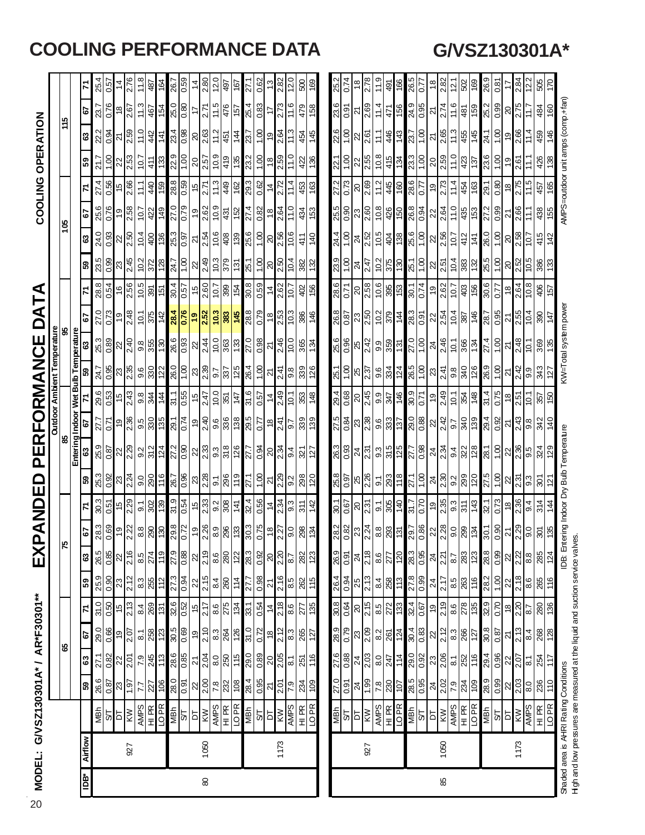# 20301\*\* G/VSZ130301A\* / AR\*F30301\*\*

# **COOLING PERFORMANCE DATA G/VSZ130301A\***

|                    |         | MODEL: G/VSZ130301 A* / AR*F30301**                                          |                                            |                                           |                                               |                                                     |                                                 | $\bf \overline{\Sigma}$   | QNA<br>n                                                                                                                                                                                                                                               | ш                                                                                                                                                                                                                                                                                                                   |                                                                                                                                                                                                                                                                                                                                                                                           | $\overline{\mathbf{K}}$<br>II<br>A    | FORM                                          | ৰ                                       | $\overline{\mathbf{C}}$                                                                                                                                                   | ш                                                                                   | <b>DATA</b>                                                        |                                                                                                                       |                                              |                     |                             |                                        | COOLING OPERATION                                                       |                         |                            |
|--------------------|---------|------------------------------------------------------------------------------|--------------------------------------------|-------------------------------------------|-----------------------------------------------|-----------------------------------------------------|-------------------------------------------------|---------------------------|--------------------------------------------------------------------------------------------------------------------------------------------------------------------------------------------------------------------------------------------------------|---------------------------------------------------------------------------------------------------------------------------------------------------------------------------------------------------------------------------------------------------------------------------------------------------------------------|-------------------------------------------------------------------------------------------------------------------------------------------------------------------------------------------------------------------------------------------------------------------------------------------------------------------------------------------------------------------------------------------|---------------------------------------|-----------------------------------------------|-----------------------------------------|---------------------------------------------------------------------------------------------------------------------------------------------------------------------------|-------------------------------------------------------------------------------------|--------------------------------------------------------------------|-----------------------------------------------------------------------------------------------------------------------|----------------------------------------------|---------------------|-----------------------------|----------------------------------------|-------------------------------------------------------------------------|-------------------------|----------------------------|
|                    |         |                                                                              |                                            |                                           | 65                                            |                                                     |                                                 | $\frac{2}{5}$             |                                                                                                                                                                                                                                                        |                                                                                                                                                                                                                                                                                                                     |                                                                                                                                                                                                                                                                                                                                                                                           |                                       |                                               | <b>Outdoor Ambient Temperature</b>      |                                                                                                                                                                           |                                                                                     |                                                                    |                                                                                                                       |                                              |                     |                             |                                        |                                                                         |                         |                            |
|                    |         |                                                                              |                                            |                                           |                                               |                                                     |                                                 |                           |                                                                                                                                                                                                                                                        |                                                                                                                                                                                                                                                                                                                     |                                                                                                                                                                                                                                                                                                                                                                                           | 85                                    |                                               | Entering Indoor Wet Bulb Temperature    |                                                                                                                                                                           | 95                                                                                  |                                                                    |                                                                                                                       |                                              | 105                 |                             |                                        | 115                                                                     |                         |                            |
| ∣å<br>             | Airflow |                                                                              | 69                                         | 63                                        | 29                                            | 7                                                   | 65                                              | $\boldsymbol{\mathsf{3}}$ | 59                                                                                                                                                                                                                                                     | 77                                                                                                                                                                                                                                                                                                                  | 69                                                                                                                                                                                                                                                                                                                                                                                        | 63                                    | 2                                             |                                         | 8                                                                                                                                                                         | S                                                                                   | 5                                                                  | 69<br>71                                                                                                              | $\boldsymbol{\mathsf{3}}$                    | 5                   | 7                           | 69                                     | $\boldsymbol{\mathrm{3}}$                                               | 29                      |                            |
|                    |         | MBh                                                                          | 26.6                                       | 27.1                                      | 29.0                                          | 31.0                                                | 25.9                                            | 26.5                      | 28.3                                                                                                                                                                                                                                                   | 30.3                                                                                                                                                                                                                                                                                                                | 25.3                                                                                                                                                                                                                                                                                                                                                                                      | 25.9                                  | 27.7                                          | 29.6                                    | 24.7                                                                                                                                                                      | 25.3                                                                                | 27.0                                                               | 23.5<br>28.8                                                                                                          | 24.0                                         | 25.6                | 27.4                        | 21.7                                   |                                                                         | 23.7                    | 25.4                       |
|                    |         | <u>일</u>                                                                     | 0.87                                       | 0.82                                      | 0.66                                          | 0.50                                                | 0.90                                            |                           |                                                                                                                                                                                                                                                        | 0.51                                                                                                                                                                                                                                                                                                                | 0.92                                                                                                                                                                                                                                                                                                                                                                                      | 0.87                                  | 0.71                                          | 0.53                                    | 0.95                                                                                                                                                                      |                                                                                     | 0.73                                                               | 0.99<br>0.54                                                                                                          | 0.93                                         | 0.76                | 0.56                        | 1.00                                   | 0.94                                                                    | 0.76                    | 0.57                       |
|                    |         | ÞГ                                                                           | $\frac{23}{1.97}$                          | $\frac{2}{2}$ $\frac{2}{2}$ $\frac{2}{2}$ | é,                                            | 15                                                  | ಔ                                               |                           |                                                                                                                                                                                                                                                        | 15                                                                                                                                                                                                                                                                                                                  | ន $\frac{3}{24}$ ទ                                                                                                                                                                                                                                                                                                                                                                        | $\frac{22}{20}$                       | $\overline{6}$                                | 45                                      |                                                                                                                                                                           | $\frac{1}{2}$ $\frac{1}{2}$ $\frac{1}{2}$ $\frac{1}{2}$ $\frac{1}{2}$ $\frac{1}{2}$ | စ္                                                                 | ಔ                                                                                                                     | 2                                            | 6                   | 45                          | 22                                     | 2                                                                       | $\frac{8}{1}$           | $\dot{z}$                  |
|                    | 927     |                                                                              | $\frac{1}{7}$                              |                                           | $\frac{2.07}{8.1}$                            |                                                     | $\frac{2.12}{8.3}$                              | $\frac{2.16}{8.5}$        |                                                                                                                                                                                                                                                        | $\frac{2.29}{9.1}$                                                                                                                                                                                                                                                                                                  |                                                                                                                                                                                                                                                                                                                                                                                           |                                       | $rac{9.5}{9.5}$                               | $\frac{8}{9.8}$                         |                                                                                                                                                                           |                                                                                     |                                                                    | 2.56                                                                                                                  | $\frac{2.50}{10.4}$                          | 2.58                | 2.66<br>11.1                | 2.53                                   | 2.59<br>11.0                                                            | $\frac{2.67}{11.3}$     | 276<br>2<br>11.8           |
|                    |         | $\frac{\frac{KW}{4000}}{\frac{1}{200}}$                                      |                                            |                                           |                                               | $\frac{2}{\sqrt{3}}\left \frac{1}{\sqrt{3}}\right $ |                                                 |                           | $^{69}_{12}$ $^{12}_{12}$ $^{12}_{13}$ $^{12}_{13}$ $^{12}_{13}$ $^{12}_{12}$ $^{12}_{12}$ $^{12}_{13}$ $^{12}_{13}$ $^{12}_{13}$ $^{12}_{13}$ $^{12}_{13}$ $^{12}_{13}$ $^{12}_{13}$ $^{12}_{13}$ $^{12}_{13}$ $^{12}_{13}$ $^{12}_{13}$ $^{12}_{13}$ |                                                                                                                                                                                                                                                                                                                     |                                                                                                                                                                                                                                                                                                                                                                                           |                                       |                                               |                                         |                                                                                                                                                                           |                                                                                     | <u>န္ပိုင္ပိုင္ကန္ဒြ<mark>န္</mark>က မြန္လိုင္ပိုင္ကိုင္ကန္</u> ကြ | <u>မျိုးပြီး မြို့မြို့မျိုးပြီး မြို့</u>                                                                            |                                              |                     |                             | 41                                     | 442                                                                     | 467                     |                            |
|                    |         |                                                                              |                                            |                                           |                                               |                                                     |                                                 |                           |                                                                                                                                                                                                                                                        | $\begin{array}{c}\n 302 \\  -32\n \end{array}$                                                                                                                                                                                                                                                                      |                                                                                                                                                                                                                                                                                                                                                                                           |                                       |                                               | $\frac{14}{4}$                          |                                                                                                                                                                           |                                                                                     |                                                                    | $\frac{5}{15}$                                                                                                        |                                              |                     |                             | 133                                    |                                                                         |                         |                            |
|                    |         |                                                                              | $\frac{27}{8}$ $\frac{8}{8}$ $\frac{5}{8}$ | 245<br>113<br>28.6                        | 88 38 58                                      |                                                     | $\frac{18}{27}$ $\frac{12}{27}$ $\frac{12}{27}$ | $\frac{274}{119}$         |                                                                                                                                                                                                                                                        |                                                                                                                                                                                                                                                                                                                     | $\frac{1}{8}$ $\frac{1}{8}$ $\frac{1}{8}$ $\frac{1}{8}$ $\frac{1}{8}$ $\frac{1}{8}$ $\frac{1}{8}$ $\frac{1}{8}$ $\frac{1}{8}$ $\frac{1}{8}$                                                                                                                                                                                                                                               | <u> ဗ္ဗိုဒ္ဓုဗြိုဒ္ဓုမြိုဒ္ဓုမြို</u> | $\frac{25}{35}$ $\frac{1}{25}$ $\frac{1}{25}$ |                                         |                                                                                                                                                                           | <u>န္တြန္ မွန္တြန္ (၁) မွန္တြန္</u>                                                 |                                                                    |                                                                                                                       | ခ <mark>ွ </mark> ္ဗ ္ဟူး  ေ  ဒူ  ခွ  ခွ  ခွ |                     | $rac{40}{158}$ $rac{8}{20}$ |                                        | $rac{4}{2}$ $rac{4}{2}$ $rac{8}{2}$ $rac{8}{2}$ $rac{8}{2}$ $rac{8}{2}$ | $\frac{3}{56}$          | <b>487</b><br>26.7<br>26.7 |
|                    |         | $\frac{20}{37}$                                                              |                                            |                                           |                                               |                                                     |                                                 |                           |                                                                                                                                                                                                                                                        | $\frac{1}{2}$ $\frac{1}{2}$ $\frac{1}{2}$ $\frac{1}{2}$ $\frac{1}{2}$ $\frac{1}{2}$ $\frac{1}{2}$ $\frac{1}{2}$ $\frac{1}{2}$ $\frac{1}{2}$ $\frac{1}{2}$ $\frac{1}{2}$ $\frac{1}{2}$ $\frac{1}{2}$ $\frac{1}{2}$ $\frac{1}{2}$ $\frac{1}{2}$ $\frac{1}{2}$ $\frac{1}{2}$ $\frac{1}{2}$ $\frac{1}{2}$ $\frac{1}{2}$ |                                                                                                                                                                                                                                                                                                                                                                                           |                                       |                                               | $\frac{31.1}{0.55}$                     |                                                                                                                                                                           |                                                                                     |                                                                    | $\frac{35}{25}$ $\frac{15}{25}$ $\frac{15}{25}$ $\frac{15}{25}$ $\frac{15}{25}$                                       |                                              |                     |                             | $\frac{2.9}{1.00}$ $\frac{2.57}{2.57}$ |                                                                         |                         |                            |
|                    |         | יםו                                                                          |                                            | 21                                        |                                               | $\frac{5}{2}$                                       | 22                                              |                           |                                                                                                                                                                                                                                                        |                                                                                                                                                                                                                                                                                                                     |                                                                                                                                                                                                                                                                                                                                                                                           |                                       |                                               |                                         |                                                                                                                                                                           |                                                                                     |                                                                    |                                                                                                                       |                                              |                     | 15                          |                                        |                                                                         | 17                      | $\dot{4}$                  |
| $\pmb{\mathbb{S}}$ | 1050    | KW                                                                           | $\frac{28}{200}$                           | 2.04                                      | $\frac{9}{210}$                               | 2.17                                                | 2.15                                            | $\frac{22}{2.19}$         |                                                                                                                                                                                                                                                        |                                                                                                                                                                                                                                                                                                                     |                                                                                                                                                                                                                                                                                                                                                                                           |                                       | <u>ခု ခြို့မွေမြို့</u>                       | $\frac{15}{2.47}$                       |                                                                                                                                                                           |                                                                                     |                                                                    |                                                                                                                       |                                              |                     | $\frac{1}{2}$               |                                        |                                                                         | $\frac{1}{27}$          | 2.80                       |
|                    |         | $\frac{\overline{AMPS}}{ \overline{H} }$                                     |                                            | $rac{9}{250}$                             | $rac{8.3}{281}$                               | $\frac{8.6}{275}$                                   | 8.4                                             | $8.6\,$                   |                                                                                                                                                                                                                                                        |                                                                                                                                                                                                                                                                                                                     |                                                                                                                                                                                                                                                                                                                                                                                           |                                       |                                               | $rac{100}{351}$                         |                                                                                                                                                                           |                                                                                     |                                                                    |                                                                                                                       |                                              |                     | 11.3                        | 10.9                                   | 11.2                                                                    | 11.5                    | 12.0                       |
|                    |         |                                                                              |                                            |                                           |                                               |                                                     | 260                                             | 280                       |                                                                                                                                                                                                                                                        | 308                                                                                                                                                                                                                                                                                                                 |                                                                                                                                                                                                                                                                                                                                                                                           |                                       |                                               |                                         |                                                                                                                                                                           |                                                                                     |                                                                    |                                                                                                                       |                                              | $rac{43}{52}$       | 449                         | 614                                    | 451                                                                     | 476                     | L64                        |
|                    |         | LO <sub>PR</sub>                                                             |                                            |                                           |                                               | 134                                                 | 114                                             | 122                       |                                                                                                                                                                                                                                                        | 141                                                                                                                                                                                                                                                                                                                 |                                                                                                                                                                                                                                                                                                                                                                                           |                                       |                                               | $\frac{147}{3}$                         |                                                                                                                                                                           |                                                                                     |                                                                    |                                                                                                                       |                                              |                     | $\frac{1}{2}$               | 135                                    | 144                                                                     | 157                     | $\frac{167}{2}$            |
|                    |         | NBh                                                                          | 28.4                                       | 29.0                                      | 31.0                                          | 33.1                                                | 27.7                                            | $\frac{28.3}{ }$          |                                                                                                                                                                                                                                                        | 32.4                                                                                                                                                                                                                                                                                                                | 27.1                                                                                                                                                                                                                                                                                                                                                                                      | 7.7                                   | 29.5                                          | 31.6                                    | 26.4                                                                                                                                                                      | 27.0                                                                                | 8.82                                                               | 25.1<br>30.8                                                                                                          | 25.6                                         | 27.4                | 29.3                        | 23.2                                   | 23.7                                                                    | 25.4                    | 27.1                       |
|                    |         | <b>ST</b>                                                                    | 0.95                                       | 0.89                                      | 0.72                                          | 0.54                                                | 0.98                                            | 0.92                      |                                                                                                                                                                                                                                                        | 0.56                                                                                                                                                                                                                                                                                                                | 1.00                                                                                                                                                                                                                                                                                                                                                                                      | 0.94                                  | 0.77                                          | 0.57                                    | 1.00                                                                                                                                                                      | 0.98                                                                                | 0.79                                                               | 1.00<br>0.59                                                                                                          | 1.00                                         | 0.82                | 0.62                        | 1.00                                   | 1.00                                                                    | 0.83                    | 0.62                       |
|                    |         | đ                                                                            | 21                                         | 20                                        | $\frac{8}{2}$                                 | $\overline{4}$                                      | 21                                              | $\infty$                  |                                                                                                                                                                                                                                                        | $\overline{4}$                                                                                                                                                                                                                                                                                                      | $\overline{\mathcal{N}}$                                                                                                                                                                                                                                                                                                                                                                  | $\overline{20}$                       |                                               | $\frac{4}{3}$                           | $\overline{\mathcal{N}}$                                                                                                                                                  | ភ                                                                                   |                                                                    | $\approx$<br>$\frac{4}{3}$                                                                                            | $\rm 20$                                     | $\frac{8}{1}$       | $\overline{1}$              | $\frac{8}{1}$                          | $\overline{9}$                                                          |                         |                            |
|                    | 1173    | <b>MX</b>                                                                    | 2.01                                       | 2.05                                      | 2.12                                          | 2.18                                                | 2.16                                            | 2.20                      |                                                                                                                                                                                                                                                        | 2.34                                                                                                                                                                                                                                                                                                                | 2.29                                                                                                                                                                                                                                                                                                                                                                                      | 2.34                                  | $\frac{18}{241}$                              | 2.49                                    | 2.41                                                                                                                                                                      | 2.46                                                                                | $\frac{18}{2.53}$                                                  | 2.50<br>2.62                                                                                                          | 2.56                                         | 2.64                | 2.72                        | 2.59                                   | 2.64                                                                    | 2.73                    | 2.82                       |
|                    |         |                                                                              | 7.9                                        | $\frac{1}{8}$ $\frac{1}{8}$               | $\frac{83}{265}$                              | $\frac{65}{27}$                                     |                                                 |                           |                                                                                                                                                                                                                                                        | 9.3                                                                                                                                                                                                                                                                                                                 | $\frac{3}{28}$                                                                                                                                                                                                                                                                                                                                                                            | 9.4                                   |                                               | $\frac{10.1}{353}$                      | $\frac{9.8}{339}$                                                                                                                                                         | $\frac{ 5 }{28}$                                                                    | $\frac{3}{10.3}$                                                   | 10.7                                                                                                                  | 10.6                                         | 11.0                | $\frac{14}{114}$            | 11.0                                   | 13                                                                      | 11.6                    | 12.0                       |
|                    |         | $\frac{\text{AMPS}}{\text{HIR}}$                                             | 234                                        |                                           |                                               |                                                     | $rac{5}{262}$                                   | $rac{87}{282}$            |                                                                                                                                                                                                                                                        | 311                                                                                                                                                                                                                                                                                                                 |                                                                                                                                                                                                                                                                                                                                                                                           | $\frac{321}{127}$                     | $rac{5}{38}$                                  |                                         |                                                                                                                                                                           |                                                                                     |                                                                    | $\frac{104}{382}$<br>402                                                                                              | 411                                          | $\frac{3}{2}$       | 453                         | $rac{22}{136}$                         | 454                                                                     | 479                     | 500                        |
|                    |         |                                                                              | 109                                        |                                           |                                               |                                                     | 115                                             |                           |                                                                                                                                                                                                                                                        | 142                                                                                                                                                                                                                                                                                                                 |                                                                                                                                                                                                                                                                                                                                                                                           |                                       |                                               | 148                                     | 126                                                                                                                                                                       |                                                                                     |                                                                    | 156                                                                                                                   | 140                                          |                     | 163                         |                                        | 145                                                                     | 158                     | 169                        |
|                    |         |                                                                              |                                            |                                           |                                               |                                                     |                                                 |                           |                                                                                                                                                                                                                                                        |                                                                                                                                                                                                                                                                                                                     |                                                                                                                                                                                                                                                                                                                                                                                           |                                       |                                               |                                         |                                                                                                                                                                           |                                                                                     |                                                                    |                                                                                                                       |                                              |                     |                             |                                        |                                                                         |                         |                            |
|                    |         | $\frac{MBh}{ST}$                                                             | 27.0                                       | 27.6                                      | 28.9                                          | 30.8                                                | 26.4                                            | 26.9                      | $\frac{28.2}{0.82}$                                                                                                                                                                                                                                    | 30.1                                                                                                                                                                                                                                                                                                                | $\frac{25.8}{0.97}$                                                                                                                                                                                                                                                                                                                                                                       |                                       | $\frac{27.5}{0.84}$                           | 29.4                                    |                                                                                                                                                                           | 25.6                                                                                | 26.8                                                               | $\frac{239}{1.00}$<br>$\frac{28.6}{0.71}$                                                                             | 24.4                                         | $\frac{25.5}{0.90}$ | 27.2                        | 22.1                                   | $\frac{22.6}{1.00}$                                                     | 23.6                    | 25.2                       |
|                    |         |                                                                              | 0.91                                       | 0.88                                      | 0.79                                          | 0.64                                                | 0.94                                            | 0.91                      |                                                                                                                                                                                                                                                        | 0.67                                                                                                                                                                                                                                                                                                                |                                                                                                                                                                                                                                                                                                                                                                                           | 26.3<br>0.93                          |                                               | 0.68                                    | $\frac{25.1}{1.00}$                                                                                                                                                       |                                                                                     | 0.87                                                               |                                                                                                                       | 1.00                                         |                     |                             | 1.00                                   |                                                                         | <b>L6</b> <sup>10</sup> | 0.74                       |
|                    |         | $\frac{1}{10}$                                                               | $\frac{3}{2}$                              | $\frac{24}{2.03}$                         | $\frac{23}{20}$                               | $\frac{20}{2.15}$                                   | $\frac{25}{2.13}$                               | $rac{24}{2.18}$           |                                                                                                                                                                                                                                                        | 02                                                                                                                                                                                                                                                                                                                  |                                                                                                                                                                                                                                                                                                                                                                                           |                                       |                                               |                                         | $\frac{25}{23}$                                                                                                                                                           |                                                                                     | $\frac{23}{2.50}$                                                  | $rac{24}{247}$                                                                                                        | $\frac{24}{2.52}$                            | $\frac{23}{2.60}$   | $\frac{20}{2.69}$           |                                        |                                                                         | $\frac{21}{20}$         |                            |
|                    | 927     |                                                                              |                                            |                                           |                                               |                                                     |                                                 |                           |                                                                                                                                                                                                                                                        | 2.31                                                                                                                                                                                                                                                                                                                | မ <mark>ျွ</mark> န္လုိ႕ မွန္လုိ႕                                                                                                                                                                                                                                                                                                                                                         | $ z $ $\frac{1}{2}$                   | ၛႜ <mark>ၛ</mark> ၟႜၛၛၟ                       | $\frac{20}{215}$                        |                                                                                                                                                                           | ရွေး  <br> ရွေး  ရွေး  ရွ                                                           |                                                                    | $\frac{20}{2.58}$                                                                                                     |                                              |                     |                             | 2.55                                   | 2.61                                                                    |                         | 2.78                       |
|                    |         | $\frac{1}{\sqrt{2}}\frac{1}{\sqrt{2}}$                                       | $\frac{8}{230}$                            | $\frac{80}{247}$                          | $\frac{82}{261}$                              | $\frac{8.5}{272}$                                   | 8.4                                             | 8.6                       |                                                                                                                                                                                                                                                        | $\frac{9.1}{305}$                                                                                                                                                                                                                                                                                                   |                                                                                                                                                                                                                                                                                                                                                                                           |                                       |                                               |                                         | $\frac{9.6}{334}$                                                                                                                                                         |                                                                                     | $\frac{10.2}{379}$                                                 | $\frac{28}{376}$                                                                                                      | $\frac{10.5}{404}$                           | $\frac{426}{426}$   | 11.2                        | 10.8                                   | 111                                                                     | 11.4                    | $\frac{5}{11}$             |
|                    |         |                                                                              |                                            |                                           |                                               |                                                     | 258                                             | <b>ZT7</b>                |                                                                                                                                                                                                                                                        |                                                                                                                                                                                                                                                                                                                     |                                                                                                                                                                                                                                                                                                                                                                                           |                                       |                                               |                                         |                                                                                                                                                                           |                                                                                     |                                                                    |                                                                                                                       |                                              |                     | 977                         | 415                                    | 446                                                                     | 471                     | $\frac{5}{3}$              |
|                    |         | <b>ISO</b>                                                                   | $-01$                                      | 114                                       | 124                                           | $ \mathbb{S} $                                      | 113                                             | 120                       |                                                                                                                                                                                                                                                        | <b>OF1</b>                                                                                                                                                                                                                                                                                                          |                                                                                                                                                                                                                                                                                                                                                                                           | 125                                   | 137                                           | 341                                     | 124                                                                                                                                                                       | 131                                                                                 | $\frac{4}{4}$                                                      | 153                                                                                                                   | 138                                          | 09                  | 160                         | 134                                    | 143                                                                     | 99                      | 991                        |
|                    |         | MBh                                                                          | 28.5<br>0.95                               | 29.0                                      | 30.4                                          | 32.4                                                | 27.8                                            | 28.3                      |                                                                                                                                                                                                                                                        | 31.7                                                                                                                                                                                                                                                                                                                | 27.1<br>1.00                                                                                                                                                                                                                                                                                                                                                                              | 27.7                                  | 29.0                                          | 30.9                                    | 8.5                                                                                                                                                                       | 1.00                                                                                | $\frac{28.3}{0.91}$                                                | $\frac{25.1}{1.00}$<br>30.1                                                                                           | $\frac{166}{128}$ $\frac{126}{128}$          | 26.8                | $\frac{28.6}{0.77}$         | 23.3<br>1.00                           | 23.7                                                                    | 24.9<br>0.95            | 26.5                       |
|                    |         | <u>रु</u>                                                                    |                                            |                                           | 0.83                                          | 0.67                                                |                                                 |                           |                                                                                                                                                                                                                                                        | 0.70                                                                                                                                                                                                                                                                                                                |                                                                                                                                                                                                                                                                                                                                                                                           |                                       |                                               | 0.71                                    |                                                                                                                                                                           |                                                                                     |                                                                    | 0.74                                                                                                                  |                                              | 0.94                |                             |                                        | 1.00                                                                    |                         | $\overline{0.7}$           |
|                    |         | Īа                                                                           | $\frac{24}{2.02}$                          | $\frac{23}{2.06}$                         | $\frac{22}{2.12}$                             | $\overline{9}$                                      | $\frac{24}{2.17}$                               | 24                        |                                                                                                                                                                                                                                                        | $\overline{9}$                                                                                                                                                                                                                                                                                                      |                                                                                                                                                                                                                                                                                                                                                                                           | $\frac{24}{2.34}$                     |                                               | $\overline{0}$                          | $\frac{23}{241}$                                                                                                                                                          | $\frac{24}{2.46}$                                                                   |                                                                    | $\frac{25}{15}$<br>$\overline{0}$                                                                                     |                                              | $\frac{22}{2.64}$   | $\frac{19}{2.73}$           | $\frac{20}{2.59}$                      | $\overline{21}$                                                         | $\frac{21}{2.74}$       | $\frac{8}{3}$              |
| 85                 | 1050    | KW                                                                           |                                            |                                           |                                               | 2.19                                                |                                                 | 2.21                      |                                                                                                                                                                                                                                                        | 2.35                                                                                                                                                                                                                                                                                                                |                                                                                                                                                                                                                                                                                                                                                                                           |                                       |                                               | 2.49                                    |                                                                                                                                                                           |                                                                                     |                                                                    | 2.62                                                                                                                  |                                              |                     |                             |                                        | 2.65                                                                    |                         | 2.82                       |
|                    |         | AMPS<br>HI PR                                                                | $\frac{7.9}{234}$                          | $rac{1}{252}$                             |                                               | $rac{6}{278}$                                       | $rac{5}{260}$                                   | $rac{7}{283}$             |                                                                                                                                                                                                                                                        | $\frac{9.3}{311}$                                                                                                                                                                                                                                                                                                   |                                                                                                                                                                                                                                                                                                                                                                                           |                                       |                                               |                                         |                                                                                                                                                                           | $\frac{10.1}{366}$                                                                  |                                                                    | 10.7                                                                                                                  | 10.7                                         | 11.0                | 11.4                        | 11.0                                   | $\frac{11.3}{455}$                                                      | 11.6                    | 12.1                       |
|                    |         |                                                                              |                                            |                                           | $rac{26}{28}$                                 |                                                     |                                                 |                           |                                                                                                                                                                                                                                                        |                                                                                                                                                                                                                                                                                                                     | $ z  \frac{1}{2} \frac{1}{2} \frac{1}{2} \frac{1}{2} \frac{1}{2} \frac{1}{2} \frac{1}{2} \frac{1}{2} \frac{1}{2} \frac{1}{2} \frac{1}{2} \frac{1}{2} \frac{1}{2} \frac{1}{2} \frac{1}{2} \frac{1}{2} \frac{1}{2} \frac{1}{2} \frac{1}{2} \frac{1}{2} \frac{1}{2} \frac{1}{2} \frac{1}{2} \frac{1}{2} \frac{1}{2} \frac{1}{2} \frac{1}{2} \frac{1}{2} \frac{1}{2} \frac{1}{2} \frac{1}{2}$ | $\frac{3}{28}$                        | $ s _2^2$ $ s _2^2$                           | $rac{2}{3}$ $\frac{1}{3}$ $\frac{1}{3}$ | $rac{8}{3}$ $\frac{8}{12}$                                                                                                                                                |                                                                                     | $ S  \cong  S  \cong  S $                                          | $rac{2}{5}$ $\frac{8}{3}$ $\frac{5}{2}$<br>403                                                                        | 412                                          | $\frac{45}{15}$     | 454                         | <b>EZP</b>                             |                                                                         | 481                     |                            |
|                    |         | LO <sub>PR</sub>                                                             | 109                                        | 116                                       |                                               | 135                                                 | 116                                             | 123                       |                                                                                                                                                                                                                                                        | 143                                                                                                                                                                                                                                                                                                                 |                                                                                                                                                                                                                                                                                                                                                                                           |                                       |                                               |                                         |                                                                                                                                                                           | 134                                                                                 |                                                                    | 156                                                                                                                   | 141                                          |                     | 163                         | -137                                   | 145                                                                     | 159                     | 69                         |
|                    |         | <b>MBh</b>                                                                   | 28.9                                       | 29.4                                      | 808                                           | 32.9                                                | 28.2                                            | 28.8                      | $ 32\rangle_{\!\!13}^2$ $ 33\rangle_{\!\!15}$ $ 53\rangle_{\!\!18}$ $ 83\rangle_{\!\!18}$ $ 33\rangle_{\!\!18}$ $ 33\rangle_{\!\!15}$ $ 53\rangle_{\!\!18}$ $ 53\rangle_{\!\!18}$ $ 53\rangle_{\!\!18}$                                                | $\frac{32.1}{0.73}$                                                                                                                                                                                                                                                                                                 |                                                                                                                                                                                                                                                                                                                                                                                           | 28.1                                  | 29.4                                          | 31.4                                    | 26.9                                                                                                                                                                      | 27.4                                                                                | 28.7                                                               | 25.5<br>30.6                                                                                                          | 26.0                                         | 27.2                | 29.1                        | 23.6                                   | 24.1                                                                    | 25.2                    | 26.9                       |
|                    |         | 25                                                                           |                                            | $\frac{0.96}{22}$                         | 0.87                                          | 0.70                                                | 1.00                                            | 0.99                      |                                                                                                                                                                                                                                                        |                                                                                                                                                                                                                                                                                                                     | $\frac{8}{2}$                                                                                                                                                                                                                                                                                                                                                                             |                                       | 0.92                                          | 0.75                                    | $\frac{1.00}{21}$                                                                                                                                                         | 1.00                                                                                | 0.95                                                               | 777                                                                                                                   | $rac{2}{20}$                                 | 0.99                | $\frac{80}{18}$             | 1.00                                   | $rac{6}{19}$                                                            | 0.99                    | 0.81                       |
|                    |         | $\overline{D}$                                                               | $\frac{8}{2}$                              |                                           | $\overline{\mathcal{Z}}$                      | $\frac{8}{3}$                                       | $\approx$                                       | $\approx$                 |                                                                                                                                                                                                                                                        | $\frac{8}{3}$                                                                                                                                                                                                                                                                                                       |                                                                                                                                                                                                                                                                                                                                                                                           | ခြုံး မြွှံ့ မြွှံ့ မြွှံ့            | $\overline{\mathcal{N}}$                      | 18                                      |                                                                                                                                                                           | $\overline{z}$                                                                      | $\approx$                                                          | $\frac{1}{2}$ $\frac{1}{2}$ $\frac{1}{2}$ $\frac{1}{2}$ $\frac{1}{2}$ $\frac{1}{2}$ $\frac{1}{2}$ $\frac{1}{2}$<br>18 |                                              | $\overline{21}$     |                             | $\overline{0}$                         |                                                                         | $\overline{20}$         | 17                         |
|                    | 1173    | <b>KINES</b>                                                                 | $\frac{2.03}{8.0}$                         | $\frac{51}{10}$<br>$\frac{1}{20}$         | $\frac{21}{18}$ $\frac{8}{18}$ $\frac{8}{12}$ | $\frac{2.20}{8.7}$ $\frac{8}{2.80}$                 | $\frac{2.18}{8.6}$                              | $\frac{2.22}{8.8}$        |                                                                                                                                                                                                                                                        | 2.36                                                                                                                                                                                                                                                                                                                | $\frac{2.31}{9.3}$                                                                                                                                                                                                                                                                                                                                                                        |                                       | $rac{3}{9}$                                   | $\frac{2.57}{10.1}$                     | $rac{66}{10}$                                                                                                                                                             | $rac{48}{101}$                                                                      | $\frac{5.55}{10.4}$                                                | $\frac{1}{2} \frac{1}{2} \frac{1}{2} \frac{1}{2} \frac{1}{2} \frac{1}{2}$                                             | $\frac{2.58}{10.7}$                          | 2.66                | 2.75                        | 2.61                                   | 2.66                                                                    | 2.75                    | 2.84                       |
|                    |         |                                                                              |                                            |                                           |                                               |                                                     |                                                 |                           |                                                                                                                                                                                                                                                        | 9.4                                                                                                                                                                                                                                                                                                                 |                                                                                                                                                                                                                                                                                                                                                                                           |                                       |                                               |                                         |                                                                                                                                                                           |                                                                                     |                                                                    |                                                                                                                       |                                              | E                   | $-11.5$                     | Ξ                                      | 11.4                                                                    | $\frac{1}{11}$          | 12.2                       |
|                    |         | H <sub>E</sub>                                                               | $\frac{86}{11}$                            |                                           |                                               |                                                     |                                                 |                           |                                                                                                                                                                                                                                                        | 314                                                                                                                                                                                                                                                                                                                 | $\overline{5}$                                                                                                                                                                                                                                                                                                                                                                            |                                       | $\frac{3}{40}$                                | ន្ត្រីន្ទ្រ                             | $\frac{3}{3}$                                                                                                                                                             | 389                                                                                 |                                                                    |                                                                                                                       | $\frac{415}{142}$                            | 438                 | 457                         | 426                                    | 459                                                                     | 484                     | $rac{505}{170}$            |
|                    |         | <b>DPR</b>                                                                   |                                            |                                           |                                               |                                                     |                                                 |                           |                                                                                                                                                                                                                                                        |                                                                                                                                                                                                                                                                                                                     | $\frac{5}{2}$                                                                                                                                                                                                                                                                                                                                                                             |                                       |                                               |                                         | $\overline{127}$                                                                                                                                                          |                                                                                     | 弁                                                                  |                                                                                                                       |                                              | 155                 | 165                         | 138                                    | 146                                                                     | 160                     |                            |
|                    |         | Shaded area is AHRI Rating Conditions                                        |                                            |                                           |                                               |                                                     |                                                 |                           |                                                                                                                                                                                                                                                        |                                                                                                                                                                                                                                                                                                                     | IDB: Entering Indoor Dry Bulb Temperature                                                                                                                                                                                                                                                                                                                                                 |                                       |                                               |                                         | <w=total power<="" system="" td=""><td></td><td></td><td></td><td></td><td></td><td></td><td></td><td>MPS=outdo or unit amps (comp.+fan)</td><td></td><td></td></w=total> |                                                                                     |                                                                    |                                                                                                                       |                                              |                     |                             |                                        | MPS=outdo or unit amps (comp.+fan)                                      |                         |                            |
|                    |         | High and low pressures are measured at the liquid and suction service valves |                                            |                                           |                                               |                                                     |                                                 |                           |                                                                                                                                                                                                                                                        |                                                                                                                                                                                                                                                                                                                     |                                                                                                                                                                                                                                                                                                                                                                                           |                                       |                                               |                                         |                                                                                                                                                                           |                                                                                     |                                                                    |                                                                                                                       |                                              |                     |                             |                                        |                                                                         |                         |                            |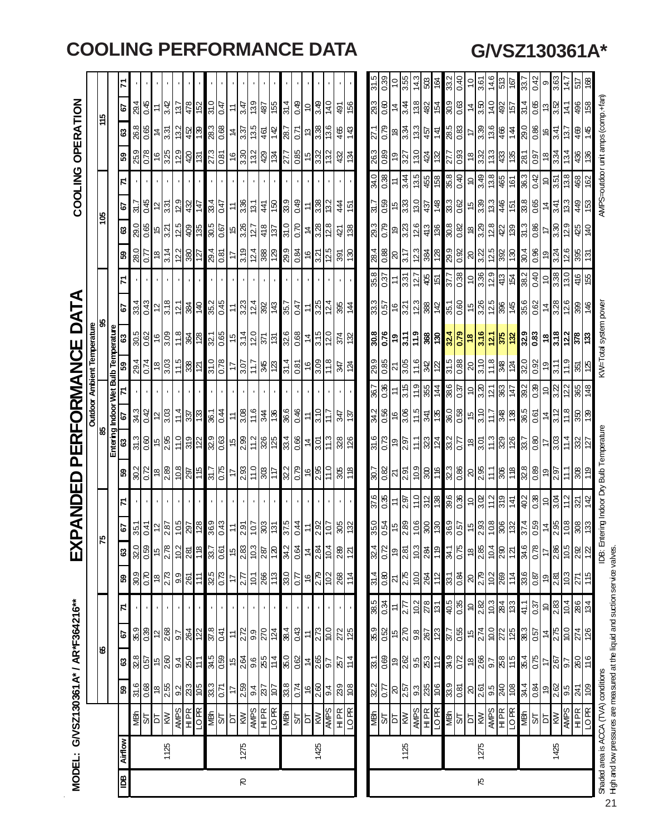|                     | MODEL: G/VSZ130361A* / AR*F364216**                                          |                                      |                                           |                                                                                                                               |                                                  |                           |                     | 只                                                                                                                                                         |                                                                                                                                                                         | PANDED                                                                  |                                                                                                          |                                                                                 |                                                                                                                                  |                          | <b>PERFORMANCE</b>                                       | DATA                                           |                               |                                                     |                                     |                                                                                                                  |                                                                                | COOLING OPERATION                 |                                                                                                       |                          |                    |
|---------------------|------------------------------------------------------------------------------|--------------------------------------|-------------------------------------------|-------------------------------------------------------------------------------------------------------------------------------|--------------------------------------------------|---------------------------|---------------------|-----------------------------------------------------------------------------------------------------------------------------------------------------------|-------------------------------------------------------------------------------------------------------------------------------------------------------------------------|-------------------------------------------------------------------------|----------------------------------------------------------------------------------------------------------|---------------------------------------------------------------------------------|----------------------------------------------------------------------------------------------------------------------------------|--------------------------|----------------------------------------------------------|------------------------------------------------|-------------------------------|-----------------------------------------------------|-------------------------------------|------------------------------------------------------------------------------------------------------------------|--------------------------------------------------------------------------------|-----------------------------------|-------------------------------------------------------------------------------------------------------|--------------------------|--------------------|
|                     |                                                                              |                                      |                                           |                                                                                                                               |                                                  |                           |                     |                                                                                                                                                           |                                                                                                                                                                         |                                                                         |                                                                                                          |                                                                                 | <b>Cutdoor Arnbient Temperature</b><br>Outdoor Arnbient Temperature<br>95                                                        |                          |                                                          |                                                |                               |                                                     |                                     |                                                                                                                  |                                                                                |                                   |                                                                                                       |                          |                    |
|                     |                                                                              |                                      |                                           | 65                                                                                                                            |                                                  |                           |                     |                                                                                                                                                           |                                                                                                                                                                         |                                                                         |                                                                                                          | 88                                                                              |                                                                                                                                  |                          |                                                          |                                                |                               |                                                     |                                     | 405                                                                                                              |                                                                                |                                   | $\frac{511}{21}$                                                                                      |                          |                    |
|                     |                                                                              |                                      |                                           |                                                                                                                               |                                                  |                           |                     |                                                                                                                                                           |                                                                                                                                                                         |                                                                         |                                                                                                          |                                                                                 | Entering Indoor Wet Bulb Temperature<br>63           67          71       59            63                                       |                          |                                                          |                                                |                               |                                                     |                                     |                                                                                                                  |                                                                                |                                   |                                                                                                       |                          |                    |
| Bal                 | <b>Airflow</b>                                                               |                                      | Sa                                        | S                                                                                                                             | 2                                                | Z                         | 59                  | $\boldsymbol{\mathbb{S}}$                                                                                                                                 | 67                                                                                                                                                                      | 7                                                                       | 59                                                                                                       |                                                                                 |                                                                                                                                  |                          |                                                          | 57                                             | 7                             | 59                                                  | $\boldsymbol{\mathbb{S}}$           | <b>G</b>                                                                                                         | 7                                                                              | 59                                | $\pmb{\mathbb{S}}$                                                                                    | ŕ<br><b>G</b>            |                    |
|                     |                                                                              | 휘의질                                  | 31.6                                      | $\frac{32.8}{0.57}$                                                                                                           | 35.9                                             |                           | $\frac{30.9}{0.70}$ | $\frac{32.0}{0.59}$                                                                                                                                       | $\frac{351}{941}$                                                                                                                                                       |                                                                         | $\frac{3}{20}$                                                                                           |                                                                                 | <u>ြို့မျှ မျှ မျှ</u>                                                                                                           |                          | $\frac{30.5}{0.62}$<br>29.4                              | $\frac{33.4}{0.43}$                            |                               | $\frac{28.0}{0.77}$                                 | $\frac{290}{0.65}$                  | 7.15                                                                                                             |                                                                                | 25.9                              | 26.8                                                                                                  | $\frac{29.4}{0.45}$      |                    |
|                     |                                                                              |                                      | 0.68                                      |                                                                                                                               |                                                  |                           |                     |                                                                                                                                                           |                                                                                                                                                                         |                                                                         |                                                                                                          |                                                                                 |                                                                                                                                  |                          |                                                          |                                                |                               |                                                     |                                     | 94.0                                                                                                             |                                                                                | 0.78                              |                                                                                                       |                          |                    |
|                     |                                                                              |                                      | $\frac{8}{16}$                            | Ś,                                                                                                                            | $\overline{c}$                                   |                           | $\frac{8}{3}$       |                                                                                                                                                           | 12                                                                                                                                                                      |                                                                         |                                                                                                          |                                                                                 |                                                                                                                                  |                          | $\frac{8}{18}$                                           | $\overline{12}$<br>$\frac{9}{5}$               |                               | 8 <sub>1</sub>                                      | 9                                   | $\overline{c}$                                                                                                   |                                                                                | $\overline{0}$                    | $\overline{4}$                                                                                        | $\overline{11}$          |                    |
|                     | 1125                                                                         |                                      | 2.55                                      | 2.60                                                                                                                          | $\frac{8}{2}$                                    |                           | $\frac{1}{2}$       | 2.78                                                                                                                                                      |                                                                                                                                                                         |                                                                         |                                                                                                          |                                                                                 |                                                                                                                                  |                          | 3.09<br>3.03                                             | 3.18                                           |                               | 3.14                                                |                                     | $\overline{3.31}$                                                                                                |                                                                                | 325                               | $\frac{5}{3}$                                                                                         | 3.42                     |                    |
|                     |                                                                              | AMPS<br>HIPR<br>LOPR                 | $\frac{9}{23}$                            | $\frac{94}{85}$                                                                                                               | 9.7                                              |                           | 9.9                 | 10.2                                                                                                                                                      | $\frac{25}{25}$                                                                                                                                                         |                                                                         | 8 8 8 15                                                                                                 | $\frac{25}{25}$ $\frac{12}{25}$ $\frac{12}{25}$ $\frac{12}{25}$ $\frac{12}{25}$ | 11.4                                                                                                                             |                          | 11.5                                                     | $\frac{51}{28}$ 용<br>11.8                      |                               | $\frac{2}{2}$ $\frac{8}{2}$ $\frac{5}{2}$           | <u>ဗြိုဒ္ဓုခြံခြံခြံမြံမြို့</u>    | 12.9                                                                                                             |                                                                                | 12.9                              | $\frac{22}{32}$                                                                                       | 13.7                     |                    |
|                     |                                                                              |                                      |                                           |                                                                                                                               |                                                  |                           | $\frac{267}{11}$    |                                                                                                                                                           |                                                                                                                                                                         |                                                                         |                                                                                                          |                                                                                 |                                                                                                                                  |                          |                                                          |                                                |                               |                                                     |                                     |                                                                                                                  |                                                                                |                                   |                                                                                                       |                          |                    |
|                     |                                                                              |                                      |                                           |                                                                                                                               | 264                                              |                           |                     | $\frac{281}{18}$                                                                                                                                          |                                                                                                                                                                         |                                                                         |                                                                                                          |                                                                                 | $\frac{37}{13}$                                                                                                                  |                          | 364<br>$\frac{88}{2}$                                    |                                                |                               |                                                     |                                     | 432                                                                                                              |                                                                                | $rac{420}{121}$                   |                                                                                                       | 478                      |                    |
|                     |                                                                              | 활일일                                  | $\frac{23.3}{0.71}$                       | 34.5                                                                                                                          |                                                  |                           |                     |                                                                                                                                                           | 36.9                                                                                                                                                                    |                                                                         |                                                                                                          |                                                                                 | 36.1                                                                                                                             |                          | 32.1                                                     | 35.2                                           |                               |                                                     |                                     | $\frac{33.4}{0.47}$                                                                                              |                                                                                |                                   | 28.3                                                                                                  | $\frac{31.0}{0.47}$      |                    |
|                     |                                                                              |                                      |                                           |                                                                                                                               | $\frac{37.8}{0.41}$                              |                           | $\frac{875}{0.73}$  | $rac{33.7}{0.61}$                                                                                                                                         |                                                                                                                                                                         |                                                                         | <b>S1.7</b>                                                                                              |                                                                                 |                                                                                                                                  |                          | $rac{31.0}{0.78}$                                        |                                                |                               | 29.4                                                |                                     |                                                                                                                  |                                                                                | $\frac{27.3}{0.81}$               |                                                                                                       |                          |                    |
|                     |                                                                              |                                      |                                           |                                                                                                                               | $\overline{\tau}$                                |                           | 17                  |                                                                                                                                                           | $\overline{z}$                                                                                                                                                          |                                                                         |                                                                                                          |                                                                                 |                                                                                                                                  | 17                       |                                                          | $\overline{\mathbb{H}}$                        |                               |                                                     |                                     | $\overleftarrow{\tau}$                                                                                           |                                                                                |                                   |                                                                                                       | $\div$                   |                    |
| $\mathcal{R}% _{0}$ | 1275                                                                         |                                      | $\frac{5}{25}$                            | $\frac{15}{26}$                                                                                                               | 272                                              |                           | 27                  | $\frac{15}{2.83}$                                                                                                                                         | 2.91                                                                                                                                                                    |                                                                         |                                                                                                          |                                                                                 | $=$ $\frac{5}{3}$                                                                                                                | 3.07                     | $\frac{15}{3.14}$                                        | 323                                            |                               | $\frac{17}{3.19}$                                   |                                     | 3.36                                                                                                             |                                                                                | $\frac{16}{3.30}$                 | $\frac{4}{3.37}$                                                                                      | 3.47                     |                    |
|                     |                                                                              |                                      | 69.4                                      |                                                                                                                               | 6.6                                              |                           | $\overline{101}$    | 10.3                                                                                                                                                      |                                                                                                                                                                         |                                                                         |                                                                                                          |                                                                                 | 11.6                                                                                                                             | $-11.7$                  |                                                          | $\frac{12.0}{371}$                             |                               |                                                     | 127                                 | 13.1                                                                                                             |                                                                                | 13.2                              | 13.5                                                                                                  | 13.9                     |                    |
|                     |                                                                              |                                      |                                           |                                                                                                                               | 270                                              |                           |                     | 787                                                                                                                                                       |                                                                                                                                                                         |                                                                         |                                                                                                          |                                                                                 | 344                                                                                                                              |                          |                                                          |                                                |                               |                                                     |                                     |                                                                                                                  |                                                                                |                                   |                                                                                                       |                          |                    |
|                     |                                                                              | AMPS<br>HIPR<br>LOPR                 | $\frac{237}{107}$                         | $rac{9.6}{255}$                                                                                                               | 124                                              |                           | $rac{50}{13}$       | 0z                                                                                                                                                        | $ \tilde{\Xi} $ ္တို့ဆ                                                                                                                                                  |                                                                         | <u> 다</u> 임금이 나                                                                                          | <u>ြစ္ကိုင္ကို မွာ အတြက္</u>                                                    | $\frac{8}{3}$                                                                                                                    |                          | $\frac{1}{2}$<br>$\frac{1}{28}$                          | $rac{4}{128}$                                  |                               | $rac{4}{28}$                                        | $\frac{418}{137}$                   | $\frac{441}{150}$                                                                                                |                                                                                | 8년<br>13년                         | $rac{461}{142}$                                                                                       | $\frac{487}{155}$        |                    |
|                     |                                                                              |                                      |                                           |                                                                                                                               | 38.4                                             |                           | 33.0                | 34.2                                                                                                                                                      |                                                                                                                                                                         |                                                                         |                                                                                                          |                                                                                 | 998                                                                                                                              |                          | 31.4                                                     |                                                |                               |                                                     |                                     |                                                                                                                  |                                                                                |                                   |                                                                                                       | 31.4                     |                    |
|                     |                                                                              |                                      | $\frac{88}{0.74}$                         |                                                                                                                               | 0.43                                             |                           | 0.77                | 0.64                                                                                                                                                      | $\frac{37.5}{0.44}$                                                                                                                                                     |                                                                         |                                                                                                          |                                                                                 | 0.46                                                                                                                             | $\overline{\mathcal{E}}$ | 32.6                                                     | $rac{25.7}{0.47}$                              |                               |                                                     | $\frac{21.0}{0.70}$                 | $\frac{33.9}{0.49}$                                                                                              |                                                                                | 27.7<br>0.85                      | $\frac{1287}{100}$                                                                                    | 0.49                     |                    |
|                     |                                                                              |                                      |                                           |                                                                                                                               |                                                  |                           |                     |                                                                                                                                                           |                                                                                                                                                                         |                                                                         |                                                                                                          | $\frac{334}{108}$ $\frac{4}{10}$                                                |                                                                                                                                  |                          | $\overline{4}$                                           |                                                |                               |                                                     |                                     |                                                                                                                  |                                                                                |                                   |                                                                                                       | $\overline{a}$           |                    |
|                     | 1425                                                                         |                                      | $\frac{6}{20}$                            |                                                                                                                               |                                                  |                           | $\frac{16}{20}$     | $rac{4}{28}$                                                                                                                                              |                                                                                                                                                                         |                                                                         |                                                                                                          |                                                                                 | $rac{1}{25}$                                                                                                                     |                          | 3.15                                                     |                                                |                               |                                                     |                                     | $\frac{11}{3.38}$                                                                                                |                                                                                |                                   |                                                                                                       | 3.49                     |                    |
|                     |                                                                              | <b>MB<sub>N</sub></b><br>S/T<br>AVPS | 9.4                                       | $\frac{1}{8}$ $\frac{1}{8}$ $\frac{1}{8}$ $\frac{1}{8}$ $\frac{1}{8}$ $\frac{1}{8}$ $\frac{1}{8}$ $\frac{1}{8}$ $\frac{1}{8}$ | $=\frac{1}{278}$                                 |                           |                     |                                                                                                                                                           | $= 8159$                                                                                                                                                                |                                                                         | <u>ျွိုင္ခုိမွု ျပည္သြိုင္</u>                                                                           | 1.3                                                                             |                                                                                                                                  |                          | $rac{16}{300}$                                           | $\frac{11}{325}$<br>12.0                       |                               | စ္ <mark>တိုန္</mark> က မြန္မာမြန္မာ                | $\frac{4}{38}$ $\frac{1}{28}$       | $\overline{13.2}$                                                                                                |                                                                                | ခ <mark>ျိမ္ကိုဒ္က</mark> ုန္အျ   | $\frac{1}{2}$ $\frac{1}{2}$ $\frac{1}{2}$ $\frac{1}{2}$                                               | 14.0                     |                    |
|                     |                                                                              | HIPR<br>LOPR                         | $\frac{29}{108}$                          |                                                                                                                               | $\frac{272}{125}$                                |                           | 288                 | 289                                                                                                                                                       |                                                                                                                                                                         |                                                                         |                                                                                                          |                                                                                 | 347                                                                                                                              | 영화                       | $\overline{374}$                                         | 395                                            |                               |                                                     |                                     | $\vert\frac{4}{4}\vert$                                                                                          |                                                                                |                                   | 465                                                                                                   | 491                      |                    |
|                     |                                                                              |                                      |                                           |                                                                                                                               |                                                  |                           | 114                 | 121                                                                                                                                                       | 132                                                                                                                                                                     |                                                                         |                                                                                                          | 126                                                                             | $\frac{137}{2}$                                                                                                                  |                          | 132                                                      | [书                                             |                               | <b>OC</b> $\Gamma$                                  | 138                                 | 151                                                                                                              |                                                                                |                                   | (43)                                                                                                  | 156                      |                    |
|                     |                                                                              |                                      |                                           |                                                                                                                               |                                                  |                           |                     |                                                                                                                                                           |                                                                                                                                                                         |                                                                         |                                                                                                          |                                                                                 |                                                                                                                                  |                          |                                                          |                                                |                               |                                                     |                                     |                                                                                                                  |                                                                                |                                   |                                                                                                       |                          |                    |
|                     |                                                                              |                                      | $rac{327}{0.77}$                          |                                                                                                                               |                                                  | $\frac{385}{0.34}$        | $\frac{314}{ }$     |                                                                                                                                                           | 35.0                                                                                                                                                                    | $rac{37.6}{0.35}$                                                       |                                                                                                          |                                                                                 |                                                                                                                                  | $rac{367}{0.36}$         | $\frac{299}{0.85}$                                       | $\frac{33.3}{0.57}$                            |                               |                                                     |                                     | 31.7                                                                                                             | $rac{34.0}{0.38}$                                                              | $\frac{263}{0.89}$                |                                                                                                       | $\frac{293}{0.60}$       |                    |
|                     |                                                                              | 활약함                                  |                                           | $\frac{1}{30}$ $\frac{1}{30}$ $\frac{1}{30}$ $\frac{1}{30}$                                                                   | $\frac{1}{25}$                                   |                           | $\frac{80}{2}$      | $\frac{32.4}{0.72}$                                                                                                                                       | $\frac{154}{54}$                                                                                                                                                        |                                                                         | $\frac{1}{8}$ $\frac{1}{8}$ $\frac{1}{8}$ $\frac{1}{8}$                                                  | $rac{26}{10}$<br>$rac{6}{10}$<br>$rac{1}{2}$                                    | $\frac{9}{38}$                                                                                                                   |                          |                                                          |                                                | $\frac{88}{358}$              | $\frac{1}{\sqrt{2}}\left \frac{1}{\sqrt{2}}\right $ | $\frac{2}{30}$                      | යි<br>                                                                                                           |                                                                                |                                   | $\frac{5}{25}$ $\frac{1}{25}$ $\frac{1}{25}$ $\frac{1}{25}$                                           |                          | $\frac{15}{20}$    |
|                     |                                                                              |                                      | $\frac{5}{25}$                            |                                                                                                                               |                                                  |                           | $\overline{z}$      | $\frac{9}{28}$                                                                                                                                            |                                                                                                                                                                         |                                                                         |                                                                                                          |                                                                                 |                                                                                                                                  | ম                        |                                                          | $\frac{16}{321}$                               |                               |                                                     |                                     | $\frac{15}{33}$                                                                                                  | $\pm$                                                                          | $\frac{19}{327}$                  |                                                                                                       | 4                        |                    |
|                     | 1125                                                                         |                                      |                                           |                                                                                                                               |                                                  | $\overline{2.77}$         | $\frac{275}{2}$     |                                                                                                                                                           |                                                                                                                                                                         | 2.97                                                                    |                                                                                                          |                                                                                 |                                                                                                                                  | 3.15                     | 3.11<br>3.05                                             |                                                | 3.31                          |                                                     |                                     |                                                                                                                  | 3.44                                                                           |                                   |                                                                                                       | 3.44                     | 3.55               |
|                     |                                                                              | <b>AMPS</b>                          | 9.3                                       |                                                                                                                               | 9.8                                              | 10.2                      | 10.0                | 10.3                                                                                                                                                      | $\frac{10.6}{300}$                                                                                                                                                      | 11.0                                                                    | 10.9                                                                                                     | 11.1                                                                            | 11.5                                                                                                                             | 11.9                     | 0.11<br>11.6                                             |                                                | 12.7                          | $\frac{23}{8}$ $\frac{8}{8}$                        | 12.6                                | 13.0                                                                                                             | 13.5                                                                           | 13.0                              | 13.3                                                                                                  | 13.8                     | 14.3               |
|                     |                                                                              |                                      | 235                                       |                                                                                                                               | 267                                              | 278                       | $\frac{2}{9}$       | 284                                                                                                                                                       |                                                                                                                                                                         | 312                                                                     | 300                                                                                                      |                                                                                 | 341                                                                                                                              | 355                      | 388<br>342                                               |                                                | 405                           |                                                     | 413                                 | 437                                                                                                              | 455                                                                            | $rac{42}{3}$                      | 457                                                                                                   | 482                      | 58                 |
|                     |                                                                              |                                      | 106                                       |                                                                                                                               | 123                                              | 131                       | 112                 | 119                                                                                                                                                       |                                                                                                                                                                         | 138                                                                     | 116                                                                                                      |                                                                                 | 135                                                                                                                              | 144                      | <b>30</b><br>$\overline{2}$                              |                                                | 151                           |                                                     |                                     | 148                                                                                                              | 158                                                                            |                                   | $\frac{41}{7}$                                                                                        | 154                      | 164                |
|                     |                                                                              |                                      |                                           |                                                                                                                               |                                                  |                           | $\frac{351}{0.84}$  |                                                                                                                                                           |                                                                                                                                                                         |                                                                         |                                                                                                          |                                                                                 |                                                                                                                                  |                          |                                                          |                                                |                               |                                                     |                                     |                                                                                                                  | 35.8                                                                           |                                   |                                                                                                       | 30.63                    | $rac{33.2}{0.40}$  |
|                     |                                                                              |                                      |                                           |                                                                                                                               |                                                  |                           |                     |                                                                                                                                                           |                                                                                                                                                                         |                                                                         |                                                                                                          |                                                                                 |                                                                                                                                  |                          |                                                          |                                                |                               |                                                     |                                     |                                                                                                                  |                                                                                |                                   |                                                                                                       |                          |                    |
|                     |                                                                              |                                      |                                           |                                                                                                                               |                                                  |                           |                     |                                                                                                                                                           |                                                                                                                                                                         |                                                                         |                                                                                                          |                                                                                 |                                                                                                                                  |                          | $rac{5}{31.88}$ $rac{20}{31.9}$                          |                                                |                               |                                                     |                                     |                                                                                                                  |                                                                                |                                   |                                                                                                       | $\frac{10}{361}$         |                    |
| ĥ                   | 1275                                                                         |                                      |                                           |                                                                                                                               |                                                  |                           |                     | $\frac{1}{3}$ $\frac{1}{3}$ $\frac{1}{3}$ $\frac{1}{3}$ $\frac{1}{3}$ $\frac{1}{3}$ $\frac{1}{3}$ $\frac{1}{3}$ $\frac{1}{3}$ $\frac{1}{3}$ $\frac{1}{3}$ |                                                                                                                                                                         | $\frac{100}{100}$ $\frac{100}{100}$ $\frac{100}{100}$ $\frac{100}{100}$ |                                                                                                          |                                                                                 |                                                                                                                                  |                          |                                                          |                                                |                               |                                                     |                                     |                                                                                                                  |                                                                                |                                   |                                                                                                       |                          |                    |
|                     |                                                                              |                                      |                                           |                                                                                                                               |                                                  |                           |                     |                                                                                                                                                           |                                                                                                                                                                         |                                                                         |                                                                                                          |                                                                                 |                                                                                                                                  |                          |                                                          |                                                |                               |                                                     |                                     |                                                                                                                  |                                                                                |                                   |                                                                                                       |                          |                    |
|                     |                                                                              | HEAR SIGNES SERVE                    | <mark>န္ကုန္တု</mark> န္ကုန္ကုန္ကုန္ကုန္က | 5 5 8 2 3 6 2 6 5 8 8 5                                                                                                       | <mark>ြင်းမြို့ မြို့</mark><br>မြို့မြို့ မြို့ | <mark>နေ့</mark> မြန်မြီး | 88287               | $\overline{21}$                                                                                                                                           | $\frac{1}{2}$ $\frac{1}{2}$ $\frac{1}{2}$ $\frac{1}{2}$ $\frac{1}{2}$ $\frac{1}{2}$ $\frac{1}{2}$ $\frac{1}{2}$ $\frac{1}{2}$ $\frac{1}{2}$ $\frac{1}{2}$ $\frac{1}{2}$ | $\frac{1}{41}$                                                          | $\frac{1}{88}$ $\frac{1}{88}$ $\frac{1}{88}$ $\frac{1}{88}$ $\frac{1}{88}$ $\frac{1}{88}$ $\frac{1}{88}$ |                                                                                 | $\frac{88}{889}$ $\frac{1}{2}$ $\frac{1}{2}$ $\frac{1}{2}$ $\frac{1}{2}$ $\frac{1}{2}$ $\frac{1}{2}$ $\frac{1}{2}$ $\frac{1}{2}$ | 8 2 5 5 2 8 2 8 4        | <mark>ဒိုင္ခုိခုိင္ပုံ အဖြ</mark> စ္တ<br>$\frac{28}{28}$ | <u>ပြုံ အခြံ မြို့အခြံ မြို့မျှ အခြံ မြို့</u> | <u>ိုင်းမြို့ချိုင်းမြို့</u> | <mark>ျွန္မွ</mark> ု အျခင္း မွု                    | <u>ိုင္က မြန္လည္တြင္က မြန္လည္တြ</u> | $\frac{33}{8}$ $\frac{1}{8}$ $\frac{1}{8}$ $\frac{1}{8}$ $\frac{1}{8}$ $\frac{1}{8}$ $\frac{1}{8}$ $\frac{1}{8}$ | $=$ $\frac{12}{3}$ $\frac{12}{3}$ $\frac{12}{3}$ $\frac{12}{3}$ $\frac{12}{3}$ | <u> ဌိုချွိချွိချွိချွိနျွန</u>   | $\frac{12}{100}$ $\frac{12}{100}$ $\frac{12}{100}$ $\frac{12}{100}$ $\frac{12}{100}$ $\frac{12}{100}$ | <mark>= 광동 하는</mark>     | $\frac{14.6}{513}$ |
|                     |                                                                              |                                      |                                           |                                                                                                                               |                                                  |                           |                     |                                                                                                                                                           |                                                                                                                                                                         |                                                                         |                                                                                                          |                                                                                 |                                                                                                                                  |                          |                                                          |                                                |                               |                                                     |                                     |                                                                                                                  |                                                                                |                                   |                                                                                                       |                          |                    |
|                     |                                                                              |                                      | 44                                        | 35.4                                                                                                                          | $\frac{3}{8}$                                    | 41.1                      | <b>9 85</b>         | $\frac{1}{24.6}$                                                                                                                                          | 37.4                                                                                                                                                                    | 40.2                                                                    |                                                                                                          |                                                                                 | 36.5                                                                                                                             | 39.2                     | 320                                                      | 35.6<br>$\frac{32.9}{0.83}$                    | 38.2                          | $\frac{4}{8}$                                       | $\frac{31.3}{ }$                    | 33.8                                                                                                             | 36.3                                                                           | <b>281</b>                        | 29.0                                                                                                  | 33.7<br>1.4              |                    |
|                     |                                                                              | $\frac{1}{2}$                        | 60                                        | 0.75                                                                                                                          | <b>/S</b> <sup>10</sup>                          | 0.37                      | 0.87                | 0.78                                                                                                                                                      |                                                                                                                                                                         | $rac{9}{10}$                                                            | $\frac{16}{8}$<br>$\frac{1}{8}$                                                                          | 17                                                                              | <b>D.61</b>                                                                                                                      | 0.39                     | 0.92                                                     | 0.62                                           | $\frac{0}{10}$                | 0.96                                                | 0.86                                | 0.65                                                                                                             | 0.42                                                                           | 0.97                              | 0.86                                                                                                  | 0.65                     | C#0                |
|                     |                                                                              |                                      | $\overline{19}$                           | $\overline{1}$                                                                                                                | $\frac{14}{2.75}$                                | $\frac{10}{2.83}$         | $\overline{9}$      | $\overline{1}$                                                                                                                                            | $\frac{14}{2.95}$                                                                                                                                                       |                                                                         |                                                                                                          |                                                                                 | $\overline{4}$                                                                                                                   | $\overline{a}$           | $\frac{8}{2}$<br>$\overline{9}$                          |                                                |                               |                                                     | $\overline{1}$                      | $\overline{4}$                                                                                                   | $\overline{a}$                                                                 | $\frac{18}{334}$                  | $\frac{1}{2}$                                                                                         | $\overline{c}$           | ത                  |
|                     | 1425                                                                         | $\overline{\mathbb{R}}^{\parallel}$  | $\frac{2}{2}$                             | 2.67                                                                                                                          |                                                  |                           | 281                 |                                                                                                                                                           |                                                                                                                                                                         | 3.04                                                                    |                                                                                                          | 3.03                                                                            | 3.12                                                                                                                             | 3.11<br>3.22             | 3.18                                                     | 3.28                                           | 3.38                          | 3.24                                                | 3.30                                | 3.41                                                                                                             | 3.51                                                                           |                                   | 3.41                                                                                                  | 3.52                     | 3.63               |
|                     |                                                                              | AMPS<br>HIPR                         | $rac{5}{241}$                             | $rac{97}{280}$                                                                                                                | $\frac{100}{274}$                                | $\frac{10.4}{286}$        | 10.3                | $rac{8}{105}$ $rac{1}{20}$ $rac{8}{20}$ $rac{1}{20}$                                                                                                      | $rac{805}{801}$                                                                                                                                                         | $\frac{11.2}{321}$                                                      | $\frac{1}{2}$                                                                                            | $\frac{114}{382}$                                                               | $\frac{661}{121}$                                                                                                                | $rac{28}{365}$           | $\frac{12.2}{378}$<br>$\frac{9}{25}$                     | $\frac{12.6}{390}$                             | $\frac{915}{416}$             | $\frac{15}{28}$                                     | $rac{12.9}{425}$                    | $rac{97}{40}$                                                                                                    | $\frac{13.8}{468}$                                                             | $\frac{436}{436}$                 | $\frac{13.7}{469}$                                                                                    | 14.7<br>$rac{14.1}{496}$ |                    |
|                     |                                                                              |                                      |                                           |                                                                                                                               |                                                  |                           | $rac{27}{15}$       |                                                                                                                                                           |                                                                                                                                                                         |                                                                         |                                                                                                          |                                                                                 |                                                                                                                                  |                          |                                                          |                                                |                               |                                                     |                                     |                                                                                                                  |                                                                                |                                   |                                                                                                       |                          | 517                |
|                     |                                                                              | LO <sub>PR</sub>                     | 109                                       |                                                                                                                               |                                                  |                           |                     |                                                                                                                                                           | 133                                                                                                                                                                     | 142                                                                     | 119                                                                                                      |                                                                                 |                                                                                                                                  |                          | အ<br>125                                                 |                                                | 155                           |                                                     |                                     | 153                                                                                                              | 162                                                                            | 136                               | 45                                                                                                    | 158                      | 168                |
|                     | Shaded area is ACCA (TVA) conditions                                         |                                      |                                           |                                                                                                                               |                                                  |                           |                     | $\frac{1}{108}$                                                                                                                                           |                                                                                                                                                                         |                                                                         | tering Indoor Dry Bulb Temperature                                                                       |                                                                                 |                                                                                                                                  |                          |                                                          | W-Total system power                           |                               |                                                     |                                     |                                                                                                                  |                                                                                | WPS=outdoor unit amps (comp.+fan) |                                                                                                       |                          |                    |
| 21                  | Hon and low pressures are measured at the liquid and sudtion service valves. |                                      |                                           |                                                                                                                               |                                                  |                           |                     |                                                                                                                                                           |                                                                                                                                                                         |                                                                         |                                                                                                          |                                                                                 |                                                                                                                                  |                          |                                                          |                                                |                               |                                                     |                                     |                                                                                                                  |                                                                                |                                   |                                                                                                       |                          |                    |

# **COOLING PERFORMANCE DATA G/VSZ130361A\***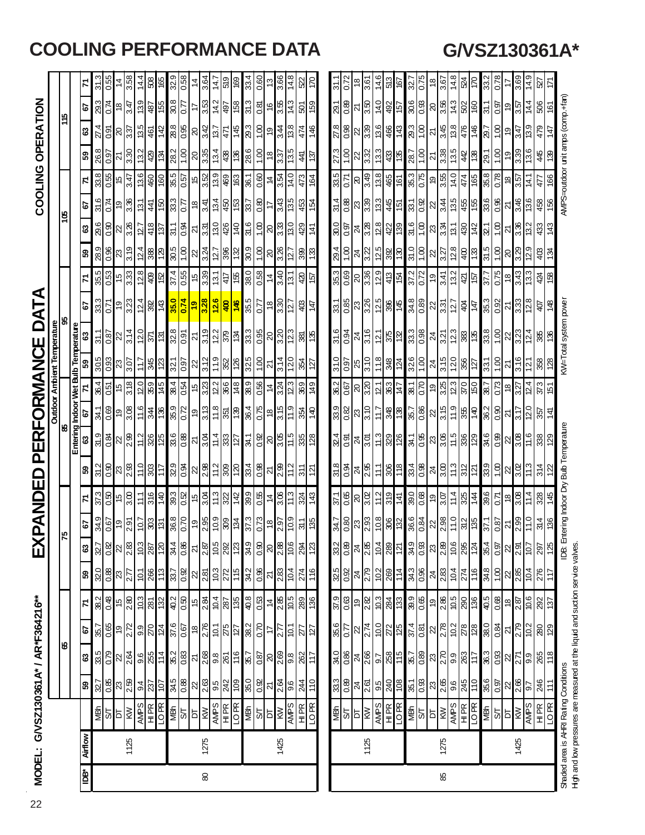| <b>COOLING PERFORMANCE DATA</b> |  |  |
|---------------------------------|--|--|

**COOLING BEREFORMANCE DRAMAGE DRAMAGE DRAMAGE DRAMAGE DRAMAGE DRAMAGE DRAMAGE DR** 

|                    | MODEL: G/VSZ130361A* / AR*F364216** |                                                                                                                                                                                                                                     |                                                                                                   |                                                                                                                                                                                 |                                          |                                                                                                                                                                                                                   |                                              | $\boldsymbol{\widetilde{\Xi}}$                                                                                        | മ്                                             | <b>ANDE</b>         | ◠                                                       | PERI                                                                                                                                                                                                                                                                                                                | FORMAN                             |                                                                       | $\mathbf C$                                                           | Ш                                                 | <b>DATA</b>                         |                                                             |                                                                                                                                                                         |                                     | COOLING                                   |                                              | OPERATION                                               |                    |                    |
|--------------------|-------------------------------------|-------------------------------------------------------------------------------------------------------------------------------------------------------------------------------------------------------------------------------------|---------------------------------------------------------------------------------------------------|---------------------------------------------------------------------------------------------------------------------------------------------------------------------------------|------------------------------------------|-------------------------------------------------------------------------------------------------------------------------------------------------------------------------------------------------------------------|----------------------------------------------|-----------------------------------------------------------------------------------------------------------------------|------------------------------------------------|---------------------|---------------------------------------------------------|---------------------------------------------------------------------------------------------------------------------------------------------------------------------------------------------------------------------------------------------------------------------------------------------------------------------|------------------------------------|-----------------------------------------------------------------------|-----------------------------------------------------------------------|---------------------------------------------------|-------------------------------------|-------------------------------------------------------------|-------------------------------------------------------------------------------------------------------------------------------------------------------------------------|-------------------------------------|-------------------------------------------|----------------------------------------------|---------------------------------------------------------|--------------------|--------------------|
|                    |                                     |                                                                                                                                                                                                                                     |                                                                                                   |                                                                                                                                                                                 |                                          |                                                                                                                                                                                                                   |                                              |                                                                                                                       |                                                |                     |                                                         |                                                                                                                                                                                                                                                                                                                     |                                    |                                                                       | <b>Outdoor Ambient Temperature</b>                                    |                                                   |                                     |                                                             |                                                                                                                                                                         |                                     |                                           |                                              |                                                         |                    |                    |
|                    |                                     |                                                                                                                                                                                                                                     |                                                                                                   |                                                                                                                                                                                 | 8                                        |                                                                                                                                                                                                                   |                                              |                                                                                                                       |                                                |                     |                                                         | 83                                                                                                                                                                                                                                                                                                                  |                                    |                                                                       |                                                                       | 8                                                 |                                     |                                                             |                                                                                                                                                                         | 90                                  |                                           |                                              |                                                         | $\frac{4}{15}$     |                    |
| ,aal               |                                     |                                                                                                                                                                                                                                     |                                                                                                   |                                                                                                                                                                                 |                                          |                                                                                                                                                                                                                   |                                              |                                                                                                                       |                                                |                     | င္ဟာ                                                    | Entering<br>ශ                                                                                                                                                                                                                                                                                                       |                                    |                                                                       | Indoor Wet Bulb Temperature                                           |                                                   | 19                                  |                                                             | 69                                                                                                                                                                      | 63                                  |                                           | 65                                           | ಣ                                                       | 29                 |                    |
|                    | <b>Airflow</b>                      |                                                                                                                                                                                                                                     | <b>G</b>                                                                                          | $\boldsymbol{\mathbb{S}}$                                                                                                                                                       | 29                                       | 7                                                                                                                                                                                                                 | <b>G</b>                                     | ಔ                                                                                                                     | 2                                              | 7                   |                                                         | 31.9                                                                                                                                                                                                                                                                                                                | 2                                  | 7                                                                     | 59                                                                    |                                                   |                                     |                                                             |                                                                                                                                                                         | 5                                   | 33.8<br>7                                 |                                              |                                                         |                    |                    |
|                    |                                     |                                                                                                                                                                                                                                     | 32.7                                                                                              | 33.5<br>0.79                                                                                                                                                                    | 35.7                                     | 38.2                                                                                                                                                                                                              | 22.0<br>0.88                                 | 32.7<br>0.82                                                                                                          | 34.9<br>0.67                                   | 37.3<br>0.50        | 31.2<br>0.90                                            | 0.84                                                                                                                                                                                                                                                                                                                | 34.1<br>0.68                       | 36.4<br>0.51                                                          | 30.5<br>0.93                                                          | 31.1                                              | 33.3<br>0.71                        | 35.5<br>0.53                                                | 28.9<br>0.96                                                                                                                                                            | 31.6<br>0.74<br>29.6<br>0.90        | 0.55                                      | 26.8<br>0.97                                 | 27.4<br>0.91                                            | $\frac{293}{0.74}$ | 0.55               |
|                    |                                     | <b>ART STRIP OF A STRIP OF A STRIP OF A STRIP OF A STRIP OF A STRIP OF A STRIP OF A STRIP OF A STRIP OF A ST</b><br>A STRIP OF A STRIP OF A STRIP OF A STRIP OF A STRIP OF A STRIP OF A STRIP OF A STRIP OF A STRIP OF A STRIP OF A | <mark> ိန္မွ</mark>   အဆြဲ  အဆြဲ  အဆြဲ  အဆြဲ  အဆြဲ  အ                                             |                                                                                                                                                                                 | 0.65<br>$\overline{6}$                   | 0.48<br>45                                                                                                                                                                                                        |                                              |                                                                                                                       |                                                | $\frac{5}{7}$       |                                                         |                                                                                                                                                                                                                                                                                                                     |                                    | 15                                                                    |                                                                       | <u>ន្ទៀង ដ្ឋៀង ង ង៉ូន្ទៀង ដ្ឋ៉ាង ង៉ូ ង៉ូន្ទៀង</u> | Ő,                                  | 45                                                          |                                                                                                                                                                         | $\overline{6}$                      | 15                                        | 21                                           |                                                         | $\frac{8}{1}$      | $\overline{4}$     |
|                    | 1125                                |                                                                                                                                                                                                                                     |                                                                                                   |                                                                                                                                                                                 |                                          |                                                                                                                                                                                                                   |                                              |                                                                                                                       |                                                | 3.00                | ଅ $\frac{1}{2}$ ଅ                                       |                                                                                                                                                                                                                                                                                                                     |                                    |                                                                       |                                                                       |                                                   |                                     |                                                             | $\frac{28}{30}$ $\frac{27}{21}$<br>$\frac{25}{3}$                                                                                                                       |                                     |                                           |                                              | $\frac{8}{3}$ ମି                                        |                    | 3.58               |
|                    |                                     |                                                                                                                                                                                                                                     |                                                                                                   | $ 8 $ $\frac{1}{8}$ $ 8 $ $\frac{1}{8}$ $\frac{1}{8}$ $\frac{1}{8}$ $ 8 $ $\frac{1}{8}$ $ 8 $ $\frac{1}{8}$ $ 8 $ $\frac{1}{8}$ $\frac{1}{8}$ $\frac{1}{8}$ $ 8 $ $\frac{1}{8}$ | <u>ျားမြို့ မြို့မြို့မြို့များမြို့</u> | $\frac{28}{102}$ $\frac{25}{102}$                                                                                                                                                                                 | $ \mathbb{S} \simeq  \mathbb{S} \mathbb{S} $ | $ 8 $ $\frac{1}{8}$ $\frac{1}{8}$ $\frac{1}{8}$ $\frac{1}{8}$ $\frac{1}{8}$ $\frac{1}{8}$ $\frac{1}{8}$ $\frac{1}{8}$ | ၁ <mark>၂၁  ၁  ၁  ၁ </mark>                    | 11.1                |                                                         | $\frac{1}{2}$ $\frac{1}{2}$ $\frac{1}{2}$ $\frac{1}{2}$ $\frac{1}{2}$ $\frac{1}{2}$ $\frac{1}{2}$ $\frac{1}{2}$ $\frac{1}{2}$ $\frac{1}{2}$ $\frac{1}{2}$ $\frac{1}{2}$ $\frac{1}{2}$ $\frac{1}{2}$ $\frac{1}{2}$ $\frac{1}{2}$ $\frac{1}{2}$ $\frac{1}{2}$ $\frac{1}{2}$ $\frac{1}{2}$ $\frac{1}{2}$ $\frac{1}{2}$ | <u>อโลโลโลโลโลโลโลโลโลโลโลโลโล</u> | $\frac{318}{218}$                                                     | $ z $ $\approx$ $ z $ $\approx$ $ z $ $\approx$ $ z $ $\approx$ $ z $ |                                                   | $\frac{323}{248}$                   | $\frac{33}{28}$ $\frac{8}{8}$ $\frac{12}{2}$                | $\frac{1}{2}$ $\frac{1}{8}$ $\frac{1}{8}$ $\frac{1}{8}$ $\frac{1}{8}$ $\frac{1}{8}$ $\frac{1}{8}$ $\frac{1}{8}$ $\frac{1}{8}$ $\frac{1}{8}$ $\frac{1}{8}$ $\frac{1}{8}$ | <u>일학 등 잃음이 등 일학 중 중 일</u>          | <u>အိုင်းခြံခြံ မျှော်မြံခြံခြံခြံခြံ</u> | <u>ြို့ချိန္မွ</u> ူန္ဘူ                     | $rac{461}{481}$                                         | $\frac{347}{139}$  | 14.4               |
|                    |                                     |                                                                                                                                                                                                                                     |                                                                                                   |                                                                                                                                                                                 |                                          |                                                                                                                                                                                                                   |                                              |                                                                                                                       |                                                | $\frac{8}{3}$       | $\frac{308}{17}$                                        |                                                                                                                                                                                                                                                                                                                     |                                    |                                                                       |                                                                       |                                                   |                                     |                                                             | $rac{418}{137}$                                                                                                                                                         |                                     |                                           |                                              |                                                         |                    | <b>88</b>          |
|                    |                                     |                                                                                                                                                                                                                                     |                                                                                                   |                                                                                                                                                                                 |                                          |                                                                                                                                                                                                                   |                                              |                                                                                                                       |                                                | 0t L                |                                                         |                                                                                                                                                                                                                                                                                                                     |                                    |                                                                       |                                                                       |                                                   |                                     |                                                             |                                                                                                                                                                         |                                     |                                           |                                              |                                                         | $\frac{487}{155}$  |                    |
|                    |                                     |                                                                                                                                                                                                                                     |                                                                                                   |                                                                                                                                                                                 |                                          |                                                                                                                                                                                                                   |                                              |                                                                                                                       |                                                | $\frac{39.3}{0.52}$ |                                                         |                                                                                                                                                                                                                                                                                                                     |                                    |                                                                       |                                                                       |                                                   |                                     | 37.4                                                        |                                                                                                                                                                         |                                     |                                           |                                              |                                                         |                    |                    |
|                    |                                     |                                                                                                                                                                                                                                     |                                                                                                   |                                                                                                                                                                                 |                                          |                                                                                                                                                                                                                   | 33.7                                         |                                                                                                                       | $\frac{88}{360}$ $\frac{8}{29}$ $\frac{8}{29}$ |                     |                                                         |                                                                                                                                                                                                                                                                                                                     |                                    | $\frac{3}{8}$ $\frac{1}{8}$ $\frac{1}{8}$ $\frac{1}{8}$ $\frac{1}{8}$ |                                                                       |                                                   |                                     |                                                             |                                                                                                                                                                         |                                     |                                           | $\frac{282}{15}$ $\frac{1}{2}$ $\frac{1}{2}$ | $\frac{88}{125}$ $\frac{8}{125}$                        | $\frac{28}{10}$    | 329                |
|                    |                                     |                                                                                                                                                                                                                                     |                                                                                                   |                                                                                                                                                                                 |                                          |                                                                                                                                                                                                                   |                                              |                                                                                                                       |                                                |                     |                                                         |                                                                                                                                                                                                                                                                                                                     |                                    |                                                                       |                                                                       |                                                   |                                     |                                                             |                                                                                                                                                                         |                                     |                                           |                                              |                                                         | $\overline{17}$    | 4                  |
| $\pmb{\mathbb{S}}$ | 1275                                |                                                                                                                                                                                                                                     |                                                                                                   |                                                                                                                                                                                 |                                          |                                                                                                                                                                                                                   | $\frac{28}{28}$                              |                                                                                                                       |                                                | $\frac{15}{3.04}$   |                                                         |                                                                                                                                                                                                                                                                                                                     |                                    |                                                                       |                                                                       |                                                   |                                     | $\frac{15}{3.39}$                                           |                                                                                                                                                                         |                                     |                                           |                                              |                                                         | 353                | 3.64               |
|                    |                                     |                                                                                                                                                                                                                                     |                                                                                                   |                                                                                                                                                                                 |                                          |                                                                                                                                                                                                                   |                                              |                                                                                                                       |                                                | 11.3                |                                                         |                                                                                                                                                                                                                                                                                                                     |                                    |                                                                       | 11.9                                                                  |                                                   |                                     | 13.1                                                        |                                                                                                                                                                         |                                     |                                           | 13.4                                         |                                                         | 7.42               | 14.7               |
|                    |                                     |                                                                                                                                                                                                                                     |                                                                                                   |                                                                                                                                                                                 |                                          | $\frac{1}{3}$ $\frac{1}{3}$ $\frac{1}{3}$ $\frac{1}{3}$ $\frac{1}{3}$ $\frac{1}{3}$ $\frac{1}{3}$ $\frac{1}{3}$ $\frac{1}{3}$ $\frac{1}{3}$ $\frac{1}{3}$ $\frac{1}{3}$ $\frac{1}{3}$ $\frac{1}{3}$ $\frac{1}{3}$ | $\frac{3}{27}$                               | $\big $ ¤ $\big $ အ္ကိုဒ္ကိုအ္ကိုအ္ကိုဒ္တို                                                                           | $rac{10}{6}$ $rac{1}{8}$ $rac{1}{2}$           | $\frac{32}{4}$      | <u>မြို့ရွိ မြို့မျှ မြို့မျှ မြို့</u>                 |                                                                                                                                                                                                                                                                                                                     |                                    | $\frac{288}{48}$                                                      | $rac{352}{126}$                                                       |                                                   | <mark>ឌូន្ទ្រី ទង្គ្រី នូ នៃ</mark> | $\frac{4}{15}$ $\frac{8}{15}$ $\frac{8}{15}$ $\frac{8}{15}$ | မြို့  မျိုး  မျိုး  မျိုး  မျိုး                                                                                                                                       |                                     |                                           | $rac{438}{130}$                              | 471                                                     | 497                | 619                |
|                    |                                     |                                                                                                                                                                                                                                     |                                                                                                   |                                                                                                                                                                                 |                                          |                                                                                                                                                                                                                   |                                              |                                                                                                                       |                                                |                     |                                                         |                                                                                                                                                                                                                                                                                                                     |                                    |                                                                       |                                                                       |                                                   |                                     |                                                             |                                                                                                                                                                         |                                     |                                           |                                              | 145                                                     |                    | 8                  |
|                    |                                     |                                                                                                                                                                                                                                     | 35.0                                                                                              |                                                                                                                                                                                 |                                          |                                                                                                                                                                                                                   |                                              |                                                                                                                       | 37.3                                           | 39.9                | $\frac{334}{0.88}$                                      |                                                                                                                                                                                                                                                                                                                     |                                    |                                                                       | $\frac{32.5}{1.00}$                                                   |                                                   | 35.5                                |                                                             | 0.01                                                                                                                                                                    |                                     | 36.1                                      |                                              |                                                         | 31.3               | 33.4               |
|                    |                                     |                                                                                                                                                                                                                                     |                                                                                                   |                                                                                                                                                                                 |                                          |                                                                                                                                                                                                                   | $rac{96}{0.96}$                              |                                                                                                                       |                                                | 0.55                |                                                         |                                                                                                                                                                                                                                                                                                                     |                                    |                                                                       |                                                                       |                                                   |                                     |                                                             |                                                                                                                                                                         |                                     |                                           | $\frac{0011}{100}$                           | 29.3                                                    | 0.81               | 0.60               |
|                    |                                     |                                                                                                                                                                                                                                     |                                                                                                   |                                                                                                                                                                                 |                                          |                                                                                                                                                                                                                   | $\overline{\mathcal{L}}$                     |                                                                                                                       |                                                | $\frac{4}{3}$       |                                                         |                                                                                                                                                                                                                                                                                                                     |                                    | $\frac{9}{6.56}$                                                      | $\overline{z}$                                                        | $\overline{20}$                                   | $\frac{8}{10}$                      | $\overline{14}$                                             |                                                                                                                                                                         |                                     | $\frac{4}{3}$                             | $\frac{8}{18}$                               | $\overline{6}$                                          | $\frac{1}{2}$      | $\frac{3}{2}$      |
|                    | 1425                                |                                                                                                                                                                                                                                     | $\frac{27}{2.64}$                                                                                 |                                                                                                                                                                                 |                                          |                                                                                                                                                                                                                   | 2.83                                         |                                                                                                                       | $\frac{18}{2.97}$                              | 306                 | $\frac{21}{28}$                                         | $\frac{8}{3}$                                                                                                                                                                                                                                                                                                       | $\frac{18}{3.15}$                  | 3.24                                                                  | 3.14                                                                  | 3.20                                              | 3.30                                | 3.40                                                        | $\frac{8}{33}$<br>$\frac{20}{3.26}$                                                                                                                                     | $\frac{17}{36}$                     | 3.54                                      | 3.37                                         | 3.44                                                    | 3.55               | 3.66               |
|                    |                                     |                                                                                                                                                                                                                                     |                                                                                                   |                                                                                                                                                                                 |                                          |                                                                                                                                                                                                                   |                                              |                                                                                                                       | $\frac{10.9}{311}$                             | $\frac{13}{324}$    | $\frac{11.2}{311}$                                      |                                                                                                                                                                                                                                                                                                                     |                                    | $rac{3}{369}$                                                         | $\frac{120}{354}$                                                     |                                                   | $\frac{403}{ }$                     | $rac{131}{420}$                                             |                                                                                                                                                                         |                                     |                                           |                                              | $\frac{13.8}{474}$                                      |                    | $\frac{48}{3}$     |
|                    |                                     |                                                                                                                                                                                                                                     |                                                                                                   |                                                                                                                                                                                 |                                          |                                                                                                                                                                                                                   |                                              |                                                                                                                       |                                                |                     |                                                         |                                                                                                                                                                                                                                                                                                                     |                                    |                                                                       |                                                                       |                                                   |                                     |                                                             |                                                                                                                                                                         |                                     |                                           |                                              |                                                         |                    | 522                |
|                    |                                     | $\frac{\text{AMPS}}{\text{LOR}}$                                                                                                                                                                                                    | $rac{9}{6}$ $rac{5}{4}$ $rac{1}{6}$                                                               | $\frac{1}{2}$ $\frac{1}{2}$ $\frac{1}{2}$ $\frac{1}{2}$ $\frac{1}{2}$ $\frac{1}{2}$ $\frac{1}{2}$                                                                               | <u> 다이의 기</u>                            | $rac{8}{280}$                                                                                                                                                                                                     | $\frac{5}{104}$                              | 8.89992                                                                                                               | 135                                            | 143                 | 121                                                     | $\frac{15}{38}$                                                                                                                                                                                                                                                                                                     | 음   읽 <mark>층</mark>               | 149                                                                   | 127                                                                   | $\frac{23}{88}$                                   | 47                                  | 157                                                         | $\frac{7}{28}$                                                                                                                                                          | $rac{45}{35}$<br>$\frac{13.0}{441}$ | $rac{4.0}{473}$                           | $rac{4}{135}$                                | 146                                                     | $\frac{43}{50}$    | 170                |
|                    |                                     |                                                                                                                                                                                                                                     |                                                                                                   |                                                                                                                                                                                 |                                          |                                                                                                                                                                                                                   |                                              |                                                                                                                       |                                                |                     |                                                         |                                                                                                                                                                                                                                                                                                                     |                                    |                                                                       |                                                                       |                                                   |                                     |                                                             |                                                                                                                                                                         |                                     |                                           |                                              |                                                         |                    |                    |
|                    |                                     |                                                                                                                                                                                                                                     |                                                                                                   |                                                                                                                                                                                 |                                          |                                                                                                                                                                                                                   |                                              |                                                                                                                       | 34.7                                           |                     |                                                         |                                                                                                                                                                                                                                                                                                                     |                                    |                                                                       |                                                                       | 31.6                                              |                                     |                                                             | 29.4                                                                                                                                                                    | 31.4                                |                                           | 27.3                                         |                                                         |                    | $\frac{311}{2}$    |
|                    |                                     | <b>MBA</b><br>SIT RIVER<br>AND READER                                                                                                                                                                                               | $\frac{33.3}{0.89}$                                                                               | $rac{34.0}{0.86}$                                                                                                                                                               | $\frac{356}{0.77}$                       | $\frac{8}{25}$                                                                                                                                                                                                    | $\frac{32.5}{0.92}$                          | $\frac{33.2}{0.89}$                                                                                                   | 0.80                                           | $rac{37.1}{0.65}$   | $\frac{31.8}{8.8}$                                      | $\frac{32.4}{0.91}$                                                                                                                                                                                                                                                                                                 | $\frac{33.9}{0.82}$                | $\frac{36.2}{0.67}$                                                   | $rac{1.0}{0.97}$                                                      | $\frac{1}{94}$                                    | $\frac{33.1}{0.85}$                 | $\frac{35.3}{0.69}$                                         | $\frac{30.0}{0.97}$<br>1,00                                                                                                                                             | 880                                 | $\frac{335}{0.71}$                        | 00.1                                         | $\frac{278}{0.38}$                                      | $\frac{291}{0.89}$ | 0.72               |
|                    |                                     |                                                                                                                                                                                                                                     |                                                                                                   |                                                                                                                                                                                 |                                          |                                                                                                                                                                                                                   |                                              |                                                                                                                       |                                                | $\frac{20}{3.02}$   |                                                         |                                                                                                                                                                                                                                                                                                                     |                                    |                                                                       |                                                                       |                                                   |                                     |                                                             |                                                                                                                                                                         |                                     | $\frac{8}{3}$                             |                                              | $\frac{8}{3}$                                           | $\frac{21}{350}$   | $\frac{8}{351}$    |
|                    | 1125                                |                                                                                                                                                                                                                                     | ম $\frac{1}{\sqrt{2}}$ জ $\frac{1}{\sqrt{2}}$                                                     |                                                                                                                                                                                 |                                          |                                                                                                                                                                                                                   | $\frac{24}{28}$                              | $\frac{24}{2.85}$                                                                                                     | $\frac{25}{25}$                                |                     | $\frac{4}{28}$                                          | ম $\frac{5}{3}$                                                                                                                                                                                                                                                                                                     | $\frac{25}{30}$                    | $\frac{1}{20}$                                                        | $rac{25}{3.70}$                                                       | $rac{24}{3.16}$                                   | $\frac{23}{3.26}$                   | $\frac{8}{35}$ $\frac{19}{24}$                              | $\frac{3}{28}$<br>ಸ $\frac{1}{2}$ ನ                                                                                                                                     | $\frac{28}{35}$                     |                                           | $\frac{22}{33}$                              |                                                         |                    |                    |
|                    |                                     |                                                                                                                                                                                                                                     |                                                                                                   |                                                                                                                                                                                 |                                          |                                                                                                                                                                                                                   | $\frac{102}{269}$                            | 10.4                                                                                                                  |                                                | 11.2                | 11.1                                                    | 11.3                                                                                                                                                                                                                                                                                                                | 717                                | $12.1$<br>363                                                         | 11.8                                                                  | $\overline{121}$                                  | 12.5                                |                                                             | 12.5                                                                                                                                                                    | 12.8                                | $\frac{13.8}{465}$                        | 13.3                                         | 13.6                                                    | 14.0               | 14.6               |
|                    |                                     |                                                                                                                                                                                                                                     |                                                                                                   |                                                                                                                                                                                 |                                          |                                                                                                                                                                                                                   |                                              | 289                                                                                                                   |                                                | 319                 | 306                                                     |                                                                                                                                                                                                                                                                                                                     |                                    |                                                                       | %                                                                     | 375                                               | 396                                 |                                                             | 392                                                                                                                                                                     | 445                                 |                                           | 433                                          | 466                                                     | 492                | 513                |
|                    |                                     |                                                                                                                                                                                                                                     | 80                                                                                                |                                                                                                                                                                                 |                                          | $\frac{3}{8}$                                                                                                                                                                                                     | 114                                          | 121                                                                                                                   | 132                                            | 141                 | 118                                                     | 126                                                                                                                                                                                                                                                                                                                 | $\frac{48}{18}$                    | 147                                                                   | 124                                                                   | 132                                               | 45                                  | 154                                                         | 130                                                                                                                                                                     | 151<br>422                          | 161                                       | 321                                          | 143                                                     | 157                | 167                |
|                    |                                     | 활일일                                                                                                                                                                                                                                 | $\frac{1}{8}$ $\frac{1}{8}$ $\frac{1}{8}$ $\frac{1}{8}$ $\frac{1}{8}$ $\frac{1}{8}$ $\frac{1}{8}$ | န <mark>္ကု</mark> န္ယုန္ကုန္ကုန္ကုန္ကုန္                                                                                                                                       |                                          | <u>ြို့ရွိ အမြ</u> ို့ရွိ အမြို့                                                                                                                                                                                  | $rac{34.3}{0.96}$                            | $\frac{34.9}{0.93}$                                                                                                   | $rac{66}{0.84}$ $rac{20}{2}$                   | 39.0                | 33.4                                                    |                                                                                                                                                                                                                                                                                                                     | $\frac{87}{98}$ $\frac{8}{25}$     | $\frac{61}{180}$                                                      | 32.6                                                                  |                                                   | <u> 꽃이에 비가 호텔</u>                   | 37.2                                                        | <u>မိုခြံမြီးမြီးမြီး</u><br><u>ြိုဒ္ပြုၓျပ္မွုဒ္မွုဒ္မွု</u>                                                                                                           | ଅ <mark>ର</mark> ୍ଥା ଧ  ଆଇ  କ  ଇ    | $\frac{35.3}{0.75}$                       | $\frac{587}{1.00}$                           | $\frac{3}{8}$ $\frac{1}{2}$ $\frac{1}{8}$ $\frac{1}{8}$ | $\frac{306}{0.93}$ | $\frac{327}{0.75}$ |
|                    |                                     |                                                                                                                                                                                                                                     |                                                                                                   |                                                                                                                                                                                 |                                          |                                                                                                                                                                                                                   |                                              |                                                                                                                       |                                                |                     |                                                         |                                                                                                                                                                                                                                                                                                                     |                                    |                                                                       |                                                                       |                                                   |                                     |                                                             |                                                                                                                                                                         |                                     |                                           |                                              |                                                         |                    |                    |
|                    |                                     |                                                                                                                                                                                                                                     |                                                                                                   |                                                                                                                                                                                 |                                          |                                                                                                                                                                                                                   | 24                                           |                                                                                                                       |                                                | 6 <sub>1</sub>      | $\frac{24}{3.00}$                                       |                                                                                                                                                                                                                                                                                                                     |                                    |                                                                       |                                                                       |                                                   |                                     | 9                                                           |                                                                                                                                                                         |                                     |                                           | $\overline{21}$                              |                                                         | $\frac{20}{356}$   | $\frac{8}{3}$      |
| 88                 | 1275                                |                                                                                                                                                                                                                                     |                                                                                                   |                                                                                                                                                                                 |                                          |                                                                                                                                                                                                                   | 2.83                                         |                                                                                                                       |                                                | 3.07                |                                                         |                                                                                                                                                                                                                                                                                                                     |                                    | 3.25                                                                  |                                                                       |                                                   |                                     |                                                             |                                                                                                                                                                         |                                     | 3.55                                      | 3.38                                         |                                                         |                    | 3.67               |
|                    |                                     | $\frac{\overline{AMPS}}{\overline{HIR}}$                                                                                                                                                                                            |                                                                                                   |                                                                                                                                                                                 |                                          |                                                                                                                                                                                                                   | $\frac{10.4}{274}$                           | $\frac{1}{28}$                                                                                                        | $\frac{110}{312}$                              | 11.4                | $\frac{11.3}{312}$                                      |                                                                                                                                                                                                                                                                                                                     | $rac{9}{356}$                      | $\frac{12.3}{370}$                                                    | $\frac{24}{3!528}$                                                    |                                                   |                                     | $\frac{341}{132}$                                           |                                                                                                                                                                         |                                     | 14.0                                      | 13.5                                         | $rac{38}{476}$                                          | $\frac{4.3}{502}$  | 14.8               |
|                    |                                     |                                                                                                                                                                                                                                     |                                                                                                   |                                                                                                                                                                                 |                                          |                                                                                                                                                                                                                   |                                              |                                                                                                                       |                                                | $\frac{325}{4}$     |                                                         |                                                                                                                                                                                                                                                                                                                     |                                    |                                                                       |                                                                       |                                                   |                                     |                                                             |                                                                                                                                                                         |                                     | 474                                       | 42                                           |                                                         |                    | 524                |
|                    |                                     |                                                                                                                                                                                                                                     | 110                                                                                               |                                                                                                                                                                                 |                                          |                                                                                                                                                                                                                   | 116                                          | 124                                                                                                                   |                                                |                     | 121                                                     | $\frac{1}{3}$ $\frac{1}{8}$ $\frac{1}{8}$ $\frac{1}{8}$ $\frac{1}{8}$ $\frac{1}{8}$ $\frac{1}{8}$ $\frac{1}{8}$ $\frac{1}{8}$ $\frac{1}{8}$ $\frac{1}{8}$ $\frac{1}{8}$ $\frac{1}{12}$                                                                                                                              |                                    |                                                                       | 127                                                                   | <u>ဗ္ဗိုဒ္ဓိုဒ္ဓိုဒ္ဓိုဒ္ဌိုဒ္ဓိုဒ္ဓိုဒ္ဌိုဒ္</u> |                                     |                                                             |                                                                                                                                                                         |                                     |                                           |                                              |                                                         |                    | 04                 |
|                    |                                     | ERSER                                                                                                                                                                                                                               | 35.6                                                                                              | ှိန္ဒါဒ္ဓါလျှင် ခြွှန်မြီး                                                                                                                                                      |                                          | 40.5                                                                                                                                                                                                              | 818                                          | 35.4                                                                                                                  | 37.1                                           | 9.62                | 33.9                                                    |                                                                                                                                                                                                                                                                                                                     | 7.98                               | $rac{26}{18}$                                                         | 1.55                                                                  |                                                   | 35.3                                | <u>777</u>                                                  | 32.1<br><b>S15</b>                                                                                                                                                      | 33.6                                | 35.8                                      | 29.1                                         | <u>rez</u>                                              | 31.1               | 33.2               |
|                    |                                     |                                                                                                                                                                                                                                     |                                                                                                   |                                                                                                                                                                                 |                                          |                                                                                                                                                                                                                   |                                              |                                                                                                                       | $\frac{0.87}{21}$                              | 0.71                |                                                         |                                                                                                                                                                                                                                                                                                                     | $\frac{8}{27}$                     |                                                                       | $\frac{100}{21}$                                                      |                                                   | 0.92                                | 0.75                                                        |                                                                                                                                                                         |                                     | 0.78                                      | 1.00                                         | 1.00                                                    | 0.97               | 0.78               |
|                    |                                     |                                                                                                                                                                                                                                     | $rac{5}{2}$ $rac{8}{2}$ $rac{8}{5}$                                                               |                                                                                                                                                                                 |                                          | <mark>နြိုင်း</mark> မြို့                                                                                                                                                                                        | $\frac{100}{28}$                             | $\frac{25}{3}$                                                                                                        |                                                | $\frac{8}{300}$     | $\frac{3}{2}$ $\frac{1}{2}$ $\frac{1}{2}$ $\frac{1}{2}$ |                                                                                                                                                                                                                                                                                                                     |                                    |                                                                       |                                                                       |                                                   | <u> 외</u>   성  성  송                 | 18                                                          | ခြို့ပျိုးခွဲခြို့ခြိုင်<br>$\frac{2}{3}$ s $\frac{8}{3}$ s $\frac{8}{3}$ s $\frac{8}{3}$ s $\frac{8}{3}$                                                               | $\overline{21}$                     | $\overline{8}$                            | $\overline{e}$                               | $\overline{e}$                                          | 9                  | 17                 |
|                    | 1425                                |                                                                                                                                                                                                                                     |                                                                                                   |                                                                                                                                                                                 |                                          |                                                                                                                                                                                                                   |                                              |                                                                                                                       | 2.99<br>11.0                                   |                     |                                                         |                                                                                                                                                                                                                                                                                                                     | $\frac{215}{25}$                   | $\frac{3}{24}$ $\frac{1}{24}$ $\frac{1}{24}$                          | 3.16                                                                  |                                                   |                                     | $\frac{343}{1348}$                                          |                                                                                                                                                                         | $\frac{46}{36}$                     | $rac{3.57}{14.1}$                         | $\frac{3.39}{13.6}$                          | $rac{3.47}{13.9}$                                       | 3.57               | 3.69<br>14.9       |
|                    |                                     |                                                                                                                                                                                                                                     |                                                                                                   |                                                                                                                                                                                 |                                          |                                                                                                                                                                                                                   |                                              |                                                                                                                       |                                                | 11.4                |                                                         |                                                                                                                                                                                                                                                                                                                     |                                    |                                                                       |                                                                       |                                                   |                                     |                                                             |                                                                                                                                                                         |                                     |                                           |                                              |                                                         | 14.4               |                    |
|                    |                                     |                                                                                                                                                                                                                                     | 246                                                                                               |                                                                                                                                                                                 |                                          |                                                                                                                                                                                                                   | $\frac{276}{117}$                            | $\frac{297}{125}$                                                                                                     | 314                                            | 328                 | <b>715</b>                                              | $\frac{8}{20}$                                                                                                                                                                                                                                                                                                      |                                    |                                                                       | 358                                                                   |                                                   |                                     |                                                             |                                                                                                                                                                         |                                     | $\frac{1}{47}$                            | $rac{4}{8}$                                  | 479                                                     | 506                | $\frac{1}{25}$     |
|                    |                                     |                                                                                                                                                                                                                                     |                                                                                                   |                                                                                                                                                                                 |                                          |                                                                                                                                                                                                                   |                                              |                                                                                                                       | 136                                            | 145                 | ਖ਼ੁ                                                     |                                                                                                                                                                                                                                                                                                                     |                                    |                                                                       | 128                                                                   | 8                                                 |                                     |                                                             |                                                                                                                                                                         |                                     | 166                                       |                                              | 147                                                     | 161                |                    |
|                    |                                     | Shaded area is AHRI Rating Conditions                                                                                                                                                                                               |                                                                                                   |                                                                                                                                                                                 |                                          |                                                                                                                                                                                                                   |                                              | ide: En                                                                                                               |                                                |                     |                                                         | ering Indoor Dry Bulb Temperature                                                                                                                                                                                                                                                                                   |                                    |                                                                       |                                                                       | W=Total system power                              |                                     |                                                             |                                                                                                                                                                         |                                     |                                           | MPS=outdoor unit amps (comp.+fan)            |                                                         |                    |                    |
|                    |                                     | High and low pressures are measured at the liquid and suction service valves.                                                                                                                                                       |                                                                                                   |                                                                                                                                                                                 |                                          |                                                                                                                                                                                                                   |                                              |                                                                                                                       |                                                |                     |                                                         |                                                                                                                                                                                                                                                                                                                     |                                    |                                                                       |                                                                       |                                                   |                                     |                                                             |                                                                                                                                                                         |                                     |                                           |                                              |                                                         |                    |                    |

22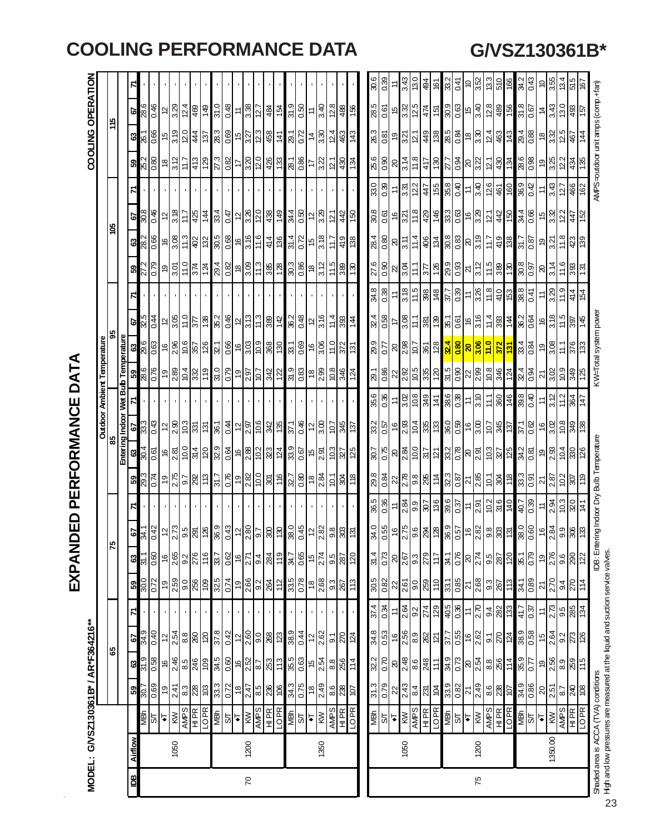|                        |                                                                                   |                          |                     |                                                         |                                                |                                                          |                              |                                                                                                                                                                                                                                               |                   |                                                                       |                                                                                                                                                                         |                                                                                                                                                                                                                                                                                                                     | Outdoor Ambient Temperature |                                                                                                                                             |                                                                                                             |                         |                                                                                                                                                                                                                                                                                                                                                                                                                                                                                   |                     |                                       |                                                             |                                                                 |                                                |                              | COOLING OPERATION   |
|------------------------|-----------------------------------------------------------------------------------|--------------------------|---------------------|---------------------------------------------------------|------------------------------------------------|----------------------------------------------------------|------------------------------|-----------------------------------------------------------------------------------------------------------------------------------------------------------------------------------------------------------------------------------------------|-------------------|-----------------------------------------------------------------------|-------------------------------------------------------------------------------------------------------------------------------------------------------------------------|---------------------------------------------------------------------------------------------------------------------------------------------------------------------------------------------------------------------------------------------------------------------------------------------------------------------|-----------------------------|---------------------------------------------------------------------------------------------------------------------------------------------|-------------------------------------------------------------------------------------------------------------|-------------------------|-----------------------------------------------------------------------------------------------------------------------------------------------------------------------------------------------------------------------------------------------------------------------------------------------------------------------------------------------------------------------------------------------------------------------------------------------------------------------------------|---------------------|---------------------------------------|-------------------------------------------------------------|-----------------------------------------------------------------|------------------------------------------------|------------------------------|---------------------|
|                        |                                                                                   |                          |                     | င္ဗ                                                     |                                                |                                                          |                              | 75                                                                                                                                                                                                                                            |                   |                                                                       | 85                                                                                                                                                                      |                                                                                                                                                                                                                                                                                                                     |                             |                                                                                                                                             | န္တ                                                                                                         |                         |                                                                                                                                                                                                                                                                                                                                                                                                                                                                                   |                     | 90L                                   |                                                             |                                                                 |                                                | <b>SLL</b>                   |                     |
|                        |                                                                                   |                          |                     |                                                         |                                                |                                                          |                              |                                                                                                                                                                                                                                               |                   |                                                                       | Entering Indoor                                                                                                                                                         |                                                                                                                                                                                                                                                                                                                     | Wet Bulb Temperature        |                                                                                                                                             |                                                                                                             |                         |                                                                                                                                                                                                                                                                                                                                                                                                                                                                                   |                     |                                       |                                                             |                                                                 |                                                |                              |                     |
| <b>Airflow</b><br>₿    |                                                                                   | 59<br>$-30.7$            | 31.9<br>ଞ           | 34.9<br>57                                              | 7                                              | 30.0<br>59                                               | 31.1<br>ଞ                    | त्र<br>प्र<br>67                                                                                                                                                                                                                              | N                 | $\frac{2}{3}$<br>39                                                   | ଞ                                                                                                                                                                       | 57                                                                                                                                                                                                                                                                                                                  |                             |                                                                                                                                             | 63                                                                                                          | 2                       | 8                                                                                                                                                                                                                                                                                                                                                                                                                                                                                 | ෂ                   | ତ                                     | 7                                                           | ශී                                                              | ශ                                              | ତ                            | Z                   |
|                        | 이제                                                                                | 69'0                     | 0.58                | 0.40                                                    |                                                | $\overline{0.72}$                                        | 0.60                         |                                                                                                                                                                                                                                               |                   | $\frac{1}{2}$                                                         | $\frac{190}{1000}$                                                                                                                                                      | $\frac{33}{643}$                                                                                                                                                                                                                                                                                                    |                             | 86                                                                                                                                          | $rac{98}{982}$                                                                                              | $\frac{9}{4}$           | $\frac{27.2}{0.79}$                                                                                                                                                                                                                                                                                                                                                                                                                                                               | $\frac{98.2}{0.66}$ | $\frac{30.8}{0.46}$                   |                                                             | $\frac{252}{0.80}$                                              | 26.1<br>0.66                                   | 28.6                         |                     |
|                        | ⋤                                                                                 | $\overline{e}$           | $\overline{9}$      | $\overline{c}$                                          |                                                | $\frac{6}{1}$                                            | $\tilde{\mathbf{e}}$         | <u>ြို့ပြ</u> င်္ကြို့အဖြစ် မြို့အဖြစ် မြို့အဖြစ် မြို့အဖြစ် မြို့အဖြစ် မြို့အဖြစ် မြို့အဖြစ် မြို့အဖြစ် မြို့အဖြစ် မ<br>မြို့သူ မြို့အဖြစ် မြို့အဖြစ် မြို့အဖြစ် မြို့အဖြစ် မြို့အဖြစ် မြို့အဖြစ် မြို့အဖြစ် မြို့အဖြစ် မြို့အဖြစ် မြ        |                   |                                                                       | $\frac{1}{6}$                                                                                                                                                           |                                                                                                                                                                                                                                                                                                                     |                             | $\overline{0}$                                                                                                                              |                                                                                                             |                         | $\overline{9}$                                                                                                                                                                                                                                                                                                                                                                                                                                                                    | $\frac{9}{5}$       | $\overline{c}$                        |                                                             | $\frac{8}{2}$                                                   | $\overline{5}$                                 |                              |                     |
| 1050                   |                                                                                   |                          |                     | 2.54                                                    |                                                |                                                          | 2.65                         |                                                                                                                                                                                                                                               |                   |                                                                       |                                                                                                                                                                         |                                                                                                                                                                                                                                                                                                                     |                             |                                                                                                                                             |                                                                                                             | $\frac{12}{36}$         |                                                                                                                                                                                                                                                                                                                                                                                                                                                                                   | 3.08                | 3.18                                  |                                                             |                                                                 |                                                | $\frac{2}{3}$ $\frac{24}{2}$ |                     |
|                        | $\frac{\frac{\text{KW}}{\text{AUPS}}}{\frac{\text{HIPR}}{\text{HPI}}}\,$          | $\frac{2.41}{8.3}$       | $\frac{46}{36}$     | $rac{8}{80}$                                            |                                                | $\frac{25}{10}$ $\frac{25}{10}$ $\frac{25}{10}$          | 5.6                          |                                                                                                                                                                                                                                               |                   | $\frac{275}{978}$                                                     |                                                                                                                                                                         | $\frac{1}{2}$ ြို့ချိန်ဆ                                                                                                                                                                                                                                                                                            |                             | 2.89                                                                                                                                        | $ e _{\alpha}^{\mathcal{S}} _{\alpha}^{\mathcal{S}} _{\beta}^{\mathcal{S}} _{\beta}^{\mathcal{S}} _{\beta}$ |                         | $\frac{5}{2}$ $\frac{1}{2}$ $\frac{1}{2}$ $\frac{1}{2}$ $\frac{1}{2}$                                                                                                                                                                                                                                                                                                                                                                                                             | 11.3                | $\frac{71}{11}$                       |                                                             | $\frac{3.17}{11.7}$                                             | $\frac{3}{25}$ $\frac{1}{24}$ $\frac{1}{27}$   |                              |                     |
|                        |                                                                                   |                          |                     |                                                         |                                                |                                                          |                              |                                                                                                                                                                                                                                               |                   |                                                                       |                                                                                                                                                                         |                                                                                                                                                                                                                                                                                                                     |                             |                                                                                                                                             |                                                                                                             |                         |                                                                                                                                                                                                                                                                                                                                                                                                                                                                                   |                     | 425                                   |                                                             |                                                                 |                                                | 469                          |                     |
|                        |                                                                                   | 28                       |                     |                                                         |                                                |                                                          | 276                          |                                                                                                                                                                                                                                               |                   |                                                                       |                                                                                                                                                                         |                                                                                                                                                                                                                                                                                                                     |                             | 332                                                                                                                                         |                                                                                                             | $\frac{18}{18}$         |                                                                                                                                                                                                                                                                                                                                                                                                                                                                                   | $\frac{402}{132}$   |                                       |                                                             | 413                                                             |                                                |                              |                     |
|                        | MBh                                                                               | 33.3                     | 34.5                | 37.8                                                    |                                                | 32.5                                                     | 33.7                         |                                                                                                                                                                                                                                               |                   | <b>Z</b> IS                                                           | $\frac{25}{100}$ $\frac{25}{100}$ $\frac{25}{100}$                                                                                                                      | 1.98                                                                                                                                                                                                                                                                                                                |                             | $\frac{310}{0.79}$                                                                                                                          | $\overline{\mathfrak{Z}}$ 1                                                                                 | 35.2                    |                                                                                                                                                                                                                                                                                                                                                                                                                                                                                   | 30.5                | 33.4                                  |                                                             | $\frac{27.3}{0.82}$                                             | 28.3                                           | $\frac{31.0}{0.48}$          |                     |
|                        | ৯                                                                                 | $\frac{1}{2}$            |                     |                                                         |                                                | 0.74                                                     | 0.62                         |                                                                                                                                                                                                                                               |                   | $\frac{8}{5}$                                                         | ਲ                                                                                                                                                                       |                                                                                                                                                                                                                                                                                                                     |                             |                                                                                                                                             | 0.66                                                                                                        | 8.0                     |                                                                                                                                                                                                                                                                                                                                                                                                                                                                                   | 80                  | $\frac{1}{2}$                         |                                                             |                                                                 |                                                |                              |                     |
|                        | $\overline{\bullet}$                                                              | 8 <sup>1</sup>           | $rac{16}{2.52}$     | 12                                                      |                                                | 6 <sub>1</sub>                                           | 91                           |                                                                                                                                                                                                                                               |                   | 61                                                                    | 91                                                                                                                                                                      |                                                                                                                                                                                                                                                                                                                     |                             | 6 <sub>1</sub>                                                                                                                              | 9                                                                                                           | 12                      |                                                                                                                                                                                                                                                                                                                                                                                                                                                                                   | 9 <sup>1</sup>      | $\overline{2}$                        |                                                             | $\overline{17}$                                                 | $-5$                                           | $\overline{1}$               |                     |
| 1200<br>$\overline{C}$ | <b>KW</b><br>AVIPS                                                                |                          |                     | 2.60                                                    |                                                |                                                          | 2.71                         |                                                                                                                                                                                                                                               |                   |                                                                       |                                                                                                                                                                         |                                                                                                                                                                                                                                                                                                                     |                             | $\frac{2.97}{10.7}$                                                                                                                         |                                                                                                             | 3.13                    |                                                                                                                                                                                                                                                                                                                                                                                                                                                                                   | 3.16                | 3.26                                  |                                                             | $\frac{3.20}{12.0}$                                             |                                                | $\frac{3.38}{12.7}$          |                     |
|                        |                                                                                   | $\frac{2.47}{8.5}$       |                     | 9.0                                                     |                                                | $\frac{2.66}{9.2}$                                       | $\frac{4}{3}$                |                                                                                                                                                                                                                                               |                   | $\frac{1}{2}$ $\frac{1}{2}$ $\frac{1}{2}$ $\frac{1}{2}$ $\frac{1}{2}$ | $\frac{1}{2}$ $\frac{1}{2}$ $\frac{1}{2}$ $\frac{1}{2}$ $\frac{1}{2}$ $\frac{1}{2}$ $\frac{1}{2}$ $\frac{1}{2}$ $\frac{1}{2}$ $\frac{1}{2}$ $\frac{1}{2}$ $\frac{1}{2}$ | $\frac{ q }{4}$ $\frac{ q }{2}$ $\frac{ q }{2}$ $\frac{ q }{2}$                                                                                                                                                                                                                                                     |                             |                                                                                                                                             | $\frac{3.03}{10.9}$                                                                                         | $\frac{13}{2}$          | $\frac{1}{3} \times \frac{1}{3} \times \frac{1}{3} \times \frac{1}{3} \times \frac{1}{3} \times \frac{1}{3} \times \frac{1}{3} \times \frac{1}{3} \times \frac{1}{3} \times \frac{1}{3} \times \frac{1}{3} \times \frac{1}{3} \times \frac{1}{3} \times \frac{1}{3} \times \frac{1}{3} \times \frac{1}{3} \times \frac{1}{3} \times \frac{1}{3} \times \frac{1}{3} \times \frac{1}{3} \times \frac{1}{3} \times \frac{1}{3} \times \frac{1}{3} \times \frac{1}{3} \times \frac{1$ | $\frac{16}{11.6}$   | 12.0                                  |                                                             |                                                                 | <u>  일   기준  정   일</u>                         |                              |                     |
|                        |                                                                                   |                          |                     |                                                         |                                                | 예능                                                       | 284                          |                                                                                                                                                                                                                                               |                   |                                                                       |                                                                                                                                                                         |                                                                                                                                                                                                                                                                                                                     |                             |                                                                                                                                             |                                                                                                             |                         |                                                                                                                                                                                                                                                                                                                                                                                                                                                                                   | $rac{414}{136}$     | $rac{48}{14}$                         |                                                             |                                                                 |                                                | $rac{484}{154}$              |                     |
|                        | MBN<br>LOPR<br>MBN<br>S/T                                                         | $\frac{86}{100}$         | $\frac{253}{113}$   | $\frac{8}{8}$ $\frac{8}{8}$ $\frac{3}{8}$ $\frac{4}{4}$ |                                                |                                                          |                              |                                                                                                                                                                                                                                               |                   |                                                                       |                                                                                                                                                                         | $\frac{3}{25}$<br>$\frac{2}{25}$                                                                                                                                                                                                                                                                                    |                             | $\frac{1}{2}$ $\frac{1}{2}$ $\frac{1}{2}$ $\frac{1}{2}$ $\frac{1}{2}$ $\frac{1}{2}$ $\frac{1}{2}$ $\frac{1}{2}$ $\frac{1}{2}$ $\frac{1}{2}$ | $\frac{18}{18}$                                                                                             | $\frac{38}{42}$         |                                                                                                                                                                                                                                                                                                                                                                                                                                                                                   |                     |                                       |                                                             | $\frac{18}{36}$ $\frac{12}{36}$ $\frac{12}{36}$ $\frac{12}{36}$ |                                                |                              |                     |
|                        |                                                                                   |                          |                     |                                                         |                                                | $\frac{33.5}{0.78}$                                      | 34.7                         |                                                                                                                                                                                                                                               |                   | $\frac{18}{18}$ $\frac{18}{18}$                                       |                                                                                                                                                                         |                                                                                                                                                                                                                                                                                                                     |                             |                                                                                                                                             |                                                                                                             | 36.2                    |                                                                                                                                                                                                                                                                                                                                                                                                                                                                                   | 31.4                | $\frac{34.4}{0.50}$                   |                                                             |                                                                 |                                                | $rac{9}{650}$                |                     |
|                        |                                                                                   |                          |                     |                                                         |                                                |                                                          | $\frac{9}{15}$               |                                                                                                                                                                                                                                               |                   |                                                                       |                                                                                                                                                                         | 0.46                                                                                                                                                                                                                                                                                                                |                             |                                                                                                                                             |                                                                                                             |                         |                                                                                                                                                                                                                                                                                                                                                                                                                                                                                   | $rac{15}{15}$       |                                       |                                                             |                                                                 |                                                |                              |                     |
|                        | l≠                                                                                |                          |                     | $\overline{c}$                                          |                                                |                                                          |                              |                                                                                                                                                                                                                                               |                   |                                                                       |                                                                                                                                                                         |                                                                                                                                                                                                                                                                                                                     |                             |                                                                                                                                             |                                                                                                             | ∣ุ≃                     |                                                                                                                                                                                                                                                                                                                                                                                                                                                                                   |                     |                                       |                                                             |                                                                 |                                                |                              |                     |
| 1350                   | KW                                                                                | 2.49                     | ခြံမြီး             | 2.62                                                    |                                                | 2.68                                                     | 2.74                         |                                                                                                                                                                                                                                               |                   |                                                                       |                                                                                                                                                                         | $\frac{8}{30}$                                                                                                                                                                                                                                                                                                      |                             |                                                                                                                                             | ೫                                                                                                           | 3.16                    |                                                                                                                                                                                                                                                                                                                                                                                                                                                                                   | 3.18                | ನಿ                                    |                                                             |                                                                 | 3.30                                           | 3.40                         |                     |
|                        | <b>AMPS</b>                                                                       |                          | $\frac{88}{256}$    | $\overline{5}$                                          |                                                | $rac{3}{80}$                                             |                              |                                                                                                                                                                                                                                               |                   | 10.1                                                                  |                                                                                                                                                                         | 707                                                                                                                                                                                                                                                                                                                 |                             | 10.8                                                                                                                                        | 11.0                                                                                                        | 11.4                    | 11.5                                                                                                                                                                                                                                                                                                                                                                                                                                                                              | 7.17                | 12.1                                  |                                                             | 12.1                                                            | 12.4                                           | 12.8                         |                     |
|                        | HIPR<br>LOPE                                                                      | $\frac{86}{88}$          |                     | 270                                                     |                                                |                                                          |                              |                                                                                                                                                                                                                                               |                   | $\frac{304}{18}$                                                      |                                                                                                                                                                         | $\frac{1}{28}$                                                                                                                                                                                                                                                                                                      |                             | $\frac{46}{124}$                                                                                                                            | $\frac{2}{37}$                                                                                              | $\frac{38}{4}$          | 389                                                                                                                                                                                                                                                                                                                                                                                                                                                                               | 49                  | $\frac{442}{150}$                     |                                                             | 430                                                             | 463                                            | 488                          |                     |
|                        |                                                                                   |                          |                     |                                                         |                                                |                                                          | $rac{55}{28}$                | ន $ 8 $ ភ្ន                                                                                                                                                                                                                                   |                   |                                                                       | $\frac{23}{8}$                                                                                                                                                          |                                                                                                                                                                                                                                                                                                                     |                             |                                                                                                                                             |                                                                                                             |                         |                                                                                                                                                                                                                                                                                                                                                                                                                                                                                   |                     |                                       |                                                             |                                                                 |                                                |                              |                     |
|                        | MBh                                                                               |                          |                     |                                                         |                                                | $\frac{30.5}{5}$                                         | $\left  \frac{4}{5} \right $ |                                                                                                                                                                                                                                               |                   | $\frac{8}{8}$                                                         |                                                                                                                                                                         |                                                                                                                                                                                                                                                                                                                     |                             |                                                                                                                                             |                                                                                                             |                         |                                                                                                                                                                                                                                                                                                                                                                                                                                                                                   |                     |                                       | 33.0                                                        | 25.6                                                            |                                                |                              | 30.6                |
|                        | 5 <sub>1</sub>                                                                    | 31.3                     | 32.2                | 34.8                                                    | $rac{37.4}{0.34}$                              | 0.82                                                     | 0.73                         |                                                                                                                                                                                                                                               | 36.5              | 0.84                                                                  | $\frac{30.7}{0.75}$                                                                                                                                                     | $332$<br>$0.57$                                                                                                                                                                                                                                                                                                     | 856                         | $\frac{29.1}{0.86}$                                                                                                                         | $\frac{29.9}{0.77}$                                                                                         | $32.4$<br>0.58          | 27.6<br>$\frac{34.8}{0.38}$                                                                                                                                                                                                                                                                                                                                                                                                                                                       | 28.4                | 30.8                                  | 0.39                                                        | 0.90                                                            | $\frac{26.3}{0.81}$                            | 28.5                         | 65.0                |
|                        | ᅱ                                                                                 |                          |                     |                                                         |                                                |                                                          |                              |                                                                                                                                                                                                                                               | $\overline{z}$    |                                                                       |                                                                                                                                                                         |                                                                                                                                                                                                                                                                                                                     | $\overline{\mathbb{H}}$     |                                                                                                                                             |                                                                                                             |                         |                                                                                                                                                                                                                                                                                                                                                                                                                                                                                   | $\rm ^{2}$          | $\mathfrak{S}$                        |                                                             | $\bowtie$                                                       |                                                |                              | $\overline{r}$      |
| 1050                   |                                                                                   | $\frac{22}{243}$         | $\frac{28}{100}$    | $\frac{16}{256}$                                        |                                                | ၛႜ <mark>ၛ</mark> ႜႜႜႜႜႜႜႜႜႜႜႜႜႜႜႜႜႜႜႜႜႜႜႜႜႜႜႜႜႜ         | $\frac{8}{25}$               |                                                                                                                                                                                                                                               |                   |                                                                       |                                                                                                                                                                         |                                                                                                                                                                                                                                                                                                                     | $\frac{1}{300}$             | $\frac{22}{2.905}$                                                                                                                          | $\frac{88}{29}$                                                                                             | 부위는                     | $\frac{1}{2}$ $\frac{1}{2}$                                                                                                                                                                                                                                                                                                                                                                                                                                                       |                     |                                       | $= 3\frac{1}{2}$                                            |                                                                 | $\frac{5}{2}$                                  | $\frac{15}{3.32}$            |                     |
|                        | <b>SHINY</b>                                                                      |                          |                     |                                                         | 2.64                                           |                                                          |                              |                                                                                                                                                                                                                                               | 2.84              |                                                                       |                                                                                                                                                                         |                                                                                                                                                                                                                                                                                                                     |                             |                                                                                                                                             |                                                                                                             |                         | $\frac{3.18}{11.5}$                                                                                                                                                                                                                                                                                                                                                                                                                                                               | $\frac{3.11}{11.4}$ | $\frac{3.21}{11.8}$                   |                                                             | $\frac{3.14}{11.8}$                                             |                                                |                              | $\frac{3.43}{13.0}$ |
|                        |                                                                                   | 231                      | 248                 |                                                         |                                                |                                                          | 279                          |                                                                                                                                                                                                                                               | 207               |                                                                       |                                                                                                                                                                         |                                                                                                                                                                                                                                                                                                                     | 349                         |                                                                                                                                             | $\overline{\mathcal{X}}$                                                                                    | 381                     | 398                                                                                                                                                                                                                                                                                                                                                                                                                                                                               | 406                 |                                       |                                                             | 417                                                             |                                                |                              | 494                 |
|                        | $\frac{1}{2}$<br>$\frac{1}{2}$<br>$\frac{1}{2}$<br>$\frac{1}{2}$<br>$\frac{1}{2}$ | 104                      | $\overline{11}$     | 82<br>121                                               | $\frac{274}{129}$ $\frac{49}{9}$ $\frac{5}{9}$ |                                                          | 117                          |                                                                                                                                                                                                                                               | 136               | $\frac{2}{\sqrt{2}}$ 이 있는                                             |                                                                                                                                                                         | $\frac{1}{2}$ $\frac{1}{2}$ $\frac{1}{2}$ $\frac{1}{2}$ $\frac{1}{2}$ $\frac{1}{2}$ $\frac{1}{2}$ $\frac{1}{2}$ $\frac{1}{2}$ $\frac{1}{2}$ $\frac{1}{2}$ $\frac{1}{2}$ $\frac{1}{2}$ $\frac{1}{2}$ $\frac{1}{2}$ $\frac{1}{2}$ $\frac{1}{2}$ $\frac{1}{2}$ $\frac{1}{2}$ $\frac{1}{2}$ $\frac{1}{2}$ $\frac{1}{2}$ | 141                         | $rac{35}{120}$                                                                                                                              | 128                                                                                                         | 139                     | $rac{377}{126}$<br>$\frac{48}{57.7}$                                                                                                                                                                                                                                                                                                                                                                                                                                              | ခြံ မြို့အခြံ မြို့ |                                       | $\frac{4}{15}$ $\frac{8}{15}$ $\frac{8}{15}$ $\frac{6}{15}$ | 130                                                             | $\frac{49}{138}$                               | $\frac{474}{151}$            | 161                 |
|                        | MBh                                                                               | 33.9                     |                     | 37.7<br>0.55                                            |                                                | 33.1                                                     | 34.1                         |                                                                                                                                                                                                                                               |                   |                                                                       |                                                                                                                                                                         |                                                                                                                                                                                                                                                                                                                     | 38.6                        | $\frac{31.5}{0.90}$                                                                                                                         | $\frac{32.4}{0.80}$                                                                                         | 35.1                    |                                                                                                                                                                                                                                                                                                                                                                                                                                                                                   |                     |                                       |                                                             |                                                                 |                                                |                              | 33.2                |
|                        | $5\overline{1}$                                                                   |                          | $\frac{34.9}{0.73}$ |                                                         |                                                | 0.85                                                     | 0.76                         |                                                                                                                                                                                                                                               | 0.37              | $\frac{32.3}{0.87}$                                                   |                                                                                                                                                                         |                                                                                                                                                                                                                                                                                                                     |                             |                                                                                                                                             |                                                                                                             | 0.61                    | 29.9<br>0.93                                                                                                                                                                                                                                                                                                                                                                                                                                                                      |                     |                                       |                                                             |                                                                 | $\frac{85}{818}$ $\frac{8}{81}$ $\frac{8}{81}$ | $\frac{30.9}{0.63}$          | 0.41                |
|                        | $\overline{\bullet}$                                                              | $\overline{\mathcal{N}}$ |                     | $\frac{16}{2.62}$                                       | $\div$                                         |                                                          | $\frac{20}{2.74}$            |                                                                                                                                                                                                                                               |                   |                                                                       |                                                                                                                                                                         |                                                                                                                                                                                                                                                                                                                     | $\div$                      |                                                                                                                                             | $\frac{25}{36}$                                                                                             | $\frac{16}{3.16}$       | $\frac{2}{3}$<br>$\div$                                                                                                                                                                                                                                                                                                                                                                                                                                                           |                     |                                       | $\overline{\mathbb{H}}$                                     |                                                                 |                                                | $\frac{15}{3.40}$            | $\frac{10}{3.52}$   |
| 1200<br>75             | <b>MX</b>                                                                         | 2.49                     | $\frac{8}{36}$      |                                                         | 2.70                                           | $\frac{2}{\sqrt{2}}\frac{1}{\sqrt{2}}\frac{1}{\sqrt{2}}$ |                              |                                                                                                                                                                                                                                               | $=\frac{5}{29}$   | $\frac{5}{100}$ $\frac{1}{100}$ $\frac{1}{100}$                       |                                                                                                                                                                         |                                                                                                                                                                                                                                                                                                                     | 3.10                        |                                                                                                                                             |                                                                                                             |                         | 3.26                                                                                                                                                                                                                                                                                                                                                                                                                                                                              |                     |                                       | $\frac{1}{3}$ $\frac{1}{2}$ $\frac{1}{2}$                   | $\frac{27}{219}$ 8 8 $\frac{27}{21}$ 8 8 $\frac{27}{21}$        |                                                |                              |                     |
|                        | AMPS<br>HIPR                                                                      | $\frac{6}{28}$           |                     | 270<br>$\overline{9}$ .                                 | $\frac{94}{282}$                               |                                                          | $\frac{9.5}{287}$            |                                                                                                                                                                                                                                               |                   |                                                                       |                                                                                                                                                                         |                                                                                                                                                                                                                                                                                                                     | 11.1<br>360                 |                                                                                                                                             | $\frac{1}{11.0}$<br>372                                                                                     | $\frac{114}{11}$<br>393 | $\frac{11.8}{410}$                                                                                                                                                                                                                                                                                                                                                                                                                                                                | 419                 |                                       |                                                             |                                                                 | $rac{12}{463}$                                 | $\frac{12.8}{489}$           | 13.3<br>510         |
|                        | LO <sub>P</sub>                                                                   | 407                      | 114                 | 124                                                     | ££1                                            | 113                                                      | 071                          | $\frac{1}{3}$ $\frac{1}{3}$ $\frac{1}{3}$ $\frac{1}{3}$ $\frac{1}{3}$ $\frac{1}{3}$ $\frac{1}{3}$ $\frac{1}{3}$ $\frac{1}{3}$ $\frac{1}{3}$ $\frac{1}{3}$ $\frac{1}{3}$ $\frac{1}{3}$ $\frac{1}{3}$ $\frac{1}{3}$ $\frac{1}{3}$ $\frac{1}{3}$ | 0t/               | 118                                                                   | <mark>မျှမျှချွမျှမျှမျှမျှမျှချွမျှ</mark>                                                                                                                             | $rac{5}{8}$<br>$rac{2}{3}$                                                                                                                                                                                                                                                                                          | 146                         | $ 3 8 $ $ 3 8 $ $ 3 $                                                                                                                       | $\overline{131}$                                                                                            | 144                     | $\frac{15}{38}$<br>153                                                                                                                                                                                                                                                                                                                                                                                                                                                            | 138                 | <u>မြို့နှူ အခြို့မြို့အခြို့နှူး</u> | 09                                                          | 134                                                             | 674                                            | 156                          | 166                 |
|                        |                                                                                   |                          |                     |                                                         | 41.7                                           |                                                          |                              |                                                                                                                                                                                                                                               |                   |                                                                       |                                                                                                                                                                         |                                                                                                                                                                                                                                                                                                                     | 39.8                        |                                                                                                                                             |                                                                                                             |                         |                                                                                                                                                                                                                                                                                                                                                                                                                                                                                   |                     |                                       |                                                             |                                                                 |                                                | 31.8                         | <b>21.2</b>         |
|                        | $\frac{100}{\sqrt{48}}$                                                           | 34.9                     | $rac{35.9}{0.77}$   | 38.9                                                    | 0.37                                           | $\frac{34.1}{0.89}$                                      | 35.1                         |                                                                                                                                                                                                                                               | $rac{60}{20}$     | $\frac{333}{0.91}$                                                    | $\frac{34.2}{0.81}$                                                                                                                                                     | $rac{27.1}{0.62}$                                                                                                                                                                                                                                                                                                   | 0.40                        | $\frac{32.4}{0.94}$                                                                                                                         | $\frac{334}{0.84}$                                                                                          | 362<br>0.64             | $\frac{160}{90}$<br>$\frac{38.8}{0.41}$                                                                                                                                                                                                                                                                                                                                                                                                                                           | $rac{280}{215}$     | 84.4                                  | $\frac{36.9}{0.42}$                                         | 28.6                                                            | 29.4                                           | 0.67                         | 0.43                |
|                        | 뉘                                                                                 | 20                       |                     |                                                         | $\pm$                                          | $\overline{21}$                                          | $\overline{6}$               | န္ကုဒ္ကုန္ျမန္ကုန္တုန္                                                                                                                                                                                                                        | $\Xi$             |                                                                       |                                                                                                                                                                         |                                                                                                                                                                                                                                                                                                                     | $\overline{z}$              | $\overline{\mathbf{z}}$                                                                                                                     |                                                                                                             |                         | $\mathcal{L}$                                                                                                                                                                                                                                                                                                                                                                                                                                                                     |                     |                                       | $\mathrel{\mathop:}=$                                       |                                                                 |                                                | $\frac{4}{3}$                |                     |
| 1350.00                | <b>MX</b>                                                                         | 2.51                     | $\frac{9}{2.56}$    | $\frac{15}{2.64}$                                       | 2.73                                           | 2.70                                                     | 2.76                         |                                                                                                                                                                                                                                               | 2.34              | $\frac{25}{28}$                                                       | $\frac{9}{2}$                                                                                                                                                           | $\frac{16}{30}$                                                                                                                                                                                                                                                                                                     | 3.12                        | 3.02                                                                                                                                        | $\frac{9}{30}$                                                                                              | $\frac{16}{36}$         | $\frac{8}{34}$<br>3.29                                                                                                                                                                                                                                                                                                                                                                                                                                                            | $\frac{19}{3.21}$   | $\frac{15}{32}$                       | 3.43                                                        | $\frac{9}{3.25}$                                                | $\frac{18}{32}$                                | 3.43                         | $=$ $\frac{5}{2}$   |
|                        | AMPS<br>HIPR                                                                      | $rac{5}{240}$            | $rac{1}{25}$        | 92                                                      | 9.5                                            | $\frac{1}{2}$ $\frac{1}{2}$ $\frac{1}{2}$                | $rac{6}{290}$                |                                                                                                                                                                                                                                               | $\frac{10.3}{20}$ | $\frac{102}{307}$                                                     | $rac{1}{28}$                                                                                                                                                            | $\frac{1}{2}$ $\frac{1}{2}$ $\frac{1}{2}$ $\frac{1}{2}$ $\frac{1}{2}$ $\frac{1}{2}$ $\frac{1}{2}$ $\frac{1}{2}$ $\frac{1}{2}$ $\frac{1}{2}$ $\frac{1}{2}$ $\frac{1}{2}$ $\frac{1}{2}$ $\frac{1}{2}$ $\frac{1}{2}$ $\frac{1}{2}$ $\frac{1}{2}$ $\frac{1}{2}$ $\frac{1}{2}$ $\frac{1}{2}$ $\frac{1}{2}$ $\frac{1}{2}$ | 11.2                        | $\frac{10.9}{349}$                                                                                                                          | 11.1                                                                                                        | 11.5                    | $\frac{16}{18}$<br>$\frac{11.9}{414}$                                                                                                                                                                                                                                                                                                                                                                                                                                             | $\frac{28}{13}$     | $rac{2}{2}$ $rac{4}{2}$ $rac{1}{2}$   | 12.7                                                        | $\frac{123}{434}$                                               | $rac{12.5}{467}$                               | $\frac{13.0}{493}$           | 13.4                |
|                        |                                                                                   |                          |                     | $\frac{27}{26}$                                         | $\frac{285}{134}$                              |                                                          |                              |                                                                                                                                                                                                                                               |                   |                                                                       |                                                                                                                                                                         |                                                                                                                                                                                                                                                                                                                     | $rac{364}{147}$             |                                                                                                                                             | 376                                                                                                         | 397                     |                                                                                                                                                                                                                                                                                                                                                                                                                                                                                   |                     |                                       | 466                                                         |                                                                 |                                                |                              | 515                 |
|                        | LO <sub>PK</sub>                                                                  | <u>je</u>                |                     |                                                         |                                                |                                                          | 122                          |                                                                                                                                                                                                                                               | 141               | 611                                                                   |                                                                                                                                                                         |                                                                                                                                                                                                                                                                                                                     |                             | 125                                                                                                                                         | <b>EEL</b>                                                                                                  | 145                     | <b>+91</b>                                                                                                                                                                                                                                                                                                                                                                                                                                                                        |                     |                                       | 162                                                         | <b>35</b>                                                       | 144                                            | 43 L                         | 191                 |

# EXPANDED PERFORMANCE DATA

# **COOLING PERFORMANCE DATA G/VSZ130361B\***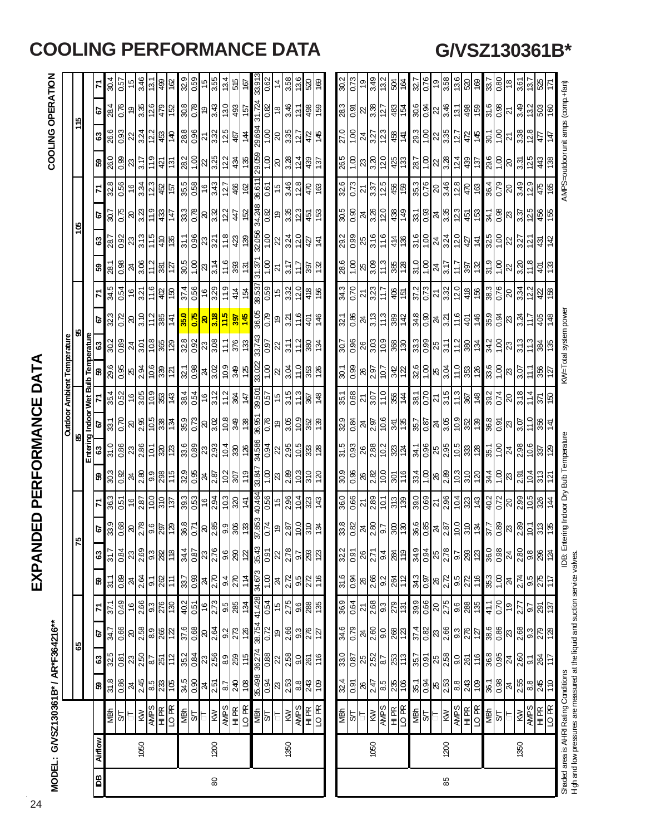# EXPANDED PERFORMANCE DATA

|    |         | MODEL: G/VSZ130361B* / AR*F364216**                                           |                                                                                                                 |                                                 |                                                                                                                               |                                                                                                                                                                                       |                     | EXPANDED                                                      |                                                                                                     |                                                                                                 |                                                                                                   | <b>PERFORMANCE</b>                                                                                                                                                                  |                                                                                                           | DATA                                                                                                            |                                                              |                                                                       |                                           |                                                                                                   |                                                                                                    |                                                                                                                                                                                                                                                                                                                                                                                              |                          |                                                                                     |                                                                                                 | COOLING OPERATION                  |                   |
|----|---------|-------------------------------------------------------------------------------|-----------------------------------------------------------------------------------------------------------------|-------------------------------------------------|-------------------------------------------------------------------------------------------------------------------------------|---------------------------------------------------------------------------------------------------------------------------------------------------------------------------------------|---------------------|---------------------------------------------------------------|-----------------------------------------------------------------------------------------------------|-------------------------------------------------------------------------------------------------|---------------------------------------------------------------------------------------------------|-------------------------------------------------------------------------------------------------------------------------------------------------------------------------------------|-----------------------------------------------------------------------------------------------------------|-----------------------------------------------------------------------------------------------------------------|--------------------------------------------------------------|-----------------------------------------------------------------------|-------------------------------------------|---------------------------------------------------------------------------------------------------|----------------------------------------------------------------------------------------------------|----------------------------------------------------------------------------------------------------------------------------------------------------------------------------------------------------------------------------------------------------------------------------------------------------------------------------------------------------------------------------------------------|--------------------------|-------------------------------------------------------------------------------------|-------------------------------------------------------------------------------------------------|------------------------------------|-------------------|
|    |         |                                                                               |                                                                                                                 |                                                 |                                                                                                                               |                                                                                                                                                                                       |                     |                                                               |                                                                                                     |                                                                                                 |                                                                                                   |                                                                                                                                                                                     |                                                                                                           |                                                                                                                 | Outdoor Ambient Temperature                                  |                                                                       |                                           |                                                                                                   |                                                                                                    |                                                                                                                                                                                                                                                                                                                                                                                              |                          |                                                                                     |                                                                                                 |                                    |                   |
|    |         |                                                                               |                                                                                                                 | 65                                              |                                                                                                                               |                                                                                                                                                                                       |                     | $\overline{5}$                                                |                                                                                                     |                                                                                                 |                                                                                                   | 18                                                                                                                                                                                  |                                                                                                           |                                                                                                                 |                                                              | 8                                                                     |                                           |                                                                                                   | $\frac{105}{2}$                                                                                    |                                                                                                                                                                                                                                                                                                                                                                                              |                          |                                                                                     | 115                                                                                             |                                    |                   |
|    |         |                                                                               |                                                                                                                 |                                                 |                                                                                                                               |                                                                                                                                                                                       |                     |                                                               |                                                                                                     |                                                                                                 |                                                                                                   | Entering I<br>63                                                                                                                                                                    |                                                                                                           |                                                                                                                 | Indoor Wet Bulb Temperature                                  |                                                                       |                                           |                                                                                                   |                                                                                                    |                                                                                                                                                                                                                                                                                                                                                                                              |                          |                                                                                     |                                                                                                 |                                    |                   |
| B  | Airflow |                                                                               | <u>යි</u>                                                                                                       | 63                                              | 6                                                                                                                             | 7                                                                                                                                                                                     | ඹ                   | 63                                                            | 29                                                                                                  | 7                                                                                               | <b>B</b>                                                                                          |                                                                                                                                                                                     | 2                                                                                                         | 8                                                                                                               | $\boldsymbol{\mathbb{S}}$                                    | 19                                                                    | 7                                         | <b>G</b>                                                                                          |                                                                                                    | 2                                                                                                                                                                                                                                                                                                                                                                                            | 7                        | 65                                                                                  | $\boldsymbol{\mathbb{S}}$                                                                       | e.                                 | $\overline{r}$    |
|    |         | 画                                                                             | 31.8                                                                                                            | 32.5                                            | 7.7                                                                                                                           | 37.1                                                                                                                                                                                  | 31.1                | <b>S1.7</b>                                                   |                                                                                                     | 36.3                                                                                            | 30.3                                                                                              | 33.1<br>31.0                                                                                                                                                                        | 35.4                                                                                                      | 29.6                                                                                                            | 30.2                                                         |                                                                       | 34.5                                      | 28.1                                                                                              | 28.7                                                                                               | 30.7                                                                                                                                                                                                                                                                                                                                                                                         | 32.8                     | 26.0                                                                                | 26.6                                                                                            | 28.4                               | 30.4              |
|    |         | ৯∣∃                                                                           |                                                                                                                 | 0.81                                            | 0.66                                                                                                                          | 0.49                                                                                                                                                                                  | 0.89                | 0.84                                                          |                                                                                                     | 0.51                                                                                            |                                                                                                   | 0.86                                                                                                                                                                                | 0.52<br>0.70                                                                                              |                                                                                                                 |                                                              |                                                                       | 0.54                                      | 0.98                                                                                              | $\frac{0.92}{23}$                                                                                  | 0.75                                                                                                                                                                                                                                                                                                                                                                                         | 0.56                     | 0.99                                                                                | $\frac{0.93}{22}$                                                                               | 0.76                               | 0.57              |
|    |         |                                                                               | $rac{8}{24}$                                                                                                    | 23                                              | $\mathbb{R}$                                                                                                                  |                                                                                                                                                                                       | Z4                  | 23                                                            |                                                                                                     | $\frac{6}{5}$                                                                                   |                                                                                                   | 23                                                                                                                                                                                  | $\frac{6}{2}$                                                                                             |                                                                                                                 |                                                              |                                                                       | $\frac{6}{5}$                             | $\approx$                                                                                         |                                                                                                    | $\mathsf{S}$                                                                                                                                                                                                                                                                                                                                                                                 | $\frac{6}{5}$            | $\frac{25}{37}$                                                                     |                                                                                                 | $\overline{6}$                     | $\frac{5}{2}$     |
|    | 1050    | <b>NX</b>                                                                     |                                                                                                                 | 2.50                                            | $2.58$<br>8.9                                                                                                                 | 2.66                                                                                                                                                                                  | 2.64                | 2.69                                                          |                                                                                                     | 2.87                                                                                            | 영 <mark>치80</mark> 8                                                                              |                                                                                                                                                                                     |                                                                                                           |                                                                                                                 |                                                              | $\frac{32}{32}$ $\frac{22}{3}$ $\frac{22}{3}$                         | 3.21                                      | 3.06                                                                                              | 3.13                                                                                               | $\frac{32}{110}$                                                                                                                                                                                                                                                                                                                                                                             | $\frac{3.34}{12.3}$      |                                                                                     | 324                                                                                             | 3.35                               | 3.46              |
|    |         | <b>SHNV</b>                                                                   | 8.5                                                                                                             | 78                                              |                                                                                                                               |                                                                                                                                                                                       | $\overline{6}$      | 9.3                                                           |                                                                                                     |                                                                                                 |                                                                                                   |                                                                                                                                                                                     |                                                                                                           |                                                                                                                 |                                                              |                                                                       | 11.6                                      | 11.2                                                                                              | 11.5                                                                                               |                                                                                                                                                                                                                                                                                                                                                                                              |                          | 0.11                                                                                | 12.2                                                                                            | 12.6                               | 13.1              |
|    |         | <b>HIPR</b>                                                                   | 233                                                                                                             | 251                                             | 265                                                                                                                           | $\frac{8}{18}$ $\frac{1}{2}$ $\frac{1}{2}$ $\frac{1}{2}$ $\frac{1}{2}$ $\frac{1}{2}$                                                                                                  | 262                 | 282                                                           | <u>ြို့ အခြံခြံခြံခြံခြံခြံခြံ</u>                                                                  | $rac{1}{2}$ $rac{1}{8}$ $rac{1}{8}$ $rac{1}{8}$ $rac{1}{8}$ $rac{1}{8}$ $rac{1}{8}$ $rac{1}{8}$ | $\frac{298}{15}$                                                                                  |                                                                                                                                                                                     | $\frac{36}{36}$ $\frac{1}{36}$ $\frac{1}{36}$ $\frac{1}{36}$ $\frac{1}{36}$ $\frac{1}{36}$ $\frac{1}{36}$ |                                                                                                                 | <u>ၜျချင္ကျချမွာ မြန္မာမူ အျဖစ္</u> က                        | <mark> ୡ ≛ <mark> ୡ  ဉ</mark>္က  <mark>୪ </mark></mark>               | $\frac{1}{2}$                             | $\frac{38}{3}$                                                                                    | 410                                                                                                | 433                                                                                                                                                                                                                                                                                                                                                                                          | <u>ဖြစ် မိုးမိုးမိုး</u> | 421                                                                                 | 453                                                                                             | 479                                | 98290             |
|    |         | $\frac{\sqrt{2}}{2}$                                                          | 105                                                                                                             | 112                                             | $\frac{22}{2}$                                                                                                                |                                                                                                                                                                                       | 111                 | 118                                                           |                                                                                                     |                                                                                                 |                                                                                                   |                                                                                                                                                                                     |                                                                                                           |                                                                                                                 |                                                              |                                                                       |                                           | $127$<br>30.5                                                                                     | $\frac{15}{25}$ $\frac{15}{25}$ $\frac{15}{25}$ $\frac{15}{25}$                                    |                                                                                                                                                                                                                                                                                                                                                                                              |                          | $\frac{1}{2}$ $\frac{1}{2}$ $\frac{1}{2}$ $\frac{1}{2}$ $\frac{1}{2}$ $\frac{1}{2}$ |                                                                                                 | 152                                |                   |
|    |         |                                                                               |                                                                                                                 |                                                 |                                                                                                                               |                                                                                                                                                                                       | 33.7                |                                                               |                                                                                                     |                                                                                                 |                                                                                                   |                                                                                                                                                                                     |                                                                                                           |                                                                                                                 |                                                              |                                                                       | $\frac{37.4}{0.56}$                       |                                                                                                   |                                                                                                    |                                                                                                                                                                                                                                                                                                                                                                                              |                          |                                                                                     |                                                                                                 |                                    |                   |
|    |         |                                                                               |                                                                                                                 |                                                 |                                                                                                                               |                                                                                                                                                                                       | 0.93                |                                                               |                                                                                                     |                                                                                                 |                                                                                                   |                                                                                                                                                                                     |                                                                                                           |                                                                                                                 |                                                              |                                                                       |                                           |                                                                                                   |                                                                                                    |                                                                                                                                                                                                                                                                                                                                                                                              |                          |                                                                                     |                                                                                                 |                                    |                   |
|    |         |                                                                               | $\frac{15}{3}$ $\frac{8}{3}$ $\frac{1}{3}$ $\frac{1}{2}$                                                        | $\frac{35.2}{0.84}$                             |                                                                                                                               |                                                                                                                                                                                       | $\frac{24}{2.70}$   | $\frac{344}{0.87}$                                            |                                                                                                     |                                                                                                 | $\frac{28}{38}$ $\frac{8}{38}$ $\frac{1}{28}$                                                     |                                                                                                                                                                                     |                                                                                                           |                                                                                                                 |                                                              |                                                                       |                                           | $rac{1}{28}$ $\frac{8}{4}$                                                                        |                                                                                                    |                                                                                                                                                                                                                                                                                                                                                                                              |                          |                                                                                     |                                                                                                 | <u>ချိန္ကူ</u> ခ်ိန္ကြ             |                   |
| 80 | 1200    |                                                                               |                                                                                                                 |                                                 | $\frac{18}{100}$ $\frac{18}{100}$                                                                                             | 2.73                                                                                                                                                                                  |                     |                                                               |                                                                                                     | 2.94                                                                                            |                                                                                                   |                                                                                                                                                                                     | 3.12                                                                                                      |                                                                                                                 |                                                              | $\frac{1}{3}$                                                         | 329                                       |                                                                                                   |                                                                                                    |                                                                                                                                                                                                                                                                                                                                                                                              |                          |                                                                                     | $\frac{88}{898}$ $\frac{8}{2}$ $\frac{1}{2}$ $\frac{1}{2}$ $\frac{1}{2}$ $\frac{1}{2}$          |                                    | $\frac{15}{3.55}$ |
|    |         |                                                                               | 8.7                                                                                                             | $\frac{8}{3}$                                   |                                                                                                                               |                                                                                                                                                                                       | 9.4                 | 9.6                                                           |                                                                                                     |                                                                                                 |                                                                                                   |                                                                                                                                                                                     | 11.2                                                                                                      |                                                                                                                 | 11.1                                                         | $\frac{15}{11}$                                                       | 11.9                                      | 11.6                                                                                              | 11.8                                                                                               |                                                                                                                                                                                                                                                                                                                                                                                              |                          |                                                                                     |                                                                                                 | 13.0                               |                   |
|    |         |                                                                               | 240                                                                                                             |                                                 |                                                                                                                               |                                                                                                                                                                                       | 270                 | 290                                                           |                                                                                                     |                                                                                                 |                                                                                                   |                                                                                                                                                                                     |                                                                                                           |                                                                                                                 |                                                              |                                                                       | 414                                       |                                                                                                   |                                                                                                    |                                                                                                                                                                                                                                                                                                                                                                                              |                          |                                                                                     |                                                                                                 |                                    |                   |
|    |         | $\frac{\text{AMPS}}{\text{IUPR}}$                                             | $108$                                                                                                           | 259<br>115                                      | $rac{9}{273}$                                                                                                                 | $\frac{55}{8}$                                                                                                                                                                        | 114                 | 122                                                           | $\frac{98}{38}$                                                                                     | $\frac{1}{2}$ 8 $\frac{1}{4}$                                                                   |                                                                                                   | $rac{36}{37}$<br>$rac{1}{36}$                                                                                                                                                       | 364<br>147                                                                                                |                                                                                                                 | 376                                                          | $rac{397}{145}$                                                       | 154                                       | $\frac{8}{15}$                                                                                    |                                                                                                    |                                                                                                                                                                                                                                                                                                                                                                                              | $\frac{27}{48}$          | $\frac{22}{3}$ 35                                                                   | $\frac{144}{29.694}$                                                                            | $rac{493}{157}$                    | $\frac{134}{515}$ |
|    |         |                                                                               | 35.498                                                                                                          | 36.274                                          | 38.754                                                                                                                        | 41,428                                                                                                                                                                                | 34.673              | 35.43                                                         |                                                                                                     | 40.464                                                                                          |                                                                                                   |                                                                                                                                                                                     | 39.501                                                                                                    |                                                                                                                 | 33.743                                                       | 36.05                                                                 | 38.537                                    | 31.37                                                                                             |                                                                                                    |                                                                                                                                                                                                                                                                                                                                                                                              | 36.611                   | 29.059                                                                              |                                                                                                 | 1.724                              | 33.913            |
|    |         |                                                                               |                                                                                                                 |                                                 |                                                                                                                               |                                                                                                                                                                                       |                     |                                                               |                                                                                                     |                                                                                                 |                                                                                                   |                                                                                                                                                                                     |                                                                                                           |                                                                                                                 |                                                              |                                                                       |                                           |                                                                                                   |                                                                                                    |                                                                                                                                                                                                                                                                                                                                                                                              |                          |                                                                                     |                                                                                                 |                                    | 0.62              |
|    |         | ⊉∥≅                                                                           | ತ್ವಜ <mark>್</mark> ಷ                                                                                           | $\frac{0.88}{22}$                               | $rac{672}{19}$                                                                                                                | $\frac{654}{15}$                                                                                                                                                                      | $\frac{100}{24}$    | $\frac{0.91}{22}$                                             | $\frac{25}{10}$                                                                                     | $\frac{950}{15}$                                                                                | $ 3 8 ^{\frac{1}{2}}$ $ 3 8 8 8 8 $                                                               | $\left  \frac{1}{2} \right  \frac{1}{3} \approx 1$                                                                                                                                  | $rac{91}{15}$<br>$rac{6}{10}$                                                                             | $\frac{1}{2}$ $\frac{1}{2}$ $\frac{1}{2}$ $\frac{1}{2}$ $\frac{1}{2}$ $\frac{1}{2}$ $\frac{1}{2}$ $\frac{1}{2}$ | $rac{0.97}{22}$                                              | $rac{6L}{6L'0}$                                                       | 0.59                                      | $\frac{1}{27}$                                                                                    | $rac{1}{3}$ $rac{1}{3}$ $rac{1}{3}$ $rac{1}{3}$ $rac{1}{3}$ $rac{1}{3}$ $rac{1}{3}$                | $\frac{1}{2} \frac{1}{2} \left  \frac{1}{2} \frac{1}{2} \frac{1}{2} \frac{1}{2} \frac{1}{2} \frac{1}{2} \frac{1}{2} \frac{1}{2} \frac{1}{2} \frac{1}{2} \frac{1}{2} \frac{1}{2} \frac{1}{2} \frac{1}{2} \frac{1}{2} \frac{1}{2} \frac{1}{2} \frac{1}{2} \frac{1}{2} \frac{1}{2} \frac{1}{2} \frac{1}{2} \frac{1}{2} \frac{1}{2} \frac{1}{2} \frac{1}{2} \frac{1}{2} \frac{1}{2} \frac{1}{2}$ | $rac{15}{15}$            | <u>ခြိုင်း</u>                                                                      | $\frac{00}{20}$                                                                                 | $\frac{8}{18}$                     | ±                 |
|    | 1350    | $\overline{\mathbb{R}}$                                                       |                                                                                                                 | 2.58                                            | 2.66                                                                                                                          | 2.75                                                                                                                                                                                  | 2.72                | 2.78                                                          |                                                                                                     | 2.96                                                                                            |                                                                                                   |                                                                                                                                                                                     | 3.15<br>3.05                                                                                              | ತ್ರ                                                                                                             | 3.11                                                         | $\overline{\frac{3.21}{}}$                                            | 3.32                                      | $\frac{3}{17}$                                                                                    |                                                                                                    | 3.35                                                                                                                                                                                                                                                                                                                                                                                         | 3.46                     |                                                                                     | 3.35                                                                                            | 3.46                               | 3.58              |
|    |         |                                                                               | $_{\rm 8.8}$                                                                                                    |                                                 | 9.3                                                                                                                           | 9.6                                                                                                                                                                                   | 9.5                 |                                                               |                                                                                                     | 10.4                                                                                            |                                                                                                   |                                                                                                                                                                                     | 11.3                                                                                                      |                                                                                                                 | 11.2                                                         | 11.6                                                                  | 12.0                                      | 717                                                                                               |                                                                                                    |                                                                                                                                                                                                                                                                                                                                                                                              | 12.8                     | 12.4                                                                                | 127                                                                                             | $\frac{51}{2}$                     | 13.6              |
|    |         |                                                                               |                                                                                                                 |                                                 |                                                                                                                               |                                                                                                                                                                                       | 272                 |                                                               | $\frac{10}{30}$                                                                                     |                                                                                                 |                                                                                                   |                                                                                                                                                                                     |                                                                                                           |                                                                                                                 |                                                              | 401                                                                   |                                           |                                                                                                   |                                                                                                    | $\frac{12.3}{451}$                                                                                                                                                                                                                                                                                                                                                                           | 470                      |                                                                                     |                                                                                                 |                                    |                   |
|    |         | $\frac{\text{ANPS}}{\text{HIR}}$                                              | 243                                                                                                             | $\frac{10}{10}$                                 | 276                                                                                                                           | $\frac{88}{135}$                                                                                                                                                                      | 116                 | $rac{25}{28}$                                                 | $+8$                                                                                                | $\frac{1}{2}$                                                                                   | $\frac{3}{2}$                                                                                     | $\frac{15}{38}$                                                                                                                                                                     | $rac{267}{148}$<br>$\frac{98}{35}$                                                                        | $\frac{1}{2}$ $\frac{1}{2}$ $\frac{1}{2}$ $\frac{1}{2}$                                                         | <b>REL</b>                                                   | 46                                                                    | 418                                       | $rac{28}{132}$                                                                                    | $\frac{2}{4}$ $\frac{1}{4}$                                                                        | 153                                                                                                                                                                                                                                                                                                                                                                                          | 163                      | 437                                                                                 | 472                                                                                             | 498                                | 881               |
|    |         |                                                                               |                                                                                                                 |                                                 |                                                                                                                               |                                                                                                                                                                                       |                     |                                                               |                                                                                                     |                                                                                                 |                                                                                                   |                                                                                                                                                                                     |                                                                                                           |                                                                                                                 |                                                              |                                                                       |                                           |                                                                                                   |                                                                                                    |                                                                                                                                                                                                                                                                                                                                                                                              |                          |                                                                                     |                                                                                                 |                                    |                   |
|    |         |                                                                               | 32.4                                                                                                            | 33.0                                            | 94.6                                                                                                                          | 36.9                                                                                                                                                                                  | 31.6                | 32.2                                                          |                                                                                                     | 36.0                                                                                            | 30.9                                                                                              | 31.5                                                                                                                                                                                | 35.1<br>32.9                                                                                              | 30.1                                                                                                            | 30.7                                                         | 32.1                                                                  | 34.3                                      | 28.6                                                                                              | 29.2                                                                                               | 30.5                                                                                                                                                                                                                                                                                                                                                                                         | 32.6                     | 26.5                                                                                | 27.0                                                                                            | 28.3                               | 30.2              |
|    |         |                                                                               | 0.91                                                                                                            | 0.87                                            | 0.79                                                                                                                          | 0.64                                                                                                                                                                                  | 0.94                | 0.91                                                          | $\frac{338}{0.82}$                                                                                  | 0.66                                                                                            |                                                                                                   | 0.84<br>0.93                                                                                                                                                                        | 0.68                                                                                                      | 68.0                                                                                                            |                                                              | 0.86                                                                  | 0.70                                      | 1.00                                                                                              | 0.99                                                                                               | 0.90                                                                                                                                                                                                                                                                                                                                                                                         | 0.73                     | 1.00                                                                                | 100                                                                                             | 0.91                               | 0.73              |
|    |         |                                                                               |                                                                                                                 |                                                 |                                                                                                                               |                                                                                                                                                                                       |                     |                                                               |                                                                                                     | $\overline{21}$                                                                                 |                                                                                                   |                                                                                                                                                                                     | $\overline{\mathbf{a}}$                                                                                   |                                                                                                                 |                                                              |                                                                       | $\overline{21}$                           |                                                                                                   |                                                                                                    |                                                                                                                                                                                                                                                                                                                                                                                              |                          |                                                                                     |                                                                                                 |                                    |                   |
|    | 1050    |                                                                               | $\frac{26}{247}$                                                                                                | $\frac{25}{2.52}$                               | $\frac{24}{28}$                                                                                                               | $\frac{21}{2.68}$                                                                                                                                                                     | $\frac{26}{2.66}$   | $\frac{26}{2.71}$                                             | $\frac{24}{28}$                                                                                     | 2.89                                                                                            |                                                                                                   | $\frac{24}{2.97}$                                                                                                                                                                   | 3.07                                                                                                      | $\frac{26}{2.97}$                                                                                               | 0.96<br>26<br>3.03                                           | $\frac{24}{3.13}$                                                     | 3.23                                      | $\frac{25}{3}$                                                                                    | $\frac{25}{3.16}$                                                                                  | $\frac{24}{3.26}$                                                                                                                                                                                                                                                                                                                                                                            | $\frac{21}{3.37}$        | $\frac{2}{3}$                                                                       | $\frac{24}{327}$                                                                                | $\frac{8}{338}$                    | $\frac{9}{3.49}$  |
|    |         | $\frac{\frac{1}{2}}{\frac{1}{2}}$                                             | 8.5                                                                                                             | $\overline{8}$                                  | 0.6                                                                                                                           |                                                                                                                                                                                       | 9.2                 | 9.4                                                           | $\overline{5}$                                                                                      | ļē.                                                                                             | $\frac{8}{8}$ $\frac{8}{8}$ $\frac{8}{8}$ $\frac{10}{8}$                                          | $\frac{26}{2.88}$                                                                                                                                                                   | 11.0<br>$\frac{6}{10}$                                                                                    | $\frac{10}{2}$                                                                                                  | $\frac{10.9}{2}$                                             | 11.3                                                                  | E                                         | 11.3                                                                                              | 11.6                                                                                               | $\overline{12.0}$                                                                                                                                                                                                                                                                                                                                                                            | 12.5                     | $\frac{12.0}{2}$                                                                    | $\overline{123}$                                                                                | l5                                 | 13.2              |
|    |         | H <sub>R</sub><br>ER<br>ER                                                    | $rac{25}{100}$                                                                                                  | <u> ශිප</u>                                     | 268                                                                                                                           | $\frac{279}{131}$                                                                                                                                                                     | $rac{264}{12}$      | $rac{284}{19}$                                                | <b>OCE</b>                                                                                          | $\frac{8}{3}$                                                                                   | $rac{301}{116}$                                                                                   | 341<br>323                                                                                                                                                                          | 356                                                                                                       | 342                                                                                                             | $\frac{88}{130}$                                             | $\frac{388}{142}$                                                     | $rac{66}{5}$                              | $\frac{38}{128}$                                                                                  | 414<br>136                                                                                         | $rac{8}{148}$                                                                                                                                                                                                                                                                                                                                                                                | 456                      | $rac{425}{133}$                                                                     | 458                                                                                             | $\frac{483}{154}$                  | $\frac{2}{3}$     |
|    |         |                                                                               |                                                                                                                 |                                                 |                                                                                                                               |                                                                                                                                                                                       |                     |                                                               |                                                                                                     |                                                                                                 |                                                                                                   |                                                                                                                                                                                     |                                                                                                           |                                                                                                                 |                                                              |                                                                       |                                           |                                                                                                   |                                                                                                    |                                                                                                                                                                                                                                                                                                                                                                                              |                          |                                                                                     |                                                                                                 |                                    |                   |
|    |         |                                                                               |                                                                                                                 |                                                 |                                                                                                                               |                                                                                                                                                                                       | $\frac{34.3}{0.97}$ |                                                               |                                                                                                     |                                                                                                 |                                                                                                   |                                                                                                                                                                                     | $\frac{38.1}{0.70}$                                                                                       |                                                                                                                 |                                                              |                                                                       | $\frac{37.2}{0.73}$                       | 31.0                                                                                              |                                                                                                    |                                                                                                                                                                                                                                                                                                                                                                                              |                          |                                                                                     |                                                                                                 | $\frac{30.6}{0.94}$                | 32.7              |
|    |         | 회의절                                                                           | $\frac{1}{2}$ $\frac{1}{2}$ $\frac{1}{2}$ $\frac{1}{2}$ $\frac{1}{2}$ $\frac{1}{2}$                             | $\frac{35.7}{0.91}$                             | $\frac{1}{2}$ $\frac{1}{2}$ $\frac{1}{2}$ $\frac{1}{2}$ $\frac{1}{2}$ $\frac{1}{2}$ $\frac{1}{2}$ $\frac{1}{2}$ $\frac{1}{2}$ | $\frac{3}{3} \frac{1}{3} \frac{1}{3} \frac{1}{3} \left  \frac{1}{2} \frac{1}{3} \right  \left  \frac{1}{2} \frac{1}{3} \right  \left  \frac{1}{2} \right  \left  \frac{1}{2} \right $ |                     | $\frac{34.9}{0.94}$ $\frac{8}{2}$ $\frac{8}{2}$ $\frac{8}{2}$ | $\frac{88}{88}$ $\frac{8}{8}$ $\frac{8}{8}$ $\frac{8}{8}$ $\frac{8}{8}$ $\frac{8}{8}$ $\frac{8}{8}$ | $\frac{390}{0.68}$ $\frac{21}{2.36}$                                                            | $\frac{3}{2}$ $\frac{1}{2}$ $\frac{1}{2}$ $\frac{1}{2}$ $\frac{1}{2}$ $\frac{1}{2}$               | $\frac{1}{2}$ $\frac{1}{8}$ $\frac{1}{8}$ $\frac{1}{8}$ $\frac{1}{8}$ $\frac{1}{8}$ $\frac{1}{8}$ $\frac{1}{8}$ $\frac{1}{8}$                                                       | <u>ြင်းမြို့ မြို့မြို့မျှ မြို့</u>                                                                      | <u>ိမ္ကိုခဲ့ဖြံ့ခြဲမြို့</u>                                                                                    | $\frac{33}{30}$ $\frac{9}{30}$ $\frac{1}{20}$ $\frac{1}{20}$ | $\frac{2}{3}$ $\frac{2}{3}$ $\frac{2}{3}$ $\frac{2}{3}$               |                                           | 1.00                                                                                              | $\frac{25}{3}$ $\frac{2}{3}$ $\frac{2}{3}$ $\frac{2}{3}$ $\frac{2}{3}$ $\frac{2}{3}$ $\frac{2}{3}$ | <u>នៀន ។ ដៀត ក្នុង</u>                                                                                                                                                                                                                                                                                                                                                                       | $rac{35.3}{276}$         | $\frac{28.7}{1.00}$ $\frac{28.7}{3.28}$                                             | $\frac{25}{25}$ $\frac{25}{25}$ $\frac{25}{25}$ $\frac{25}{25}$ $\frac{25}{25}$ $\frac{25}{25}$ |                                    |                   |
|    |         |                                                                               |                                                                                                                 |                                                 |                                                                                                                               |                                                                                                                                                                                       |                     |                                                               |                                                                                                     |                                                                                                 |                                                                                                   |                                                                                                                                                                                     | $\frac{21}{3.15}$                                                                                         |                                                                                                                 |                                                              |                                                                       | $\frac{21}{3.32}$                         | $rac{24}{3.17}$                                                                                   |                                                                                                    |                                                                                                                                                                                                                                                                                                                                                                                              |                          |                                                                                     |                                                                                                 | $\frac{22}{3.46}$                  | $\frac{19}{3.58}$ |
| 85 | 1200    |                                                                               |                                                                                                                 |                                                 |                                                                                                                               |                                                                                                                                                                                       |                     |                                                               |                                                                                                     |                                                                                                 |                                                                                                   |                                                                                                                                                                                     |                                                                                                           |                                                                                                                 |                                                              |                                                                       |                                           |                                                                                                   |                                                                                                    |                                                                                                                                                                                                                                                                                                                                                                                              |                          |                                                                                     |                                                                                                 |                                    |                   |
|    |         | $\frac{\sqrt{N}}{\sqrt{N}}$                                                   | ෨ <mark>෯</mark> ෨                                                                                              | ြွေ ရွှေ မှို                                   |                                                                                                                               |                                                                                                                                                                                       | $8\frac{27}{215}$   | 9.7                                                           |                                                                                                     | $ \vec{z} $ & क                                                                                 | $ z $ ະ) ខែ                                                                                       |                                                                                                                                                                                     | $\frac{11.3}{367}$                                                                                        |                                                                                                                 | $\frac{12}{18}$ 이화                                           | $\frac{116}{11}$                                                      | 12.0                                      | 11.7                                                                                              |                                                                                                    |                                                                                                                                                                                                                                                                                                                                                                                              | $\frac{28}{28}$          | $\frac{430}{430}$                                                                   |                                                                                                 | 13.1                               | 13.6              |
|    |         |                                                                               |                                                                                                                 |                                                 |                                                                                                                               |                                                                                                                                                                                       |                     | $\frac{29}{123}$                                              |                                                                                                     |                                                                                                 |                                                                                                   |                                                                                                                                                                                     |                                                                                                           |                                                                                                                 |                                                              | $rac{45}{6}$                                                          | 418                                       | 397                                                                                               |                                                                                                    |                                                                                                                                                                                                                                                                                                                                                                                              |                          |                                                                                     |                                                                                                 | 498                                | 520               |
|    |         |                                                                               |                                                                                                                 |                                                 |                                                                                                                               |                                                                                                                                                                                       |                     |                                                               |                                                                                                     |                                                                                                 |                                                                                                   |                                                                                                                                                                                     | 48                                                                                                        |                                                                                                                 |                                                              |                                                                       |                                           |                                                                                                   |                                                                                                    |                                                                                                                                                                                                                                                                                                                                                                                              |                          |                                                                                     |                                                                                                 |                                    |                   |
|    |         | ⊉हो<br>ब                                                                      |                                                                                                                 | $\frac{88}{365}$ $\frac{8}{24}$ $\frac{80}{24}$ |                                                                                                                               | 41.1                                                                                                                                                                                  | 35.3                | 36.0                                                          | $\frac{12}{12}$ $\frac{12}{12}$ $\frac{12}{12}$                                                     |                                                                                                 | $\frac{1}{3}$ $\frac{1}{3}$ $\frac{1}{3}$ $\frac{1}{3}$ $\frac{1}{3}$ $\frac{1}{3}$ $\frac{1}{3}$ |                                                                                                                                                                                     | $\frac{39.2}{0.74}$                                                                                       | 쒾 승 성 실 스                                                                                                       | 34.2                                                         | $\frac{1}{3}$ $\frac{1}{3}$ $\frac{1}{3}$ $\frac{1}{3}$ $\frac{1}{3}$ | $\frac{38.3}{0.76}$                       | $\frac{1}{2}$ $\frac{1}{2}$ $\frac{1}{2}$ $\frac{1}{2}$ $\frac{1}{2}$ $\frac{1}{2}$ $\frac{1}{2}$ |                                                                                                    |                                                                                                                                                                                                                                                                                                                                                                                              | $\frac{8.4}{36.79}$      | $\frac{86}{18}$ $\frac{8}{18}$                                                      | 30.1                                                                                            | 31.6                               | 33.7              |
|    |         |                                                                               |                                                                                                                 |                                                 |                                                                                                                               | 0.70                                                                                                                                                                                  | $\frac{8}{10}$      | 860                                                           |                                                                                                     |                                                                                                 |                                                                                                   |                                                                                                                                                                                     |                                                                                                           |                                                                                                                 | $\frac{1.00}{23}$                                            |                                                                       |                                           |                                                                                                   |                                                                                                    |                                                                                                                                                                                                                                                                                                                                                                                              |                          |                                                                                     |                                                                                                 |                                    | 0.80              |
|    |         |                                                                               |                                                                                                                 |                                                 |                                                                                                                               |                                                                                                                                                                                       |                     | $\frac{24}{2.80}$                                             |                                                                                                     |                                                                                                 |                                                                                                   |                                                                                                                                                                                     |                                                                                                           |                                                                                                                 |                                                              |                                                                       |                                           |                                                                                                   |                                                                                                    |                                                                                                                                                                                                                                                                                                                                                                                              |                          |                                                                                     |                                                                                                 | $\overline{z}$                     | 8 <sub>1</sub>    |
|    | 1350    | KW                                                                            |                                                                                                                 |                                                 |                                                                                                                               | 2.77                                                                                                                                                                                  | 2.74                |                                                               |                                                                                                     |                                                                                                 |                                                                                                   |                                                                                                                                                                                     | 3.18                                                                                                      |                                                                                                                 | 3.13                                                         |                                                                       | 3.34                                      |                                                                                                   |                                                                                                    |                                                                                                                                                                                                                                                                                                                                                                                              |                          |                                                                                     |                                                                                                 | 3.49                               | 3.61              |
|    |         | <b>APS</b><br>HER                                                             | $\frac{1}{8}$ $\frac{1}{8}$ $\frac{1}{8}$ $\frac{1}{8}$ $\frac{1}{8}$ $\frac{1}{8}$ $\frac{1}{8}$ $\frac{1}{8}$ | 의원는                                             | $\frac{16}{36}$ $\frac{12}{3}$ $\frac{12}{3}$ $\frac{12}{3}$ $\frac{12}{3}$ $\frac{12}{3}$                                    | $\frac{25}{28}$                                                                                                                                                                       | 9.5                 | 9.8                                                           |                                                                                                     | <u>မြိုင်ပြီးမြို့မြို့မြို့</u>                                                                |                                                                                                   | $\frac{1}{15}$ $\frac{1}{15}$ $\frac{1}{15}$ $\frac{1}{15}$ $\frac{1}{15}$ $\frac{1}{15}$ $\frac{1}{15}$ $\frac{1}{15}$ $\frac{1}{15}$ $\frac{1}{15}$ $\frac{1}{15}$ $\frac{1}{15}$ | 11.4                                                                                                      |                                                                                                                 | 11.3                                                         | 717                                                                   | $\frac{2}{2}$ $\frac{2}{9}$ $\frac{8}{8}$ |                                                                                                   | <u>မြို့ချီမျှမျှ မြို့န</u>                                                                       | " ၂ွေး  အမြို့  အမြို့                                                                                                                                                                                                                                                                                                                                                                       |                          | 12.5                                                                                | $\frac{ z }{ z }$ $\frac{ z }{ z }$                                                             | 13.2                               | $\overline{3}$ :  |
|    |         |                                                                               |                                                                                                                 |                                                 |                                                                                                                               |                                                                                                                                                                                       | 275                 |                                                               | 313                                                                                                 |                                                                                                 | 313                                                                                               |                                                                                                                                                                                     | $rac{27}{150}$                                                                                            | 356                                                                                                             | 384                                                          | 405                                                                   |                                           | 401                                                                                               |                                                                                                    |                                                                                                                                                                                                                                                                                                                                                                                              | 475                      | 443                                                                                 |                                                                                                 | 503                                | 525               |
|    |         |                                                                               | 110                                                                                                             |                                                 |                                                                                                                               |                                                                                                                                                                                       | $\frac{1}{7}$       | <sup>124</sup>                                                |                                                                                                     |                                                                                                 | <u>ਨ੍</u>                                                                                         |                                                                                                                                                                                     |                                                                                                           | 127                                                                                                             | 135                                                          | 148                                                                   |                                           | ಔ                                                                                                 |                                                                                                    |                                                                                                                                                                                                                                                                                                                                                                                              | 165                      |                                                                                     | 47                                                                                              | 160                                |                   |
|    |         | Shaded area is AHRI Rating Conditions                                         |                                                                                                                 |                                                 |                                                                                                                               |                                                                                                                                                                                       |                     | ide: Er                                                       | tering Indoor Dry                                                                                   |                                                                                                 | <b>Bulb Temperature</b>                                                                           |                                                                                                                                                                                     |                                                                                                           |                                                                                                                 | W-Total system power                                         |                                                                       |                                           |                                                                                                   |                                                                                                    |                                                                                                                                                                                                                                                                                                                                                                                              |                          |                                                                                     |                                                                                                 | AMPS=outdoor unit amps (comp.+fan) |                   |
|    |         | High and low pressures are measured at the liquid and suction service valves. |                                                                                                                 |                                                 |                                                                                                                               |                                                                                                                                                                                       |                     |                                                               |                                                                                                     |                                                                                                 |                                                                                                   |                                                                                                                                                                                     |                                                                                                           |                                                                                                                 |                                                              |                                                                       |                                           |                                                                                                   |                                                                                                    |                                                                                                                                                                                                                                                                                                                                                                                              |                          |                                                                                     |                                                                                                 |                                    |                   |

**COOLING PERFORMANCE DATA G/VSZ130361B\***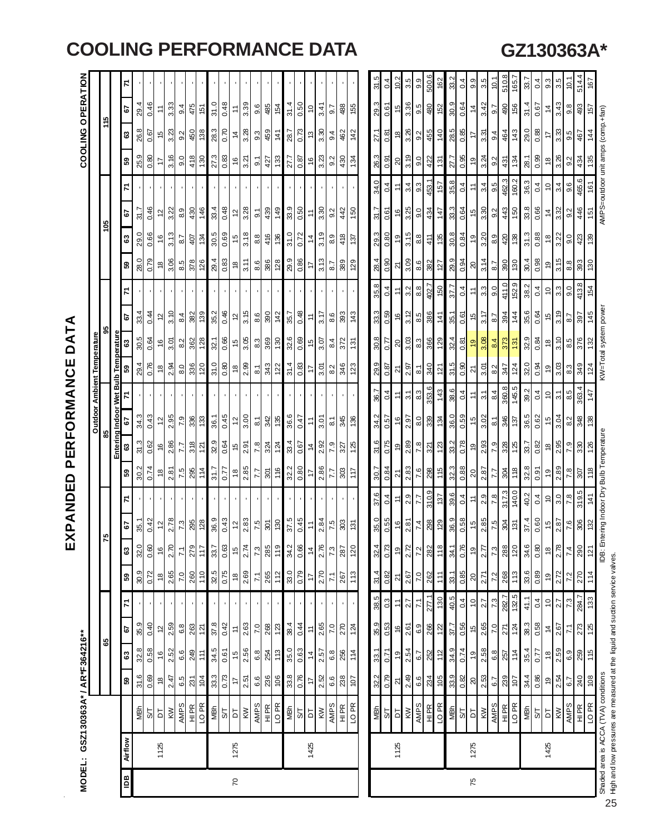|               |         | MODEL: GSZ130363A* / AR*F364216**    |                                |                   |                   |                      |                          |                |                            |                |                                |                                                         |                          |                                    |                         |                        |                     |                                |                 |                                   |                      |                         | <b>COOLING OPERATION</b>       |                   |                  |
|---------------|---------|--------------------------------------|--------------------------------|-------------------|-------------------|----------------------|--------------------------|----------------|----------------------------|----------------|--------------------------------|---------------------------------------------------------|--------------------------|------------------------------------|-------------------------|------------------------|---------------------|--------------------------------|-----------------|-----------------------------------|----------------------|-------------------------|--------------------------------|-------------------|------------------|
|               |         |                                      |                                |                   |                   |                      |                          |                |                            |                |                                |                                                         |                          | <b>Outdoor Ambient Temperature</b> |                         |                        |                     |                                |                 |                                   |                      |                         |                                |                   |                  |
|               |         |                                      |                                |                   | 65                |                      |                          |                |                            |                |                                | 53                                                      |                          |                                    |                         |                        |                     |                                |                 | 105                               |                      |                         | 115                            |                   |                  |
|               |         |                                      |                                |                   |                   |                      |                          |                |                            |                |                                | Entering Indoor Wet                                     |                          |                                    | <b>Bulb Temperature</b> |                        |                     |                                |                 |                                   |                      |                         |                                |                   |                  |
| 쁴             | Airflow |                                      | 8                              | 3                 | 5                 | 7                    | និ                       | ෂ              | 5                          | 7              | 53                             | ន                                                       | 2                        | ន<br>7                             | ន                       | 2                      | ᠷ                   | ន                              | 3               | 5                                 | 7                    | ន                       | 3                              | 57                |                  |
|               |         | MBh                                  | 31.6                           | 32.8              | 35.9              |                      | 30.9                     | 32.0           | 35.1                       |                | 57<br>30.2                     | ო                                                       | 34.3                     | 29.4                               | 30.5                    | 33.4                   |                     | 28.0                           | 29.0            | $\frac{1}{2}$                     |                      | 25.9                    | 26.8                           | 29.4              |                  |
|               |         | S <sub>T</sub>                       | 0.69                           | 0.58              | 0.40              |                      | 0.72                     | 0.60           | 0.42                       |                | 0.74                           | 0.62                                                    | 0.43                     | 0.76                               | 0.64                    | 0.44                   |                     | 0.79                           | 0.66            | 0.46                              |                      | 0.80                    | 0.67                           | 0.46              |                  |
|               | 1125    | $\overline{\mathsf{D}}$              | $\overset{\circ}{\phantom{a}}$ | $\frac{6}{5}$     | $\overline{c}$    |                      | $\frac{8}{2}$            | $\frac{6}{2}$  | 12                         |                | $\frac{8}{2}$                  | $\frac{6}{2}$                                           | 12                       | $\overset{\circ}{\approx}$         | $\frac{6}{2}$           | $\overline{2}$         |                     | $\frac{8}{2}$                  | $\frac{6}{2}$   | $\stackrel{\textstyle\sim}{\sim}$ |                      | 17                      | 15                             |                   |                  |
|               |         | KW                                   | 2.47                           | 2.52              | 2.59              |                      | 2.65                     | 2.70           | 2.78                       |                | 2.81                           | 2.86                                                    | 2.95                     | 2.94                               | 3.01                    | 3.10                   |                     | 3.06                           | 3.13            | 3.22                              |                      | 3.16                    | 3.23                           | 3.33              |                  |
|               |         | <b>AMPS</b>                          | 6.5                            | 6.6               | 6.8               |                      | 7.0                      | 7.1            | 7.3                        |                | 7.5                            | 7.7                                                     | 7.9                      | 8.0                                | 8.2                     | 8.4                    |                     | 8.5                            | 8.7             | 8.9                               |                      | 9.0                     | 9 <sup>2</sup>                 | 9.4               |                  |
|               |         | HI <sub>PR</sub>                     | 231                            | 249               | 263               |                      | 260                      | 279            | 295                        |                | 295                            | 318                                                     | 336                      | 336                                |                         | 382                    |                     | 378                            | 407             | 430                               |                      |                         | 450                            | 475               |                  |
|               |         | LO PR                                | 104                            | $111$             | 121               |                      | 110                      | 117            | 128                        |                | 114                            | 121                                                     | $\frac{33}{2}$           | 120                                | $\frac{362}{128}$       | 139                    |                     | 126                            | 134             | 146                               |                      | 418                     | 138                            | 151               |                  |
|               |         | MBh                                  | 33.3                           | 34.5              | 37.8              |                      | 32.5                     | 33.7           | 36.9                       |                |                                | 32.9                                                    | 36.1                     | 31.0                               | 32.1                    | 35.2                   |                     |                                | 30.5            | 33.4                              |                      | 27.3                    | 28.3                           | 31.0              |                  |
|               |         | S <sub>T</sub>                       | 0.73                           | 0.61              | 0.42              |                      | 0.75                     | 0.63           | 0.43                       |                | $rac{31.7}{0.77}$              | 0.64                                                    | 0.45                     | 0.80                               | 0.66                    | 0.46                   |                     | $\frac{29.4}{0.83}$            | 0.69            | $\frac{48}{ }$                    |                      | 0.83                    | 0.70                           | 0.48              |                  |
| $\mathcal{L}$ | 1275    | $\overline{\mathsf{d}}$              | $\overline{1}$                 | $\frac{6}{1}$     | $\overline{a}$    |                      | $\frac{8}{3}$            | $\frac{1}{2}$  | 12                         |                | $\overset{\circ}{\phantom{a}}$ | $\frac{6}{5}$                                           | $\frac{2}{3}$            | $\frac{8}{2}$                      | $\frac{15}{2}$          | $\tilde{c}$            |                     | $\overset{\circ}{\phantom{a}}$ | $\frac{5}{3}$   | $\overline{\mathfrak{c}}$         |                      | $\overline{\mathsf{e}}$ | $\overline{4}$                 | $\tilde{t}$       |                  |
|               |         | $\lessgtr$                           | 2.51                           | 2.56              | 2.63              |                      | 2.69                     | 2.74           | 2.83                       |                | 2.85                           | 2.91                                                    | 3.00                     | 2.99                               | 3.05                    | 3.15                   |                     | 3.11                           | 3.18            | 3.28                              |                      | 3.21                    | 3.28                           | 3.39              |                  |
|               |         | <b>AMPS</b>                          | 6.6                            | 6.8               | 7.0               |                      | $\overline{11}$          | 73             | 7.5                        |                | 7.7                            | 7.8                                                     | $\overline{8.1}$         | $\overline{8}$                     | 8.3                     | 8.6                    |                     | 8.6                            | 8.8             | $\overline{9}$ .                  |                      | $\overline{9}$ .        | 9.3                            | 9.6               |                  |
|               |         | HI <sub>PR</sub>                     | 236                            | 254               | 268               |                      | 265                      | 285            | $\mathfrak{B}$             |                | 301                            | 324                                                     | 342                      | 343                                | 369                     | 390                    |                     | 386                            | 416             | 439                               |                      |                         | 459                            | 485               |                  |
|               |         | LO PR                                | 106                            | 113               | 123               |                      | 112                      | 119            | 130                        |                | 116                            | 124                                                     | 135                      | 122                                | 130                     | $142$                  |                     | 128                            | 136             | 149                               |                      | $\frac{427}{133}$       | 141                            | 154               |                  |
|               |         | MBh                                  | 33.8                           | 35.0              | 38.4              |                      | 33.0                     | 34.2           | 37.5                       |                |                                | 33.4                                                    | 36.6                     | 31.4                               | 32.6                    | 35.7                   |                     | 29.9                           | 31.0            | 33.9                              |                      | 27.7                    | 28.7                           | 31.4              |                  |
|               |         | S <sub>T</sub>                       | 0.76                           | 0.63              | 0.44              |                      | 0.79                     | 0.66           | 0.45                       |                | $\frac{32.2}{0.80}$            | 0.67                                                    | 0.47                     | 0.83                               | 0.69                    | 0.48                   |                     | 0.86                           | 0.72            | 0.50                              |                      | 0.87                    | 0.73                           | 0.50              |                  |
|               | 1425    |                                      | $\overline{\phantom{a}}$       | $\frac{1}{4}$     | $\tilde{t}$       |                      | 17                       | $\frac{4}{7}$  | Ξ                          |                |                                |                                                         |                          |                                    |                         | $\overleftarrow{\tau}$ |                     | 17                             | $\frac{4}{3}$   | $\overleftarrow{\cdot}$           |                      |                         |                                | $\overline{C}$    |                  |
|               |         | $rac{1}{\sqrt{2}}$                   | 2.52                           | 2.57              | 2.65              |                      | 2.70                     | 2.76           | 2.84                       |                | 2.86                           | $\frac{14}{2.92}$                                       | $\frac{1}{3.01}$         | $\frac{17}{3.01}$                  | $\frac{15}{3.07}$       | $\frac{1}{3}$ .7       |                     | 3.13                           | 3.19            | 3.30                              |                      | $16$<br>3.23            | $\frac{13}{30}$                | 3.41              |                  |
|               |         |                                      | 6.6                            | 6.8               | $\overline{2.0}$  |                      | 7.1                      | 7.3            | 7.5                        |                |                                |                                                         | $\overline{\textrm{8}}$  |                                    |                         | $_{\rm 8.6}$           |                     | 6.7                            | 8.9             | 9.2                               |                      |                         | 9.4                            | 9.7               |                  |
|               |         |                                      | 238                            | 256               |                   |                      | 267                      | 287            | $303\,$                    |                |                                |                                                         |                          |                                    | $\frac{8.4}{372}$       | 393                    |                     | 689                            | 418             |                                   |                      | 9.2                     | 462                            | 488               |                  |
|               |         | $\frac{\text{AMPS}}{\text{H1 PR}}$   | 107                            | $114$             | 270<br>124        |                      | 113                      | 120            | $\frac{5}{13}$             |                | $\frac{21}{17}$                | $\frac{7.9}{327}$                                       | 345                      | $\frac{82}{36}$                    | 131                     | 143                    |                     | 129                            | 137             | 442                               |                      | 134                     | $142$                          | 155               |                  |
|               |         |                                      |                                |                   |                   |                      |                          |                |                            |                |                                |                                                         |                          |                                    |                         |                        |                     |                                |                 |                                   |                      |                         |                                |                   |                  |
|               |         | MBh                                  | 32.2                           | 33.1              | 35.9              | 38.5                 | 31.4                     | 32.4           | 35.0                       | 37.6           | 30.7                           | 31.6                                                    | 34.2                     | 29.9<br>36.7                       | 30.8                    | 33.3                   | 35.8                | 28.4                           | 29.3            | 31.7                              | 34.0                 | 26.3                    | 27.1                           | 29.3              | 31.5             |
|               |         | S <sub>T</sub>                       | 0.79                           | 0.71              | 0.53              | 0.3                  | 0.82                     | 0.73           | 0.55                       | 0.4            | 0.84                           | 0.75                                                    | 0.57                     | 0.87<br>0.4                        | 0.77                    | 0.59                   | 0.4                 | 0.90                           | 0.80            | 0.61                              | 0.4                  | 0.91                    | 0.81                           | 0.61              | $\overline{0.4}$ |
|               | 1125    | $\overline{\mathbf{p}}$              | $\overline{\mathcal{Z}}$       | $\frac{9}{2}$     | $\frac{6}{5}$     | $\frac{1}{\sqrt{2}}$ | $\overline{\mathcal{Z}}$ | $\overline{6}$ | $\frac{6}{2}$              | 듼              | $\overline{21}$                | $\overline{6}$                                          | 16                       | Z1<br>$\Xi$                        | 20                      | $\frac{6}{2}$          | 듼                   | 인                              | $\overline{.}$  | $\frac{6}{2}$                     | 뒤                    | 20                      | $\overset{\circ}{\phantom{a}}$ | $\frac{15}{2}$    | 10.2             |
|               |         | $\lessapprox$                        | 2.49                           | 2.54              | 2.61              | 2.7                  | 2.67                     | 2.72           | 2.81                       | 2.9            | 2.83                           | 2.89                                                    | 2.97                     | 2.97<br>3.1                        | 3.03                    | 3.12                   | 3.2                 | 3.09                           | 3.15            | 3.25                              | 3.4                  | 3.19                    | 3.26                           | 3.36              | 3.5              |
|               |         | <b>AMPS</b>                          | 6.6                            | 6.7               | 6.9               | 7.1                  | 7.0                      | 72             | 7.4                        |                | 7.6                            | 7.8                                                     | 8.0                      | $\overline{8}$<br>8.3              | 8.3                     | 8.5                    | 8.8                 | 8.6                            | 8.8             | 9.0                               | 9.3                  | 9.0                     | 92                             | 9.5               | 9.9              |
|               |         | <b>HIPR</b>                          | 234                            | 252               | 266               | 277.1                | 262                      | 282            | 298                        | 310.9          | 298                            | 321                                                     | 339                      | 340<br>353.6                       | 366                     | 386                    | 402.7               | 382                            | 411             | 434                               | 453.1                | 422                     | 455                            | 480               | 500.6            |
|               |         | LO PR                                | 105                            | 112               | 122               | 130                  | 111                      | $118$          | 129                        | 137            | 115                            | 123                                                     | 134                      | 121<br>143                         | 129                     | 141                    | 150                 | 127                            | 135             | 147                               | 157                  | 131                     | 140                            | 152               | 162              |
|               |         | MBh                                  | 33.9                           | 34.9              | 37.7              | 40.5                 | 33.1                     | 34.1           | 36.9                       | 39.6           | 32.3                           | 33.2                                                    | 36.0                     | 31.5<br>38.6                       | 32.4                    | 35.1                   | 37.7                | 29.9                           | 30.8            | 33.3                              | 35.8                 | 27.7                    | 28.5                           | 30.9              | 33.2             |
|               |         | 5 <sub>7</sub>                       | 0.82                           | 0.74              | 0.56              | 0.4                  | 0.85                     | 0.76           | 0.58                       | 0.4            | 0.88                           | 0.78                                                    | 0.59                     | 0.90<br>0.4                        | $\frac{80}{3}$          | 0.61                   | 0.4                 | 0.94                           | 0.84            | 0.64                              | 0.4                  | 0.95                    | 0.85                           | 0.64              | 0.4              |
| 75            | 1275    | $\overline{\mathsf{D}}$              | $20\,$                         | $\frac{0}{2}$     | $\frac{4}{5}$     | $\overline{0}$       | $\infty$                 | 6,             | 15                         | $\tilde{t}$    | 20                             | $\overline{9}$                                          | 15                       | Z<br>$\Xi$                         | $\overline{9}$          | 15                     | $\tilde{z}$         | 20                             | $\overline{0}$  | $\frac{4}{5}$                     | $\overline{r}$       | $\overline{9}$          | 17                             | 14                | 9.9              |
|               |         | $\tilde{\leq}$                       | 2.53                           | 2.58              | 2.65              | 2.7                  | 2.71                     | 2.77           | 2.85                       | 2.9            | $2.8^{-}$                      | 2.93                                                    | 3.02                     | 3.01<br>31                         | 3.08                    | 3.17                   | 3.3                 | 3.14                           | 3.20            | 3.30                              | 3.4                  | 3.24                    | 3.31                           | 3.42              | 3.5              |
|               |         | <b>AMPS</b>                          | 6.7                            | 6.8               | 7.0               | <b>7.3</b>           | 7.2                      | 7.3            | 7.5                        | 7.8            | $\overline{17}$                | 7.9                                                     | $\overline{\textrm{so}}$ | 82<br>8.4                          | 8.4                     | 8.7                    | 9.0                 | 8.7                            | 8.9             | 9.2                               | 9.5                  | 9.2                     | 9.4                            | 9.7               | 10.1             |
|               |         | HIPR <sub></sub>                     | 239                            | 257               | 271               | 282.7                | 268                      | 288            | 304                        | 317.3          | 304                            | 328                                                     | 346                      | 347<br>360.8                       | 373                     | 394                    | 411.0               | 390                            | 420             | 443                               | 462.3                | 431                     | 464                            | 490               | 510.8            |
|               |         | LO PR                                | 107                            | 114               | 124               | 132.5                | 113                      | 120            | $\tilde{5}$                | 140.0          | 118                            |                                                         |                          | 124<br>145.5                       | 131                     | 144                    | 152.9               | 130                            | 138             | 150                               | 160.2                | 134                     | $143$                          | 156               | 165.7            |
|               |         | MBh                                  | 34.4                           | 35.4              | 38.3              | 41.1                 | 33.6                     | 34.6           | 37.4                       | 40.2           | 32.8                           | 33.7                                                    | 36.5                     | 32.0<br>39.2                       | 32.9                    | 35.6                   | 38.2                | $\frac{30.4}{0.98}$            | 31.3            | 33.8                              | 36.3                 | 28.1                    | 29.0                           | 31.4              | 33.7             |
|               |         | $\frac{1}{18}$                       | 0.86                           | 0.77              | 0.58              | 0.4                  | 0.89                     | 0.80           | $\frac{0.60}{15}$          | $\frac{1}{6}$  | $\frac{61}{19}$                | 0.82                                                    | $\frac{0.62}{15}$        | $\frac{6}{19}$<br>$\frac{10}{10}$  | $\frac{0.84}{18}$       | $\frac{0.64}{15}$      | 0.4                 |                                | $\frac{68}{18}$ | 0.66                              | 0.4                  | $\frac{8}{18}$          | 0.88                           | 0.67              | $\overline{0.4}$ |
|               | 1425    |                                      | စ္                             | $\frac{8}{3}$     | $\frac{4}{3}$     | $\overline{0}$       | $\overline{9}$           | $\frac{8}{2}$  |                            |                |                                |                                                         |                          |                                    |                         |                        | $\overline{0}$      |                                |                 | $\uparrow$                        | $\acute{\mathsf{o}}$ |                         | H                              | $\ddot{4}$        | 9.3              |
|               |         | $\overline{\mathsf{X}}$              | $2.54$<br>$6.7$                | 2.59              | 2.67              | 2.7                  | 2.72                     | 2.78           | 2.87                       | 3.0            | 2.89                           |                                                         | 3.04                     | $\frac{3.03}{8.3}$<br>$3.1$        | 3.10                    | 3.19                   | 3.3                 | 3.15                           | 3.22            | 3.32                              | 3.4                  | 3.26                    | $\frac{3.33}{9.5}$             | 3.43              | $3.\overline{5}$ |
|               |         | <b>AMPS</b>                          |                                | 6.9               | $\overline{7.1}$  | 7.3                  | 7.2                      | 74             | $\overline{7.6}$           |                | 7.8                            |                                                         | 8.2                      | 8.5                                | 8.5                     | 6.7                    | 9.0                 | 8.8                            | 9.0             | 9.2                               | 9.6                  | 9.2                     |                                | $9.\overline{8}$  | 10.1             |
|               |         | HIPR<br>LOPR                         | $\frac{240}{108}$              | $\frac{259}{115}$ | $\frac{273}{125}$ | 284.7                | $\frac{270}{114}$        | 290            | 306                        | 319.5          | 307                            | $\frac{8}{2}$ $\frac{8}{2}$ $\frac{8}{2}$ $\frac{8}{2}$ | $rac{348}{138}$          | 349<br>363.4                       | 376                     | $\frac{397}{145}$      | $\frac{413.8}{154}$ | $\frac{393}{130}$              | $rac{423}{139}$ | 446                               | 465.6                | $rac{43}{135}$          | 467                            | $\frac{493}{157}$ | 514.4            |
|               |         |                                      |                                |                   |                   | 133                  |                          | 121            | $\overline{32}$            | $\frac{14}{1}$ | 18                             |                                                         |                          | 124<br>$\frac{147}{1}$             | $\frac{1}{32}$          |                        |                     |                                |                 |                                   | 161                  |                         | 144                            |                   | 167              |
|               |         | Shaded area is ACCA (TVA) conditions |                                |                   |                   |                      |                          | ide: En        | tering Indoor Dry Bulb Ten |                |                                | peratu                                                  |                          |                                    | KW=Total                | power<br>system        |                     |                                |                 | SHWP                              | outdoor              | unit am                 | (comp.                         | $-tan)$           |                  |

# **EXPANDED PERF EXPANDED PERFORMANCE DATA CE DATA**

**COOLING PERFORMANCE DATA GZ130363A\***

יבשי.<br>25 Published ow pressures are measured at the liquid and sudtion service valves.<br>25 Published over pressures High and low pressures are measured at the liquid and suction service valves.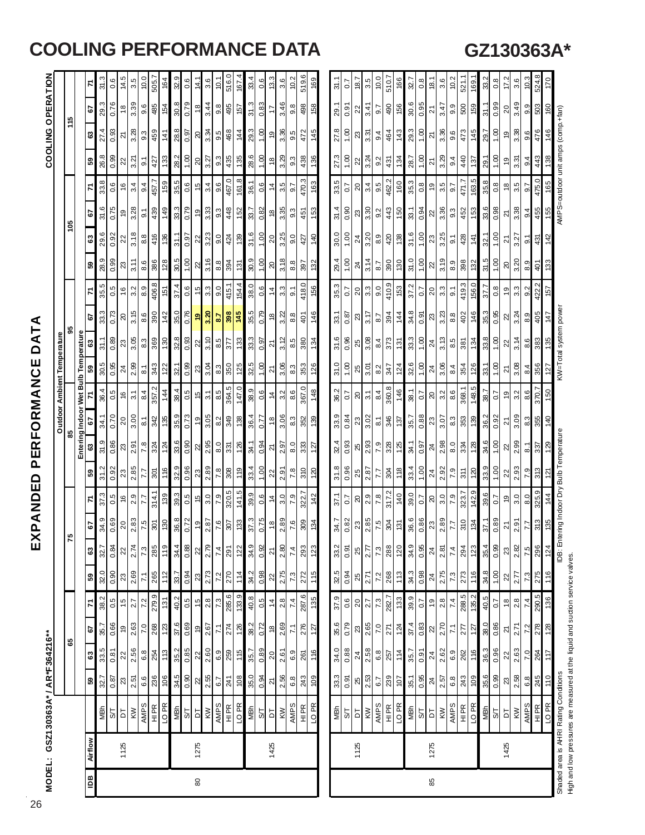|                    |         | MODEL: GSZ130363A* / AR*F364216**                                                                                      |                    |                           |                  |                      |                            | щ                       | <b>XPANDED</b>     |                       |                                    |                       | PERFORMANCE                 |                  |                                                                                                                                                            | DAT.              | ⋖                              |                     |                   |                                      |                                             |                   |                                 | <b>COOLING OPERATION</b>        |                          |  |
|--------------------|---------|------------------------------------------------------------------------------------------------------------------------|--------------------|---------------------------|------------------|----------------------|----------------------------|-------------------------|--------------------|-----------------------|------------------------------------|-----------------------|-----------------------------|------------------|------------------------------------------------------------------------------------------------------------------------------------------------------------|-------------------|--------------------------------|---------------------|-------------------|--------------------------------------|---------------------------------------------|-------------------|---------------------------------|---------------------------------|--------------------------|--|
|                    |         |                                                                                                                        |                    |                           |                  |                      |                            |                         |                    |                       |                                    |                       | Outdoor Ambient Temperature |                  |                                                                                                                                                            |                   |                                |                     |                   |                                      |                                             |                   |                                 |                                 |                          |  |
|                    |         |                                                                                                                        |                    |                           | 8                |                      |                            |                         | 52                 |                       |                                    | 53                    |                             |                  |                                                                                                                                                            |                   |                                |                     |                   | 105                                  |                                             |                   |                                 | 115                             |                          |  |
|                    |         |                                                                                                                        |                    |                           |                  |                      |                            |                         |                    |                       |                                    | Enterir<br>63         | ng Indoor                   | Wet              | <b>Bulb Temperature</b>                                                                                                                                    |                   |                                |                     |                   |                                      |                                             |                   |                                 |                                 |                          |  |
| $\mathbb{E}$       | Airflow |                                                                                                                        | 32.7<br>${\tt S3}$ | $\boldsymbol{\mathsf{c}}$ | <u>ی</u>         | $\mathbf{z}$         | ${\tt s}$                  | $\mathbbmss{3}$         | 57                 | 7                     | 53                                 |                       | 57                          | 7                | ္တ                                                                                                                                                         | ස                 | 5                              | $\overline{1}$      | ${\tt S}$         | 5<br>63                              | Σ                                           | ${\tt 59}$        | $\mathbbmss{3}$                 | 5                               | 7                        |  |
|                    |         | MBh<br>$\frac{2}{10}$                                                                                                  | 0.87               | 33.5<br>0.81              | 0.66<br>35.7     | 38.2<br>0.5          | 32.0<br>0.90               | 0.84<br>32.7            | 0.69<br>$\ddot{a}$ | 9.0<br>$\approx$      | 0.92                               | 0.86<br>$\frac{1}{2}$ | 0.70<br>34.1                | 36.4<br>0.5      | 0.95<br>$\overline{30}$                                                                                                                                    | 0.89<br>31.1      | 0.73<br>33.                    | ଞ୍ଜା<br>0.5<br>35.  | 0.99              | $\frac{31.6}{0.75}$<br>0.92<br>29.6  | 33.8<br>0.6                                 | 0.99<br>26.       | 0.93<br>27.                     | 0.76<br>29.3                    | 31.3<br>$0.\overline{6}$ |  |
|                    | 1125    | $\overline{\mathsf{d}}$                                                                                                | $23\,$             | 22                        | <b>e</b>         | $\frac{6}{1}$        | $\boldsymbol{\mathcal{Z}}$ | $\approx$               | 20                 | $\frac{6}{5}$         | 23                                 | 23                    | 20                          | $\frac{6}{5}$    | $\overline{24}$                                                                                                                                            | $23\,$            | $\approx$                      | $\frac{6}{5}$       | $23\,$            | é,<br>22                             | $\frac{6}{5}$                               | $\bowtie$         | 2                               | $\frac{8}{1}$                   | 14.5                     |  |
|                    |         | $\vert \tilde{\xi} \vert$                                                                                              | 2.51               | 2.56                      | 2.63             | 2.7                  | 2.69                       | 2.74                    | 2.83               | 2.9                   | 285                                | 2.91                  | 3.00                        | $\overline{3}$ . | 2.99                                                                                                                                                       | 3.05              | 3.15                           | 3.2                 | 3.11              | 3.28<br>3.18                         | $\frac{34}{ }$                              | 3.21              | 3.28                            | 3.39                            | $3.\overline{5}$         |  |
|                    |         | <b>AMPS</b>                                                                                                            | 6.6                | 6.8                       | 7.0              | 7.2                  | $\overline{71}$            | 7.3                     | 7.5                | 77                    | 7.7                                | 7.8                   | $\overline{\mathbf{8}}$     | 8.4              | $\overline{8}$                                                                                                                                             | $\frac{3}{8}$     | 8.6                            | 8.9                 | 8.6               | $\overline{9}$ . 1<br>8.8            | 9.4                                         | $\overline{9}$    | $9.\overline{3}$                | 9.6                             | 10.0                     |  |
|                    |         | HI PR                                                                                                                  | 236                | 254                       | 268              | 279.9                | 265                        | 285                     | $\frac{5}{2}$      | 314.1                 | 301                                | 324                   | 342                         | 357.2            | 343                                                                                                                                                        | 369               | 390                            | 406.8               | 386               | 439<br>416                           | 457.7                                       | 427               | 459                             | 485                             | 505.                     |  |
|                    |         | LO PR                                                                                                                  | 106                | 113                       | 123              | 131                  | 112                        | 119                     | 130                | 139                   | 116                                | 124                   | 135                         | 144              | 122                                                                                                                                                        | 130               | 142                            | 151                 | 128               | 149<br>136                           | 159                                         | 133               | 141                             | 154                             | 164                      |  |
|                    |         | MBh                                                                                                                    | 34.5               | 35.2                      | 37.6             | 40.2                 | 33.7                       | 34.4                    | 36.8               | 39.3                  | 32.9                               | 33.6                  | 35.9                        | 38.4             | 32.1                                                                                                                                                       | 32.8              | 35.0                           | 37.4                | 30.5              | 33.3<br>31.1                         | 35.5                                        | 28.2              | 28.8                            | 30.8                            | 32.9                     |  |
|                    |         | S <sub>T</sub>                                                                                                         | 0.90               | 0.85                      | 0.69             | 0.5                  | 0.94                       | 0.88                    | 0.72               | 0.5                   | 0.96                               | 0.90                  | 0.73                        | 0.5              | 0.99                                                                                                                                                       | 0.93              | 0.76                           | $0.\overline{6}$    | 1.00              | 0.79<br>0.97                         | 0.6                                         | 1.00              | 0.97                            | 0.79                            | 0.6                      |  |
| $\pmb{\mathbb{S}}$ | 1275    | $\overline{\mathsf{D}}$                                                                                                | $22\,$             | 22                        | $\overline{6}$   | $\frac{15}{2}$       | 23                         | $\approx$               | $\frac{9}{2}$      | $\frac{15}{2}$        | 23                                 | 22                    | $\frac{9}{2}$               | $\frac{5}{2}$    | 23                                                                                                                                                         | $\overline{2}$    | $\frac{9}{2}$                  | 15                  | $\overline{2}$    | $\overline{6}$<br>22                 | $\frac{5}{2}$                               | 20                | 20                              | $\frac{8}{3}$                   | $\frac{1}{4}$            |  |
|                    |         | KW                                                                                                                     | 2.55               | 2.60                      | 2.67             | 2.8                  | 2.73                       | 2.79                    | 2.87               | 3.0                   | 2.89                               | 2.95                  | 3.05                        | 3.1              |                                                                                                                                                            | 3.10              | 3.20                           | $3.\overline{3}$    | 3.16              | 3.33<br>3.23                         | 3.4                                         | 3.27              | 3.34                            | 3.44                            | 3.6                      |  |
|                    |         | <b>AMPS</b>                                                                                                            | 6.7                | 6.9                       | $\overline{71}$  | 7.3                  | 7.2                        | 7.4                     | 7.6                | 7.9                   | 7.8                                | 8.0                   | 8.2                         | 8.5              | $\frac{3.04}{8.3}$                                                                                                                                         | 8.5               | 53                             | 9.0                 | $\frac{8.8}{ }$   | 9.3<br>9.0                           | 9.6                                         | 9.3               | 9.5                             | 9.8                             | 10.1                     |  |
|                    |         |                                                                                                                        | 241                | 259                       | 274              | 285.6                | 270                        | 291                     | 307                | 320.5                 |                                    |                       |                             | 364.5            |                                                                                                                                                            | 377               |                                | 415.1               | 394               | 448                                  | 467.0                                       | $\frac{435}{135}$ | 468                             | 495                             | 516.0                    |  |
|                    |         | $\frac{H}{10}$                                                                                                         | 108                | 115                       | 126              | 133.9                | 14                         | 122                     | 133                | 141.5                 | $\frac{308}{119}$                  | $\frac{331}{126}$     | 349                         | 147.0            | $\frac{350}{125}$                                                                                                                                          | 133               | $\frac{398}{145}$              | 154.4               | $\overline{15}$   | 152<br>424                           | 161.8                                       |                   | 144                             | 157                             | 167.4                    |  |
|                    |         | M <sub>BN</sub>                                                                                                        | 35.0               | 35.7                      | 38.2             | 40.8                 | 34.2                       | 34.9                    | 37.3               | 39.9                  | 33.4                               | 34.1                  | 36.4                        | 38.9             | 32.5                                                                                                                                                       | 33.3              | 35.5                           | 38.0                | 30.9              | 33.7<br>31.6                         | 36.1                                        | 28.6              | 29.3                            | 31.3                            | 33.4                     |  |
|                    |         | <b>ST</b>                                                                                                              | 0.94               | 0.89                      | 0.72             | 0.5                  | 0.98                       | 0.92                    | 0.75               | 0.6                   | 1.00                               | 0.94                  | 0.77                        | 0.6              | 1.00                                                                                                                                                       | 0.97              | 0.79                           | 0.6                 | 1.00              | 0.82<br>1.00                         | 0.6                                         | 1.00              | 1.00                            | 0.83                            | 0.6                      |  |
|                    | 1425    | Ъ                                                                                                                      | $\overline{21}$    | 20                        | $\frac{8}{2}$    | $\frac{4}{3}$        | $\approx$                  | $\overline{z}$          |                    | $\overline{1}$        | 22                                 | $\overline{2}$        |                             | $\sharp$         |                                                                                                                                                            | $\approx$         | $\overset{\circ}{\phantom{a}}$ | $\frac{4}{4}$       | $\rm ^{20}$       | $\frac{8}{2}$<br>20                  | $\overline{4}$                              |                   | $\overline{9}$                  | 17                              | 13.3                     |  |
|                    |         | $\lesssim$                                                                                                             | 2.56               | 2.61                      | 2.69             | 2.8                  | 2.75                       | 2.80                    | $\frac{18}{2.89}$  | 3.0                   | 2.91                               | 2.97                  | $\frac{18}{3.06}$           | 3.2              | $\frac{21}{3.06}$                                                                                                                                          | 3.12              | 3.22                           | $3.\overline{3}$    | 3.18              | 3.35<br>3.25                         | 3.5                                         | $\frac{18}{3.29}$ | 3.36                            | 3.46                            | 3.6                      |  |
|                    |         | <b>AMPS</b>                                                                                                            | 6.8                | 6.9                       | $\overline{7.1}$ | 7.4                  | 7.3                        | 7.4                     | 7.6                | 7.9                   | 7.8                                | 8.0                   | 8.3                         | 8.6              | 8.3                                                                                                                                                        | 8.5               | 8.8                            | $\overline{9}$ .    | 8.8               | 9.3<br>9.0                           | $\overline{9.7}$                            | 9.3               | 9.5                             | 9.8                             | 10.2                     |  |
|                    |         | HI <sub>PR</sub>                                                                                                       | 243                | 261                       | 276              | 287.6                | 272                        | 293                     | 309                | 322.7                 | 310                                | 333                   | 352                         | 367.0            | 353                                                                                                                                                        | 380               | 401                            | 418.0               | 397               | 451<br>427                           | 470.3                                       | 438               | 472                             | 498                             | 519.6                    |  |
|                    |         | LO PR                                                                                                                  | 109                | 116                       | 127              | 135                  | 115                        | 123                     | 134                | 142                   | 120                                | 127                   | 139                         | 148              | 126                                                                                                                                                        | 134               | 146                            | 156                 | 132               | 153<br>140                           | 163                                         | 136               | 145                             | 158                             | 169                      |  |
|                    |         |                                                                                                                        |                    |                           |                  |                      |                            |                         |                    |                       |                                    |                       |                             |                  |                                                                                                                                                            |                   |                                |                     |                   |                                      |                                             |                   |                                 |                                 |                          |  |
|                    |         | MBh                                                                                                                    | 33.3               | 34.0                      | 35.6             | 37.9                 | 32.5                       | 33.2                    | 34.7               | 37.1                  | 31.8                               | 32.4                  | 33.9                        | 36.2             | 31.0                                                                                                                                                       | 31.6              | 33.1                           | 35.3                | 29.4              | 31.4<br>30.0                         | 33.5                                        | 27.3              | 27.8                            | 29.1                            | 31.1                     |  |
|                    |         | 5 <sup>1</sup>                                                                                                         | 0.91               | 0.88                      | 0.79             | $0.\overline{6}$     | 0.94                       | 0.91                    | 0.82               | $\overline{C}0$       | 0.96                               | 0.93                  | 0.84                        | 0.7              | 1.00                                                                                                                                                       | 0.96              | 0.87                           | 0.7                 | $\frac{100}{1}$   | 0.90<br>1.00                         | 0.7                                         | 1.00              | 1.00                            | 0.91                            | $\overline{C}0$          |  |
|                    | 1125    | $\overline{\mathsf{d}}$                                                                                                | 25                 | 24                        | $23\,$           | 20                   | 25                         | 25                      | 23                 | $\overline{20}$       | 25                                 | 25                    | 23                          | $\infty$         | 8                                                                                                                                                          | 25                | 23                             | 20                  | $\overline{2}$    | 23<br>24                             | $\overline{20}$                             | ଷ                 | $23$                            | 22                              | 18.7                     |  |
|                    |         | $\lessgtr$                                                                                                             | 2.53               | 2.58                      | 2.65             | 2.7                  | 2.71                       | 2.77                    | 2.85               | 2.9                   | 2.87                               | 2.93                  | 3.02                        | $\overline{3.1}$ | $\frac{3.01}{8.2}$                                                                                                                                         | 3.08              | 3.17                           | $3.\overline{3}$    | 3.14              | 3.30<br>3.20                         | 3.4                                         | 3.24              | 3.31                            | 3.41                            | 3.5                      |  |
|                    |         | <b>AMPS</b>                                                                                                            | 6.7                | 6.8                       | 7.0              | 7.3                  | 7.2                        | 7.3                     | 7.5                | 78                    |                                    | 7.9                   | $\overline{\textrm{8}}$     | 8.4              |                                                                                                                                                            | 8.4               | 5.8                            | 9.0                 | 8.7               | 9.2<br>8.9                           | 9.5                                         | 9.2               | 9.4                             | $\overline{9.7}$                | 10.0                     |  |
|                    |         | $\frac{1}{\frac{1}{2}}$                                                                                                | 239                | 257                       | 271              | 282.7                | 268                        | 288                     | 304                | 317.2                 | $\frac{304}{18}$                   | 328                   | $rac{246}{137}$             | 360.8            | $347$<br>$124$                                                                                                                                             | $\frac{373}{131}$ | $\frac{394}{144}$              | $\frac{410.9}{153}$ | $\frac{390}{130}$ | $\frac{443}{150}$<br>$rac{420}{130}$ | 462.2                                       | $rac{45}{34}$     | 464<br>143                      | $\frac{490}{156}$               | 510.7                    |  |
|                    |         |                                                                                                                        | 107                | 114                       | 124              | 133                  | 113                        | 120                     | 131                | 140                   |                                    |                       |                             | 146              |                                                                                                                                                            |                   |                                |                     |                   |                                      | 160                                         |                   |                                 |                                 | 166                      |  |
|                    |         | MBh                                                                                                                    | 35.1               | 35.7                      | 37.4             | 39.9                 | 34.3                       | 34.9                    | 36.6               | 39.0                  | 33.4                               | 34.1                  | 35.7                        | 38.1             | 32.6                                                                                                                                                       | 33.3<br>00        | 34.8                           | 37.2                | 31.0              | 33.1<br>31.6                         | 35.3                                        | 28.7              | 29.3                            | 30.6                            | 32.7                     |  |
| 85                 | 1275    | S <sub>T</sub><br>$\overline{\mathsf{D}}$                                                                              | 0.95               | 0.91<br>24                | 0.83<br>$\rm 22$ | $\frac{6}{1}$<br>0.7 | 0.98<br>$\approx$          | 0.95<br>$\overline{24}$ | 0.86               | 0 <sup>z</sup><br>0.7 | 1.00                               | 0.97                  | 0.88                        | 0.7              | 1.00                                                                                                                                                       |                   | 0.91                           | 20<br>0.7           | 1.00              | 0.94<br>1.00<br>23                   | $0.\overline{8}$<br>$\overline{\mathbf{e}}$ | 1.00              | 1.00<br>$\overline{\mathsf{a}}$ | 0.95<br>$\overline{\mathbf{c}}$ | 18.1<br>$0.\overline{8}$ |  |
|                    |         | $\lesssim$                                                                                                             | $\frac{24}{2.57}$  | 2.62                      | 2.70             | $2.\overline{8}$     | 2.75                       | 2.81                    | $\frac{23}{2.89}$  | 3.0                   | $\frac{24}{2.92}$                  | 24<br>2.98            | $\frac{23}{3.07}$           | $\frac{20}{3}$   | $\frac{24}{3.06}$                                                                                                                                          | $\frac{24}{3.13}$ | 23<br>3.23                     | $3.\overline{3}$    | $\frac{22}{3.19}$ | $\frac{22}{3.36}$<br>3.25            | 3.5                                         | $\frac{21}{3.29}$ | 3.36                            | 3.47                            | 3.6                      |  |
|                    |         |                                                                                                                        | 6.8                | 6.9                       | $\overline{7.1}$ | 7.4                  | 7.3                        | 7.4                     | 7.7                | $\frac{1}{2}$         |                                    | 8.0                   | $_{\rm 8.3}$                | $8.6$            |                                                                                                                                                            |                   | $_{\rm 8.8}$                   | $\overline{9}$ .    |                   | 9.3<br>$\overline{9}$                | 9.7                                         | 9.4               | 9.6                             | 9.9                             | 10.2                     |  |
|                    |         | AMPS<br>HIPR                                                                                                           | 243                | 262                       | 277              | 288.5                | 273                        | 294                     | 310                | 323.7                 | 7.9                                | 334                   | 353                         | 368.             | $\frac{84}{354}$                                                                                                                                           | $rac{6}{381}$     | 402                            | 419.3               | $\frac{8.9}{398}$ | 452<br>428                           | 471.7                                       | 0+                | 473                             | 500                             | 521.1                    |  |
|                    |         | LO PR                                                                                                                  | 109                | 116                       | 127              | 135.2                | 116                        | 123                     | 134                | 142.5                 | 120                                | 128                   | 139                         | $\ddot{a}$       | 126                                                                                                                                                        | 134               | 146                            | 156.0               | 132               | 153<br>$\frac{14}{1}$                | 163.5                                       | 137               | 145                             | 159                             | 169.1                    |  |
|                    |         | MBh                                                                                                                    | 35.6               | 36.3                      | 38.0             | 40.5                 | 34.8                       | 35.4                    | 37.1               | 39.6                  | 33.9                               | 34.6                  | 36.2                        | 38.7             | 33.1                                                                                                                                                       | 33.8              | 35.3                           | 37.7                | 31.5              | 33.6<br>32.1                         | 35.8                                        | 29.1              | 29.7                            | 31.1                            | 33.2                     |  |
|                    |         | 5 <sub>7</sub>                                                                                                         | 0.99               | 0.96                      | 0.86             | 0.7                  | 1.00                       | 0.99                    | 0.89               | $\overline{0.7}$      | 1.00                               | 1.00                  | 0.92                        | 0.7              | 0.100                                                                                                                                                      | 1.00              | 0.95                           | $0.\overline{8}$    | 00.1              | 0.98<br>00.1                         | $0.\overline{8}$                            | 0.100             | 1.00                            | 0.99                            | $0.\overline{8}$         |  |
|                    | 1425    | $\overline{D}$                                                                                                         | 23                 | 22                        | $\overline{z}$   | $\frac{8}{3}$        | $\overline{2}$             | 23                      | $\overline{21}$    | $\overline{9}$        | 22                                 | 22                    | $\overline{21}$             | $\overline{5}$   | N                                                                                                                                                          | $\approx$         | $\overline{2}$                 | $\frac{9}{2}$       | 20                | $\overline{21}$<br>$\overline{21}$   | $\frac{8}{2}$                               | $\overline{19}$   | $\overline{5}$                  | 20                              | 17.2                     |  |
|                    |         | $\lesssim$                                                                                                             | 2.58               | 2.63                      | 2.71             | 2.8                  | 2.77                       | 2.82                    | 2.91               | 3.0                   | 2.93                               | 2.99                  | 3.09                        | 3.2              | 3.08                                                                                                                                                       | 3.14              | 3.24                           | 3.3                 | 3.27<br>3.20      | 3.38                                 | 3.5                                         | 3.31              | 3.38                            | 3.49                            | $3.\overline{6}$         |  |
|                    |         | <b>AMPS</b>                                                                                                            | 6.8                | 7.0                       | 7.2              | 7.4                  | Σ.<br>N                    | 7.5                     |                    | 8.0                   | 7.9                                | 8.1                   | 8.3                         | 8.6              | 8.4                                                                                                                                                        | 8.6               | 8.9                            | 9.2                 | 8.9               | 9.4<br>$\overline{9}$ .              | 9.7                                         | 9.4               | 9.6                             | 9.9                             | 10.3                     |  |
|                    |         | HI <sub>PR</sub>                                                                                                       | 245                | 264                       | 278              | 290.5                | 275                        | 296                     | 313                | 325.9                 | 313                                | 337                   | 355                         | 370.             | 356                                                                                                                                                        | 383               | 405                            | 422.2               | 401               | 455<br>431                           | 475.0                                       | 443               | 476                             | 503                             | 524.8                    |  |
|                    |         | LO PR                                                                                                                  | 110                | 117                       | 128              | 136                  | 116                        | 124                     | 135                |                       | $\overline{21}$                    |                       | 140                         | 150              |                                                                                                                                                            |                   |                                | 157                 | 133               | 155<br>142                           |                                             |                   |                                 | 160                             | 170                      |  |
|                    |         |                                                                                                                        |                    |                           |                  |                      |                            | iDB: En                 |                    |                       | tering Indoor Dry Bulb Temperature |                       |                             |                  | <th></th> <th></th> <th></th> <th></th> <th></th> <th>AMPS=outdoor</th> <th>unit amps</th> <th></th> <th><math>(comp.+fan)</math></th> <th></th> <th></th> |                   |                                |                     |                   |                                      | AMPS=outdoor                                | unit amps         |                                 | $(comp.+fan)$                   |                          |  |
|                    |         | Shaded area is AHRI Rating Conditions<br>High and low pressures are measured at the liquid and sudtion service valves. |                    |                           |                  |                      |                            |                         |                    |                       |                                    |                       |                             |                  |                                                                                                                                                            |                   |                                |                     |                   |                                      |                                             |                   |                                 |                                 |                          |  |

# **COOLING PERFORMANCE DATA GZ130363A\***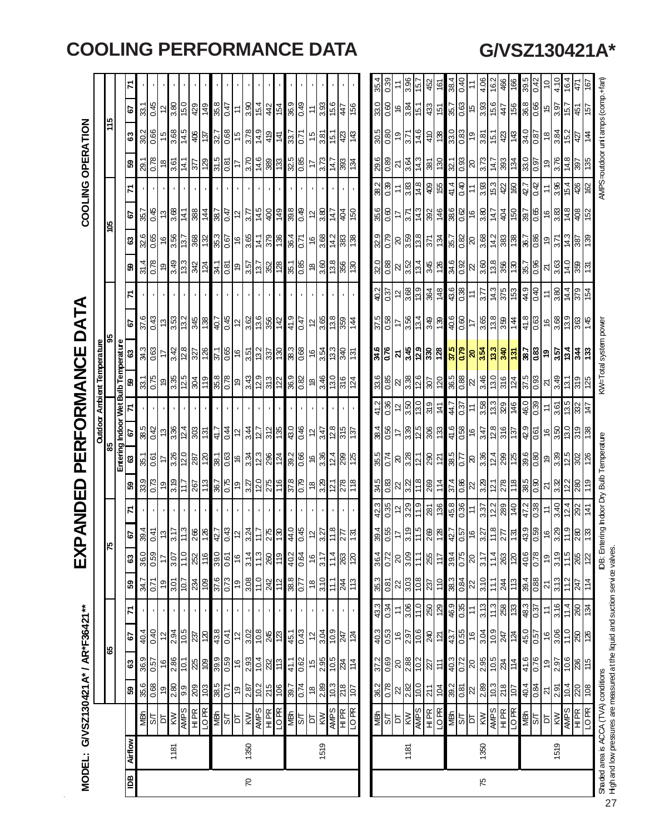|                            |                | MODEL: G/VSZ130421 A* / AR*F36421**                                                                                                                                                                                                                                                                                                                                                                           |                                                                            |                     |                                               |                     |                     | $\bf \Xi$               | ⋛<br><u>ם</u>                                                                                                                                                                                                                                                                                                                                                                                           | <b>DED</b>                                                                                            |                                                                                                                                                                                                                                                                                                                     |                                                                                                                                                                         |                                                                                       |                            | PERFORMANCE                                                                                              |                                                                                                                                                                                                                                               | ⋖<br><b>TAD</b>                                           |                                                                                                                                             |                                        |                                               |                                                             | COOLING OPERATION                                                                                        |                                                                                                                               |                                                                                                                                                                                                                                                                                                                       |                     |
|----------------------------|----------------|---------------------------------------------------------------------------------------------------------------------------------------------------------------------------------------------------------------------------------------------------------------------------------------------------------------------------------------------------------------------------------------------------------------|----------------------------------------------------------------------------|---------------------|-----------------------------------------------|---------------------|---------------------|-------------------------|---------------------------------------------------------------------------------------------------------------------------------------------------------------------------------------------------------------------------------------------------------------------------------------------------------------------------------------------------------------------------------------------------------|-------------------------------------------------------------------------------------------------------|---------------------------------------------------------------------------------------------------------------------------------------------------------------------------------------------------------------------------------------------------------------------------------------------------------------------|-------------------------------------------------------------------------------------------------------------------------------------------------------------------------|---------------------------------------------------------------------------------------|----------------------------|----------------------------------------------------------------------------------------------------------|-----------------------------------------------------------------------------------------------------------------------------------------------------------------------------------------------------------------------------------------------|-----------------------------------------------------------|---------------------------------------------------------------------------------------------------------------------------------------------|----------------------------------------|-----------------------------------------------|-------------------------------------------------------------|----------------------------------------------------------------------------------------------------------|-------------------------------------------------------------------------------------------------------------------------------|-----------------------------------------------------------------------------------------------------------------------------------------------------------------------------------------------------------------------------------------------------------------------------------------------------------------------|---------------------|
|                            |                |                                                                                                                                                                                                                                                                                                                                                                                                               |                                                                            |                     |                                               |                     |                     |                         |                                                                                                                                                                                                                                                                                                                                                                                                         |                                                                                                       |                                                                                                                                                                                                                                                                                                                     |                                                                                                                                                                         |                                                                                       |                            | <b>Outdoor Ambient Temperature</b>                                                                       |                                                                                                                                                                                                                                               |                                                           |                                                                                                                                             |                                        |                                               |                                                             |                                                                                                          |                                                                                                                               |                                                                                                                                                                                                                                                                                                                       |                     |
|                            |                |                                                                                                                                                                                                                                                                                                                                                                                                               |                                                                            | 8                   |                                               |                     |                     |                         |                                                                                                                                                                                                                                                                                                                                                                                                         |                                                                                                       |                                                                                                                                                                                                                                                                                                                     | 89                                                                                                                                                                      |                                                                                       |                            | Entering Indoor Wet Bulb Temperature                                                                     | 95                                                                                                                                                                                                                                            |                                                           |                                                                                                                                             |                                        | 405                                           |                                                             |                                                                                                          |                                                                                                                               | 115                                                                                                                                                                                                                                                                                                                   |                     |
| 8dl                        | <b>Airflow</b> |                                                                                                                                                                                                                                                                                                                                                                                                               | 8                                                                          | 63                  | <b>L9</b>                                     | $\mathbf{r}$        | 59                  | 63                      | $\overline{29}$                                                                                                                                                                                                                                                                                                                                                                                         | 7                                                                                                     | ႙                                                                                                                                                                                                                                                                                                                   | జ                                                                                                                                                                       | 5                                                                                     |                            | ജ                                                                                                        | S.                                                                                                                                                                                                                                            | 49                                                        | 71                                                                                                                                          | ඹ                                      | ಣ                                             | 71<br>$\overline{67}$                                       | B,                                                                                                       | 63                                                                                                                            | 49                                                                                                                                                                                                                                                                                                                    | 7                   |
|                            |                | 圖<br>S/T                                                                                                                                                                                                                                                                                                                                                                                                      | 35.6                                                                       | 36.9                | 40.4                                          |                     | 34.7                | 36.0                    | $\frac{39.4}{0.41}$                                                                                                                                                                                                                                                                                                                                                                                     |                                                                                                       | $\frac{33.9}{0.73}$                                                                                                                                                                                                                                                                                                 | 35.1                                                                                                                                                                    | 38.5                                                                                  |                            | $\overline{33}$                                                                                          |                                                                                                                                                                                                                                               | 37.6                                                      |                                                                                                                                             |                                        | 32.6                                          | 35.7                                                        | 29.1                                                                                                     |                                                                                                                               | 33.1                                                                                                                                                                                                                                                                                                                  |                     |
|                            |                |                                                                                                                                                                                                                                                                                                                                                                                                               | 0.68                                                                       | 0.57                | 0.40                                          |                     | 0.71                | 0.59                    |                                                                                                                                                                                                                                                                                                                                                                                                         |                                                                                                       |                                                                                                                                                                                                                                                                                                                     | 0.61                                                                                                                                                                    |                                                                                       |                            | 0.75                                                                                                     | $\frac{34.3}{0.63}$                                                                                                                                                                                                                           | 0.43                                                      |                                                                                                                                             | 0.78                                   | 0.65                                          | 0.45                                                        | 0.78                                                                                                     | 0.66                                                                                                                          | 0.45                                                                                                                                                                                                                                                                                                                  |                     |
|                            |                | $\overline{5}$                                                                                                                                                                                                                                                                                                                                                                                                |                                                                            | $\frac{6}{5}$       |                                               |                     | $\overline{6}$      |                         | $ z _{\infty}^2$ $ z _{\infty}^2$ $ z _{\infty}^2$ $ z _{\infty}^2$ $ z _{\infty}^2$                                                                                                                                                                                                                                                                                                                    |                                                                                                       | စ္                                                                                                                                                                                                                                                                                                                  |                                                                                                                                                                         | $\frac{64}{13}$                                                                       |                            | $\frac{19}{3.35}$                                                                                        |                                                                                                                                                                                                                                               | င <mark>်း</mark> ဗွိုင္ကုန္ကုန္တုိ႕                      |                                                                                                                                             | င္                                     | $\overline{\mathbf{e}}$                       | $\tilde{\mathfrak{D}}$                                      | $\mathop{ \mathfrak{S}}$                                                                                 | $\frac{5}{1}$                                                                                                                 | $\overline{\mathcal{C}}$                                                                                                                                                                                                                                                                                              |                     |
|                            | 1181           |                                                                                                                                                                                                                                                                                                                                                                                                               | 2.80                                                                       | 2.86                | 2.94                                          |                     | 3.01                | 3.07                    |                                                                                                                                                                                                                                                                                                                                                                                                         |                                                                                                       | 61.5                                                                                                                                                                                                                                                                                                                |                                                                                                                                                                         |                                                                                       |                            |                                                                                                          |                                                                                                                                                                                                                                               |                                                           |                                                                                                                                             | <b>SA-9</b>                            | 3.56                                          | 3.68                                                        | 3.61                                                                                                     |                                                                                                                               |                                                                                                                                                                                                                                                                                                                       |                     |
|                            |                |                                                                                                                                                                                                                                                                                                                                                                                                               |                                                                            |                     |                                               |                     | ခြဲဖြံ့ခြ           | 11.0                    |                                                                                                                                                                                                                                                                                                                                                                                                         |                                                                                                       |                                                                                                                                                                                                                                                                                                                     |                                                                                                                                                                         | $\frac{38}{24}$<br>$\frac{12}{28}$                                                    |                            | $\frac{25}{28}$                                                                                          |                                                                                                                                                                                                                                               |                                                           |                                                                                                                                             |                                        |                                               |                                                             | $\frac{14.1}{377}$                                                                                       |                                                                                                                               | $\frac{15}{25}$                                                                                                                                                                                                                                                                                                       |                     |
|                            |                |                                                                                                                                                                                                                                                                                                                                                                                                               |                                                                            |                     |                                               |                     |                     | $\frac{252}{16}$        |                                                                                                                                                                                                                                                                                                                                                                                                         |                                                                                                       |                                                                                                                                                                                                                                                                                                                     |                                                                                                                                                                         |                                                                                       |                            |                                                                                                          |                                                                                                                                                                                                                                               |                                                           |                                                                                                                                             |                                        |                                               |                                                             |                                                                                                          |                                                                                                                               |                                                                                                                                                                                                                                                                                                                       |                     |
|                            |                | <b>SERIES</b>                                                                                                                                                                                                                                                                                                                                                                                                 | $\frac{1}{3}$                                                              | $\frac{25}{128}$    | $\frac{10.5}{237}$                            |                     |                     |                         |                                                                                                                                                                                                                                                                                                                                                                                                         |                                                                                                       | $\frac{1}{2}$ $\frac{1}{8}$ $\frac{1}{8}$ $\frac{1}{8}$ $\frac{1}{8}$ $\frac{1}{8}$ $\frac{1}{8}$ $\frac{1}{8}$ $\frac{1}{8}$ $\frac{1}{8}$ $\frac{1}{8}$ $\frac{1}{8}$ $\frac{1}{8}$ $\frac{1}{8}$ $\frac{1}{8}$ $\frac{1}{8}$ $\frac{1}{8}$ $\frac{1}{8}$ $\frac{1}{8}$ $\frac{1}{8}$ $\frac{1}{8}$ $\frac{1}{8}$ | $\frac{1}{2}$ $\frac{1}{2}$ $\frac{1}{2}$ $\frac{1}{2}$ $\frac{1}{2}$ $\frac{1}{2}$ $\frac{1}{2}$ $\frac{1}{2}$ $\frac{1}{2}$ $\frac{1}{2}$ $\frac{1}{2}$ $\frac{1}{2}$ |                                                                                       |                            |                                                                                                          | $\frac{1}{2}$ $\frac{1}{2}$ $\frac{1}{2}$ $\frac{1}{2}$ $\frac{1}{2}$ $\frac{1}{2}$ $\frac{1}{2}$ $\frac{1}{2}$ $\frac{1}{2}$ $\frac{1}{2}$ $\frac{1}{2}$ $\frac{1}{2}$ $\frac{1}{2}$ $\frac{1}{2}$ $\frac{1}{2}$ $\frac{1}{2}$ $\frac{1}{2}$ |                                                           |                                                                                                                                             |                                        | <u>   이 이 이 이 이 이 있다</u><br>  이 이 이 이 이 이 있다" | <u> 추</u>  쒾 술 성 성 성 성                                      | $\frac{1}{2}$ $\frac{1}{2}$ $\frac{1}{2}$ $\frac{1}{2}$ $\frac{1}{2}$ $\frac{1}{2}$                      | $\frac{1}{2}$ $\frac{1}{2}$ $\frac{1}{2}$ $\frac{1}{2}$ $\frac{1}{2}$ $\frac{1}{2}$ $\frac{1}{2}$ $\frac{1}{2}$ $\frac{1}{2}$ |                                                                                                                                                                                                                                                                                                                       |                     |
|                            |                | 화함                                                                                                                                                                                                                                                                                                                                                                                                            |                                                                            |                     |                                               |                     | 37.6                | 39.0                    |                                                                                                                                                                                                                                                                                                                                                                                                         |                                                                                                       |                                                                                                                                                                                                                                                                                                                     |                                                                                                                                                                         |                                                                                       |                            | $\frac{6}{8}$                                                                                            |                                                                                                                                                                                                                                               |                                                           |                                                                                                                                             |                                        |                                               |                                                             |                                                                                                          |                                                                                                                               |                                                                                                                                                                                                                                                                                                                       |                     |
|                            |                |                                                                                                                                                                                                                                                                                                                                                                                                               | $\frac{61}{12.0}$                                                          | 0.59                | $\frac{641}{12}$                              |                     | $rac{61}{19}$       | 0.61                    |                                                                                                                                                                                                                                                                                                                                                                                                         |                                                                                                       |                                                                                                                                                                                                                                                                                                                     |                                                                                                                                                                         |                                                                                       |                            |                                                                                                          |                                                                                                                                                                                                                                               | $rac{12}{12}$                                             |                                                                                                                                             |                                        |                                               |                                                             |                                                                                                          |                                                                                                                               |                                                                                                                                                                                                                                                                                                                       |                     |
|                            |                |                                                                                                                                                                                                                                                                                                                                                                                                               |                                                                            |                     |                                               |                     |                     | $\frac{6}{5}$           |                                                                                                                                                                                                                                                                                                                                                                                                         |                                                                                                       |                                                                                                                                                                                                                                                                                                                     |                                                                                                                                                                         |                                                                                       |                            |                                                                                                          |                                                                                                                                                                                                                                               |                                                           |                                                                                                                                             |                                        |                                               |                                                             |                                                                                                          |                                                                                                                               |                                                                                                                                                                                                                                                                                                                       |                     |
| $\boldsymbol{\mathcal{R}}$ | 1350           | KW                                                                                                                                                                                                                                                                                                                                                                                                            | 2.87                                                                       | 2.93<br>10.4        | 3.02                                          |                     | 3.08                | 3.14                    |                                                                                                                                                                                                                                                                                                                                                                                                         |                                                                                                       |                                                                                                                                                                                                                                                                                                                     |                                                                                                                                                                         | $rac{41}{14}$ $rac{1}{2}$ $rac{1}{4}$ $rac{1}{4}$ $rac{1}{2}$ $rac{1}{2}$ $rac{1}{2}$ |                            | $\frac{343}{213}$                                                                                        |                                                                                                                                                                                                                                               |                                                           |                                                                                                                                             |                                        |                                               |                                                             | 3.70                                                                                                     | 3.78                                                                                                                          | 3.90                                                                                                                                                                                                                                                                                                                  |                     |
|                            |                | <b>AMPS</b>                                                                                                                                                                                                                                                                                                                                                                                                   | $\frac{10.2}{215}$                                                         |                     | 10.8                                          |                     | 11.0                | 11.3                    | 7.11                                                                                                                                                                                                                                                                                                                                                                                                    |                                                                                                       |                                                                                                                                                                                                                                                                                                                     | 12.3                                                                                                                                                                    |                                                                                       |                            |                                                                                                          |                                                                                                                                                                                                                                               |                                                           |                                                                                                                                             |                                        |                                               | $\frac{14.5}{400}$                                          | $\frac{4.6}{389}$                                                                                        | 14.9                                                                                                                          | 15.4                                                                                                                                                                                                                                                                                                                  |                     |
|                            |                | HI <sub>PR</sub>                                                                                                                                                                                                                                                                                                                                                                                              |                                                                            | 232                 | 245                                           |                     | 242                 | 260                     | 275                                                                                                                                                                                                                                                                                                                                                                                                     |                                                                                                       |                                                                                                                                                                                                                                                                                                                     |                                                                                                                                                                         |                                                                                       |                            |                                                                                                          |                                                                                                                                                                                                                                               |                                                           |                                                                                                                                             |                                        |                                               |                                                             |                                                                                                          | 419                                                                                                                           | 442                                                                                                                                                                                                                                                                                                                   |                     |
|                            |                | LO <sub>PR</sub>                                                                                                                                                                                                                                                                                                                                                                                              | 106                                                                        | 113                 | $\overline{23}$                               |                     | 112                 | 119                     | $\frac{130}{2}$                                                                                                                                                                                                                                                                                                                                                                                         |                                                                                                       |                                                                                                                                                                                                                                                                                                                     | 124                                                                                                                                                                     | 135                                                                                   |                            | 122                                                                                                      |                                                                                                                                                                                                                                               | 142                                                       |                                                                                                                                             |                                        |                                               | 149                                                         |                                                                                                          | 141                                                                                                                           | 154                                                                                                                                                                                                                                                                                                                   |                     |
|                            |                | MBh<br>S/T                                                                                                                                                                                                                                                                                                                                                                                                    |                                                                            | 41.1                | 45.1                                          |                     | 38.8                | 40.2                    |                                                                                                                                                                                                                                                                                                                                                                                                         |                                                                                                       |                                                                                                                                                                                                                                                                                                                     | 39.2                                                                                                                                                                    | 43.0                                                                                  |                            |                                                                                                          | $\frac{38.3}{0.68}$                                                                                                                                                                                                                           | $\frac{41.9}{0.47}$                                       |                                                                                                                                             |                                        | $\frac{364}{0.71}$                            | 39.8                                                        | $32.5$<br>$0.85$                                                                                         |                                                                                                                               | 36.9                                                                                                                                                                                                                                                                                                                  |                     |
|                            |                |                                                                                                                                                                                                                                                                                                                                                                                                               | $rac{207}{0.74}$                                                           | 0.62                | 0.43                                          |                     | 0.77                | 0.64                    | $\frac{44.0}{0.45}$                                                                                                                                                                                                                                                                                                                                                                                     |                                                                                                       |                                                                                                                                                                                                                                                                                                                     |                                                                                                                                                                         | 0.46                                                                                  |                            |                                                                                                          |                                                                                                                                                                                                                                               |                                                           |                                                                                                                                             |                                        |                                               | 670                                                         |                                                                                                          | $rac{1}{1}$                                                                                                                   | 0.49                                                                                                                                                                                                                                                                                                                  |                     |
|                            |                |                                                                                                                                                                                                                                                                                                                                                                                                               | $\frac{8}{2}$                                                              | $\frac{5}{7}$       | $12$                                          |                     | $\frac{8}{10}$      | $\frac{6}{2}$           |                                                                                                                                                                                                                                                                                                                                                                                                         |                                                                                                       |                                                                                                                                                                                                                                                                                                                     |                                                                                                                                                                         |                                                                                       |                            |                                                                                                          |                                                                                                                                                                                                                                               | $\overline{c}$                                            |                                                                                                                                             |                                        |                                               |                                                             | $\overline{17}$                                                                                          | $\frac{5}{7}$                                                                                                                 | $\overline{\mathbb{H}}$                                                                                                                                                                                                                                                                                               |                     |
|                            | 1519           |                                                                                                                                                                                                                                                                                                                                                                                                               |                                                                            |                     |                                               |                     | 3.10                | 3.17                    |                                                                                                                                                                                                                                                                                                                                                                                                         |                                                                                                       |                                                                                                                                                                                                                                                                                                                     |                                                                                                                                                                         |                                                                                       |                            |                                                                                                          |                                                                                                                                                                                                                                               |                                                           |                                                                                                                                             |                                        |                                               | $\frac{12}{3.80}$                                           | 3.73                                                                                                     |                                                                                                                               |                                                                                                                                                                                                                                                                                                                       |                     |
|                            |                |                                                                                                                                                                                                                                                                                                                                                                                                               | $rac{28}{103}$                                                             | $\frac{105}{108}$   |                                               |                     |                     |                         | $\big  \frac{\sigma}{2} \big  \frac{1}{2} \frac{\sigma}{2} \frac{1}{2} \frac{1}{2} \frac{1}{2} \frac{1}{2} \frac{1}{2} \frac{1}{2} \frac{1}{2} \frac{1}{2} \frac{1}{2} \frac{1}{2} \frac{1}{2} \frac{1}{2} \frac{1}{2} \frac{1}{2} \frac{1}{2} \frac{1}{2} \frac{1}{2} \frac{1}{2} \frac{1}{2} \frac{1}{2} \frac{1}{2} \frac{1}{2} \frac{1}{2} \frac{1}{2} \frac{1}{2} \frac{1}{2} \frac{1}{2} \frac{1$ |                                                                                                       |                                                                                                                                                                                                                                                                                                                     | မုန္ကုဒ္မုန္တုမ္မ                                                                                                                                                       | $\vert$ a $\vert$ ä $\vert$ ä $\vert$ ä $\vert$ ä $\vert$ ä $\vert$                   |                            |                                                                                                          |                                                                                                                                                                                                                                               | $\frac{38}{8}$ $\frac{13}{8}$ $\frac{1}{8}$ $\frac{1}{4}$ |                                                                                                                                             | <u>မြို့ မြို့မြို့မျိုးမျိုးမျိုး</u> | $\frac{25}{36}$                               |                                                             |                                                                                                          |                                                                                                                               | $rac{3.93}{15.6}$                                                                                                                                                                                                                                                                                                     |                     |
|                            |                |                                                                                                                                                                                                                                                                                                                                                                                                               |                                                                            |                     |                                               |                     | $rac{11}{244}$      |                         |                                                                                                                                                                                                                                                                                                                                                                                                         |                                                                                                       |                                                                                                                                                                                                                                                                                                                     |                                                                                                                                                                         |                                                                                       |                            |                                                                                                          |                                                                                                                                                                                                                                               |                                                           |                                                                                                                                             |                                        |                                               |                                                             |                                                                                                          |                                                                                                                               |                                                                                                                                                                                                                                                                                                                       |                     |
|                            |                | $\begin{array}{c} \mathbf{z} \geq \mathbf{z} \geq \mathbf{z} \geq \mathbf{z} \geq \mathbf{z} \geq \mathbf{z} \geq \mathbf{z} \geq \mathbf{z} \geq \mathbf{z} \geq \mathbf{z} \geq \mathbf{z} \geq \mathbf{z} \geq \mathbf{z} \geq \mathbf{z} \geq \mathbf{z} \geq \mathbf{z} \geq \mathbf{z} \geq \mathbf{z} \geq \mathbf{z} \geq \mathbf{z} \geq \mathbf{z} \geq \mathbf{z} \geq \mathbf{z} \geq \mathbf{z}$ |                                                                            |                     | $rac{3.54}{10.8}$ $\frac{1}{2}$ $\frac{1}{2}$ |                     |                     | $rac{14}{128}$          |                                                                                                                                                                                                                                                                                                                                                                                                         |                                                                                                       |                                                                                                                                                                                                                                                                                                                     |                                                                                                                                                                         |                                                                                       |                            | $\frac{1}{88}$ $\frac{1}{88}$ $\frac{1}{88}$ $\frac{1}{88}$ $\frac{1}{88}$ $\frac{1}{88}$ $\frac{1}{88}$ | ခ ဗူမှုအ <u>မြိုး</u>                                                                                                                                                                                                                         |                                                           |                                                                                                                                             |                                        |                                               | $rac{47}{15}$                                               | $\frac{1}{4.7}$<br>$\frac{1}{2.8}$                                                                       | $ \mathring{\mathring{z}} $ ng $ \mathring{z} $                                                                               |                                                                                                                                                                                                                                                                                                                       |                     |
|                            |                |                                                                                                                                                                                                                                                                                                                                                                                                               |                                                                            |                     |                                               |                     |                     |                         |                                                                                                                                                                                                                                                                                                                                                                                                         |                                                                                                       |                                                                                                                                                                                                                                                                                                                     |                                                                                                                                                                         |                                                                                       |                            |                                                                                                          |                                                                                                                                                                                                                                               |                                                           |                                                                                                                                             |                                        |                                               |                                                             |                                                                                                          |                                                                                                                               |                                                                                                                                                                                                                                                                                                                       |                     |
|                            |                |                                                                                                                                                                                                                                                                                                                                                                                                               | 36.2                                                                       | 37.2                |                                               |                     | 35.3                |                         |                                                                                                                                                                                                                                                                                                                                                                                                         |                                                                                                       | 34.5                                                                                                                                                                                                                                                                                                                |                                                                                                                                                                         |                                                                                       | 41.2                       |                                                                                                          |                                                                                                                                                                                                                                               |                                                           |                                                                                                                                             | 32.0                                   |                                               | $\frac{38.2}{ }$                                            |                                                                                                          | 30.5                                                                                                                          | 33.0                                                                                                                                                                                                                                                                                                                  | 35.4                |
|                            |                |                                                                                                                                                                                                                                                                                                                                                                                                               | 0.78                                                                       | 0.69                | $\frac{403}{0.53}$                            | $\frac{43.3}{0.34}$ | 0.81                | $\frac{364}{0.72}$      | $\frac{394}{0.55}$                                                                                                                                                                                                                                                                                                                                                                                      |                                                                                                       | 0.83                                                                                                                                                                                                                                                                                                                |                                                                                                                                                                         | 38.4                                                                                  | 0.36                       |                                                                                                          | $\frac{34.6}{0.76}$                                                                                                                                                                                                                           | $\frac{37.5}{0.58}$                                       | $\frac{2}{9}$ $\frac{2}{9}$ $\frac{2}{9}$                                                                                                   | 0.88                                   | 32.9                                          | 0.39<br>$\frac{35.6}{0.60}$                                 | $\frac{29.6}{0.89}$                                                                                      | 0.80                                                                                                                          | 0.60                                                                                                                                                                                                                                                                                                                  | 630                 |
|                            |                | $\frac{\frac{1}{2}}{\frac{1}{2}}$                                                                                                                                                                                                                                                                                                                                                                             | $\frac{1}{2}$                                                              | $\overline{c}$      | $\frac{9}{5}$                                 |                     | 22                  | 02                      | $\overline{17}$                                                                                                                                                                                                                                                                                                                                                                                         | $\frac{423}{0.35}$                                                                                    | $\frac{2}{3.20}$                                                                                                                                                                                                                                                                                                    | $rac{35}{8}$ $rac{1}{8}$ $rac{1}{8}$ $rac{1}{8}$ $rac{1}{12}$ $\frac{1}{12}$                                                                                            | $\overline{1}$                                                                        | $\overline{12}$            | $\frac{26}{38}$                                                                                          | $\overline{\mathbf{z}}$                                                                                                                                                                                                                       | 17                                                        |                                                                                                                                             | $\alpha$                               | $\infty$                                      | $\overline{\phantom{a}}$<br>17                              | $\overline{z}$                                                                                           | 6 <sub>1</sub>                                                                                                                | $\frac{6}{2}$                                                                                                                                                                                                                                                                                                         | $\overline{1}$      |
|                            | 1181           |                                                                                                                                                                                                                                                                                                                                                                                                               |                                                                            | $\frac{2.88}{10.2}$ | 2.97                                          | $rac{3.06}{17.0}$   | $\frac{3.03}{10.8}$ | 3.09                    |                                                                                                                                                                                                                                                                                                                                                                                                         | $\frac{329}{11.9}$                                                                                    |                                                                                                                                                                                                                                                                                                                     |                                                                                                                                                                         | 3.39<br>12.5                                                                          | $\frac{3.50}{13.0}$        |                                                                                                          | $\frac{3.45}{12.9}$                                                                                                                                                                                                                           | $\frac{3.56}{13.4}$                                       | $\frac{3.68}{13.9}$                                                                                                                         |                                        |                                               | $\frac{3.83}{14.8}$<br>$\frac{371}{14.3}$                   | $rac{3.64}{14.3}$                                                                                        | 3.71                                                                                                                          | $\frac{3.84}{15.1}$                                                                                                                                                                                                                                                                                                   | 3.96                |
|                            |                |                                                                                                                                                                                                                                                                                                                                                                                                               |                                                                            |                     |                                               |                     |                     | $\frac{111}{11}$        |                                                                                                                                                                                                                                                                                                                                                                                                         |                                                                                                       |                                                                                                                                                                                                                                                                                                                     |                                                                                                                                                                         |                                                                                       |                            | $\frac{3.38}{12.6}$                                                                                      |                                                                                                                                                                                                                                               |                                                           |                                                                                                                                             |                                        | $rac{258}{137}$                               |                                                             |                                                                                                          | 14.6                                                                                                                          |                                                                                                                                                                                                                                                                                                                       | 15.                 |
|                            |                | $\frac{1}{\frac{1}{2}}$                                                                                                                                                                                                                                                                                                                                                                                       | 211                                                                        | $\frac{27}{111}$    | 240                                           | 250                 | $rac{25}{10}$       | 255                     | <u>ြိုင္ပုံ စြစ္တြင္ ျမန္မာျဖစ္ပြဲ အျဖစ္ပြဲ</u>                                                                                                                                                                                                                                                                                                                                                         | 281                                                                                                   | 268                                                                                                                                                                                                                                                                                                                 | 290                                                                                                                                                                     | $\frac{306}{133}$                                                                     | 319                        |                                                                                                          | $\frac{8}{18}$                                                                                                                                                                                                                                | $\frac{9}{36}$                                            | 364                                                                                                                                         | $\frac{35}{36}$                        |                                               | $rac{408}{150}$<br>392                                      | $\overline{38}$                                                                                          | 410                                                                                                                           | 433                                                                                                                                                                                                                                                                                                                   | $\frac{452}{161}$   |
|                            |                |                                                                                                                                                                                                                                                                                                                                                                                                               | 104                                                                        |                     | 121                                           |                     |                     | 117                     |                                                                                                                                                                                                                                                                                                                                                                                                         | 136                                                                                                   |                                                                                                                                                                                                                                                                                                                     |                                                                                                                                                                         |                                                                                       | 141                        | 120                                                                                                      |                                                                                                                                                                                                                                               |                                                           |                                                                                                                                             |                                        | 134                                           | 146                                                         | 130                                                                                                      | 138                                                                                                                           |                                                                                                                                                                                                                                                                                                                       |                     |
|                            |                |                                                                                                                                                                                                                                                                                                                                                                                                               |                                                                            | 40.3                |                                               | 46.9                |                     | 39.4                    |                                                                                                                                                                                                                                                                                                                                                                                                         |                                                                                                       |                                                                                                                                                                                                                                                                                                                     |                                                                                                                                                                         |                                                                                       |                            |                                                                                                          |                                                                                                                                                                                                                                               |                                                           |                                                                                                                                             |                                        |                                               |                                                             |                                                                                                          |                                                                                                                               |                                                                                                                                                                                                                                                                                                                       | $\frac{38.4}{0.40}$ |
|                            |                | 횕의설                                                                                                                                                                                                                                                                                                                                                                                                           | $\frac{2}{35}$ $\frac{2}{35}$ $\frac{2}{35}$ $\frac{2}{35}$ $\frac{2}{35}$ |                     | $\frac{437}{0.55}$                            | $\frac{1}{2}$       | $\frac{363}{28}$    | $\overline{\mathbb{S}}$ |                                                                                                                                                                                                                                                                                                                                                                                                         | $\frac{88}{99}$ = $\frac{1}{2}$ $\frac{1}{2}$ $\frac{1}{2}$ $\frac{1}{2}$ $\frac{1}{2}$ $\frac{1}{2}$ | $\left \frac{1}{32}\right _{\infty}^{\infty}$ $\left \frac{1}{32}\right _{\infty}^{\infty}$ $\left \frac{1}{32}\right _{\infty}^{\infty}$ $\left \frac{1}{32}\right _{\infty}^{\infty}$ $\left \frac{1}{32}\right _{\infty}^{\infty}$                                                                               | $\frac{18}{8}$ $\frac{12}{8}$ $\frac{18}{8}$ $\frac{12}{8}$ $\frac{18}{8}$ $\frac{18}{8}$ $\frac{18}{8}$ $\frac{18}{8}$                                                 | $\frac{16}{36}$ $\frac{16}{36}$ $\frac{16}{36}$ $\frac{16}{36}$ $\frac{16}{36}$       | $rac{1}{2}$<br>$rac{1}{2}$ |                                                                                                          | $\frac{15}{36}$ s $\left  \frac{13}{36} \right $ s $\left  \frac{13}{36} \right $ s $\left  \frac{1}{22} \right $                                                                                                                             | $\frac{11}{900}$                                          | $\frac{436}{15}$                                                                                                                            | န္ကုန္တုန္႔မွုမွုမွုမွုမွုမွု          | <u> 일종 중심 중심 중</u>                            | $rac{414}{5}$<br><u>ြို့အမြေမြို့ခြံခြံမြို့ မြို့မြို့</u> | $\frac{1}{28}$ $\frac{1}{88}$ $\frac{1}{88}$ $\frac{1}{88}$ $\frac{1}{88}$ $\frac{1}{88}$ $\frac{1}{88}$ | $\frac{25}{28}$                                                                                                               | $\frac{85}{89}$ $\frac{1}{2}$ $\frac{1}{2}$ $\frac{1}{2}$ $\frac{1}{2}$ $\frac{1}{2}$ $\frac{1}{2}$ $\frac{1}{2}$ $\frac{1}{2}$ $\frac{1}{2}$ $\frac{1}{2}$ $\frac{1}{2}$ $\frac{1}{2}$ $\frac{1}{2}$ $\frac{1}{2}$ $\frac{1}{2}$ $\frac{1}{2}$ $\frac{1}{2}$ $\frac{1}{2}$ $\frac{1}{2}$ $\frac{1}{2}$ $\frac{1}{2}$ |                     |
| 75                         | 1350           |                                                                                                                                                                                                                                                                                                                                                                                                               |                                                                            |                     |                                               | 3.13                |                     | 3.17                    |                                                                                                                                                                                                                                                                                                                                                                                                         |                                                                                                       |                                                                                                                                                                                                                                                                                                                     |                                                                                                                                                                         |                                                                                       |                            |                                                                                                          |                                                                                                                                                                                                                                               |                                                           |                                                                                                                                             |                                        |                                               |                                                             |                                                                                                          |                                                                                                                               |                                                                                                                                                                                                                                                                                                                       | 4.06                |
|                            |                | <b>AMPS</b>                                                                                                                                                                                                                                                                                                                                                                                                   |                                                                            | $\frac{20}{295}$    | 3.04                                          | 11.3                | 11.1                | 11.4                    |                                                                                                                                                                                                                                                                                                                                                                                                         |                                                                                                       |                                                                                                                                                                                                                                                                                                                     |                                                                                                                                                                         |                                                                                       |                            |                                                                                                          |                                                                                                                                                                                                                                               |                                                           |                                                                                                                                             |                                        |                                               |                                                             |                                                                                                          |                                                                                                                               |                                                                                                                                                                                                                                                                                                                       | 16.2                |
|                            |                |                                                                                                                                                                                                                                                                                                                                                                                                               |                                                                            |                     |                                               |                     |                     | $263\,$                 |                                                                                                                                                                                                                                                                                                                                                                                                         |                                                                                                       |                                                                                                                                                                                                                                                                                                                     |                                                                                                                                                                         |                                                                                       |                            |                                                                                                          |                                                                                                                                                                                                                                               |                                                           |                                                                                                                                             |                                        |                                               |                                                             |                                                                                                          |                                                                                                                               |                                                                                                                                                                                                                                                                                                                       | 994                 |
|                            |                | HIPR<br>LOPR                                                                                                                                                                                                                                                                                                                                                                                                  | $\frac{218}{107}$                                                          | 34                  | 247                                           | <b>258</b>          | 244                 | 120                     |                                                                                                                                                                                                                                                                                                                                                                                                         |                                                                                                       |                                                                                                                                                                                                                                                                                                                     |                                                                                                                                                                         |                                                                                       | <u>မြို့ဒုံမြို့မျ</u> ိ   |                                                                                                          |                                                                                                                                                                                                                                               | $ z $ $\frac{2}{3}$ $ z $ $\frac{2}{3}$ $ z $             | $\frac{3}{2}$ $\frac{1}{2}$ $\frac{1}{2}$ $\frac{1}{2}$ $\frac{1}{2}$ $\frac{1}{2}$ $\frac{1}{2}$ $\frac{1}{2}$ $\frac{1}{2}$ $\frac{1}{2}$ |                                        |                                               | <u>မြို့ဦးမြို့များ</u>                                     |                                                                                                          | $\frac{43}{43}$                                                                                                               |                                                                                                                                                                                                                                                                                                                       | 166                 |
|                            |                | $\frac{\frac{1}{2}}{\frac{1}{2}}\left \frac{1}{2}\right \geq \frac{\frac{1}{2}}{\frac{1}{2}}\left \frac{1}{2}\right \geq \frac{1}{2}$                                                                                                                                                                                                                                                                         | 40.4                                                                       | 41.6                | 45.0                                          |                     | 39.4                | 40.6                    |                                                                                                                                                                                                                                                                                                                                                                                                         | 47.2                                                                                                  |                                                                                                                                                                                                                                                                                                                     |                                                                                                                                                                         |                                                                                       |                            |                                                                                                          |                                                                                                                                                                                                                                               |                                                           |                                                                                                                                             |                                        |                                               |                                                             | $\frac{335}{99}$                                                                                         |                                                                                                                               |                                                                                                                                                                                                                                                                                                                       | 39.5                |
|                            |                |                                                                                                                                                                                                                                                                                                                                                                                                               | 0.84                                                                       | 0.76                | $-57$                                         | 48.37               | 0.88                | 0.78                    |                                                                                                                                                                                                                                                                                                                                                                                                         |                                                                                                       |                                                                                                                                                                                                                                                                                                                     |                                                                                                                                                                         | $\frac{42.9}{0.61}$                                                                   | 46.0                       |                                                                                                          |                                                                                                                                                                                                                                               | $\frac{800}{847}$                                         |                                                                                                                                             |                                        |                                               | 42.7                                                        |                                                                                                          |                                                                                                                               |                                                                                                                                                                                                                                                                                                                       | 0.42                |
|                            |                |                                                                                                                                                                                                                                                                                                                                                                                                               |                                                                            |                     |                                               | $\tilde{=}$         | $\overline{21}$     | $\overline{6}$          | $\frac{16}{3.29}$                                                                                                                                                                                                                                                                                                                                                                                       | $\Xi$                                                                                                 | $\frac{5}{3}$ $\frac{2}{3}$ $\frac{2}{3}$ $\frac{2}{3}$ $\frac{2}{3}$                                                                                                                                                                                                                                               | $\frac{9}{3}$                                                                                                                                                           | $\frac{16}{350}$                                                                      |                            | $\frac{27}{3.49}$                                                                                        | $\frac{15}{18}$ $\frac{1}{18}$ $\frac{1}{18}$                                                                                                                                                                                                 | $\frac{16}{3.68}$                                         |                                                                                                                                             | $\frac{25}{36}$                        | $\frac{9}{3.71}$                              | $= 8.8$                                                     |                                                                                                          | ခ ္တာကျွမ် <u>တြ</u>                                                                                                          | $\frac{15}{3.97}$                                                                                                                                                                                                                                                                                                     | S                   |
|                            | 1519           |                                                                                                                                                                                                                                                                                                                                                                                                               | $\frac{25}{25}$                                                            | $\frac{19}{2.97}$   | $\frac{16}{3.06}$                             | 3.16                | 3.13                | 3.19                    |                                                                                                                                                                                                                                                                                                                                                                                                         | $\frac{340}{124}$                                                                                     |                                                                                                                                                                                                                                                                                                                     |                                                                                                                                                                         |                                                                                       | 3.61                       |                                                                                                          |                                                                                                                                                                                                                                               |                                                           | $\frac{11}{3.80}$                                                                                                                           |                                        |                                               |                                                             |                                                                                                          |                                                                                                                               |                                                                                                                                                                                                                                                                                                                       | 4.10                |
|                            |                |                                                                                                                                                                                                                                                                                                                                                                                                               |                                                                            |                     | 11.0                                          |                     | 11.2                | 11.5                    | 11.9                                                                                                                                                                                                                                                                                                                                                                                                    |                                                                                                       |                                                                                                                                                                                                                                                                                                                     |                                                                                                                                                                         |                                                                                       |                            |                                                                                                          |                                                                                                                                                                                                                                               |                                                           |                                                                                                                                             |                                        |                                               | $\frac{426}{426}$                                           |                                                                                                          |                                                                                                                               |                                                                                                                                                                                                                                                                                                                       | $\frac{16.4}{471}$  |
|                            |                |                                                                                                                                                                                                                                                                                                                                                                                                               | $\frac{4}{100}$                                                            | $\frac{106}{236}$   | $\frac{8}{25}$                                | $rac{4}{114}$       | 정도                  | 82                      | $\frac{8}{2}$                                                                                                                                                                                                                                                                                                                                                                                           |                                                                                                       |                                                                                                                                                                                                                                                                                                                     | $\frac{25}{28}$                                                                                                                                                         | $\frac{8}{125}$                                                                       | $\frac{15}{28}$            | $\frac{5}{12}$                                                                                           | $rac{13}{48}$<br>$rac{13}{8}$                                                                                                                                                                                                                 | $rac{36}{18}$                                             | $\frac{44}{58}$                                                                                                                             | $\frac{40}{18}$                        | $rac{61}{(25)}$                               | $rac{2}{\frac{48}{9}}$                                      | $rac{26}{180}$                                                                                           |                                                                                                                               | <u>이하다</u>                                                                                                                                                                                                                                                                                                            |                     |
|                            |                |                                                                                                                                                                                                                                                                                                                                                                                                               |                                                                            |                     |                                               |                     |                     |                         |                                                                                                                                                                                                                                                                                                                                                                                                         |                                                                                                       |                                                                                                                                                                                                                                                                                                                     |                                                                                                                                                                         |                                                                                       |                            |                                                                                                          |                                                                                                                                                                                                                                               |                                                           |                                                                                                                                             |                                        |                                               | ন্ত                                                         |                                                                                                          | lá                                                                                                                            |                                                                                                                                                                                                                                                                                                                       | 167                 |
|                            |                | Shaded area is ACCA (TVA) conditions<br>Hoh and low pressures are measured at the liquid and suction service valves.                                                                                                                                                                                                                                                                                          |                                                                            |                     |                                               |                     |                     |                         |                                                                                                                                                                                                                                                                                                                                                                                                         |                                                                                                       | ering Indoor Dry Bulb Temperature                                                                                                                                                                                                                                                                                   |                                                                                                                                                                         |                                                                                       |                            | W=Total system                                                                                           |                                                                                                                                                                                                                                               | power                                                     |                                                                                                                                             |                                        |                                               |                                                             | AMPS=outdoor unit amps (comp.+fan)                                                                       |                                                                                                                               |                                                                                                                                                                                                                                                                                                                       |                     |

# **COOLING PERFORMANCE DATA G/VSZ130421A\***

27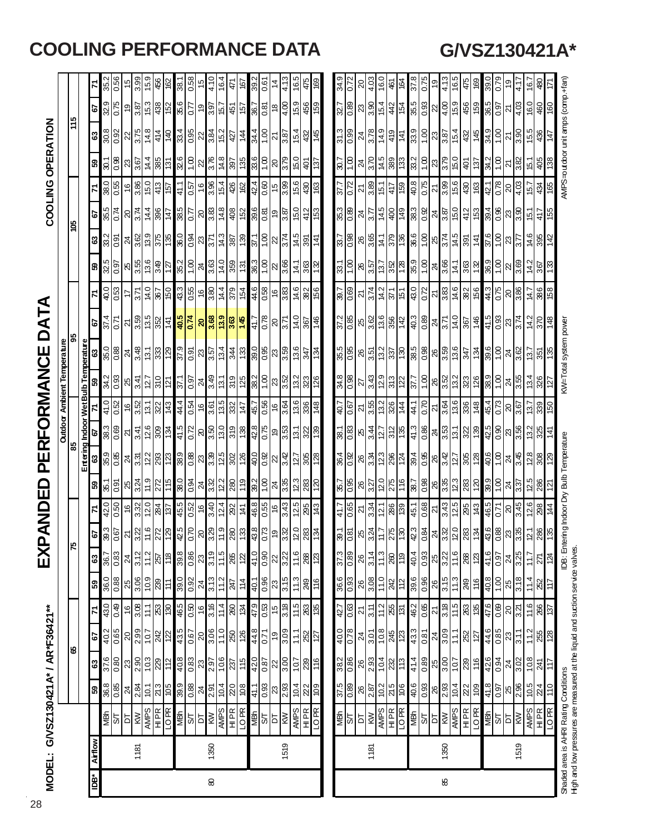# **COOLING PERFORMANCE DATA G/VSZ130421A\***

|           |         | MODEL: G/VSZ130421A* / AR*F36421**                                                                                    |                                                             |                           |                     |                   |                     | 区                   | ₹<br>Z<br>n                                                                                                                                                                                                                                                                                                                                                                                                                                                         | DED                                                                                                                                                                                                                                                                                        |                                                                                                                                                                         |                                                                                                   |                                                                                                   |                                                                                                                                | PERFORMANCE                                                                                         | DATA                                                       |                                                                                                                                                                                                     |                                                                            |                                         |                                                                                                                                                                                                                                 |                                                                                                                                                                                                                                                                                                                     | COOLING OPERATION                                                                                                 |                                                                                                                                     |                                                                                     |                     |
|-----------|---------|-----------------------------------------------------------------------------------------------------------------------|-------------------------------------------------------------|---------------------------|---------------------|-------------------|---------------------|---------------------|---------------------------------------------------------------------------------------------------------------------------------------------------------------------------------------------------------------------------------------------------------------------------------------------------------------------------------------------------------------------------------------------------------------------------------------------------------------------|--------------------------------------------------------------------------------------------------------------------------------------------------------------------------------------------------------------------------------------------------------------------------------------------|-------------------------------------------------------------------------------------------------------------------------------------------------------------------------|---------------------------------------------------------------------------------------------------|---------------------------------------------------------------------------------------------------|--------------------------------------------------------------------------------------------------------------------------------|-----------------------------------------------------------------------------------------------------|------------------------------------------------------------|-----------------------------------------------------------------------------------------------------------------------------------------------------------------------------------------------------|----------------------------------------------------------------------------|-----------------------------------------|---------------------------------------------------------------------------------------------------------------------------------------------------------------------------------------------------------------------------------|---------------------------------------------------------------------------------------------------------------------------------------------------------------------------------------------------------------------------------------------------------------------------------------------------------------------|-------------------------------------------------------------------------------------------------------------------|-------------------------------------------------------------------------------------------------------------------------------------|-------------------------------------------------------------------------------------|---------------------|
|           |         |                                                                                                                       |                                                             |                           |                     |                   |                     |                     |                                                                                                                                                                                                                                                                                                                                                                                                                                                                     |                                                                                                                                                                                                                                                                                            |                                                                                                                                                                         |                                                                                                   |                                                                                                   |                                                                                                                                | Outdoor Ambient Temperature                                                                         |                                                            |                                                                                                                                                                                                     |                                                                            |                                         |                                                                                                                                                                                                                                 |                                                                                                                                                                                                                                                                                                                     |                                                                                                                   |                                                                                                                                     |                                                                                     |                     |
|           |         |                                                                                                                       |                                                             |                           | 65                  |                   |                     | 75                  |                                                                                                                                                                                                                                                                                                                                                                                                                                                                     |                                                                                                                                                                                                                                                                                            |                                                                                                                                                                         | 89                                                                                                |                                                                                                   |                                                                                                                                |                                                                                                     | 56                                                         |                                                                                                                                                                                                     |                                                                            |                                         | 50L                                                                                                                                                                                                                             |                                                                                                                                                                                                                                                                                                                     |                                                                                                                   | 115                                                                                                                                 |                                                                                     |                     |
|           |         |                                                                                                                       |                                                             |                           |                     |                   |                     |                     |                                                                                                                                                                                                                                                                                                                                                                                                                                                                     |                                                                                                                                                                                                                                                                                            |                                                                                                                                                                         |                                                                                                   |                                                                                                   |                                                                                                                                | Entering Indoor Wet Bulb Temperature                                                                |                                                            |                                                                                                                                                                                                     |                                                                            |                                         |                                                                                                                                                                                                                                 |                                                                                                                                                                                                                                                                                                                     |                                                                                                                   |                                                                                                                                     |                                                                                     |                     |
| ∗aal      | Airflow |                                                                                                                       | S3                                                          | $\boldsymbol{\mathbb{S}}$ | <b>L9</b>           | $\mathbf{r}$      | 59                  | 63                  | 2                                                                                                                                                                                                                                                                                                                                                                                                                                                                   | 8<br>Z                                                                                                                                                                                                                                                                                     | ෂ                                                                                                                                                                       | 5                                                                                                 |                                                                                                   | 8                                                                                                                              | 63                                                                                                  | 29                                                         |                                                                                                                                                                                                     | 59                                                                         | $\boldsymbol{\mathbb{S}}$               | S.                                                                                                                                                                                                                              | 7                                                                                                                                                                                                                                                                                                                   | ශී                                                                                                                |                                                                                                                                     | e                                                                                   |                     |
|           |         | ABM<br>S/T                                                                                                            | 0.85<br>36.8                                                | 37.6<br>0.80              | <b>G90</b><br>40.2  | 43.0<br>0.49      | 36.0<br>88.0        | 0.83<br>36.7        | 39.3                                                                                                                                                                                                                                                                                                                                                                                                                                                                | 35.1<br>16.0<br>42.0<br>0.50                                                                                                                                                                                                                                                               | 0.85                                                                                                                                                                    | 38.3<br>0.69                                                                                      | 0.52                                                                                              | 34.2                                                                                                                           |                                                                                                     | $rac{37.4}{0.71}$                                          | 0.53                                                                                                                                                                                                | 32.5<br>0.97                                                               | $\frac{32}{30}$                         | 35.5<br>0.74                                                                                                                                                                                                                    | 38.0<br>0.55                                                                                                                                                                                                                                                                                                        | 86.0<br>ತಿ.1                                                                                                      | 30.8<br>0.92                                                                                                                        | 32.9                                                                                | 35.2<br>0.56        |
|           |         | đ                                                                                                                     |                                                             |                           |                     | 16                | 25                  |                     |                                                                                                                                                                                                                                                                                                                                                                                                                                                                     |                                                                                                                                                                                                                                                                                            |                                                                                                                                                                         |                                                                                                   |                                                                                                   |                                                                                                                                | 88848588285885                                                                                      |                                                            |                                                                                                                                                                                                     |                                                                            |                                         | ୡ                                                                                                                                                                                                                               | $\frac{6}{1}$                                                                                                                                                                                                                                                                                                       |                                                                                                                   |                                                                                                                                     |                                                                                     |                     |
|           | 1181    | KW                                                                                                                    | $rac{24}{28}$                                               | $\frac{23}{2.90}$         | $\frac{20}{2.39}$   | 3.08              | 3.06                | $\frac{3.12}{ }$    |                                                                                                                                                                                                                                                                                                                                                                                                                                                                     |                                                                                                                                                                                                                                                                                            | $\frac{24}{33}$                                                                                                                                                         |                                                                                                   | $\frac{16}{3.52}$                                                                                 | $\frac{24}{4}$                                                                                                                 |                                                                                                     |                                                            | 3.71                                                                                                                                                                                                |                                                                            |                                         |                                                                                                                                                                                                                                 | 3.86                                                                                                                                                                                                                                                                                                                | $\frac{25}{36}$                                                                                                   | $\frac{22}{3.75}$                                                                                                                   | $\frac{58}{35}$                                                                     | 3.99                |
|           |         |                                                                                                                       | 10.1                                                        | 10.3                      |                     |                   |                     | 11.2                | $\pi  S_{\text{max}}  =  S_{\text{max}}  = \frac{1}{2} \left  \frac{1}{2} \right  \left  \frac{1}{2} \right  \left  \frac{1}{2} \right  \left  \frac{1}{2} \right  \left  \frac{1}{2} \right  \left  \frac{1}{2} \right  \left  \frac{1}{2} \right  \left  \frac{1}{2} \right  \left  \frac{1}{2} \right  \left  \frac{1}{2} \right  \left  \frac{1}{2} \right  \left  \frac{1}{2} \right  \left  \frac{1}{2} \right  \left  \frac{1}{2} \right  \left  \frac{1}{2$ | <u> 제외등 정도 원일의 제정 정</u><br>$=$ $\frac{1}{2}$ $\frac{1}{2}$ $\frac{1}{2}$ $\frac{1}{2}$ $\frac{1}{2}$ $\frac{1}{2}$ $\frac{1}{2}$ $\frac{1}{2}$ $\frac{1}{2}$ $\frac{1}{2}$ $\frac{1}{2}$ $\frac{1}{2}$ $\frac{1}{2}$ $\frac{1}{2}$ $\frac{1}{2}$ $\frac{1}{2}$ $\frac{1}{2}$ $\frac{1}{2}$ |                                                                                                                                                                         | <u> थ ञ्चोन्न ञ्च ञ्च ञ्च ञ्च ञ्च </u>                                                            |                                                                                                   |                                                                                                                                |                                                                                                     | <u>z ၛၟႝၛၛႜ<mark>ၟ႞</mark>ၔၟႜ<mark>ၛ</mark>ၟၛၛၟၛၟၛၟႜႜၛ</u> |                                                                                                                                                                                                     | <u> မျမျှချွန်း မျချွနျဖွံ့ခြဲ မျိုး</u>                                   | <u> 외형등 품 명의 의 원 부 회원</u>               | $\frac{1}{2}$ $\frac{1}{2}$ $\frac{1}{8}$ $\frac{1}{8}$ $\frac{1}{8}$ $\frac{1}{8}$ $\frac{1}{8}$ $\frac{1}{8}$ $\frac{1}{8}$ $\frac{1}{8}$ $\frac{1}{8}$ $\frac{1}{8}$ $\frac{1}{8}$ $\frac{1}{8}$ $\frac{1}{8}$ $\frac{1}{8}$ |                                                                                                                                                                                                                                                                                                                     |                                                                                                                   |                                                                                                                                     |                                                                                     |                     |
|           |         |                                                                                                                       |                                                             |                           |                     |                   |                     |                     |                                                                                                                                                                                                                                                                                                                                                                                                                                                                     |                                                                                                                                                                                                                                                                                            |                                                                                                                                                                         |                                                                                                   |                                                                                                   |                                                                                                                                |                                                                                                     |                                                            |                                                                                                                                                                                                     |                                                                            |                                         |                                                                                                                                                                                                                                 |                                                                                                                                                                                                                                                                                                                     |                                                                                                                   |                                                                                                                                     |                                                                                     |                     |
|           |         | $\frac{\frac{N}{N}}{\frac{N}{N}}$                                                                                     | $\frac{213}{105}$                                           | $\frac{28}{12}$           | $\frac{107}{242}$   | E[8 8 8]          | $\frac{109}{28}$    | $\frac{257}{18}$    |                                                                                                                                                                                                                                                                                                                                                                                                                                                                     |                                                                                                                                                                                                                                                                                            | $\frac{1}{2}$ $\frac{1}{8}$ $\frac{1}{8}$ $\frac{1}{8}$ $\frac{1}{8}$ $\frac{1}{8}$ $\frac{1}{8}$ $\frac{1}{8}$ $\frac{1}{8}$ $\frac{1}{8}$ $\frac{1}{8}$ $\frac{1}{8}$ |                                                                                                   | $\frac{13}{322}$                                                                                  | $ \tilde{\omega} $ $\mathbb{E} \tilde{\omega} $ $\mathbb{E} \tilde{\omega} $ $\mathbb{E} \tilde{\omega} $ a $ \tilde{\omega} $ |                                                                                                     |                                                            | $\frac{1}{2}$ $\frac{1}{8}$ $\frac{1}{8}$ $\frac{1}{8}$ $\frac{1}{8}$ $\frac{1}{8}$ $\frac{1}{8}$ $\frac{1}{8}$ $\frac{1}{8}$ $\frac{1}{8}$                                                         |                                                                            |                                         |                                                                                                                                                                                                                                 | $rac{15}{47}$                                                                                                                                                                                                                                                                                                       | $rac{1}{4}$ $\frac{1}{8}$ $\frac{1}{12}$ $\frac{1}{8}$ $\frac{1}{12}$ $\frac{1}{8}$ $\frac{1}{12}$ $\frac{1}{12}$ | $rac{1}{2}$ $rac{1}{4}$ $rac{1}{8}$ $rac{1}{8}$ $rac{1}{8}$ $rac{1}{8}$ $rac{1}{8}$ $rac{1}{8}$ $rac{1}{8}$ $rac{1}{8}$ $rac{1}{8}$ | <u>ြို့အမြို့ မြို့သူ မြို့မျှ မြို့</u>                                            | $rac{150}{450}$     |
|           |         | MBh                                                                                                                   | $\frac{1}{30}$ $\frac{1}{30}$ $\frac{1}{30}$ $\frac{1}{30}$ |                           |                     |                   | 39.0                |                     |                                                                                                                                                                                                                                                                                                                                                                                                                                                                     |                                                                                                                                                                                                                                                                                            |                                                                                                                                                                         |                                                                                                   |                                                                                                   |                                                                                                                                |                                                                                                     |                                                            |                                                                                                                                                                                                     |                                                                            |                                         |                                                                                                                                                                                                                                 |                                                                                                                                                                                                                                                                                                                     |                                                                                                                   |                                                                                                                                     |                                                                                     | 38.1                |
|           |         |                                                                                                                       |                                                             |                           |                     |                   |                     |                     |                                                                                                                                                                                                                                                                                                                                                                                                                                                                     |                                                                                                                                                                                                                                                                                            |                                                                                                                                                                         |                                                                                                   | $rac{1}{44}$ $rac{1}{48}$                                                                         |                                                                                                                                |                                                                                                     |                                                            |                                                                                                                                                                                                     |                                                                            |                                         |                                                                                                                                                                                                                                 | $rac{1}{4}$ $rac{1}{5}$ $rac{1}{2}$ $rac{1}{6}$ $rac{1}{8}$ $rac{1}{15}$ $rac{1}{15}$                                                                                                                                                                                                                               |                                                                                                                   |                                                                                                                                     |                                                                                     |                     |
|           |         | 3 <mark>리</mark>                                                                                                      |                                                             |                           |                     | $\frac{0.50}{16}$ | $\frac{0.92}{24}$   |                     |                                                                                                                                                                                                                                                                                                                                                                                                                                                                     |                                                                                                                                                                                                                                                                                            |                                                                                                                                                                         |                                                                                                   |                                                                                                   |                                                                                                                                |                                                                                                     |                                                            |                                                                                                                                                                                                     |                                                                            |                                         |                                                                                                                                                                                                                                 |                                                                                                                                                                                                                                                                                                                     |                                                                                                                   |                                                                                                                                     |                                                                                     | $\frac{15}{15}$     |
| $\otimes$ | 1350    |                                                                                                                       |                                                             | $\frac{0.83}{2.97}$       | $\frac{167}{20}$    | 3.16              | 3.13                | $\frac{086}{23}$    |                                                                                                                                                                                                                                                                                                                                                                                                                                                                     |                                                                                                                                                                                                                                                                                            |                                                                                                                                                                         |                                                                                                   | $rac{3.67}{13.32}$                                                                                |                                                                                                                                |                                                                                                     |                                                            |                                                                                                                                                                                                     |                                                                            |                                         |                                                                                                                                                                                                                                 |                                                                                                                                                                                                                                                                                                                     |                                                                                                                   |                                                                                                                                     |                                                                                     | 4.10                |
|           |         | <b>AMPS</b>                                                                                                           | 10.4                                                        | 10.6                      |                     | 11.4              | 11.2                | 11.5                |                                                                                                                                                                                                                                                                                                                                                                                                                                                                     |                                                                                                                                                                                                                                                                                            |                                                                                                                                                                         |                                                                                                   |                                                                                                   | 13.1                                                                                                                           |                                                                                                     |                                                            |                                                                                                                                                                                                     |                                                                            |                                         |                                                                                                                                                                                                                                 |                                                                                                                                                                                                                                                                                                                     |                                                                                                                   |                                                                                                                                     |                                                                                     | 16.4                |
|           |         | HIPR                                                                                                                  | 220                                                         | 237                       | 250                 | $280\,$           | 247                 | 265                 |                                                                                                                                                                                                                                                                                                                                                                                                                                                                     |                                                                                                                                                                                                                                                                                            |                                                                                                                                                                         |                                                                                                   |                                                                                                   | 319                                                                                                                            |                                                                                                     |                                                            |                                                                                                                                                                                                     |                                                                            |                                         |                                                                                                                                                                                                                                 |                                                                                                                                                                                                                                                                                                                     |                                                                                                                   |                                                                                                                                     |                                                                                     | 471                 |
|           |         | LO <sub>PR</sub>                                                                                                      | 108                                                         | 115                       | 126                 | $\overline{3}$    | 14                  | $\overline{2}$      |                                                                                                                                                                                                                                                                                                                                                                                                                                                                     |                                                                                                                                                                                                                                                                                            |                                                                                                                                                                         | 319                                                                                               |                                                                                                   | 125                                                                                                                            |                                                                                                     |                                                            | 379                                                                                                                                                                                                 |                                                                            |                                         | 408                                                                                                                                                                                                                             | 426                                                                                                                                                                                                                                                                                                                 | 397                                                                                                               | 427                                                                                                                                 | 457                                                                                 | $\frac{1}{6}$       |
|           |         | MBh                                                                                                                   | 41.1                                                        | 42.0                      | 44.8                | 47.9              | 40.1                | 41.0                |                                                                                                                                                                                                                                                                                                                                                                                                                                                                     | 46.8                                                                                                                                                                                                                                                                                       | 0.0                                                                                                                                                                     | 42.8                                                                                              | 45.7                                                                                              |                                                                                                                                |                                                                                                     | 41.7                                                       | 44.6                                                                                                                                                                                                |                                                                            | 37.1                                    | 39.6                                                                                                                                                                                                                            |                                                                                                                                                                                                                                                                                                                     | 33.6                                                                                                              | 34.4                                                                                                                                | 36.7                                                                                | 39.                 |
|           |         |                                                                                                                       |                                                             |                           | 0.71                |                   |                     | 0.90                |                                                                                                                                                                                                                                                                                                                                                                                                                                                                     |                                                                                                                                                                                                                                                                                            |                                                                                                                                                                         |                                                                                                   |                                                                                                   |                                                                                                                                |                                                                                                     |                                                            |                                                                                                                                                                                                     |                                                                            |                                         |                                                                                                                                                                                                                                 |                                                                                                                                                                                                                                                                                                                     |                                                                                                                   |                                                                                                                                     |                                                                                     | 0.61                |
|           |         | 하                                                                                                                     | $\frac{0.93}{23}$                                           | $\frac{0.87}{22}$         | $\overline{6}$      | 0.53              | 0.96                | 22                  |                                                                                                                                                                                                                                                                                                                                                                                                                                                                     | 0.55                                                                                                                                                                                                                                                                                       |                                                                                                                                                                         |                                                                                                   | 0.56                                                                                              |                                                                                                                                |                                                                                                     | $\frac{0.78}{20}$                                          | 0.58                                                                                                                                                                                                |                                                                            |                                         |                                                                                                                                                                                                                                 | $\frac{42.4}{15}$                                                                                                                                                                                                                                                                                                   | $\frac{8}{20}$                                                                                                    | $\frac{100}{21}$                                                                                                                    | $rac{87}{18}$                                                                       | $\ddot{4}$          |
|           | 1519    | KW                                                                                                                    | 2.93                                                        | 3.00                      |                     | 3.18              | 3.15                | 322                 |                                                                                                                                                                                                                                                                                                                                                                                                                                                                     |                                                                                                                                                                                                                                                                                            |                                                                                                                                                                         |                                                                                                   | 3.64                                                                                              |                                                                                                                                | $\frac{98}{98}$ $\frac{8}{38}$                                                                      | 3.71                                                       | 3.83                                                                                                                                                                                                |                                                                            | $rac{8}{2}$ $\frac{8}{3}$ $\frac{7}{4}$ | $rac{28}{10}$                                                                                                                                                                                                                   | 3.99                                                                                                                                                                                                                                                                                                                | 3.79                                                                                                              |                                                                                                                                     |                                                                                     | 4.13<br>4           |
|           |         | <b>AMPS</b>                                                                                                           | 10.4                                                        | 7.01                      | $\frac{1.11}{1.1}$  | 11.5              | 11.3                | 11.6                |                                                                                                                                                                                                                                                                                                                                                                                                                                                                     |                                                                                                                                                                                                                                                                                            |                                                                                                                                                                         |                                                                                                   |                                                                                                   |                                                                                                                                |                                                                                                     |                                                            |                                                                                                                                                                                                     |                                                                            |                                         | 15.0                                                                                                                                                                                                                            | $\frac{9}{9}$                                                                                                                                                                                                                                                                                                       | 15.0                                                                                                              |                                                                                                                                     |                                                                                     | 16.5                |
|           |         |                                                                                                                       |                                                             |                           |                     |                   |                     |                     | <u>ြိုင္ပိုခုသြိုင္ပိုင္လို႕</u>                                                                                                                                                                                                                                                                                                                                                                                                                                    | <u>ြို့ချိန်မြို့ချိန်မြို့</u><br>$\frac{3.43}{2.86}$                                                                                                                                                                                                                                     | $\frac{1}{2}$ $\frac{1}{2}$ $\frac{1}{2}$ $\frac{1}{2}$ $\frac{1}{2}$ $\frac{1}{2}$ $\frac{1}{2}$ $\frac{1}{2}$                                                         | $\frac{18}{15}$ $\frac{12}{15}$ $\frac{12}{15}$ $\frac{12}{15}$                                   | $\frac{13.6}{336}$                                                                                | <u>ြိုဒ္ကူအခြံခြံခြံ</u>                                                                                                       | $\frac{56}{2}$                                                                                      | $rac{14.0}{367}$                                           | $\frac{46}{82}$                                                                                                                                                                                     | $\frac{36}{8}$ $\frac{36}{8}$ $\frac{36}{8}$ $\frac{36}{8}$ $\frac{32}{8}$ | $\frac{45}{39}$                         |                                                                                                                                                                                                                                 |                                                                                                                                                                                                                                                                                                                     |                                                                                                                   | $\frac{35}{54}$<br>$\frac{42}{34}$                                                                                                  | <u>ခြံခြံခြံခြံ</u>                                                                 |                     |
|           |         | HIPR<br>LOPR                                                                                                          | $\frac{22}{109}$                                            | $\frac{28}{16}$           | 252                 | 88<br>135         | $\frac{249}{16}$    | $\frac{28}{123}$    |                                                                                                                                                                                                                                                                                                                                                                                                                                                                     |                                                                                                                                                                                                                                                                                            |                                                                                                                                                                         |                                                                                                   |                                                                                                   |                                                                                                                                |                                                                                                     |                                                            |                                                                                                                                                                                                     |                                                                            |                                         | $\frac{412}{153}$                                                                                                                                                                                                               | $\frac{30}{65}$                                                                                                                                                                                                                                                                                                     | $\frac{45}{13}$                                                                                                   |                                                                                                                                     |                                                                                     | $\frac{475}{169}$   |
|           |         |                                                                                                                       |                                                             |                           |                     |                   |                     |                     |                                                                                                                                                                                                                                                                                                                                                                                                                                                                     |                                                                                                                                                                                                                                                                                            |                                                                                                                                                                         |                                                                                                   |                                                                                                   |                                                                                                                                |                                                                                                     |                                                            |                                                                                                                                                                                                     |                                                                            |                                         |                                                                                                                                                                                                                                 |                                                                                                                                                                                                                                                                                                                     |                                                                                                                   |                                                                                                                                     |                                                                                     |                     |
|           |         | MBh                                                                                                                   | 37.5                                                        | 38.2                      | 40.0                | 42.7              | 36.6                | 37.3                | 39.1                                                                                                                                                                                                                                                                                                                                                                                                                                                                | 35.7<br>41.7                                                                                                                                                                                                                                                                               | $-36.4$                                                                                                                                                                 | 38.1                                                                                              | 40.7                                                                                              | 34.8                                                                                                                           |                                                                                                     |                                                            |                                                                                                                                                                                                     | 33.1                                                                       |                                         |                                                                                                                                                                                                                                 | 57.7                                                                                                                                                                                                                                                                                                                | 30.7                                                                                                              | 31.3                                                                                                                                | 32.7                                                                                | 34.                 |
|           |         | $\frac{\overline{ST}}{\overline{DT}}$<br>AMPS                                                                         | 0.89                                                        | 0.86                      | 0.78                | 0.63              | 0.93                | 0.89                |                                                                                                                                                                                                                                                                                                                                                                                                                                                                     | 0.65                                                                                                                                                                                                                                                                                       | $\frac{8}{2}$                                                                                                                                                           | 680                                                                                               | 0.67                                                                                              | 0.98                                                                                                                           |                                                                                                     |                                                            | $\frac{39.7}{0.69}$                                                                                                                                                                                 |                                                                            | $\frac{37}{100}$                        | $rac{353}{0.89}$                                                                                                                                                                                                                | 0.72                                                                                                                                                                                                                                                                                                                |                                                                                                                   | 660                                                                                                                                 | 0.89                                                                                | 0.7                 |
|           |         |                                                                                                                       | 26                                                          | $\frac{26}{2}$            | $\approx$           | ন                 | 26                  | $\frac{8}{2}$       |                                                                                                                                                                                                                                                                                                                                                                                                                                                                     |                                                                                                                                                                                                                                                                                            |                                                                                                                                                                         |                                                                                                   | $\overline{\mathcal{N}}$                                                                          | Z.                                                                                                                             |                                                                                                     |                                                            | <u>ম</u>                                                                                                                                                                                            |                                                                            |                                         |                                                                                                                                                                                                                                 |                                                                                                                                                                                                                                                                                                                     |                                                                                                                   |                                                                                                                                     |                                                                                     | $\overline{5}$      |
|           | 1181    |                                                                                                                       |                                                             |                           |                     |                   |                     |                     |                                                                                                                                                                                                                                                                                                                                                                                                                                                                     | $\frac{21}{33}$                                                                                                                                                                                                                                                                            |                                                                                                                                                                         |                                                                                                   |                                                                                                   |                                                                                                                                |                                                                                                     |                                                            |                                                                                                                                                                                                     |                                                                            |                                         |                                                                                                                                                                                                                                 |                                                                                                                                                                                                                                                                                                                     |                                                                                                                   | $rac{24}{3.78}$                                                                                                                     |                                                                                     |                     |
|           |         |                                                                                                                       | $\frac{2.87}{10.2}$                                         | $\frac{2.93}{10.4}$       | $\frac{3.01}{10.8}$ | $\frac{311}{112}$ | $\frac{3.08}{11.0}$ | $\frac{3.14}{11.3}$ |                                                                                                                                                                                                                                                                                                                                                                                                                                                                     |                                                                                                                                                                                                                                                                                            |                                                                                                                                                                         |                                                                                                   |                                                                                                   |                                                                                                                                |                                                                                                     |                                                            |                                                                                                                                                                                                     |                                                                            |                                         |                                                                                                                                                                                                                                 |                                                                                                                                                                                                                                                                                                                     |                                                                                                                   |                                                                                                                                     |                                                                                     | $\frac{4.03}{16.0}$ |
|           |         | HIPR<br>IOPR                                                                                                          | 215                                                         | $\frac{22}{13}$           | <b>245</b><br>123   | $\frac{25}{12}$   | $rac{242}{112}$     | 260                 |                                                                                                                                                                                                                                                                                                                                                                                                                                                                     | <b>286</b>                                                                                                                                                                                                                                                                                 |                                                                                                                                                                         | $ z $ $\frac{2}{3}$ $ z $ $\frac{2}{3}$ $ z $                                                     | $rac{35}{28}$                                                                                     | $\frac{3}{2}$ $\frac{3}{2}$ $\frac{3}{2}$ $\frac{3}{2}$                                                                        |                                                                                                     |                                                            |                                                                                                                                                                                                     |                                                                            |                                         |                                                                                                                                                                                                                                 | $\frac{5}{2}$ $\frac{1}{2}$ $\frac{1}{2}$ $\frac{1}{2}$ $\frac{1}{2}$ $\frac{1}{2}$ $\frac{1}{2}$ $\frac{1}{2}$ $\frac{1}{2}$ $\frac{1}{2}$ $\frac{1}{2}$ $\frac{1}{2}$ $\frac{1}{2}$ $\frac{1}{2}$ $\frac{1}{2}$ $\frac{1}{2}$ $\frac{1}{2}$ $\frac{1}{2}$ $\frac{1}{2}$ $\frac{1}{2}$ $\frac{1}{2}$ $\frac{1}{2}$ | $\frac{2}{3}$ $\frac{1}{3}$ $\frac{1}{3}$ $\frac{1}{3}$ $\frac{1}{3}$ $\frac{1}{3}$ $\frac{1}{3}$ $\frac{1}{3}$   | 419                                                                                                                                 | $\frac{1}{2}$ $\frac{1}{2}$ $\frac{1}{2}$ $\frac{1}{2}$ $\frac{1}{2}$ $\frac{1}{2}$ | 危<br>食              |
|           |         |                                                                                                                       | $\frac{106}{ }$                                             |                           |                     |                   |                     | $\frac{611}{2}$     |                                                                                                                                                                                                                                                                                                                                                                                                                                                                     |                                                                                                                                                                                                                                                                                            |                                                                                                                                                                         |                                                                                                   |                                                                                                   |                                                                                                                                |                                                                                                     |                                                            |                                                                                                                                                                                                     |                                                                            |                                         |                                                                                                                                                                                                                                 |                                                                                                                                                                                                                                                                                                                     |                                                                                                                   | $\frac{141}{2}$                                                                                                                     |                                                                                     |                     |
|           |         | 画<br>M图                                                                                                               | 40.6                                                        | 41.4                      | 43.3                | 46.2              | 39.6                | 40.4                |                                                                                                                                                                                                                                                                                                                                                                                                                                                                     | 45.1                                                                                                                                                                                                                                                                                       | 8  정  정  정  정  정  정  정  정  정                                                                                                                                            | 41.3                                                                                              | 1.77                                                                                              | $\frac{15}{15}$ $\frac{12}{15}$ $\frac{12}{15}$ $\frac{12}{15}$ $\frac{12}{15}$ $\frac{12}{15}$                                | <u>န္ကုန္တုန္ကုန္ကုန္ကုန္ကုန္ကုန္တုန္ကုန္ကုန္</u>                                                   | <u>ပွဲဖြံ့ဖြံ့ဖြံ့ဖြံ့ဖြံ့ဖြံ့ဖြံ့ဖြံ့ဖြံ့ဖြ</u>           | $\frac{1}{2}$ $\frac{1}{2}$ $\frac{1}{2}$ $\frac{1}{2}$ $\frac{1}{2}$ $\frac{1}{2}$ $\frac{1}{2}$ $\frac{1}{2}$ $\frac{1}{2}$ $\frac{1}{2}$ $\frac{1}{2}$ $\frac{1}{2}$ $\frac{1}{2}$ $\frac{1}{2}$ | <u>ခြံခြံမြံမြံမြံမြံမြံမြံခြံမြံမြံမြံမြံ</u>                             | $ 8 $ $8 7 8 8 8 8 8 8 8 8 7 8 4 6$     | $ z $ $\frac{1}{2}$ $ z $ $\frac{1}{2}$ $ z $ $\frac{1}{2}$ $ z $ $\frac{1}{2}$ $ z $ $\frac{1}{2}$ $ z $ $\frac{1}{2}$ $ z $                                                                                                   | 40.8                                                                                                                                                                                                                                                                                                                | $\frac{2}{3}$ $\frac{2}{3}$ $\frac{2}{3}$ $\frac{2}{3}$ $\frac{2}{3}$ $\frac{2}{3}$ $\frac{2}{3}$                 | 33.9                                                                                                                                | 35.5                                                                                | 37.8                |
|           |         | SЛ                                                                                                                    | 0.93                                                        | 0.89                      | 0.81                | 0.65              | 0.96                | 0.93                |                                                                                                                                                                                                                                                                                                                                                                                                                                                                     |                                                                                                                                                                                                                                                                                            |                                                                                                                                                                         |                                                                                                   | 0.70                                                                                              |                                                                                                                                |                                                                                                     |                                                            |                                                                                                                                                                                                     |                                                                            |                                         |                                                                                                                                                                                                                                 |                                                                                                                                                                                                                                                                                                                     |                                                                                                                   |                                                                                                                                     |                                                                                     | 0.75                |
|           |         | LО                                                                                                                    | 26<br>2.93                                                  | 25<br>3.00                | 24<br>3.09          | $\frac{21}{3.18}$ | 26                  | 25                  |                                                                                                                                                                                                                                                                                                                                                                                                                                                                     |                                                                                                                                                                                                                                                                                            |                                                                                                                                                                         |                                                                                                   |                                                                                                   |                                                                                                                                |                                                                                                     |                                                            |                                                                                                                                                                                                     |                                                                            |                                         |                                                                                                                                                                                                                                 |                                                                                                                                                                                                                                                                                                                     |                                                                                                                   |                                                                                                                                     |                                                                                     | $\overline{e}$      |
| 88        | 1350    | Ι                                                                                                                     |                                                             |                           |                     |                   | 3.15                | 322                 |                                                                                                                                                                                                                                                                                                                                                                                                                                                                     |                                                                                                                                                                                                                                                                                            |                                                                                                                                                                         |                                                                                                   |                                                                                                   |                                                                                                                                |                                                                                                     |                                                            |                                                                                                                                                                                                     |                                                                            |                                         |                                                                                                                                                                                                                                 |                                                                                                                                                                                                                                                                                                                     |                                                                                                                   |                                                                                                                                     |                                                                                     | 4.13                |
|           |         | <b>AMPS</b>                                                                                                           | 0.4                                                         | $\frac{107}{1}$           | $\overline{11.1}$   | $\frac{1}{15}$    | 11.3                | 11.6                |                                                                                                                                                                                                                                                                                                                                                                                                                                                                     |                                                                                                                                                                                                                                                                                            |                                                                                                                                                                         |                                                                                                   |                                                                                                   |                                                                                                                                |                                                                                                     |                                                            |                                                                                                                                                                                                     |                                                                            |                                         |                                                                                                                                                                                                                                 | $\frac{21}{15.6}$                                                                                                                                                                                                                                                                                                   |                                                                                                                   | $\frac{23}{154}$                                                                                                                    | $\frac{8}{4.00}$                                                                    | $\frac{16.5}{ }$    |
|           |         |                                                                                                                       | 222                                                         | 239                       | 252                 | æ                 | 249                 | 268                 |                                                                                                                                                                                                                                                                                                                                                                                                                                                                     |                                                                                                                                                                                                                                                                                            |                                                                                                                                                                         |                                                                                                   |                                                                                                   |                                                                                                                                |                                                                                                     |                                                            |                                                                                                                                                                                                     |                                                                            |                                         |                                                                                                                                                                                                                                 |                                                                                                                                                                                                                                                                                                                     |                                                                                                                   |                                                                                                                                     |                                                                                     | 475                 |
|           |         | $\frac{H}{10}$                                                                                                        | 60                                                          | 116                       | 127                 | 135               | 116                 | 123                 |                                                                                                                                                                                                                                                                                                                                                                                                                                                                     | 283<br>$\frac{5}{365}$                                                                                                                                                                                                                                                                     |                                                                                                                                                                         | $\frac{1}{2}$ $\frac{1}{2}$ $\frac{1}{2}$ $\frac{1}{2}$ $\frac{1}{2}$ $\frac{1}{2}$ $\frac{1}{2}$ | $\frac{2}{3}$ $\frac{1}{3}$ $\frac{1}{3}$ $\frac{1}{3}$ $\frac{1}{3}$ $\frac{1}{3}$ $\frac{1}{3}$ |                                                                                                                                | 347                                                                                                 | 367                                                        | 82                                                                                                                                                                                                  |                                                                            | $\frac{391}{141}$                       | 412                                                                                                                                                                                                                             | <b>430</b>                                                                                                                                                                                                                                                                                                          | $\frac{45}{13}$                                                                                                   | $\frac{4}{3}$                                                                                                                       | 459                                                                                 | 69                  |
|           |         |                                                                                                                       | 41.8                                                        | 42.6                      |                     |                   |                     | 41.6                |                                                                                                                                                                                                                                                                                                                                                                                                                                                                     |                                                                                                                                                                                                                                                                                            |                                                                                                                                                                         |                                                                                                   |                                                                                                   |                                                                                                                                |                                                                                                     |                                                            |                                                                                                                                                                                                     |                                                                            |                                         |                                                                                                                                                                                                                                 |                                                                                                                                                                                                                                                                                                                     |                                                                                                                   |                                                                                                                                     | 36.5<br>0.97                                                                        | 39.0                |
|           |         | 활약질                                                                                                                   | 0.97                                                        | 0.94                      | 44.6                | 6000              | $\frac{0011}{800}$  | 0.97                |                                                                                                                                                                                                                                                                                                                                                                                                                                                                     | $rac{465}{10.78}$                                                                                                                                                                                                                                                                          | $\frac{406}{10}$ $\frac{1}{2}$ $\frac{1}{4}$ $\frac{1}{2}$<br>$\frac{25}{38}$                                                                                           | $\frac{42.5}{0.90}$                                                                               | $\frac{45.4}{0.73}$                                                                               | 8.9                                                                                                                            | $\frac{86}{10}$ $\frac{1}{2}$ $\frac{1}{2}$ $\frac{1}{2}$ $\frac{1}{2}$ $\frac{1}{2}$ $\frac{1}{2}$ | $\frac{41.5}{0.93}$                                        | $\frac{44.3}{0.75}$                                                                                                                                                                                 | $\frac{18}{18}$ $\frac{18}{18}$                                            | $\frac{256}{37}$                        | $\frac{354}{988}$                                                                                                                                                                                                               | $rac{4}{9}$ $rac{1}{9}$ $rac{8}{9}$ $rac{1}{9}$ $rac{1}{9}$                                                                                                                                                                                                                                                         | $\frac{3}{8}$ $\frac{1}{8}$ $\frac{1}{8}$ $\frac{1}{8}$ $\frac{1}{8}$                                             | 34.9<br>1.00                                                                                                                        |                                                                                     | 0.79                |
|           |         |                                                                                                                       | $\frac{25}{2.36}$                                           | $rac{24}{3.02}$           | $\frac{23}{3.11}$   | ន $\frac{5}{3}$   | $\frac{25}{3.18}$   | $\frac{24}{325}$    |                                                                                                                                                                                                                                                                                                                                                                                                                                                                     |                                                                                                                                                                                                                                                                                            |                                                                                                                                                                         |                                                                                                   | $\frac{20}{3.67}$                                                                                 | $\frac{24}{3.55}$                                                                                                              |                                                                                                     | $\frac{23}{3.74}$                                          | $\frac{8}{3}$                                                                                                                                                                                       |                                                                            |                                         |                                                                                                                                                                                                                                 |                                                                                                                                                                                                                                                                                                                     |                                                                                                                   | $\frac{21}{3.90}$                                                                                                                   | $\frac{21}{4.03}$                                                                   | ဒ္                  |
|           | 1519    |                                                                                                                       |                                                             |                           |                     |                   |                     |                     |                                                                                                                                                                                                                                                                                                                                                                                                                                                                     |                                                                                                                                                                                                                                                                                            |                                                                                                                                                                         | $\frac{23}{356}$                                                                                  |                                                                                                   |                                                                                                                                |                                                                                                     |                                                            |                                                                                                                                                                                                     |                                                                            |                                         |                                                                                                                                                                                                                                 |                                                                                                                                                                                                                                                                                                                     |                                                                                                                   |                                                                                                                                     |                                                                                     | 41                  |
|           |         | <b>AMPS</b>                                                                                                           | 10.5                                                        | 10.8                      | 11.2                | 11.6              | 11.4                | 117                 |                                                                                                                                                                                                                                                                                                                                                                                                                                                                     | 12.6                                                                                                                                                                                                                                                                                       | $\frac{12.8}{308}$<br>$\frac{12.5}{286}$                                                                                                                                | $\frac{13.2}{3.25}$                                                                               | $\frac{13.7}{339}$                                                                                | $\frac{13.4}{256}$                                                                                                             | $\frac{137}{351}$                                                                                   |                                                            | $\frac{1}{4}$ 8 $\frac{1}{8}$                                                                                                                                                                       | 142                                                                        | 14.6                                    | 15.1                                                                                                                                                                                                                            | $rac{157}{434}$                                                                                                                                                                                                                                                                                                     | $\frac{15.1}{405}$                                                                                                | 15.5                                                                                                                                | 16.0                                                                                | $\frac{1}{2}$       |
|           |         | <b>HIPR</b>                                                                                                           | 224                                                         | 241                       | 255                 | <b>286</b>        | 352                 | 271                 |                                                                                                                                                                                                                                                                                                                                                                                                                                                                     | 298                                                                                                                                                                                                                                                                                        |                                                                                                                                                                         |                                                                                                   |                                                                                                   |                                                                                                                                |                                                                                                     | $14.2$<br>$370$                                            |                                                                                                                                                                                                     | 367                                                                        | 395                                     |                                                                                                                                                                                                                                 |                                                                                                                                                                                                                                                                                                                     |                                                                                                                   |                                                                                                                                     |                                                                                     |                     |
|           |         |                                                                                                                       | 110                                                         | 117                       |                     |                   |                     | 124                 |                                                                                                                                                                                                                                                                                                                                                                                                                                                                     |                                                                                                                                                                                                                                                                                            |                                                                                                                                                                         |                                                                                                   | 150                                                                                               |                                                                                                                                |                                                                                                     | 148                                                        |                                                                                                                                                                                                     |                                                                            |                                         | 155                                                                                                                                                                                                                             |                                                                                                                                                                                                                                                                                                                     | 138                                                                                                               |                                                                                                                                     | 160                                                                                 |                     |
|           |         | Shaded area is AHRI Rating Conditions<br>H¢h and low pressures are measured at the liquid and suction service valves. |                                                             |                           |                     |                   |                     |                     | IDB: Entering Indoor Dry Bulb Temperature                                                                                                                                                                                                                                                                                                                                                                                                                           |                                                                                                                                                                                                                                                                                            |                                                                                                                                                                         |                                                                                                   |                                                                                                   | $QW = Total$                                                                                                                   | system                                                                                              | power                                                      |                                                                                                                                                                                                     |                                                                            |                                         |                                                                                                                                                                                                                                 |                                                                                                                                                                                                                                                                                                                     | <b>AVIPS=outdoor</b>                                                                                              | unit amps (comp.+fan)                                                                                                               |                                                                                     |                     |
|           |         |                                                                                                                       |                                                             |                           |                     |                   |                     |                     |                                                                                                                                                                                                                                                                                                                                                                                                                                                                     |                                                                                                                                                                                                                                                                                            |                                                                                                                                                                         |                                                                                                   |                                                                                                   |                                                                                                                                |                                                                                                     |                                                            |                                                                                                                                                                                                     |                                                                            |                                         |                                                                                                                                                                                                                                 |                                                                                                                                                                                                                                                                                                                     |                                                                                                                   |                                                                                                                                     |                                                                                     |                     |

28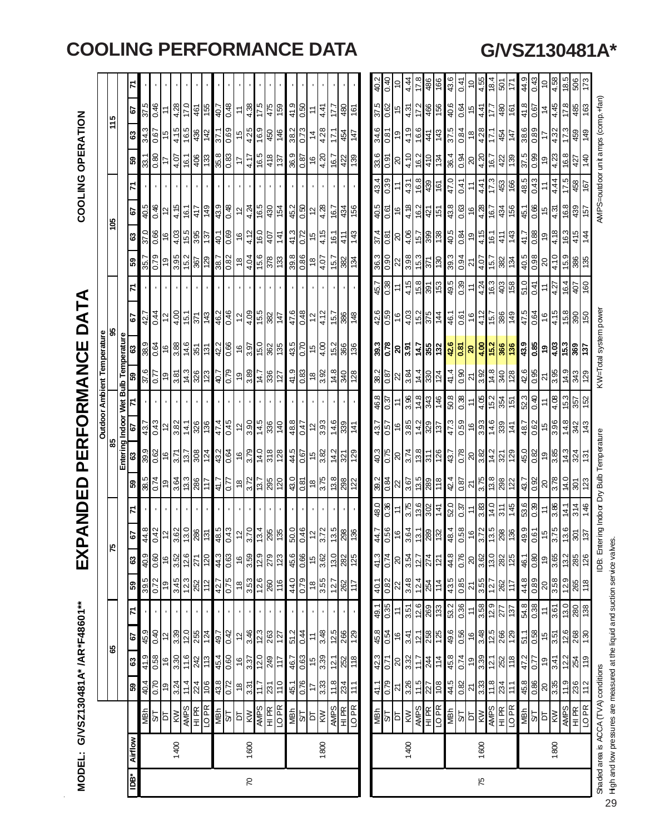| l |
|---|
|   |
|   |
| г |
| î |
|   |
|   |
| Ï |
|   |
|   |
| I |
|   |
|   |
|   |
|   |
|   |
|   |
|   |
|   |
| ı |
|   |
| ֠ |
|   |
|   |
|   |
|   |
|   |

|     |                | MODEL: G/VSZ130481 A* /AR*F48601**                                            |                     |                                                                                                                                                                                                                                                                                                                                                                                                                                                                |                                           |                          |                     | EXP.                      |                                            | ANDED                    |                                        | PERFORMANCE                                                                                                                            |                                                                                                                                                                                                                                                                                                                                                                                                                                                                                     |                          |                                                                  |                                                                                                                                                                                                                                                                                                                       | DATA                                                |                          |                                                                                         |                           |                     |                                                      | COOLING OPERATION                                                                                                                           |                                           |                    |  |
|-----|----------------|-------------------------------------------------------------------------------|---------------------|----------------------------------------------------------------------------------------------------------------------------------------------------------------------------------------------------------------------------------------------------------------------------------------------------------------------------------------------------------------------------------------------------------------------------------------------------------------|-------------------------------------------|--------------------------|---------------------|---------------------------|--------------------------------------------|--------------------------|----------------------------------------|----------------------------------------------------------------------------------------------------------------------------------------|-------------------------------------------------------------------------------------------------------------------------------------------------------------------------------------------------------------------------------------------------------------------------------------------------------------------------------------------------------------------------------------------------------------------------------------------------------------------------------------|--------------------------|------------------------------------------------------------------|-----------------------------------------------------------------------------------------------------------------------------------------------------------------------------------------------------------------------------------------------------------------------------------------------------------------------|-----------------------------------------------------|--------------------------|-----------------------------------------------------------------------------------------|---------------------------|---------------------|------------------------------------------------------|---------------------------------------------------------------------------------------------------------------------------------------------|-------------------------------------------|--------------------|--|
|     |                |                                                                               |                     |                                                                                                                                                                                                                                                                                                                                                                                                                                                                |                                           |                          |                     |                           |                                            |                          |                                        |                                                                                                                                        |                                                                                                                                                                                                                                                                                                                                                                                                                                                                                     |                          |                                                                  | <b>Outdoor Ambient Temperature</b>                                                                                                                                                                                                                                                                                    |                                                     |                          |                                                                                         |                           |                     |                                                      |                                                                                                                                             |                                           |                    |  |
|     |                |                                                                               |                     | 'ෂ                                                                                                                                                                                                                                                                                                                                                                                                                                                             |                                           |                          |                     |                           | $\frac{5}{2}$                              |                          |                                        | Entering Indoor Wet Bulb Temperature<br>) အ                                                                                            |                                                                                                                                                                                                                                                                                                                                                                                                                                                                                     |                          |                                                                  | မ္တ                                                                                                                                                                                                                                                                                                                   |                                                     |                          |                                                                                         | 50L                       |                     |                                                      |                                                                                                                                             | 115                                       |                    |  |
| iB* | <b>Airflow</b> |                                                                               | န္တြ                | $\boldsymbol{\mathsf{c}}$                                                                                                                                                                                                                                                                                                                                                                                                                                      | 5                                         | $\overline{7}$           | ြို့                | $\boldsymbol{\mathbb{S}}$ |                                            | 71                       | ြို့                                   | ິ                                                                                                                                      | ĉ,                                                                                                                                                                                                                                                                                                                                                                                                                                                                                  |                          | ြို့                                                             | ឌ                                                                                                                                                                                                                                                                                                                     | 57                                                  | 71                       | ြို့                                                                                    | $\boldsymbol{\mathbb{S}}$ | 29                  | $\overline{7}$                                       | 59                                                                                                                                          | 2<br>$\boldsymbol{\mathbb{S}}$            |                    |  |
|     |                | <b>MBh</b>                                                                    | 40.4                | 41.9                                                                                                                                                                                                                                                                                                                                                                                                                                                           | 6.9                                       |                          | 39.5                | 40.9                      | $\ddot{4}$                                 |                          | 38.5                                   | 39.9                                                                                                                                   | 43.7                                                                                                                                                                                                                                                                                                                                                                                                                                                                                |                          |                                                                  | 38.9                                                                                                                                                                                                                                                                                                                  | 42.7                                                |                          | 35.7                                                                                    |                           | 40.5                |                                                      | $\dot{a}$                                                                                                                                   | 37.5<br>34.3                              |                    |  |
|     |                | 76                                                                            | 0.70                | 0.58                                                                                                                                                                                                                                                                                                                                                                                                                                                           | 0.40                                      |                          | 0.72                | 0.60                      | 0.42                                       |                          | 0.74                                   | 0.62                                                                                                                                   | 643                                                                                                                                                                                                                                                                                                                                                                                                                                                                                 |                          |                                                                  | 0.64                                                                                                                                                                                                                                                                                                                  | 0.44                                                |                          |                                                                                         | 0.66                      | 0.46                |                                                      | 0.80                                                                                                                                        | 0.46<br>0.67                              |                    |  |
|     |                | Ъ                                                                             | e,                  | $\frac{6}{1}$                                                                                                                                                                                                                                                                                                                                                                                                                                                  | $\overline{c}$                            |                          | $\overline{61}$     | $\frac{6}{2}$             | $\sim$                                     |                          | 61                                     | $\frac{9}{5}$                                                                                                                          | $\overline{c}$                                                                                                                                                                                                                                                                                                                                                                                                                                                                      |                          | စ္                                                               | $\mathfrak{g}$                                                                                                                                                                                                                                                                                                        |                                                     |                          | $\overline{0}$                                                                          | $\frac{1}{6}$             | $\overline{c}$      |                                                      | 1                                                                                                                                           | <u>:</u><br>15                            |                    |  |
|     | 1400           | KW                                                                            | 3.24                | 3.30                                                                                                                                                                                                                                                                                                                                                                                                                                                           | 3.39                                      |                          | 3.45                | 3.52                      | 3.62                                       |                          | 3.64                                   | 3.71                                                                                                                                   | 3.82                                                                                                                                                                                                                                                                                                                                                                                                                                                                                |                          | 3.81                                                             | 3.88                                                                                                                                                                                                                                                                                                                  | 4.00                                                |                          | 3.95                                                                                    | 4.03                      | 4.15                |                                                      | 4.07                                                                                                                                        | 4.28<br>4.15                              |                    |  |
|     |                |                                                                               | $\frac{14}{13}$     | 11.6                                                                                                                                                                                                                                                                                                                                                                                                                                                           | $\frac{28}{28}$                           |                          |                     | 12.6                      | $\frac{13.0}{286}$                         |                          | $\frac{38}{28}$ = $\frac{1}{4}$        |                                                                                                                                        | $\frac{47}{88}$                                                                                                                                                                                                                                                                                                                                                                                                                                                                     |                          |                                                                  |                                                                                                                                                                                                                                                                                                                       | $\frac{151}{371}$ $\frac{12}{46.2}$                 |                          |                                                                                         |                           | 16.1                |                                                      |                                                                                                                                             | 17.0<br>$rac{16.5}{436}$                  |                    |  |
|     |                |                                                                               |                     | $\frac{242}{113}$                                                                                                                                                                                                                                                                                                                                                                                                                                              |                                           |                          |                     | $\frac{271}{120}$         |                                            |                          |                                        |                                                                                                                                        |                                                                                                                                                                                                                                                                                                                                                                                                                                                                                     |                          |                                                                  |                                                                                                                                                                                                                                                                                                                       |                                                     |                          |                                                                                         |                           |                     |                                                      |                                                                                                                                             | 461                                       |                    |  |
|     |                |                                                                               |                     |                                                                                                                                                                                                                                                                                                                                                                                                                                                                |                                           |                          |                     |                           |                                            |                          |                                        |                                                                                                                                        |                                                                                                                                                                                                                                                                                                                                                                                                                                                                                     |                          |                                                                  |                                                                                                                                                                                                                                                                                                                       |                                                     |                          |                                                                                         |                           | $rac{17}{149}$      |                                                      |                                                                                                                                             | $\frac{155}{40.7}$                        |                    |  |
|     |                | $\frac{\frac{2}{\text{MPR}}}{\frac{2}{\text{MPR}}}$                           | 43.8                | 45.4<br>0.60                                                                                                                                                                                                                                                                                                                                                                                                                                                   | 49.7                                      |                          | $\frac{23}{282}$    | $\frac{44.3}{5}$          | 48.5                                       |                          |                                        | $\frac{5}{18}$ $\frac{8}{18}$ $\frac{1}{18}$ $\frac{1}{18}$ $\frac{1}{18}$ $\frac{1}{18}$ $\frac{1}{18}$ $\frac{1}{18}$ $\frac{1}{18}$ | 47.4                                                                                                                                                                                                                                                                                                                                                                                                                                                                                |                          | <u>ဒုံမြွံမြွံခြွံခြွံခြွံ</u>                                   |                                                                                                                                                                                                                                                                                                                       |                                                     |                          | $\frac{152}{158}$ $\frac{15}{158}$ $\frac{15}{158}$ $\frac{152}{158}$ $\frac{152}{158}$ | $\frac{15}{10}$           |                     |                                                      | $\frac{1}{2}$ $\frac{1}{2}$ $\frac{1}{2}$ $\frac{1}{2}$ $\frac{1}{2}$ $\frac{1}{2}$ $\frac{1}{2}$ $\frac{1}{2}$ $\frac{1}{2}$ $\frac{1}{2}$ | $\frac{37.1}{0.69}$                       |                    |  |
|     |                |                                                                               |                     |                                                                                                                                                                                                                                                                                                                                                                                                                                                                |                                           |                          |                     | 0.63                      | 0.43                                       |                          |                                        |                                                                                                                                        | 0.45                                                                                                                                                                                                                                                                                                                                                                                                                                                                                |                          |                                                                  |                                                                                                                                                                                                                                                                                                                       | 9#0                                                 |                          |                                                                                         |                           | $\frac{0.48}{12}$   |                                                      |                                                                                                                                             | 0.48                                      |                    |  |
|     |                | <b>PI</b>                                                                     | $\frac{18}{3.31}$   | $\frac{16}{3.37}$                                                                                                                                                                                                                                                                                                                                                                                                                                              | $\frac{1}{2}$ $\frac{1}{2}$ $\frac{1}{2}$ |                          | 8                   | $\frac{6}{2}$             |                                            |                          |                                        |                                                                                                                                        | $\approx$                                                                                                                                                                                                                                                                                                                                                                                                                                                                           |                          |                                                                  |                                                                                                                                                                                                                                                                                                                       |                                                     |                          |                                                                                         |                           |                     |                                                      |                                                                                                                                             | $\overline{\phantom{a}}$                  |                    |  |
| R   | 1600           |                                                                               |                     |                                                                                                                                                                                                                                                                                                                                                                                                                                                                |                                           |                          | 3.53                | 3.59                      | $rac{2}{3.70}$ $rac{1}{2.80}$ $rac{1}{8}$  |                          | ခြင်းခြင်း                             |                                                                                                                                        | 3.90                                                                                                                                                                                                                                                                                                                                                                                                                                                                                |                          |                                                                  | $\frac{46}{15}$ $\frac{1}{2}$ $\frac{1}{2}$ $\frac{1}{2}$ $\frac{1}{2}$ $\frac{1}{2}$ $\frac{1}{2}$ $\frac{1}{2}$ $\frac{1}{2}$ $\frac{1}{2}$ $\frac{1}{2}$ $\frac{1}{2}$ $\frac{1}{2}$ $\frac{1}{2}$ $\frac{1}{2}$ $\frac{1}{2}$ $\frac{1}{2}$ $\frac{1}{2}$ $\frac{1}{2}$ $\frac{1}{2}$ $\frac{1}{2}$ $\frac{1}{2}$ | $\frac{12}{99}$                                     |                          | $\frac{4.04}{15.6}$                                                                     | 4.12                      | $\frac{4.24}{16.5}$ |                                                      | 4.17                                                                                                                                        | 4.38<br>$\frac{425}{69}$                  |                    |  |
|     |                |                                                                               | 7.7                 | 12.0                                                                                                                                                                                                                                                                                                                                                                                                                                                           | $\frac{12.3}{263}$                        |                          | $\frac{12.6}{260}$  | 12.9                      |                                            |                          |                                        | $rac{815}{716}$                                                                                                                        | 14.5<br>336                                                                                                                                                                                                                                                                                                                                                                                                                                                                         |                          | $\frac{14.7}{336}$                                               |                                                                                                                                                                                                                                                                                                                       |                                                     |                          |                                                                                         | $\frac{104}{107}$         |                     |                                                      | $\frac{16.5}{4.18}$                                                                                                                         | $rac{475}{475}$                           |                    |  |
|     |                | <b>AMPS</b><br>HI PR<br>LO PR                                                 | 231                 |                                                                                                                                                                                                                                                                                                                                                                                                                                                                |                                           |                          |                     | 279                       |                                            |                          |                                        |                                                                                                                                        |                                                                                                                                                                                                                                                                                                                                                                                                                                                                                     |                          |                                                                  |                                                                                                                                                                                                                                                                                                                       |                                                     |                          |                                                                                         |                           |                     |                                                      |                                                                                                                                             |                                           |                    |  |
|     |                |                                                                               | 011                 | $\frac{17}{2}$                                                                                                                                                                                                                                                                                                                                                                                                                                                 | 127                                       |                          | 116                 | 123                       |                                            |                          |                                        | 871                                                                                                                                    | 0+                                                                                                                                                                                                                                                                                                                                                                                                                                                                                  |                          | 127                                                              |                                                                                                                                                                                                                                                                                                                       | 47                                                  |                          | 133                                                                                     | 141                       | 154                 |                                                      | 137                                                                                                                                         | 159<br>146                                |                    |  |
|     |                | <b>MBh</b>                                                                    | 45.1                | 46.7                                                                                                                                                                                                                                                                                                                                                                                                                                                           | 51.2                                      |                          | 44.0                | 45.6                      | 50.0                                       |                          | 43.0                                   | 44.5                                                                                                                                   | 48.8                                                                                                                                                                                                                                                                                                                                                                                                                                                                                |                          | 41.9                                                             | 43.5                                                                                                                                                                                                                                                                                                                  | 47.6                                                |                          | 39.8                                                                                    | 41.3                      | 45.2                |                                                      | 36.9                                                                                                                                        | 41.9<br>38.2                              |                    |  |
|     |                |                                                                               | 0.76                | 0.63                                                                                                                                                                                                                                                                                                                                                                                                                                                           | 0.44                                      |                          | 0.79                | 0.66                      | 0.46                                       |                          |                                        |                                                                                                                                        | 0.47                                                                                                                                                                                                                                                                                                                                                                                                                                                                                |                          |                                                                  |                                                                                                                                                                                                                                                                                                                       | 0.48                                                |                          |                                                                                         | 0.72                      |                     |                                                      |                                                                                                                                             | 0.50<br>0.73                              |                    |  |
|     |                |                                                                               | $\overline{1}$      | $\frac{1}{2}$                                                                                                                                                                                                                                                                                                                                                                                                                                                  | $\overline{11}$                           |                          |                     | $\frac{5}{2}$             |                                            |                          | $\frac{87}{18}$                        |                                                                                                                                        | $\overline{12}$                                                                                                                                                                                                                                                                                                                                                                                                                                                                     |                          |                                                                  |                                                                                                                                                                                                                                                                                                                       | 12                                                  |                          | $\frac{86}{18}$                                                                         | $\frac{6}{5}$             | $\frac{0.50}{12}$   |                                                      | $rac{9}{180}$                                                                                                                               | $\tilde{t}$<br>$\overline{1}$             |                    |  |
|     | 1800           | $\frac{\frac{S}{\sqrt{N}}}{\frac{S}{\sqrt{N}}}\frac{1}{N}$                    | 3.33                | $\begin{array}{c} \boxed{33} \\ \boxed{21} \\ \boxed{21} \\ \boxed{12} \\ \boxed{13} \\ \boxed{13} \\ \boxed{13} \\ \boxed{13} \\ \boxed{13} \\ \boxed{13} \\ \boxed{13} \\ \boxed{13} \\ \boxed{13} \\ \boxed{13} \\ \boxed{13} \\ \boxed{13} \\ \boxed{13} \\ \boxed{13} \\ \boxed{13} \\ \boxed{13} \\ \boxed{13} \\ \boxed{13} \\ \boxed{13} \\ \boxed{13} \\ \boxed{13} \\ \boxed{13} \\ \boxed{13} \\ \boxed{13} \\ \boxed{13} \\ \boxed{13} \\ \boxed{$ | $\frac{3.48}{12.5}$                       |                          | $\frac{18}{350}$    | $\frac{3.62}{13.0}$       | $\frac{12}{3.72}$                          |                          | $\frac{8}{35}$                         | $\frac{1}{2}$                                                                                                                          | $\frac{3.93}{14.6}$                                                                                                                                                                                                                                                                                                                                                                                                                                                                 |                          | $\frac{18}{18}$ $\frac{12}{18}$ $\frac{12}{18}$                  | $\frac{20}{15}$                                                                                                                                                                                                                                                                                                       | 4.12                                                |                          |                                                                                         | 4.15                      | $\frac{4.28}{16.7}$ |                                                      | 4.20                                                                                                                                        | 4.41<br>4.28                              |                    |  |
|     |                |                                                                               |                     |                                                                                                                                                                                                                                                                                                                                                                                                                                                                |                                           |                          |                     |                           |                                            |                          |                                        | 14.2                                                                                                                                   |                                                                                                                                                                                                                                                                                                                                                                                                                                                                                     |                          |                                                                  |                                                                                                                                                                                                                                                                                                                       | 15.7                                                |                          | $rac{15}{15}$ $\frac{1}{8}$ $\frac{1}{8}$ $\frac{1}{2}$                                 | 16.1                      |                     |                                                      |                                                                                                                                             | 177                                       |                    |  |
|     |                |                                                                               | 234                 |                                                                                                                                                                                                                                                                                                                                                                                                                                                                |                                           |                          | 262                 |                           | 298<br>136                                 |                          |                                        |                                                                                                                                        | 339                                                                                                                                                                                                                                                                                                                                                                                                                                                                                 |                          |                                                                  |                                                                                                                                                                                                                                                                                                                       | 386                                                 |                          |                                                                                         | 411                       |                     |                                                      |                                                                                                                                             | 480<br>454                                |                    |  |
|     |                | HIPR<br>LOPR                                                                  | 111                 |                                                                                                                                                                                                                                                                                                                                                                                                                                                                | $\frac{266}{129}$                         |                          |                     | 282                       |                                            |                          | 122                                    | 321                                                                                                                                    | $\overline{141}$                                                                                                                                                                                                                                                                                                                                                                                                                                                                    |                          | 128                                                              | 136                                                                                                                                                                                                                                                                                                                   | 871                                                 |                          |                                                                                         | 143                       |                     |                                                      | $\frac{42}{139}$                                                                                                                            | 161<br>47                                 |                    |  |
|     |                |                                                                               |                     |                                                                                                                                                                                                                                                                                                                                                                                                                                                                |                                           |                          |                     |                           |                                            |                          |                                        |                                                                                                                                        |                                                                                                                                                                                                                                                                                                                                                                                                                                                                                     |                          |                                                                  |                                                                                                                                                                                                                                                                                                                       |                                                     |                          |                                                                                         |                           |                     |                                                      |                                                                                                                                             |                                           |                    |  |
|     |                | 할일                                                                            | 41.1                | $\frac{42.3}{0.71}$                                                                                                                                                                                                                                                                                                                                                                                                                                            | $\frac{45.8}{0.54}$                       | 49.1                     | $\frac{40.1}{0.82}$ | $\frac{41.3}{0.74}$       | 44.7<br>0.56                               | 48.0                     |                                        |                                                                                                                                        |                                                                                                                                                                                                                                                                                                                                                                                                                                                                                     | 46.8                     |                                                                  |                                                                                                                                                                                                                                                                                                                       | $\frac{42.6}{0.59}$                                 | 45.7                     | $\frac{36.3}{0.90}$                                                                     | 37.4                      |                     | 43.4                                                 | 33.6                                                                                                                                        | $rac{9}{25}$<br>34.6                      | $\overline{4}$     |  |
|     |                |                                                                               | 0.79                |                                                                                                                                                                                                                                                                                                                                                                                                                                                                |                                           |                          |                     |                           |                                            |                          | $\frac{3}{28}$ $\frac{3}{28}$          | $rac{12}{100}$                                                                                                                         | $\frac{95}{125}$                                                                                                                                                                                                                                                                                                                                                                                                                                                                    |                          |                                                                  |                                                                                                                                                                                                                                                                                                                       |                                                     |                          |                                                                                         | 0.81                      | $\frac{91}{900}$    |                                                      | $rac{6}{20}$                                                                                                                                |                                           | 0.40               |  |
|     |                |                                                                               | $ \vec{z} $         | $\overline{2}$                                                                                                                                                                                                                                                                                                                                                                                                                                                 |                                           |                          |                     | $\mathbb{R}$              | $\mathbf \omega$                           |                          |                                        |                                                                                                                                        |                                                                                                                                                                                                                                                                                                                                                                                                                                                                                     | Ι'n                      | $\frac{32}{9}$ $\frac{12}{9}$ $\frac{12}{9}$                     | $\frac{3}{36}$ $\frac{1}{2}$ $\frac{1}{2}$ $\frac{1}{2}$ $\frac{1}{2}$                                                                                                                                                                                                                                                |                                                     |                          |                                                                                         | ನ                         |                     |                                                      |                                                                                                                                             | စ္                                        | ļS                 |  |
|     | 1400           | KW                                                                            | 3.26                | 3.32                                                                                                                                                                                                                                                                                                                                                                                                                                                           | 3.41                                      | 3.51                     | 3.48                | 3.54                      | 3.64                                       | 3.75                     | 3.67                                   | 3.74                                                                                                                                   | 3.85                                                                                                                                                                                                                                                                                                                                                                                                                                                                                | 3.96                     |                                                                  |                                                                                                                                                                                                                                                                                                                       | 4.03                                                | 4.15                     | 3.98                                                                                    | 4.06                      | 4.18                | 4.31                                                 | 4.10                                                                                                                                        | 4.31<br>4.19                              | 4.44               |  |
|     |                | AMPS<br>HI PR                                                                 | 11.5                | 7.7                                                                                                                                                                                                                                                                                                                                                                                                                                                            | 12.1                                      | 12.6                     | 12.4                | 12.7                      |                                            | 13.6                     | $\frac{13.5}{289}$                     | 13.8                                                                                                                                   |                                                                                                                                                                                                                                                                                                                                                                                                                                                                                     | 14.8                     |                                                                  |                                                                                                                                                                                                                                                                                                                       |                                                     |                          | 15.3                                                                                    |                           | 16.2                | 16.8                                                 | 16.2                                                                                                                                        | $\frac{172}{466}$<br>16.6                 | $\frac{17.8}{486}$ |  |
|     |                |                                                                               | 227                 | 244                                                                                                                                                                                                                                                                                                                                                                                                                                                            | 258                                       | 269                      | 254                 | 274                       | $\frac{13}{280}$                           | 302                      |                                        | 311                                                                                                                                    | $\frac{14.2}{329}$                                                                                                                                                                                                                                                                                                                                                                                                                                                                  | 343                      | $rac{4.4}{38}$                                                   |                                                                                                                                                                                                                                                                                                                       | $rac{15.2}{375}$                                    | $\frac{68}{9153}$        | $\frac{15}{130}$                                                                        | $\frac{15.7}{38}$         | $rac{47}{51}$       | 439                                                  | 410                                                                                                                                         | 41                                        |                    |  |
|     |                | <b>TOPR</b>                                                                   | 108                 | 114                                                                                                                                                                                                                                                                                                                                                                                                                                                            | 125                                       | 133                      | 114                 | 121                       |                                            | 141                      | $\frac{8}{10}$                         | 126                                                                                                                                    |                                                                                                                                                                                                                                                                                                                                                                                                                                                                                     | 146                      |                                                                  |                                                                                                                                                                                                                                                                                                                       |                                                     |                          |                                                                                         |                           |                     |                                                      | 184                                                                                                                                         | 156<br>143                                | 166                |  |
|     |                | чам                                                                           | 44.5                | 45.8                                                                                                                                                                                                                                                                                                                                                                                                                                                           | 9.67                                      | 53.2                     | 43.5                | 44.8                      | 48.4                                       | 52.0                     | 42.4                                   | 43.7                                                                                                                                   | 47.3                                                                                                                                                                                                                                                                                                                                                                                                                                                                                | 809                      | 41.4                                                             | ် မျွန်း <mark>အိုဒ္ဓိုဒ္ဓါဒ္ဓါဒ္ဓို</mark> း                                                                                                                                                                                                                                                                         | 46.1                                                | 49.5                     | 39.3                                                                                    | <b>S</b> 0                | $\frac{43.8}{0.63}$ | 47.0                                                 | $\frac{4}{36}$ $\frac{1}{36}$ $\frac{1}{36}$                                                                                                | 900<br>37.5                               | 43.6               |  |
|     |                | 하                                                                             | $\frac{0.82}{21}$   | 0.74                                                                                                                                                                                                                                                                                                                                                                                                                                                           | 0.56                                      | 0.36                     | $\frac{0.85}{21}$   | 0.76                      | 0.58                                       | 0.37                     | 0.87                                   | 0.78                                                                                                                                   | $\left \frac{1}{2}\right _{\infty} = \left \frac{1}{2}\right _{\infty} = \left \frac{1}{2}\right _{\infty} = \left \frac{1}{2}\right _{\infty} = \left \frac{1}{2}\right _{\infty} = \left \frac{1}{2}\right _{\infty} = \left \frac{1}{2}\right _{\infty} = \left \frac{1}{2}\right _{\infty} = \left \frac{1}{2}\right _{\infty} = \left \frac{1}{2}\right _{\infty} = \left \frac{1}{2}\right _{\infty} = \left \frac{1}{2}\right _{\infty} = \left \frac{1}{2}\right _{\infty}$ | $rac{11}{11}$            | $rac{0.90}{21}$                                                  |                                                                                                                                                                                                                                                                                                                       | $\frac{91}{16}$                                     | $\frac{0.39}{11}$        | 0.94                                                                                    | $\frac{64}{19}$           |                     | 0.41                                                 |                                                                                                                                             | $rac{64}{15}$<br>$\frac{81}{18}$          | 0.41               |  |
|     |                |                                                                               |                     | $\frac{9}{2}$                                                                                                                                                                                                                                                                                                                                                                                                                                                  | $\overline{\mathbf{e}}$                   | $\overline{\mathbb{H}}$  |                     | $\mathbb{S}^2$            |                                            | $\overline{\mathbb{H}}$  |                                        | $\overline{\Omega}$                                                                                                                    |                                                                                                                                                                                                                                                                                                                                                                                                                                                                                     |                          |                                                                  |                                                                                                                                                                                                                                                                                                                       |                                                     |                          |                                                                                         |                           |                     | $\vert \tau \vert$                                   |                                                                                                                                             |                                           | $\overline{a}$     |  |
| řδ  | 1600           | <b>KW</b><br>AMPS                                                             | $\frac{3.33}{11.8}$ | $3.39$<br>$12.1$                                                                                                                                                                                                                                                                                                                                                                                                                                               | 3.48                                      | 3.58                     | 3.55<br>12.7        | $\frac{3.62}{13.0}$       |                                            | $\frac{3.83}{14.0}$      | $\frac{375}{298}$                      | $\frac{3.82}{14.2}$                                                                                                                    |                                                                                                                                                                                                                                                                                                                                                                                                                                                                                     | $rac{4.65}{15.25}$       | $\frac{3.92}{14.8}$                                              |                                                                                                                                                                                                                                                                                                                       | $rac{2}{15}$ $rac{2}{15}$ $rac{8}{15}$ $rac{1}{15}$ | $4.24$<br>16.3           | $rac{1}{2}$ $rac{1}{2}$ $\frac{1}{8}$ $\frac{1}{2}$ $\frac{1}{2}$                       | $\frac{4.15}{16.1}$       | $rac{4.28}{16.7}$   | $rac{4}{15}$ $rac{15}{15}$ $rac{1}{15}$ $rac{1}{15}$ | $\frac{4.20}{16.7}$                                                                                                                         | $\frac{4.41}{17.7}$<br>$\frac{428}{17.1}$ | $\frac{4.56}{184}$ |  |
|     |                |                                                                               |                     |                                                                                                                                                                                                                                                                                                                                                                                                                                                                |                                           |                          |                     |                           |                                            |                          |                                        |                                                                                                                                        |                                                                                                                                                                                                                                                                                                                                                                                                                                                                                     |                          |                                                                  |                                                                                                                                                                                                                                                                                                                       |                                                     |                          |                                                                                         |                           |                     |                                                      |                                                                                                                                             |                                           |                    |  |
|     |                | $\frac{1}{\frac{1}{2}}$                                                       | $\frac{234}{11}$    | <b>82</b><br>118                                                                                                                                                                                                                                                                                                                                                                                                                                               | 88                                        | $\frac{517}{137}$        | $\frac{262}{117}$   | $\frac{282}{125}$         |                                            | $rac{311}{145}$          |                                        | $\frac{321}{129}$                                                                                                                      |                                                                                                                                                                                                                                                                                                                                                                                                                                                                                     |                          |                                                                  |                                                                                                                                                                                                                                                                                                                       |                                                     | $\frac{403}{158}$        |                                                                                         | $rac{411}{143}$           |                     |                                                      | $\frac{42}{139}$                                                                                                                            | 480<br>454                                |                    |  |
|     |                |                                                                               |                     |                                                                                                                                                                                                                                                                                                                                                                                                                                                                |                                           |                          |                     |                           | <u>မြင်းမြို့ မြို့များမြို့ မြို့များ</u> |                          |                                        |                                                                                                                                        |                                                                                                                                                                                                                                                                                                                                                                                                                                                                                     |                          |                                                                  |                                                                                                                                                                                                                                                                                                                       |                                                     |                          |                                                                                         |                           |                     |                                                      |                                                                                                                                             | 161                                       | 171                |  |
|     |                | MBh                                                                           | 45.8                | 47.2                                                                                                                                                                                                                                                                                                                                                                                                                                                           | 51.1                                      | 54.8                     | 44.8                | 46.1                      |                                            | 53.6                     |                                        | $rac{45.0}{0.82}$                                                                                                                      | $\frac{12}{96}$                                                                                                                                                                                                                                                                                                                                                                                                                                                                     | 52.3                     | $rac{6}{40}$ $rac{1}{80}$ $rac{1}{10}$ $rac{1}{10}$ $rac{1}{10}$ | 43.9                                                                                                                                                                                                                                                                                                                  | 47.5<br>0.64                                        | 51.0                     | $\frac{40.5}{0.98}$                                                                     | 41.7                      | $rac{45.1}{0.66}$   | 48.5                                                 | $\frac{37.5}{0.99}$                                                                                                                         | 41.8<br>$\frac{386}{0.89}$                | 44.9               |  |
|     |                | $rac{1}{18}$                                                                  |                     | 177                                                                                                                                                                                                                                                                                                                                                                                                                                                            | 0.58                                      |                          | 0.89                | 0.80                      |                                            |                          |                                        |                                                                                                                                        |                                                                                                                                                                                                                                                                                                                                                                                                                                                                                     |                          |                                                                  |                                                                                                                                                                                                                                                                                                                       |                                                     | 11                       |                                                                                         | 0.88                      |                     |                                                      |                                                                                                                                             | 0.67                                      | 0.43               |  |
|     |                |                                                                               | $\frac{20}{3.35}$   | $\frac{6}{1}$                                                                                                                                                                                                                                                                                                                                                                                                                                                  | $\frac{15}{3.51}$                         | $\overline{\phantom{a}}$ | $\frac{20}{3.58}$   | é,                        |                                            | $\overline{\phantom{a}}$ | $rac{1}{\sqrt{10}}\frac{1}{\sqrt{10}}$ |                                                                                                                                        |                                                                                                                                                                                                                                                                                                                                                                                                                                                                                     | $\overline{\phantom{a}}$ |                                                                  |                                                                                                                                                                                                                                                                                                                       | $\frac{6}{5}$                                       | $\overline{\phantom{a}}$ | 02                                                                                      | $\overline{e}$            |                     | $\Xi$                                                | $\overline{e}$                                                                                                                              | $\ddot{4}$<br>4                           | $\ominus$          |  |
|     | 1800           | KW                                                                            |                     | 3.41                                                                                                                                                                                                                                                                                                                                                                                                                                                           |                                           | 3.61                     |                     | 3.65                      |                                            | 3.86                     |                                        |                                                                                                                                        |                                                                                                                                                                                                                                                                                                                                                                                                                                                                                     | 4.08                     |                                                                  |                                                                                                                                                                                                                                                                                                                       | 4.15                                                | 4.27                     | 4.10                                                                                    | 4.18                      |                     | 4.44                                                 | 4.23                                                                                                                                        | 4.45<br>4.32                              | 4.58               |  |
|     |                | <b>AMPS</b>                                                                   | 11.9                | 12.2                                                                                                                                                                                                                                                                                                                                                                                                                                                           | 12.6                                      | 13.0                     | 12.9                | 13.2                      |                                            | $\frac{14}{1}$           | 14.0                                   | 14.3                                                                                                                                   | 14.8                                                                                                                                                                                                                                                                                                                                                                                                                                                                                | 15.3                     | 6.71                                                             | <u>ရွိချီဒါဒါဒါဒ</u>                                                                                                                                                                                                                                                                                                  | 15.8                                                | 16.4                     | 15.9                                                                                    | 16.3                      | 16.8                |                                                      | 16.8                                                                                                                                        | 17.8                                      | 18.5               |  |
|     |                | $\frac{1}{\frac{1}{2}}$                                                       | $\frac{236}{112}$   | $rac{254}{19}$                                                                                                                                                                                                                                                                                                                                                                                                                                                 | $\frac{268}{130}$                         | $\frac{280}{138}$        | $rac{265}{118}$     | $\frac{285}{126}$         | $rac{201}{137}$                            | 314                      | $\frac{301}{123}$                      | $\frac{324}{131}$                                                                                                                      | $rac{342}{143}$                                                                                                                                                                                                                                                                                                                                                                                                                                                                     | $rac{357}{152}$          | 343                                                              |                                                                                                                                                                                                                                                                                                                       | $\frac{90}{50}$                                     | $\frac{101}{100}$        | $rac{386}{135}$                                                                         | $rac{4}{15}$              | $rac{439}{157}$     | 458                                                  | $rac{427}{140}$                                                                                                                             | 485<br>$rac{459}{149}$                    | 506                |  |
|     |                |                                                                               |                     |                                                                                                                                                                                                                                                                                                                                                                                                                                                                |                                           |                          |                     |                           |                                            | 146                      |                                        |                                                                                                                                        |                                                                                                                                                                                                                                                                                                                                                                                                                                                                                     |                          |                                                                  |                                                                                                                                                                                                                                                                                                                       |                                                     |                          |                                                                                         |                           |                     | 167                                                  |                                                                                                                                             | 163                                       | 173                |  |
|     |                | Shaded area is ACCA (TVA) conditions                                          |                     |                                                                                                                                                                                                                                                                                                                                                                                                                                                                |                                           |                          |                     |                           |                                            |                          |                                        | DB: Entering Indoor Dry Bulb Temperature                                                                                               |                                                                                                                                                                                                                                                                                                                                                                                                                                                                                     |                          |                                                                  | <w=total systempower<="" td=""><td></td><td></td><td></td><td></td><td></td><td></td><td>AMPS=outdoor unit amps (comp.+fan)</td><td></td><td></td><td></td></w=total>                                                                                                                                                 |                                                     |                          |                                                                                         |                           |                     |                                                      | AMPS=outdoor unit amps (comp.+fan)                                                                                                          |                                           |                    |  |
|     |                | High and low pressures are measured at the liquid and suction service valves. |                     |                                                                                                                                                                                                                                                                                                                                                                                                                                                                |                                           |                          |                     |                           |                                            |                          |                                        |                                                                                                                                        |                                                                                                                                                                                                                                                                                                                                                                                                                                                                                     |                          |                                                                  |                                                                                                                                                                                                                                                                                                                       |                                                     |                          |                                                                                         |                           |                     |                                                      |                                                                                                                                             |                                           |                    |  |

# **COOLING PERFORMANCE DATA G/VSZ130481A\***

29 High and low pressures are measured at the liquid and suction service valves.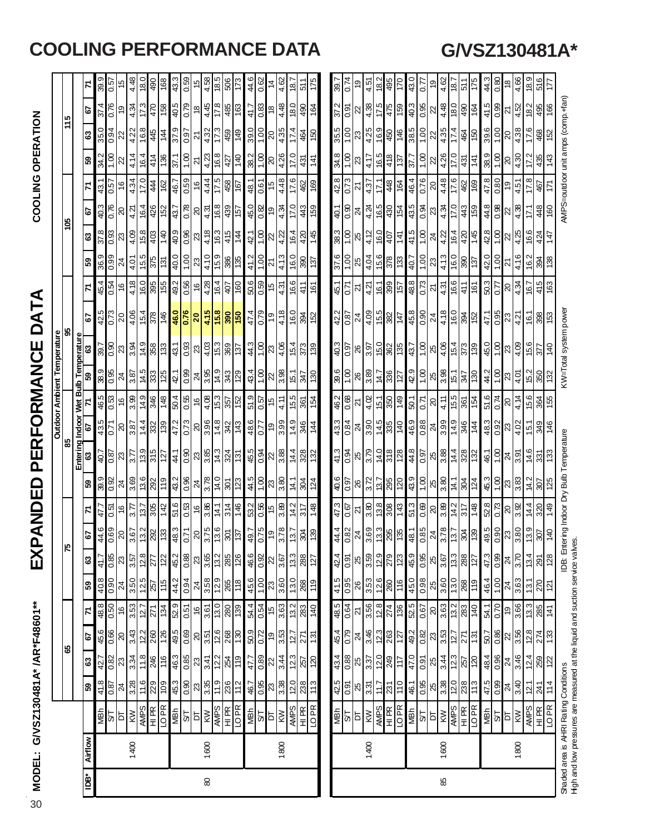# 801\*\*\* G/VSZ130481A\* /AR\*F48601\*\*

|                 |         | MODEL: G/VSZ130481 A* /AR*F48601**                                                                                     |                   |                     |                                                |                    |                   | 口<br>凶            | QNA                                                                                                                                                                                                                                               | $\overline{\mathbf{u}}$                                                                                                                                                                                                                                                                                              | ◘                                                                                                                             |                                                                                   | PERFORMANCE                                                                             |                     |                        |                                            | DATA                                                    |                    |                                                                                                                                     |                                |                                                                                                                                             | COOLING OPERATION                                |                                                                                                   |                                         |                     |                   |
|-----------------|---------|------------------------------------------------------------------------------------------------------------------------|-------------------|---------------------|------------------------------------------------|--------------------|-------------------|-------------------|---------------------------------------------------------------------------------------------------------------------------------------------------------------------------------------------------------------------------------------------------|----------------------------------------------------------------------------------------------------------------------------------------------------------------------------------------------------------------------------------------------------------------------------------------------------------------------|-------------------------------------------------------------------------------------------------------------------------------|-----------------------------------------------------------------------------------|-----------------------------------------------------------------------------------------|---------------------|------------------------|--------------------------------------------|---------------------------------------------------------|--------------------|-------------------------------------------------------------------------------------------------------------------------------------|--------------------------------|---------------------------------------------------------------------------------------------------------------------------------------------|--------------------------------------------------|---------------------------------------------------------------------------------------------------|-----------------------------------------|---------------------|-------------------|
|                 |         |                                                                                                                        |                   |                     |                                                |                    |                   | 75                |                                                                                                                                                                                                                                                   |                                                                                                                                                                                                                                                                                                                      |                                                                                                                               | 85                                                                                |                                                                                         |                     |                        | <b>Outdoor Ambient Temperature</b><br>1956 |                                                         |                    |                                                                                                                                     |                                |                                                                                                                                             |                                                  |                                                                                                   |                                         |                     |                   |
|                 |         |                                                                                                                        |                   | 8                   |                                                |                    |                   |                   |                                                                                                                                                                                                                                                   |                                                                                                                                                                                                                                                                                                                      |                                                                                                                               |                                                                                   |                                                                                         |                     |                        |                                            |                                                         |                    |                                                                                                                                     | 405                            |                                                                                                                                             |                                                  |                                                                                                   | 115                                     |                     |                   |
| È               | Airflow |                                                                                                                        | ြို့              | 63                  | 2                                              | 7                  | 59                | အ                 | l5l                                                                                                                                                                                                                                               | 7                                                                                                                                                                                                                                                                                                                    | S9                                                                                                                            |                                                                                   | Entering Indoor Wet Bulb Temperature<br>63   67   71   59   63                          |                     |                        |                                            | 79                                                      | 7                  | န္ပြ                                                                                                                                | 63                             | 49                                                                                                                                          | $\overline{1}$                                   | ြို့                                                                                              | 29<br>63                                | $\mathbf{z}$        |                   |
|                 |         | MBh                                                                                                                    | 41.8              | 42.7                | 45.6                                           | 48.8               | 40.8              | 41.7              | 44.6                                                                                                                                                                                                                                              | 47.7                                                                                                                                                                                                                                                                                                                 | 39.9                                                                                                                          | 40.7                                                                              | 43.5                                                                                    | 46.5                |                        | $\overline{39}$                            |                                                         | 45.4               | 36.9                                                                                                                                | 37.8                           | 40.3                                                                                                                                        | 43.1                                             | 34.2                                                                                              | 37.4<br>35.0                            |                     | 39.9              |
|                 |         | 하                                                                                                                      | 0.87              | 0.82                | 0.66                                           | 0.50               | 0.90              | 0.85              |                                                                                                                                                                                                                                                   | 0.51                                                                                                                                                                                                                                                                                                                 | 0.92                                                                                                                          | $\frac{187}{2}$                                                                   | 0.71                                                                                    | 0.53                |                        | 0.90                                       | $rac{42.5}{0.73}$                                       | 0.54               | 660                                                                                                                                 | <b>CG</b> <sup>0</sup>         | 0.76                                                                                                                                        | $\frac{91}{150}$                                 | 1.00                                                                                              | 0.76<br>600                             | /3 0                |                   |
|                 |         |                                                                                                                        | 24                | 23                  | g                                              | $\frac{6}{5}$      | $^{24}$           | 23                |                                                                                                                                                                                                                                                   | $\frac{9}{2}$                                                                                                                                                                                                                                                                                                        | 24                                                                                                                            | $\frac{23}{3.7}$                                                                  | ସ                                                                                       | $\frac{1}{2}$       | $rac{36}{36}$          | $\frac{23}{3.54}$                          |                                                         | $\frac{1}{6}$      | 24                                                                                                                                  | $\frac{23}{4.09}$              | $\frac{20}{4.21}$                                                                                                                           |                                                  | ଅ                                                                                                 | $\overline{6}$<br>22                    |                     | 10                |
|                 | 1400    | KW                                                                                                                     | 3.28              | 3.34                | 3.43                                           | 3.53               | 3.50              | 3.57              |                                                                                                                                                                                                                                                   | $\frac{1}{2}$                                                                                                                                                                                                                                                                                                        |                                                                                                                               |                                                                                   | <b>787</b>                                                                              | 3.99                |                        |                                            | 4.06                                                    | 4.18               | 4.01                                                                                                                                |                                |                                                                                                                                             | 4.34                                             | 4.14                                                                                              | 4.34<br>4.22                            |                     | 4.48              |
|                 |         | <b>AMPS</b>                                                                                                            | 11.6<br>229       | 11.8<br>246         | 12.2<br>260                                    | 12.7<br>271        | 12.5<br>257       | 12.8<br>277       |                                                                                                                                                                                                                                                   | $\frac{13.7}{305}$                                                                                                                                                                                                                                                                                                   | 13.6                                                                                                                          | 13.9<br>315                                                                       | 14.4                                                                                    | 14.9<br>346         | 14.5                   | 14.9                                       | 15.4                                                    | 16.0               | 15.5                                                                                                                                | 15.8                           | 16.4                                                                                                                                        | 17.0                                             | 16.4<br>414                                                                                       | $\overline{17.3}$<br>16.8<br>445        |                     | 18.0<br>06        |
|                 |         | $\frac{1}{\sqrt{2}}$                                                                                                   | 60                | 116                 | 126                                            | 134                | 115               | $\frac{22}{2}$    |                                                                                                                                                                                                                                                   | 142                                                                                                                                                                                                                                                                                                                  | 292                                                                                                                           | $\frac{1}{2}$                                                                     | 332                                                                                     | 148                 | 333                    |                                            |                                                         | 395                | $\frac{375}{131}$                                                                                                                   | 403                            | 426                                                                                                                                         | 442                                              | 136                                                                                               | $\frac{470}{158}$<br>$\frac{4}{4}$      |                     | 168               |
|                 |         |                                                                                                                        | 45.3              |                     | 49.5                                           | 52.9               | 44.2              | 45.2              |                                                                                                                                                                                                                                                   |                                                                                                                                                                                                                                                                                                                      |                                                                                                                               |                                                                                   |                                                                                         | 50.4                |                        | <u>န္တုဒ္မွု ဒုုန္တုု မျခိုုင္မ</u>        |                                                         | 49.2               |                                                                                                                                     |                                |                                                                                                                                             |                                                  | 37.1                                                                                              | 40.5                                    |                     | 43.3              |
|                 |         |                                                                                                                        | 0.90              | $\frac{46.3}{0.85}$ | 0.69                                           | 0.51               | 0.94              | $0.88\,$          |                                                                                                                                                                                                                                                   |                                                                                                                                                                                                                                                                                                                      |                                                                                                                               |                                                                                   |                                                                                         |                     |                        |                                            |                                                         |                    |                                                                                                                                     |                                |                                                                                                                                             |                                                  |                                                                                                   | 0.79                                    |                     |                   |
|                 |         | 화점                                                                                                                     | $\frac{23}{35}$   |                     | $\frac{20}{35}$                                | $\frac{16}{36}$    | 24                |                   |                                                                                                                                                                                                                                                   | $\frac{6}{51}$ $\frac{6}{5}$ $\frac{6}{5}$ $\frac{6}{5}$ $\frac{6}{5}$ $\frac{6}{5}$ $\frac{6}{5}$ $\frac{6}{5}$ $\frac{6}{5}$ $\frac{6}{5}$ $\frac{6}{5}$ $\frac{6}{5}$ $\frac{6}{5}$ $\frac{6}{5}$ $\frac{6}{5}$ $\frac{6}{5}$ $\frac{6}{5}$ $\frac{6}{5}$ $\frac{6}{5}$ $\frac{6}{5}$ $\frac{6}{5}$ $\frac{6}{5}$ |                                                                                                                               |                                                                                   |                                                                                         |                     |                        |                                            |                                                         |                    |                                                                                                                                     |                                |                                                                                                                                             |                                                  |                                                                                                   | $rac{37.9}{0.97}$                       |                     |                   |
| $\pmb{\otimes}$ | 1600    | KW                                                                                                                     |                   | $rac{23}{341}$      |                                                |                    | 3.58              | $\frac{23}{3.65}$ |                                                                                                                                                                                                                                                   |                                                                                                                                                                                                                                                                                                                      | $\frac{1}{3}$ $\frac{1}{3}$ $\frac{1}{3}$ $\frac{1}{3}$ $\frac{1}{3}$ $\frac{1}{3}$ $\frac{1}{3}$ $\frac{1}{3}$ $\frac{1}{3}$ | $\frac{4}{3}$    $\frac{8}{3}$    $\frac{8}{3}$    $\frac{8}{3}$    $\frac{1}{3}$ | $rac{47.2}{10.73}$<br>$rac{8}{3.98}$<br>$rac{8}{14.8}$                                  | $\frac{15}{96}$     | <u> 한 이 외 원 등 법 정</u>  |                                            |                                                         | $\frac{66}{96}$    | $rac{1}{2}$ $rac{1}{2}$ $rac{1}{2}$ $rac{1}{2}$ $rac{1}{2}$ $rac{1}{2}$ $rac{1}{2}$ $rac{1}{2}$ $rac{1}{2}$ $rac{1}{2}$ $rac{1}{2}$ | <u>ချွို့ရွိ မျိုး</u>         | $\frac{1}{3}$ $\frac{1}{3}$ $\frac{1}{3}$ $\frac{1}{3}$ $\frac{1}{3}$ $\frac{1}{3}$ $\frac{1}{3}$ $\frac{1}{3}$ $\frac{1}{3}$ $\frac{1}{3}$ | $\frac{467}{159}$<br>$\frac{6}{14}$              | $\frac{3}{2}$ $\frac{1}{2}$ $\frac{1}{2}$ $\frac{1}{2}$ $\frac{1}{2}$ $\frac{1}{2}$ $\frac{1}{2}$ | $rac{821}{977}$<br>4.32                 |                     | $\frac{6.59}{15}$ |
|                 |         | <b>AMPS</b>                                                                                                            | $\frac{1}{1}$     |                     | $\frac{12.6}{\sqrt{2}}$                        | $\overline{13.0}$  | $\overline{12.9}$ |                   |                                                                                                                                                                                                                                                   | $\frac{1}{4}$ $\frac{1}{4}$ $\frac{1}{8}$                                                                                                                                                                                                                                                                            |                                                                                                                               |                                                                                   |                                                                                         |                     |                        |                                            |                                                         |                    |                                                                                                                                     |                                |                                                                                                                                             |                                                  |                                                                                                   |                                         |                     |                   |
|                 |         | $\frac{1}{\frac{1}{2}}$                                                                                                | $\frac{236}{112}$ | $rac{254}{179}$     | $\frac{88}{130}$                               | $\frac{80}{139}$   | 265               | 285               |                                                                                                                                                                                                                                                   |                                                                                                                                                                                                                                                                                                                      |                                                                                                                               | $\frac{324}{131}$                                                                 | 343                                                                                     | $\frac{357}{152}$   |                        | 369                                        |                                                         | $\frac{407}{160}$  |                                                                                                                                     | $\frac{415}{144}$              | 4357                                                                                                                                        | 458                                              | 427                                                                                               | $\frac{485}{163}$<br>459                |                     | 506               |
|                 |         |                                                                                                                        |                   |                     |                                                |                    |                   | 126               |                                                                                                                                                                                                                                                   |                                                                                                                                                                                                                                                                                                                      |                                                                                                                               |                                                                                   |                                                                                         |                     |                        |                                            |                                                         |                    |                                                                                                                                     |                                |                                                                                                                                             |                                                  |                                                                                                   |                                         |                     | 173               |
|                 |         | MBh                                                                                                                    | 46.7              | 47.7                | 50.9                                           | 54.4               | 45.6              | 46.6              |                                                                                                                                                                                                                                                   | 53.2                                                                                                                                                                                                                                                                                                                 | 4.5                                                                                                                           | 45.5                                                                              | 48.6                                                                                    | $51.9$<br>$0.57$    |                        | 44.3                                       | 47.4                                                    | 50.6               | 41.2                                                                                                                                | 42.1                           | 45.0<br>0.82                                                                                                                                |                                                  | $\frac{38.2}{1.00}$                                                                               | 41.7<br>39.0                            |                     | 4.6               |
|                 |         | S <sub>T</sub>                                                                                                         | 0.95              | 0.89                | 0.72                                           | 0.54               | 1.00              | 0.92              |                                                                                                                                                                                                                                                   |                                                                                                                                                                                                                                                                                                                      |                                                                                                                               |                                                                                   | <b>LZ0</b>                                                                              |                     | 43.4                   |                                            | 0.79                                                    | 0.59               | 1.00                                                                                                                                |                                |                                                                                                                                             |                                                  |                                                                                                   | $0.83\,$                                | 0.62                |                   |
|                 |         | ЪŢ                                                                                                                     | 23                | $\overline{2}$      | é,                                             | $\frac{5}{2}$      | 23                | R                 |                                                                                                                                                                                                                                                   | $\frac{15}{3.89}$                                                                                                                                                                                                                                                                                                    | $\frac{23}{3.80}$                                                                                                             | 0.348                                                                             | $\frac{19}{3.99}$                                                                       | $\frac{5}{2}$       | $\frac{28}{3}$         | $rac{10}{28}$                              | $\frac{817}{61}$                                        | $\frac{15}{4.31}$  | $\overline{2}$                                                                                                                      | $\frac{8}{4}$ $\frac{2}{4}$    | $rac{4.34}{4.34}$                                                                                                                           | $\frac{48.1}{0.61}$                              |                                                                                                   | $\frac{448}{4}$                         |                     | $\overline{4}$    |
|                 | 1800    | <b>KW</b>                                                                                                              | 3.38              | 3.44                | 3.53                                           | 3.63               | 3.60              | 3.67              |                                                                                                                                                                                                                                                   |                                                                                                                                                                                                                                                                                                                      |                                                                                                                               |                                                                                   |                                                                                         | 4.11                |                        |                                            |                                                         |                    | 4.13                                                                                                                                |                                |                                                                                                                                             |                                                  | 20<br>4.26                                                                                        | $\frac{100}{20}$<br>$\frac{4.35}{17.4}$ | 4.62                |                   |
|                 |         | <b>SdMV</b>                                                                                                            | 12.0              | 12.3                | $\frac{127}{2}$                                | 13.2               | 13.0              | 13.3              |                                                                                                                                                                                                                                                   | 14.2                                                                                                                                                                                                                                                                                                                 | 14.1                                                                                                                          | 14.4                                                                              | 14.9                                                                                    | 15.5                | 15.1                   | 15.4                                       | 16.0                                                    | 16.6               | 16.0                                                                                                                                | 16.4                           | 17.0                                                                                                                                        | 17.6                                             |                                                                                                   | 18.0                                    | 18.7                |                   |
|                 |         |                                                                                                                        | $\frac{238}{113}$ | 257                 | 271                                            | 283                | 268               | 288               | $\frac{3}{2}$                                                                                                                                                                                                                                     | 317                                                                                                                                                                                                                                                                                                                  | 304                                                                                                                           | $\frac{328}{132}$                                                                 | $rac{346}{144}$                                                                         | 361                 | $\frac{347}{130}$      | 373                                        | $\frac{3}{8}$ $\frac{5}{8}$                             | 411                | $\frac{39}{137}$                                                                                                                    | 420                            | $\frac{443}{159}$                                                                                                                           | $\frac{462}{169}$                                | $rac{45}{4}$                                                                                      | $rac{461}{50}$                          |                     | $\frac{511}{175}$ |
|                 |         | $\frac{ \mathbf{F} }{ \mathbf{F} }$                                                                                    |                   | 120                 | 131                                            | 140                | 119               | 127               |                                                                                                                                                                                                                                                   | 148                                                                                                                                                                                                                                                                                                                  | 124                                                                                                                           |                                                                                   |                                                                                         | 154                 |                        | 139                                        |                                                         | 161                |                                                                                                                                     | 145                            |                                                                                                                                             |                                                  |                                                                                                   | $rac{49}{64}$                           |                     |                   |
|                 |         |                                                                                                                        |                   |                     |                                                |                    |                   |                   |                                                                                                                                                                                                                                                   |                                                                                                                                                                                                                                                                                                                      |                                                                                                                               |                                                                                   |                                                                                         |                     |                        |                                            |                                                         |                    |                                                                                                                                     |                                |                                                                                                                                             |                                                  |                                                                                                   |                                         |                     |                   |
|                 |         | NBh                                                                                                                    | 42.5              | 43.4                | 45.4                                           | 48.5               | 41.5              | 42.4              |                                                                                                                                                                                                                                                   | $\frac{47.3}{0.67}$                                                                                                                                                                                                                                                                                                  | 40.6                                                                                                                          | 41.3                                                                              | 43.3                                                                                    | $\frac{46.2}{0.68}$ | 39.6                   | 40.3                                       | 42.2                                                    | 45.1               | 37.6                                                                                                                                | 38.3                           | 40.1                                                                                                                                        | $\frac{42.8}{0.73}$                              | 34.8                                                                                              | 37.2<br>35.5                            | $\frac{39.7}{0.74}$ |                   |
|                 |         | 76                                                                                                                     | 0.91              | 0.88                | 0.79                                           |                    | 0.95              | 16.0              |                                                                                                                                                                                                                                                   |                                                                                                                                                                                                                                                                                                                      | 0.97                                                                                                                          | $\frac{1}{94}$                                                                    | 0.84                                                                                    |                     | $\overline{\tilde{6}}$ | 0.97                                       | 0.87                                                    | $\frac{1}{2}$      | $\frac{100}{7}$                                                                                                                     | 00                             | 0.90                                                                                                                                        |                                                  | 1.00                                                                                              | 0.91<br>1.00                            |                     |                   |
|                 |         | đ                                                                                                                      | 25                | 25                  | $\approx$                                      | ম                  | 26                | 25                |                                                                                                                                                                                                                                                   | 2                                                                                                                                                                                                                                                                                                                    | $\mathcal{S}$                                                                                                                 | 25                                                                                | 24                                                                                      | Z                   | 26                     | $8^{\circ}$                                | 24                                                      | 21                 | 25                                                                                                                                  | 25                             | $\approx$                                                                                                                                   | $\overline{2}$                                   | S3                                                                                                | ଧ୍ୟ<br>$\mathbb{S}^2$                   | စ္                  |                   |
|                 | 1400    | KW                                                                                                                     | 3.31              | 3.37                | 3.46                                           | 3.56               | 3.53              | 3.59              |                                                                                                                                                                                                                                                   | 3.80                                                                                                                                                                                                                                                                                                                 | 3.72                                                                                                                          | 3.79                                                                              | 3.90                                                                                    | 4.02                | 3.89                   | 3.97                                       | 4.09                                                    | 4.21               | 4.04                                                                                                                                | 4.12                           | 4.24                                                                                                                                        | 4.37                                             | 4.17                                                                                              | 4.38<br>4.25                            | 4.51                |                   |
|                 |         | <b>AMPS</b>                                                                                                            | 11.7              | 12.0                | 12.3                                           | 12.8               | 12.6              | 12.9              |                                                                                                                                                                                                                                                   | 13.8                                                                                                                                                                                                                                                                                                                 | $\frac{13.7}{295}$                                                                                                            | 14.0                                                                              | 14.5                                                                                    | 15.1                | 14.7                   | 15.0                                       | $\frac{15.5}{382}$                                      | 16.1               | 15.6                                                                                                                                | 16.0                           | 16.5                                                                                                                                        | 17.1                                             | 16.5                                                                                              | 17.5<br>16.9                            |                     | 18.2              |
|                 |         | HI <sub>H</sub>                                                                                                        | 231               | 249                 | 263                                            | 274                | 260               | 279               |                                                                                                                                                                                                                                                   | 308                                                                                                                                                                                                                                                                                                                  |                                                                                                                               | 318                                                                               | 335                                                                                     | 350                 | 336                    | 362                                        |                                                         | 668                | 378                                                                                                                                 | 407                            | 087                                                                                                                                         | 448                                              | 418                                                                                               | 475<br>450                              |                     | 96                |
|                 |         | <b>DPR</b>                                                                                                             | 110               | 117                 | 127                                            | 136                | 116               | 123               |                                                                                                                                                                                                                                                   | Eb                                                                                                                                                                                                                                                                                                                   | 120                                                                                                                           | 128                                                                               | 0+1                                                                                     | 149                 | 127                    | <b>SEL</b>                                 | 147                                                     | 157                | C <sub>2</sub>                                                                                                                      | 141                            | 154                                                                                                                                         | 164                                              | 137                                                                                               | 159<br>146                              |                     | 0 <sub>4</sub>    |
|                 |         | <b>NBh</b>                                                                                                             | 46.1              | 47.0                | 49.2                                           | 52.5               | 45.0              | 45.9              |                                                                                                                                                                                                                                                   | 51.3                                                                                                                                                                                                                                                                                                                 | 43.9                                                                                                                          | 8 tt                                                                              | 6.9                                                                                     | 50.1                | 42.9                   | 43.7                                       | 45.8                                                    | 8.8                | 7.04                                                                                                                                | $G^2$                          | 43.5                                                                                                                                        | 46.4                                             | <u>777</u>                                                                                        | 40.3<br>38.5                            |                     | 43.0              |
|                 |         | 입의                                                                                                                     | $\frac{8}{3}$ 8   | 0.91                | $0.82\,$                                       | $rac{67}{28}$      | 0.98              | 0.95              |                                                                                                                                                                                                                                                   | $rac{8}{20}$                                                                                                                                                                                                                                                                                                         | $\frac{100}{25}$                                                                                                              | 0.97<br>2.88                                                                      |                                                                                         | 0.71                | $rac{8}{25}$           | $rac{10}{28}$                              |                                                         | $\frac{0.73}{21}$  | $\frac{100}{23}$                                                                                                                    | $\frac{10}{2}$ $\frac{12}{4}$  | $rac{3}{28}$ $rac{3}{4}$                                                                                                                    |                                                  |                                                                                                   | $rac{95}{22}$<br>$\frac{100}{22}$       | $\frac{1}{2}$       |                   |
| 88              | 1600    |                                                                                                                        |                   | $\frac{25}{3.44}$   | $\begin{array}{c}\n 23 \\  3.53\n \end{array}$ |                    | 25<br>3.60        | $\frac{25}{3.67}$ |                                                                                                                                                                                                                                                   |                                                                                                                                                                                                                                                                                                                      |                                                                                                                               |                                                                                   |                                                                                         | 4.11                |                        |                                            |                                                         |                    |                                                                                                                                     |                                |                                                                                                                                             |                                                  |                                                                                                   |                                         | $\frac{19}{4.62}$   |                   |
|                 |         | <b>AMPS</b>                                                                                                            |                   | 12.3                | 7.5 <sub>1</sub>                               |                    |                   |                   |                                                                                                                                                                                                                                                   | 14.2                                                                                                                                                                                                                                                                                                                 |                                                                                                                               |                                                                                   |                                                                                         |                     |                        |                                            |                                                         | 16.6               |                                                                                                                                     |                                |                                                                                                                                             |                                                  |                                                                                                   | 0.8<br>17.4                             | 18.7                |                   |
|                 |         |                                                                                                                        |                   |                     | 271                                            |                    |                   |                   |                                                                                                                                                                                                                                                   | $\frac{12}{5}$                                                                                                                                                                                                                                                                                                       | $14.1$<br>$304$                                                                                                               |                                                                                   |                                                                                         |                     |                        |                                            |                                                         |                    |                                                                                                                                     |                                |                                                                                                                                             |                                                  |                                                                                                   |                                         | 511                 |                   |
|                 |         | $\frac{1}{\sqrt{2}}$                                                                                                   | $\frac{12}{28}$   | 257                 | 131                                            | $\frac{13.2}{283}$ | $\frac{13}{138}$  | $\frac{3}{288}$   | $\frac{4}{3} \frac{1}{8} \frac{1}{8} \frac{1}{8} \frac{1}{8} \frac{1}{8} \frac{1}{8} \frac{1}{8} \frac{1}{8} \frac{1}{8} \frac{1}{8} \frac{1}{8} \frac{1}{8} \frac{1}{8} \frac{1}{8} \frac{1}{8} \frac{1}{8} \frac{1}{8} \frac{1}{8} \frac{1}{8}$ | 148                                                                                                                                                                                                                                                                                                                  | 124                                                                                                                           | $\frac{4}{38}$ $\frac{1}{28}$                                                     | $\frac{88}{24}$<br>$\frac{8}{29}$<br>$\frac{1}{29}$<br>$\frac{1}{29}$<br>$\frac{1}{29}$ | $\frac{15.5}{361}$  | $rac{15.1}{347}$       | $\frac{64}{573}$                           | $\frac{69}{24}$<br>$\frac{476}{169}$<br>$\frac{69}{24}$ | 411                | $\frac{16.0}{380}$                                                                                                                  | $rac{420}{145}$                | $\frac{17.0}{43}$                                                                                                                           | $\left \frac{\mathfrak{e}}{\mathfrak{e}}\right $ | $\frac{3}{2}  x $                                                                                 | 490<br>464                              |                     | 175               |
|                 |         | MBh                                                                                                                    | 47.5              | 48.4                | 50.7                                           | $rac{54.1}{5}$     | 46.4              | 47.3              |                                                                                                                                                                                                                                                   |                                                                                                                                                                                                                                                                                                                      | 45.3                                                                                                                          | 46.1                                                                              | 48.3                                                                                    |                     | 44.2                   | 45.0                                       | 47.1                                                    | 50.3               | 42.0                                                                                                                                | 42.8                           | 44.8                                                                                                                                        | 47.8                                             | 38.9                                                                                              | 41.5<br>39.6                            |                     | 44.3              |
|                 |         | 25                                                                                                                     | 0.99              | 0.96                | 0.86                                           | $rac{50}{10}$      | 1.00              | 0.99              |                                                                                                                                                                                                                                                   | $rac{8}{20}$                                                                                                                                                                                                                                                                                                         |                                                                                                                               |                                                                                   |                                                                                         | $\frac{51.6}{0.74}$ |                        |                                            |                                                         | $\frac{2}{2}$      | 1.00                                                                                                                                |                                |                                                                                                                                             |                                                  | 1.00                                                                                              | 0.99                                    |                     | 0.80              |
|                 |         | LО                                                                                                                     | $\approx$         | 24                  | $\approx$                                      | <b>0)</b>          | $\overline{24}$   | $\overline{24}$   |                                                                                                                                                                                                                                                   |                                                                                                                                                                                                                                                                                                                      |                                                                                                                               |                                                                                   | $\frac{0.92}{23}$                                                                       | $\infty$            | $\frac{1.00}{23}$      | $\frac{5}{28}$                             | $\frac{0.95}{23}$                                       | 02                 | $\overline{2}$                                                                                                                      |                                | $\frac{8}{2}$                                                                                                                               | $rac{6}{19}$                                     |                                                                                                   | Z<br>$\frac{100}{20}$                   |                     | $\frac{8}{3}$     |
|                 | 1800    | KW                                                                                                                     | 3.40              | 3.46                | 3.56                                           | 3.66               | 3.63              | 3.70              | $rac{49.5}{9.8}$                                                                                                                                                                                                                                  | 3.92                                                                                                                                                                                                                                                                                                                 | $rac{10}{28}$                                                                                                                 | $rac{8}{3}$ $\frac{8}{3}$ $\frac{8}{3}$                                           | 4.02                                                                                    | 4.14                | 4.01                   | 4.09                                       | 4.21                                                    | 4.34               | 4.16                                                                                                                                | $\frac{10}{10}$ $\frac{20}{4}$ | $\frac{4.38}{ }$                                                                                                                            | 4.51                                             | $\frac{20}{4.30}$                                                                                 | 4.52<br>4.38                            | 4.66                |                   |
|                 |         | <b>AMPS</b>                                                                                                            | 12.1              | 12.4                | 12.8                                           | 13.3               | 13.1              | 13.4              | 3.9                                                                                                                                                                                                                                               | 14.4                                                                                                                                                                                                                                                                                                                 | 14.2                                                                                                                          | 14.6                                                                              |                                                                                         | 15.6                | 15.2                   | 15.6                                       |                                                         |                    | 16.2                                                                                                                                | 16.6                           | 17,1                                                                                                                                        | 17.8                                             | 17.2                                                                                              | 18.2<br>17.6                            |                     | 18.9              |
|                 |         | HI PR                                                                                                                  | 241               | 259                 | 274                                            | 285                | 270               | 291               | 307                                                                                                                                                                                                                                               | 320                                                                                                                                                                                                                                                                                                                  | 307                                                                                                                           | 331                                                                               | $\frac{15.1}{349}$                                                                      | 364                 | 350                    | 377                                        | $\frac{16.1}{398}$                                      | $\frac{16.7}{415}$ | 394                                                                                                                                 | 424                            | 448                                                                                                                                         | 467                                              | 435                                                                                               | 495<br>468                              |                     | 516               |
|                 |         | LO PR                                                                                                                  | 114               | 122                 | 133                                            | 141                | 121               | 128               | $\overline{a}$                                                                                                                                                                                                                                    | 149                                                                                                                                                                                                                                                                                                                  | 125                                                                                                                           | 133                                                                               | 971                                                                                     | 155                 | 132                    | 140                                        | 153                                                     | 163                | 138                                                                                                                                 | 147                            | 160                                                                                                                                         | 171                                              | 143                                                                                               | 166<br>152                              |                     | 177               |
|                 |         |                                                                                                                        |                   |                     |                                                |                    |                   |                   |                                                                                                                                                                                                                                                   |                                                                                                                                                                                                                                                                                                                      |                                                                                                                               | ing Indoor Dry Bulb Temperature                                                   |                                                                                         |                     |                        | KW=Total systempower                       |                                                         |                    |                                                                                                                                     |                                |                                                                                                                                             |                                                  |                                                                                                   | AMPS=outdoor unit amps (comp.+fan)      |                     |                   |
|                 |         | Shaded area is AHRI Rating Conditions<br>High and low pressures are measured at the liquid and sudtion service valves. |                   |                     |                                                |                    |                   |                   |                                                                                                                                                                                                                                                   |                                                                                                                                                                                                                                                                                                                      |                                                                                                                               |                                                                                   |                                                                                         |                     |                        |                                            |                                                         |                    |                                                                                                                                     |                                |                                                                                                                                             |                                                  |                                                                                                   |                                         |                     |                   |
|                 |         |                                                                                                                        |                   |                     |                                                |                    |                   |                   |                                                                                                                                                                                                                                                   |                                                                                                                                                                                                                                                                                                                      |                                                                                                                               |                                                                                   |                                                                                         |                     |                        |                                            |                                                         |                    |                                                                                                                                     |                                |                                                                                                                                             |                                                  |                                                                                                   |                                         |                     |                   |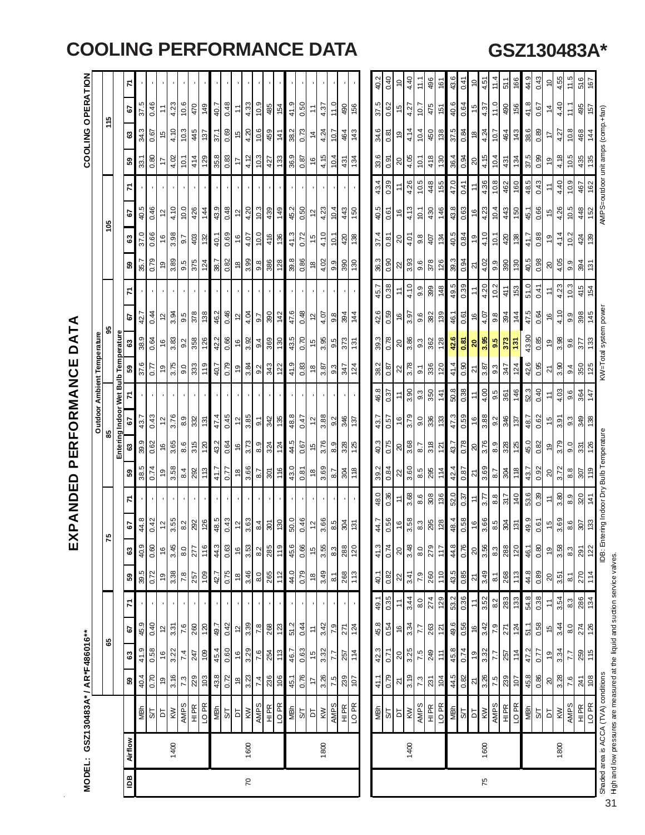|                | MODEL: GSZ130483A* / AR*F486016**                                                                                     |                         |                            |               |                  |                  |                   | ш                 | <b>XPANDED</b> |                       |                  | <b>PERFORMANCE</b>                 |                |                        |                                      | DATA                    |                       |                 |                  |                           |                        |                   | COOLING OPERATION                  |               |                |
|----------------|-----------------------------------------------------------------------------------------------------------------------|-------------------------|----------------------------|---------------|------------------|------------------|-------------------|-------------------|----------------|-----------------------|------------------|------------------------------------|----------------|------------------------|--------------------------------------|-------------------------|-----------------------|-----------------|------------------|---------------------------|------------------------|-------------------|------------------------------------|---------------|----------------|
|                |                                                                                                                       |                         |                            |               |                  |                  |                   |                   |                |                       |                  |                                    |                |                        | Outdoor Ambient Temperature          |                         |                       |                 |                  |                           |                        |                   |                                    |               |                |
|                |                                                                                                                       |                         |                            |               | 8                |                  |                   |                   | 75             |                       |                  | 83                                 |                |                        | Entering Indoor Wet Bulb Temperature |                         |                       |                 |                  | 105                       |                        |                   | 115                                |               |                |
| $\overline{B}$ | Airflow                                                                                                               |                         | ន                          | 63            | 5                | 71               |                   | 3                 | 5              | 7                     | ${\tt s}$        | ន                                  | 57             | Ł.                     | ෂ<br>္တ                              | e.                      | 71                    | ន               | င္မ              | 5                         | 7                      | 8                 | $\boldsymbol{\mathbb{S}}$          | 57            | 7              |
|                |                                                                                                                       | MBh                     | 40.4                       | 41.9          | 45.9             |                  | $\frac{59}{39.5}$ | 40.9              | 44.8           |                       |                  | တ့<br>$\overline{39}$              | 43.            |                        | 38.9<br>37.6                         | 42                      |                       | $\overline{35}$ | 37.0             | 40.5                      |                        | 33.1              | 34.3                               | 37.5          |                |
|                |                                                                                                                       | 5 <sub>0</sub>          | 0.70                       | 0.58          | 0.40             |                  | 0.72              | 0.60              | 0.42           |                       | 0.74             | 0.62                               | 0.43           |                        | 0.64<br>0.77                         |                         |                       | 0.79            | 0.66             | 0.46                      |                        |                   | 0.67                               | 0.46          |                |
|                |                                                                                                                       | $\overline{a}$          | $\overline{6}$             | 16            | $\tilde{c}$      |                  | <b>0</b>          | $\frac{6}{2}$     | 12             |                       | $\frac{6}{5}$    | $\frac{6}{5}$                      | $\frac{2}{3}$  |                        | $\overline{6}$<br>$\overline{9}$     | $rac{0.44}{12}$         |                       | é,              | $\frac{6}{5}$    | $\overline{\mathfrak{c}}$ |                        | $rac{60}{17}$     | $\frac{1}{2}$                      | $\tilde{z}$   |                |
|                | 1400                                                                                                                  | $\mathsf{K}\mathsf{W}$  | 3.16                       | 3.22          | 3.31             |                  | 3.38              | 3.45              | 3.55           |                       | 3.58             | 3.65                               | 3.76           |                        | 3.83<br>3.75                         | 3.94                    |                       | 3.89            | 3.98             | 4.10                      |                        | 4.02              | 4.10                               | 4.23          |                |
|                |                                                                                                                       | <b>AMPS</b>             | 7.3                        | 7.4           | 7.6              |                  | 7.8               | $\overline{8}$ .0 | 8.2            |                       | 8.4              | $\overline{8.6}$                   | $_{\rm 8.9}$   |                        | 9.2<br>9.0                           | 9.5                     |                       | 9.5             | 9.7              | 10.0                      |                        | 10.1              | 10.3                               | 10.6          |                |
|                |                                                                                                                       | HI PR                   | 229                        | 247           | 260              |                  | 257               | 277               | 292            |                       | 292              | 315                                | 332            |                        | 358<br>333                           | 378                     |                       | 375             | 403              | 426                       |                        | 414               | 445                                | 470           |                |
|                |                                                                                                                       | LO PR                   | 103                        | 109           | 120              |                  | $\frac{109}{2}$   | 116               | 126            |                       | 113              | 120                                | $\overline{3}$ |                        | 126<br>119                           | 138                     |                       | 124             | 132              | $\frac{14}{1}$            |                        | 129               | 137                                | 149           |                |
|                |                                                                                                                       | MBh                     | 43.8                       | 45.4          | 49.7             |                  | 42.7              | 44.3              | 48.5           |                       | 41.7             | 43.2                               | 47.4           |                        | 42.2<br>40.7                         | 46.2                    |                       | 38.7            | 40.1             | 43.9                      |                        | 35.8              | 37.1                               | 40.7          |                |
|                |                                                                                                                       | <b>ST</b>               | 0.72                       | 0.60          | 0.42             |                  | 0.75              | 0.63              | 0.43           |                       | 0.77             | 0.64                               | 0.45           |                        | 0.66<br>0.79                         | 0.46                    |                       | 0.82            | 0.69             | 0.48                      |                        | 0.83              | 0.69                               | 0.48          |                |
|                |                                                                                                                       | $\overline{\mathsf{D}}$ | $\overset{\circ}{\approx}$ | 16            | $\frac{1}{2}$    |                  | $\frac{8}{2}$     | $\frac{6}{2}$     | 12             |                       | $\frac{8}{10}$   | $\frac{6}{5}$                      | $\frac{2}{3}$  |                        | $\frac{6}{2}$<br>$\overline{9}$      | $\approx$               |                       | $\frac{8}{2}$   | $\frac{6}{5}$    | $\frac{1}{2}$             |                        | $\ddot{ }$        | $\frac{15}{2}$                     | $\tilde{t}$   |                |
| $\approx$      | 1600                                                                                                                  | KW                      | 3.23                       | 3.29          | 3.39             |                  | 3.46              | 3.53              | 3.63           |                       | 3.66             | 3.73                               | 3.85           |                        | 3.92<br>3.84                         | 4.04                    |                       | 3.99            | 4.07             | 4.20                      |                        | 4.12              | 4.20                               | 4.33          |                |
|                |                                                                                                                       | <b>AMPS</b>             | 7.4                        | 7.6           | 7.8              |                  | 8.0               | 8.2               | 8.4            |                       | 8.7              | 8.9                                | 9.1            |                        | 9.4<br>92                            | 9.7                     |                       | 9.8             | 10.0             | 10.3                      |                        | 10.3              | 10.6                               | 10.9          |                |
|                |                                                                                                                       | HI <sub>PR</sub>        | 236                        | 254           | 268              |                  | 265               | 285               | 301            |                       | 301              | 324                                | 342            |                        | 369<br>343                           | 390                     |                       | 386             | 416              | 439                       |                        | 427               | 459                                | 485           |                |
|                |                                                                                                                       | LO PR                   | 106                        | 113           | 123              |                  | 112               | 119               | 130            |                       | 116              | 124                                | 135            |                        | 130<br>122                           | 142                     |                       | 128             | 136              | 149                       |                        | 133               | 141                                | 154           |                |
|                |                                                                                                                       | MBh                     | 45.1                       | 46.7          | 51.2             |                  | 44.0              | 45.6              | 50.0           |                       | 43.0             | 44.5                               | 48.8           |                        | 43.5<br>41.9                         | 47.6                    |                       | 39.8            | 41.3             | 45.2                      |                        | 36.9              | 38.2                               | 41.9          |                |
|                |                                                                                                                       | S <sub>T</sub>          | 0.76                       | 0.63          | 0.44             |                  | 0.79              | 0.66              | 0.46           |                       | 0.81             | 0.67                               | 0.47           |                        | 0.70<br>0.83                         | 0.48                    |                       | 0.86            | 0.72             | 0.50                      |                        | 0.87              | 0.73                               | 0.50          |                |
|                |                                                                                                                       | $\overline{\mathbf{p}}$ | $\overline{17}$            | 15            | $\overline{z}$   |                  | $\frac{8}{2}$     | $\frac{5}{2}$     | 12             |                       | $\frac{8}{10}$   | $\frac{15}{2}$                     | $\frac{2}{3}$  |                        | $\frac{5}{2}$<br>$\frac{8}{2}$       | $\overline{2}$          |                       | $\frac{8}{2}$   | 15               | $\overline{c}$            |                        | $\frac{6}{2}$     | $\frac{4}{3}$                      | $\tilde{t}$   |                |
|                | 1800                                                                                                                  | KW                      | 3.26                       | 3.32          | 3.42             |                  | 3.49              | 3.55              | 3.66           |                       | 3.69             | 3.76                               | 3.88           |                        | 3.95<br>3.87                         | 4.07                    |                       | 4.02            | 4.10             | 4.23                      |                        | 4.15              | 4.24                               | 4.37          |                |
|                |                                                                                                                       | <b>AMPS</b>             | 7.5                        | <b>7.7</b>    | 7.9              |                  | $\overline{81}$   | 8.3               | 8.5            |                       | 8.7              | 8.9                                | 9.2            |                        | 9.5<br>9.3                           | 9.8                     |                       | 9.9             | 10.1             | 10.4                      |                        | 10.4              | 10.7                               | 11.0          |                |
|                |                                                                                                                       | <b>HIPR</b>             | 239                        | 257           | 271              |                  | 268               | 288               | 304            |                       |                  |                                    |                |                        |                                      | 394                     |                       | 390             | 420              | 443                       |                        |                   | 464                                | 490           |                |
|                |                                                                                                                       | <b>Address</b>          | 107                        | 114           | 124              |                  | 113               | 120               | 131            |                       | $\frac{304}{18}$ | 328                                | 346            |                        | $\frac{373}{131}$<br>$347$<br>$124$  | 144                     |                       | 130             | 138              | 150                       |                        | $rac{431}{134}$   | 143                                | 156           |                |
|                |                                                                                                                       |                         |                            |               |                  |                  |                   |                   |                |                       |                  |                                    |                |                        |                                      |                         |                       |                 |                  |                           |                        |                   |                                    |               |                |
|                |                                                                                                                       | MBh                     | 41.1                       | 42.3          | 45.8             | 49.1             | 40.1              | 41.3              | 44.7           | 48.0                  | 39.2             | 40.3                               | 43.7           | 46.8                   | 39.3<br>38.2                         | 42.6                    | 45.7                  | 36.3            | 37.4             | 40.5                      | 43.4                   | 33.6              | 34.6                               | 37.5          | 40.2           |
|                |                                                                                                                       | S <sub>T</sub>          | 0.79                       | 0.71          | 0.54             | 0.35             | 0.82              | 0.74              | 0.56           | 0.36                  | 0.84             | 0.75                               | 0.57           | 0.37                   | 0.78<br>0.87                         | 0.59                    | 0.38                  | 0.90            | 0.81             | 0.61                      | 0.39                   | 0.91              | 0.81                               | 0.62          | 0.40           |
|                |                                                                                                                       | $\overline{\mathsf{d}}$ | $\overline{\mathbf{z}}$    | 20            | $\frac{6}{5}$    | $\tilde{\tau}$   | 22                | $\infty$          | $\frac{6}{5}$  | $\tilde{\mathcal{L}}$ | 22               | $\overline{20}$                    | $\frac{6}{5}$  | $\overleftarrow{\tau}$ | $20\,$<br>$\approx$                  | $\overline{\mathsf{e}}$ | $\tilde{\mathcal{L}}$ | $\mathbf{z}$    | 20               | $\overline{\mathsf{e}}$   | $\overleftarrow{\tau}$ | $\mathsf{S}$      | 6,                                 | $\frac{1}{2}$ | $\tilde{c}$    |
|                | 1400                                                                                                                  | $\lesssim$              | 3.19                       | 3.25          | 3.34             | 3.44             | 3.41              | 3.48              | 3.58           | 3.68                  | 3.60             | 3.68                               | 3.79           | 3.90                   | 3.86<br>3.78                         | 3.97                    | 4.10                  | 3.93            | 4.01             | 4.13                      | 4.26                   | 4.05              | 4.14                               | 4.27          | 4.40           |
|                |                                                                                                                       | <b>AMPS</b>             | 7.3                        | 7.5           | 7.7              | $\overline{8.0}$ | 7.9               | $\overline{8.0}$  | 8.3            | 8.6                   | 8.5              | 8.7                                | 9.0            | 9.3                    | 9.3<br>$\overline{9}$                | 9.6                     | 9.9                   | 9.6             | $9.\overline{8}$ | 10.1                      | 10.5                   | 10.1              | 10.4                               | 10.7          | $11.1$         |
|                |                                                                                                                       | HIPR<br>                | 231                        | 249           | 263              | 274              | 260               | 279               | 295            | 308                   | 295              | 318                                | 336            | 350                    | 362<br>336                           | 382                     | 399                   | 378             | 407              | 430                       | 448                    | 418               | 450                                | 475           | 496            |
|                |                                                                                                                       | LO PR                   | 104                        | 111           | $\frac{121}{2}$  | 129              | 110               | 117               | 128            | 136                   | 114              | 121                                | 133            | 141                    | 128<br>120                           | 139                     | 148                   | 126             | 134              | $\frac{46}{5}$            | 155                    | 130               | 138                                | 151           | 161            |
|                |                                                                                                                       | MBh                     | 44.5                       | 45.8          | 49.6             | 53.2             | 43.5              | 44.8              | 48.4           | 52.0                  | 42.4             | 43.7                               | 47.3           | 50.8                   | 42.6<br>41.4                         | 46.1                    | 49.5                  | 39.3            | 40.5             | 43.8                      | 47.0                   | 36.4              | 37.5                               | 40.6          | 43.6           |
|                |                                                                                                                       | S <sub>T</sub>          | 0.82                       | 0.74          | 0.56             | 0.36             | 0.85              | 0.76              | 0.58           | 0.37                  | 0.87             | 0.78                               | 0.59           | 0.38                   | 0.81<br>0.90                         | 0.61                    | 0.39                  | 0.94            | 0.84             | 0.63                      | 0.41                   | 0.94              | 0.84                               | 0.64          | 0.41           |
|                |                                                                                                                       | $\Xi$                   | $\overline{z}$             | $\frac{0}{2}$ | $\frac{6}{5}$    | $\tilde{t}$      | ম                 | $\overline{a}$    | $\frac{6}{5}$  | Ξ                     | ត                | $\overline{20}$                    | 16             | Ξ                      | $\boldsymbol{z}$<br>2                | $\frac{6}{2}$           |                       | ম               | $\overline{0}$   | $\frac{6}{2}$             | Ξ                      | $\Omega$          | $\frac{8}{3}$                      | 15            | $\tilde{c}$    |
| 75             | 1600                                                                                                                  | KW                      | 3.26                       | 3.32          | 3.42             | 3.52             | 3.49              | 3.56              | 3.66           | 3.77                  | 3.69             | 3.76                               | 3.88           | 4.00                   | 3.95<br>3.87                         | 4.07                    | 4.20                  | 4.02            | 4.10             | 4.23                      | 4.36                   | 4.15              | 4.24                               | 4.37          | 4.51           |
|                |                                                                                                                       | <b>AMPS</b>             | 7.5                        | 7.7           | 7.9              | 8.2              | 8.1               | 8.3               | 8.5            | 8.8                   | 8.7              | 8.9                                | 9.2            | 9.5                    | 9.5<br>9.3                           | 9.8                     | 10.2                  | 9.9             | 10.1             | 10.4                      | 10.8                   | 10.4              | 10.7                               | 11.0          | 11.4           |
|                |                                                                                                                       | <b>HIPR</b>             | 239                        | 257           | 271              | 283              | 268               | 288               | 304            | 317                   | 304              | 328                                | 346            | 361                    | 373<br>347                           | 394                     | 411                   | 390             | 420              | 443                       | 462                    | 431               | 464                                | 490           | 511            |
|                |                                                                                                                       | LO <sub>PR</sub>        | 107                        | 114           | 124              | 133              | 113               | 120               | $\overline{3}$ | 140                   | 118              | 125                                | 137            | 146                    | 131<br>124                           | 144                     | 153                   | 130             | 138              | 150                       | 160                    | 134               | 143                                | 156           | 166            |
|                |                                                                                                                       | MBh                     | 45.8                       | 47.2          | 51.1             | 54.8             | 44.8              | 46.1              | 49.9           | 53.6                  | 43.7             | 45.0                               | 48.7           | 52.3                   | 43.90<br>42.6                        | 47.5                    | 51.0                  | 40.5            | 41.7             | 45.1                      | 48.5                   | $\overline{37.5}$ | 38.6                               | 41.8          | 44.9           |
|                |                                                                                                                       | <b>ST</b>               | 0.86                       | 0.77          | 0.58             | 0.38             | 0.89              | 0.80              | 0.61           | 0.39                  | 0.92             | 0.82                               | 0.62           | 0.40                   | 0.85<br>0.95                         | 0.64                    | 0.41                  | 0.98            | 0.88             | 0.66                      | 0.43                   | 0.99              | 0.89                               | 0.67          | 0.43           |
|                |                                                                                                                       | <b>PD</b>               | $\overline{a}$             | $\frac{0}{2}$ | $\frac{6}{2}$    | $\ddot{ }$       | $\Omega$          | $\overline{9}$    | 15             | Ξ                     | 20               | $\overline{9}$                     | $\frac{5}{3}$  | Ξ                      | $\overline{9}$<br>21                 | $\frac{6}{5}$           |                       | 20              | $\frac{0}{2}$    | $\frac{1}{2}$             | Ξ                      | $\frac{1}{2}$     | 17                                 | $\frac{4}{3}$ | $\overline{0}$ |
|                | 1800                                                                                                                  | KW                      | 3.28                       | 3.34          | $\frac{3.44}{4}$ | 3.54             | 3.51              | 3.58              | 3.69           | 3.80                  | 3.72             | 3.79                               | 3.91           | 4.03                   | 3.98<br>3.90                         | 4.10                    | 4.23                  | 4.05            | 4.14             | 4.26                      | 4.40                   | 4.18              | 4.27                               | 4.40          | 4.55           |
|                |                                                                                                                       | <b>AMPS</b>             | 7.6                        | 7.7           | $\overline{8.0}$ | 8.3              | $\overline{8}$    | $8.\overline{3}$  | 8.6            | 8.9                   | 8.8              | 9.0                                | 9.3            | 9.6                    | 9.6<br>9.4                           | 9.9                     | 10.3                  | 9.9             | 10.2             | 10.5                      | 10.9                   | 10.5              | 10.8                               | 11.1          | 11.5           |
|                |                                                                                                                       | HI <sub>PR</sub>        | 241                        | 259           | 274              | 286              | 270               | 291               | 307            | 320                   | 307              | 331                                | 349            | 364                    | 377<br>350                           | 398                     | 415                   | 394             | 424              | 448                       | 467                    | 435               | 468                                | 495           | 516            |
|                |                                                                                                                       | LO PR                   | 108                        | 115           | 126              | 134              | 114               | 122               | $133$          | 141                   | 119              | 126                                | 138            | 147                    | 133<br>125                           | 145                     | 154                   | 131             | 139              | 152                       | 162                    | 135               | 144                                | 157           | 167            |
| 31             | Shaded area is ACCA (TVA) conditions<br>High and low pressures are measured at the liquid and suction service valves. |                         |                            |               |                  |                  |                   | iDB: En           |                |                       |                  | tering Indoor Dry Bulb Temperature |                |                        |                                      | KW=Total system power   |                       |                 |                  |                           |                        |                   | AMPS=outdoor unit amps (comp.+fan) |               |                |
|                |                                                                                                                       |                         |                            |               |                  |                  |                   |                   |                |                       |                  |                                    |                |                        |                                      |                         |                       |                 |                  |                           |                        |                   |                                    |               |                |

# **COOLING PERFORMANCE DATA GSZ130483A\***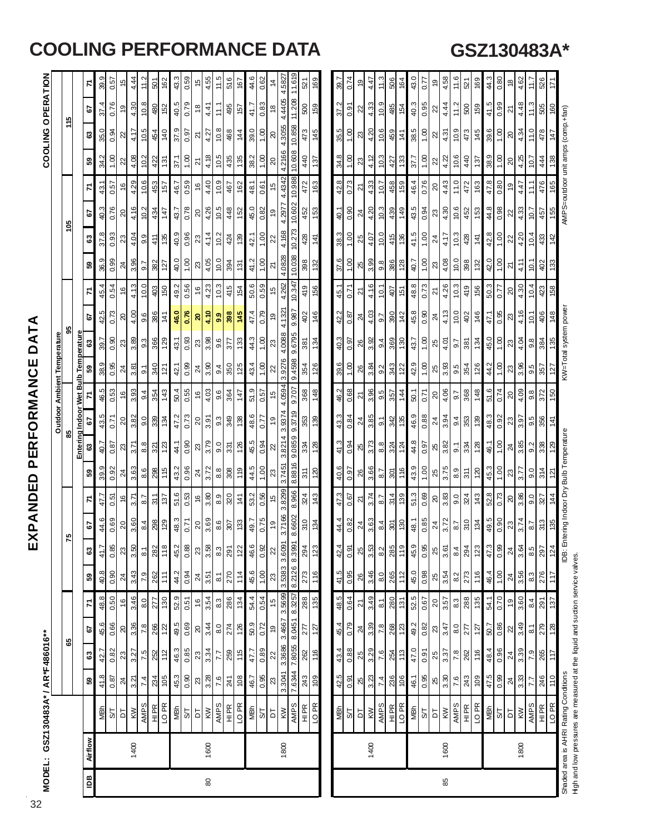| ٠ |
|---|
|   |
|   |
| ٦ |
|   |
|   |
|   |
|   |
|   |

|                    |         | MODEL: GSZ130483A* / AR*F486016**     |                          |                           |                |                  |                 |                  | EXPANDED          |                       |                      | <b>PERFORMANCE</b>  |                |                       |                                                                              | DATA            |                 |                         |                   |                 |                |                         | <b>COOLING OPERATION</b> |                |                                |
|--------------------|---------|---------------------------------------|--------------------------|---------------------------|----------------|------------------|-----------------|------------------|-------------------|-----------------------|----------------------|---------------------|----------------|-----------------------|------------------------------------------------------------------------------|-----------------|-----------------|-------------------------|-------------------|-----------------|----------------|-------------------------|--------------------------|----------------|--------------------------------|
|                    |         |                                       |                          |                           |                |                  |                 |                  |                   |                       |                      |                     |                |                       | Outdoor Ambient Temperature                                                  |                 |                 |                         |                   |                 |                |                         |                          |                |                                |
|                    |         |                                       |                          |                           | ಟಿ             |                  |                 | 75               |                   |                       |                      | 53                  |                |                       |                                                                              | န္တ             |                 |                         |                   | 105             |                |                         | 115                      |                |                                |
|                    |         |                                       |                          |                           |                |                  |                 |                  |                   |                       |                      |                     |                |                       | Entering Indoor Wet Bulb Temperature                                         |                 |                 |                         |                   |                 |                |                         |                          |                |                                |
| 쁴                  | Airflow |                                       | ဥ္ပ                      | $\boldsymbol{\mathsf{s}}$ | 5              | $\mathbf{r}$     | ္တ              | $\mathbbm{S}$    | 57                | Z                     | ္မ                   | ෂ                   | 5              |                       | ෂ<br>္တ                                                                      | 2               | 71              | ဥ္က                     | ូ                 | 5               | ᅐ              | ္တ                      | ଞ                        | 5              | Z                              |
|                    |         | MBN<br>5 <sub>1</sub>                 | 41.8<br>0.87             | 0.82<br>42.7              | 45.6<br>0.66   | 48.8<br>0.50     | 40.8<br>0.90    | 0.85<br>$41$ .   | 44.6              | 47.7<br>0.51          | 39.9<br>0.92         | 0.87<br><u>7 Ot</u> | 43.5<br>0.71   | 46.5<br>0.53          | 0.90<br>39.7<br>38.9<br>0.95                                                 | 42.5<br>0.73    | 45.4<br>0.54    | 36.9<br>0.99            | 37.8<br>0.93      | 40.3<br>0.76    | 43.1<br>0.57   | 34.2<br>1,00            | 35.0<br>0.94             | 0.76<br>37.4   | 39.9<br>0.57                   |
|                    |         | ЪT                                    | $\overline{24}$          | 23                        | $20\,$         | 16               | 24              | 23               | 20                | $\frac{6}{2}$         | 24                   | 23                  | 20             | $\frac{6}{2}$         | $23\,$<br>$\overline{24}$                                                    | $20\,$          | 16              | $\overline{24}$         | 23                | $\Omega$        | $\frac{6}{2}$  | $\approx$               | ଅ                        | $\frac{0}{2}$  | 15                             |
|                    | 1400    | KW                                    | 3.21                     | 3.27                      | 3.36           | 3.46             | 3.43            | 3.50             | 3.60              | 3.71                  | 3.63                 | 3.71                | 3.82           | 3.81<br>3.93          | 3.89                                                                         | 4.00            | 4.13            | 3.96                    | 4.04              | 4.16            | 4.29           | 4.08                    | 4.17                     | 4.30           | 4.44                           |
|                    |         | <b>AMPS</b>                           | $\overline{74}$          | 7.5                       | 7.8            | 8.0              | 7.9             | $8.1\,$          | 8.4               | 8.7                   | 8.6                  | 8.8                 | 9.0            | $\overline{5}$<br>9.4 | 9.3                                                                          | 9.6             | 10.0            | 9.7                     | 9.9               | 10.2            | 10.6           | 10.2                    | 10.5                     | 10.8           | 11.2                           |
|                    |         | HI <sub>PK</sub>                      | 234                      | 252                       | 266            | 277              | 262             | 282              | 298               | 311                   | 298                  | 321                 | 339            | 354                   | 366<br>340                                                                   | 386             | 403             | 382                     | 411               | 434             | 453            | 422                     | 454                      | 480            | 501                            |
|                    |         | LO PR                                 | 105                      | 112                       | 122            | 130              | $111$           | 118              | <b>29</b>         | 137                   | 115                  | 123                 | $\ddot{3}$     | 143                   | 129<br>121                                                                   | $\frac{41}{3}$  | 150             | 127                     | 135               | 147             | 157            | 131                     | 140                      | 152            | 162                            |
|                    |         | MBh                                   | 45.3                     | 46.3                      | 49.5           | 52.9             | 44.2            | 45.2             | 48.3              | 51.6                  | 43.2                 | $\frac{4}{1}$       | 47.2           | 50.4                  | 43.1<br>42.1                                                                 | 46.0            | 49.2            | 40.0                    | 40.9              | 43.7            | 46.7           | 37.1                    | 37.9                     | 40.5           | 43.3                           |
|                    |         | S <sub>T</sub>                        | 0.90                     | 0.85                      | 0.69           | 0.51             | 0.94            | $\frac{8}{3}$    | 0.71              | 0.53                  | 0.96                 | 0.90                | 0.73           | 0.55                  | 0.93<br>0.99                                                                 | 0.76            | 0.56            | 1.00                    | 0.96              | 0.78            | 0.59           | 1.00                    | 0.97                     | 0.79           | 0.59                           |
|                    |         | $\overline{\mathbf{p}}$               | $23\,$                   | 23                        | $\overline{c}$ | $\frac{6}{5}$    | $\overline{2}$  | 23               | 20                | $\frac{6}{5}$         | $\overline{24}$      | $23\,$              | 20             | $\frac{6}{5}$         | $23\,$<br>$\overline{24}$                                                    | g               | $\frac{6}{2}$   |                         | 23                | $\rm 20$        | $\frac{6}{5}$  | $\overline{\mathbf{z}}$ | $\overline{2}$           | $\frac{8}{3}$  | $\frac{1}{2}$                  |
| $\pmb{\mathbb{S}}$ | 1600    | $\lesssim$                            | 3.28                     | 3.34                      | 3.44           | 3.54             | 3.51            | 3.58             | 3.69              | 3.80                  | 3.72                 | 3.79                | 3.91           | 4.03                  | $\frac{3.98}{9.6}$<br>3.90                                                   | $rac{6}{9}$     | 4.23            | $\frac{23}{4.05}$       | 4.14              | 4.26            | 4.40           | 4.18                    | 4.27                     | 4.41           | 4.55                           |
|                    |         | AMP <sub>S</sub>                      | 7.6                      | 7.7                       | 8.0            | 8.3              | $\overline{8}$  | $8.\overline{3}$ | $8.6$             | 8.9                   | $\frac{8.8}{308}$    | 9.0                 | 9.3            | 9.6                   | 94                                                                           |                 | 10.3            |                         | 10.2              | 10.5            | 10.9           | 10.5                    | 10.8                     | $\frac{1}{11}$ | 11.5                           |
|                    |         | HI <sub>PR</sub>                      | 241                      | 259                       | 274            | 286              | 270             | 291              | 307               | 320                   |                      | 1931                | 676            | 364                   | $\frac{27}{3}$<br>350                                                        | 398             | 415             | 394                     | 424               | 877             | 467            | 435                     | 468                      | 495            | 516                            |
|                    |         | LO PR                                 | 108                      | 115                       | 126            | 134              | 114             | 122              | 133               | 141                   | 119                  | 126                 | 138            | 147                   | 133<br>125                                                                   | 145             | 154             | 131                     | 139               | 152             | 162            | 135                     | $\frac{144}{1}$          | 157            | 167                            |
|                    |         | MBh                                   | 46.7                     | 47.7                      | 50.9           | 54.4             | 45.6            | 46.6             | 49.7              | 53.2                  | 44.5                 | 45.5                | 48.6           | 51.9                  | 44.3<br>43.4                                                                 | 47.4            | 50.6            | 41.2                    | 42.1              | 45.0            | 48.1           | 38.2                    | 39.0                     | 41.7           | 44.6                           |
|                    |         | 5 <sub>7</sub>                        | 0.95                     | 0.89                      | 0.72           | 0.54             | 1.00            | 0.92             | 0.75              | 0.56                  | 1.00                 | 0.94                | 77             | 0.57                  | 1.00<br>1.00                                                                 | 0.79            | 0.59            | 1.00                    | 1.00              | 0.82            | 0.61           | 1.00                    | 1.00                     | 0.83           | 0.62                           |
|                    |         | $\overline{\mathsf{D}}$               | $\mathbb{Z}^3$           | 22                        | $\overline{6}$ | $\frac{6}{3}$    | 23              | $\approx$        | $\frac{6}{7}$     | $\frac{15}{2}$        | 23                   | $\approx$           | $\frac{6}{7}$  | 15                    | $23\,$<br>$_{22}$                                                            | $\overline{6}$  | $\frac{6}{1}$   | $\overline{\mathbf{z}}$ | $22\,$            | $\overline{6}$  | 45             | $\overline{20}$         | $\mathsf{S}$             | $\frac{8}{1}$  | $\frac{4}{4}$                  |
|                    | 1800    | <b>KW</b>                             | 3.3041                   | 3.3686                    | 3.4667         | 3.5699           |                 | 3.5383 3.6091    | 3.7166            | 3.8299                | 3.7451               | 3.8214              | 3.9374         | 3.9276<br>4.0594      | 4.0088                                                                       | 4.1321          | 4.262           | 4.0828                  | 4.168             | $-297$          | 4.4342         | 4.2166                  | 4.3055                   | 4.4405         | 4.5827                         |
|                    |         | <b>AMPS</b>                           | 7.6344                   | 7.8055                    | 8.0451         | 8.3257           |                 | 8.2126 8.3991    | 8.6602            | 8.966                 | 8.8816               | 9.0859              | 9.3719         | 9.4598<br>9.707       | 9.6795                                                                       | 9.987           | 10.347          | 10.038                  | 10.273            | 10.602          | 10.988         | 10.608                  | 10.858                   | 11.208         | 11.619                         |
|                    |         | HI PR                                 | 243                      | 262                       | 277            | 288              | 273             | 294              | 310               | 324                   | 311                  | 334                 | 353            | 368                   | 381<br>354                                                                   | 402             | 419             | 398                     | 428               | 452             | 472            | 440                     | 473                      | 500            | 521                            |
|                    |         | LO PR                                 | 109                      | 116                       | 127            | 135              | 116             | 123              | 134               | 143                   | 120                  | 128                 | 139            | 148                   | 134<br>126                                                                   | 146             | 156             | 132                     | 141               | 153             | 163            | 137                     | 145                      | 159            | 169                            |
|                    |         |                                       |                          |                           |                |                  |                 |                  |                   |                       |                      |                     |                |                       |                                                                              |                 |                 |                         |                   |                 |                |                         |                          |                |                                |
|                    |         | <b>MBh</b>                            | 42.5                     | 43.4                      | 45.4           | 48.5             | 41.5            | 42.4             | 44.4              | 47.3                  | 40.6                 | 41.3                | 43.3           | 46.2                  | 40.3<br>39.6                                                                 | 42.2            | 45.1            | 37.6                    | 38.3              | 40.1            | 42.8           | 34.8                    | 35.5                     | 37.2           | 39.7                           |
|                    |         | SГ                                    | 0.91                     | 0.88                      | 0.79           | 0.64             | 0.95            | $0.9^{\circ}$    |                   | 0.67                  | 0.97                 | 0.94                | 0.84           | 1.00<br>0.68          | 0.97                                                                         | 0.87            | 77              | 1.00                    | 00.1              | 0.90            | 0.73           | 1.00                    | $\frac{8}{1}$            | 0.91           | 0.74                           |
|                    |         | ЪT                                    | 25                       | 25                        | $\approx$      | $\overline{21}$  | $\frac{8}{2}$   | 25               | $^{24}$           | 21                    | 26                   | 25                  | 24             | 21                    | $26$<br>26                                                                   | $\overline{24}$ | $\overline{21}$ |                         |                   | $\overline{24}$ | ম              | $\frac{23}{4.12}$       |                          | $^{22}$        | $\overline{6}$                 |
|                    | 1400    | $\lessgtr$                            | 3.23                     | 3.29                      | 3.39           | 3.49             | 3.46            | 3.5              | 3.63              | 3.74                  | 3.66                 | 3.73                | 3.85           | 3.84<br>3.96          | 3.92                                                                         | 4.03            | 4.16            | $\frac{25}{3.99}$       | $\frac{25}{4.07}$ | 4.20            | 4.33           |                         | $\frac{23}{4.20}$        | 4.33           | 4.47                           |
|                    |         | <b>AMPS</b>                           | 7.4                      | 7.6                       | 7.8            | $\overline{8.1}$ | 8.0             | 8.2              | 8.4               | 8.7                   | 8.7                  | 8.8                 | $\overline{9}$ | 9.5                   | 9.4<br>92                                                                    | 9.7             | 10.1            | 9.8                     | 10.0              | 10.3            | 10.7           | 10.3                    | 10.6                     | 10.9           | 11.3                           |
|                    |         | HIPR<br>                              | 236                      | 254                       | 268            | 280              | 265             | 285              | 301               | 314                   | 301                  | 324                 | 342            | 357                   | 369<br>343                                                                   | 390             | 407             | 386                     | 415               | 439             | 458            | 427                     | 459                      | 485            | 506                            |
|                    |         | LO PR                                 | 106                      | $113$                     | 123            | 131              | 112             | $\frac{9}{10}$   | $\overline{30}$   | 139                   | 116                  | 124                 |                | 144                   | 122                                                                          | 142             | 151             | 128                     | 136               | 149             | 159            |                         | 141                      | 154            | 164                            |
|                    |         | MBh                                   | 46.1                     | 47.0                      | 49.2           | 52.5             | 45.0            | 45.9             | 48.1              | 51.3                  | 43.9                 | 44.8                | 46.9           | 50.1                  | 43.7<br>42.9                                                                 | 45.8            | 48.8            | 40.7                    | 41.5              | 43.5            | 46.4           | 37.7                    | 38.5                     | 40.3           | 43.0                           |
|                    |         | 5 <sub>7</sub>                        | 0.95                     | 0.91                      | 0.82           | 0.67             | 0.98            | 0.95             | 0.85              | 0.69                  | 1.00                 | 0.97                | 0.88           | 0.71                  | 1,00<br>1,00                                                                 | 0.90            | 0.73            | 1.00                    | 1.00              | 0.94            | 0.76           | 1,00                    | 1.00                     | 0.95           | 0.77                           |
|                    |         | $\overline{\mathsf{D}}$               | 25                       | 25                        | $23$           | 20               | 25              | 25               | 24                | $20$                  | 25                   | 25                  | 24             | $\Omega$              | $rac{25}{4.01}$<br>$\begin{array}{c c} \hline 25 & 0 \\ 0.3 & 0 \end{array}$ | $\overline{24}$ | $\overline{2}$  | $23\,$                  | 24                | $23\,$          | $\Omega$       | $\frac{22}{4.22}$       | $\approx$                | 22             | $\frac{6}{5}$                  |
| 85                 | 1600    | $\lesssim$                            | 3.30                     | 3.37                      | 3.47           | 3.57             | 3.54            | 3.61             | 3.72              | 3.83                  | 3.75                 | 3.82                | 3.94           | 4.06                  |                                                                              | 4.13            | 4.26            | 4.08                    | 4.17              | 4.30            | 4.43           |                         | 4.31                     | 4.44           | 4.58                           |
|                    |         | <b>AMPS</b>                           | 7.6                      | 7.8                       | 8.0            | 8.3              | $8.2\,$         | 8.4              | $\frac{8.7}{310}$ | 9.0                   | $\frac{8.9}{311}$    | 9.1                 | $rac{4}{353}$  | 9.7                   | $\frac{9.7}{381}$<br>9.54                                                    | 10.0            | 10.3            | $\frac{10.0}{398}$      | 10.3              | 10.6            | 11.0           | 10.6                    | 10.9                     | 11.2           | 11.6                           |
|                    |         | LO PR<br>HI PR                        | 109<br>243               | 116<br>262                | 277<br>127     | 288<br>135       | 116<br>273      | 294<br>123       | 134               | $\frac{43}{5}$<br>324 | 120                  | 128<br>334          | 661            | 368<br>148            | 134<br>126                                                                   | 146<br>402      | 419<br>156      | 132                     | 428<br>141        | 452             | 163<br>472     | 440<br>137              | 473<br>145               | 159<br>500     | 169<br>521                     |
|                    |         | MBh                                   | 47.5                     | 48.4                      | 50.7           | 54.1             | 46.4            | 47.3             | 49.5              |                       | 45.3                 |                     | 48.3           | 51.6                  | 45.0<br>44.2                                                                 |                 | 50.3            | 42.0                    | 42.8              | 44.8            |                | 38.9                    | 39.6                     |                |                                |
|                    |         | S <sub>T</sub>                        | 0.99                     | 0.96                      | 0.86           | 0.70             | 1.00            | 0.95             | 0.90              | 52.8<br>0.73          |                      | 46.1                | 0.92           | 0.74                  | 1.00                                                                         | 0.95<br>47.1    | 0.77            | 1.00                    |                   | 0.98            | 0.80<br>47.8   | 1.00                    | 1.00                     | 41.5<br>0.99   | 44.3<br>0.80                   |
|                    |         | $\overline{\mathsf{D}}$               | $\overline{\mathcal{A}}$ | $^{24}$                   | $\approx$      | $\frac{6}{3}$    | $\overline{24}$ | $\overline{a}$   | 23                | $\overline{c}$        | $\frac{100}{23}$     | 1.00<br>Z4          | 23             | ୡ                     | $\mathbb{Z}^3$<br>1.00<br>23                                                 | $23\,$          | 20              | 2                       | 1.00<br>22        | $\approx$       | $\mathfrak{S}$ | $20\,$                  | $\infty$                 | $\overline{a}$ | $\overset{\circ}{\phantom{a}}$ |
|                    | 1800    | $\lesssim$                            | 3.33                     | 3.39                      | 3.49           | 3.60             | 3.56            | 3.64             | 3.74              | 3.86                  | 3.77                 | 3.85                | 3.97           | 4.09                  | 4.04<br>3.96                                                                 | 4.16            | 4.30            | 4.11                    | 420               | 4.33            | 4.47           | 4.25                    | 4.34                     | 4.48           | 4.62                           |
|                    |         | AMPS                                  | 77                       | 7.9                       | $\approx 1$    | 8.4              | 8.3             | 8.5              | 8.7               | 0.6                   | 9.0                  | 9.2                 | 9.5            | 9.8                   | 9.8<br>9.5                                                                   | $\overline{10}$ | 10.4            | 10.1                    | 10.4              | 70.7            | Ë              | 70.7                    | 11.0                     | 11.3           | $\frac{7}{11}$                 |
|                    |         | $rac{R}{\pm}$                         | 246                      | 265                       | 279            | 291              | 276             | 297              | 313               | 327                   | 314                  | 338                 | 356            | 372                   | 384<br>357                                                                   | 406             |                 | 402                     | 433               | 457             | 476            | 44                      | 478                      | 505            |                                |
|                    |         | LO PR                                 | 110                      | 117                       | $\frac{28}{2}$ | 137              | 117             | 124              |                   |                       |                      | 129                 | $\frac{41}{3}$ | 150                   |                                                                              |                 | 43              |                         | 142               |                 | 165            | 138                     |                          |                | $rac{526}{171}$                |
|                    |         | Shaded area is AHRI Rating Conditions |                          |                           |                |                  |                 | jos:             |                   | ring Indoor Dry       | <b>Bulb Temperat</b> |                     |                |                       | $W = Tot$                                                                    |                 |                 |                         |                   | SHNN            | outdo          |                         |                          |                |                                |

**COOLING PERFORMANCE DATA GSZ130483A\***

High and low pressures are measured at the liquid and suction service valves.

|                 |                 |                  |       |                |                     |      |                | 85                   |                  |                 |                 |           |               |                          |          |                    |       |                | Shaded area is AHRI Rating Conditions    |
|-----------------|-----------------|------------------|-------|----------------|---------------------|------|----------------|----------------------|------------------|-----------------|-----------------|-----------|---------------|--------------------------|----------|--------------------|-------|----------------|------------------------------------------|
|                 | 1400            |                  |       |                |                     |      |                | 1600                 |                  |                 |                 |           |               |                          | 1800     |                    |       |                |                                          |
| ъ               | ≹               | <b>AMPS</b>      | HI PR | LO PR          | MBh                 | 5    | Б              | $\geqslant$          | <b>AMPS</b>      | HI PR           | LO PR           | MBh       | 5<br>ज        | Б                        | ≹        | <b>AMPS</b>        | HI PR | LO PR          |                                          |
| 25              | 3.23            | $\overline{14}$  | 236   | 106            | 46.1                | 0.95 | 25             | 3.30                 | 7.6              | 243             | 109             | 47.5      | 0.99          | $\overline{24}$          | 3.33     | 7.7                | 246   | 110            |                                          |
| 25              | 3.29            | 7.6              | 254   | 113            | 47.0                | 0.91 | 25             | 3.37                 | 7.8              | 262             | 116             | 48.4      | 0.96          | $^{24}$                  | 339      | 7.9                | 265   | 117            |                                          |
| $\overline{2}$  | 3.39            | 7.8              | 268   | 123            | 49.2                | 0.82 | 23             | 3.47                 | $\frac{0}{8}$    | 277             | 127             | 50.7      | 0.86          | 22                       | 3.49     | $\overline{\circ}$ | 279   | 128            |                                          |
| 2               | 3.49            | $\overline{8}$   | 280   | 131            | 52.5                | 0.67 | $\overline{0}$ | 3.57                 | 83               | 288             | 135             | 54.1      | 0.70          | $\frac{0}{2}$            | 3.60     | $\frac{4}{3}$      | 291   | 137            |                                          |
| 26              | 3.46            | 8.0              | 265   | 112            | 45.0                | 0.98 | 25             | 3.54                 | $\approx$        | 273             | 116             | 46.4      | $\frac{8}{1}$ | $\overline{\mathcal{E}}$ | 3.56     | 8.3                | 276   | 117            |                                          |
| 25              | 3.53            | $\frac{2}{8}$    | 285   | 119            | თ<br>42             | 0.95 | 25             | 3.61                 | 8.4              | 294             | 123             | 47.3      | 0.99          | $\overline{24}$          | 8<br>ო   | <u>ي</u><br>∞      | 297   | $\frac{24}{3}$ |                                          |
| 24              | 3.63            | $\frac{4}{3}$    | 50T   | $\frac{30}{2}$ | 48.1                | 0.85 | $^{24}$        | 3.72                 | N<br>œ           | 310             | 134             | rö<br>49. | 0.90          | 23                       | 3.74     | N<br>ထံ            | 313   | 135            | DR: Entering Indoor Dry Bulh Temperature |
| 21              | 3.74            | $\overline{8.7}$ | 314   | 139            | 51.3                | 0.69 | 20             | 3.83                 | Q<br>თ           | 324             | 143             | œ<br>52   | 0.73          | 20                       | 3.86     | Q<br>တ             | 327   | 144            |                                          |
| 26              | 3.66            | r<br>్ద          | 30T   | 116            | တ<br>43.            | 00   | 25             | 3.75                 | თ<br>ထံ          | $\frac{311}{2}$ | 120             | ω<br>45.  | 00            | 23                       | 3.77     | O<br>တဲ            | 314   | 121            |                                          |
| 25              | 73<br>.<br>က    | ∞<br>∞           | 324   | $\approx$      | 44.8                | 0.97 | 25             | 3.82                 | $\overline{9}$ . | 334             | $\overline{28}$ | 46.1      | $\frac{8}{1}$ | $\overline{24}$          | 89<br>က် | 2<br>တ             | 338   | ଅ              |                                          |
| 24              | 3.85            | 5.               | 342   | 135            | 46.9                | 0.88 | 24             | 3.94                 | 9.4              | 353             | 139             | 48.3      | 0.92          | 23                       | 50<br>ω, | 5<br>တ             | 356   | $\frac{41}{3}$ |                                          |
| 21              | 3.96            | 9.5              | 357   | 144            | 50.1                | 0.71 | ສ              | 4.06                 | $\overline{9.7}$ | 368             | 148             | ڢ<br>51   | 0.74          | 8                        | 4.09     | ∞<br>တ             | 372   | 50             |                                          |
| 26              | 8<br>ຕ່         | $\frac{2}{9}$    | 343   | 122            | თ<br>42.            | S.   | 25             | S <sub>3</sub><br>ကံ | 9.5              | 354             | <b>26</b>       | 44.2      | S.            | 23                       | 96<br>က် | rú<br>တ            | 357   | 127            |                                          |
| 26              | 3.92            | 9.4              | 369   | 8              | 43.7                | 1.00 | 25             | 4.01                 | $-6.7$           | 381             | z               | 45.0      | $\frac{8}{1}$ | 23                       | 4.04     | $\infty$<br>တ      | 384   | 35             | MM-Total cyctam                          |
| $\overline{24}$ | 4.03            | $-6.7$           | 390   | 142            | ∞<br>45.            | 0.90 | 24             | 4.13                 | 10.0             | 402             | 146             | 47.1      | 0.95          | 23                       | 4.16     | 10.1               | 406   | 148            | nover                                    |
| 21              | 4.16            | ā                | 407   | 151            | ∞<br>$\frac{48}{3}$ | 0.73 | 21             | 4.26                 | 10.3             | 419             | 56              | 50.3      | 77            | 20                       | 4.30     | 4<br>ö             | 423   | 58             |                                          |
| 25              | 3.99            | œ<br>တ           | 386   | 128            | r<br>40.7           | 1.00 | 23             | 4.08                 | 10.0             | 398             | 132             | 42.0      | $\frac{8}{1}$ | ಸ                        | 4.11     | 10.1               | 402   | 133            |                                          |
| 25              | 4.07            | 10.0             | 415   | 136            | rö.<br>41.          | 001  | 24             | 4.17                 | 10.3             | 428             | 141             | œ<br>42.  | $\frac{0}{2}$ | 22                       | 420      | 10.4               | 433   | 142            |                                          |
| 24              | 4.20            | 10.3             | 439   | 49             | 43.5                | 0.94 | 23             | 4.30                 | 10.6             | 452             | S3              | 44.8      | 0.98          | 22                       | 4.33     | 10.7               | 457   | 55             | AMPS-outdoor unit amps                   |
| 21              | ಜ<br>$\ddot{ }$ | 10.7             | 458   | 159            | 46.4                | 0.76 | ສ              | 4.43                 | 11.0             | 472             | 163             | 47.8      | 0.80          | ō,                       | 4.47     | 111                | 476   | 165            |                                          |
| 23              | 4.12            | 10.3             | 427   | 133            | Ņ<br>37.            | 1.00 | ଧି             | $\Omega$<br>4        | 10.6             | 440             | $\overline{37}$ | တု<br>88  | S             | ສ                        | 25       | 10.7               | 44    | 38             |                                          |
| 23              | <u>୍</u><br>4   | 10.6             | 459   | 141            | ю<br>ళ్ల            | S.   | ನ              | 4.31                 | 10.9             | 473             | 145             | 6<br>ళ్ల  | S             | 8                        | ¥,<br>4  | 11.0               | 478   | 147            | <b>Comp</b>                              |
| 22              | 4.33            | 10.9             | 485   | 154            | 40.3                | 95   | 22             | 4.44                 | 11.2             | 500             | 59              | 41.5      | 99            | 21                       | 4.48     | 11.3               | 505   | 8              | $+$ fan)                                 |

32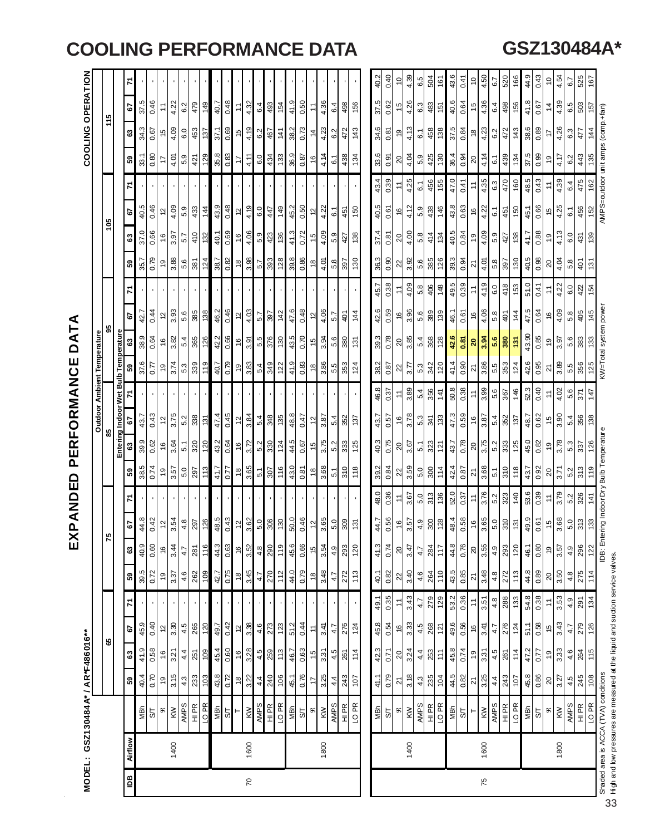|           |         | MODEL: GSZ130484A* / AR*F486016**                                            |                   |                       |                       |                           |                                  |                  | EXPANDED                           |                        |                                   |                   | PERFORMANCE                          |                        |                         | <b>DAT</b>          | ⋖                 |                                  |                                 |                   |                                    |                    | COOLING OPERATION |                   |                      |
|-----------|---------|------------------------------------------------------------------------------|-------------------|-----------------------|-----------------------|---------------------------|----------------------------------|------------------|------------------------------------|------------------------|-----------------------------------|-------------------|--------------------------------------|------------------------|-------------------------|---------------------|-------------------|----------------------------------|---------------------------------|-------------------|------------------------------------|--------------------|-------------------|-------------------|----------------------|
|           |         |                                                                              |                   |                       |                       |                           |                                  |                  |                                    |                        |                                   |                   | Outdoor Ambient Temperature          |                        |                         |                     |                   |                                  |                                 |                   |                                    |                    |                   |                   |                      |
|           |         |                                                                              |                   |                       | 8                     |                           |                                  |                  | 5                                  |                        |                                   | 85                |                                      |                        |                         | $\mathbf{5}$        |                   |                                  |                                 | 105               |                                    |                    |                   | 115               |                      |
|           |         |                                                                              |                   |                       |                       |                           |                                  |                  |                                    |                        |                                   |                   | Entering Indoor Wet Bulb Temperature |                        |                         |                     |                   |                                  |                                 |                   |                                    |                    |                   |                   |                      |
| 의         | Airflow |                                                                              | ${\bf 59}$        | $\boldsymbol{63}$     | 57                    | $\mathbf{r}$              | ${\tt s}$                        | $\mathbbm{S}$    | 67                                 | ч                      | 59                                | ෂ                 | 5                                    | π                      | ន                       | ෂ                   | <b>P</b>          | $\mathbf{z}$                     | $\mathbb{S}^3$<br>59            | 2                 | ч                                  | $\pmb{\mathbb{S}}$ | $\mathbbm{S}$     | 67                | 지                    |
|           |         | МBh<br>$\mathsf{S}\mathsf{\Gamma}$                                           | 40.4<br>0.70      | 41.9<br>0.58          | 45.9<br>0.40          |                           | 39.5<br>0.72                     | 40.9<br>0.60     | 44.8<br>0.42                       |                        | LO<br>0.74<br>38                  | 39.9<br>0.62      | 0.43<br>43.7                         |                        | 0.77                    | 38.9<br>0.64        | 0.44<br>42.7      | $\overline{35}$                  | 0.66<br>37.0<br>0.79            | 40.5<br>0.46      |                                    | 0.80<br>33.1       | 34.3<br>0.67      | 37.5<br>0.46      |                      |
|           |         | $\approx$                                                                    | $\frac{1}{2}$     | $\frac{6}{5}$         | $\frac{2}{3}$         |                           | é,                               | $\frac{6}{5}$    | 12                                 |                        | $\mathrel{\mathsf{e}}$            | 9                 | $\frac{2}{3}$                        |                        | $\overline{9}$          | ې                   | $\tilde{c}$       |                                  | $\frac{6}{5}$<br>$\overline{9}$ | $12\,$            |                                    | 17                 | 45                | $\frac{1}{2}$     |                      |
|           | 1400    | KW                                                                           | 3.15              | 3.21                  | 3.30                  |                           | 3.37                             | $\frac{3.44}{4}$ | 3.54                               |                        | 3.57                              | 3.64              | 3.75                                 |                        | 3.74                    | 3.82                | 3.93              |                                  | 3.97<br>3.88                    | 4.09              |                                    | 4.01               | 4.09              | 4.22              |                      |
|           |         | AMPS                                                                         | 4.3               | 4.4                   | 4.5                   |                           | 4.6                              | 4.7              | 4.8                                |                        | 5.0                               | 5.1               | 5.2                                  |                        | 53                      | 5.4                 | 5.6               |                                  | 5.7<br>5.6                      | 5.9               |                                    | 5.9                | 6.0               | 6.2               |                      |
|           |         | HI <sub>PR</sub>                                                             | 233               | 251                   | 265                   |                           | 262                              | 281              |                                    |                        |                                   |                   |                                      |                        | 339<br>119              | 365                 | 385               | 381                              | 410                             |                   |                                    | 421                | 453               | 479               |                      |
|           |         | $\frac{10}{2}$                                                               | 103               | 109                   | 120                   |                           | 109                              | 116              | 297                                |                        | 297                               | 320               | 338                                  |                        |                         | 126                 | 138               | 124                              | 132                             | 433               |                                    | 129                | 137               | 941               |                      |
|           |         | MBh                                                                          | 43.8              | 45.4                  | 49.7                  |                           | 42.7                             | 44.3             | 48.5                               |                        | 41.7                              | 432               | 47.4                                 |                        | 40.7                    | 42.2                | 46.2              | 38.7                             | 40.1                            | 43.9              |                                    | 35.8               | 37.1              | 40.7              |                      |
|           |         | $\overline{5}$                                                               | 0.72              | 0.60                  | 0.42                  |                           | 0.75                             | 0.63             | 0.43                               |                        | 0.77                              | 0.64              | 0.45                                 |                        | 0.79                    | 0.66                | 0.46              | 0.82                             | 0.69                            | 0.48              |                                    | 0.83               | 0.69              | 0.48              |                      |
|           |         |                                                                              | $\frac{8}{3}$     | 16                    | $\frac{1}{2}$         |                           | $\frac{8}{3}$                    | $\frac{6}{2}$    | 12                                 |                        | 18                                | $\frac{6}{2}$     | 12                                   |                        | $\overline{9}$          | $\frac{6}{2}$       | $\overline{c}$    | $\frac{8}{2}$                    | $\frac{6}{5}$                   | $\overline{c}$    |                                    |                    | 15                | $\overline{1}$    |                      |
| $\approx$ | 1600    | $\tilde{\leq}$                                                               | 3.22              | 3.28                  | 3.38                  |                           | 3.45                             | 3.52             | 3.62                               |                        | 3.65                              | 3.72              | 3.84                                 |                        | 3.83                    | 3.91                | 4.03              | 3.98                             | 4.06                            | 4.19              |                                    | 4.11               | 4.19              | 4.32              |                      |
|           |         | <b>AMPS</b>                                                                  | 4.4               | 4.5                   | 4.6                   |                           | 4.7                              | $4.\overline{8}$ | 5.0                                |                        | 51                                | 5.2               | 5.4                                  |                        | 5.4                     | 5.5                 | 5.7               | 5.7                              | 5.9                             | 6.0               |                                    | 6.0                | 6.2               | 6.4               |                      |
|           |         | HI <sub>PR</sub>                                                             | 240               | 259                   | 273                   |                           | 270                              | 290              | 306                                |                        | 307                               | 330               | 348                                  |                        | 349                     | 376                 | 397               | 393                              | 423                             | 447               |                                    | 434                | 467               | 493               |                      |
|           |         | LO <sub>PR</sub>                                                             | 106               | $113$                 | 123                   |                           | 112                              | 119              | 130                                |                        | 116                               | 124               | 135                                  |                        | 122                     | 130                 | $142$             |                                  | 136<br>128                      | 149               |                                    | 133                | 141               | 154               |                      |
|           |         | MBh                                                                          | 45.1              | 46.7                  | 51.2                  |                           | 44.0                             | 45.6             | 50.0                               |                        | 43.0                              | 44.5              | 48.8                                 |                        | 41.9                    | 43.5                | 47.6              |                                  | 41.3<br>39.8                    | 45.2              |                                    | 36.9               | 38.2              | 41.9              |                      |
|           |         | <b>ST</b>                                                                    | 0.76              | 0.63                  | 0.44                  |                           | 0.79                             | 0.66             | 0.46                               |                        | 0.81                              | 0.67              | 0.47                                 |                        | 0.83                    | 0.70                | 0.48              | 0.86                             | 0.72                            | 0.50              |                                    | 0.87               | 0.73              | 0.50              |                      |
|           |         | $\approx$                                                                    | $\overline{1}$    | 15                    | $\overline{1}$        |                           | $\frac{8}{2}$                    | 15               | 12                                 |                        |                                   | $\frac{15}{2}$    | 12                                   |                        |                         | $\frac{15}{2}$      | $\overline{c}$    |                                  | 15<br>$\frac{8}{18}$            | $\approx$         |                                    | $\frac{6}{2}$      | $\overline{4}$    | $\overline{1}$    |                      |
|           | 1800    | KW                                                                           | 3.25              | 3.31                  | 3.41                  |                           | 3.48                             | 3.54             | 3.65                               |                        | $\frac{18}{3.68}$                 | 3.75              | 3.87                                 |                        | $\frac{18}{3.86}$       | 3.94                | 4.06              | 4.01                             | 4.09                            | 4.22              |                                    | 4.14               | 4.23              | 4.36              |                      |
|           |         | <b>AMPS</b>                                                                  | 4.4               | 4.5                   | 4.7                   |                           | 4.7                              | 4.9              |                                    |                        | $\overline{51}$                   | 5.2               | 5.4                                  |                        |                         | 5.6                 | 5.7               | 5.8                              | 5.9                             | 61                |                                    | 6.1                | 6.2               | 6.4               |                      |
|           |         | HI PR                                                                        | 243               | 261                   | 276                   |                           | 272                              | 293              | $\frac{6}{300}$                    |                        | 310                               | 333               | 352                                  |                        | $\frac{55}{353}$        | 380                 | 401               | 397                              | 427                             | 451               |                                    | 438                | 472               | 498               |                      |
|           |         | LO PR                                                                        | 107               | 114                   | 124                   |                           | 113                              | 120              | $\frac{5}{2}$                      |                        | 118                               | 125               | 137                                  |                        | 124                     | $\overline{3}$      | 144               |                                  | 138<br>130                      | 150               |                                    | 134                | 143               | 156               |                      |
|           |         |                                                                              |                   |                       |                       |                           |                                  |                  |                                    |                        |                                   |                   |                                      |                        |                         |                     |                   |                                  |                                 |                   |                                    |                    |                   |                   |                      |
|           |         | MBh                                                                          | 41.1              | 42.3                  | 45.8                  | 49.1                      | 40.1                             | 41.3             | 44.7                               | 48.0                   | 39.2                              | 40.3              | 43.7                                 | 46.8                   | 38.2                    | 39.3                | 42.6              | 36.3<br>45.7                     | 37.4                            | 40.5              | 43.4                               | 33.6               | 34.6              | 37.5              | 40.2                 |
|           |         | $5\overline{1}$                                                              | 0.79              | 0.71                  | 0.54                  | 0.35                      | 0.82                             | 0.74             | 0.56                               | 0.36                   | 0.84                              | 0.75              | 0.57                                 | 0.37                   | 0.87                    | 0.78                | 0.59              | 0.90<br>0.38                     | 0.81                            | 0.61              | 0.39                               | 0.91               | 0.87              | 0.62              | 0.40                 |
|           |         | $\approx$                                                                    | $\overline{21}$   | 20                    | $\frac{6}{2}$         | Ξ                         | $\mathbf{z}$                     | $\overline{20}$  | $\frac{6}{2}$                      |                        | 22                                | $\overline{20}$   | $\frac{6}{5}$                        |                        | $\approx$               | $\Omega$            | $\frac{6}{2}$     | 22                               | 20                              | $\frac{6}{2}$     | Ξ                                  | $\overline{20}$    | $\overline{6}$    | 15                | $\overline{0}$       |
|           | 1400    | KW                                                                           | 3.18              | 3.24                  | 3.33                  | 3.43                      | 3.40                             | 3.47             | 3.57                               | 3.67                   | 3.59                              | 3.67              | 3.78                                 | 3.89                   | 3.77                    | 3.85                | 3.96              | 3.92<br>4.09                     | 4.00                            | 4.12              | 425                                | 4.04               | 4.13              | 4.26              | 4.39                 |
|           |         | <b>AMPS</b>                                                                  | 4.3               | 4.4                   | 4.5                   | 4.7                       | 4.6                              | 4.7              | 4.9                                | 5.0                    | 5.0                               | 5.1               | 5.3                                  | 5.4                    | 53                      | 5.4                 | 5.6               | 5.6<br>5.8                       | 5.8                             | 5.9               | 6.1                                | 5.9                | 6.1               | 6.3               | 6.5                  |
|           |         | HP<br>S<br>S<br>R<br>S<br>R                                                  | $\frac{235}{104}$ | 253                   | 268                   | 279                       | 264                              | 284              | $\frac{300}{128}$                  | 313                    | $rac{300}{14}$                    | $323$<br>$121$    | $\frac{4}{3}$                        | $rac{356}{141}$        | $\frac{342}{120}$       | 368                 | $\frac{389}{139}$ | 385<br>$rac{406}{148}$           | 414                             | 438               | 456                                | $\frac{425}{130}$  | 458               | $\frac{483}{151}$ | 504<br>161           |
|           |         |                                                                              |                   | 111                   | 121                   | 129                       | 110                              | 117              |                                    | 136                    |                                   |                   |                                      |                        |                         |                     |                   |                                  |                                 |                   |                                    |                    | 138               |                   |                      |
|           |         | МВh                                                                          | 44.5              | 45.8                  | 49.6                  | 53.2                      | 43.5                             | 44.8             | $\left \frac{4}{9}\right $<br>0.58 | 52.0                   | $\frac{42.4}{0.87}$               | 43.7              | 47.3                                 | 50.8                   | $\frac{41.4}{0.90}$     | $\frac{42.6}{0.81}$ | 46.1              | 49.5<br>0.39                     | 40.5<br>39.3                    | 43.8              | 47.0                               | 36.4               | 37.5              | 40.6              | 43.6                 |
|           |         | $\mathsf{S}\mathsf{T}$<br>H                                                  | 0.82              | 0.74<br>$\frac{0}{2}$ | 0.56<br>$\frac{6}{5}$ | 0.36<br>$\tilde{t}$       | 0.85<br>$\overline{\mathcal{N}}$ | 0.76<br>$\infty$ |                                    | $\tilde{t}$            |                                   | 0.78              | 0.59                                 | 0.38<br>$\div$         |                         |                     | $\overline{0.61}$ | 0.94<br>$\approx$<br>$\tilde{t}$ | 0.84                            | 0.63              | 0.41<br>$\tilde{t}$                | 0.94<br>$\Omega$   | 0.84              | 0.64              | 0.41                 |
| 75        | 1600    | $\tilde{\leq}$                                                               | $\frac{21}{3.25}$ | 3.31                  | 3.41                  | 3.51                      | 3.48                             | 3.55             | $\frac{16}{3.65}$                  | 3.76                   | $\frac{21}{3.68}$                 | $\frac{20}{3.75}$ | $\frac{16}{3.87}$                    | 3.99                   | $\frac{21}{3.86}$       | $\frac{20}{3.94}$   | $\frac{16}{4.06}$ | 4.01<br>4.19                     | $\frac{19}{4.09}$               | $\frac{16}{4.22}$ | 4.35                               | 4.14               | $\frac{18}{4.23}$ | $\frac{15}{4.36}$ | $\frac{10}{4.50}$    |
|           |         | <b>AMPS</b>                                                                  | 4.4               | 4.5                   | 4.7                   | 4.8                       | 4.8                              | 4.9              |                                    | 5 <sup>2</sup>         | $\overline{5}$                    | 5.2               | 5.4                                  | 5.6                    | 5.5                     | 5.6                 | 5.8               | 5.8<br>6.0                       | 5.9                             | 6.1               | 6.3                                | $\tilde{6}$        | 6.2               | 6.4               | 6.7                  |
|           |         | HI PR                                                                        | 243               | 261                   | 276                   | 288                       | 272                              | 293              | $rac{5}{370}$                      | 323                    | 310                               | <b>SSS</b>        | 352                                  | 367                    | 353                     | 380                 | 401               | 397<br>418                       | 427                             | 451               | 470                                | 439                | 472               | 498               | 520                  |
|           |         | LO <sub>PR</sub>                                                             | 107               | 114                   | 124                   | 133                       | 113                              | 120              | $\overline{5}$                     | 140                    | $118$                             | 125               |                                      | 146                    | 124                     | 131                 | 144               | $153$                            | 138<br>130                      | 150               | 160                                | 134                | 143               | 156               | 166                  |
|           |         | MBh                                                                          | 45.8              | 47.2                  | 51.1                  | 54.8                      | 44.8                             | 46.1             | 49.9                               | 53.6                   | 43.7                              | 45.0              | $137$<br>48.7                        | 52.3                   | 42.6                    | 43.90               | 47.5              | 51.0                             | 41.7<br>40.5                    | 45.1              | 48.5                               | 375                | 38.6              | 41.8              | 44.9                 |
|           |         | 5 <sub>7</sub>                                                               | 0.86              | 0.77                  | 0.58                  | 0.38                      | 0.89                             | 0.80             | 0.61                               | 0.39                   | 0.92                              | 0.82              | 0.62                                 | 0.40                   | 0.95                    | 0.85                | 0.64              | 0.98<br>0.41                     | 0.88                            | 0.66              | 0.43                               | 0.99               | 0.89              | 0.67              | 0.43                 |
|           |         | $\approx$                                                                    | $\overline{20}$   | $\frac{0}{1}$         | $\frac{1}{2}$         | $\widetilde{\mathcal{L}}$ | $\mathsf{S}$                     | $\overline{9}$   | $\frac{6}{1}$                      | $\overleftarrow{\tau}$ | 20                                | $\overline{9}$    | 15                                   | $\overleftarrow{\tau}$ | $\overline{\mathbf{z}}$ | $\overline{9}$      | $\frac{6}{5}$     | $\overline{z}$                   | $\frac{1}{2}$<br>20             | $\frac{6}{2}$     | Ξ                                  | $\overline{9}$     | $\ddot{\tau}$     | $\frac{4}{3}$     | $\tilde{\mathsf{C}}$ |
|           | 1800    | KW                                                                           | 3.27              | 3.33                  | 3.43                  | 3.53                      | 3.50                             | 3.57             | 3.68                               | 3.79                   | 3.71                              | 3.78              | 3.90                                 | 4.02                   | 3.89                    | 3.97                | 4.09              | 4.04<br>4.22                     | 4.13                            | 4.25              | 4.39                               | 4.17               | 4.26              | 4.39              | 4.54                 |
|           |         | <b>AMPS</b>                                                                  | 4.5               | 4.6                   | 4.7                   | 4.9                       | 4.8                              | 4.9              | 5.0                                | 52                     | 5.2                               | 5.3               | 5.4                                  | 5.6                    | 5.5                     | 5.6                 | 5.8               | 5.8<br>6.0                       | 6.0                             | 6.1               | 6.4                                | 6.2                | $6.\overline{3}$  | 6.5               | 67                   |
|           |         | HI <sub>PR</sub>                                                             | 245               | 264                   | 279                   | 291                       | 275                              | 296              | 313                                | 326                    | 313                               | 337               | 356                                  | 371                    | 356                     | 383                 | 405               | 401<br>422                       | 431                             | 456               | 475                                | 443                | 477               | 503               | 525                  |
|           |         | LO <sub>PR</sub>                                                             | 108               | 115                   | 126                   | 134                       | 114                              | 122              | $\overline{3}$                     |                        |                                   | 126               | 138                                  | 147                    |                         |                     |                   | $\frac{13}{1}$<br>154            | 139                             | 152               | 162                                |                    | 144               | 157               | 167                  |
|           |         | Shaded area is ACCA (TVA) conditions                                         |                   |                       |                       |                           |                                  | IDB: Ent         |                                    |                        | ering Indoor Dry Bulb Temperature |                   |                                      |                        | W=Total system power    |                     |                   |                                  |                                 |                   | AMPS=outdoor unit amps (comp.+fan) |                    |                   |                   |                      |
|           |         | High and low pressures are measured at the liquid and sudion service valves. |                   |                       |                       |                           |                                  |                  |                                    |                        |                                   |                   |                                      |                        |                         |                     |                   |                                  |                                 |                   |                                    |                    |                   |                   |                      |

**COOLING PERFORMANCE DATA GSZ130484A\***

흦 33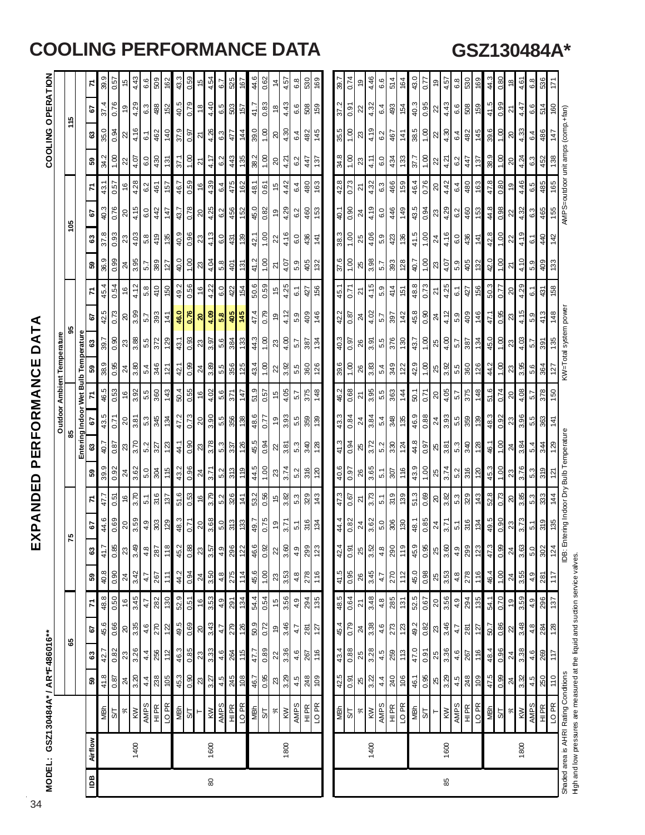| <b>COOLING PERFORMANCE DATA</b> |  |
|---------------------------------|--|
|                                 |  |

**COOLING PERFORMANCE DATA GSZ130484A\***

| <b>COOLING OPERATION</b><br>39.9<br>4.46<br>43.0<br>44.6<br>44.3<br>0.80<br>4.43<br>509<br>43.3<br>0.59<br>0.62<br>0.74<br>514<br>530<br>536<br>162<br>4.54<br>525<br>530<br>169<br>39.7<br>164<br>0.77<br>4.57<br>169<br>0.57<br>4.57<br>4.61<br>6.6<br>167<br>6.8<br>$6.\overline{6}$<br>6.8<br>6.8<br>171<br>$\frac{6}{3}$<br>$\frac{6}{3}$<br>$\frac{6}{5}$<br><b>0</b><br>6.7<br>$\overline{4}$<br>$\overset{\circ}{\mathbf{c}}$<br>$\mathbf{z}$<br>0.76<br>4.29<br>0.79<br>4.43<br>40.3<br>37.4<br>0.83<br>37.2<br>4.32<br>0.95<br>41.5<br>0.99<br>40.5<br>4.40<br>4.43<br>41.7<br>0.91<br>488<br>503<br>6.6<br>508<br>159<br>4.47<br>160<br>$\frac{0}{2}$<br>6.3<br>152<br>6.5<br>6.6<br>508<br>159<br>6.4<br>493<br>154<br>6.6<br>514<br>$\frac{8}{3}$<br>157<br>$\frac{8}{1}$<br>22<br>22<br>67<br>$\overline{z}$<br>$\frac{115}{11}$<br>35.5<br>38.5<br>35.0<br>4.16<br>39.0<br>$rac{0}{1}$<br>4.19<br>39.6<br>0.94<br>37.9<br>4.26<br>4.30<br>1.00<br>1.00<br>$\frac{22}{4.30}$<br>1.00<br>140<br>0.97<br>145<br>145<br>4.33<br>486<br>462<br>144<br>482<br>482<br>477<br>467<br>141<br>147<br>62<br>64<br>6.3<br>6.4<br>$\overline{6}$ .<br>6.4<br>$23\,$<br>$\approx$<br>$\boldsymbol{\mathbb{S}}$<br>$\approx$<br>$\Omega$<br>$\overline{21}$<br>34.2<br>1.00<br>1.00<br>$\frac{8}{1}$<br>34.8<br>38.9<br>430<br>4.17<br>38.2<br>1.00<br>$\frac{23}{4.11}$<br>1.00<br>1.00<br>4.24<br>138<br>4.07<br>443<br>135<br>4.21<br><b>ST.7</b><br>6.0<br>37.1<br>6.2<br>6.0<br>$\frac{34}{13}$<br>$22$<br>4.21<br>6.2<br>447<br>6.3<br>452<br>131<br>6.2<br>447<br>137<br>137<br>$\overline{20}$<br>8<br>22<br>20<br>$\overline{z}$<br>42.8<br>0.59<br>4.39<br>0.73<br>4.32<br>466<br>46.4<br>0.76<br>4.42<br>480<br>47.8<br>0.80<br>4.46<br>485<br>165<br>4.28<br>475<br>162<br>4.42<br>480<br>163<br>159<br>163<br>0.61<br>0.57<br>48.1<br>43.1<br>461<br>157<br>6.5<br>6.2<br>46.7<br>6.4<br>6.4<br>6.3<br>6.4<br>9<br>$\frac{6}{5}$<br>$20\,$<br>$\overline{6}$<br>$\frac{15}{2}$<br>7<br>$\overline{z}$<br>0.76<br>43.5<br>40.3<br>4.15<br>0.78<br>4.19<br>44.8<br>0.98<br>4.25<br>45.0<br>0.82<br>4.29<br>40.1<br>0.90<br>0.94<br>23<br>4.29<br>446<br>149<br>153<br>4.32<br>465<br>155<br>442<br>456<br>152<br>460<br>6.0<br>460<br>$6.0\,$<br>147<br>43.7<br>6.2<br>6.2<br>6.2<br>6.3<br>$\overline{9}$<br>$\overline{\mathcal{Z}}$<br>$\mathbb{S}^2$<br>$\overline{20}$<br>$\approx$<br>67<br>105<br>38.3<br>41.5<br>0.93<br>0.96<br>4.13<br>1.00<br>4.16<br>1.00<br>$\begin{array}{ c c } \hline 25 \\ 4.06 \end{array}$<br>1.00<br>4.16<br>42.8<br>1.00<br>4.03<br>40.9<br>4.19<br>419<br>42.1<br>136<br>436<br>5.8<br>135<br>6.0<br>139<br>436<br>5.9<br>423<br>6.0<br>40<br>142<br>23<br>431<br>6.0<br>141<br>24<br>$\frac{41}{1}$<br>$\overline{6}$ .<br>ន<br>23<br>22<br>22<br>37.6<br>0.99<br>1.00<br>1.00<br>1.00<br>တ္<br>3.95<br>40.0<br>41.2<br>1.00<br>$\frac{25}{3.98}$<br>1.00<br>42.0<br>389<br>4.04<br>405<br>393<br>40.7<br>405<br>4.10<br>409<br>133<br>4.07<br>132<br>128<br>$\frac{23}{4.07}$<br>132<br>127<br>401<br>5.9<br>5.8<br>$\overline{3}$<br>5.9<br>5.9<br>5.7<br>23<br>5.7<br>59<br>শ্ৰ<br>21<br>21<br>86.<br>48.8<br>0.56<br>4.15<br>50.3<br>50.6<br>0.59<br>4.25<br>45.1<br>0.73<br>4.25<br>0.54<br>4.12<br>49.2<br>4.22<br>4.29<br>410<br>0.71<br>0.77<br>5.8<br>150<br>6.0<br>156<br>414<br>156<br>158<br>422<br>154<br>5.9<br>16<br>427<br>$\frac{6}{1}$<br>15<br>20<br>431<br>427<br>151<br>$\tilde{6}$<br>6.1<br>6.1<br>$\overline{2}$<br>$\overline{2}$ 1<br>$\mathbf{r}$<br>45.<br>0.76<br>0.79<br>45.8<br>42.5<br>0.73<br>46.0<br>4.09<br>405<br>47.4<br>4.12<br>42.2<br>0.90<br>148<br>3.99<br>145<br>4.12<br>409<br>146<br>0.95<br>4.15<br>413<br>393<br>409<br>146<br>$\frac{24}{4.02}$<br>141<br>0.87<br>142<br>47.1<br>5.8<br>5.9<br>397<br>5.9<br>5.9<br>$\boldsymbol{\mathcal{S}}$<br>5.7<br>20<br>$\overline{9}$<br>5.7<br>$\approx$<br>23<br>5<br>8<br><b>Bulb Temperature</b><br>Outdoor Ambient Temperature<br>40.3<br>0.93<br>44.3<br>1.00<br>45.0<br>0.90<br>3.88<br>4.00<br>43.7<br>1.00<br>1.00<br>129<br>376<br>$25$<br>4.00<br>4.03<br>ౘ<br>372<br>133<br>0.97<br><b>06</b><br>59.7<br>5.5<br>3.97<br>5.6<br>384<br>134<br>3.91<br>5.5<br>387<br>134<br>43.1<br>387<br>5.7<br>391<br>23<br>5.7<br>$26\,$<br>23<br>23<br>5.7<br>ෂ<br>$\boldsymbol{\mathcal{Z}}$<br>39.6<br>$\frac{42.9}{1.00}$<br>38.9<br>0.95<br>0.99<br>43.4<br>1.00<br>3.80<br>3.92<br>1.00<br>3.83<br>44.2<br>1.00<br>3.89<br>356<br>126<br>349<br>25<br>3.92<br>3.95<br>346<br>125<br>360<br>360<br>126<br>121<br>42.1<br>122<br>5.5<br>364<br>5.5<br>5.5<br>$26\,$<br>54<br>5.6<br>5.4<br>23<br>8<br>$\overline{a}$<br>$\overline{24}$<br>$\approx$<br>127<br>46.2<br>46.5<br>0.55<br>0.68<br>3.95<br>4.05<br>0.53<br>143<br>51.9<br>4.05<br>50.1<br>51.6<br>3.92<br>360<br>50.4<br>4.02<br>0.57<br>375<br>148<br>363<br>375<br>148<br>0.74<br>4.08<br>378<br>5.5<br>5.6<br>144<br>0.71<br>150<br>147<br>5.5<br>371<br>5.7<br>5.7<br>Wet I<br>$\frac{6}{5}$<br>$\frac{6}{2}$<br>5.7<br>$\frac{1}{2}$<br>$\approx$<br>$\approx$<br>$\approx$<br>Ł.<br>Entering Indoor<br>0.73<br><b>06.6</b><br>43.3<br>46.9<br>43.5<br>47.2<br>48.6<br>3.93<br>0.84<br>3.84<br>88.0<br>$\frac{24}{3.93}$<br>48.3<br>3.96<br>0.71<br>3.81<br>0.77<br>0.92<br>345<br>134<br>356<br>138<br>359<br>$\frac{348}{2}$<br>135<br>359<br>139<br>363<br>5.3<br>5.5<br>5.5<br>139<br>5.4<br>5.5<br>5.5<br>24<br>23<br>$\frac{41}{3}$<br>20<br>20<br>$\frac{9}{2}$<br>5<br>58<br>44.8<br>0.90<br>41.3<br>3.70<br>3.78<br>45.5<br>0.94<br>$\frac{25}{3.72}$<br>1.00<br>126<br>0.94<br>330<br>0.97<br>5.3<br>340<br>129<br>40.7<br>0.87<br>5.2<br>123<br>5.3<br>3.81<br>340<br>128<br>5.2<br>124<br>$\begin{array}{ c c } \hline 25 \\ \hline 3.81 \\ \hline \end{array}$<br>128<br>3.84<br>5.4<br>344<br>5.3<br>46.1<br>$23\,$<br>327<br>44.1<br>337<br>$\approx$<br>23<br>ន<br>22<br>0.96<br>1.00<br>3.74<br>40.6<br>0.92<br>3.62<br>44.5<br>$\frac{26}{3.65}$<br>$\frac{43.9}{1.00}$<br>1.00<br>3.76<br>3.74<br>45.3<br>43.2<br>0.97<br>316<br>316<br>5.0<br>304<br>115<br>3.71<br>313<br>119<br>120<br>116<br>5.2<br>120<br>5.3<br>319<br>5.2<br>5.2<br>5.1<br>307<br>25<br>24<br>23<br>121<br>59<br>$^{24}$<br>23<br>39<br>$\frac{47.3}{0.67}$<br>51.3<br>52.8<br>51.6<br>0.53<br>3.79<br>53.2<br>0.56<br>3.73<br>0.69<br>0.73<br>3.70<br>316<br>3.82<br>329<br>143<br>319<br>329<br>326<br>139<br>3.82<br>143<br>3.85<br>333<br>0.51<br>137<br>141<br>5.3<br>144<br>5.3<br>5.3<br>5.1<br>5.2<br>$\overline{20}$<br>$\frac{6}{5}$<br>$\frac{6}{5}$<br>$\frac{1}{2}$<br>5.1<br>$\overline{20}$<br>$\overline{z}$<br>ч<br>44.4<br>$\frac{44.6}{0.69}$<br>3.59<br>3.68<br>0.75<br>0.82<br>$\frac{24}{3.62}$<br>$\frac{48.1}{0.85}$<br>49.5<br>0.90<br>48.3<br>0.71<br>3.71<br>3.73<br>303<br>49.7<br>$5.0\,$<br>306<br>$\frac{24}{3.71}$<br>4.9<br>5.0<br>313<br>316<br>130<br>316<br>319<br>135<br>20<br>129<br>133<br>134<br>134<br>23<br>20<br>19<br>$\overline{5}$<br>5.1<br>5<br>5.1<br>٣<br>0.88<br>46.6<br>42.4<br>45.9<br>0.95<br>0.85<br>3.49<br>118<br>45.2<br>0.92<br>3.60<br>3.52<br>119<br>3.60<br>47.3<br>0.99<br>3.63<br>124<br>41.7<br>296<br>299<br>0.91<br>290<br>299<br>123<br>122<br>123<br>302<br>287<br>3.57<br>4.8<br>4.9<br>4.8<br>4.9<br>5.0<br>4.9<br>$\mathbbmss{3}$<br>25<br>25<br>23<br>$\boldsymbol{\mathcal{Z}}$<br>$\approx$<br>$\mathbf{z}$<br>41.5<br>45.0<br>40.8<br>0.90<br>45.6<br>3.45<br>3.42<br>0.94<br>3.50<br>1.00<br>3.53<br>0.95<br>0.98<br>3.53<br>1.00<br>44.2<br>116<br>270<br>278<br>116<br>46.4<br>3.55<br>275<br>114<br>278<br>112<br>4.8<br>4.8<br>4.8<br>4.9<br>267<br>111<br>26<br>4.7<br>25<br>281<br>${\tt S3}$<br>4.7<br>$\approx$<br>117<br>$\overline{a}$<br>$\overline{a}$<br>$\boldsymbol{\mathcal{Z}}$<br>48.5<br>48.8<br>0.50<br>52.5<br>3.45<br>130<br>52.9<br>54.4<br>3.56<br>294<br>0.64<br>3.48<br>3.56<br>135<br>0.70<br>296<br>282<br>0.51<br>3.53<br>134<br>0.54<br>285<br>0.67<br>294<br>3.59<br>131<br>4.9<br>137<br>$\frac{6}{5}$<br>4.9<br>291<br>4.9<br>4.8<br>4.9<br>54.1<br>$\frac{6}{5}$<br>$\frac{9}{2}$<br>4.7<br>15<br>20<br>$\overline{\mathsf{S}}$<br>71<br>45.6<br>0.66<br>45.4<br>3.35<br>0.69<br>3.43<br>50.9<br>3.46<br>3.38<br>49.2<br>3.46<br>270<br>49.5<br>0.72<br>0.79<br>273<br>0.82<br>0.86<br>3.48<br>4.6<br>122<br>279<br>126<br>4.6<br>123<br>284<br>281<br>50.7<br>4.8<br>128<br>281<br>127<br>4.7<br>4.7<br>127<br>$\mathbf{z}$<br>4.7<br>$\infty$<br>$\approx$<br>$\overline{24}$<br><b>e</b><br>$\approx$<br>5<br>8<br>3.26<br>3.33<br>3.36<br>43.4<br>47.0<br>0.82<br>0.85<br>0.89<br>0.88<br>3.28<br>3.36<br>0.96<br>112<br>46.3<br>259<br>0.91<br>48.4<br>3.38<br>256<br>264<br>115<br>47.7<br>116<br>4.5<br>113<br>116<br>269<br>42.7<br>4.6<br>4.6<br>4.6<br>4.4<br>4.6<br>25<br>25<br>267<br>117<br>63<br>23<br>23<br>267<br>$\overline{24}$<br>22<br>42.5<br>41.8<br>3.20<br>0.90<br>0.95<br>3.29<br>0.95<br>3.29<br>47.5<br>0.99<br>45.3<br>$\frac{25}{3.22}$<br>46.1<br>248<br>3.32<br>238<br>105<br>245<br>248<br>109<br>240<br>106<br>109<br>250<br>110<br>0.87<br>108<br>0.91<br>3.27<br>4.5<br>4.5<br>46.7<br>4.5<br>4.4<br>4.5<br>4.4<br>$\overline{24}$<br>25<br>$\approx$<br>8<br>23<br>23<br>LO PR<br>LO <sub>PR</sub><br><b>AMPS</b><br>LO PR<br><b>AMPS</b><br>LO PR<br><b>AMPS</b><br>LO <sub>PR</sub><br><b>AMPS</b><br>AMPS<br>LO PR<br><b>AMPS</b><br>HI PR<br>$\frac{R}{L}$<br>HI PR<br>HI <sub>PR</sub><br>$H1$ PR<br>HI PR<br>MBh<br>MBh<br>MBh<br>MBh<br><b>MBh</b><br>MBh<br>$\lessgtr$<br>$\tilde{\mathsf{S}}$<br>$\lesssim$<br>$\tilde{\leq}$<br><b>KW</b><br>K<br><b>ST</b><br>$\lessapprox$<br>$\approx$<br>K<br><b>ST</b><br>$\approx$<br>S <sub>T</sub><br><b>ST</b><br>S <sub>T</sub><br>5 <sub>0</sub><br>H<br>Airflow<br>1400<br>1600<br>1800<br>1400<br>1600<br>1800<br>80<br>$85\,$ | $(comp.+fan)$<br>MPS=outdoor unit amps<br>power<br>ring Indoor Dry Bulb Temperature<br>DB: Ente<br>High and low pressures are measured at the liquid and sudtion service valves.<br>MODEL: GSZ130484A* / AR*F486016**<br>Shaded area is AHRI Rating Conditions<br>ådl |  |  |  |  | 区<br>山 | ൨ | <b>ANDED</b> |  | <b>PERFORMANCE</b> |  | $\overline{\mathbf{z}}$<br>$\dot{\mathsf{d}}$ | ⋖ |  |  |  |  |
|-------------------------------------------------------------------------------------------------------------------------------------------------------------------------------------------------------------------------------------------------------------------------------------------------------------------------------------------------------------------------------------------------------------------------------------------------------------------------------------------------------------------------------------------------------------------------------------------------------------------------------------------------------------------------------------------------------------------------------------------------------------------------------------------------------------------------------------------------------------------------------------------------------------------------------------------------------------------------------------------------------------------------------------------------------------------------------------------------------------------------------------------------------------------------------------------------------------------------------------------------------------------------------------------------------------------------------------------------------------------------------------------------------------------------------------------------------------------------------------------------------------------------------------------------------------------------------------------------------------------------------------------------------------------------------------------------------------------------------------------------------------------------------------------------------------------------------------------------------------------------------------------------------------------------------------------------------------------------------------------------------------------------------------------------------------------------------------------------------------------------------------------------------------------------------------------------------------------------------------------------------------------------------------------------------------------------------------------------------------------------------------------------------------------------------------------------------------------------------------------------------------------------------------------------------------------------------------------------------------------------------------------------------------------------------------------------------------------------------------------------------------------------------------------------------------------------------------------------------------------------------------------------------------------------------------------------------------------------------------------------------------------------------------------------------------------------------------------------------------------------------------------------------------------------------------------------------------------------------------------------------------------------------------------------------------------------------------------------------------------------------------------------------------------------------------------------------------------------------------------------------------------------------------------------------------------------------------------------------------------------------------------------------------------------------------------------------------------------------------------------------------------------------------------------------------------------------------------------------------------------------------------------------------------------------------------------------------------------------------------------------------------------------------------------------------------------------------------------------------------------------------------------------------------------------------------------------------------------------------------------------------------------------------------------------------------------------------------------------------------------------------------------------------------------------------------------------------------------------------------------------------------------------------------------------------------------------------------------------------------------------------------------------------------------------------------------------------------------------------------------------------------------------------------------------------------------------------------------------------------------------------------------------------------------------------------------------------------------------------------------------------------------------------------------------------------------------------------------------------------------------------------------------------------------------------------------------------------------------------------------------------------------------------------------------------------------------------------------------------------------------------------------------------------------------------------------------------------------------------------------------------------------------------------------------------------------------------------------------------------------------------------------------------------------------------------------------------------------------------------------------------------------------------------------------------------------------------------------------------------------------------------------------------------------------------------------------------------------------------------------------------------------------------------------------------------------------------------------------------------------------------------------------------------------------------------------------------------------------------------------------------------------------------------------------------------------------------------------------------------------------------------------------------------------------------------------------------------------------------------------------------------------------------------------------------------------------------------------------------------------------------------------------------------------------------------------------------------------------------------------------------------------------------------------------------------------------------------------------------------------------------------------------------------------------------------------------------------------------------------------------------------------------------------------------------------------------------------------------------------------------------------------------------------------------------------------------------------------------------------------------------------------------------------------------------------------------------------------------------------------------------------------------------------------------------------------------------------------------------------------------------------------------------------------------------------------------------------------------------------------------------------------------------------------------------------------------------------------------------------------------------------------------------------------------------------------------------------------------------------------------------------------------------------------------------------------------------------------------------------------------------------------------------------------------------------------------------------------------------------------------------------------------------------------------------------------------------------------------------------------------------------------------------------------------------------------------------------------------------------------------------------------------------------------------------------------------------------------------------------------------------------------------------------------------------------------------------------------------------------------------------------------------------------------------------------------------------------------------------------------------------------------------------------------------------------------------------------------------------------------------------------------------------------------------------------------------------------------------------------------------------------------------------------------------------------------------------------------------------------------------------------------------------------------------------------------------------------------------------------------------------------------------------------------------------------------------------------------------------------------------------------------------------------------------------------------------------------------------------------------------------------------------------------------------------------------------------------------------------------------------------------------------------------------------------------------------------------------------------------------------------------------------------------------------------------------------------------------|-----------------------------------------------------------------------------------------------------------------------------------------------------------------------------------------------------------------------------------------------------------------------|--|--|--|--|--------|---|--------------|--|--------------------|--|-----------------------------------------------|---|--|--|--|--|
|                                                                                                                                                                                                                                                                                                                                                                                                                                                                                                                                                                                                                                                                                                                                                                                                                                                                                                                                                                                                                                                                                                                                                                                                                                                                                                                                                                                                                                                                                                                                                                                                                                                                                                                                                                                                                                                                                                                                                                                                                                                                                                                                                                                                                                                                                                                                                                                                                                                                                                                                                                                                                                                                                                                                                                                                                                                                                                                                                                                                                                                                                                                                                                                                                                                                                                                                                                                                                                                                                                                                                                                                                                                                                                                                                                                                                                                                                                                                                                                                                                                                                                                                                                                                                                                                                                                                                                                                                                                                                                                                                                                                                                                                                                                                                                                                                                                                                                                                                                                                                                                                                                                                                                                                                                                                                                                                                                                                                                                                                                                                                                                                                                                                                                                                                                                                                                                                                                                                                                                                                                                                                                                                                                                                                                                                                                                                                                                                                                                                                                                                                                                                                                                                                                                                                                                                                                                                                                                                                                                                                                                                                                                                                                                                                                                                                                                                                                                                                                                                                                                                                                                                                                                                                                                                                                                                                                                                                                                                                                                                                                                                                                                                                                                                                                                                                                                                                                                                                                                                                                                                                                                                                                                                                                                                                                                                                                                                                                                                                                                                                                                                                                                                                                                                                                                                                                                                                                                                                                                                                                                                                                                                                                                                                                                                                                                                                                                 |                                                                                                                                                                                                                                                                       |  |  |  |  |        |   |              |  |                    |  |                                               |   |  |  |  |  |
|                                                                                                                                                                                                                                                                                                                                                                                                                                                                                                                                                                                                                                                                                                                                                                                                                                                                                                                                                                                                                                                                                                                                                                                                                                                                                                                                                                                                                                                                                                                                                                                                                                                                                                                                                                                                                                                                                                                                                                                                                                                                                                                                                                                                                                                                                                                                                                                                                                                                                                                                                                                                                                                                                                                                                                                                                                                                                                                                                                                                                                                                                                                                                                                                                                                                                                                                                                                                                                                                                                                                                                                                                                                                                                                                                                                                                                                                                                                                                                                                                                                                                                                                                                                                                                                                                                                                                                                                                                                                                                                                                                                                                                                                                                                                                                                                                                                                                                                                                                                                                                                                                                                                                                                                                                                                                                                                                                                                                                                                                                                                                                                                                                                                                                                                                                                                                                                                                                                                                                                                                                                                                                                                                                                                                                                                                                                                                                                                                                                                                                                                                                                                                                                                                                                                                                                                                                                                                                                                                                                                                                                                                                                                                                                                                                                                                                                                                                                                                                                                                                                                                                                                                                                                                                                                                                                                                                                                                                                                                                                                                                                                                                                                                                                                                                                                                                                                                                                                                                                                                                                                                                                                                                                                                                                                                                                                                                                                                                                                                                                                                                                                                                                                                                                                                                                                                                                                                                                                                                                                                                                                                                                                                                                                                                                                                                                                                                                 |                                                                                                                                                                                                                                                                       |  |  |  |  |        |   |              |  |                    |  |                                               |   |  |  |  |  |
|                                                                                                                                                                                                                                                                                                                                                                                                                                                                                                                                                                                                                                                                                                                                                                                                                                                                                                                                                                                                                                                                                                                                                                                                                                                                                                                                                                                                                                                                                                                                                                                                                                                                                                                                                                                                                                                                                                                                                                                                                                                                                                                                                                                                                                                                                                                                                                                                                                                                                                                                                                                                                                                                                                                                                                                                                                                                                                                                                                                                                                                                                                                                                                                                                                                                                                                                                                                                                                                                                                                                                                                                                                                                                                                                                                                                                                                                                                                                                                                                                                                                                                                                                                                                                                                                                                                                                                                                                                                                                                                                                                                                                                                                                                                                                                                                                                                                                                                                                                                                                                                                                                                                                                                                                                                                                                                                                                                                                                                                                                                                                                                                                                                                                                                                                                                                                                                                                                                                                                                                                                                                                                                                                                                                                                                                                                                                                                                                                                                                                                                                                                                                                                                                                                                                                                                                                                                                                                                                                                                                                                                                                                                                                                                                                                                                                                                                                                                                                                                                                                                                                                                                                                                                                                                                                                                                                                                                                                                                                                                                                                                                                                                                                                                                                                                                                                                                                                                                                                                                                                                                                                                                                                                                                                                                                                                                                                                                                                                                                                                                                                                                                                                                                                                                                                                                                                                                                                                                                                                                                                                                                                                                                                                                                                                                                                                                                                                 |                                                                                                                                                                                                                                                                       |  |  |  |  |        |   |              |  |                    |  |                                               |   |  |  |  |  |
|                                                                                                                                                                                                                                                                                                                                                                                                                                                                                                                                                                                                                                                                                                                                                                                                                                                                                                                                                                                                                                                                                                                                                                                                                                                                                                                                                                                                                                                                                                                                                                                                                                                                                                                                                                                                                                                                                                                                                                                                                                                                                                                                                                                                                                                                                                                                                                                                                                                                                                                                                                                                                                                                                                                                                                                                                                                                                                                                                                                                                                                                                                                                                                                                                                                                                                                                                                                                                                                                                                                                                                                                                                                                                                                                                                                                                                                                                                                                                                                                                                                                                                                                                                                                                                                                                                                                                                                                                                                                                                                                                                                                                                                                                                                                                                                                                                                                                                                                                                                                                                                                                                                                                                                                                                                                                                                                                                                                                                                                                                                                                                                                                                                                                                                                                                                                                                                                                                                                                                                                                                                                                                                                                                                                                                                                                                                                                                                                                                                                                                                                                                                                                                                                                                                                                                                                                                                                                                                                                                                                                                                                                                                                                                                                                                                                                                                                                                                                                                                                                                                                                                                                                                                                                                                                                                                                                                                                                                                                                                                                                                                                                                                                                                                                                                                                                                                                                                                                                                                                                                                                                                                                                                                                                                                                                                                                                                                                                                                                                                                                                                                                                                                                                                                                                                                                                                                                                                                                                                                                                                                                                                                                                                                                                                                                                                                                                                                 |                                                                                                                                                                                                                                                                       |  |  |  |  |        |   |              |  |                    |  |                                               |   |  |  |  |  |
|                                                                                                                                                                                                                                                                                                                                                                                                                                                                                                                                                                                                                                                                                                                                                                                                                                                                                                                                                                                                                                                                                                                                                                                                                                                                                                                                                                                                                                                                                                                                                                                                                                                                                                                                                                                                                                                                                                                                                                                                                                                                                                                                                                                                                                                                                                                                                                                                                                                                                                                                                                                                                                                                                                                                                                                                                                                                                                                                                                                                                                                                                                                                                                                                                                                                                                                                                                                                                                                                                                                                                                                                                                                                                                                                                                                                                                                                                                                                                                                                                                                                                                                                                                                                                                                                                                                                                                                                                                                                                                                                                                                                                                                                                                                                                                                                                                                                                                                                                                                                                                                                                                                                                                                                                                                                                                                                                                                                                                                                                                                                                                                                                                                                                                                                                                                                                                                                                                                                                                                                                                                                                                                                                                                                                                                                                                                                                                                                                                                                                                                                                                                                                                                                                                                                                                                                                                                                                                                                                                                                                                                                                                                                                                                                                                                                                                                                                                                                                                                                                                                                                                                                                                                                                                                                                                                                                                                                                                                                                                                                                                                                                                                                                                                                                                                                                                                                                                                                                                                                                                                                                                                                                                                                                                                                                                                                                                                                                                                                                                                                                                                                                                                                                                                                                                                                                                                                                                                                                                                                                                                                                                                                                                                                                                                                                                                                                                                 |                                                                                                                                                                                                                                                                       |  |  |  |  |        |   |              |  |                    |  |                                               |   |  |  |  |  |
|                                                                                                                                                                                                                                                                                                                                                                                                                                                                                                                                                                                                                                                                                                                                                                                                                                                                                                                                                                                                                                                                                                                                                                                                                                                                                                                                                                                                                                                                                                                                                                                                                                                                                                                                                                                                                                                                                                                                                                                                                                                                                                                                                                                                                                                                                                                                                                                                                                                                                                                                                                                                                                                                                                                                                                                                                                                                                                                                                                                                                                                                                                                                                                                                                                                                                                                                                                                                                                                                                                                                                                                                                                                                                                                                                                                                                                                                                                                                                                                                                                                                                                                                                                                                                                                                                                                                                                                                                                                                                                                                                                                                                                                                                                                                                                                                                                                                                                                                                                                                                                                                                                                                                                                                                                                                                                                                                                                                                                                                                                                                                                                                                                                                                                                                                                                                                                                                                                                                                                                                                                                                                                                                                                                                                                                                                                                                                                                                                                                                                                                                                                                                                                                                                                                                                                                                                                                                                                                                                                                                                                                                                                                                                                                                                                                                                                                                                                                                                                                                                                                                                                                                                                                                                                                                                                                                                                                                                                                                                                                                                                                                                                                                                                                                                                                                                                                                                                                                                                                                                                                                                                                                                                                                                                                                                                                                                                                                                                                                                                                                                                                                                                                                                                                                                                                                                                                                                                                                                                                                                                                                                                                                                                                                                                                                                                                                                                                 |                                                                                                                                                                                                                                                                       |  |  |  |  |        |   |              |  |                    |  |                                               |   |  |  |  |  |
|                                                                                                                                                                                                                                                                                                                                                                                                                                                                                                                                                                                                                                                                                                                                                                                                                                                                                                                                                                                                                                                                                                                                                                                                                                                                                                                                                                                                                                                                                                                                                                                                                                                                                                                                                                                                                                                                                                                                                                                                                                                                                                                                                                                                                                                                                                                                                                                                                                                                                                                                                                                                                                                                                                                                                                                                                                                                                                                                                                                                                                                                                                                                                                                                                                                                                                                                                                                                                                                                                                                                                                                                                                                                                                                                                                                                                                                                                                                                                                                                                                                                                                                                                                                                                                                                                                                                                                                                                                                                                                                                                                                                                                                                                                                                                                                                                                                                                                                                                                                                                                                                                                                                                                                                                                                                                                                                                                                                                                                                                                                                                                                                                                                                                                                                                                                                                                                                                                                                                                                                                                                                                                                                                                                                                                                                                                                                                                                                                                                                                                                                                                                                                                                                                                                                                                                                                                                                                                                                                                                                                                                                                                                                                                                                                                                                                                                                                                                                                                                                                                                                                                                                                                                                                                                                                                                                                                                                                                                                                                                                                                                                                                                                                                                                                                                                                                                                                                                                                                                                                                                                                                                                                                                                                                                                                                                                                                                                                                                                                                                                                                                                                                                                                                                                                                                                                                                                                                                                                                                                                                                                                                                                                                                                                                                                                                                                                                                 |                                                                                                                                                                                                                                                                       |  |  |  |  |        |   |              |  |                    |  |                                               |   |  |  |  |  |
|                                                                                                                                                                                                                                                                                                                                                                                                                                                                                                                                                                                                                                                                                                                                                                                                                                                                                                                                                                                                                                                                                                                                                                                                                                                                                                                                                                                                                                                                                                                                                                                                                                                                                                                                                                                                                                                                                                                                                                                                                                                                                                                                                                                                                                                                                                                                                                                                                                                                                                                                                                                                                                                                                                                                                                                                                                                                                                                                                                                                                                                                                                                                                                                                                                                                                                                                                                                                                                                                                                                                                                                                                                                                                                                                                                                                                                                                                                                                                                                                                                                                                                                                                                                                                                                                                                                                                                                                                                                                                                                                                                                                                                                                                                                                                                                                                                                                                                                                                                                                                                                                                                                                                                                                                                                                                                                                                                                                                                                                                                                                                                                                                                                                                                                                                                                                                                                                                                                                                                                                                                                                                                                                                                                                                                                                                                                                                                                                                                                                                                                                                                                                                                                                                                                                                                                                                                                                                                                                                                                                                                                                                                                                                                                                                                                                                                                                                                                                                                                                                                                                                                                                                                                                                                                                                                                                                                                                                                                                                                                                                                                                                                                                                                                                                                                                                                                                                                                                                                                                                                                                                                                                                                                                                                                                                                                                                                                                                                                                                                                                                                                                                                                                                                                                                                                                                                                                                                                                                                                                                                                                                                                                                                                                                                                                                                                                                                                 |                                                                                                                                                                                                                                                                       |  |  |  |  |        |   |              |  |                    |  |                                               |   |  |  |  |  |
|                                                                                                                                                                                                                                                                                                                                                                                                                                                                                                                                                                                                                                                                                                                                                                                                                                                                                                                                                                                                                                                                                                                                                                                                                                                                                                                                                                                                                                                                                                                                                                                                                                                                                                                                                                                                                                                                                                                                                                                                                                                                                                                                                                                                                                                                                                                                                                                                                                                                                                                                                                                                                                                                                                                                                                                                                                                                                                                                                                                                                                                                                                                                                                                                                                                                                                                                                                                                                                                                                                                                                                                                                                                                                                                                                                                                                                                                                                                                                                                                                                                                                                                                                                                                                                                                                                                                                                                                                                                                                                                                                                                                                                                                                                                                                                                                                                                                                                                                                                                                                                                                                                                                                                                                                                                                                                                                                                                                                                                                                                                                                                                                                                                                                                                                                                                                                                                                                                                                                                                                                                                                                                                                                                                                                                                                                                                                                                                                                                                                                                                                                                                                                                                                                                                                                                                                                                                                                                                                                                                                                                                                                                                                                                                                                                                                                                                                                                                                                                                                                                                                                                                                                                                                                                                                                                                                                                                                                                                                                                                                                                                                                                                                                                                                                                                                                                                                                                                                                                                                                                                                                                                                                                                                                                                                                                                                                                                                                                                                                                                                                                                                                                                                                                                                                                                                                                                                                                                                                                                                                                                                                                                                                                                                                                                                                                                                                                                 |                                                                                                                                                                                                                                                                       |  |  |  |  |        |   |              |  |                    |  |                                               |   |  |  |  |  |
|                                                                                                                                                                                                                                                                                                                                                                                                                                                                                                                                                                                                                                                                                                                                                                                                                                                                                                                                                                                                                                                                                                                                                                                                                                                                                                                                                                                                                                                                                                                                                                                                                                                                                                                                                                                                                                                                                                                                                                                                                                                                                                                                                                                                                                                                                                                                                                                                                                                                                                                                                                                                                                                                                                                                                                                                                                                                                                                                                                                                                                                                                                                                                                                                                                                                                                                                                                                                                                                                                                                                                                                                                                                                                                                                                                                                                                                                                                                                                                                                                                                                                                                                                                                                                                                                                                                                                                                                                                                                                                                                                                                                                                                                                                                                                                                                                                                                                                                                                                                                                                                                                                                                                                                                                                                                                                                                                                                                                                                                                                                                                                                                                                                                                                                                                                                                                                                                                                                                                                                                                                                                                                                                                                                                                                                                                                                                                                                                                                                                                                                                                                                                                                                                                                                                                                                                                                                                                                                                                                                                                                                                                                                                                                                                                                                                                                                                                                                                                                                                                                                                                                                                                                                                                                                                                                                                                                                                                                                                                                                                                                                                                                                                                                                                                                                                                                                                                                                                                                                                                                                                                                                                                                                                                                                                                                                                                                                                                                                                                                                                                                                                                                                                                                                                                                                                                                                                                                                                                                                                                                                                                                                                                                                                                                                                                                                                                                                 |                                                                                                                                                                                                                                                                       |  |  |  |  |        |   |              |  |                    |  |                                               |   |  |  |  |  |
|                                                                                                                                                                                                                                                                                                                                                                                                                                                                                                                                                                                                                                                                                                                                                                                                                                                                                                                                                                                                                                                                                                                                                                                                                                                                                                                                                                                                                                                                                                                                                                                                                                                                                                                                                                                                                                                                                                                                                                                                                                                                                                                                                                                                                                                                                                                                                                                                                                                                                                                                                                                                                                                                                                                                                                                                                                                                                                                                                                                                                                                                                                                                                                                                                                                                                                                                                                                                                                                                                                                                                                                                                                                                                                                                                                                                                                                                                                                                                                                                                                                                                                                                                                                                                                                                                                                                                                                                                                                                                                                                                                                                                                                                                                                                                                                                                                                                                                                                                                                                                                                                                                                                                                                                                                                                                                                                                                                                                                                                                                                                                                                                                                                                                                                                                                                                                                                                                                                                                                                                                                                                                                                                                                                                                                                                                                                                                                                                                                                                                                                                                                                                                                                                                                                                                                                                                                                                                                                                                                                                                                                                                                                                                                                                                                                                                                                                                                                                                                                                                                                                                                                                                                                                                                                                                                                                                                                                                                                                                                                                                                                                                                                                                                                                                                                                                                                                                                                                                                                                                                                                                                                                                                                                                                                                                                                                                                                                                                                                                                                                                                                                                                                                                                                                                                                                                                                                                                                                                                                                                                                                                                                                                                                                                                                                                                                                                                                 |                                                                                                                                                                                                                                                                       |  |  |  |  |        |   |              |  |                    |  |                                               |   |  |  |  |  |
|                                                                                                                                                                                                                                                                                                                                                                                                                                                                                                                                                                                                                                                                                                                                                                                                                                                                                                                                                                                                                                                                                                                                                                                                                                                                                                                                                                                                                                                                                                                                                                                                                                                                                                                                                                                                                                                                                                                                                                                                                                                                                                                                                                                                                                                                                                                                                                                                                                                                                                                                                                                                                                                                                                                                                                                                                                                                                                                                                                                                                                                                                                                                                                                                                                                                                                                                                                                                                                                                                                                                                                                                                                                                                                                                                                                                                                                                                                                                                                                                                                                                                                                                                                                                                                                                                                                                                                                                                                                                                                                                                                                                                                                                                                                                                                                                                                                                                                                                                                                                                                                                                                                                                                                                                                                                                                                                                                                                                                                                                                                                                                                                                                                                                                                                                                                                                                                                                                                                                                                                                                                                                                                                                                                                                                                                                                                                                                                                                                                                                                                                                                                                                                                                                                                                                                                                                                                                                                                                                                                                                                                                                                                                                                                                                                                                                                                                                                                                                                                                                                                                                                                                                                                                                                                                                                                                                                                                                                                                                                                                                                                                                                                                                                                                                                                                                                                                                                                                                                                                                                                                                                                                                                                                                                                                                                                                                                                                                                                                                                                                                                                                                                                                                                                                                                                                                                                                                                                                                                                                                                                                                                                                                                                                                                                                                                                                                                                 |                                                                                                                                                                                                                                                                       |  |  |  |  |        |   |              |  |                    |  |                                               |   |  |  |  |  |
|                                                                                                                                                                                                                                                                                                                                                                                                                                                                                                                                                                                                                                                                                                                                                                                                                                                                                                                                                                                                                                                                                                                                                                                                                                                                                                                                                                                                                                                                                                                                                                                                                                                                                                                                                                                                                                                                                                                                                                                                                                                                                                                                                                                                                                                                                                                                                                                                                                                                                                                                                                                                                                                                                                                                                                                                                                                                                                                                                                                                                                                                                                                                                                                                                                                                                                                                                                                                                                                                                                                                                                                                                                                                                                                                                                                                                                                                                                                                                                                                                                                                                                                                                                                                                                                                                                                                                                                                                                                                                                                                                                                                                                                                                                                                                                                                                                                                                                                                                                                                                                                                                                                                                                                                                                                                                                                                                                                                                                                                                                                                                                                                                                                                                                                                                                                                                                                                                                                                                                                                                                                                                                                                                                                                                                                                                                                                                                                                                                                                                                                                                                                                                                                                                                                                                                                                                                                                                                                                                                                                                                                                                                                                                                                                                                                                                                                                                                                                                                                                                                                                                                                                                                                                                                                                                                                                                                                                                                                                                                                                                                                                                                                                                                                                                                                                                                                                                                                                                                                                                                                                                                                                                                                                                                                                                                                                                                                                                                                                                                                                                                                                                                                                                                                                                                                                                                                                                                                                                                                                                                                                                                                                                                                                                                                                                                                                                                                 |                                                                                                                                                                                                                                                                       |  |  |  |  |        |   |              |  |                    |  |                                               |   |  |  |  |  |
|                                                                                                                                                                                                                                                                                                                                                                                                                                                                                                                                                                                                                                                                                                                                                                                                                                                                                                                                                                                                                                                                                                                                                                                                                                                                                                                                                                                                                                                                                                                                                                                                                                                                                                                                                                                                                                                                                                                                                                                                                                                                                                                                                                                                                                                                                                                                                                                                                                                                                                                                                                                                                                                                                                                                                                                                                                                                                                                                                                                                                                                                                                                                                                                                                                                                                                                                                                                                                                                                                                                                                                                                                                                                                                                                                                                                                                                                                                                                                                                                                                                                                                                                                                                                                                                                                                                                                                                                                                                                                                                                                                                                                                                                                                                                                                                                                                                                                                                                                                                                                                                                                                                                                                                                                                                                                                                                                                                                                                                                                                                                                                                                                                                                                                                                                                                                                                                                                                                                                                                                                                                                                                                                                                                                                                                                                                                                                                                                                                                                                                                                                                                                                                                                                                                                                                                                                                                                                                                                                                                                                                                                                                                                                                                                                                                                                                                                                                                                                                                                                                                                                                                                                                                                                                                                                                                                                                                                                                                                                                                                                                                                                                                                                                                                                                                                                                                                                                                                                                                                                                                                                                                                                                                                                                                                                                                                                                                                                                                                                                                                                                                                                                                                                                                                                                                                                                                                                                                                                                                                                                                                                                                                                                                                                                                                                                                                                                                 |                                                                                                                                                                                                                                                                       |  |  |  |  |        |   |              |  |                    |  |                                               |   |  |  |  |  |
|                                                                                                                                                                                                                                                                                                                                                                                                                                                                                                                                                                                                                                                                                                                                                                                                                                                                                                                                                                                                                                                                                                                                                                                                                                                                                                                                                                                                                                                                                                                                                                                                                                                                                                                                                                                                                                                                                                                                                                                                                                                                                                                                                                                                                                                                                                                                                                                                                                                                                                                                                                                                                                                                                                                                                                                                                                                                                                                                                                                                                                                                                                                                                                                                                                                                                                                                                                                                                                                                                                                                                                                                                                                                                                                                                                                                                                                                                                                                                                                                                                                                                                                                                                                                                                                                                                                                                                                                                                                                                                                                                                                                                                                                                                                                                                                                                                                                                                                                                                                                                                                                                                                                                                                                                                                                                                                                                                                                                                                                                                                                                                                                                                                                                                                                                                                                                                                                                                                                                                                                                                                                                                                                                                                                                                                                                                                                                                                                                                                                                                                                                                                                                                                                                                                                                                                                                                                                                                                                                                                                                                                                                                                                                                                                                                                                                                                                                                                                                                                                                                                                                                                                                                                                                                                                                                                                                                                                                                                                                                                                                                                                                                                                                                                                                                                                                                                                                                                                                                                                                                                                                                                                                                                                                                                                                                                                                                                                                                                                                                                                                                                                                                                                                                                                                                                                                                                                                                                                                                                                                                                                                                                                                                                                                                                                                                                                                                                 |                                                                                                                                                                                                                                                                       |  |  |  |  |        |   |              |  |                    |  |                                               |   |  |  |  |  |
|                                                                                                                                                                                                                                                                                                                                                                                                                                                                                                                                                                                                                                                                                                                                                                                                                                                                                                                                                                                                                                                                                                                                                                                                                                                                                                                                                                                                                                                                                                                                                                                                                                                                                                                                                                                                                                                                                                                                                                                                                                                                                                                                                                                                                                                                                                                                                                                                                                                                                                                                                                                                                                                                                                                                                                                                                                                                                                                                                                                                                                                                                                                                                                                                                                                                                                                                                                                                                                                                                                                                                                                                                                                                                                                                                                                                                                                                                                                                                                                                                                                                                                                                                                                                                                                                                                                                                                                                                                                                                                                                                                                                                                                                                                                                                                                                                                                                                                                                                                                                                                                                                                                                                                                                                                                                                                                                                                                                                                                                                                                                                                                                                                                                                                                                                                                                                                                                                                                                                                                                                                                                                                                                                                                                                                                                                                                                                                                                                                                                                                                                                                                                                                                                                                                                                                                                                                                                                                                                                                                                                                                                                                                                                                                                                                                                                                                                                                                                                                                                                                                                                                                                                                                                                                                                                                                                                                                                                                                                                                                                                                                                                                                                                                                                                                                                                                                                                                                                                                                                                                                                                                                                                                                                                                                                                                                                                                                                                                                                                                                                                                                                                                                                                                                                                                                                                                                                                                                                                                                                                                                                                                                                                                                                                                                                                                                                                                                 |                                                                                                                                                                                                                                                                       |  |  |  |  |        |   |              |  |                    |  |                                               |   |  |  |  |  |
|                                                                                                                                                                                                                                                                                                                                                                                                                                                                                                                                                                                                                                                                                                                                                                                                                                                                                                                                                                                                                                                                                                                                                                                                                                                                                                                                                                                                                                                                                                                                                                                                                                                                                                                                                                                                                                                                                                                                                                                                                                                                                                                                                                                                                                                                                                                                                                                                                                                                                                                                                                                                                                                                                                                                                                                                                                                                                                                                                                                                                                                                                                                                                                                                                                                                                                                                                                                                                                                                                                                                                                                                                                                                                                                                                                                                                                                                                                                                                                                                                                                                                                                                                                                                                                                                                                                                                                                                                                                                                                                                                                                                                                                                                                                                                                                                                                                                                                                                                                                                                                                                                                                                                                                                                                                                                                                                                                                                                                                                                                                                                                                                                                                                                                                                                                                                                                                                                                                                                                                                                                                                                                                                                                                                                                                                                                                                                                                                                                                                                                                                                                                                                                                                                                                                                                                                                                                                                                                                                                                                                                                                                                                                                                                                                                                                                                                                                                                                                                                                                                                                                                                                                                                                                                                                                                                                                                                                                                                                                                                                                                                                                                                                                                                                                                                                                                                                                                                                                                                                                                                                                                                                                                                                                                                                                                                                                                                                                                                                                                                                                                                                                                                                                                                                                                                                                                                                                                                                                                                                                                                                                                                                                                                                                                                                                                                                                                                 |                                                                                                                                                                                                                                                                       |  |  |  |  |        |   |              |  |                    |  |                                               |   |  |  |  |  |
|                                                                                                                                                                                                                                                                                                                                                                                                                                                                                                                                                                                                                                                                                                                                                                                                                                                                                                                                                                                                                                                                                                                                                                                                                                                                                                                                                                                                                                                                                                                                                                                                                                                                                                                                                                                                                                                                                                                                                                                                                                                                                                                                                                                                                                                                                                                                                                                                                                                                                                                                                                                                                                                                                                                                                                                                                                                                                                                                                                                                                                                                                                                                                                                                                                                                                                                                                                                                                                                                                                                                                                                                                                                                                                                                                                                                                                                                                                                                                                                                                                                                                                                                                                                                                                                                                                                                                                                                                                                                                                                                                                                                                                                                                                                                                                                                                                                                                                                                                                                                                                                                                                                                                                                                                                                                                                                                                                                                                                                                                                                                                                                                                                                                                                                                                                                                                                                                                                                                                                                                                                                                                                                                                                                                                                                                                                                                                                                                                                                                                                                                                                                                                                                                                                                                                                                                                                                                                                                                                                                                                                                                                                                                                                                                                                                                                                                                                                                                                                                                                                                                                                                                                                                                                                                                                                                                                                                                                                                                                                                                                                                                                                                                                                                                                                                                                                                                                                                                                                                                                                                                                                                                                                                                                                                                                                                                                                                                                                                                                                                                                                                                                                                                                                                                                                                                                                                                                                                                                                                                                                                                                                                                                                                                                                                                                                                                                                                 |                                                                                                                                                                                                                                                                       |  |  |  |  |        |   |              |  |                    |  |                                               |   |  |  |  |  |
|                                                                                                                                                                                                                                                                                                                                                                                                                                                                                                                                                                                                                                                                                                                                                                                                                                                                                                                                                                                                                                                                                                                                                                                                                                                                                                                                                                                                                                                                                                                                                                                                                                                                                                                                                                                                                                                                                                                                                                                                                                                                                                                                                                                                                                                                                                                                                                                                                                                                                                                                                                                                                                                                                                                                                                                                                                                                                                                                                                                                                                                                                                                                                                                                                                                                                                                                                                                                                                                                                                                                                                                                                                                                                                                                                                                                                                                                                                                                                                                                                                                                                                                                                                                                                                                                                                                                                                                                                                                                                                                                                                                                                                                                                                                                                                                                                                                                                                                                                                                                                                                                                                                                                                                                                                                                                                                                                                                                                                                                                                                                                                                                                                                                                                                                                                                                                                                                                                                                                                                                                                                                                                                                                                                                                                                                                                                                                                                                                                                                                                                                                                                                                                                                                                                                                                                                                                                                                                                                                                                                                                                                                                                                                                                                                                                                                                                                                                                                                                                                                                                                                                                                                                                                                                                                                                                                                                                                                                                                                                                                                                                                                                                                                                                                                                                                                                                                                                                                                                                                                                                                                                                                                                                                                                                                                                                                                                                                                                                                                                                                                                                                                                                                                                                                                                                                                                                                                                                                                                                                                                                                                                                                                                                                                                                                                                                                                                                 |                                                                                                                                                                                                                                                                       |  |  |  |  |        |   |              |  |                    |  |                                               |   |  |  |  |  |
|                                                                                                                                                                                                                                                                                                                                                                                                                                                                                                                                                                                                                                                                                                                                                                                                                                                                                                                                                                                                                                                                                                                                                                                                                                                                                                                                                                                                                                                                                                                                                                                                                                                                                                                                                                                                                                                                                                                                                                                                                                                                                                                                                                                                                                                                                                                                                                                                                                                                                                                                                                                                                                                                                                                                                                                                                                                                                                                                                                                                                                                                                                                                                                                                                                                                                                                                                                                                                                                                                                                                                                                                                                                                                                                                                                                                                                                                                                                                                                                                                                                                                                                                                                                                                                                                                                                                                                                                                                                                                                                                                                                                                                                                                                                                                                                                                                                                                                                                                                                                                                                                                                                                                                                                                                                                                                                                                                                                                                                                                                                                                                                                                                                                                                                                                                                                                                                                                                                                                                                                                                                                                                                                                                                                                                                                                                                                                                                                                                                                                                                                                                                                                                                                                                                                                                                                                                                                                                                                                                                                                                                                                                                                                                                                                                                                                                                                                                                                                                                                                                                                                                                                                                                                                                                                                                                                                                                                                                                                                                                                                                                                                                                                                                                                                                                                                                                                                                                                                                                                                                                                                                                                                                                                                                                                                                                                                                                                                                                                                                                                                                                                                                                                                                                                                                                                                                                                                                                                                                                                                                                                                                                                                                                                                                                                                                                                                                                 |                                                                                                                                                                                                                                                                       |  |  |  |  |        |   |              |  |                    |  |                                               |   |  |  |  |  |
|                                                                                                                                                                                                                                                                                                                                                                                                                                                                                                                                                                                                                                                                                                                                                                                                                                                                                                                                                                                                                                                                                                                                                                                                                                                                                                                                                                                                                                                                                                                                                                                                                                                                                                                                                                                                                                                                                                                                                                                                                                                                                                                                                                                                                                                                                                                                                                                                                                                                                                                                                                                                                                                                                                                                                                                                                                                                                                                                                                                                                                                                                                                                                                                                                                                                                                                                                                                                                                                                                                                                                                                                                                                                                                                                                                                                                                                                                                                                                                                                                                                                                                                                                                                                                                                                                                                                                                                                                                                                                                                                                                                                                                                                                                                                                                                                                                                                                                                                                                                                                                                                                                                                                                                                                                                                                                                                                                                                                                                                                                                                                                                                                                                                                                                                                                                                                                                                                                                                                                                                                                                                                                                                                                                                                                                                                                                                                                                                                                                                                                                                                                                                                                                                                                                                                                                                                                                                                                                                                                                                                                                                                                                                                                                                                                                                                                                                                                                                                                                                                                                                                                                                                                                                                                                                                                                                                                                                                                                                                                                                                                                                                                                                                                                                                                                                                                                                                                                                                                                                                                                                                                                                                                                                                                                                                                                                                                                                                                                                                                                                                                                                                                                                                                                                                                                                                                                                                                                                                                                                                                                                                                                                                                                                                                                                                                                                                                                 |                                                                                                                                                                                                                                                                       |  |  |  |  |        |   |              |  |                    |  |                                               |   |  |  |  |  |
|                                                                                                                                                                                                                                                                                                                                                                                                                                                                                                                                                                                                                                                                                                                                                                                                                                                                                                                                                                                                                                                                                                                                                                                                                                                                                                                                                                                                                                                                                                                                                                                                                                                                                                                                                                                                                                                                                                                                                                                                                                                                                                                                                                                                                                                                                                                                                                                                                                                                                                                                                                                                                                                                                                                                                                                                                                                                                                                                                                                                                                                                                                                                                                                                                                                                                                                                                                                                                                                                                                                                                                                                                                                                                                                                                                                                                                                                                                                                                                                                                                                                                                                                                                                                                                                                                                                                                                                                                                                                                                                                                                                                                                                                                                                                                                                                                                                                                                                                                                                                                                                                                                                                                                                                                                                                                                                                                                                                                                                                                                                                                                                                                                                                                                                                                                                                                                                                                                                                                                                                                                                                                                                                                                                                                                                                                                                                                                                                                                                                                                                                                                                                                                                                                                                                                                                                                                                                                                                                                                                                                                                                                                                                                                                                                                                                                                                                                                                                                                                                                                                                                                                                                                                                                                                                                                                                                                                                                                                                                                                                                                                                                                                                                                                                                                                                                                                                                                                                                                                                                                                                                                                                                                                                                                                                                                                                                                                                                                                                                                                                                                                                                                                                                                                                                                                                                                                                                                                                                                                                                                                                                                                                                                                                                                                                                                                                                                                 |                                                                                                                                                                                                                                                                       |  |  |  |  |        |   |              |  |                    |  |                                               |   |  |  |  |  |
|                                                                                                                                                                                                                                                                                                                                                                                                                                                                                                                                                                                                                                                                                                                                                                                                                                                                                                                                                                                                                                                                                                                                                                                                                                                                                                                                                                                                                                                                                                                                                                                                                                                                                                                                                                                                                                                                                                                                                                                                                                                                                                                                                                                                                                                                                                                                                                                                                                                                                                                                                                                                                                                                                                                                                                                                                                                                                                                                                                                                                                                                                                                                                                                                                                                                                                                                                                                                                                                                                                                                                                                                                                                                                                                                                                                                                                                                                                                                                                                                                                                                                                                                                                                                                                                                                                                                                                                                                                                                                                                                                                                                                                                                                                                                                                                                                                                                                                                                                                                                                                                                                                                                                                                                                                                                                                                                                                                                                                                                                                                                                                                                                                                                                                                                                                                                                                                                                                                                                                                                                                                                                                                                                                                                                                                                                                                                                                                                                                                                                                                                                                                                                                                                                                                                                                                                                                                                                                                                                                                                                                                                                                                                                                                                                                                                                                                                                                                                                                                                                                                                                                                                                                                                                                                                                                                                                                                                                                                                                                                                                                                                                                                                                                                                                                                                                                                                                                                                                                                                                                                                                                                                                                                                                                                                                                                                                                                                                                                                                                                                                                                                                                                                                                                                                                                                                                                                                                                                                                                                                                                                                                                                                                                                                                                                                                                                                                                 |                                                                                                                                                                                                                                                                       |  |  |  |  |        |   |              |  |                    |  |                                               |   |  |  |  |  |
|                                                                                                                                                                                                                                                                                                                                                                                                                                                                                                                                                                                                                                                                                                                                                                                                                                                                                                                                                                                                                                                                                                                                                                                                                                                                                                                                                                                                                                                                                                                                                                                                                                                                                                                                                                                                                                                                                                                                                                                                                                                                                                                                                                                                                                                                                                                                                                                                                                                                                                                                                                                                                                                                                                                                                                                                                                                                                                                                                                                                                                                                                                                                                                                                                                                                                                                                                                                                                                                                                                                                                                                                                                                                                                                                                                                                                                                                                                                                                                                                                                                                                                                                                                                                                                                                                                                                                                                                                                                                                                                                                                                                                                                                                                                                                                                                                                                                                                                                                                                                                                                                                                                                                                                                                                                                                                                                                                                                                                                                                                                                                                                                                                                                                                                                                                                                                                                                                                                                                                                                                                                                                                                                                                                                                                                                                                                                                                                                                                                                                                                                                                                                                                                                                                                                                                                                                                                                                                                                                                                                                                                                                                                                                                                                                                                                                                                                                                                                                                                                                                                                                                                                                                                                                                                                                                                                                                                                                                                                                                                                                                                                                                                                                                                                                                                                                                                                                                                                                                                                                                                                                                                                                                                                                                                                                                                                                                                                                                                                                                                                                                                                                                                                                                                                                                                                                                                                                                                                                                                                                                                                                                                                                                                                                                                                                                                                                                                 |                                                                                                                                                                                                                                                                       |  |  |  |  |        |   |              |  |                    |  |                                               |   |  |  |  |  |
|                                                                                                                                                                                                                                                                                                                                                                                                                                                                                                                                                                                                                                                                                                                                                                                                                                                                                                                                                                                                                                                                                                                                                                                                                                                                                                                                                                                                                                                                                                                                                                                                                                                                                                                                                                                                                                                                                                                                                                                                                                                                                                                                                                                                                                                                                                                                                                                                                                                                                                                                                                                                                                                                                                                                                                                                                                                                                                                                                                                                                                                                                                                                                                                                                                                                                                                                                                                                                                                                                                                                                                                                                                                                                                                                                                                                                                                                                                                                                                                                                                                                                                                                                                                                                                                                                                                                                                                                                                                                                                                                                                                                                                                                                                                                                                                                                                                                                                                                                                                                                                                                                                                                                                                                                                                                                                                                                                                                                                                                                                                                                                                                                                                                                                                                                                                                                                                                                                                                                                                                                                                                                                                                                                                                                                                                                                                                                                                                                                                                                                                                                                                                                                                                                                                                                                                                                                                                                                                                                                                                                                                                                                                                                                                                                                                                                                                                                                                                                                                                                                                                                                                                                                                                                                                                                                                                                                                                                                                                                                                                                                                                                                                                                                                                                                                                                                                                                                                                                                                                                                                                                                                                                                                                                                                                                                                                                                                                                                                                                                                                                                                                                                                                                                                                                                                                                                                                                                                                                                                                                                                                                                                                                                                                                                                                                                                                                                                 |                                                                                                                                                                                                                                                                       |  |  |  |  |        |   |              |  |                    |  |                                               |   |  |  |  |  |
|                                                                                                                                                                                                                                                                                                                                                                                                                                                                                                                                                                                                                                                                                                                                                                                                                                                                                                                                                                                                                                                                                                                                                                                                                                                                                                                                                                                                                                                                                                                                                                                                                                                                                                                                                                                                                                                                                                                                                                                                                                                                                                                                                                                                                                                                                                                                                                                                                                                                                                                                                                                                                                                                                                                                                                                                                                                                                                                                                                                                                                                                                                                                                                                                                                                                                                                                                                                                                                                                                                                                                                                                                                                                                                                                                                                                                                                                                                                                                                                                                                                                                                                                                                                                                                                                                                                                                                                                                                                                                                                                                                                                                                                                                                                                                                                                                                                                                                                                                                                                                                                                                                                                                                                                                                                                                                                                                                                                                                                                                                                                                                                                                                                                                                                                                                                                                                                                                                                                                                                                                                                                                                                                                                                                                                                                                                                                                                                                                                                                                                                                                                                                                                                                                                                                                                                                                                                                                                                                                                                                                                                                                                                                                                                                                                                                                                                                                                                                                                                                                                                                                                                                                                                                                                                                                                                                                                                                                                                                                                                                                                                                                                                                                                                                                                                                                                                                                                                                                                                                                                                                                                                                                                                                                                                                                                                                                                                                                                                                                                                                                                                                                                                                                                                                                                                                                                                                                                                                                                                                                                                                                                                                                                                                                                                                                                                                                                                 |                                                                                                                                                                                                                                                                       |  |  |  |  |        |   |              |  |                    |  |                                               |   |  |  |  |  |
|                                                                                                                                                                                                                                                                                                                                                                                                                                                                                                                                                                                                                                                                                                                                                                                                                                                                                                                                                                                                                                                                                                                                                                                                                                                                                                                                                                                                                                                                                                                                                                                                                                                                                                                                                                                                                                                                                                                                                                                                                                                                                                                                                                                                                                                                                                                                                                                                                                                                                                                                                                                                                                                                                                                                                                                                                                                                                                                                                                                                                                                                                                                                                                                                                                                                                                                                                                                                                                                                                                                                                                                                                                                                                                                                                                                                                                                                                                                                                                                                                                                                                                                                                                                                                                                                                                                                                                                                                                                                                                                                                                                                                                                                                                                                                                                                                                                                                                                                                                                                                                                                                                                                                                                                                                                                                                                                                                                                                                                                                                                                                                                                                                                                                                                                                                                                                                                                                                                                                                                                                                                                                                                                                                                                                                                                                                                                                                                                                                                                                                                                                                                                                                                                                                                                                                                                                                                                                                                                                                                                                                                                                                                                                                                                                                                                                                                                                                                                                                                                                                                                                                                                                                                                                                                                                                                                                                                                                                                                                                                                                                                                                                                                                                                                                                                                                                                                                                                                                                                                                                                                                                                                                                                                                                                                                                                                                                                                                                                                                                                                                                                                                                                                                                                                                                                                                                                                                                                                                                                                                                                                                                                                                                                                                                                                                                                                                                                 |                                                                                                                                                                                                                                                                       |  |  |  |  |        |   |              |  |                    |  |                                               |   |  |  |  |  |
|                                                                                                                                                                                                                                                                                                                                                                                                                                                                                                                                                                                                                                                                                                                                                                                                                                                                                                                                                                                                                                                                                                                                                                                                                                                                                                                                                                                                                                                                                                                                                                                                                                                                                                                                                                                                                                                                                                                                                                                                                                                                                                                                                                                                                                                                                                                                                                                                                                                                                                                                                                                                                                                                                                                                                                                                                                                                                                                                                                                                                                                                                                                                                                                                                                                                                                                                                                                                                                                                                                                                                                                                                                                                                                                                                                                                                                                                                                                                                                                                                                                                                                                                                                                                                                                                                                                                                                                                                                                                                                                                                                                                                                                                                                                                                                                                                                                                                                                                                                                                                                                                                                                                                                                                                                                                                                                                                                                                                                                                                                                                                                                                                                                                                                                                                                                                                                                                                                                                                                                                                                                                                                                                                                                                                                                                                                                                                                                                                                                                                                                                                                                                                                                                                                                                                                                                                                                                                                                                                                                                                                                                                                                                                                                                                                                                                                                                                                                                                                                                                                                                                                                                                                                                                                                                                                                                                                                                                                                                                                                                                                                                                                                                                                                                                                                                                                                                                                                                                                                                                                                                                                                                                                                                                                                                                                                                                                                                                                                                                                                                                                                                                                                                                                                                                                                                                                                                                                                                                                                                                                                                                                                                                                                                                                                                                                                                                                                 |                                                                                                                                                                                                                                                                       |  |  |  |  |        |   |              |  |                    |  |                                               |   |  |  |  |  |
|                                                                                                                                                                                                                                                                                                                                                                                                                                                                                                                                                                                                                                                                                                                                                                                                                                                                                                                                                                                                                                                                                                                                                                                                                                                                                                                                                                                                                                                                                                                                                                                                                                                                                                                                                                                                                                                                                                                                                                                                                                                                                                                                                                                                                                                                                                                                                                                                                                                                                                                                                                                                                                                                                                                                                                                                                                                                                                                                                                                                                                                                                                                                                                                                                                                                                                                                                                                                                                                                                                                                                                                                                                                                                                                                                                                                                                                                                                                                                                                                                                                                                                                                                                                                                                                                                                                                                                                                                                                                                                                                                                                                                                                                                                                                                                                                                                                                                                                                                                                                                                                                                                                                                                                                                                                                                                                                                                                                                                                                                                                                                                                                                                                                                                                                                                                                                                                                                                                                                                                                                                                                                                                                                                                                                                                                                                                                                                                                                                                                                                                                                                                                                                                                                                                                                                                                                                                                                                                                                                                                                                                                                                                                                                                                                                                                                                                                                                                                                                                                                                                                                                                                                                                                                                                                                                                                                                                                                                                                                                                                                                                                                                                                                                                                                                                                                                                                                                                                                                                                                                                                                                                                                                                                                                                                                                                                                                                                                                                                                                                                                                                                                                                                                                                                                                                                                                                                                                                                                                                                                                                                                                                                                                                                                                                                                                                                                                                 |                                                                                                                                                                                                                                                                       |  |  |  |  |        |   |              |  |                    |  |                                               |   |  |  |  |  |
|                                                                                                                                                                                                                                                                                                                                                                                                                                                                                                                                                                                                                                                                                                                                                                                                                                                                                                                                                                                                                                                                                                                                                                                                                                                                                                                                                                                                                                                                                                                                                                                                                                                                                                                                                                                                                                                                                                                                                                                                                                                                                                                                                                                                                                                                                                                                                                                                                                                                                                                                                                                                                                                                                                                                                                                                                                                                                                                                                                                                                                                                                                                                                                                                                                                                                                                                                                                                                                                                                                                                                                                                                                                                                                                                                                                                                                                                                                                                                                                                                                                                                                                                                                                                                                                                                                                                                                                                                                                                                                                                                                                                                                                                                                                                                                                                                                                                                                                                                                                                                                                                                                                                                                                                                                                                                                                                                                                                                                                                                                                                                                                                                                                                                                                                                                                                                                                                                                                                                                                                                                                                                                                                                                                                                                                                                                                                                                                                                                                                                                                                                                                                                                                                                                                                                                                                                                                                                                                                                                                                                                                                                                                                                                                                                                                                                                                                                                                                                                                                                                                                                                                                                                                                                                                                                                                                                                                                                                                                                                                                                                                                                                                                                                                                                                                                                                                                                                                                                                                                                                                                                                                                                                                                                                                                                                                                                                                                                                                                                                                                                                                                                                                                                                                                                                                                                                                                                                                                                                                                                                                                                                                                                                                                                                                                                                                                                                                 |                                                                                                                                                                                                                                                                       |  |  |  |  |        |   |              |  |                    |  |                                               |   |  |  |  |  |
|                                                                                                                                                                                                                                                                                                                                                                                                                                                                                                                                                                                                                                                                                                                                                                                                                                                                                                                                                                                                                                                                                                                                                                                                                                                                                                                                                                                                                                                                                                                                                                                                                                                                                                                                                                                                                                                                                                                                                                                                                                                                                                                                                                                                                                                                                                                                                                                                                                                                                                                                                                                                                                                                                                                                                                                                                                                                                                                                                                                                                                                                                                                                                                                                                                                                                                                                                                                                                                                                                                                                                                                                                                                                                                                                                                                                                                                                                                                                                                                                                                                                                                                                                                                                                                                                                                                                                                                                                                                                                                                                                                                                                                                                                                                                                                                                                                                                                                                                                                                                                                                                                                                                                                                                                                                                                                                                                                                                                                                                                                                                                                                                                                                                                                                                                                                                                                                                                                                                                                                                                                                                                                                                                                                                                                                                                                                                                                                                                                                                                                                                                                                                                                                                                                                                                                                                                                                                                                                                                                                                                                                                                                                                                                                                                                                                                                                                                                                                                                                                                                                                                                                                                                                                                                                                                                                                                                                                                                                                                                                                                                                                                                                                                                                                                                                                                                                                                                                                                                                                                                                                                                                                                                                                                                                                                                                                                                                                                                                                                                                                                                                                                                                                                                                                                                                                                                                                                                                                                                                                                                                                                                                                                                                                                                                                                                                                                                                 |                                                                                                                                                                                                                                                                       |  |  |  |  |        |   |              |  |                    |  |                                               |   |  |  |  |  |
|                                                                                                                                                                                                                                                                                                                                                                                                                                                                                                                                                                                                                                                                                                                                                                                                                                                                                                                                                                                                                                                                                                                                                                                                                                                                                                                                                                                                                                                                                                                                                                                                                                                                                                                                                                                                                                                                                                                                                                                                                                                                                                                                                                                                                                                                                                                                                                                                                                                                                                                                                                                                                                                                                                                                                                                                                                                                                                                                                                                                                                                                                                                                                                                                                                                                                                                                                                                                                                                                                                                                                                                                                                                                                                                                                                                                                                                                                                                                                                                                                                                                                                                                                                                                                                                                                                                                                                                                                                                                                                                                                                                                                                                                                                                                                                                                                                                                                                                                                                                                                                                                                                                                                                                                                                                                                                                                                                                                                                                                                                                                                                                                                                                                                                                                                                                                                                                                                                                                                                                                                                                                                                                                                                                                                                                                                                                                                                                                                                                                                                                                                                                                                                                                                                                                                                                                                                                                                                                                                                                                                                                                                                                                                                                                                                                                                                                                                                                                                                                                                                                                                                                                                                                                                                                                                                                                                                                                                                                                                                                                                                                                                                                                                                                                                                                                                                                                                                                                                                                                                                                                                                                                                                                                                                                                                                                                                                                                                                                                                                                                                                                                                                                                                                                                                                                                                                                                                                                                                                                                                                                                                                                                                                                                                                                                                                                                                                                 |                                                                                                                                                                                                                                                                       |  |  |  |  |        |   |              |  |                    |  |                                               |   |  |  |  |  |
|                                                                                                                                                                                                                                                                                                                                                                                                                                                                                                                                                                                                                                                                                                                                                                                                                                                                                                                                                                                                                                                                                                                                                                                                                                                                                                                                                                                                                                                                                                                                                                                                                                                                                                                                                                                                                                                                                                                                                                                                                                                                                                                                                                                                                                                                                                                                                                                                                                                                                                                                                                                                                                                                                                                                                                                                                                                                                                                                                                                                                                                                                                                                                                                                                                                                                                                                                                                                                                                                                                                                                                                                                                                                                                                                                                                                                                                                                                                                                                                                                                                                                                                                                                                                                                                                                                                                                                                                                                                                                                                                                                                                                                                                                                                                                                                                                                                                                                                                                                                                                                                                                                                                                                                                                                                                                                                                                                                                                                                                                                                                                                                                                                                                                                                                                                                                                                                                                                                                                                                                                                                                                                                                                                                                                                                                                                                                                                                                                                                                                                                                                                                                                                                                                                                                                                                                                                                                                                                                                                                                                                                                                                                                                                                                                                                                                                                                                                                                                                                                                                                                                                                                                                                                                                                                                                                                                                                                                                                                                                                                                                                                                                                                                                                                                                                                                                                                                                                                                                                                                                                                                                                                                                                                                                                                                                                                                                                                                                                                                                                                                                                                                                                                                                                                                                                                                                                                                                                                                                                                                                                                                                                                                                                                                                                                                                                                                                                 |                                                                                                                                                                                                                                                                       |  |  |  |  |        |   |              |  |                    |  |                                               |   |  |  |  |  |
|                                                                                                                                                                                                                                                                                                                                                                                                                                                                                                                                                                                                                                                                                                                                                                                                                                                                                                                                                                                                                                                                                                                                                                                                                                                                                                                                                                                                                                                                                                                                                                                                                                                                                                                                                                                                                                                                                                                                                                                                                                                                                                                                                                                                                                                                                                                                                                                                                                                                                                                                                                                                                                                                                                                                                                                                                                                                                                                                                                                                                                                                                                                                                                                                                                                                                                                                                                                                                                                                                                                                                                                                                                                                                                                                                                                                                                                                                                                                                                                                                                                                                                                                                                                                                                                                                                                                                                                                                                                                                                                                                                                                                                                                                                                                                                                                                                                                                                                                                                                                                                                                                                                                                                                                                                                                                                                                                                                                                                                                                                                                                                                                                                                                                                                                                                                                                                                                                                                                                                                                                                                                                                                                                                                                                                                                                                                                                                                                                                                                                                                                                                                                                                                                                                                                                                                                                                                                                                                                                                                                                                                                                                                                                                                                                                                                                                                                                                                                                                                                                                                                                                                                                                                                                                                                                                                                                                                                                                                                                                                                                                                                                                                                                                                                                                                                                                                                                                                                                                                                                                                                                                                                                                                                                                                                                                                                                                                                                                                                                                                                                                                                                                                                                                                                                                                                                                                                                                                                                                                                                                                                                                                                                                                                                                                                                                                                                                                 |                                                                                                                                                                                                                                                                       |  |  |  |  |        |   |              |  |                    |  |                                               |   |  |  |  |  |
|                                                                                                                                                                                                                                                                                                                                                                                                                                                                                                                                                                                                                                                                                                                                                                                                                                                                                                                                                                                                                                                                                                                                                                                                                                                                                                                                                                                                                                                                                                                                                                                                                                                                                                                                                                                                                                                                                                                                                                                                                                                                                                                                                                                                                                                                                                                                                                                                                                                                                                                                                                                                                                                                                                                                                                                                                                                                                                                                                                                                                                                                                                                                                                                                                                                                                                                                                                                                                                                                                                                                                                                                                                                                                                                                                                                                                                                                                                                                                                                                                                                                                                                                                                                                                                                                                                                                                                                                                                                                                                                                                                                                                                                                                                                                                                                                                                                                                                                                                                                                                                                                                                                                                                                                                                                                                                                                                                                                                                                                                                                                                                                                                                                                                                                                                                                                                                                                                                                                                                                                                                                                                                                                                                                                                                                                                                                                                                                                                                                                                                                                                                                                                                                                                                                                                                                                                                                                                                                                                                                                                                                                                                                                                                                                                                                                                                                                                                                                                                                                                                                                                                                                                                                                                                                                                                                                                                                                                                                                                                                                                                                                                                                                                                                                                                                                                                                                                                                                                                                                                                                                                                                                                                                                                                                                                                                                                                                                                                                                                                                                                                                                                                                                                                                                                                                                                                                                                                                                                                                                                                                                                                                                                                                                                                                                                                                                                                                 |                                                                                                                                                                                                                                                                       |  |  |  |  |        |   |              |  |                    |  |                                               |   |  |  |  |  |
|                                                                                                                                                                                                                                                                                                                                                                                                                                                                                                                                                                                                                                                                                                                                                                                                                                                                                                                                                                                                                                                                                                                                                                                                                                                                                                                                                                                                                                                                                                                                                                                                                                                                                                                                                                                                                                                                                                                                                                                                                                                                                                                                                                                                                                                                                                                                                                                                                                                                                                                                                                                                                                                                                                                                                                                                                                                                                                                                                                                                                                                                                                                                                                                                                                                                                                                                                                                                                                                                                                                                                                                                                                                                                                                                                                                                                                                                                                                                                                                                                                                                                                                                                                                                                                                                                                                                                                                                                                                                                                                                                                                                                                                                                                                                                                                                                                                                                                                                                                                                                                                                                                                                                                                                                                                                                                                                                                                                                                                                                                                                                                                                                                                                                                                                                                                                                                                                                                                                                                                                                                                                                                                                                                                                                                                                                                                                                                                                                                                                                                                                                                                                                                                                                                                                                                                                                                                                                                                                                                                                                                                                                                                                                                                                                                                                                                                                                                                                                                                                                                                                                                                                                                                                                                                                                                                                                                                                                                                                                                                                                                                                                                                                                                                                                                                                                                                                                                                                                                                                                                                                                                                                                                                                                                                                                                                                                                                                                                                                                                                                                                                                                                                                                                                                                                                                                                                                                                                                                                                                                                                                                                                                                                                                                                                                                                                                                                                 |                                                                                                                                                                                                                                                                       |  |  |  |  |        |   |              |  |                    |  |                                               |   |  |  |  |  |
|                                                                                                                                                                                                                                                                                                                                                                                                                                                                                                                                                                                                                                                                                                                                                                                                                                                                                                                                                                                                                                                                                                                                                                                                                                                                                                                                                                                                                                                                                                                                                                                                                                                                                                                                                                                                                                                                                                                                                                                                                                                                                                                                                                                                                                                                                                                                                                                                                                                                                                                                                                                                                                                                                                                                                                                                                                                                                                                                                                                                                                                                                                                                                                                                                                                                                                                                                                                                                                                                                                                                                                                                                                                                                                                                                                                                                                                                                                                                                                                                                                                                                                                                                                                                                                                                                                                                                                                                                                                                                                                                                                                                                                                                                                                                                                                                                                                                                                                                                                                                                                                                                                                                                                                                                                                                                                                                                                                                                                                                                                                                                                                                                                                                                                                                                                                                                                                                                                                                                                                                                                                                                                                                                                                                                                                                                                                                                                                                                                                                                                                                                                                                                                                                                                                                                                                                                                                                                                                                                                                                                                                                                                                                                                                                                                                                                                                                                                                                                                                                                                                                                                                                                                                                                                                                                                                                                                                                                                                                                                                                                                                                                                                                                                                                                                                                                                                                                                                                                                                                                                                                                                                                                                                                                                                                                                                                                                                                                                                                                                                                                                                                                                                                                                                                                                                                                                                                                                                                                                                                                                                                                                                                                                                                                                                                                                                                                                                 |                                                                                                                                                                                                                                                                       |  |  |  |  |        |   |              |  |                    |  |                                               |   |  |  |  |  |
|                                                                                                                                                                                                                                                                                                                                                                                                                                                                                                                                                                                                                                                                                                                                                                                                                                                                                                                                                                                                                                                                                                                                                                                                                                                                                                                                                                                                                                                                                                                                                                                                                                                                                                                                                                                                                                                                                                                                                                                                                                                                                                                                                                                                                                                                                                                                                                                                                                                                                                                                                                                                                                                                                                                                                                                                                                                                                                                                                                                                                                                                                                                                                                                                                                                                                                                                                                                                                                                                                                                                                                                                                                                                                                                                                                                                                                                                                                                                                                                                                                                                                                                                                                                                                                                                                                                                                                                                                                                                                                                                                                                                                                                                                                                                                                                                                                                                                                                                                                                                                                                                                                                                                                                                                                                                                                                                                                                                                                                                                                                                                                                                                                                                                                                                                                                                                                                                                                                                                                                                                                                                                                                                                                                                                                                                                                                                                                                                                                                                                                                                                                                                                                                                                                                                                                                                                                                                                                                                                                                                                                                                                                                                                                                                                                                                                                                                                                                                                                                                                                                                                                                                                                                                                                                                                                                                                                                                                                                                                                                                                                                                                                                                                                                                                                                                                                                                                                                                                                                                                                                                                                                                                                                                                                                                                                                                                                                                                                                                                                                                                                                                                                                                                                                                                                                                                                                                                                                                                                                                                                                                                                                                                                                                                                                                                                                                                                                 |                                                                                                                                                                                                                                                                       |  |  |  |  |        |   |              |  |                    |  |                                               |   |  |  |  |  |
|                                                                                                                                                                                                                                                                                                                                                                                                                                                                                                                                                                                                                                                                                                                                                                                                                                                                                                                                                                                                                                                                                                                                                                                                                                                                                                                                                                                                                                                                                                                                                                                                                                                                                                                                                                                                                                                                                                                                                                                                                                                                                                                                                                                                                                                                                                                                                                                                                                                                                                                                                                                                                                                                                                                                                                                                                                                                                                                                                                                                                                                                                                                                                                                                                                                                                                                                                                                                                                                                                                                                                                                                                                                                                                                                                                                                                                                                                                                                                                                                                                                                                                                                                                                                                                                                                                                                                                                                                                                                                                                                                                                                                                                                                                                                                                                                                                                                                                                                                                                                                                                                                                                                                                                                                                                                                                                                                                                                                                                                                                                                                                                                                                                                                                                                                                                                                                                                                                                                                                                                                                                                                                                                                                                                                                                                                                                                                                                                                                                                                                                                                                                                                                                                                                                                                                                                                                                                                                                                                                                                                                                                                                                                                                                                                                                                                                                                                                                                                                                                                                                                                                                                                                                                                                                                                                                                                                                                                                                                                                                                                                                                                                                                                                                                                                                                                                                                                                                                                                                                                                                                                                                                                                                                                                                                                                                                                                                                                                                                                                                                                                                                                                                                                                                                                                                                                                                                                                                                                                                                                                                                                                                                                                                                                                                                                                                                                                                 |                                                                                                                                                                                                                                                                       |  |  |  |  |        |   |              |  |                    |  |                                               |   |  |  |  |  |
|                                                                                                                                                                                                                                                                                                                                                                                                                                                                                                                                                                                                                                                                                                                                                                                                                                                                                                                                                                                                                                                                                                                                                                                                                                                                                                                                                                                                                                                                                                                                                                                                                                                                                                                                                                                                                                                                                                                                                                                                                                                                                                                                                                                                                                                                                                                                                                                                                                                                                                                                                                                                                                                                                                                                                                                                                                                                                                                                                                                                                                                                                                                                                                                                                                                                                                                                                                                                                                                                                                                                                                                                                                                                                                                                                                                                                                                                                                                                                                                                                                                                                                                                                                                                                                                                                                                                                                                                                                                                                                                                                                                                                                                                                                                                                                                                                                                                                                                                                                                                                                                                                                                                                                                                                                                                                                                                                                                                                                                                                                                                                                                                                                                                                                                                                                                                                                                                                                                                                                                                                                                                                                                                                                                                                                                                                                                                                                                                                                                                                                                                                                                                                                                                                                                                                                                                                                                                                                                                                                                                                                                                                                                                                                                                                                                                                                                                                                                                                                                                                                                                                                                                                                                                                                                                                                                                                                                                                                                                                                                                                                                                                                                                                                                                                                                                                                                                                                                                                                                                                                                                                                                                                                                                                                                                                                                                                                                                                                                                                                                                                                                                                                                                                                                                                                                                                                                                                                                                                                                                                                                                                                                                                                                                                                                                                                                                                                                 |                                                                                                                                                                                                                                                                       |  |  |  |  |        |   |              |  |                    |  |                                               |   |  |  |  |  |
|                                                                                                                                                                                                                                                                                                                                                                                                                                                                                                                                                                                                                                                                                                                                                                                                                                                                                                                                                                                                                                                                                                                                                                                                                                                                                                                                                                                                                                                                                                                                                                                                                                                                                                                                                                                                                                                                                                                                                                                                                                                                                                                                                                                                                                                                                                                                                                                                                                                                                                                                                                                                                                                                                                                                                                                                                                                                                                                                                                                                                                                                                                                                                                                                                                                                                                                                                                                                                                                                                                                                                                                                                                                                                                                                                                                                                                                                                                                                                                                                                                                                                                                                                                                                                                                                                                                                                                                                                                                                                                                                                                                                                                                                                                                                                                                                                                                                                                                                                                                                                                                                                                                                                                                                                                                                                                                                                                                                                                                                                                                                                                                                                                                                                                                                                                                                                                                                                                                                                                                                                                                                                                                                                                                                                                                                                                                                                                                                                                                                                                                                                                                                                                                                                                                                                                                                                                                                                                                                                                                                                                                                                                                                                                                                                                                                                                                                                                                                                                                                                                                                                                                                                                                                                                                                                                                                                                                                                                                                                                                                                                                                                                                                                                                                                                                                                                                                                                                                                                                                                                                                                                                                                                                                                                                                                                                                                                                                                                                                                                                                                                                                                                                                                                                                                                                                                                                                                                                                                                                                                                                                                                                                                                                                                                                                                                                                                                                 |                                                                                                                                                                                                                                                                       |  |  |  |  |        |   |              |  |                    |  |                                               |   |  |  |  |  |
|                                                                                                                                                                                                                                                                                                                                                                                                                                                                                                                                                                                                                                                                                                                                                                                                                                                                                                                                                                                                                                                                                                                                                                                                                                                                                                                                                                                                                                                                                                                                                                                                                                                                                                                                                                                                                                                                                                                                                                                                                                                                                                                                                                                                                                                                                                                                                                                                                                                                                                                                                                                                                                                                                                                                                                                                                                                                                                                                                                                                                                                                                                                                                                                                                                                                                                                                                                                                                                                                                                                                                                                                                                                                                                                                                                                                                                                                                                                                                                                                                                                                                                                                                                                                                                                                                                                                                                                                                                                                                                                                                                                                                                                                                                                                                                                                                                                                                                                                                                                                                                                                                                                                                                                                                                                                                                                                                                                                                                                                                                                                                                                                                                                                                                                                                                                                                                                                                                                                                                                                                                                                                                                                                                                                                                                                                                                                                                                                                                                                                                                                                                                                                                                                                                                                                                                                                                                                                                                                                                                                                                                                                                                                                                                                                                                                                                                                                                                                                                                                                                                                                                                                                                                                                                                                                                                                                                                                                                                                                                                                                                                                                                                                                                                                                                                                                                                                                                                                                                                                                                                                                                                                                                                                                                                                                                                                                                                                                                                                                                                                                                                                                                                                                                                                                                                                                                                                                                                                                                                                                                                                                                                                                                                                                                                                                                                                                                                 |                                                                                                                                                                                                                                                                       |  |  |  |  |        |   |              |  |                    |  |                                               |   |  |  |  |  |
|                                                                                                                                                                                                                                                                                                                                                                                                                                                                                                                                                                                                                                                                                                                                                                                                                                                                                                                                                                                                                                                                                                                                                                                                                                                                                                                                                                                                                                                                                                                                                                                                                                                                                                                                                                                                                                                                                                                                                                                                                                                                                                                                                                                                                                                                                                                                                                                                                                                                                                                                                                                                                                                                                                                                                                                                                                                                                                                                                                                                                                                                                                                                                                                                                                                                                                                                                                                                                                                                                                                                                                                                                                                                                                                                                                                                                                                                                                                                                                                                                                                                                                                                                                                                                                                                                                                                                                                                                                                                                                                                                                                                                                                                                                                                                                                                                                                                                                                                                                                                                                                                                                                                                                                                                                                                                                                                                                                                                                                                                                                                                                                                                                                                                                                                                                                                                                                                                                                                                                                                                                                                                                                                                                                                                                                                                                                                                                                                                                                                                                                                                                                                                                                                                                                                                                                                                                                                                                                                                                                                                                                                                                                                                                                                                                                                                                                                                                                                                                                                                                                                                                                                                                                                                                                                                                                                                                                                                                                                                                                                                                                                                                                                                                                                                                                                                                                                                                                                                                                                                                                                                                                                                                                                                                                                                                                                                                                                                                                                                                                                                                                                                                                                                                                                                                                                                                                                                                                                                                                                                                                                                                                                                                                                                                                                                                                                                                                 |                                                                                                                                                                                                                                                                       |  |  |  |  |        |   |              |  |                    |  |                                               |   |  |  |  |  |
|                                                                                                                                                                                                                                                                                                                                                                                                                                                                                                                                                                                                                                                                                                                                                                                                                                                                                                                                                                                                                                                                                                                                                                                                                                                                                                                                                                                                                                                                                                                                                                                                                                                                                                                                                                                                                                                                                                                                                                                                                                                                                                                                                                                                                                                                                                                                                                                                                                                                                                                                                                                                                                                                                                                                                                                                                                                                                                                                                                                                                                                                                                                                                                                                                                                                                                                                                                                                                                                                                                                                                                                                                                                                                                                                                                                                                                                                                                                                                                                                                                                                                                                                                                                                                                                                                                                                                                                                                                                                                                                                                                                                                                                                                                                                                                                                                                                                                                                                                                                                                                                                                                                                                                                                                                                                                                                                                                                                                                                                                                                                                                                                                                                                                                                                                                                                                                                                                                                                                                                                                                                                                                                                                                                                                                                                                                                                                                                                                                                                                                                                                                                                                                                                                                                                                                                                                                                                                                                                                                                                                                                                                                                                                                                                                                                                                                                                                                                                                                                                                                                                                                                                                                                                                                                                                                                                                                                                                                                                                                                                                                                                                                                                                                                                                                                                                                                                                                                                                                                                                                                                                                                                                                                                                                                                                                                                                                                                                                                                                                                                                                                                                                                                                                                                                                                                                                                                                                                                                                                                                                                                                                                                                                                                                                                                                                                                                                                 |                                                                                                                                                                                                                                                                       |  |  |  |  |        |   |              |  |                    |  |                                               |   |  |  |  |  |
|                                                                                                                                                                                                                                                                                                                                                                                                                                                                                                                                                                                                                                                                                                                                                                                                                                                                                                                                                                                                                                                                                                                                                                                                                                                                                                                                                                                                                                                                                                                                                                                                                                                                                                                                                                                                                                                                                                                                                                                                                                                                                                                                                                                                                                                                                                                                                                                                                                                                                                                                                                                                                                                                                                                                                                                                                                                                                                                                                                                                                                                                                                                                                                                                                                                                                                                                                                                                                                                                                                                                                                                                                                                                                                                                                                                                                                                                                                                                                                                                                                                                                                                                                                                                                                                                                                                                                                                                                                                                                                                                                                                                                                                                                                                                                                                                                                                                                                                                                                                                                                                                                                                                                                                                                                                                                                                                                                                                                                                                                                                                                                                                                                                                                                                                                                                                                                                                                                                                                                                                                                                                                                                                                                                                                                                                                                                                                                                                                                                                                                                                                                                                                                                                                                                                                                                                                                                                                                                                                                                                                                                                                                                                                                                                                                                                                                                                                                                                                                                                                                                                                                                                                                                                                                                                                                                                                                                                                                                                                                                                                                                                                                                                                                                                                                                                                                                                                                                                                                                                                                                                                                                                                                                                                                                                                                                                                                                                                                                                                                                                                                                                                                                                                                                                                                                                                                                                                                                                                                                                                                                                                                                                                                                                                                                                                                                                                                                 |                                                                                                                                                                                                                                                                       |  |  |  |  |        |   |              |  |                    |  |                                               |   |  |  |  |  |
|                                                                                                                                                                                                                                                                                                                                                                                                                                                                                                                                                                                                                                                                                                                                                                                                                                                                                                                                                                                                                                                                                                                                                                                                                                                                                                                                                                                                                                                                                                                                                                                                                                                                                                                                                                                                                                                                                                                                                                                                                                                                                                                                                                                                                                                                                                                                                                                                                                                                                                                                                                                                                                                                                                                                                                                                                                                                                                                                                                                                                                                                                                                                                                                                                                                                                                                                                                                                                                                                                                                                                                                                                                                                                                                                                                                                                                                                                                                                                                                                                                                                                                                                                                                                                                                                                                                                                                                                                                                                                                                                                                                                                                                                                                                                                                                                                                                                                                                                                                                                                                                                                                                                                                                                                                                                                                                                                                                                                                                                                                                                                                                                                                                                                                                                                                                                                                                                                                                                                                                                                                                                                                                                                                                                                                                                                                                                                                                                                                                                                                                                                                                                                                                                                                                                                                                                                                                                                                                                                                                                                                                                                                                                                                                                                                                                                                                                                                                                                                                                                                                                                                                                                                                                                                                                                                                                                                                                                                                                                                                                                                                                                                                                                                                                                                                                                                                                                                                                                                                                                                                                                                                                                                                                                                                                                                                                                                                                                                                                                                                                                                                                                                                                                                                                                                                                                                                                                                                                                                                                                                                                                                                                                                                                                                                                                                                                                                                 |                                                                                                                                                                                                                                                                       |  |  |  |  |        |   |              |  |                    |  |                                               |   |  |  |  |  |
|                                                                                                                                                                                                                                                                                                                                                                                                                                                                                                                                                                                                                                                                                                                                                                                                                                                                                                                                                                                                                                                                                                                                                                                                                                                                                                                                                                                                                                                                                                                                                                                                                                                                                                                                                                                                                                                                                                                                                                                                                                                                                                                                                                                                                                                                                                                                                                                                                                                                                                                                                                                                                                                                                                                                                                                                                                                                                                                                                                                                                                                                                                                                                                                                                                                                                                                                                                                                                                                                                                                                                                                                                                                                                                                                                                                                                                                                                                                                                                                                                                                                                                                                                                                                                                                                                                                                                                                                                                                                                                                                                                                                                                                                                                                                                                                                                                                                                                                                                                                                                                                                                                                                                                                                                                                                                                                                                                                                                                                                                                                                                                                                                                                                                                                                                                                                                                                                                                                                                                                                                                                                                                                                                                                                                                                                                                                                                                                                                                                                                                                                                                                                                                                                                                                                                                                                                                                                                                                                                                                                                                                                                                                                                                                                                                                                                                                                                                                                                                                                                                                                                                                                                                                                                                                                                                                                                                                                                                                                                                                                                                                                                                                                                                                                                                                                                                                                                                                                                                                                                                                                                                                                                                                                                                                                                                                                                                                                                                                                                                                                                                                                                                                                                                                                                                                                                                                                                                                                                                                                                                                                                                                                                                                                                                                                                                                                                                                 |                                                                                                                                                                                                                                                                       |  |  |  |  |        |   |              |  |                    |  |                                               |   |  |  |  |  |

34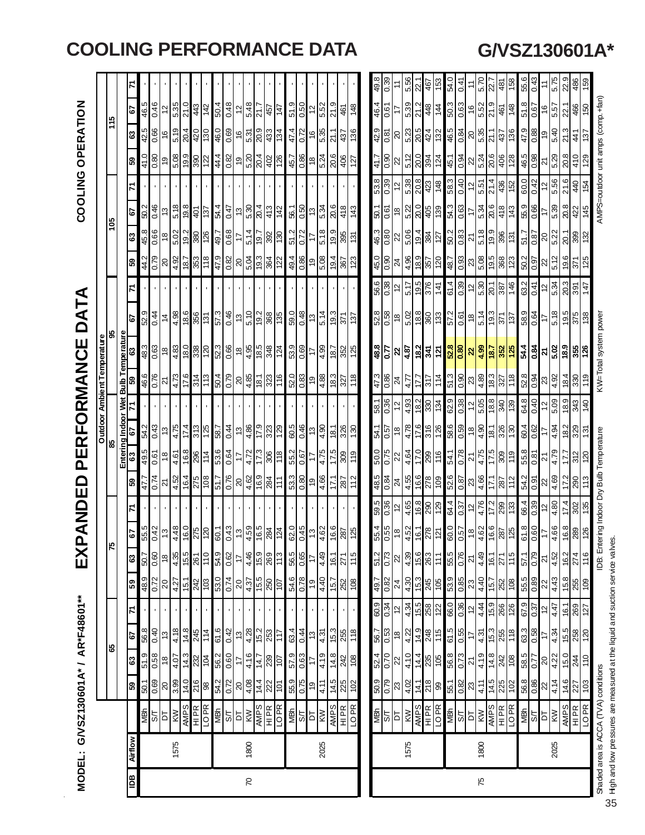| ì           |
|-------------|
|             |
| ゛、゜         |
|             |
| ì<br>ś      |
| ₹           |
|             |
|             |
|             |
| ধ<br>l      |
|             |
|             |
| Š           |
|             |
| $\bf{r}$    |
|             |
| ļ           |
|             |
|             |
| š<br>.<br>1 |
|             |
|             |
| ;<br>}<br>ŗ |
|             |
|             |
|             |
|             |

|               |                                                                              |                                          |                                                                                                                                                                                                                                                                                                                       |                                |                               |                    |                         | EXP.              |                                                                                                                                                                                                                                                             | ANDED             |                                       |                 | PERFORMANCE<br>Outdoor     |                    | Ambient Temperature |                                                                                                                                                                                                                                                                                                                                                                                                                            | DATA                                                                            |                    |                                 |                                |                                                                       |                                    |                                           |                                                         |                 |      |
|---------------|------------------------------------------------------------------------------|------------------------------------------|-----------------------------------------------------------------------------------------------------------------------------------------------------------------------------------------------------------------------------------------------------------------------------------------------------------------------|--------------------------------|-------------------------------|--------------------|-------------------------|-------------------|-------------------------------------------------------------------------------------------------------------------------------------------------------------------------------------------------------------------------------------------------------------|-------------------|---------------------------------------|-----------------|----------------------------|--------------------|---------------------|----------------------------------------------------------------------------------------------------------------------------------------------------------------------------------------------------------------------------------------------------------------------------------------------------------------------------------------------------------------------------------------------------------------------------|---------------------------------------------------------------------------------|--------------------|---------------------------------|--------------------------------|-----------------------------------------------------------------------|------------------------------------|-------------------------------------------|---------------------------------------------------------|-----------------|------|
|               |                                                                              |                                          |                                                                                                                                                                                                                                                                                                                       |                                | န္ၿ                           |                    |                         |                   | $\frac{5}{2}$                                                                                                                                                                                                                                               |                   |                                       | မ္တ             |                            |                    |                     | 5                                                                                                                                                                                                                                                                                                                                                                                                                          |                                                                                 |                    |                                 | $\frac{105}{20}$               |                                                                       |                                    |                                           | 115                                                     |                 |      |
|               |                                                                              |                                          |                                                                                                                                                                                                                                                                                                                       |                                |                               |                    |                         |                   |                                                                                                                                                                                                                                                             |                   |                                       |                 | <b>Entering Indoor Wet</b> |                    |                     | Bulb Temperature<br>  59   63                                                                                                                                                                                                                                                                                                                                                                                              |                                                                                 |                    |                                 |                                |                                                                       |                                    |                                           |                                                         |                 |      |
| aal           | Airflow                                                                      |                                          | 65                                                                                                                                                                                                                                                                                                                    | $\mathbb{S}^3$                 | 29                            | 7                  | 65                      | ෂ                 | 57                                                                                                                                                                                                                                                          | 71                | န္ပ                                   | 63              | 5                          |                    |                     |                                                                                                                                                                                                                                                                                                                                                                                                                            | 5                                                                               | 7                  | <b>B</b>                        | $\boldsymbol{\mathbb{S}}$      | 5                                                                     |                                    | 65                                        | 57<br>ශී                                                |                 |      |
|               |                                                                              | ИBM                                      | 50.1                                                                                                                                                                                                                                                                                                                  | 51.9                           | 56.8                          |                    | 48.9                    | 50.7              | 55.5                                                                                                                                                                                                                                                        |                   |                                       | 49.5            | 54.2                       |                    | 9.97                | 48.3                                                                                                                                                                                                                                                                                                                                                                                                                       | 52.9                                                                            |                    | 44.2                            | 45.8                           | 50.2                                                                  |                                    |                                           | 46.5<br>42.5                                            |                 |      |
|               |                                                                              | 해                                        | 0.69                                                                                                                                                                                                                                                                                                                  | 890                            | 0.40                          |                    | 0.72                    | 0.60              |                                                                                                                                                                                                                                                             |                   | 0.74                                  | 19.0            | 0.43                       |                    | 0.76                |                                                                                                                                                                                                                                                                                                                                                                                                                            | 0.44                                                                            |                    | 0.79                            | 0.66                           | 0.46                                                                  |                                    | 0.80                                      | 9+0<br>0.66                                             |                 |      |
|               |                                                                              |                                          | $\rm 20$                                                                                                                                                                                                                                                                                                              | $\overset{\circ}{\phantom{a}}$ | 13                            |                    | $\overline{\mathsf{S}}$ | ٩P                | $\frac{1}{2}$ $\frac{1}{2}$ $\frac{1}{2}$ $\frac{1}{2}$ $\frac{1}{2}$ $\frac{1}{2}$ $\frac{1}{2}$ $\frac{1}{2}$ $\frac{1}{2}$ $\frac{1}{2}$ $\frac{1}{2}$ $\frac{1}{2}$ $\frac{1}{2}$ $\frac{1}{2}$ $\frac{1}{2}$ $\frac{1}{2}$ $\frac{1}{2}$ $\frac{1}{2}$ |                   | ম                                     | $\frac{8}{1}$   | $\frac{3}{2}$              |                    | Σī                  | $rac{65}{18}$                                                                                                                                                                                                                                                                                                                                                                                                              | $rac{4}{4.98}$                                                                  |                    | $\infty$                        | $\overset{\circ}{\phantom{0}}$ | $\overline{c}$                                                        |                                    | $\overline{6}$                            | $\frac{2}{3}$<br>$\frac{6}{5}$                          |                 |      |
|               | 1575                                                                         | KW                                       | 3.99                                                                                                                                                                                                                                                                                                                  | 4.07                           | 4.18                          |                    | 4.27                    | 4.35              |                                                                                                                                                                                                                                                             |                   | 4.52                                  | 4.61            | 4.75                       |                    | 4.73                |                                                                                                                                                                                                                                                                                                                                                                                                                            |                                                                                 |                    | 4.92                            | 5.02                           | 5.18                                                                  |                                    | 5.08                                      | 5.35<br>5.19                                            |                 |      |
|               |                                                                              | AMPS<br>HI PR                            | 14.0                                                                                                                                                                                                                                                                                                                  |                                | 14.8                          |                    | $\frac{15.1}{242}$      | 15.5              |                                                                                                                                                                                                                                                             |                   | $rac{16.4}{275}$                      | 16.8            | $\frac{174}{313}$          |                    | $\frac{5}{11}$      | $rac{8}{38}$                                                                                                                                                                                                                                                                                                                                                                                                               | $rac{6}{36}$                                                                    |                    | $\frac{18}{35}$                 | $\frac{28}{88}$                | $rac{28}{497}$                                                        |                                    | ုချိန္တ <u>ူ</u> သူ                       | 21.0<br>$\frac{204}{420}$                               |                 |      |
|               |                                                                              |                                          | $\frac{216}{98}$                                                                                                                                                                                                                                                                                                      | $\frac{43}{28}$                | 245                           |                    |                         | $\frac{261}{110}$ |                                                                                                                                                                                                                                                             |                   |                                       | 296<br>114      |                            |                    | $\frac{314}{113}$   |                                                                                                                                                                                                                                                                                                                                                                                                                            |                                                                                 |                    |                                 |                                |                                                                       |                                    |                                           | 442                                                     |                 |      |
|               |                                                                              | LO <sub>PR</sub>                         |                                                                                                                                                                                                                                                                                                                       |                                | $\frac{14}{3}$                |                    |                         |                   |                                                                                                                                                                                                                                                             |                   |                                       |                 | $\frac{15}{25}$            |                    |                     |                                                                                                                                                                                                                                                                                                                                                                                                                            |                                                                                 |                    |                                 |                                |                                                                       |                                    |                                           |                                                         |                 |      |
|               |                                                                              | MBh                                      | 54.2                                                                                                                                                                                                                                                                                                                  | 56.2                           | 61.6                          |                    | 53.0                    | 54.9              |                                                                                                                                                                                                                                                             |                   | 51.7                                  | 53.6            | 58.7                       |                    | <b>FOG</b>          | 52.3                                                                                                                                                                                                                                                                                                                                                                                                                       | $\overline{57.3}$                                                               |                    | 47.9                            | - 67                           | 54.4                                                                  |                                    | 44.4                                      | 50.4<br>46.0                                            |                 |      |
|               |                                                                              |                                          | $\frac{2}{0.72}$                                                                                                                                                                                                                                                                                                      | 0.60                           | 0.42                          |                    | 0.74                    | 0.62              |                                                                                                                                                                                                                                                             |                   | 0.76                                  | 0.64            | 0.44                       |                    | 0.79                |                                                                                                                                                                                                                                                                                                                                                                                                                            | 0.46                                                                            |                    |                                 |                                | $\frac{1}{2}$ $\frac{1}{2}$                                           |                                    |                                           | 0.48<br>$rac{69}{16}$                                   |                 |      |
|               |                                                                              | 하                                        | $20\,$                                                                                                                                                                                                                                                                                                                | $\overline{1}$                 | 51                            |                    | 20                      | H                 |                                                                                                                                                                                                                                                             |                   |                                       | $\overline{1}$  | $\epsilon$                 |                    |                     |                                                                                                                                                                                                                                                                                                                                                                                                                            | E <sub>L</sub>                                                                  |                    | $\frac{82}{20}$                 | 17                             |                                                                       |                                    |                                           | 12                                                      |                 |      |
| $\mathcal{R}$ | 1800                                                                         | <b>KV</b>                                | 4.08                                                                                                                                                                                                                                                                                                                  | 4.16                           | 4.28                          |                    | 4.37                    | 4.46              |                                                                                                                                                                                                                                                             |                   | $\frac{20}{4.62}$                     | 4.72            | 4.86                       |                    | $\frac{20}{4.85}$   | $\frac{66}{10}$                                                                                                                                                                                                                                                                                                                                                                                                            | 5.10                                                                            |                    | 5.04                            | 5.14                           |                                                                       |                                    |                                           | 5.48                                                    |                 |      |
|               |                                                                              |                                          | 14.4                                                                                                                                                                                                                                                                                                                  | 14.7                           | 15.2                          |                    |                         | 15.9              |                                                                                                                                                                                                                                                             |                   |                                       | 17.3            | $\frac{17.9}{ }$           |                    | 18.1                |                                                                                                                                                                                                                                                                                                                                                                                                                            |                                                                                 |                    |                                 |                                |                                                                       |                                    |                                           |                                                         |                 |      |
|               |                                                                              |                                          |                                                                                                                                                                                                                                                                                                                       |                                | 253                           |                    |                         | 269               |                                                                                                                                                                                                                                                             |                   |                                       |                 |                            |                    |                     |                                                                                                                                                                                                                                                                                                                                                                                                                            |                                                                                 |                    |                                 |                                |                                                                       |                                    |                                           |                                                         |                 |      |
|               |                                                                              | $\frac{\overline{AMPS}}{\overline{HIR}}$ | $\frac{222}{101}$                                                                                                                                                                                                                                                                                                     | $\frac{239}{107}$              | 21 L                          |                    | $\frac{15.5}{250}$      | 113               |                                                                                                                                                                                                                                                             |                   | $\frac{3}{8}$                         | $rac{306}{178}$ | $\frac{323}{129}$          |                    | $\frac{323}{16}$    | $ \frac{6}{8} $ $\frac{8}{8} $ $\frac{8}{8} $ $\frac{8}{8} $                                                                                                                                                                                                                                                                                                                                                               | $ \tilde{\vec{z}} $ $ \tilde{\vec{z}} $ $ \tilde{\vec{z}} $ $ \tilde{\vec{z}} $ |                    | $\frac{33}{98}$ $\frac{23}{98}$ | $rac{26}{19}$                  | $\frac{1}{8}$ $\frac{1}{8}$ $\frac{1}{8}$ $\frac{1}{8}$ $\frac{1}{8}$ |                                    | <u>ခြံခြံမြိုင်ခြံမြိုင်</u>              | <u> हैं। इ</u><br>$ \tilde{v} $ $ g $ $ g $ $ g $ $ g $ |                 |      |
|               |                                                                              | 图                                        | 55.9                                                                                                                                                                                                                                                                                                                  | 57.9                           | 63.4                          |                    | 54.6                    | 56.5              |                                                                                                                                                                                                                                                             |                   | 53.3                                  | 55.2            | 60.5                       |                    | 52.0                |                                                                                                                                                                                                                                                                                                                                                                                                                            |                                                                                 |                    |                                 | 51.2                           |                                                                       |                                    |                                           | 51.9                                                    |                 |      |
|               |                                                                              |                                          | 0.75                                                                                                                                                                                                                                                                                                                  |                                |                               |                    |                         |                   |                                                                                                                                                                                                                                                             |                   |                                       |                 |                            |                    |                     |                                                                                                                                                                                                                                                                                                                                                                                                                            |                                                                                 |                    |                                 | 0.72                           |                                                                       |                                    |                                           |                                                         |                 |      |
|               |                                                                              | 하                                        |                                                                                                                                                                                                                                                                                                                       | 0.63                           | $\frac{0.44}{4}$              |                    | 0.78                    | 0.65              | 0.45                                                                                                                                                                                                                                                        |                   | 0.80                                  | 0.67            | 0.46                       |                    | 0.83                | 0.69                                                                                                                                                                                                                                                                                                                                                                                                                       | 0.48                                                                            |                    | 0.86                            |                                | 0.50                                                                  |                                    |                                           | 0.50<br>0.72                                            |                 |      |
|               |                                                                              |                                          | <u>6</u>                                                                                                                                                                                                                                                                                                              | $\ddot{ }$                     | $\frac{1}{2}$                 |                    | $\frac{6}{1}$           | 17                | $\frac{13}{4.62}$                                                                                                                                                                                                                                           |                   | 61                                    |                 | $c_{L}$                    |                    | 61                  | 17                                                                                                                                                                                                                                                                                                                                                                                                                         | 51                                                                              |                    | 61                              | $\overline{1}$                 | $\frac{13}{5.34}$                                                     |                                    | $\frac{8}{3}$ $\frac{1}{2}$ $\frac{1}{2}$ | $\frac{2}{3}$<br>$rac{16}{5.35}$                        |                 |      |
|               | 2025                                                                         | ΚW                                       | 4.11                                                                                                                                                                                                                                                                                                                  | 4.19                           | $\sqrt{4.31}$                 |                    | 0+7                     | 4.49              |                                                                                                                                                                                                                                                             |                   | 4.66                                  | 4.75            | 4.90                       |                    | 4.88                | 4.99                                                                                                                                                                                                                                                                                                                                                                                                                       | $\frac{5.14}{ }$                                                                |                    | 5.08                            | 5.18                           |                                                                       |                                    |                                           | 5.52                                                    |                 |      |
|               |                                                                              | <b>AMPS</b>                              | 14.5                                                                                                                                                                                                                                                                                                                  | 14.8                           | 15.3                          |                    | 15.7                    | 16.1              | 16.6                                                                                                                                                                                                                                                        |                   | 17,1                                  | 17.5            | 18.1                       |                    | 18.3                | 18.7                                                                                                                                                                                                                                                                                                                                                                                                                       | 19.3                                                                            |                    | 19.4                            | 19.9                           | 20.6                                                                  |                                    | 20.6                                      | 21.9<br>21.1                                            |                 |      |
|               |                                                                              | HIPR<br>H                                | 225                                                                                                                                                                                                                                                                                                                   | 242                            | 255                           |                    | 252                     | 271               | 287                                                                                                                                                                                                                                                         |                   | 287                                   | 309             | 326                        |                    | 327                 | 352                                                                                                                                                                                                                                                                                                                                                                                                                        | 371                                                                             |                    | 367                             | 395                            | 418                                                                   |                                    | 406                                       | 461<br>437                                              |                 |      |
|               |                                                                              | LO <sub>PR</sub>                         | 102                                                                                                                                                                                                                                                                                                                   | 108                            | 118                           |                    | 108                     | 115               | 125                                                                                                                                                                                                                                                         |                   | 112                                   | 119             | 130                        |                    |                     | 125                                                                                                                                                                                                                                                                                                                                                                                                                        | 137                                                                             |                    | 123                             | 131                            | 143                                                                   |                                    | 127                                       | 148<br>136                                              |                 |      |
|               |                                                                              |                                          |                                                                                                                                                                                                                                                                                                                       |                                |                               |                    |                         |                   |                                                                                                                                                                                                                                                             |                   |                                       |                 |                            |                    |                     |                                                                                                                                                                                                                                                                                                                                                                                                                            |                                                                                 |                    |                                 |                                |                                                                       |                                    |                                           |                                                         |                 |      |
|               |                                                                              | MBN<br>M                                 | 50.9                                                                                                                                                                                                                                                                                                                  | 52.4                           | 56.7                          | 60.9               | 49.7                    | 51.2              |                                                                                                                                                                                                                                                             | 59.5              | 48.5                                  | 50.0            | 54.1                       | 58.1               |                     |                                                                                                                                                                                                                                                                                                                                                                                                                            | 52.8                                                                            |                    | 45.0                            | 46.3                           | 50.1                                                                  |                                    | 41,7                                      | 46.4                                                    | 49.8            |      |
|               |                                                                              |                                          | 0.79                                                                                                                                                                                                                                                                                                                  | 0.70                           | 0.53                          | 0.34               | 0.82                    | 0.73              |                                                                                                                                                                                                                                                             | 0.36              | 0.84                                  | 0.75            | 0.57                       | 0.36               | $\frac{47.3}{0.86}$ | $\frac{d}{d} \frac{d}{dt} \frac{d}{dt} \frac{d}{dt} \frac{d}{dt} \frac{d}{dt} \frac{d}{dt} \frac{d}{dt} \frac{d}{dt} \frac{d}{dt} \frac{d}{dt} \frac{d}{dt} \frac{d}{dt} \frac{d}{dt} \frac{d}{dt} \frac{d}{dt} \frac{d}{dt} \frac{d}{dt} \frac{d}{dt} \frac{d}{dt} \frac{d}{dt} \frac{d}{dt} \frac{d}{dt} \frac{d}{dt} \frac{d}{dt} \frac{d}{dt} \frac{d}{dt} \frac{d}{dt} \frac{d}{dt} \frac{d}{dt} \frac{d}{dt} \frac{$ | 0.58                                                                            | $\frac{66}{68}$    | $\frac{0.90}{0.50}$             | 0.80                           | 0.61                                                                  | $rac{63.8}{0.39}$                  | 0.90                                      | 0.61<br>$\frac{42.9}{0.81}$                             | 0.39            |      |
|               |                                                                              | 하                                        | 23                                                                                                                                                                                                                                                                                                                    | 22                             | $\overset{\circ}{\mathbf{e}}$ | $\overline{c}$     | 24                      | $\mathbf{z}$      |                                                                                                                                                                                                                                                             | 51                | $\frac{4}{3}$                         | 22              | $\frac{8}{2}$              | $\frac{1}{2}$      | $\overline{24}$     |                                                                                                                                                                                                                                                                                                                                                                                                                            | $\overline{8}$                                                                  |                    | $\overline{\mathcal{Z}}$        | 22                             | $\frac{8}{2}$                                                         |                                    | $\approx$                                 | ା<br>ସ                                                  |                 |      |
|               | 1575                                                                         | KW                                       | 4.02                                                                                                                                                                                                                                                                                                                  | 4.10                           | 4.22                          | 4.34               | 4.30                    | 4.39              |                                                                                                                                                                                                                                                             | 4.65              | 4.55                                  | 4.64            | 4.78                       | 4.93               | 4.77                |                                                                                                                                                                                                                                                                                                                                                                                                                            | 5.02                                                                            | 5.17               | 4.96                            | 5.06                           | 5.22                                                                  | 5.38                               | 5.12                                      | 5.39<br>5.23                                            | 5.56            |      |
|               |                                                                              |                                          |                                                                                                                                                                                                                                                                                                                       |                                | 14.9                          |                    | 15.3                    | 15.6              |                                                                                                                                                                                                                                                             | 16.8              |                                       | 17.0            | $\frac{17.6}{ }$           |                    | 17                  |                                                                                                                                                                                                                                                                                                                                                                                                                            |                                                                                 | 19.5               | 18.9                            |                                |                                                                       |                                    |                                           | 21.2                                                    | 22.1            |      |
|               |                                                                              | AMPS<br>HI PR                            |                                                                                                                                                                                                                                                                                                                       | $\frac{14.4}{235}$             |                               |                    |                         | 263               |                                                                                                                                                                                                                                                             |                   |                                       | <b>66Z</b>      | 316                        | $\frac{18.2}{330}$ | 317                 |                                                                                                                                                                                                                                                                                                                                                                                                                            |                                                                                 | 376                | 357                             |                                |                                                                       |                                    |                                           | 448                                                     | 467             |      |
|               |                                                                              | <b>LOPR</b>                              | $rac{1}{2}$ $\frac{1}{2}$ $\frac{1}{2}$ $\frac{1}{2}$ $\frac{1}{2}$ $\frac{1}{2}$ $\frac{1}{2}$ $\frac{1}{2}$ $\frac{1}{2}$ $\frac{1}{2}$ $\frac{1}{2}$ $\frac{1}{2}$ $\frac{1}{2}$ $\frac{1}{2}$ $\frac{1}{2}$ $\frac{1}{2}$ $\frac{1}{2}$ $\frac{1}{2}$ $\frac{1}{2}$ $\frac{1}{2}$ $\frac{1}{2}$ $\frac{1}{2}$ $\$ | 105                            | $rac{248}{15}$                | $\frac{15.5}{280}$ | $\frac{245}{105}$       | =                 |                                                                                                                                                                                                                                                             | $\frac{290}{129}$ | $rac{66}{278}$                        | l€              | 126                        | <u> ञ्र</u>        | 114                 | $\frac{2}{9}$ $\frac{2}{3}$ $\frac{1}{2}$                                                                                                                                                                                                                                                                                                                                                                                  | $rac{88}{80}$                                                                   | $\frac{1}{4}$      | <u>ခြ</u>                       | $rac{2}{9}$ $\frac{8}{2}$      | $\frac{1}{2}$                                                         | $\frac{20.8}{42}$                  | ន្ត <mark>ន្ត្រ</mark> ន្ត្រ              | $\frac{14}{3}$<br>$\frac{25}{4}$                        |                 | န္ကြ |
|               |                                                                              | MBh                                      | 55.1                                                                                                                                                                                                                                                                                                                  | 8.99                           | 61.5                          | 66.0               | 53.9                    | 55.5              |                                                                                                                                                                                                                                                             | 64.4              | 52.6                                  | 54.1            | 9.85                       | 62.9               | 51.3                | 52.8                                                                                                                                                                                                                                                                                                                                                                                                                       | 57.2                                                                            | 61.4               | 48.7                            | 50.2                           | 54.3                                                                  | 58.3                               | 45.1                                      | 50.3<br>46.5                                            |                 | 54.0 |
|               |                                                                              |                                          | 0.82                                                                                                                                                                                                                                                                                                                  | 0.73                           | 0.55                          | 0.36               | 0.85                    | 0.76              |                                                                                                                                                                                                                                                             |                   |                                       | 0.78            |                            | 0.38               | 0.90                |                                                                                                                                                                                                                                                                                                                                                                                                                            | 0.61                                                                            |                    |                                 | 0.83                           |                                                                       |                                    |                                           |                                                         | 0.41            |      |
|               |                                                                              | $rac{5}{10}$                             | 23                                                                                                                                                                                                                                                                                                                    | $\overline{2}$                 | $\overline{1}$                | 12                 | 23                      | Z                 |                                                                                                                                                                                                                                                             | $rac{37}{12}$     |                                       | $\overline{2}1$ | $rac{8}{18}$               | 12                 | 23                  |                                                                                                                                                                                                                                                                                                                                                                                                                            | $\frac{8}{3}$                                                                   | 0.39               |                                 | $\overline{21}$                | $rac{1}{17}$                                                          | 0.40                               |                                           | $\frac{0.63}{16}$                                       | $\vert$         |      |
| ΓĢ            | 1800                                                                         | $\leq$                                   | 4.11                                                                                                                                                                                                                                                                                                                  | 4.19                           | 4.31                          | 4.44               | 4.40                    | 4.49              |                                                                                                                                                                                                                                                             | 4.76              | $\frac{87}{28}$                       | 4.75            | 4.90                       | 5.05               | 4.89                |                                                                                                                                                                                                                                                                                                                                                                                                                            | 5.14                                                                            | 5.30               | $\frac{3}{28}$                  | 5.18                           | 5.34                                                                  | 5.51                               | $\frac{38}{28}$                           | 5.52<br>$\frac{0.84}{20}$                               |                 | 5.70 |
|               |                                                                              | SdMV                                     | 14.5                                                                                                                                                                                                                                                                                                                  | 14.8                           | 15.3                          | 15.9               | 15.7                    | 16.1              |                                                                                                                                                                                                                                                             | Z Z L             | 17.1                                  | 17.5            |                            | 18.8               | E 81                |                                                                                                                                                                                                                                                                                                                                                                                                                            |                                                                                 |                    |                                 |                                | 20.6                                                                  | 21.4                               | 20.6                                      | 21.9<br>21.1                                            | 22.             |      |
|               |                                                                              |                                          |                                                                                                                                                                                                                                                                                                                       |                                |                               |                    |                         | 271               |                                                                                                                                                                                                                                                             |                   |                                       |                 |                            |                    |                     |                                                                                                                                                                                                                                                                                                                                                                                                                            |                                                                                 |                    |                                 |                                |                                                                       |                                    |                                           |                                                         |                 |      |
|               |                                                                              | HIPR<br>LOPR                             | $\frac{25}{102}$                                                                                                                                                                                                                                                                                                      | 242                            | $\frac{8}{15}$                | <b>266</b><br>126  | <b>252</b><br>108       | 115               |                                                                                                                                                                                                                                                             | <b>299</b>        | <b>287</b><br>112                     | 809             | $\frac{5}{18}$             | 340                | 118                 |                                                                                                                                                                                                                                                                                                                                                                                                                            | $rac{26}{125}$                                                                  | $\frac{207}{288}$  | $\frac{5}{98}$                  | $\frac{9}{98}$                 | $\frac{418}{143}$                                                     | $\frac{48}{52}$                    | 406                                       | 461<br>437                                              | $\frac{18}{25}$ |      |
|               |                                                                              | MBh                                      |                                                                                                                                                                                                                                                                                                                       | 58.5                           | $rac{3}{2}$                   |                    | 55.5                    | 57.1              |                                                                                                                                                                                                                                                             |                   |                                       | 55.8            |                            | 64.8               |                     | <mark>ၜ</mark> ြိုၛ <mark>ႜၜၟႝႜၟႜႜႜႜႜႜၛၟၟႜၟႜႜႜၛႜၛၟ</mark> ႜၓ႞                                                                                                                                                                                                                                                                                                                                                              | 58.9                                                                            | 63.2               |                                 |                                |                                                                       | 60.0                               |                                           |                                                         |                 | 55.6 |
|               |                                                                              | 25                                       |                                                                                                                                                                                                                                                                                                                       | $\frac{17}{20}$                | 0.58                          | $rac{67.9}{0.37}$  |                         | 0.79              |                                                                                                                                                                                                                                                             | 66.4              |                                       | 0.81            | $\frac{60.4}{0.62}$        | 0.40               |                     |                                                                                                                                                                                                                                                                                                                                                                                                                            | 0.64                                                                            |                    |                                 |                                | 55.9                                                                  | 0.42                               |                                           | $\frac{51.8}{0.67}$<br>$\frac{47.9}{0.88}$              |                 | 0.43 |
|               |                                                                              | ħ                                        | 88<br>0.88<br>23                                                                                                                                                                                                                                                                                                      | $\frac{1}{20}$                 | 17                            | <u>s</u>           | $\frac{0.89}{22}$       | ম                 |                                                                                                                                                                                                                                                             | ć                 | $\frac{2}{3}$ $\frac{5}{3}$ $\approx$ | $\overline{2}$  | H                          | $\frac{2}{3}$      | $\frac{28}{25}$     |                                                                                                                                                                                                                                                                                                                                                                                                                            | 17                                                                              | 0.41               | <u>ର୍ଥି</u> ଟ୍ସି ଧ              | $\frac{5}{25}$                 | 17                                                                    | $\frac{2}{3}$                      | $\frac{465}{0.88}$                        | $\frac{6}{2}$                                           | $\tilde{t}$     |      |
|               | 2025                                                                         | ⊗                                        | 4.14                                                                                                                                                                                                                                                                                                                  | $\frac{4.22}{ }$               | 4.34                          | $\frac{47}{3}$     | 4.43                    | 4.52              | 4.66                                                                                                                                                                                                                                                        | $\frac{4.80}{4}$  | 4.69                                  | $\frac{62}{1}$  | 4.94                       | 5.09               | $\frac{32}{4}$      |                                                                                                                                                                                                                                                                                                                                                                                                                            | $\frac{8}{5}$                                                                   | 5.34               | 5.12                            | 5.22                           | $\frac{8}{5.39}$                                                      | 5.56                               | $\frac{8}{5}$                             | $\frac{55}{7}$<br>$\frac{19}{5.40}$                     | 5.75            |      |
|               |                                                                              | <b>AMPS</b>                              | 14.6                                                                                                                                                                                                                                                                                                                  | 15.0                           | 15.5                          | 16.1               | 15.8                    | 16.2              | 16.8                                                                                                                                                                                                                                                        | 17.4              | 17.2                                  | 17.7            | 18.2                       | 18.9               | 18.4                | 6.81                                                                                                                                                                                                                                                                                                                                                                                                                       | 19.5                                                                            |                    | 9.6                             | $-0.7$                         | 20.8                                                                  | 21.6                               | 20.8                                      | 22.1<br>21.3                                            |                 | 22.9 |
|               |                                                                              | <b>HIPR</b>                              | 227                                                                                                                                                                                                                                                                                                                   | 244                            | 258                           |                    |                         | 274               | 289                                                                                                                                                                                                                                                         | 302               | 290                                   | 312             | 329                        | 343                | 330                 |                                                                                                                                                                                                                                                                                                                                                                                                                            | 375                                                                             | $\frac{20.3}{391}$ | 371                             | 399                            | 422                                                                   | 40                                 | 410                                       | 466<br>41                                               |                 | 486  |
|               |                                                                              | LO <sub>PR</sub>                         | 103                                                                                                                                                                                                                                                                                                                   | 110                            | 120                           | $\frac{269}{127}$  | $\frac{255}{109}$       | 116               | 126                                                                                                                                                                                                                                                         |                   | 113                                   | $\overline{20}$ | 131                        | 140                |                     | $rac{35}{126}$                                                                                                                                                                                                                                                                                                                                                                                                             | 138                                                                             | 147                | 125                             | 132                            | 145                                                                   | 154                                | <b>29</b>                                 | 150<br>137                                              |                 | 159  |
|               | Shaded area is ACCA (TVA) conditions                                         |                                          |                                                                                                                                                                                                                                                                                                                       |                                |                               |                    |                         |                   | IDB: Entering Indoor Dry Bulb Temperature                                                                                                                                                                                                                   |                   |                                       |                 |                            |                    |                     | KW=Total system power                                                                                                                                                                                                                                                                                                                                                                                                      |                                                                                 |                    |                                 |                                |                                                                       | AMPS=outdoor unit amps (comp.+fan) |                                           |                                                         |                 |      |
|               | compared low pressures are measured at the liquid and suction service valves |                                          |                                                                                                                                                                                                                                                                                                                       |                                |                               |                    |                         |                   |                                                                                                                                                                                                                                                             |                   |                                       |                 |                            |                    |                     |                                                                                                                                                                                                                                                                                                                                                                                                                            |                                                                                 |                    |                                 |                                |                                                                       |                                    |                                           |                                                         |                 |      |
|               |                                                                              |                                          |                                                                                                                                                                                                                                                                                                                       |                                |                               |                    |                         |                   |                                                                                                                                                                                                                                                             |                   |                                       |                 |                            |                    |                     |                                                                                                                                                                                                                                                                                                                                                                                                                            |                                                                                 |                    |                                 |                                |                                                                       |                                    |                                           |                                                         |                 |      |

# **COOLING PERFORMANCE DATA G/VSZ130601A\***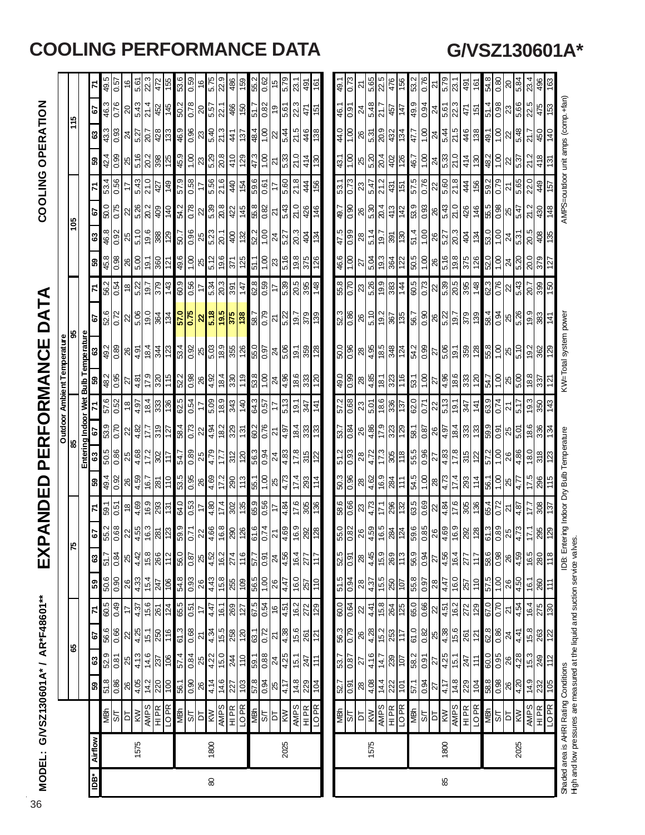# **COOLING PERFORMANCE DATA G/VSZ130601A\***

| 36        | MODEL: G/VSZ130601 A* / AR*F48601**                                                                                    |                                  |                             |                         |                                                                        |                                                                          |                    | EX                  |                                                                                                                                                                                                                                                                                                                                                                                           | PANDED                                                                                                                        |                                                                                                                                                                                                                                                                                                       |                                                                                     |                                                                                  | <b>PERFORMANCE</b>                                                              |                                                                                                                                                                                                                                                                                                                     |                                              | DATA                                                                                              |                                                                                                                               |                                                                                                                                                                                                                                                                                                                     |                                                                                                                               |                                                                                                                          | COOLING OPERATION                                                                                        |                                                                                                                                 |                                                                                                                                                                                                                                                                                                                     |                          |
|-----------|------------------------------------------------------------------------------------------------------------------------|----------------------------------|-----------------------------|-------------------------|------------------------------------------------------------------------|--------------------------------------------------------------------------|--------------------|---------------------|-------------------------------------------------------------------------------------------------------------------------------------------------------------------------------------------------------------------------------------------------------------------------------------------------------------------------------------------------------------------------------------------|-------------------------------------------------------------------------------------------------------------------------------|-------------------------------------------------------------------------------------------------------------------------------------------------------------------------------------------------------------------------------------------------------------------------------------------------------|-------------------------------------------------------------------------------------|----------------------------------------------------------------------------------|---------------------------------------------------------------------------------|---------------------------------------------------------------------------------------------------------------------------------------------------------------------------------------------------------------------------------------------------------------------------------------------------------------------|----------------------------------------------|---------------------------------------------------------------------------------------------------|-------------------------------------------------------------------------------------------------------------------------------|---------------------------------------------------------------------------------------------------------------------------------------------------------------------------------------------------------------------------------------------------------------------------------------------------------------------|-------------------------------------------------------------------------------------------------------------------------------|--------------------------------------------------------------------------------------------------------------------------|----------------------------------------------------------------------------------------------------------|---------------------------------------------------------------------------------------------------------------------------------|---------------------------------------------------------------------------------------------------------------------------------------------------------------------------------------------------------------------------------------------------------------------------------------------------------------------|--------------------------|
|           |                                                                                                                        |                                  |                             |                         |                                                                        |                                                                          |                    |                     |                                                                                                                                                                                                                                                                                                                                                                                           |                                                                                                                               |                                                                                                                                                                                                                                                                                                       |                                                                                     |                                                                                  |                                                                                 |                                                                                                                                                                                                                                                                                                                     |                                              |                                                                                                   |                                                                                                                               |                                                                                                                                                                                                                                                                                                                     |                                                                                                                               |                                                                                                                          |                                                                                                          |                                                                                                                                 |                                                                                                                                                                                                                                                                                                                     |                          |
|           |                                                                                                                        |                                  |                             | 65                      |                                                                        |                                                                          |                    | 75                  |                                                                                                                                                                                                                                                                                                                                                                                           |                                                                                                                               |                                                                                                                                                                                                                                                                                                       |                                                                                     |                                                                                  |                                                                                 |                                                                                                                                                                                                                                                                                                                     | 8                                            |                                                                                                   |                                                                                                                               |                                                                                                                                                                                                                                                                                                                     | 105                                                                                                                           |                                                                                                                          |                                                                                                          |                                                                                                                                 | 115                                                                                                                                                                                                                                                                                                                 |                          |
|           |                                                                                                                        |                                  |                             |                         |                                                                        |                                                                          |                    |                     |                                                                                                                                                                                                                                                                                                                                                                                           |                                                                                                                               |                                                                                                                                                                                                                                                                                                       |                                                                                     | Entering Indoor Wet                                                              | Bulb <sup>-</sup>                                                               | Temperature                                                                                                                                                                                                                                                                                                         |                                              |                                                                                                   |                                                                                                                               |                                                                                                                                                                                                                                                                                                                     |                                                                                                                               |                                                                                                                          |                                                                                                          |                                                                                                                                 |                                                                                                                                                                                                                                                                                                                     |                          |
| <u>å</u>  | Airflow                                                                                                                |                                  | 59                          | <u>ွ</u>                | <u>ମ୍ବ</u>                                                             | 7                                                                        | 59                 | ္ဓု                 |                                                                                                                                                                                                                                                                                                                                                                                           | $\mathbf{z}$                                                                                                                  | 59                                                                                                                                                                                                                                                                                                    | 63                                                                                  | ß                                                                                |                                                                                 | ଞ                                                                                                                                                                                                                                                                                                                   | 5                                            | $\mathbb{E}$                                                                                      | $\pmb{\mathcal{B}}$                                                                                                           | 63                                                                                                                                                                                                                                                                                                                  |                                                                                                                               | $\mathsf{z}$                                                                                                             | <b>S</b>                                                                                                 | ଞ                                                                                                                               | <b>G7</b>                                                                                                                                                                                                                                                                                                           | 지                        |
|           |                                                                                                                        | $\frac{1}{2}$                    | 51.8<br>0.86                | 52.9<br>0.81            | 0.66<br>56.6                                                           | 0.49<br>60.5                                                             | 060<br>50.6        | 0.84<br>51.7        |                                                                                                                                                                                                                                                                                                                                                                                           | $\frac{1}{100}$ $\frac{1}{100}$ $\frac{1}{100}$                                                                               | 49.4                                                                                                                                                                                                                                                                                                  |                                                                                     | 3  8  8  8  2  2  8  8  8  3  2  3  5 <br> 3  8  8  2  2  2  8  8  8  3  2  3  5 | $rac{2}{9}$ $rac{2}{9}$ $rac{2}{9}$ $rac{2}{9}$ $rac{2}{9}$ $rac{2}{9}$<br>57.6 | $\frac{2}{9}$ $\frac{2}{8}$ $\frac{2}{9}$ $\frac{2}{9}$ $\frac{2}{9}$                                                                                                                                                                                                                                               |                                              | $\frac{62}{15}$                                                                                   | <u>န္မွု အမြိုင္ဆုံခြင္လုပ္ရွိ ျပည္သြယ္လုပ္ရွိ အမြန္မွု အမြန္မာ</u>                                                           | 46.8                                                                                                                                                                                                                                                                                                                |                                                                                                                               | 53.4                                                                                                                     | $rac{42.4}{10.8}$ $\frac{8}{10}$ $\frac{10}{10}$                                                         | 4  8  4  8  8  8  8  8  8  8  8  8  8  9 <br> 3  8  4  8  8  8  8  8  8  8  8  8  8  9                                          | $\frac{46.3}{0.76}$                                                                                                                                                                                                                                                                                                 | 49.5<br>0.57             |
|           |                                                                                                                        |                                  | $\infty$                    | 25                      |                                                                        | 17                                                                       | 26                 | 25                  |                                                                                                                                                                                                                                                                                                                                                                                           |                                                                                                                               | $rac{8}{6}$ $\frac{8}{3}$                                                                                                                                                                                                                                                                             | $\frac{86}{25}$                                                                     |                                                                                  |                                                                                 |                                                                                                                                                                                                                                                                                                                     |                                              |                                                                                                   |                                                                                                                               |                                                                                                                                                                                                                                                                                                                     |                                                                                                                               |                                                                                                                          |                                                                                                          |                                                                                                                                 |                                                                                                                                                                                                                                                                                                                     | $\frac{6}{5}$            |
|           | 1575                                                                                                                   | 히                                | 4.05                        | 4.13                    | $\frac{22}{4.25}$                                                      | 4.37                                                                     | 4.33               | 4.42                |                                                                                                                                                                                                                                                                                                                                                                                           |                                                                                                                               |                                                                                                                                                                                                                                                                                                       |                                                                                     |                                                                                  |                                                                                 |                                                                                                                                                                                                                                                                                                                     |                                              | 5.22                                                                                              |                                                                                                                               | $\frac{25}{5.10}$                                                                                                                                                                                                                                                                                                   |                                                                                                                               | 5.43                                                                                                                     |                                                                                                          |                                                                                                                                 | $\frac{543}{5}$                                                                                                                                                                                                                                                                                                     | 5.61                     |
|           |                                                                                                                        | <b>AMPS</b>                      | $\frac{14.2}{220}$          | $\frac{14.6}{237}$      | $\frac{15.1}{250}$                                                     | $\frac{15.6}{261}$                                                       | 15.4               | 15.8                |                                                                                                                                                                                                                                                                                                                                                                                           |                                                                                                                               |                                                                                                                                                                                                                                                                                                       |                                                                                     |                                                                                  |                                                                                 |                                                                                                                                                                                                                                                                                                                     |                                              |                                                                                                   |                                                                                                                               |                                                                                                                                                                                                                                                                                                                     |                                                                                                                               |                                                                                                                          |                                                                                                          |                                                                                                                                 |                                                                                                                                                                                                                                                                                                                     |                          |
|           |                                                                                                                        | <b>HIPR</b>                      |                             |                         |                                                                        |                                                                          | 247                | 266                 |                                                                                                                                                                                                                                                                                                                                                                                           | $\frac{16.9}{293}$                                                                                                            | $\frac{1}{2}$ $\frac{1}{8}$ $\frac{1}{8}$ $\frac{1}{8}$ $\frac{1}{8}$ $\frac{1}{8}$ $\frac{1}{8}$ $\frac{1}{8}$ $\frac{1}{8}$ $\frac{1}{8}$ $\frac{1}{8}$ $\frac{1}{8}$ $\frac{1}{8}$ $\frac{1}{8}$ $\frac{1}{8}$ $\frac{1}{8}$ $\frac{1}{8}$ $\frac{1}{8}$ $\frac{1}{8}$ $\frac{1}{8}$ $\frac{1}{8}$ | $rac{17.2}{302}$                                                                    |                                                                                  | $\frac{179}{28}$<br><mark>ို့ရွိ အဖြစ် မြို့ရွိ မြို့ရွိ မြို့ရွိ</mark>        | $\frac{1}{2}$ $\frac{1}{2}$ $\frac{1}{2}$ $\frac{1}{2}$ $\frac{1}{2}$ $\frac{1}{2}$ $\frac{1}{2}$ $\frac{1}{2}$ $\frac{1}{2}$ $\frac{1}{2}$ $\frac{1}{2}$ $\frac{1}{2}$ $\frac{1}{2}$ $\frac{1}{2}$ $\frac{1}{2}$ $\frac{1}{2}$ $\frac{1}{2}$ $\frac{1}{2}$ $\frac{1}{2}$ $\frac{1}{2}$ $\frac{1}{2}$ $\frac{1}{2}$ |                                              | $rac{25}{28}$                                                                                     |                                                                                                                               | $\frac{98}{388}$                                                                                                                                                                                                                                                                                                    |                                                                                                                               | $rac{21.0}{427}$                                                                                                         | $\frac{28}{28}$ $\frac{28}{28}$ $\frac{28}{28}$ $\frac{28}{28}$ $\frac{28}{28}$ $\frac{28}{28}$          |                                                                                                                                 | $\frac{1}{2}$ $\frac{1}{2}$ $\frac{1}{2}$ $\frac{1}{2}$ $\frac{1}{2}$ $\frac{1}{2}$ $\frac{1}{2}$ $\frac{1}{2}$ $\frac{1}{2}$ $\frac{1}{2}$ $\frac{1}{2}$ $\frac{1}{2}$ $\frac{1}{2}$ $\frac{1}{2}$ $\frac{1}{2}$ $\frac{1}{2}$ $\frac{1}{2}$ $\frac{1}{2}$ $\frac{1}{2}$ $\frac{1}{2}$ $\frac{1}{2}$ $\frac{1}{2}$ | $\frac{22.3}{472}$       |
|           |                                                                                                                        | LO <sub>PR</sub>                 | $\frac{100}{100}$           | $ \tilde{\varepsilon} $ | 116                                                                    | $124$ 65.5                                                               | 106                | 112                 |                                                                                                                                                                                                                                                                                                                                                                                           |                                                                                                                               |                                                                                                                                                                                                                                                                                                       |                                                                                     |                                                                                  |                                                                                 |                                                                                                                                                                                                                                                                                                                     |                                              |                                                                                                   |                                                                                                                               |                                                                                                                                                                                                                                                                                                                     |                                                                                                                               |                                                                                                                          |                                                                                                          |                                                                                                                                 |                                                                                                                                                                                                                                                                                                                     |                          |
|           |                                                                                                                        | MBh                              | 56.1                        | 57.4                    | 61.3                                                                   |                                                                          | 54.8               | 56.0                |                                                                                                                                                                                                                                                                                                                                                                                           | $\frac{1}{3}$ $\frac{1}{3}$ $\frac{1}{3}$ $\frac{1}{3}$ $\frac{1}{3}$ $\frac{1}{3}$ $\frac{1}{3}$ $\frac{1}{3}$ $\frac{1}{3}$ |                                                                                                                                                                                                                                                                                                       | $\frac{54.7}{0.89}$ $\frac{8}{1.7}$ $\frac{1}{1.7}$ $\frac{1}{2.8}$ $\frac{1}{2.8}$ |                                                                                  | <u>ျဖစ္ထူမွ မြန္မာျခစ္ထြ</u>                                                    |                                                                                                                                                                                                                                                                                                                     |                                              | $\frac{21}{1000}$                                                                                 |                                                                                                                               |                                                                                                                                                                                                                                                                                                                     |                                                                                                                               | $\frac{21}{10}$<br>$\frac{29}{10}$                                                                                       |                                                                                                          |                                                                                                                                 |                                                                                                                                                                                                                                                                                                                     | 53.6                     |
|           |                                                                                                                        | 회회회                              | $\frac{0.90}{26}$           | 0.84                    | 0.68                                                                   | $\frac{21}{150}$                                                         | 0.93               | 0.87                |                                                                                                                                                                                                                                                                                                                                                                                           |                                                                                                                               |                                                                                                                                                                                                                                                                                                       |                                                                                     |                                                                                  |                                                                                 |                                                                                                                                                                                                                                                                                                                     |                                              |                                                                                                   |                                                                                                                               |                                                                                                                                                                                                                                                                                                                     |                                                                                                                               |                                                                                                                          |                                                                                                          |                                                                                                                                 |                                                                                                                                                                                                                                                                                                                     | $rac{9}{6}$              |
|           |                                                                                                                        |                                  |                             |                         | $\mathbb{Z}$                                                           |                                                                          | 26                 |                     |                                                                                                                                                                                                                                                                                                                                                                                           |                                                                                                                               |                                                                                                                                                                                                                                                                                                       |                                                                                     |                                                                                  |                                                                                 |                                                                                                                                                                                                                                                                                                                     |                                              |                                                                                                   |                                                                                                                               |                                                                                                                                                                                                                                                                                                                     |                                                                                                                               |                                                                                                                          |                                                                                                          |                                                                                                                                 |                                                                                                                                                                                                                                                                                                                     |                          |
| $\otimes$ | 1800                                                                                                                   |                                  |                             | $\frac{25}{422}$        | 4.34<br>15.5                                                           | $4.47$<br>16.1                                                           | 4.43<br>15.8       | $\frac{25}{4.52}$   |                                                                                                                                                                                                                                                                                                                                                                                           |                                                                                                                               |                                                                                                                                                                                                                                                                                                       |                                                                                     |                                                                                  | $\frac{1}{2}$ $\frac{1}{2}$ $\frac{1}{2}$ $\frac{1}{2}$ $\frac{1}{2}$           |                                                                                                                                                                                                                                                                                                                     |                                              |                                                                                                   |                                                                                                                               |                                                                                                                                                                                                                                                                                                                     |                                                                                                                               | $\frac{6}{216}$<br>$\frac{1}{216}$                                                                                       |                                                                                                          |                                                                                                                                 |                                                                                                                                                                                                                                                                                                                     | 5.75                     |
|           |                                                                                                                        | <b>AMPS</b>                      | 14.6                        |                         |                                                                        |                                                                          |                    |                     |                                                                                                                                                                                                                                                                                                                                                                                           |                                                                                                                               |                                                                                                                                                                                                                                                                                                       |                                                                                     |                                                                                  |                                                                                 |                                                                                                                                                                                                                                                                                                                     |                                              | $\frac{3}{2}$ $\frac{1}{2}$ $\frac{1}{2}$ $\frac{1}{2}$                                           |                                                                                                                               |                                                                                                                                                                                                                                                                                                                     |                                                                                                                               |                                                                                                                          |                                                                                                          |                                                                                                                                 |                                                                                                                                                                                                                                                                                                                     |                          |
|           |                                                                                                                        | HIPR<br>                         | 227                         | 244                     | 258                                                                    | 269                                                                      | 255                | 274                 |                                                                                                                                                                                                                                                                                                                                                                                           |                                                                                                                               |                                                                                                                                                                                                                                                                                                       |                                                                                     |                                                                                  |                                                                                 |                                                                                                                                                                                                                                                                                                                     |                                              |                                                                                                   |                                                                                                                               |                                                                                                                                                                                                                                                                                                                     |                                                                                                                               |                                                                                                                          |                                                                                                          |                                                                                                                                 |                                                                                                                                                                                                                                                                                                                     | 486                      |
|           |                                                                                                                        | LO <sub>PR</sub>                 | 103                         | 110                     | 120                                                                    | 127                                                                      | 109                | 116                 |                                                                                                                                                                                                                                                                                                                                                                                           |                                                                                                                               |                                                                                                                                                                                                                                                                                                       |                                                                                     |                                                                                  |                                                                                 |                                                                                                                                                                                                                                                                                                                     |                                              |                                                                                                   |                                                                                                                               |                                                                                                                                                                                                                                                                                                                     |                                                                                                                               |                                                                                                                          |                                                                                                          |                                                                                                                                 |                                                                                                                                                                                                                                                                                                                     |                          |
|           |                                                                                                                        | <b>MBN</b>                       | 57.8                        | 59.1                    | $\overline{\overline{\text{63}}}$                                      | 67.5                                                                     | 5.65               | 57.7                |                                                                                                                                                                                                                                                                                                                                                                                           | 65.9                                                                                                                          |                                                                                                                                                                                                                                                                                                       | 56.3                                                                                | 0.76                                                                             | 53.8<br>64.3                                                                    |                                                                                                                                                                                                                                                                                                                     |                                              | 62.8                                                                                              |                                                                                                                               |                                                                                                                                                                                                                                                                                                                     |                                                                                                                               | 59.6                                                                                                                     |                                                                                                          |                                                                                                                                 |                                                                                                                                                                                                                                                                                                                     | 55.2                     |
|           |                                                                                                                        | $5\sqrt{ }$                      | 0.94                        | 0.88                    | 0.72                                                                   | 0.54                                                                     | 1.00               | 0.91                |                                                                                                                                                                                                                                                                                                                                                                                           | 0.56                                                                                                                          |                                                                                                                                                                                                                                                                                                       | 0.94                                                                                |                                                                                  | 1.00<br>0.57                                                                    | 55.0                                                                                                                                                                                                                                                                                                                |                                              |                                                                                                   | $\frac{5}{5}$ $\frac{5}{5}$ $\frac{8}{5}$                                                                                     |                                                                                                                                                                                                                                                                                                                     |                                                                                                                               |                                                                                                                          | 47.3                                                                                                     |                                                                                                                                 | $rac{28.0}{2.82}$                                                                                                                                                                                                                                                                                                   | 0.62                     |
|           |                                                                                                                        | $\frac{1}{10}$                   | $rac{25}{4.17}$             | $\frac{4}{3}$           | <u>ম</u>                                                               | $\frac{9}{5}$                                                            | 26                 | $\overline{z}$      |                                                                                                                                                                                                                                                                                                                                                                                           |                                                                                                                               |                                                                                                                                                                                                                                                                                                       | 4.83                                                                                | $\overline{z}$                                                                   | 24<br>4.96                                                                      | $\frac{24}{5.06}$                                                                                                                                                                                                                                                                                                   |                                              | Ļ                                                                                                 |                                                                                                                               |                                                                                                                                                                                                                                                                                                                     | $\overline{z}$                                                                                                                | $\tilde{t}$                                                                                                              | $\frac{21}{5.33}$                                                                                        |                                                                                                                                 | $\frac{1}{6}$                                                                                                                                                                                                                                                                                                       | 15                       |
|           | 2025                                                                                                                   |                                  |                             | 4.25                    | 4.38                                                                   | 4.51                                                                     | 4.47               | 4.56                |                                                                                                                                                                                                                                                                                                                                                                                           | 4.84                                                                                                                          |                                                                                                                                                                                                                                                                                                       |                                                                                     | 4.97                                                                             | 5.13                                                                            |                                                                                                                                                                                                                                                                                                                     |                                              | 5.39                                                                                              |                                                                                                                               |                                                                                                                                                                                                                                                                                                                     | 5.43                                                                                                                          | 5.60                                                                                                                     |                                                                                                          | $rac{4}{36}$ $rac{1}{3}$ $rac{1}{3}$ $rac{1}{3}$ $rac{1}{3}$ $rac{1}{3}$                                                        | 5.61                                                                                                                                                                                                                                                                                                                | 5.79                     |
|           |                                                                                                                        | <b>AMPS</b>                      | 14.8                        | 15.1                    | 15.6                                                                   | 16.2                                                                     | 16.0               | 16.4                |                                                                                                                                                                                                                                                                                                                                                                                           | 17.6                                                                                                                          | 17.4                                                                                                                                                                                                                                                                                                  | 17.8                                                                                | $\frac{184}{5}$                                                                  | 19.1                                                                            | $\frac{19}{2}$<br>18.6                                                                                                                                                                                                                                                                                              |                                              | 20 <sub>5</sub>                                                                                   | $\frac{8.8}{2}$                                                                                                               |                                                                                                                                                                                                                                                                                                                     | 21.0                                                                                                                          | 21.8                                                                                                                     | 21.0                                                                                                     |                                                                                                                                 | 22.3                                                                                                                                                                                                                                                                                                                | 23.1                     |
|           |                                                                                                                        | HIPR                             | 29                          | 247                     | 261                                                                    | 272                                                                      | 257                | 277                 |                                                                                                                                                                                                                                                                                                                                                                                           | 305                                                                                                                           | 293                                                                                                                                                                                                                                                                                                   | 315                                                                                 | 333                                                                              | 333<br>决                                                                        | 359                                                                                                                                                                                                                                                                                                                 |                                              | 395                                                                                               | $\frac{375}{126}$                                                                                                             |                                                                                                                                                                                                                                                                                                                     | 426                                                                                                                           | 44                                                                                                                       | 414                                                                                                      | 446                                                                                                                             | 47                                                                                                                                                                                                                                                                                                                  | $\frac{5}{49}$           |
|           |                                                                                                                        | LO <sub>PR</sub>                 | 104                         | 111                     | 121                                                                    | 129                                                                      | 110                | 117                 |                                                                                                                                                                                                                                                                                                                                                                                           | 136                                                                                                                           |                                                                                                                                                                                                                                                                                                       |                                                                                     | 133                                                                              | 0 <sup>2</sup><br><u>र्न</u>                                                    | 128                                                                                                                                                                                                                                                                                                                 |                                              | 148                                                                                               |                                                                                                                               | 134                                                                                                                                                                                                                                                                                                                 | 146                                                                                                                           | 156                                                                                                                      | 130                                                                                                      | 138                                                                                                                             | 151                                                                                                                                                                                                                                                                                                                 | $\frac{6}{1}$            |
|           |                                                                                                                        |                                  |                             |                         |                                                                        |                                                                          |                    |                     |                                                                                                                                                                                                                                                                                                                                                                                           |                                                                                                                               |                                                                                                                                                                                                                                                                                                       |                                                                                     |                                                                                  |                                                                                 |                                                                                                                                                                                                                                                                                                                     |                                              |                                                                                                   |                                                                                                                               |                                                                                                                                                                                                                                                                                                                     |                                                                                                                               |                                                                                                                          |                                                                                                          |                                                                                                                                 |                                                                                                                                                                                                                                                                                                                     |                          |
|           |                                                                                                                        | $\frac{1/5}{1}$                  | 52.7                        | 53.7                    | 56.3                                                                   | 60.0                                                                     | 51.5               | 52.5<br>0.91        |                                                                                                                                                                                                                                                                                                                                                                                           | 38.6                                                                                                                          | $\frac{50.3}{0.96}$                                                                                                                                                                                                                                                                                   | 51.2                                                                                | $\frac{257}{0.84}$                                                               | 57.2                                                                            | 50.0<br>49.0                                                                                                                                                                                                                                                                                                        | $\frac{52.3}{0.86}$                          | $\frac{02.0}{9.59}$                                                                               | 46.6                                                                                                                          | 47.5                                                                                                                                                                                                                                                                                                                | 49.7                                                                                                                          | $\frac{53.1}{0.73}$                                                                                                      | $\frac{43.1}{1.00}$                                                                                      |                                                                                                                                 | $\frac{46.1}{0.91}$                                                                                                                                                                                                                                                                                                 | 49.1                     |
|           |                                                                                                                        |                                  | $\overline{0.91}$           | 180                     | 0.79                                                                   | 0.64                                                                     | <b>P60</b>         |                     |                                                                                                                                                                                                                                                                                                                                                                                           |                                                                                                                               |                                                                                                                                                                                                                                                                                                       | $\frac{60}{20}$                                                                     |                                                                                  | 0.99<br>0.68                                                                    | 0.96                                                                                                                                                                                                                                                                                                                |                                              |                                                                                                   | $\frac{100}{1}$                                                                                                               | 0.99                                                                                                                                                                                                                                                                                                                | $\overline{0.90}$                                                                                                             |                                                                                                                          |                                                                                                          |                                                                                                                                 |                                                                                                                                                                                                                                                                                                                     | 0.73                     |
|           |                                                                                                                        | $\overline{\mathsf{d}}$          | $\frac{28}{4.08}$           | 27                      |                                                                        |                                                                          | $\frac{28}{4.37}$  |                     |                                                                                                                                                                                                                                                                                                                                                                                           | $\frac{23}{4.73}$                                                                                                             |                                                                                                                                                                                                                                                                                                       |                                                                                     |                                                                                  |                                                                                 |                                                                                                                                                                                                                                                                                                                     |                                              |                                                                                                   |                                                                                                                               |                                                                                                                                                                                                                                                                                                                     |                                                                                                                               |                                                                                                                          |                                                                                                          |                                                                                                                                 |                                                                                                                                                                                                                                                                                                                     |                          |
|           | 1575                                                                                                                   | KW                               |                             | 4.16                    |                                                                        |                                                                          |                    |                     |                                                                                                                                                                                                                                                                                                                                                                                           |                                                                                                                               |                                                                                                                                                                                                                                                                                                       |                                                                                     |                                                                                  |                                                                                 |                                                                                                                                                                                                                                                                                                                     |                                              |                                                                                                   |                                                                                                                               |                                                                                                                                                                                                                                                                                                                     |                                                                                                                               |                                                                                                                          |                                                                                                          |                                                                                                                                 |                                                                                                                                                                                                                                                                                                                     | ුසු<br>ව                 |
|           |                                                                                                                        | $\frac{\text{AMPS}}{\text{HPR}}$ | $rac{4}{15}$ $\frac{1}{15}$ | $rac{28}{140}$          | $\frac{8}{4}$ $\frac{8}{5}$ $\frac{1}{2}$ $\frac{8}{8}$ $\frac{1}{12}$ | $\frac{2}{44}$ $\frac{4}{5}$ $\frac{8}{8}$ $\frac{4}{12}$ $\frac{8}{12}$ | $rac{15.5}{250}$   | $\frac{8}{45}$      | $\frac{60}{682}\frac{8}{82}\frac{8}{82}\frac{1}{82}\frac{1}{82}\frac{1}{82}\frac{1}{82}\frac{1}{82}\frac{1}{82}\frac{1}{82}\frac{1}{82}\frac{1}{82}\frac{1}{82}\frac{1}{82}\frac{1}{82}\frac{1}{82}\frac{1}{82}\frac{1}{82}\frac{1}{82}\frac{1}{82}\frac{1}{82}\frac{1}{82}\frac{1}{82}\frac{1}{82}\frac{1}{82}\frac{1}{82}\frac{1}{82}\frac{1}{82}\frac{1}{82}\frac{1}{82}\frac{1}{82}\$ | $\frac{17.18}{28.28}$                                                                                                         | $\frac{1}{2}$ $\frac{1}{2}$ $\frac{1}{2}$ $\frac{1}{2}$ $\frac{1}{2}$ $\frac{1}{2}$ $\frac{1}{2}$ $\frac{1}{2}$ $\frac{1}{2}$ $\frac{1}{2}$                                                                                                                                                           | $\frac{28}{32}$                                                                     |                                                                                  | $\frac{18}{15}$ $\frac{12}{15}$ $\frac{12}{15}$<br>$\frac{1}{2}$                | $\frac{8}{365}$                                                                                                                                                                                                                                                                                                     | $\frac{892}{2987}$                           | $ z $ $\frac{1}{2}$ $\frac{1}{2}$ $\frac{1}{2}$ $\frac{1}{2}$ $\frac{1}{2}$                       | $\frac{1}{2}$ $\frac{1}{2}$ $\frac{1}{2}$ $\frac{1}{2}$ $\frac{1}{2}$ $\frac{1}{2}$ $\frac{1}{2}$                             | $\frac{88}{512}$                                                                                                                                                                                                                                                                                                    | $\frac{8}{5.30}$ $\frac{1}{2}$ $\frac{1}{2}$ $\frac{1}{2}$                                                                    | $\frac{3}{25}$                                                                                                           | $\frac{88.8}{88.8}$                                                                                      | <u>ဒုံခြံ့မြို့မျိုဒ္မို့အခြံ</u>                                                                                               | $\frac{3}{24}$<br>$\frac{1}{24}$<br>$\frac{1}{24}$<br>$\frac{1}{24}$<br>$\frac{1}{24}$                                                                                                                                                                                                                              | $\frac{25}{47}$          |
|           |                                                                                                                        |                                  |                             |                         |                                                                        |                                                                          |                    | $\frac{13}{12}$     |                                                                                                                                                                                                                                                                                                                                                                                           |                                                                                                                               |                                                                                                                                                                                                                                                                                                       |                                                                                     |                                                                                  |                                                                                 |                                                                                                                                                                                                                                                                                                                     |                                              |                                                                                                   |                                                                                                                               |                                                                                                                                                                                                                                                                                                                     |                                                                                                                               |                                                                                                                          |                                                                                                          |                                                                                                                                 |                                                                                                                                                                                                                                                                                                                     |                          |
|           |                                                                                                                        |                                  | $\overline{57.1}$           | 58.2                    | $\frac{10}{10}$                                                        | 65.0                                                                     | 55.8               | 56.9                |                                                                                                                                                                                                                                                                                                                                                                                           |                                                                                                                               |                                                                                                                                                                                                                                                                                                       |                                                                                     |                                                                                  | 62.0                                                                            |                                                                                                                                                                                                                                                                                                                     |                                              |                                                                                                   |                                                                                                                               |                                                                                                                                                                                                                                                                                                                     |                                                                                                                               |                                                                                                                          |                                                                                                          |                                                                                                                                 |                                                                                                                                                                                                                                                                                                                     | 53.2                     |
|           |                                                                                                                        | MBh<br>S/T                       | 0.94                        | $\frac{1}{9}$           | 0.82                                                                   | 0.66                                                                     | <b>L60</b>         | 0.94                |                                                                                                                                                                                                                                                                                                                                                                                           | 635                                                                                                                           |                                                                                                                                                                                                                                                                                                       |                                                                                     |                                                                                  | 0.71                                                                            | 54.2                                                                                                                                                                                                                                                                                                                |                                              |                                                                                                   |                                                                                                                               |                                                                                                                                                                                                                                                                                                                     |                                                                                                                               | $rac{92.0}{5.76}$                                                                                                        |                                                                                                          |                                                                                                                                 | 49.94                                                                                                                                                                                                                                                                                                               | 0.76                     |
|           |                                                                                                                        | $\overline{\mathsf{D}}$          | $\overline{27}$             | 27                      | $rac{25}{4.38}$<br>$rac{15}{15}$<br>$rac{15}{121}$                     | $\frac{22}{4.51}$                                                        | $\frac{28}{4.47}$  | $\overline{z}$      |                                                                                                                                                                                                                                                                                                                                                                                           | $\frac{ z }{ z }$                                                                                                             | $\frac{15}{3}$ $\frac{15}{3}$ $\frac{1}{3}$ $\frac{1}{3}$ $\frac{1}{2}$ $\frac{1}{3}$ $\frac{1}{3}$ $\frac{1}{4}$                                                                                                                                                                                     | $\frac{55.5}{0.96}$                                                                 | $\frac{16}{18}$                                                                  | <u>ျှေချွမျိုးမျိုးမျိုးမျိုး</u><br>22                                         |                                                                                                                                                                                                                                                                                                                     |                                              | <mark>ြိုင္ယူအခြင့္အျမန္မွု အျမန္မာ</mark>                                                        | <u> ဗွိုဒ္ဓိုမ္မွုမ္အုပ္မွု</u>                                                                                               |                                                                                                                                                                                                                                                                                                                     | $\frac{1}{3}$ $\frac{1}{3}$ $\frac{1}{3}$ $\frac{1}{3}$ $\frac{1}{3}$ $\frac{1}{3}$ $\frac{1}{3}$ $\frac{1}{4}$ $\frac{1}{5}$ | $rac{28}{100}$ $rac{2}{100}$ $rac{2}{100}$ $rac{4}{100}$ $rac{1}{100}$                                                   | $\frac{15}{9}$ $\frac{12}{9}$ $\frac{12}{9}$ $\frac{12}{9}$ $\frac{12}{9}$ $\frac{12}{9}$ $\frac{12}{9}$ | $\frac{15}{15}$ $\frac{1}{8}$ $\frac{1}{8}$ $\frac{1}{8}$ $\frac{1}{8}$ $\frac{1}{8}$ $\frac{1}{8}$ $\frac{1}{8}$ $\frac{1}{8}$ | $rac{24}{5.61}$                                                                                                                                                                                                                                                                                                     | $\overline{\mathcal{E}}$ |
| s8        | 1800                                                                                                                   | KW                               | 4.17                        |                         |                                                                        |                                                                          |                    | 4.56                |                                                                                                                                                                                                                                                                                                                                                                                           |                                                                                                                               |                                                                                                                                                                                                                                                                                                       |                                                                                     |                                                                                  |                                                                                 |                                                                                                                                                                                                                                                                                                                     |                                              |                                                                                                   |                                                                                                                               |                                                                                                                                                                                                                                                                                                                     |                                                                                                                               |                                                                                                                          |                                                                                                          |                                                                                                                                 |                                                                                                                                                                                                                                                                                                                     |                          |
|           |                                                                                                                        | $\frac{\overline{AMPS}}{HIR}$    | $\frac{14.8}{229}$          | $rac{4.25}{15.1}$       |                                                                        |                                                                          | 16.0               | 16.4                |                                                                                                                                                                                                                                                                                                                                                                                           |                                                                                                                               |                                                                                                                                                                                                                                                                                                       | $rac{4.83}{17.8}$                                                                   | <u>ြို့အ</u>                                                                     | $rac{19}{191}$                                                                  |                                                                                                                                                                                                                                                                                                                     |                                              |                                                                                                   |                                                                                                                               |                                                                                                                                                                                                                                                                                                                     |                                                                                                                               |                                                                                                                          |                                                                                                          |                                                                                                                                 |                                                                                                                                                                                                                                                                                                                     | $\frac{25}{25}$          |
|           |                                                                                                                        |                                  |                             |                         |                                                                        |                                                                          | $\frac{257}{110}$  | 277                 |                                                                                                                                                                                                                                                                                                                                                                                           |                                                                                                                               |                                                                                                                                                                                                                                                                                                       |                                                                                     |                                                                                  |                                                                                 |                                                                                                                                                                                                                                                                                                                     |                                              |                                                                                                   |                                                                                                                               |                                                                                                                                                                                                                                                                                                                     |                                                                                                                               |                                                                                                                          |                                                                                                          |                                                                                                                                 |                                                                                                                                                                                                                                                                                                                     |                          |
|           |                                                                                                                        | LO <sub>PR</sub>                 | 104                         |                         |                                                                        |                                                                          |                    | 117                 |                                                                                                                                                                                                                                                                                                                                                                                           |                                                                                                                               |                                                                                                                                                                                                                                                                                                       | 122                                                                                 |                                                                                  | 141                                                                             | $\frac{18562888}{255828832}$                                                                                                                                                                                                                                                                                        |                                              |                                                                                                   |                                                                                                                               |                                                                                                                                                                                                                                                                                                                     |                                                                                                                               |                                                                                                                          |                                                                                                          |                                                                                                                                 | 151                                                                                                                                                                                                                                                                                                                 | 161                      |
|           |                                                                                                                        | <b>MBN</b>                       | 58.8                        | 60.0                    | $\frac{8}{8}$                                                          | 67.0                                                                     | 57.5               | 58.6                |                                                                                                                                                                                                                                                                                                                                                                                           | 65.4                                                                                                                          |                                                                                                                                                                                                                                                                                                       | 57.2                                                                                | 59.9                                                                             | <b>ZFR</b><br>63.9                                                              |                                                                                                                                                                                                                                                                                                                     |                                              |                                                                                                   |                                                                                                                               |                                                                                                                                                                                                                                                                                                                     | 55.5                                                                                                                          |                                                                                                                          |                                                                                                          | 49.1                                                                                                                            | 51.4                                                                                                                                                                                                                                                                                                                | 54.8                     |
|           |                                                                                                                        | S/T                              | 86.0                        | <b>GGO</b>              | 0.86                                                                   | 0.70                                                                     | 1.00               | 0.98                |                                                                                                                                                                                                                                                                                                                                                                                           | $\frac{5}{27}$                                                                                                                | $rac{26.1}{1.00}$                                                                                                                                                                                                                                                                                     | $\frac{ 36 }{18 4 8 8 8}$                                                           | <b>160</b>                                                                       | $rac{6}{10}$<br>0.74                                                            |                                                                                                                                                                                                                                                                                                                     |                                              | $\frac{1}{2}$ $\frac{1}{2}$ $\frac{1}{2}$ $\frac{1}{2}$ $\frac{1}{2}$ $\frac{1}{2}$ $\frac{1}{2}$ |                                                                                                                               |                                                                                                                                                                                                                                                                                                                     |                                                                                                                               | $\frac{59}{27}$ $\frac{1}{27}$ $\frac{1}{27}$ $\frac{1}{27}$ $\frac{1}{27}$ $\frac{1}{27}$ $\frac{1}{27}$ $\frac{1}{27}$ | $rac{2}{10}$ $rac{2}{10}$ $rac{2}{10}$ $rac{2}{10}$ $rac{2}{10}$ $rac{2}{10}$ $rac{2}{10}$               | $ \tilde{\vec{S}} $ ୪ $ \tilde{\vec{s}} $                                                                                       | 86'0                                                                                                                                                                                                                                                                                                                | 0.80                     |
|           |                                                                                                                        | b<br>F                           | 36                          | 26                      | $\approx$                                                              | $\overline{12}$                                                          | 26                 | 26                  |                                                                                                                                                                                                                                                                                                                                                                                           |                                                                                                                               |                                                                                                                                                                                                                                                                                                       |                                                                                     | $\frac{25}{5.01}$                                                                | $\overline{2}$                                                                  | $\frac{25}{5.10}$                                                                                                                                                                                                                                                                                                   |                                              |                                                                                                   |                                                                                                                               |                                                                                                                                                                                                                                                                                                                     |                                                                                                                               |                                                                                                                          |                                                                                                          |                                                                                                                                 |                                                                                                                                                                                                                                                                                                                     | $\frac{20}{5.84}$        |
|           | 2025                                                                                                                   | <b>MX</b>                        | $\frac{4.20}{4.20}$         |                         | 4.41                                                                   | 4.54                                                                     | $\frac{4.50}{ }$   | $\frac{4.59}{4.59}$ |                                                                                                                                                                                                                                                                                                                                                                                           |                                                                                                                               |                                                                                                                                                                                                                                                                                                       |                                                                                     |                                                                                  | $\frac{2}{5}$                                                                   |                                                                                                                                                                                                                                                                                                                     |                                              |                                                                                                   |                                                                                                                               |                                                                                                                                                                                                                                                                                                                     |                                                                                                                               |                                                                                                                          |                                                                                                          |                                                                                                                                 |                                                                                                                                                                                                                                                                                                                     |                          |
|           |                                                                                                                        | AMPS<br>HIPR                     | $14.9$<br>$232$             | $\frac{4.28}{15.3}$     |                                                                        |                                                                          |                    |                     |                                                                                                                                                                                                                                                                                                                                                                                           |                                                                                                                               | $\frac{17.5}{296}$                                                                                                                                                                                                                                                                                    |                                                                                     | 18.6<br>336                                                                      | 18.8<br>$\frac{19.3}{350}$                                                      | 19.2                                                                                                                                                                                                                                                                                                                |                                              | 20.7                                                                                              |                                                                                                                               |                                                                                                                                                                                                                                                                                                                     | $\frac{ z }{ z }$                                                                                                             |                                                                                                                          |                                                                                                          | $\frac{21.7}{450}$                                                                                                              | $\frac{23}{5.66}$                                                                                                                                                                                                                                                                                                   |                          |
|           |                                                                                                                        |                                  |                             | 112                     | $\frac{15.8}{263}$                                                     | $\frac{16.4}{275}$                                                       | $\frac{16.1}{260}$ | $\frac{16.5}{280}$  |                                                                                                                                                                                                                                                                                                                                                                                           |                                                                                                                               |                                                                                                                                                                                                                                                                                                       |                                                                                     |                                                                                  |                                                                                 |                                                                                                                                                                                                                                                                                                                     | <u>န္တုိမ္မွုအခြားမွာ အခြံမြန္မာမွာ အခြံ</u> | 150                                                                                               | $\frac{1}{2}$ $\frac{1}{2}$ $\frac{1}{2}$ $\frac{1}{2}$ $\frac{1}{2}$ $\frac{1}{2}$ $\frac{1}{2}$ $\frac{1}{2}$ $\frac{1}{2}$ | $\frac{1}{2}$ $\frac{1}{2}$ $\frac{1}{2}$ $\frac{1}{2}$ $\frac{1}{2}$ $\frac{1}{2}$ $\frac{1}{2}$ $\frac{1}{2}$ $\frac{1}{2}$ $\frac{1}{2}$ $\frac{1}{2}$ $\frac{1}{2}$ $\frac{1}{2}$ $\frac{1}{2}$ $\frac{1}{2}$ $\frac{1}{2}$ $\frac{1}{2}$ $\frac{1}{2}$ $\frac{1}{2}$ $\frac{1}{2}$ $\frac{1}{2}$ $\frac{1}{2}$ |                                                                                                                               |                                                                                                                          |                                                                                                          |                                                                                                                                 |                                                                                                                                                                                                                                                                                                                     | $\frac{23.4}{496}$       |
|           |                                                                                                                        |                                  | 105                         |                         |                                                                        |                                                                          |                    |                     | $\frac{29}{2}$                                                                                                                                                                                                                                                                                                                                                                            |                                                                                                                               |                                                                                                                                                                                                                                                                                                       |                                                                                     |                                                                                  |                                                                                 |                                                                                                                                                                                                                                                                                                                     |                                              |                                                                                                   |                                                                                                                               |                                                                                                                                                                                                                                                                                                                     |                                                                                                                               |                                                                                                                          |                                                                                                          |                                                                                                                                 |                                                                                                                                                                                                                                                                                                                     |                          |
|           | Shaded area is AHRI Rating Conditions<br>High and low pressures are measured at the liquid and suction service valves. |                                  |                             |                         |                                                                        |                                                                          |                    |                     |                                                                                                                                                                                                                                                                                                                                                                                           |                                                                                                                               | IDB: Entering Indoor Dry Bulb Temperature                                                                                                                                                                                                                                                             |                                                                                     |                                                                                  |                                                                                 |                                                                                                                                                                                                                                                                                                                     | KW=Total system power                        |                                                                                                   |                                                                                                                               |                                                                                                                                                                                                                                                                                                                     |                                                                                                                               |                                                                                                                          | AMPS=outdoor unit amps (comp.+fan)                                                                       |                                                                                                                                 |                                                                                                                                                                                                                                                                                                                     |                          |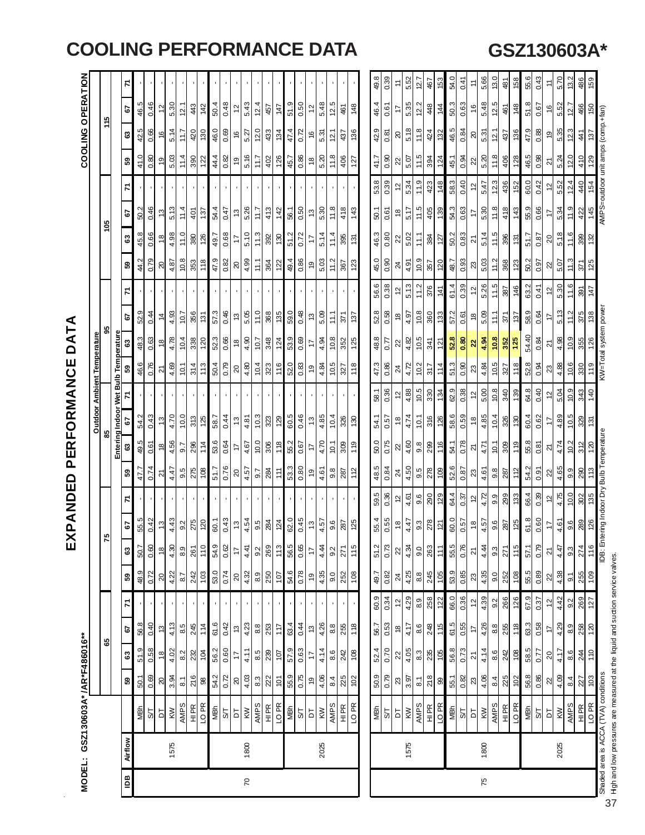|                        |                | MODEL: GSZ130603A*/AR*F486016**           |                  |                   |               |               |                   | Ш                       | <b>XPANDED</b>         |                          |                   |                                           |                             | PERFORMANCE    |                 | DATA                          |                            |                |                    |                              |                             |                                    |               |                                          | <b>COOLING OPERATION</b> |  |
|------------------------|----------------|-------------------------------------------|------------------|-------------------|---------------|---------------|-------------------|-------------------------|------------------------|--------------------------|-------------------|-------------------------------------------|-----------------------------|----------------|-----------------|-------------------------------|----------------------------|----------------|--------------------|------------------------------|-----------------------------|------------------------------------|---------------|------------------------------------------|--------------------------|--|
|                        |                |                                           |                  |                   |               |               |                   |                         |                        |                          |                   |                                           | Outdoor Ambient Temperature |                |                 |                               |                            |                |                    |                              |                             |                                    |               |                                          |                          |  |
|                        |                |                                           |                  |                   | ಟಿ            |               |                   |                         | 75                     |                          |                   | జ                                         |                             |                |                 | S,                            |                            |                |                    | 105                          |                             |                                    |               | 115                                      |                          |  |
| êqi                    | <b>Airflow</b> |                                           | 8                | $\boldsymbol{63}$ | 5             | $\mathbf{r}$  | 8                 | 3                       | 57                     | 7                        | 59                | Entering Indoor Wet Bulb Temperature<br>ී | 57                          |                | ඝ               | ෂ                             | 5                          | $\overline{1}$ | 8                  | 2<br>3                       |                             | ္တ<br>Z                            |               | 57<br>ន                                  | 7                        |  |
|                        |                | MBh                                       | 50.1             | 51.9              | 56.8          |               | 48.9              | 50.7                    | 55.5                   |                          | 47.7              | 49.5                                      | 54.2                        |                | 46.6            | 48.3                          | 52.9                       |                | 44.2               | 45.8                         | 50.2                        | 41.0                               |               | 46.5<br>42.5                             |                          |  |
|                        |                | 21                                        | 0.69             | 0.58              | 0.40          |               | 0.72              | 0.60                    | 0.42                   |                          | 0.74              | 0.61                                      | 0.43                        |                | 0.76            | 0.63                          | 0.44                       |                | 0.79               | 0.66                         | 0.46                        | 0.80                               | 0.66          | 0.46                                     |                          |  |
|                        |                | $\overline{\mathsf{b}}$                   | $\approx$        | $\frac{8}{18}$    | $\frac{3}{2}$ |               | $\approx$         | $\frac{8}{2}$           | $\frac{3}{2}$          |                          | $\approx$         | $\frac{8}{2}$                             | 13                          |                | ম               | $\frac{8}{2}$                 | $\frac{4}{3}$              |                | $\approx$          | $\frac{8}{18}$               | $\frac{3}{2}$               | $\frac{1}{2}$                      | $\frac{6}{2}$ | $\frac{2}{3}$                            |                          |  |
|                        | 1575           | $\lessgtr$                                | 3.94             | 4.02              | 4.13          |               | 4.22              | 4.30                    | 4.43                   |                          | 4.47              | 4.56                                      | 4.70                        |                | 4.69            | 4.78                          | 4.93                       |                | 4.87               | 4.98                         | 5.13                        | 5.03                               |               | 5.30<br>5.14                             |                          |  |
|                        |                | <b>AMPS</b>                               | 8.1              | 8.2               | 8.5           |               | 8.7               | 8.9                     | 9.2                    |                          | 9.5               | 9.7                                       | 10.0                        |                | 10.1            | 10.4                          | 10.7                       |                | 10.8               | 11.0                         | 11.4                        | 11.4                               | 11.7          | 12.1                                     |                          |  |
|                        |                | HI PR                                     | 216              | 232               | 245           |               | 242               | 261                     | 275                    |                          | 275               | 296                                       | 313                         |                | 314             | 338                           | 356                        |                | 353                | 401<br>380                   |                             | 390                                | 420           | 443                                      |                          |  |
|                        |                | LO PR                                     | $_{\rm 8}$       | 104               | 114           |               | 103               | 110                     | 120                    |                          | 108               | 114                                       | 125                         |                | 113             | 120                           | 131                        |                | 118                | 126                          | 137                         | 122                                |               | 142<br>130                               |                          |  |
|                        |                | MBh                                       | 54.2             | 56.2              | 61.6          |               | 53.0              | 54.9                    | 60.1                   |                          | 51.7              | 53.6                                      | 58.7                        |                | 50.4            | 52.3                          | 57.3                       |                | 47.9               | 49.7                         | 54.4                        | 44.4                               |               | 50.4<br>46.0                             |                          |  |
|                        |                | $\omega$                                  | 0.72             | 0.60              | 0.42          |               | 0.74              | 0.62                    | 0.43                   |                          | 0.76              | 0.64                                      | 0.44                        |                | 0.79            | 0.66                          | 0.46                       |                | 0.82               | 0.68                         | 0.47                        | $\frac{82}{ }$                     |               | 0.48<br>0.69                             |                          |  |
|                        |                | $\overline{\mathsf{d}}$                   | $\infty$         | $\overline{1}$    | 13            |               | $\infty$          | 17                      | $\frac{3}{2}$          |                          | 20                | $\overline{1}$                            | $\frac{3}{2}$               |                | $_{\rm 20}$     | $\overset{\circ}{\mathbf{2}}$ | $\tilde{c}$                |                | $\infty$           | 17                           | $\tilde{\mathbf{c}}$        | $\overline{9}$                     |               | $\frac{2}{3}$<br>$\overline{\mathbf{e}}$ |                          |  |
| $\boldsymbol{\varphi}$ | 1800           | <b>KW</b>                                 | 4.03             | 4.11              | 4.23          |               | 4.32              | 4.41                    | 4.54                   |                          | 4.57              | 4.67                                      | 4.81                        |                | 4.80            | 4.90                          | 5.05                       |                | 66'v               | 5.10                         | 5.26                        | 5.16                               | 5.27          | 5.43                                     |                          |  |
|                        |                | <b>AMPS</b>                               | $8.\overline{3}$ | 8.5               | 8.8           |               | 8.9               | 9.2                     | 9.5                    |                          | 9.7               | 10.0                                      | 10.3                        |                | 10.4            | 70.7                          | 11.0                       |                | 11, 1              | 11.3                         | 717                         | 717                                |               | 12.4<br>12.0                             |                          |  |
|                        |                | HI PR                                     | 222              | 239               | 253           |               | 250               | 269                     | 284                    |                          | 284               | 306                                       | 323                         |                | 323             | 348                           | 368                        |                | 364                | 392                          | 413                         | 402                                |               | 457<br>433                               |                          |  |
|                        |                | LO PR                                     | 101              | 107               | 117           |               | 107               | 113                     | 124                    |                          | $\ddot{ }$        | 118                                       | 129                         |                | 116             | 124                           | 135                        |                | 122                | 130                          | 142                         | 126                                |               | 147<br>134                               |                          |  |
|                        |                | MBh                                       | 55.9             | 57.9              | 63.4          |               | 54.6              | 56.5                    | 62.0                   |                          | 53.3              | 55.2                                      | 60.5                        |                | 52.0            | 53.9                          | 59.0                       |                | 49.4               | 51.2                         | 56.1                        | 45.7                               |               | 51.9<br>47.4                             |                          |  |
|                        |                | 5 <sub>7</sub>                            | 0.75             | 0.63              | 0.44          |               | 0.78              | 0.65                    | 0.45                   |                          | 0.80              | 0.67                                      | 0.46                        |                | 0.83            | 0.69                          | 0.48                       |                | 0.86               | 0.72                         | 0.50                        | 0.86                               |               | 0.50<br>0.72                             |                          |  |
|                        |                | ЪT                                        | <b>0</b>         | $\overline{1}$    | 13            |               | <b>0</b>          | 17                      | $\frac{3}{2}$          |                          | $\frac{6}{1}$     | 17                                        | $\frac{3}{2}$               |                | é,              | 17                            | $\mathfrak{S}$             |                | $\mathbf{\hat{a}}$ | 17                           | مبر<br>3                    | $\overset{\circ}{\approx}$         | 9             | $\frac{1}{2}$                            |                          |  |
|                        | 2025           | $\lessgtr$                                | 4.06             | 4.14              | 4.26          |               | 4.35              | 4.44                    | 4.57                   |                          | 4.61              | 4.70                                      | 4.85                        |                | 4.84            | 4.94                          | 5.09                       |                | 5.03               | 5.14                         | 5.30                        | 5.20                               | 5.31          | 5.48                                     |                          |  |
|                        |                | AMPS                                      | 8.4              | 8.6               | 8.8           |               | 9.0               | 9.2                     | 9.6                    |                          | 9.8               | 10.1                                      | 10.4                        |                | 10.5            | 10.8                          | 11.1                       |                | 11.2               | 11.4                         | 11.8                        | 11.8                               |               | 12.5<br>12.1                             |                          |  |
|                        |                | HI <sub>PR</sub>                          | 225              | 242               | 255           |               | $\frac{252}{108}$ | 271                     | 287                    |                          | 287               | 309                                       | 326                         |                | 327             | $\frac{352}{125}$             | 371                        |                | 367                | 395                          | 418                         | 406                                | 437           | 461                                      |                          |  |
|                        |                | LO PR                                     | 102              | 108               | 118           |               |                   | 115                     | 125                    |                          | 112               | 119                                       | $\overline{30}$             |                | $118$           |                               | 137                        |                | 123                | $\overline{131}$             | 143                         | 127                                |               | 148<br>136                               |                          |  |
|                        |                |                                           |                  |                   |               |               |                   |                         |                        |                          |                   |                                           |                             |                |                 |                               |                            |                |                    |                              |                             |                                    |               |                                          |                          |  |
|                        |                | МВh                                       | 50.9             | 52.4              | 56.7          | 60.9          | 49.7              | 51.2                    | 55.4                   | 59.5                     | 48.5              | 50.0                                      | 54.1                        | 58.1           | 47.3            | 48.8                          | 52.8                       | 56.6           | 45.0               | 46.3                         | 50.1                        | 41.7<br>53.8                       |               | 46.4<br>42.9                             | 49.8                     |  |
|                        |                | $5\overline{6}$                           | 0.79             | 0.70              | 0.53          | 0.34          | 0.82              | 0.73                    | 0.55                   | 0.36                     | 0.84              | 0.75                                      | 0.57                        | 0.36           | 0.86            | 0.77                          | 0.58                       | 0.38           | 0.90               | 0.61<br>0.80                 |                             | 0.90<br>0.39                       | 0.81          | 0.61                                     | 0.39                     |  |
|                        |                | $\overline{\mathsf{D}}$                   | $23$             | 22                | $\frac{8}{3}$ | $\frac{2}{3}$ | $\overline{24}$   | $\overline{\mathbf{2}}$ | $\frac{8}{3}$          | $\overline{\mathcal{L}}$ | 24                | $\approx$                                 | $\overset{\circ}{\tau}$     | 57             | $\overline{24}$ | $\approx$                     | $\overset{\circ}{\approx}$ | 12             | $\overline{24}$    | 22                           | $\frac{8}{3}$               | $\approx$<br>5                     | $\infty$      | 17                                       | Ξ                        |  |
|                        | 1575           | $\lessgtr$                                | 3.97             | 4.05              | 4.17          | 429           | 4.25              | 4.34                    | 4.47                   | 4.61                     | 4.50              | 4.60                                      | 4.74                        | 4.88           | 4.72            | 4.82                          | 4.97                       | 5.13           | 4.91               | 5.02                         | 5.17                        | 5.07<br>5.34                       |               | 5.35<br>5.18                             | 5.52                     |  |
|                        |                | AMPS                                      | $\overline{8}$ . | 8.3               | 8.6           | 8.9           | 8.8               | 0.6                     | 9.3                    | 9.6                      | 9.5               | $9.\overline{8}$                          | 10.1                        | 10.5           | 10.2            | 10.5                          | 10.8                       | 11.2           | 10.9               | 11.1                         | 11.5                        | 11.5<br>11.9                       |               | 12.2<br>11.8                             | 12.7                     |  |
|                        |                | HI <sub>PR</sub>                          | 218              | 235               | 248           | 258           | 245               | 263                     | 278                    | 290                      | 278               | 299                                       | 316                         | 330            | 317             | 341                           | 360                        | 376            | 357                | 384                          | 405                         | 394<br>423                         |               | 448<br>424                               | 467                      |  |
|                        |                | LO <sub>PR</sub>                          | 99               | 105               | 115           | 122           | 105               | 111                     | 121                    | 129                      | 109               | 116                                       | 126                         | 134            | 114             | $\frac{5}{2}$                 | 133                        | 141            | 120                | $\overline{27}$              | 139                         | 124<br>148                         |               | 144<br>132                               | 153                      |  |
|                        |                | MBh                                       | 55.1<br>0.82     | 56.8<br>0.73      | 61.5          | 66.0<br>0.36  | 53.9<br>0.85      | 55.5                    | 60.0                   | 64.4                     | 52.6<br>0.87      | 0.78<br>54.1                              | 58.6                        | 62.9<br>0.38   | 51.3<br>0.90    | 52.8                          | 57.2                       | 61.4           | 48.7               | 50.2                         | 54.3                        | 45.1<br>583<br>0.40                | 0.84          | 50.3<br>46.5                             | 54.0<br>0.41             |  |
|                        |                | S <sub>T</sub><br>$\overline{\mathsf{D}}$ | $\mathbf{z}$     | $\overline{21}$   | 0.55<br>17    | $\frac{2}{3}$ | $\mathbb{Z}^3$    | 0.76<br><u>ম</u>        | 0.57<br>$\frac{8}{10}$ | 0.37<br>12               | 23                | $\overline{21}$                           | 0.59<br>$\frac{8}{16}$      | $\overline{2}$ | 23              | 0.80<br>$\overline{2}$        | 0.61<br>$\frac{8}{2}$      | 0.39<br>12     | 0.93<br>23         | 4<br>0.83<br>$\overline{21}$ | 0.63                        | 0.94<br>$\approx$<br>$\frac{1}{2}$ | 20            | 0.63<br>$\frac{6}{5}$                    | Ξ                        |  |
| 75                     | 1800           | $\lessgtr$                                | 4.06             | 4.14              | 4.26          | 4.39          | 4.35              | 4.44                    | 4.57                   | 4.72                     | 4.61              | 4.71                                      | 4.85                        | 5.00           | 4.84            | 4.94                          | 5.09                       | 5.26           | 5.03               | 5.14                         | 5.30                        | 5.20<br>5.47                       | 5.31          | 5.48                                     | 5.66                     |  |
|                        |                | <b>AMPS</b>                               | 8.4              | 8.6               | 8.8           | 9.2           | 9.0               | 9.3                     | 9.6                    | 9.9                      | 9.8               | 10.1                                      | 10.4                        | 10.8           | 10.5            | 10.8                          | 11.1                       | 11.5           | 11.2               | 11.5                         | 11.8                        | 11.8<br>12.3                       | 12.1          | 12.5                                     | 13.0                     |  |
|                        |                | HI <sub>PR</sub>                          | 225              | 242               | 255           | 266           | 252               | 271                     | 287                    | 299                      | 287               | 309                                       | 326                         | 340            | 327             | 352                           | 371                        | 387            | 368                | 396                          | 418                         | 406<br>436                         | 437           | 461                                      | 481                      |  |
|                        |                | LO PR                                     | 102              | 108               | 118           | 126           | 108               | 115                     | 125                    | 133                      | 112               | 119                                       | 130                         | 139            | 118             | 125                           | 137                        | 146            | 123                | 131                          | 143                         | 128<br>152                         |               | 148<br>136                               | 158                      |  |
|                        |                | MBh                                       | 56.8             | 58.5              | 63.3          | 67.9          | 55.5              | 57.1                    | 61.8                   | 66.4                     | 54.2              | 55.8                                      | 60.4                        | 64.8           | 52.8            | 54.40                         | 58.9                       | 63.2           | 50.2               | 51.7                         | 55.9                        | 46.5<br>60.0                       | 47.9          | 51.8                                     | 55.6                     |  |
|                        |                | S <sub>T</sub>                            | 0.86             | 0.77              | 0.58          | 0.37          | 0.89              | 0.79                    | 0.60                   | 0.39                     | 0.91              | 0.81                                      | 0.62                        | 0.40           | 0.94            | 0.84                          | 0.64                       | 0.41           | 0.97               | 0.87                         | 0.66                        | 0.98<br>0.42                       | 0.88          | 0.67                                     | 0.43                     |  |
|                        |                | $\overline{\mathsf{D}}$                   | $\overline{2}$   | 20                | $\ddot{ }$    | $\frac{1}{2}$ | $\mathbf{z}$      | $\overline{z}$          |                        | $\frac{2}{3}$            | 22                | $\overline{z}$                            |                             | $\frac{2}{3}$  | $\mathbb{Z}^3$  | 7                             |                            |                | 2                  | 4<br>20                      |                             | 2                                  |               | $\frac{6}{5}$<br>္                       | Ξ                        |  |
|                        | 2025           | KW                                        | 4.09             | 4.17              | 4.29          | 4.42          | 4.38              | 4.47                    | 4.61                   | 4.75                     | 4.65              | 4.74                                      | 4.89                        | 5.04           | 4.88            | 4.98                          | 5.13                       | 5.30           | 5.07               | 5.34<br>5.18                 |                             | 5.24<br>5.52                       | 5.35          | 5.52                                     | 5.70                     |  |
|                        |                | <b>AMPS</b>                               | 8.4              | 8.6               | 8.9           | 9.2           | 9.1               | 9.3                     | 9.6                    | 10.0                     | 9.9               | 10 <sub>2</sub>                           | 10.5                        | 10.9           | 10.6            | 0.9                           | 11.2                       |                | 11.3               | 11.6                         | 11.9                        | 12.0<br>12.4                       |               | 12.7<br>12.3                             | 13.2                     |  |
|                        |                | HIPR<br>LO PR                             | 227              | 244               | 258           | 269           | $255$<br>109      | 274                     | 289                    | 302                      | 290               | 312                                       | $\frac{22}{3}$              | 343            | 330             | $\frac{355}{126}$             | 375                        | 391            | 371                | 399                          | 422                         | 410<br>40                          | 441           | 466                                      | 486                      |  |
|                        |                |                                           | 103              | 110               | 120           | 127           |                   | 116                     | 126                    | 135                      | 113               | 120                                       |                             | 140            | 119             |                               | 138                        | 147            | 125                | 132                          | 145                         | 129<br>154                         | 137           | 150                                      | 159                      |  |
|                        |                | Shaded area is ACCA (TVA) conditions      |                  |                   |               |               |                   | iDB: Er                 |                        | oor Dry                  | Bulb <sub>T</sub> | perat                                     |                             |                | KW=Total        | syst                          | powe                       |                |                    |                              | outdoo<br>AMP <sub>S=</sub> | nit arr                            | corr          | $+tan)$                                  |                          |  |

**COOLING PERFORMANCE DATA GSZ130603A\***

(2)<br>→ High and low pressures are measured at the liquid and suction service valves. High and low pressures are measured at the liquid and suction service valves.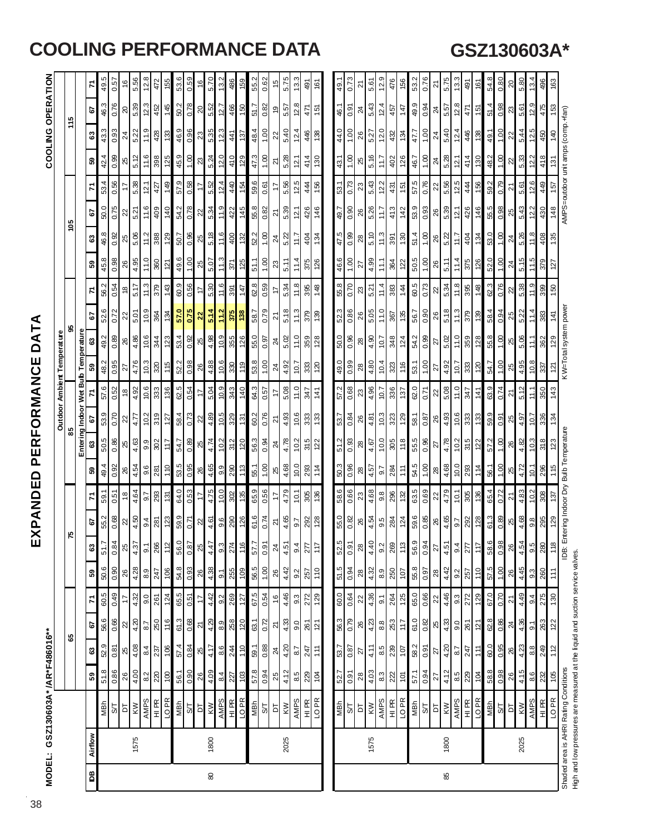|                    |         | MODEL: GSZ130603A* /AR*F486016**      |                   |                  |                          |                   |                     |                                                                  |                     |                  |                 | <b>EXPANDED PERFORMANCE</b> |                     |                            |                             | DATA                        |                            |               |                 |                |                |                 | <b>COOLING OPERATION</b> |                 |                          |
|--------------------|---------|---------------------------------------|-------------------|------------------|--------------------------|-------------------|---------------------|------------------------------------------------------------------|---------------------|------------------|-----------------|-----------------------------|---------------------|----------------------------|-----------------------------|-----------------------------|----------------------------|---------------|-----------------|----------------|----------------|-----------------|--------------------------|-----------------|--------------------------|
|                    |         |                                       |                   |                  |                          |                   |                     |                                                                  |                     |                  |                 |                             |                     |                            | Outdoor Ambient Temperature |                             |                            |               |                 |                |                |                 |                          |                 |                          |
|                    |         |                                       |                   |                  | 5                        |                   |                     |                                                                  | ĸ                   |                  |                 | 85                          |                     |                            | <b>Bulb Temperature</b>     | S                           |                            |               |                 | $\frac{5}{2}$  |                |                 | 115                      |                 |                          |
| 8                  | Airflow |                                       | 59                | <b>ය</b>         | 5                        | $\mathbf{r}$      | 59                  | ິ                                                                | 5                   | $\overline{1}$   | និ              | Entering Indoor Wet<br>ෂ    | c                   |                            | 53                          | 5<br>ෂ                      | Z                          | 59            | ෂ               | 5              | $\overline{z}$ | 8               | 63                       | 2               | Z                        |
|                    |         | MBh                                   | 51.8              | 52.9             | 56.6                     | 60.5              | 50.6                | $\overline{ }$<br>51.                                            |                     | 59.1             | 49.4            | 50.5                        |                     | 57.6                       | 48.2                        | 52.6<br>49.2                | 56.2                       | 45.8          | 46.8            | 50.0           | 53.4           | 42.4            | 43.3                     | 46.3            | 49.5                     |
|                    |         | $\frac{6}{5}$                         | 0.86              | 0.81             | 0.66                     | $\frac{49}{0.49}$ | $\frac{0.90}{0.50}$ | 4<br>$\frac{8}{2}$                                               | $\frac{55.2}{0.68}$ | 0.51             | 0.92            | 0.86                        | $\frac{53.9}{0.70}$ | 0.52                       | <b>GG</b> <sup>0</sup>      | 0.72<br>0.89                | 0.54                       | 0.98          | 0.92            | $\frac{6}{10}$ | 0.56           | 0.99            | 0.93                     | 0.76            | 0.57                     |
|                    |         | $\Xi$                                 | 26                | 25               | $22\,$                   | $\overline{1}$    | 26                  | 25                                                               | $\approx$           | $\frac{8}{1}$    | 26              | 25                          | $\approx$           | $\frac{8}{3}$              | 27                          | 22<br>$\frac{8}{2}$         | $\frac{8}{2}$              | 26            | 25              | ଥ              |                | 25              | 24                       | $\mathsf{S}^0$  | 16                       |
|                    | 1575    | <b>KW</b>                             | 4.00              | 4.08             | 4.20                     | 4.32              | 4.28                | 4.37                                                             | 4.50                | 4.64             | 4.54            | 4.63                        | 4.77                | 4.92                       | 4.76                        | 5.01<br>4.86                | 5.17                       | 4.95          | 5.06            | 5.21           | 5.38           | 5.12            | 5.22                     | 5.39            | 5.56                     |
|                    |         | AMPS<br>HI PR                         | $\frac{8.2}{220}$ | 8.4              | 8.7                      | 9.0               | $\frac{3}{8}$       | $\overline{9}$                                                   | 94                  | 67               | 9.6             | 9.9                         | 10.2                | 10.6                       | 10.3                        | 10.9<br>10.6                | 11.3                       | 11.0          | 112             | 11.6           | 12.1           | 11.6            | 11.9                     | 12.3            | 12.8                     |
|                    |         |                                       |                   | 787              | 250                      | 261               | 247                 | 266                                                              |                     | 293              | 281             | 302                         | 319                 | 333                        | 320                         | 364<br>344                  | 379                        | 360           | 388             | 409            | 427            | 398             | 428                      | 452             | 472                      |
|                    |         | LO <sub>PR</sub>                      | 100               | 106              | 116                      | 124               | 106                 | 112                                                              | 123                 | $\overline{3}$   | 110             | 117                         | 127                 | 136                        | 115                         | 134<br>123                  | 143                        | 121           | 129             | 140            | 149            | 125             | 133                      | 145             | 155                      |
|                    |         | MBh                                   | 56.1              | 57.4             | 61.3                     | 65.5              | 54.8                | $\circ$<br>56.                                                   | 59.9                | 64.0             | 53.5            | 54.7                        | 58.4                | 62.5                       | 52.2                        | 57.0<br>53.4                | 60.9                       | 49.6          | 50.7            | 54.2           | 57.9           | 45.9            | 46.9                     | 50.2            | 53.6                     |
|                    |         | 5 <sub>1</sub>                        | 0.90              | 0.84             | 0.68                     | 0.51              | 0.93                | 0.8                                                              | 0.71                | 0.53             | 0.95            | 0.89                        | 0.73                | 0.54                       | 0.98                        | 0.75<br>0.92                | 0.56                       | 1.00          | 0.96            | 0.78           | 0.58           | 1.00            | 0.96                     | 0.78            | 0.59                     |
|                    |         | $\overline{\mathsf{d}}$               | 26                | 25               | $\overline{\mathcal{Z}}$ | $\overline{1}$    | 26                  | Ñ                                                                | $\overline{2}$      |                  | 26              | 25                          | ଧ                   |                            | 26                          | $\overline{2}$<br>25        | 17                         | 25            | 25              | $\mathbf{z}$   |                | 23              | 23                       | 20              | $\frac{6}{5}$            |
| $\pmb{\mathbb{S}}$ | 1800    | KW                                    | 4.09              | 4.17             | 4.29                     | 4.42              | 4.38                | 44                                                               | 4.61                | 4.75             | 4.65            | 4.74                        | 4.89                | 5.04                       | 4.88                        | 5.14<br>4.98                | 5.30                       | 5.07          | 5.18            | 5.34           | 5.52           | 5.24            | 5.35                     | 5.52            | 5.70                     |
|                    |         | <b>AMPS</b>                           | 8.4               | 8.6              | 8.9                      | 9.2               | 9.1                 | တဲ                                                               | 9.6                 | 10.0             | 9.9             | 10.2                        | 10.5                | 10.9                       | 10.6                        | 11.2<br>10.9                | 11.6                       | 11.3          | 11.6            | 11.9           | 12.4           | 12.0            | 12.3                     | 12.7            | 13.2                     |
|                    |         | HI PR                                 | 227               | 244              | 258                      | 269               | 255                 | 4<br>$\overline{z}$                                              | 290                 | 302              | 290             | 312                         | 329                 | 343                        | 330                         | 375<br>355                  | 391                        | 371           | 400             | 422            | 440            | 410             | 41                       | 466             | 486                      |
|                    |         | LO <sub>PR</sub>                      | $\overline{103}$  | 110              | 120                      | 127               | 109                 | Ξ                                                                | 126                 | 135              | 113             | 120                         | 131                 | 140                        | 119                         | 138<br>126                  | 147                        | 125           | 132             | 145            | Ŗ              | 129             | 137                      | 150             | 159                      |
|                    |         | MBh                                   | 57.8              | 59.1             | 63.1                     | 67.5              | 56.5                | 57                                                               | 61.6                | 65.9             | 55.1            | 56.3                        | 60.2                | 64.3                       | 53.8                        | 58.7<br>55.0                | 62.8                       | 51.1          | 52.2            | 55.8           | 59.6           | 47.3            | 48.4                     | 51.7            | 55.2                     |
|                    |         | S <sub>T</sub>                        | 0.94              | 0.88             | 0.72                     | 0.54              | 1.00                | 0.91                                                             | 0.74                | 0.56             | 0.70            | 0.94                        | 0.76                | 0.57                       | 0.97<br>1.00                | 0.79                        | 0.59                       | 1,00          | 1.00            | 0.82           | 0.61           | 0.70            | 00 <sub>1</sub>          | 0.82            | 0.62                     |
|                    |         | <b>PL</b>                             | 25                | $\overline{24}$  | $\overline{z}$           | $\frac{6}{5}$     | 26                  | $\approx$                                                        | 21                  |                  | 25              | 24                          | 7                   |                            | 24                          | $\overline{2}$<br>$\approx$ |                            | 23            | $\overline{24}$ | 2              |                | 21              | 22                       | $\overline{5}$  | $\frac{6}{1}$            |
|                    | 2025    | KW                                    | 4.12              | 4.20             | 4.33                     | 4.46              | 4.42                | 4.51                                                             | 4.65                | 4.79             | 4.68            | 4.78                        | 4.93                | 5.08                       | 4.92                        | 5.18<br>5.02                | 5.34                       | 5.11          | 5.22            | 5.39           | 5.56           | 5.28            | 5.40                     | 5.57            | 5.75                     |
|                    |         | <b>AMPS</b>                           | 8.5               | 8.7              | 9.0                      | 9.3               | 92                  | 9.4                                                              | 9.7                 | 10.1             | 10.0            | 10.2                        | 10.6                | 11.0                       | 10.7                        | 11.3<br>11.0                | 11.8                       | 11.4          | $\frac{7}{11}$  | 12.1           | 12.5           | 12.1            | 12.4                     | 12.8            | 13.3                     |
|                    |         | HI PR                                 |                   | 247              | 261                      |                   |                     | $\mathbb{Z}$                                                     |                     | 305              | 293             | 315                         | 333                 | 347                        | 333                         | 379<br>359                  | 395                        | 375           | 404             | 426            |                | 414             | 446                      | 471             | 491                      |
|                    |         | LO PR                                 | $\frac{229}{104}$ | 111              | 121                      | 272               | 257                 | Ë                                                                | 292                 | 136              | 114             | 122                         | 133                 | 141                        | 120                         | 139<br>128                  | 148                        | 126           | 134             | 146            | 444            | 130             | 138                      | 151             | 161                      |
|                    |         |                                       |                   |                  |                          |                   |                     |                                                                  |                     |                  |                 |                             |                     |                            |                             |                             |                            |               |                 |                |                |                 |                          |                 |                          |
|                    |         | NBh                                   | 52.7              | 53.7             | 56.3                     | 60.0              | 51.5                | rÙ.<br>52                                                        | 55.0                | 58.6             | 503<br>8        | 51.2                        | 53.7                | 57.2                       | 49.0                        | 523<br>50.0                 | 55.8                       | 46.6          | 47.5            | 49.7           | 53.1           | 43.1            | 44.0                     | 46.1            | 49.1                     |
|                    |         | S <sub>T</sub>                        | 0.91              | 0.87             | 0.79                     | 0.64              | 0.94                | 0.91                                                             | 0.82                | 0.66             | 0.96            | 0.93                        | 0.84                | 0.68                       | 0.99                        | 0.86<br>0.96                | 0.70                       | 1.00          | 0.99            | 0.90           | 0.73           | 1.00            | 001                      | 0.91            | 0.73                     |
|                    |         | $\overline{\mathbf{p}}$               | $28$              | 27               | $\frac{8}{2}$            | 22                | 28                  | $\frac{8}{2}$                                                    | $26\,$              | 23               | 28              |                             | 8                   | $\boldsymbol{\mathcal{Z}}$ | 28                          |                             | ಔ                          |               |                 |                |                | 25              | 26                       | $\overline{a}$  | <u>ត</u>                 |
|                    | 1575    | KW                                    | 4.03              | 4.11             | 4.23                     | 4.36              | 4.32                | 4.40                                                             | 4.54                | 4.68             | 4.57            | 4.67                        | 4.81                | 4.96                       | 4.80                        | 5.05<br>4.90                | 5.21                       | 4.99          | 5.10            | 5.26           | 5.43           | 5.16            | 5.27                     | 5.43            | 5.61                     |
|                    |         | AMPS                                  | 8.3               | 8.5              | 8.8                      | 9.1               | 8.9                 | 9.2                                                              | 9.5                 | 9.8              | 9.7             | 10.0                        | 10.3                | 10.7                       | 10.4                        | 11.0<br>10.7                | 11.4                       | 11.1          | 11.3            | 7:7            | 12.2           | 71.7            | 12.0                     | 12.4            | 12.9                     |
|                    |         | HIPR<br>LOPR                          | $\frac{222}{101}$ | $\frac{23}{107}$ | 253                      | $\frac{264}{125}$ | $\frac{250}{107}$   | $\frac{269}{113}$                                                | $\frac{284}{124}$   | 296              | 284             | 305                         | $\frac{323}{129}$   | 336                        | 323                         | 367<br>348                  | 383                        | 364           | 391             | 413            | 431            | 402             | 432                      | 457             | 476                      |
|                    |         |                                       |                   |                  | 717                      |                   |                     |                                                                  |                     | 132              | $\frac{1}{1}$   | 118                         |                     | 137                        | 116                         | 135<br>124                  | 144                        | 122           | 130             | 142            | 151            | 126             | 134                      | 147             | 156                      |
|                    |         | MBh                                   | 57.1              | 58.2             | 61.0                     | 65.0              | 55.8                | 56.                                                              | 59.6                | 63.5             | 54.5            | 55.5                        | 58.1                | 62.0                       | 53.1                        | 56.7<br>54.2                | 60.5                       | 50.5          | 51.4            | 53.9           | 57.5           | 46.7            | 47.7                     | 49.9            | 53.2                     |
|                    |         | $\mathsf{S}\mathsf{T}$                | 0.94              | 0.91             | 0.82                     | 0.66              | 0.97                | $\begin{array}{ c c } \hline 56.9 \\ 0.94 \\ \hline \end{array}$ | 0.85                | 0.69             | 1.00            | 0.96                        | 0.87                | 0.71                       | 1.00                        | 0.90<br>0.99                | 0.73                       | 1.00          | 1.00            | 0.93           | 0.76           | 1.00            | 1.00                     | 0.94            | 0.76                     |
|                    |         | $\overline{p}$                        | 27                | $27\,$           | 25                       | 22                | 28                  | $\overline{z}$                                                   | $26\,$              | 22               | 28              | 27                          | 26                  | 22                         | 27                          | 26<br>$\overline{z}$        | $\boldsymbol{\mathcal{Z}}$ | 26            | 26              | 26             | 22             | $\overline{24}$ | 24                       | $\overline{24}$ | $\overline{2}$           |
| 85                 | 1800    | KW                                    | 4.12              | 4.20             | 4.33                     | 4.46              | 4.42                | 4.51                                                             | 4.65                | 4.79             | 4.68            | 4.78                        | 4.93                | 5.08                       | 4.92                        | 5.18<br>5.02                | 5.34                       | 5.11          | 5.22            | 5.39           | 5.56           | 5.28            | 5.40                     | 5.57            | 5.75                     |
|                    |         | AMPS                                  | 8.5               | 8.7              | 0.6                      | 9.3               | 92                  | 9.4                                                              | 67                  | 10.1             | 10.0            | 10.2                        | 10.6                | 11.0                       | 10.7                        | 11.3<br>11.0                | 11.8                       | 11.4          | 117             | 12.1           | 12.5           | 12.1            | 12.4                     | 12.8            | 13.3                     |
|                    |         | HI PR                                 | 229               | 747              | 261                      | 272               | 257                 | 27                                                               | 292                 | 305              | 293             | 315                         | 333                 | 247                        | 333                         | 379<br>359                  | 395                        | 375           | 404             | 426            | 444            | 414             | 446                      | 471             | 491                      |
|                    |         | IOPR<br>S                             | 104               | 111              | 121                      | 129               | 110                 | Ξ                                                                | 128                 | 136              | 114             | 122                         | 133                 | 141                        | 120                         | 139<br>128                  | 148                        | 126           | 134             | 146            | 156            | 130             | 138                      | 151             | 161                      |
|                    |         | MBh                                   | 58.8              | 60.0             | 62.8                     | 67.0              | 57.5                | 6<br>58.                                                         | 61.3                | 65.4             | 56.1            | 57.2                        | 59.9                | 63.9                       | 54.7                        | 58.4<br>55.8                | 62.3                       | 52.0          | 53.0            | 55.5           | 59.2           | 48.2            | 49.1                     | 51.4            | 54.8                     |
|                    |         | S <sub>T</sub>                        | 0.98              | 0.95             | 0.86                     | 0.70              | 1.00                | ∞<br>ိ                                                           | 0.89                | 0.72             | $\frac{8}{100}$ | 0.1                         | 0.91                | 0.74                       | 1.00                        | 0.94<br>1.00                | 0.76                       | 1.00          | 1.00            | 0.98           | 0.79           | 1.00            | 1.00                     | 0.98            | 0.80                     |
|                    |         | đ                                     | 26                | $\frac{8}{2}$    | $\overline{\mathcal{A}}$ | $\overline{2}$    | 26                  | $\bar{\mathsf{N}}$                                               | 25                  | $\tilde{\Omega}$ | 25              | 26                          | 25                  | $\sim$                     | 25                          | 25<br>25                    | ର                          | $\frac{5}{4}$ | Z4              | 25             | $\tilde{\sim}$ | $\approx$       | 22                       | 23              | $\overline{\mathcal{S}}$ |
|                    | 2025    | KW                                    | 4.15              | 4.23             | 4.36                     | 4.49              | 4.45                | 4.54                                                             | 4.68                | 4.83             | 4.72            | 4.82                        | 4.97                | 5.12                       | 4.95                        | 522<br>5.06                 | 5.38                       | 5.15          | 5.26            | 5.43           | 5.61           | 5.33            | 5.44                     | 5.61            | 5.80                     |
|                    |         | <b>AMPS</b>                           | 8.6               | 8.8              | 9.1                      | 9.4               | 9.3                 |                                                                  | 9.8                 | ö.               | $\frac{1}{2}$   | 10.3                        | 10.7                | 11.                        | 10.8                        |                             | 11.9                       | Ξ,            | Ξ,              | 12.2           | 12.6           | 12.2            | 12.5                     | 12.9            | 13.4                     |
|                    |         | HI PR                                 | 232               | 249              | 263                      | 275               | 260                 | 9.5                                                              | 295                 | 308              | 296             | 318                         | 336                 | 350                        | 337                         | 383<br>362                  | $\frac{398}{150}$          | 379           | 408             | 430            | 449            | 418             | 450                      | 475             | 496                      |
|                    |         | LO PR                                 | 105               | 112              | 122                      | 08                | 111                 | Ë                                                                |                     | 137              |                 |                             | 134                 | 143                        | <u>ist</u>                  | 141                         |                            | 127           | 135             | 148            | $\overline{5}$ | $\frac{13}{1}$  | 140                      | 153             | 163                      |
|                    |         | Shaded area is AHRI Rating Conditions |                   |                  |                          |                   |                     | ë                                                                | Entering Indoor Dry |                  | Bulb Tei        | perature                    |                     |                            | KW=Total syste              | power                       |                            |               |                 | $MPS =$        | outdoor        | iit amp         | (comp.                   | +fan)           |                          |

**COOLING PERFORMANCE DATA GSZ130603A\***

High and low pressures are measured at the liquid and suction service valves.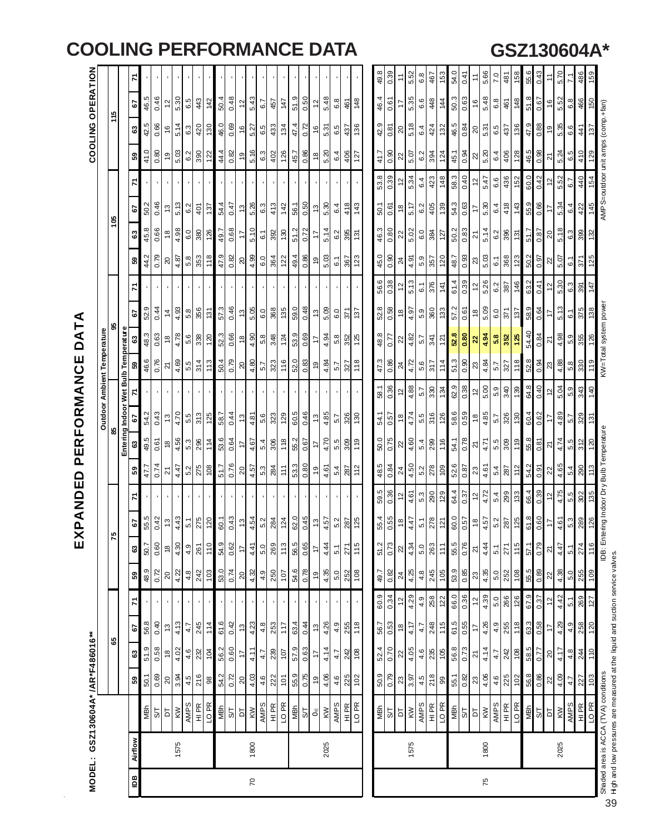|                                                                                                                                                                                                              |                                                                                                                                                                                                                                                                                                                     |                            |                 |               |                  |                          |                          |                                     |               |                           |                                    |                                                         |                           | <b>Outdoor Ambient Temperature</b> |                                |                  |                   |                 |                        |                |                |                  | COOLING OPERATION                      |
|--------------------------------------------------------------------------------------------------------------------------------------------------------------------------------------------------------------|---------------------------------------------------------------------------------------------------------------------------------------------------------------------------------------------------------------------------------------------------------------------------------------------------------------------|----------------------------|-----------------|---------------|------------------|--------------------------|--------------------------|-------------------------------------|---------------|---------------------------|------------------------------------|---------------------------------------------------------|---------------------------|------------------------------------|--------------------------------|------------------|-------------------|-----------------|------------------------|----------------|----------------|------------------|----------------------------------------|
|                                                                                                                                                                                                              |                                                                                                                                                                                                                                                                                                                     |                            |                 | 8             |                  |                          | 75                       |                                     |               |                           | 53                                 |                                                         |                           |                                    | 8                              |                  |                   | $\frac{105}{2}$ |                        |                |                | 115              |                                        |
|                                                                                                                                                                                                              |                                                                                                                                                                                                                                                                                                                     |                            |                 |               |                  |                          |                          |                                     |               |                           |                                    | Entering Indoor Wet                                     |                           | <b>Bulb Temperature</b>            |                                |                  |                   |                 |                        |                |                |                  |                                        |
| Airflow<br>$\overline{B}$                                                                                                                                                                                    |                                                                                                                                                                                                                                                                                                                     | ${\tt S}$                  | င့              | 5             | 7                | 8                        | ෂ                        | 5 <sup>7</sup>                      | 7             | 59                        | ෂ                                  | к<br>67                                                 | ${\tt S}$                 | යී                                 | 5                              | 71               | ${\tt S}$         | $\mathbb{S}^3$  | 5                      | 7              | 59             | $\mathbb{S}^3$   | ᡵ<br>67                                |
|                                                                                                                                                                                                              | MBh                                                                                                                                                                                                                                                                                                                 | 50.1                       | 51.9            | 56.8          |                  | 48.9                     | 50.7                     | 55.5                                |               |                           | \$                                 | 54.2                                                    | 46.6                      | 48.3                               | 52.9                           |                  | 44.2              | 5.8             | 50.2                   |                | 41.0           | 42.5             | 46.5                                   |
|                                                                                                                                                                                                              | <u>2</u>                                                                                                                                                                                                                                                                                                            | 0.69                       | 0.58            | 0.40          |                  | 0.72                     | 0.60                     | 0.42                                |               | 0.74                      | 0.61                               | 0.43                                                    | 0.76                      | 0.63                               | 0.44                           |                  | 0.79              | 0.66            | 0.46                   |                | 0.80           | 0.66             | 0.46                                   |
|                                                                                                                                                                                                              | $\overline{\mathsf{d}}$                                                                                                                                                                                                                                                                                             | $\overline{a}$             | $\frac{8}{1}$   | $\frac{3}{2}$ |                  | $\overline{a}$           | $\frac{8}{1}$            | 13                                  |               | $\overline{2}$            | $\overset{\circ}{\phantom{\circ}}$ | 13                                                      | $\overline{\mathbf{z}}$   | $\frac{8}{3}$                      | $\frac{4}{3}$                  |                  | $20\,$            | $\frac{8}{3}$   | $\tilde{\mathfrak{c}}$ |                | $\frac{6}{5}$  | $\frac{6}{5}$    | $\frac{2}{3}$                          |
| 1575                                                                                                                                                                                                         | KW                                                                                                                                                                                                                                                                                                                  | 3.94                       | 4.02            | 4.13          |                  | 4.22                     | 4.30                     | 4.43                                |               | 4.47                      | 4.56                               | 4.70                                                    | 4.69                      | 4.78                               | 4.93                           |                  | 4.87              | 4.98            | 5.13                   |                | 5.03           | 5.14             | 5.30                                   |
|                                                                                                                                                                                                              | <b>AMPS</b>                                                                                                                                                                                                                                                                                                         | 4.5                        | 4.6             | 4.7           |                  | 4.8                      | 4.9                      | $\overline{5}$ .                    |               | 5.2                       | 5.3                                | 5.5                                                     | 5.5                       | 5.6                                | 5.8                            |                  | $5.\overline{8}$  | 6.0             | 6.2                    |                | 6.2            | 6.3              | 6.5                                    |
|                                                                                                                                                                                                              | <b>HIPR</b>                                                                                                                                                                                                                                                                                                         | 216                        | 232             | 245           |                  | 242                      | 261                      | 275                                 |               | 275                       | 296                                | 313                                                     | 314                       | 338                                | 356                            |                  | 353               | 380             | 401                    |                | 390            | 420              | 443                                    |
|                                                                                                                                                                                                              | LO PR                                                                                                                                                                                                                                                                                                               | 8                          | 104             | 114           |                  | 103                      | 110                      | 120                                 |               | 108                       | 114                                | 125                                                     | 113                       | 120                                | 131                            |                  | 118               | 126             | 137                    |                | 122            | 130              | 142                                    |
|                                                                                                                                                                                                              | MBh                                                                                                                                                                                                                                                                                                                 | 54.2                       | 56.2            | 61.6          |                  | 53.0                     | 54.9                     | 60.1                                |               | 51.7                      | 53.6                               | 58.7                                                    | 50.4                      | 52.3                               | 57.3                           |                  | 47.9              | 49.7            | 54.4                   |                | 44.4           | 46.0             | 50.4                                   |
|                                                                                                                                                                                                              | $S$ T                                                                                                                                                                                                                                                                                                               | 0.72                       | 0.60            | 0.42          |                  | 0.74                     | 0.62                     | 0.43                                |               | 0.76                      | 0.64                               | 0.44                                                    | 0.79                      | 0.66                               | 0.46                           |                  | 0.82              | 0.68            | 0.47                   |                | 0.82           | 0.69             | 0.48                                   |
|                                                                                                                                                                                                              | <b>DT</b>                                                                                                                                                                                                                                                                                                           | $\approx$                  | $\overline{1}$  | 13            |                  | $\overline{\mathcal{S}}$ | 17                       | 13                                  |               | 20                        | 17                                 | $\frac{3}{2}$                                           | 20                        | $\frac{8}{2}$                      | $\frac{3}{2}$                  |                  | 20                | $\ddot{ }$      | 13                     |                | $\overline{1}$ | 16               | $\frac{2}{3}$                          |
| 1800<br>$\boldsymbol{\mathcal{R}}$                                                                                                                                                                           | KW                                                                                                                                                                                                                                                                                                                  | 4.03                       | 4.11            | 4.23          |                  | 4.32                     | 4.41                     | 4.54                                |               | 4.57                      | 4.67                               | 4.81                                                    | 4.80                      | 4.90                               | 5.05                           |                  | 4.99              | 5.10            | 5.26                   |                | 5.16           |                  | 5.43                                   |
|                                                                                                                                                                                                              |                                                                                                                                                                                                                                                                                                                     |                            |                 |               |                  |                          |                          |                                     |               | 5.3                       |                                    |                                                         |                           |                                    |                                |                  | 6.0               |                 |                        |                |                | $rac{5.27}{6.5}$ |                                        |
|                                                                                                                                                                                                              | <b>AMPS</b>                                                                                                                                                                                                                                                                                                         | 4.6                        | 4.7             | 4.8           |                  | 4.9                      | 5.0                      | 5.2                                 |               |                           | 5.4                                | 5.6                                                     | 5.7                       | 5.8                                | 6.0                            |                  |                   | 61              | 6.3                    |                | 6.3            |                  | 6.7                                    |
|                                                                                                                                                                                                              | $\frac{1}{2}$ $\frac{1}{2}$ $\frac{1}{2}$ $\frac{1}{2}$ $\frac{1}{2}$ $\frac{1}{2}$ $\frac{1}{2}$ $\frac{1}{2}$ $\frac{1}{2}$ $\frac{1}{2}$ $\frac{1}{2}$ $\frac{1}{2}$ $\frac{1}{2}$ $\frac{1}{2}$ $\frac{1}{2}$ $\frac{1}{2}$ $\frac{1}{2}$ $\frac{1}{2}$ $\frac{1}{2}$ $\frac{1}{2}$ $\frac{1}{2}$ $\frac{1}{2}$ | 222                        | 239             | 253           |                  | 250                      | 269                      | $\frac{284}{124}$                   |               | 284                       | 306                                | 323                                                     | 323                       | 348                                | 368                            |                  | 364               | 392             | 413                    |                | 402            | 433              | 457                                    |
|                                                                                                                                                                                                              |                                                                                                                                                                                                                                                                                                                     | 101                        | 107             | 117           |                  | 107                      | 113                      |                                     |               | $\widetilde{\mathcal{L}}$ | 118                                | 129                                                     | 116                       | 124                                | 135                            |                  | 122               |                 | 142                    |                | 126            | 134              | 147                                    |
|                                                                                                                                                                                                              | MBh                                                                                                                                                                                                                                                                                                                 | 55.9                       | 57.9            | 63.4          |                  | 54.6                     | 56.5                     | 62.0                                |               | 53.3                      | 55.2                               | 60.5                                                    | 52.0                      | 53.9                               | 59.0                           |                  |                   | 51.2            | 56.1                   |                | 45.7           | 47.4             | 51.9                                   |
|                                                                                                                                                                                                              | $5\frac{1}{2}$                                                                                                                                                                                                                                                                                                      | 0.75                       | 0.63            | 0.44          |                  | 0.78                     | 0.65                     | 0.45                                |               | 0.80                      | 0.67                               | 0.46                                                    | 0.83                      | 0.69                               | 0.48                           |                  | 49.4<br>0.86      | 0.72            | 0.50                   |                | 0.86           | 0.72             | 0.50                                   |
|                                                                                                                                                                                                              | $\sigma$                                                                                                                                                                                                                                                                                                            | <b>0</b>                   | $\overline{17}$ | 13            |                  | <b>0</b>                 | 17                       | 13                                  |               | $\overline{9}$            | 17                                 | 13                                                      | $\overline{9}$            | 17                                 | $\frac{3}{2}$                  |                  | $\overline{9}$    | $\overline{1}$  | 13                     |                | $\frac{8}{2}$  | $\frac{6}{5}$    | $\frac{2}{3}$                          |
| 2025                                                                                                                                                                                                         | $\lesssim$                                                                                                                                                                                                                                                                                                          | 4.06                       | 4.14            | 4.26          |                  | 4.35                     | 4.44                     | 4.57                                |               | 4.61                      | 4.70                               | 4.85                                                    | 4.84                      | 4.94                               | 5.09                           |                  | 5.03              | 5.14            | 5.30                   |                | 5.20           | 5.31             | 5.48                                   |
|                                                                                                                                                                                                              | <b>AMPS</b>                                                                                                                                                                                                                                                                                                         | 4.6                        | 4.7             | 4.9           |                  | 5.0                      | 5.1                      | 5.2                                 |               | 5.4                       | 5.5                                | 5.7                                                     | 57                        | 5.8                                | 6.0                            |                  | 6.1               | 6.2             | 6.4                    |                | 6.4            | 6.5              | 6.8                                    |
|                                                                                                                                                                                                              | HI PR                                                                                                                                                                                                                                                                                                               | 225                        | 242             | 255           |                  | 252                      | 271                      | 287                                 |               | 287                       | 309                                | 326                                                     | 327                       | 352                                |                                |                  | 367               | 395             | 418                    |                | 406            |                  | 461                                    |
|                                                                                                                                                                                                              | LO PR                                                                                                                                                                                                                                                                                                               | 102                        | 108             | 118           |                  | 108                      | 115                      | 125                                 |               | 12                        | 119                                | 06                                                      | $118$                     | 125                                | 137                            |                  | 123               | 131             | $143$                  |                | 127            | 437<br>136       | 148                                    |
|                                                                                                                                                                                                              |                                                                                                                                                                                                                                                                                                                     |                            |                 |               |                  |                          |                          |                                     |               |                           |                                    |                                                         |                           |                                    |                                |                  |                   |                 |                        |                |                |                  |                                        |
|                                                                                                                                                                                                              | MBh                                                                                                                                                                                                                                                                                                                 | 50.9                       | 52.4            | 56.7          | 60.9             | 49.7                     | 51.2                     | 55.4                                | 59.5          | 48.5                      | 50.0                               | 54.1                                                    | 47.3<br>58.1              | 48.8                               | 52.8                           | 56.6             | 45.0              | 46.3            | 50.1                   | 53.8           | 41.7           | 42.9             | 49.8<br>46.4                           |
|                                                                                                                                                                                                              | $5\overline{5}$                                                                                                                                                                                                                                                                                                     | 0.79                       | 0.70            | 0.53          | 0.34             | 0.82                     | 0.73                     | 0.55                                | 0.36          | 0.84                      | 0.75                               | 0.57                                                    | 0.86<br>0.36              | 0.77                               | 0.58                           | 0.38             | 0.90              | 0.80            | 0.61                   | 0.39           | 0.90           | 0.81             | 0.39<br>0.61                           |
|                                                                                                                                                                                                              | $\overline{D}$                                                                                                                                                                                                                                                                                                      | 23                         | 22              | $\frac{8}{2}$ | $\frac{2}{3}$    | $\overline{24}$          | $\approx$                | $\frac{8}{18}$                      | $\frac{2}{3}$ | 24                        | ଧ୍ୟ                                | $\frac{8}{1}$                                           | 24<br>57                  | 22                                 | $\frac{8}{3}$                  | 12               | $\overline{24}$   | 22              | $\frac{8}{2}$          | 57             | 22             | 20               | $\tilde{t}$<br>$\overline{1}$          |
| 1575                                                                                                                                                                                                         | KW                                                                                                                                                                                                                                                                                                                  | 3.97                       | 4.05            | 4.17          | 4.29             | 4.25                     | 4.34                     |                                     | 4.61          | 4.50                      | 4.60                               | 4.74                                                    | 4.72<br>4.88              | 4.82                               | 4.97                           | 5.13             | 4.91              | 5.02            | 5.17                   | 5.34           | 5.07           | 5.18             | 5.35                                   |
|                                                                                                                                                                                                              | <b>AMPS</b>                                                                                                                                                                                                                                                                                                         | 4.5                        | 4.6             | 4.7           | 4.9              | 4.8                      | 5.0                      |                                     | 5.3           | 5.2                       | 5.4                                | 5.5                                                     | 5.6<br>5.7                | 5.7                                | 5.9                            | $\tilde{\omega}$ | 5.9               | 6.0             | 6.2                    | 6.4            | 6.2            | 6.4              | $\frac{5.52}{6.8}$<br>6.6              |
|                                                                                                                                                                                                              | HI PR                                                                                                                                                                                                                                                                                                               | 218                        | 235             | 248           | 258              | 245                      | 263                      | $rac{4.47}{5.1}$<br>$rac{278}{121}$ | 290           | 278                       | 299                                | 316                                                     | 317<br>330                | 341                                | 360                            | 376              | 357               | 384             | 405                    | 423            | 394            | 424              | 467<br>448                             |
|                                                                                                                                                                                                              | LO PR                                                                                                                                                                                                                                                                                                               | 8                          | 105             | 115           | 122              | 105                      | 111                      |                                     | 129           | 109                       | 116                                | 134<br>126                                              | 114                       | 121                                | 133                            | $\overline{141}$ | 120               | 127             | 139                    | 148            | 124            | 132              | 153<br>144                             |
|                                                                                                                                                                                                              | MBh                                                                                                                                                                                                                                                                                                                 | 55.1                       | 56.8            | 61.5          | 66.0             | 53.9                     | 55.5                     | 60.0                                | 64.4          | 52.6                      | 54.1                               | 58.6                                                    | 51.3<br>62.9              | 52.8                               | 57.2                           | 61.4             | 48.7              | 50.2            | 54.3                   | 58.3           | 45.1           | 46.5             | 54.0<br>50.3                           |
|                                                                                                                                                                                                              | $5\overline{1}$                                                                                                                                                                                                                                                                                                     | 0.82                       | 0.73            | 0.55          | 0.36             | 0.85                     | 0.76                     |                                     | 0.37          | 0.87                      | 0.78                               | 0.59                                                    | 0.90<br>0.38              | 0.80                               | 0.61                           | 0.39             | 0.93              | 0.83            | 0.63                   | 0.40           | 0.94           | 0.84             | 0.41<br>0.63                           |
|                                                                                                                                                                                                              | $5\,$                                                                                                                                                                                                                                                                                                               | $\boldsymbol{\mathcal{Z}}$ | $\overline{2}$  | 17            | 12               | 23                       | $\overline{\mathcal{N}}$ | $18$<br>4.57                        | $\frac{1}{2}$ | 23                        | $\overline{\mathbf{z}}$            | $\overset{\circ}{\phantom{a}}$                          | $23\,$<br>$\tilde{c}$     | $\mathbf{22}$                      | $\overset{\circ}{\phantom{a}}$ | $\frac{2}{3}$    | $23\,$            | $\overline{2}$  | $\ddot{ }$             | $\frac{1}{2}$  | $\approx$      | $\overline{20}$  | $\div$<br>$\frac{6}{5}$                |
| 1800<br>75                                                                                                                                                                                                   | KW                                                                                                                                                                                                                                                                                                                  | 4.06                       | 4.14            | 4.26          | 4.39             | 4.35                     | 4.44                     |                                     | 4.72          | 4.61                      | 4.71                               | 4.85                                                    | 4.84<br>5.00              | 4.94                               | 5.09                           | 526              | 5.03              | 5.14            | 5.30                   | 5.47           | 5.20           | 5.31             | 5.66<br>5.48                           |
|                                                                                                                                                                                                              | <b>AMPS</b>                                                                                                                                                                                                                                                                                                         | 4.6                        | 4.7             | 4.9           | 5.0              | 5.0                      | 5.1                      |                                     |               | 5.4                       | 5.5                                | 5.7                                                     | 57<br>5.9                 | 5.8                                | $6.0\,$                        | 6.2              | $\overline{6}$    | 6.2             | 6.4                    | 6.6            | 6.4            | 6.5              | 7.0<br>6.8                             |
|                                                                                                                                                                                                              | HI PR                                                                                                                                                                                                                                                                                                               | 225                        | 242             | 255           | 266              | 252                      | 271                      |                                     | $54$ $299$    |                           | 309                                |                                                         | 327<br>340                | 352                                | 371                            | 387              |                   | 396             | 418                    | 436            | 406            | 437              | 481<br>461                             |
|                                                                                                                                                                                                              | LO <sub>PR</sub>                                                                                                                                                                                                                                                                                                    | 102                        | 108             | 118           | 126              | 108                      | 115                      | $\frac{5.2}{287}$                   | 133           | <b>287</b><br>112         | 119                                | $\begin{array}{c}\n 326 \\  \hline\n 130\n \end{array}$ | 118<br>139                | 125                                | 137                            | 146              | 368               | 131             | 143                    | 152            | 128            | 136              | 158<br>148                             |
|                                                                                                                                                                                                              | MBh                                                                                                                                                                                                                                                                                                                 | 56.8                       | 58.5            | 63.3          | 67.9             | 55.5                     | 57.1                     | 61.8                                | 66.4          | 54.2                      | 55.8                               | 60.4                                                    | 52.8<br>64.8              | 54.40                              | 58.9                           | 63.2             | 50.2              | 51.7            | 55.9                   | 60.0           | 46.5           | 47.9             | 55.6<br>51.8                           |
|                                                                                                                                                                                                              | <b>ST</b>                                                                                                                                                                                                                                                                                                           | 0.86                       | 777             | 0.58          | 0.37             | 0.89                     | 0.79                     | 0.60                                | 0.39          | 0.91                      | 0.81                               | 0.62                                                    | 0.94<br>0.40              | 0.84                               | 0.64                           | 0.41             | 0.97              | 0.87            | 0.66                   | 0.42           | 0.98           | 0.88             | 0.43<br>0.67                           |
|                                                                                                                                                                                                              | $\overline{a}$                                                                                                                                                                                                                                                                                                      | $\approx$                  | $\frac{1}{2}$   | 17            | $\frac{2}{3}$    | $\approx$                | <u>ম</u>                 | $\overline{17}$                     | $\approx$     | $\approx$                 | ম                                  | $\ddot{ }$                                              | $\mathbb{Z}$<br>$\approx$ | $\approx$                          | $\ddot{ }$                     | $\approx$        |                   | $\overline{20}$ | 17                     | $\overline{c}$ | ম              | $\frac{1}{2}$    | $\tilde{\mathcal{L}}$<br>$\frac{6}{1}$ |
| 2025                                                                                                                                                                                                         | KW                                                                                                                                                                                                                                                                                                                  | 4.09                       | 4.17            | 4.29          | 4.42             | 4.38                     | 4.47                     | 4.61                                | 4.75          | 4.65                      | 4.74                               | 4.89                                                    | 4.88<br>5.04              | 4.98                               | 5.13                           | 5.30             | $\frac{22}{5.07}$ | 5.18            | 5.34                   | 5.52           | 5.24           | 5.35             | 5.70<br>5.52                           |
|                                                                                                                                                                                                              | <b>AMPS</b>                                                                                                                                                                                                                                                                                                         | 4.7                        | 4.8             | 4.9           | $\overline{5}$ . | 5.0                      | $\overline{5}$ .         | 5.3                                 | 5.5           | 5.4                       | 5.5                                | 5.7                                                     | 5.8<br>5.9                | 5.9                                | 6.1                            | 6.3              | 6.1               | 6.3             | 6.4                    | 6.7            | 6.5            | 6.6              | 6.8                                    |
|                                                                                                                                                                                                              | HI PR                                                                                                                                                                                                                                                                                                               | 227                        | 244             | 258           | 269              | 255                      | 274                      | 289                                 | 302           | 290                       | 312                                | 329                                                     | 330<br>343                | 355                                | 375                            | 391              | 371               | 399             | 422                    | 440            | 410            | 41               | 486<br>466                             |
|                                                                                                                                                                                                              | LO PR                                                                                                                                                                                                                                                                                                               | 103                        | 110             | 120           | 127              | 109                      | 116                      | 126                                 |               |                           |                                    | 131                                                     | 140                       |                                    |                                | 147              | 125               | 132             |                        |                |                |                  | 159<br>150                             |
| ( o view view in the same are measured at the liquid and suction service valves.<br>Co High and low pressures are measured at the liquid and suction service valves.<br>Shaded area is ACCA (TVA) conditions |                                                                                                                                                                                                                                                                                                                     |                            |                 |               |                  |                          | IDB: Enter               |                                     |               |                           |                                    |                                                         |                           |                                    |                                |                  |                   |                 |                        |                |                |                  |                                        |

# **COOLING PERFORMANCE DATA GSZ130604A\***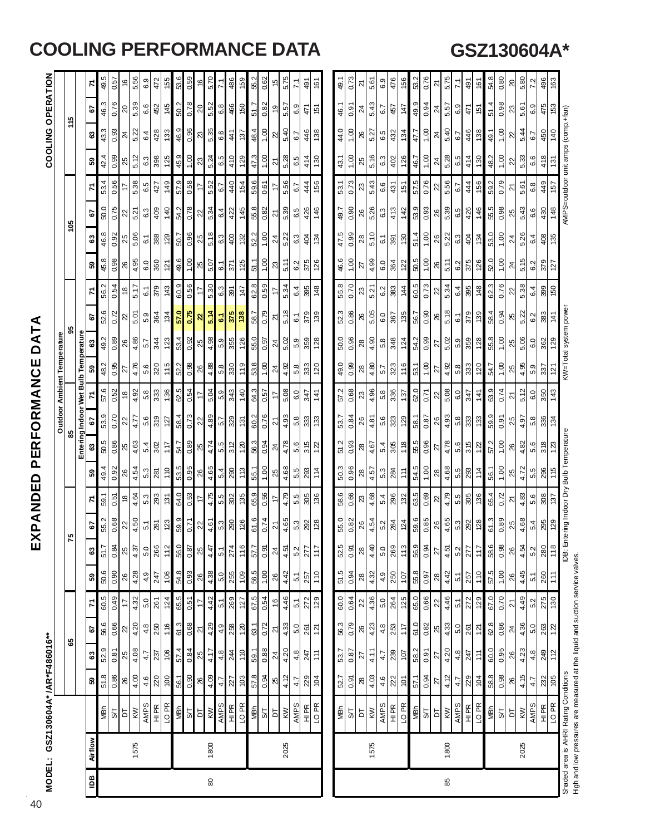| <b>COOLING PERFORMANCE DATA</b> |     |   |      |      |                |      |     |     |     |      |      |                |      |     |     |     |      |      |                |      |                  |     |     |      |      |    |      |     |     |     |      |      |
|---------------------------------|-----|---|------|------|----------------|------|-----|-----|-----|------|------|----------------|------|-----|-----|-----|------|------|----------------|------|------------------|-----|-----|------|------|----|------|-----|-----|-----|------|------|
|                                 |     | ᠷ | 49.5 | 0.57 | $\frac{6}{5}$  | 5.56 | 6.9 | 472 | 155 | 53.6 | 0.59 | $\frac{6}{2}$  | 5.70 | 7.1 | 486 | 159 | 55.2 | 0.62 | 15             | 5.75 | $\overline{7.1}$ | 491 | 161 | 49.1 | 0.73 | 21 | 5.61 | 6.9 | 476 | 156 | 53.2 | 0.76 |
| <b>COOLING OPERATION</b>        |     | 5 | 46.3 | 0.76 | 20             | 5.39 | 6.6 | 452 | 145 | 50.2 | 0.78 | 20             | 5.52 | 6.8 | 466 | 150 | 51.7 | 0.82 | $\overline{1}$ | 5.57 | 6.9              | 471 | 151 | 46.1 | 0.91 | 24 | 5.43 | 6.7 | 457 | 147 | 49.9 | 0.94 |
|                                 | 115 | ෂ | 43.3 | 0.93 | $\frac{1}{2}$  | 5.22 | 6.4 | 428 | 133 | 46.9 | 0.96 | 23             | 5.35 | 6.6 | 441 | 137 | 48.4 | 1.00 | $\approx$      | 5.40 | 6.7              | 446 | 138 | 44.0 | 1.00 | 26 | 5.27 | 6.5 | 432 | 134 | 47.7 | 1,00 |
|                                 |     | ន | 42.4 | 0.99 | 25             | 5.12 | 6.3 | 398 | 125 | 45.9 | 1.00 | 23             | 5.24 | 6.5 | 410 | 129 | 47.3 | 1.00 | 21             | 5.28 | 6.5              | 414 | 8   | 43.1 | 1.00 | 25 | 5.16 | 6.3 | 402 | 126 | 46.7 | 1,00 |
|                                 |     | π | 53.4 | 0.56 | $\overline{z}$ | 5.38 | 6.5 | 427 | 149 | 57.9 | 0.58 | $\overline{1}$ | 5.52 | 6.7 | 440 | 154 | 59.6 | 0.61 | $\overline{1}$ | 5.56 | 6.7              | 44  | 156 | 53.1 | 0.73 | 23 | 5.43 | 6.6 | 431 | 151 | 57.5 | 0.76 |

|    |         | MODEL: GSZ130604A*/AR*F486016**       |                   |                           |                         |                   |                   |                  | <b>XPANDED</b>              |                                |                                           | PERFORMANCE         |                   |                                        |                                            | DATA              |                               |                   |                           |                   |                                                |                                     | <b>COOLING OPERATION</b>  |                   |                                       |
|----|---------|---------------------------------------|-------------------|---------------------------|-------------------------|-------------------|-------------------|------------------|-----------------------------|--------------------------------|-------------------------------------------|---------------------|-------------------|----------------------------------------|--------------------------------------------|-------------------|-------------------------------|-------------------|---------------------------|-------------------|------------------------------------------------|-------------------------------------|---------------------------|-------------------|---------------------------------------|
|    |         |                                       |                   |                           |                         |                   |                   |                  |                             |                                |                                           |                     |                   |                                        | Outdoor Ambient Temperature                |                   |                               |                   |                           |                   |                                                |                                     |                           |                   |                                       |
|    |         |                                       |                   |                           | 8                       |                   |                   |                  | 75                          |                                |                                           | 53                  |                   |                                        |                                            |                   |                               |                   | 105                       |                   |                                                |                                     | 115                       |                   |                                       |
|    |         |                                       |                   |                           |                         |                   |                   |                  |                             |                                |                                           | Entering Indoor Wet |                   |                                        | <b>Bulb Temperature</b>                    |                   |                               |                   |                           |                   |                                                |                                     |                           |                   |                                       |
| e  | Airflow |                                       | 59                | $\boldsymbol{\mathsf{c}}$ | 2                       | 71                | ${\tt S3}$        | ෂ                | 5                           | Z                              | 59                                        |                     | 5                 |                                        |                                            | S                 | 71                            | 59                | 3                         | c                 | 7                                              | 59                                  | $\boldsymbol{\mathbb{S}}$ | 57                | 7                                     |
|    |         | MBh<br>5 <sup>1</sup>                 | 51.8<br>0.86      | 52.9<br>0.81              | 56.6<br>0.66            | 60.5<br>0.49      | 50.6<br>0.90      | 0.84<br>51.      | 55.2                        | 0.51<br>59.1                   | 49.4<br>0.92                              | 50.5<br>0.86        | 53.9<br>0.70      | 48.2<br>0.95<br>57.6<br>0.52           | 49.2<br>0.89                               | 52.6<br>0.72      | 56.2<br>0.54                  | 45.8<br>0.98      | 46.8                      | 50.0<br>0.75      | 0.56<br>53.4                                   | 42.4<br>0.99                        | 43.3<br>0.93              | 46.3<br>0.76      | 49.5<br>0.57                          |
|    |         | $\overline{\mathbf{p}}$               | 26                | 25                        | $\approx$               | $\overline{1}$    | $\frac{26}{5}$    | 25               | 0.68                        | $\overset{\circ}{\phantom{a}}$ | 26                                        | 25                  | 22                | 27<br>$\overset{\circ}{\phantom{a}}$   |                                            | $\approx$         | $\overset{\circ}{\mathbf{1}}$ | 26                | 0.92<br>25                | $\approx$         |                                                | 25                                  | $\overline{24}$           | 20                | $\stackrel{\circ}{\phantom{}_{\sim}}$ |
|    | 1575    | $\leq$                                | 4.00              | 4.08                      | 4.20                    | 4.32              | 4.28              | 4.3              | 4.50                        | 4.64                           | 4.54                                      | 4.63                | 4.77              | 4.76<br>4.92                           | 4.86                                       | 5.01              | 5.17                          | 4.95              | 5.06                      | 5.21              | 5.38                                           | 5.12                                | 5.22                      | 5.39              | 5.56                                  |
|    |         | <b>AMPS</b>                           | 4.6               | 4.7                       | 4.8                     | 5.0               | 4.9               | 5.0              |                             | 5.3                            |                                           | 5.4                 |                   | 5.6<br>5.8                             |                                            |                   |                               | 6.0               |                           | 6.3               | 6.5                                            | $6.3\,$                             | 6.4                       | $6.6\,$           | 6.9                                   |
|    |         | <b>HIPR</b>                           | 220               | 237                       | 250                     | 261               |                   | 266              | $\frac{5}{8}$ $\frac{8}{8}$ | 293                            | $\frac{53}{8}$                            | $\frac{302}{117}$   | $rac{6}{379}$     | 333                                    |                                            |                   |                               |                   |                           | 409               | 427                                            |                                     |                           |                   |                                       |
|    |         | LO PR                                 | 100               | 106                       | 116                     | 124               | $\frac{247}{106}$ | 112              |                             | 131                            |                                           |                     | 127               | $rac{320}{115}$<br>136                 | $\frac{2}{3}$ $\frac{3}{4}$ $\frac{1}{23}$ | $\frac{5.9}{364}$ | $rac{6}{8}$ $\frac{8}{43}$    | $\frac{360}{121}$ | $rac{1}{68}$ $rac{1}{29}$ | 140               | 149                                            | 398                                 | 428                       | 452               | 472                                   |
|    |         | MBh                                   | 56.1              | 57.4                      | 61.3                    | 65.5              | 54.8              | \$               | 59.9                        | 64.0                           | 53.5                                      | <b>ZFS</b>          | 58.4              | 52.2<br>62.5                           | 53.4                                       | 57.0              | 60.9                          | 49.6              | 50.7                      | 54.2              | 57.9                                           | 45.9                                | 46.9                      | 50.2              | 53.6                                  |
|    |         | <b>ST</b>                             | 0.90              | 0.84                      | 0.68                    | 0.51              | 0.93              | 0.8              |                             | 0.53                           | 0.95                                      | 0.89                | 0.73              | 0.98<br>0.54                           | 0.92                                       | 0.75              | 0.56                          | 1.00              | 0.96                      | 0.78              | 0.58                                           | 1.00                                | 0.96                      | 0.78              | 0.59                                  |
|    |         | $\overline{\mathsf{D}}$               | $\overline{26}$   | 25                        | $\overline{\mathsf{N}}$ | $\overline{17}$   | $26$              | 25               | 22                          | $\overline{17}$                | 26                                        | 25                  | $\approx$         | $\overline{1}$                         | 25                                         | $\mathbf{a}$      | $\overline{17}$               |                   | 25                        |                   | $\overline{1}$                                 | $\mathbb{S}^3$                      |                           | 20                | $\frac{6}{5}$                         |
| 8  | 1800    | KW                                    | 4.09              | 4.17                      | 4.29                    | 4.42              | 4.38              | 4.47             | 4.61                        | 4.75                           | 4.65                                      | 4.74                | 4.89              | $rac{26}{4.88}$<br>5.04                | 4.98                                       | 5.14              | 5.30                          | $\frac{25}{5.07}$ | 5.18                      | $\frac{22}{5.34}$ | 5.52                                           | 5.24                                | 23 <sub>5.35</sub>        | 5.52              | 5.70                                  |
|    |         | <b>AMPS</b>                           | 4.7               | 4.8                       | 4.9                     | 5.1               | 5.0               | 5.1              | 5.3                         | 5.5                            | 5.4                                       | 5.5                 | 5.7               | 5.8<br>5.9                             | 5.9                                        | 61                | 6.3                           | 61                | 6.3                       | 6.4               | 6.7                                            | 6.5                                 | 6.6                       | 6.8               | 7.1                                   |
|    |         | HIPR <sub></sub>                      | 227               | 244                       | 258                     | 269               | 255               | 274              | 290                         | 302                            | 290                                       | 312                 | 329               | 330<br>343                             | 355                                        | 375               | 391                           | 371               | 400                       | 422               | 440                                            | 410                                 | 441                       | 466               | 486                                   |
|    |         | LO <sub>PR</sub>                      | 103               | $\frac{10}{11}$           | 120                     | 127               | 109               | 116              | 126                         | 135                            | 113                                       | 120                 | 131               | 119<br>140                             | 126                                        | 138               | 147                           | 125               | 132                       | 145               | 154                                            | 129                                 | 137                       | 150               | 159                                   |
|    |         | MBh                                   | 57.8              | 59.1                      | 63.1                    | 67.5              | 56.5              | 57.              | 61.6                        | 65.9                           | 55.                                       | 56.3                | 60.2              | 53.8<br>64.3                           | 55.0                                       | 58.7              | 62.8                          | 51.1              | 52.2                      | 55.8              | 59.6                                           | 47.3                                | 48.4                      | 51.7              | 55.2                                  |
|    |         | <b>ST</b>                             | 0.94              | 0.88                      | 0.72                    | 0.54              | 1.00              | 0.9 <sub>1</sub> | 0.74                        | 0.56                           | 1.00                                      | 0.94                | 0.76              | 1.00<br>0.57                           | 0.97                                       | 0.79              | 0.59                          | 1.00              | 1.00                      | 0.82              | 0.61                                           | 1.00                                | 1.00                      | 0.82              | 0.62                                  |
|    |         | <b>DT</b>                             | 25                | 24                        | $\overline{z}$          | $\frac{6}{5}$     | 26                | $\overline{c}$   | ಸ                           |                                | 25                                        | $\overline{a}$      | $\overline{2}$    | $\overline{z}$                         | ম                                          | 2                 |                               | ಔ                 | 24                        | 21                |                                                | $\overline{21}$                     | $\mathbf{z}$              | $\frac{9}{2}$     | $\frac{1}{2}$                         |
|    | 2025    | KW                                    | 4.12              | 4.20                      | 4.33                    | 4.46              | 4.42              | $4.5^{\circ}$    | 4.65                        | 4.79                           | 4.68                                      | 4.78                | 4.93              | 4.92<br>5.08                           | 5.02                                       | 5.18              | 5.34                          | 5.11              | 522                       | 5.39              | 5.56                                           | 5.28                                | 5.40                      | 5.57              | 5.75                                  |
|    |         | <b>AMPS</b>                           | 4.7               | 4.8                       | 5.0                     | 51                | 5.1               | 52               | 5.3                         | 5.5                            | 5.5                                       | 5.6                 | 5.8               | 58<br>6.0                              | 5.9                                        | $\overline{6}$    | 6.4                           | 6.2               | 6.3                       | 6.5               | 6.7                                            | 6.5                                 | 5.7                       | 6.9               | $\overline{71}$                       |
|    |         | $\frac{H}{10}$                        |                   | $rac{247}{111}$           | $\frac{261}{121}$       | $\frac{272}{129}$ | $\frac{257}{110}$ | $rac{27}{117}$   | 292                         | $\frac{305}{136}$              | $\frac{293}{114}$                         | $\frac{315}{122}$   | $\frac{33}{13}$   | 333<br>347                             | $\frac{359}{128}$                          | $rac{379}{139}$   | $\frac{395}{148}$             | 375               | 404                       | $\frac{426}{146}$ | $\frac{444}{156}$                              | 414                                 | $\frac{446}{138}$         | $rac{47}{151}$    |                                       |
|    |         |                                       | $\frac{229}{104}$ |                           |                         |                   |                   |                  |                             |                                |                                           |                     |                   | $\frac{141}{3}$                        |                                            |                   |                               |                   |                           |                   |                                                | <b>OE</b> $\mathsf{L}$              |                           |                   | $\frac{491}{161}$                     |
|    |         |                                       |                   |                           |                         |                   |                   |                  |                             |                                |                                           |                     |                   |                                        |                                            |                   |                               |                   |                           |                   |                                                |                                     |                           |                   |                                       |
|    |         | MBh                                   | 52.7              | 53.7                      | 56.3                    | 60.0              | 51.5              | $\overline{5}$   | 55.0                        | 58.6                           | 50.3                                      | 51.2                | 53.7              | 49.0<br>57.2                           | 50.0                                       | 52.3              | 55.8                          | 46.6              |                           | 49.7              | 53.1                                           | 43.1                                | 44.0                      | 46.1              | 49.1                                  |
|    |         | S <sub>T</sub>                        | 0.91              | 0.87                      | 0.79                    | 0.64              | 0.94              | $0.9^{\circ}$    | 0.82                        | 0.66                           | 0.96                                      | 0.93                | 0.84              | 0.99<br>0.68                           | 0.96                                       | 0.86              | 0.70                          | 1.00              | 0.99                      | 0.90              | 0.73                                           | 1.00                                | 1.00                      | 0.91              | 0.73                                  |
|    |         | $\overline{\mathsf{D}}$               | $28\,$            | 27                        | $26$                    | 22                | 28                | 28               | 26                          | $23\,$                         | 28                                        | $28\,$              | 26                | 28<br>23                               | $28$                                       | 26                | 23                            | 27                | $28$                      | $26\,$            | $\mathbb{S}^2$                                 | 25                                  | 26                        | 24                | $\overline{2}1$                       |
|    | 1575    | $\geq$                                | 4.03              | 4.11                      | 4.23                    | 4.36              | 4.32              | 4.4              | 4.54                        | 4.68                           | 4.57                                      | 4.67                | 4.81              | 4.80<br>4.96                           | 4.90                                       | 5.05              | 5.21                          | 4.99              | 5.10                      | 5.26              | 5.43                                           | 5.16                                | $rac{27}{65}$             | 5.43              | 5.61                                  |
|    |         | AMPS                                  | 4,6               | 4.7                       | 4.8                     | 5.0               | 4.9               | 5.0              | 52 28 59.6                  | 5.4                            | $\frac{53}{28}$                           | 5.4                 | 5.6               | 5.8                                    | 5.8                                        | $6.0\,$           | 6.2                           | $6.0\,$           | $6.1$                     | 6.3               | 6.6                                            | 6.3                                 |                           | 6.7               | 6.9                                   |
|    |         | HI PR                                 | 222               | 239                       | 253                     | $\frac{264}{125}$ | 250               | <b>269</b>       |                             | 296                            |                                           | 305                 |                   | $\frac{323}{116}$<br>$\frac{336}{137}$ | 348                                        | 367<br>135        | $\frac{383}{44}$              | $\frac{364}{122}$ | $\frac{35}{130}$          | 413               | 431                                            | $\frac{402}{126}$                   | $432$<br>$134$            | 457<br>147        | 476                                   |
|    |         | LO PR                                 | 101               | 107                       | 117                     |                   | 107               | 113              |                             | 132                            |                                           | 118                 | $\frac{323}{128}$ |                                        |                                            |                   |                               |                   |                           | 142               | 151                                            |                                     |                           |                   | 156                                   |
|    |         | MBh                                   | 57.1              | 58.2                      | 61.0                    | 65.0              | 55.8              | 56.              |                             | 63.5                           | 54.5                                      | 55.5                |                   | 53.1<br>62.0                           | 54.2                                       | 56.7              | 60.5                          | 50.5              | 51.4                      | 53.9              | 57.5                                           | 46.7                                | 47.7                      | 49.9              | 53.2                                  |
|    |         | S <sub>T</sub>                        | 0.94              | 0.91                      | 0.82                    | 0.66              | 0.97              | $\frac{3}{2}$    | 0.85                        | 0.69                           | 1.00                                      | 0.96                | 0.87              | 1,00<br>0.71                           | 0.99                                       | 0.90              | 0.73                          | 1.00              | 1.00                      | 0.93              | 0.76                                           | 1.00                                | 1.00                      | 0.94              | 0.76                                  |
|    |         | $\overline{\mathsf{D}}$               | $\overline{27}$   | 27                        | $\mathbb{R}$            | 22                | $\frac{8}{3}$     | $\overline{27}$  | $\frac{26}{4.65}$           | $\approx$                      | 28                                        | $\overline{27}$     | $\frac{26}{4.93}$ | $rac{27}{4.92}$<br>$\frac{22}{5.08}$   | $rac{27}{5.02}$                            | $\frac{26}{5.18}$ | $\frac{22}{5.34}$             | $\frac{26}{5.11}$ | $\frac{26}{5.22}$         | $\frac{26}{5.39}$ | $\begin{array}{c}\n 22 \\  5.56\n \end{array}$ | $\frac{24}{5.28}$                   | $\frac{24}{5.40}$         | $\frac{24}{5.57}$ | $\frac{21}{5.75}$                     |
| 89 | 1800    | KW                                    | 4.12              | 4.20                      | 4.33                    | 4.46              | 4.42              | $4.5^{\circ}$    |                             | 4.79                           | 4.68                                      | 4.78                |                   |                                        |                                            |                   |                               |                   |                           |                   |                                                |                                     |                           |                   |                                       |
|    |         | <b>AMPS</b>                           | 4.7               | 4.8                       | 5.0                     | 5.1               | 5.1               | 52               | 5.3                         | 5.5                            | 5.5                                       | 5.6                 | 5.8               | 58<br>6.0                              | 5.9                                        | $6.1$             | 6.4<br>395                    | 6.2               | 6.3                       | 6.5               | 6.7                                            | 6.5                                 | 6.7                       | 6.9               | 7.1                                   |
|    |         | HI <sub>PR</sub>                      | 229               | 247                       | 261                     | 272               | 257               | <b>27</b>        | 292                         | 305                            | 293                                       | 315                 | 333               | 347                                    | 359                                        | 379               |                               | 375               | 404                       | 426               | 44                                             | 414                                 | 446                       | 471               | 491                                   |
|    |         | LO PR                                 | 104               | 111                       | 121                     | 129               | 110               | $\frac{1}{\tau}$ | 128                         | 136                            | 114                                       | 122                 | 133               | 120<br>141                             | 128                                        | 139               | 148                           | 126               | 134                       | 146               | 156                                            | 130                                 | 138                       | 151               | 161                                   |
|    |         | MBh                                   | 58.8              | 60.0                      | 62.8                    | 67.0              | 57.5              | $\overline{38}$  | 61.3                        | 65.4                           | 56.1                                      | 572                 | 59.9              | 54.7<br>63.9                           | -55.8                                      | 58.4              | 62.3                          | 52.0              | 53.0                      | 55.5              | 59.2                                           | 48.2                                | $\overline{49}$           | 51.4              | 54.8                                  |
|    |         | S <sub>T</sub>                        | 0.98              | 0.95                      | 0.86                    | 0.70              | 1.00              | 0.98             | 0.89                        | 0.72                           | 1.00                                      | 1.00                | 0.91              | 0.74                                   | 1.00                                       | 0.94              | 0.76                          | 1.00              | 1.00                      | 0.98              | 0.79                                           | 1.00                                | 1.00                      | 0.98              | 0.80                                  |
|    |         | $\overline{\mathsf{d}}$               | 26                | 26                        | $\overline{24}$         | $\overline{21}$   | 26                | 26               | 25                          | 21                             | 25                                        | 26                  | 25                | 1.00<br>$\overline{2}$                 | 25                                         | 25                | 22                            | $\overline{24}$   | 24                        | 25                | $\overline{2}$                                 | $\approx$                           | $\overline{2}$            | 23                | $\overline{c}$                        |
|    | 2025    | $\lesssim$                            | 4.15              | 4.23                      | 4.36                    | 4.49              | 4.45              | 4.54             | 4.68                        | 4.83                           | 4.72                                      | 4.82                | 4.97              | 4.95<br>5.12                           | 5.06                                       | 5.22              | 5.38                          | 5.15              | 5.26                      | 5.43              | 5.61                                           | 5.33                                | 5.44                      | 5.61              | 5.80                                  |
|    |         | <b>AMPS</b>                           | 4.7               | 4.8                       | 5.0                     | 5.2               | 5.1               | 52               | 5.4                         | 5.6                            | 5.5                                       | 5.6                 | 5.8               | 5.9<br>6.0                             | 6.0                                        | 6.2               | 6.4                           |                   | 6.4                       | 6.6               | 6.8                                            | 6.6                                 | 6.7                       | 6.9               | 7.2                                   |
|    |         | HI <sub>PR</sub>                      | 232               | 249                       | $\frac{263}{122}$       | 275               | 260               | 280              | 295                         | 308                            | 296                                       | 318                 | 336               | 337<br>350                             | 362                                        | 383               | 39 50                         | 379               | 408                       | 430               | 449                                            |                                     | 450                       | 475               | 496                                   |
|    |         | LO PR                                 | 105               | 112                       |                         | 130               | 111               | 118              | 129                         | 137                            | 115                                       | 123                 | 134               | 121<br>143                             |                                            | 141               |                               | 127               | 135                       | 148               | 157                                            | 131                                 | 140                       | 153               | 163                                   |
|    |         | Shaded area is AHRI Rating Conditions |                   |                           |                         |                   |                   |                  |                             |                                | IDB: Entering Indoor Dry Bulb Temperature |                     |                   |                                        | KW=Total system                            | power             |                               |                   |                           |                   |                                                | AMP S=outdoor unit amps (comp.+fan) |                           |                   |                                       |

High and low pressures are measured at the liquid and suction service valves. High and low pressures are measured at the liquid and suction service valves.

# **COOLING PERFORMANCE DATA GSZ130604A\***

40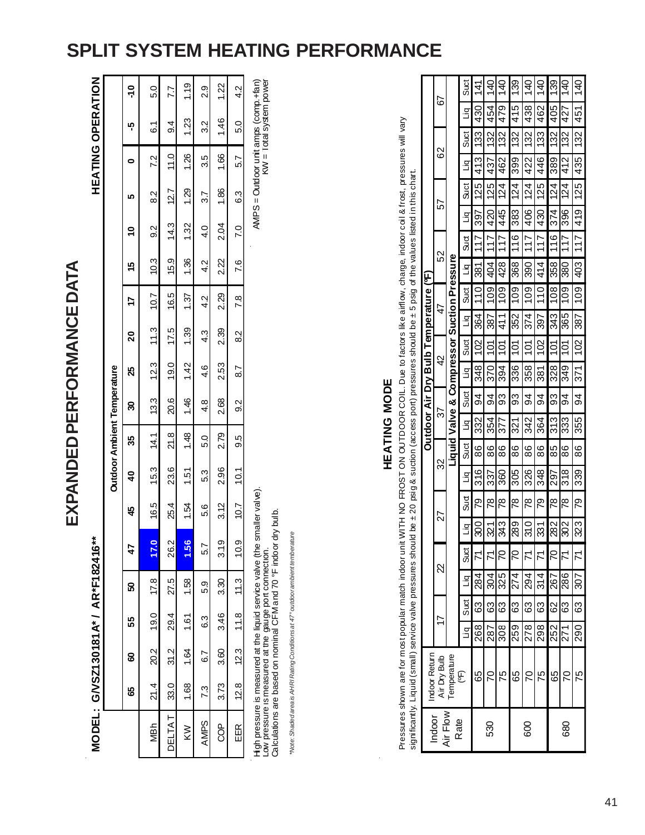|                                                                                                                                                                                                        |      |            |        |      |      |      |               |      |                             | EXPANDED PERFORMANCE DATA |      |      |      |            |                 |      |                                                                     |      |
|--------------------------------------------------------------------------------------------------------------------------------------------------------------------------------------------------------|------|------------|--------|------|------|------|---------------|------|-----------------------------|---------------------------|------|------|------|------------|-----------------|------|---------------------------------------------------------------------|------|
| MODEL: G/VSZ130181A* / AR*F18241                                                                                                                                                                       |      |            |        |      | ٷ    |      |               |      |                             |                           |      |      |      |            |                 |      | HEATING OPERATION                                                   |      |
|                                                                                                                                                                                                        |      |            |        |      |      |      |               |      | Outdoor Ambient Temperature |                           |      |      |      |            |                 |      |                                                                     |      |
|                                                                                                                                                                                                        | ౪    | ဓ          | 55     | ន    |      | 45   | $\frac{1}{4}$ | ౘ    | ఇ                           | 25                        | 20   | 5    | 15   | င္         | ທ               |      | ဂှ                                                                  | ុំ   |
| MBh                                                                                                                                                                                                    | 21.4 | <b>202</b> | 19.0   | 17.8 | 17.0 | 16.5 | 15.3          | 14.1 | 13.3                        | 12.3                      | 11.3 | 10.7 | 10.3 | 9.2        | $\frac{2}{8}$   | 7.2  | $\tilde{6}$                                                         | 5.0  |
| <b>DELTAT</b>                                                                                                                                                                                          | 33.0 | 31.2       | 29.4   | 27.5 | 26.2 | 25.4 | 23.6          | 21.8 | 20.6                        | 19.0 17.5                 |      | 16.5 | 15.9 | 14.3       | 12.7            | 11.0 | $\frac{4}{9}$                                                       | 7.7  |
| ⋛                                                                                                                                                                                                      | 1.68 | 1.64       | 161    | 1.58 | 1.56 | 1.54 | 1.51          | 1.48 | 1.46                        | 1.42                      | 1.39 | 1.37 | 1.36 | 1.32       | 1.29            | 1.26 | 123                                                                 | 1.19 |
| AMPS                                                                                                                                                                                                   | 73   | 67         | ვ<br>ბ | 5.3  | 57   | 5.6  | 53            | 5.0  | 4.8                         | 4.6                       | 43   | 4.2  | 4.2  | 4.0        | $\overline{37}$ | 55   | 32                                                                  | 2.9  |
| င်                                                                                                                                                                                                     | 3.73 | ය<br>3.    | 346    | 330  | 3.19 | 3.12 | 2.96          | 2.79 | 2.68                        | 2.53                      | 2.39 | 2.29 | 2.22 | 2.04       | 1.86            | 1.66 | 1.46                                                                | 1.22 |
| EER                                                                                                                                                                                                    | 12.8 | 12.3       | 11.8   | 11.3 | 10.9 | 10.7 | 10.1          | 9.5  | 9.2                         | $\overline{87}$           | 82   | 7.8  | 7.6  | <b>7.0</b> | 6.3             | 57   | 5.0                                                                 | 42   |
| High pressure is measured at the liquid service valve (the smaller valve)<br>Calculations are based on nominal CFM and 70 °F indoor dry bulb.<br>Low pressure is measured at the gauge port connection |      |            |        |      |      |      |               |      |                             |                           |      |      |      |            |                 |      | AMPS = Outdoor unit amps (comp.+fan)<br>$K/V = 1$ otal system power |      |
| *Note: Shaded area is AHRI Rating Conditions at 47° outdoor ambient temberature                                                                                                                        |      |            |        |      |      |      |               |      |                             |                           |      |      |      |            |                 |      |                                                                     |      |

# **SPLIT SYSTEM HEATING PERFORMANCE**

# **HEATING MODE HEATING MODE**

Pressures shown are for most popular match indoor unit WITH NO FROST ON OUTDOOR COIL. Due to factors like airflow, charge, indoor coil & frost, pressures will vary<br>significantly. Liquid (small) service valve pressures shou Pressures shown are for most popular match indoor unit WITH NO FROST ON OUTDOOR COIL. Due to factors like airflow, charge, indoor coil & frost, pressures will vary significantly. Liquid (small) service valve pressures should be ± 20 psig & suction (access port) pressures should be ± 5 psig of the values listed in this chart.

|                |                                         | 5            |                    | Suct<br>υņ<br>Suct | 141<br>1<br>430<br>133 | $\frac{40}{5}$<br>454<br>132 | $\frac{40}{5}$<br>479<br>132 | 39<br>415<br>132         | 우<br>438<br>132 | $\frac{1}{4}$<br>462<br>133 | 39<br>405<br>$\frac{2}{3}$ | $\frac{40}{5}$<br>427<br>132 | 140<br>451<br>132 |
|----------------|-----------------------------------------|--------------|--------------------|--------------------|------------------------|------------------------------|------------------------------|--------------------------|-----------------|-----------------------------|----------------------------|------------------------------|-------------------|
|                |                                         | 8            |                    | ٩L                 | 413                    | 437                          | 462                          | 399                      | 422             | 446                         | 389                        | 412                          | 435               |
|                |                                         |              |                    | Suct               | 125                    | 125                          | 124                          | 124                      | 124             | 125                         | 124                        | 124                          | 125               |
|                |                                         | 57           |                    | ٩L                 | 397                    | <u>දි</u>                    | 445                          | 383                      | 406             | 8                           | 374                        | 396                          | 419               |
|                |                                         | 52           |                    | Suđ                |                        | 117                          | 117                          | 116                      | 117             | 117                         | 116                        | 117                          | 117               |
|                | हि                                      |              | Pressure           | ٥Li                | 381                    | 404                          | 428                          | 368                      | 390             | 414                         | 358                        | ౙౢ                           | 403               |
| C              |                                         | 47           |                    | Suct               | م<br>ب                 | ဒီ                           | $\frac{8}{1}$                | ဍိ                       | $\frac{8}{1}$   | 0<br>11                     | $\frac{80}{1}$             | $\frac{8}{2}$                | 109               |
|                | <b>Outdoor Air Dry Bulb Temperature</b> |              | Suction            | Ŀiq                | 364                    | 387                          | $-41$ <sup>1</sup>           | 352                      | 374             | 397                         | 343                        | 365                          | 387               |
|                |                                         | 42           |                    | S uct              | S                      | ŚΞ                           | $\overline{5}$               | ś                        | $\overline{5}$  | 102                         | 101                        | $\Xi$                        | 102               |
|                |                                         |              |                    | υū                 | 348                    | 370                          | 394                          | 336                      | 358             | 381                         | 328                        | 349                          | 371               |
| $\overline{a}$ |                                         | 57           | Valve & Compressor | Suct               | ತ                      | ತ                            | SS                           | SS                       | ತ               | 94                          | SS                         | 3                            | ತ                 |
|                |                                         |              |                    | ۵Li                | 332                    | 354                          | 377                          | 321                      | 342             | 364                         | 313                        | 333                          | 355               |
|                |                                         | 32           | Liquid             | Suct               | 86                     | 86                           | 86                           | 86                       | 86              | 86                          | 85                         | 86                           | 86                |
|                |                                         |              |                    | ٩L                 | 316                    | 337                          | 360                          | 305                      | 326             | 348                         | 297                        | 318                          | 339               |
|                |                                         | 27           |                    | 5ತ                 | ల్లి                   | ల్ల                          | æ                            | ల్ల                      | ల్ల             | ల్ల                         | ల్ల                        | R)                           | ల్లి              |
|                |                                         |              |                    | ∃⊔                 | ೩೦                     | $\rm \grave{\approx}$        | 343                          | 289                      | 31<br>১         | శ్ల                         | 282                        | 302                          | 323               |
|                |                                         | 22           |                    | Suct               | 7                      |                              | S                            | $\overline{\mathcal{C}}$ | 77              | $\mathcal{L}$               | R                          | 71                           | $\tilde{z}$       |
|                |                                         |              |                    | Liq                | 284                    | 304                          | 325                          | 274                      | 294             | 314                         | 267                        | 286                          | 307               |
|                |                                         |              |                    | Suct               | යි                     | යි                           | යි                           | 63                       | යි              | 63                          | 8                          | යි                           | යි                |
|                |                                         |              |                    | ۵ij                | 268                    | 287                          | 308                          | 259                      | 278             | 298                         | 252                        | 271                          | 290               |
|                | ndoor Return                            | Air Dry Bulb | Temperature        | E                  | 65                     | ξ                            | 75                           | 65                       | 20              | 75                          | 65                         | 20                           | 57                |
|                |                                         | Indoor       | Air Flow           | Rate               |                        | 530                          |                              |                          | 600             |                             |                            | 680                          |                   |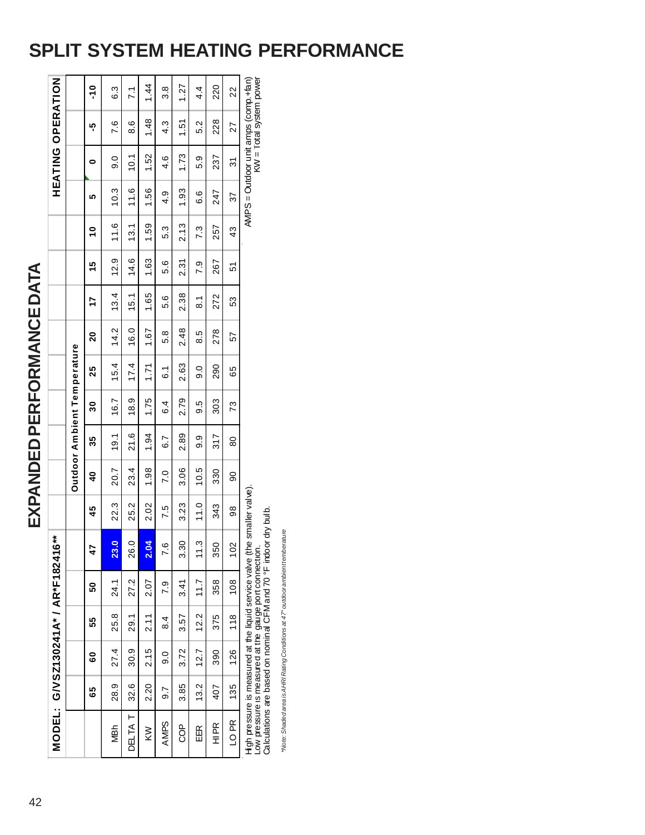| MODEL: G/VSZ130241A* / AR*F18241                                                                                                                                                       |                  |      |               |      | ٷ           |                   |                |                   |                              |          |      |               |      |               |         |                | HEATING OPERATION                                                   |                 |
|----------------------------------------------------------------------------------------------------------------------------------------------------------------------------------------|------------------|------|---------------|------|-------------|-------------------|----------------|-------------------|------------------------------|----------|------|---------------|------|---------------|---------|----------------|---------------------------------------------------------------------|-----------------|
|                                                                                                                                                                                        |                  |      |               |      |             |                   |                |                   | Outdoor Ambient Tem perature |          |      |               |      |               |         |                |                                                                     |                 |
|                                                                                                                                                                                        | 65               | 8    | 55            | SO   | 4           | 45                | $\frac{4}{1}$  | 35                | 30                           | 25       | 20   | 17            | 15   | $\frac{1}{2}$ | ی       | 0              | ပ္ပ္က                                                               | $\frac{1}{2}$   |
| MBh                                                                                                                                                                                    | 28.9             | 27.4 | 25.8          | 24.1 | 23.0        | 22.3              | 20.7           | 19.1              | 16.7                         | 15.4     | 14.2 | 13.4          | 12.9 | 11.6          | 10.3    | $\overline{0}$ | 7.6                                                                 | ვ<br>ბ          |
| DELTA T                                                                                                                                                                                | 32.6             | 30.9 | 29.1          | 27.2 | 26.0        | 25.2              | 234            | 21.6              | 18.9                         | 17.4     | 16.0 | 15.1          | 14.6 | 13.1          | 11.6    | 10.1           | 8.6                                                                 | $\overline{71}$ |
| KN                                                                                                                                                                                     | 2.20             | 2.15 | 2.11          | 2.07 | 2.04        | 2.02              | 1.98           | 1.94              | 1.75                         | 1.71     | 1.67 | 1.65          | 1.63 | 1.59          | 1.56    | 1.52           | 1.48                                                                | $\frac{4}{4}$   |
| AMPS                                                                                                                                                                                   | $\overline{9.7}$ | 0.6  | $\frac{4}{3}$ | 7.9  | ڢ           | 7.5               | $\overline{C}$ | $\overline{6}$ .7 | $6\overline{4}$              | ن<br>ف   | 5.8  | 5.6           | 5.6  | 5.3           | 4.9     | 4.6            | $4.\overline{3}$                                                    | 3.8             |
| e<br>C                                                                                                                                                                                 | 3.85             | 3.72 | 3.57          | 3.41 | 3.30        | 3.23              | 3.06           | 2.89              | 2.79                         | 2.63     | 2.48 | 2.38          | 2.31 | 2.13          | 1.93    | 1.73           | $-51$                                                               | 1.27            |
| EER                                                                                                                                                                                    | 13.2             | 12.7 | 12.2          | 11.7 | ن<br>ج<br>Ξ | 11.0              | 10.5           | ၀့                | 9.5                          | <u>ဝ</u> | 5.8  | $\frac{1}{8}$ | P. 9 | 7.3           | ٥.<br>ق | 5.3            | 5.2                                                                 | 4.4             |
| H<br>H<br>K                                                                                                                                                                            | 407              | 390  | 375           | 358  | 350         | 343               | 330            | 317               | 303                          | 290      | 278  | 272           | 267  | 257           | 247     | 237            | 228                                                                 | 220             |
| LO <sub>PR</sub>                                                                                                                                                                       | 135              | 126  | 118           | 108  | 102         | 88                | 80             | 80                | 73                           | 65       | 57   | 53            | 51   | 43            | 57      | $\overline{5}$ | 27                                                                  | 22              |
| Calculations are based on nominal CFM and 70 °F indoor dry bulb.<br>Low pressure is measured at the gauge port connection<br>High pressure is measured at the liquid service valve (th |                  |      |               |      |             | re smaller valve) |                |                   |                              |          |      |               |      |               |         |                | AMPS = Outdoor unit amps (comp.+fan)<br>$KVV = 1$ otal system power |                 |

High pressure is measured at the liquid service valve (the sm<br>Low pressure is measured at the gauge port connection.<br>Calculations are based on nominal CFM and 70 °F indoor dry<br><sup>1</sup>Note: Shaded area is AHRI Rating Conditions Calculations are based on nominal CFM and 70 °F indoor dry bulb.

\*Note: Shaded area is AHRI Rating Conditions at 47° outdoor ambient temberature

# **SPLIT SYSTEM HEATING PERFORMANCE**

**EXPANDED PERFORMANCE DATA**

EXPANDED PERFORMANCE DATA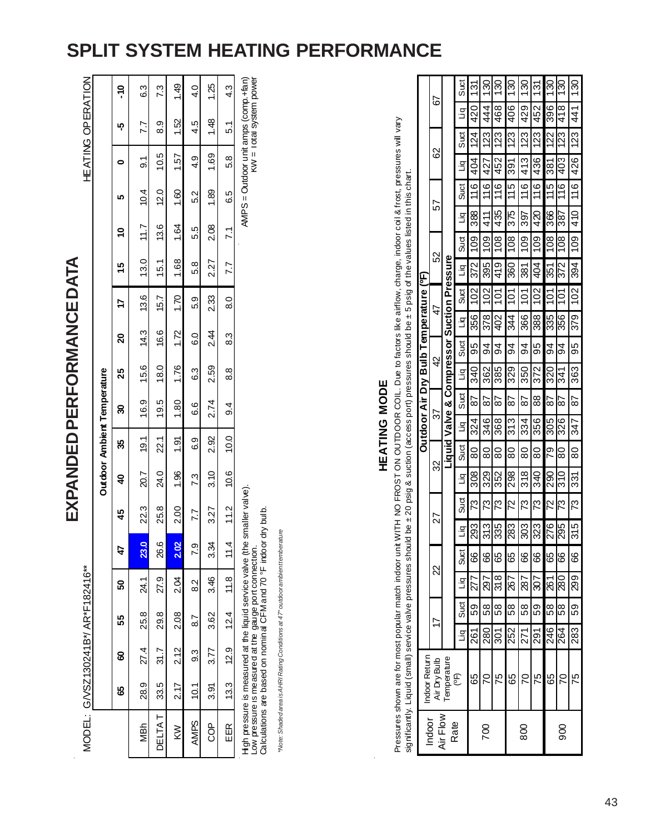| MODEL: G/VSZ130241B*/ AR*F182416**                                                                                                  |          |        |                      |      |             |      |                                    |      |               |      |         |         |      |             |             |                | HEATING OPERATION                                               |               |
|-------------------------------------------------------------------------------------------------------------------------------------|----------|--------|----------------------|------|-------------|------|------------------------------------|------|---------------|------|---------|---------|------|-------------|-------------|----------------|-----------------------------------------------------------------|---------------|
|                                                                                                                                     |          |        |                      |      |             |      | <b>Outdoor Ambient Temperature</b> |      |               |      |         |         |      |             |             |                |                                                                 |               |
|                                                                                                                                     | ఴ        | 8      | 55                   | ន    | 47          | 45   | $\mathbf{a}$                       | 35   | శి            | 25   | ຊ       | Þ       | 15   | S           | ທ           |                | ပှ                                                              | $\frac{1}{2}$ |
| MBh                                                                                                                                 | .<br>ති  | 27.4   | 25.8                 | 24.1 | 23.         | 223  | 20.7                               | 19.1 | 16.9          | 15.6 | 14.3    | 13.6    | 13.0 | 11.7        | 10.4        | $\overline{5}$ | 7.7                                                             | 63            |
| DELTA T                                                                                                                             | 33.5     |        | $31.7$ $29.8$ $27.9$ |      | 26.G        | 25.8 | 24.0                               | 22.1 | 19.5          | 18.0 | 16.6    | 15.7    | 15.1 | 13.6        | <b>12.0</b> | 10.5           | 8.9                                                             | 73            |
| ⋚                                                                                                                                   | 2.17     | 212    | 2.08                 | 2.04 | <b>2.02</b> | 2.00 | 1.96                               | 1.91 | 1.80          | 1.76 | 1.72    | $-1.70$ | 1.68 | 1.64        | 1.60        | 1.57           | 1.52                                                            | 1.49          |
| <b>AMPS</b>                                                                                                                         | 10.1     | ე<br>თ | 87                   | 82   | P.S         | 7.7  | 73                                 | 6.9  | 6.6           | 6.3  | C.O     | 5.9     | 58   | 5.5         | 5.2         | 4.9            | 4.5                                                             | $\frac{4}{1}$ |
| င်                                                                                                                                  | ನ್ಸ<br>ನ | 3.77   | 3.62                 | 3.46 | 3.34        | 327  | 3.10                               | 2.92 | 2.74          | 259  | 24<br>4 | 233     | 227  | 2.08        | 1.89        | 1.69           | 1.48                                                            | 1.25          |
| EER                                                                                                                                 | 13.3     |        | $12.9$ $12.4$ $11.8$ |      | 11.4        | 11.2 | 10.6                               | 0.01 | $\frac{4}{3}$ | 8.8  | .<br>თ  | 8.0     | 7.7  | $\tilde{z}$ | 6.5         | 5.8            | 51                                                              | 4.3           |
| High pressure is measured at the liquid service valve (the smaller valve)<br>Low pressure is measured at the gauge port connection. |          |        |                      |      |             |      |                                    |      |               |      |         |         |      |             |             |                | AMPS = Outdoor unit amps (comp.+fan)<br>KW = lotal system power |               |

Low pressure is measured at the gauge port connection.<br>Calculations are based on nominal CFM and 70 °F indoor dry bulb. Calculations are based on nominal CFM and 70 °F indoor dry bulb. High pressure is measured at the liquid service valve (the sm<br>Low pressure is measured at the gauge port connection.<br>Calculations are based on nominal CFM and 70 °F indoor dry<br><sup>v</sup>ive: Shadedareats AHRI Rating Conditions at

"Note: Shaded area is AHRI Rating Conditions at 47° outdoor ambient temberature

# **HEATING MODE HEATING MODE**

Pressures shown are for most popular match indoor unit WITH NO FROST ON OUTDOOR COIL. Due to factors like airflow, charge, indoor coil & frost, pressures will vary Pressures shown are for most popular match indoor unit WITH NO FROST ON OUTDOOR COIL. Due to factors like airflow, charge, indoor coil & frost, pressures will vary significantly. Liquid (small) service valve pressures should be ±20 psig & suction (access port) pressures should be ± 5 psig of the values listed in this chart. significantly. Liquid (small) service valve pressures should be ± 20 psig & suction (access port) pressures should be ± 5 psig of the values listed in this chart.

|                                  | 5              |                    | Suct      | ᢌ   | ೫      | న్లె            | <u>ର</u>       | <u>පි</u> | ᠻᢅ            | ೫              | <u>ခ</u>      | 8         |
|----------------------------------|----------------|--------------------|-----------|-----|--------|-----------------|----------------|-----------|---------------|----------------|---------------|-----------|
|                                  |                |                    | ia<br>Li  | 420 | 44     | 468             | 406            | 429       | 452           | 396            | 418           | 44<br>4   |
|                                  |                |                    | Suct      | 124 | 23     | 23              | 123            | 123       | 23<br>2       | 22             | 123           | 123       |
|                                  | ဥ              |                    | ig.       | 404 | 427    | 452             | 391            | 413       | 436           | 381            | 403           | 426       |
|                                  |                |                    | Suct      | 91. | 116    | 116             | 115            | 116       | 116           | 115            | 116           | 116       |
|                                  | 57             |                    | ن<br>تا   | 388 | 411    | 435             | 375            | 397       | 420           | 366            | 387           | 410       |
|                                  |                |                    | Sud       | 80  | 80     | $\frac{8}{1}$   | $\frac{8}{10}$ | ဥ္ခ်ဳ     | $\frac{8}{1}$ | 108            | $\frac{8}{1}$ | 109       |
| €                                | SS             | Suction Pressure   | ia<br>Li  | 372 | 395    | 419             | 360            | 381       | 404           | 351            | 372           | 394       |
|                                  |                |                    | Suct      | ္ထ  | 8      | $\overline{5}$  | $\overline{5}$ | δ         | $\frac{2}{3}$ | $\overline{5}$ | δ             | $\approx$ |
| Outdoor Air Dry Bulb Temperature | $\overline{4}$ |                    | $\Xi$     | 356 | 378    | 402             | 344            | 366       | 388           | 335            | 356           | 379       |
|                                  |                |                    | Suct      | 95  | ತ      | 34              | ತ              | 3         | 95            | ತ              | 94            | 95        |
|                                  | 42             | Valve & Compressor | ŭq        | 340 | 362    | 385             | 329            | 350       | 372           | 320            | 34<br>1       | 363       |
|                                  |                |                    | Suct      | 87  | 87     | 87              | 78             | 87        | 88            | 87             | 87            | 58        |
|                                  | 57             |                    | <u>ي</u>  | 324 | 346    | 368             | 313            | 334       | 356           | 305            | 326           | 347       |
|                                  |                | Liquid             | Suct      | 80  | 80     | ဓ္ထ             | 80             | ဓ္ထ       | 80            | 79             | 80            | 80        |
|                                  | 3S             |                    | <u>و.</u> | 308 | 329    | 352             | 298            | 318       | 340           | 290            | $\frac{1}{3}$ | 331       |
|                                  |                |                    | Suđ       | ద్  | 73     | 73              | 22             | ౘ         | 73            | 22             | ని            | 73        |
|                                  | 27             |                    | ۵Li       | 293 | თ<br>თ | 335             | 283            | 303       | 323           | 276            | 295           | 315       |
|                                  |                |                    | Suct      | 8   | 8      | 89              | 65             | 8         | 8             | 89             | 66            | 8         |
|                                  | ನಿ             |                    | Liq       | 277 | 297    | $\frac{318}{5}$ | 267            | 287       | 307           | 261            | 280           | 299       |
|                                  |                |                    | Suct      | တ   | 58     | 58              | 58             | 58        | ၵ္တ           | 58             | 58            | 59        |
|                                  |                |                    | ğ         | 261 | 280    | $\frac{20}{3}$  | 252            | 271       | 291           | 246            | 264           | 283       |
| Indoor Return                    | Air Dry Bulb   | Temperature        | E         | 65  | ξ      | 75              | 65             | ξ         | 75            | 65             | 20            | 10        |
| Indoor                           | Air Flow       | Rate               |           |     | ខ      |                 |                | 800       |               |                | 80            |           |

# **SPLIT SYSTEM HEATING PERFORMANCE**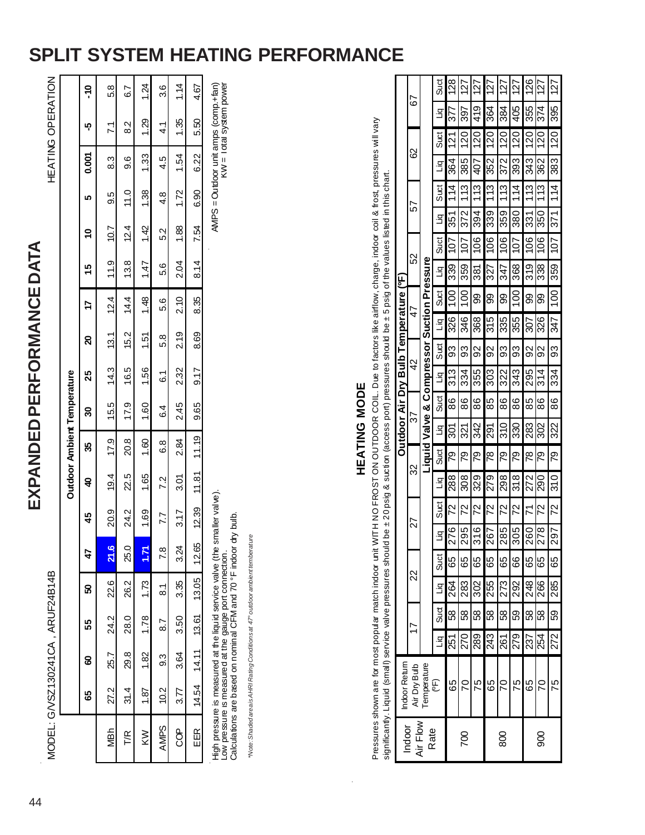MODEL: G/VSZ130241CA , ARUF24B14B HEATING OPERATION MODEL: G/VSZ130241CA, ARUF24B14B

**HEATING OPERATION** 

|                                                            |      |           |                                 |                  |          |                 | Outdoor Ambient Temperature     |        |                |                |               |           |           |      |                |                                      |                |        |
|------------------------------------------------------------|------|-----------|---------------------------------|------------------|----------|-----------------|---------------------------------|--------|----------------|----------------|---------------|-----------|-----------|------|----------------|--------------------------------------|----------------|--------|
|                                                            | යි   | ຂ         | 55                              | <b>ន</b>         | 47       | 45              | ទ                               | ౘ      | వ్ల            | 25             | ຊ             | 17        | 15        | á    | L,             | 0.001                                | ဂု             | ۹.     |
| MBh                                                        | 27.2 |           | 25.7 24.2 22.6                  |                  | ശ<br>21. | 20.9            | 19.4                            | 0.7    | 15.5           | 14.3 13.1      |               | 12.4      | 11.9      | 10.7 | 9.5            | 83                                   | $\overline{1}$ | 5.8    |
| T/R                                                        | 31.4 | 29.8 28.0 |                                 | 26.2             | 25.      | 24.2            | 22.5                            | 20.8   | 17.9           | 16.5           | 15.2          | 14.4      | 13.8      | 12.4 | $\frac{0}{10}$ | 9.6                                  | $\frac{2}{8}$  | 6.7    |
| Ķ                                                          | 1.87 |           | $1.82$ $1.78$ $1.73$            |                  | 1.7      | 1.69            | 1.65                            | 1.60   | 1.60 1.56 1.51 |                |               | 1.48      | $-147$    | 1.42 | 1.38           | 133                                  | 1.29           | 1.24   |
| AMPS                                                       | 10.2 | თ<br>თ    | 8.7                             | $\overline{8}$ . |          | 7.7             | 7.2                             | ග<br>ග | 64<br>0        | $\overline{6}$ | 63<br>5       | မ<br>ဟ    | 5.6       | 52   | $\frac{4}{3}$  | 45<br>4                              | $\frac{1}{4}$  | ය<br>ප |
| င်္င                                                       | 3.77 |           | $3.64$ $3.50$ $3.35$            |                  | 3.24     | 3.17            | 3.01                            | 2.84   | 245            | 232            | $2.19$ $2.10$ |           | 2.04      | 1.88 |                | $1.72$ 1.54                          | 1.35           | 1.14   |
| EB<br>E                                                    |      |           | $14.54$ $14.11$ $13.61$ $13.05$ |                  |          |                 | $12.65$ $12.39$ $11.81$ $11.19$ |        | 9.65           | 9.17           | .<br>80<br>න  | _<br>8.35 | 8.14 7.54 |      | 6.90 6.22      |                                      | 5.50           | 4.67   |
| High pressure is measured at the liquid service valve (the |      |           |                                 |                  |          | smaller valve). |                                 |        |                |                |               |           |           |      |                | AMPS = Outdoor unit amps (comp.+fan) |                |        |

Low pressure is measured at the gauge port connection.<br>Calculations are based on nominal CFM and 70 °F indoor dry bulb. gh pressure is measured at the liquid service valve (the smaller valve). Low pressure is measured at the gauge port connection. Calculations are based on nominal CFM and 70 °F indoor dry bulb.

\*Note: Shaded area is AHRI Rating Conditions at 47° outdoor ambient temberature *\*Note: Shaded area is AHRI Rating Conditions at 47° outdoor ambient temberature*

**HEATING MODE HEATING MODE** 

Pressures shown are for most popular match indoor unit WITH NO FROST ON OUTDOOR COIL. Due to factors like airflow, charge, indoor coil & frost, pressures will vary Pressures shown are for most popular match indoor unit WITH NO FROST ON OUTDOOR COIL. Due to factors like airflow, charge, indoor coil & frost, pressures will vary significantly. Liquid (small) service valve pressures should be ±20 psig & suction (access port) pressures should be ± 5 psig of the values listed in this chart. significantly. Liquid (small) service valve pressures should be ± 20 psig & suction (access port) pressures should be ± 5 psig of the values listed in this chart.

| Indoor   | IndoorRetum  |           |     |        |      |     |      |     |      | Outdoor Air Drv Bulb Temperature (°F       |      |                |      |     |                 |           |                 |        |          |     |                |     |      |
|----------|--------------|-----------|-----|--------|------|-----|------|-----|------|--------------------------------------------|------|----------------|------|-----|-----------------|-----------|-----------------|--------|----------|-----|----------------|-----|------|
| Air Flow | Air Dry Bulb |           |     | 22     |      | 27  |      | 32  |      | 37                                         |      | $\overline{4}$ |      | 47  |                 | 52        |                 | 57     |          | ပ္ပ |                | 67  |      |
| Rate     | Temperature  |           |     |        |      |     |      |     |      | Liquid Valve & Compressor Suction Pressure |      |                |      |     |                 |           |                 |        |          |     |                |     |      |
|          | E            | ig<br>Lig | Suđ | ں<br>آ | Suct | ئا  | Suct | ig. | Suct | <u>ت</u>                                   | Suct | Ľq             | Suct | ۵Li | Suct            | <u>و.</u> | Suct            | ن<br>گ | Suct     | ٩Li | Suct           | ۱g  | Suct |
|          | 65           | 251       | 8   | 264    | 65   | 276 | 72   | 288 | ၉၃   | వ్ల                                        | 86   | 313            | 33   | 326 | <u>ငိ</u>       | 339       | 50              | 351    | 14<br>1  | 364 | $\frac{2}{3}$  | 277 | 128  |
| 20       | 2            | 270       | 8   | 283    | 65   | 295 | 22   | 308 | ల్లి | ସି                                         | 86   | 334            | ၥ၁   | 346 | $\overline{0}$  | 359       | $\overline{50}$ | 372    | 13<br>1  | 385 | $\frac{20}{2}$ | 397 | 127  |
|          | 75           | 289       | 8   | 302    | 65   | 316 | 72   | 329 | ల్ల  | 342                                        | 86   | 355            | 92   | 368 | 8               | 381       | 106             | 394    | 13<br>1  | 407 | 120            | 419 | 127  |
|          | 89           | 243       | 8   | 255    | 65   | 267 | 22   | 279 | 78   | ద్ద                                        | 85   | 303            | ္တ   | 315 | ဓ္တ             | 327       | $\frac{6}{5}$   | 339    | 13<br>1  | 352 | 120            | 384 | 127  |
| 800      | 20           | 261       | 8   | 273    | 65   | 285 | 72   | 298 | ల్గా | $\frac{0}{3}$                              | 86   | 322            | တ္တ  | 335 | 8               | 347       | $\frac{6}{10}$  | 359    | 13<br>1  | 372 | 120            | 384 | 127  |
|          | 75           | 279       | 8   | 292    | 89   | 305 | 72   | 318 | ၉၃   | ೫                                          | 86   | 343            | တ္တ  | 355 | $\overline{00}$ | 368       | 107             | 380    | 14<br>1  | 393 | $\frac{20}{1}$ | 405 | 127  |
|          | 65           | 237       | 8   | 248    | 65   | 260 | 71   | 272 | œ    | జి                                         | 85   | 295            | 92   | 307 | 8               | 319       | $\frac{6}{5}$   | 331    | 113      | 343 | 120            | 355 | 126  |
| 800      | 20           | 254       | 8   | 266    | 65   | 278 | 22   | ႙ၟ  | ద్   | 302                                        | 86   | 314            | SS   | 326 | 8               | 338       | $\frac{6}{5}$   | 350    | 13<br>1  | 362 | 120            | 374 | 127  |
|          | 15           | 272       | 8   | 285    | 65   | 297 | 72   | 919 | న్   | 322                                        | 86   | 334            | 33   | 347 | $\frac{10}{2}$  | 359       | 107             | 371    | 14<br>14 | 383 | $\frac{20}{2}$ | 395 | 127  |

# **SPLIT SYSTEM HEATING PERFORMANCE**

 $K/V =$  I otal system power Total system power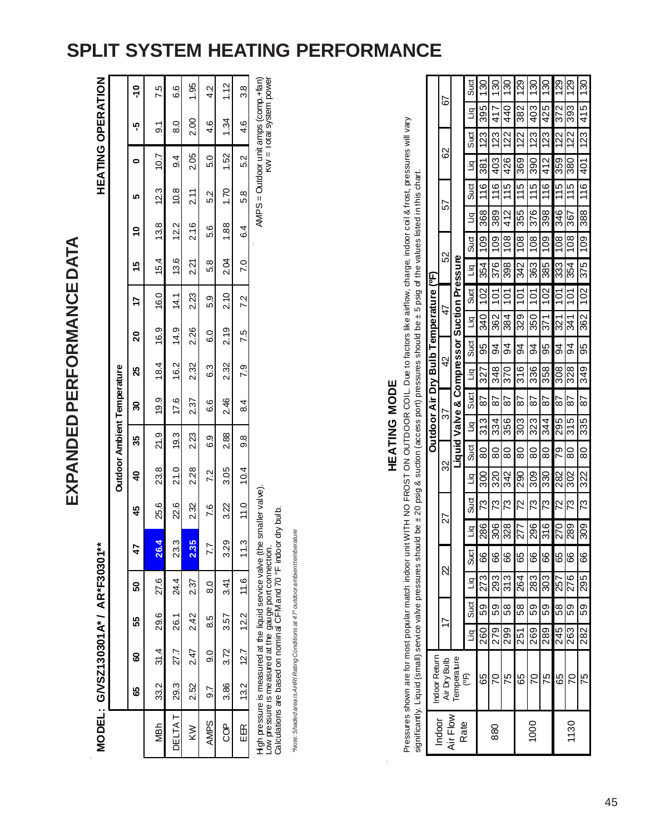| MODEL: G/VSZ130301A* / AR*F30301**                                                                                                                                                                     |      |          |                           |               |      |      |               |      |                                    |      |                 |      |      |               |      |      | <b>HEATING OPERATION</b>                                            |               |
|--------------------------------------------------------------------------------------------------------------------------------------------------------------------------------------------------------|------|----------|---------------------------|---------------|------|------|---------------|------|------------------------------------|------|-----------------|------|------|---------------|------|------|---------------------------------------------------------------------|---------------|
|                                                                                                                                                                                                        |      |          |                           |               |      |      |               |      | <b>Outdoor Ambient Temperature</b> |      |                 |      |      |               |      |      |                                                                     |               |
|                                                                                                                                                                                                        | టి   | ෂ        | 55                        | ន             |      | 45   | $\frac{1}{4}$ | 35   | ని                                 | 25   | $\overline{20}$ | 17   | 15   | $\frac{1}{2}$ | ഥ    | 0    | ပ္ပ္                                                                | $\frac{0}{1}$ |
| MBh                                                                                                                                                                                                    |      |          | 33.2 314 29.6 27.6        |               | 26.4 | 25.6 | 23.8          | 21.9 | 19.9                               | 18.4 | 16.9            | 16.0 | 15.4 | 13.8          | 12.3 | 10.7 | $\overline{5}$                                                      | 7.5           |
| DELTAT                                                                                                                                                                                                 |      |          | 29.3 27.7 26.1 24.4       |               | 23.3 | 22.6 | <b>21.0</b>   | 19.3 | 17.6                               | 16.2 | 14.9            | 14.1 | 13.6 | 12.2          | 10.8 | 9.4  | 8.0                                                                 | 6.6           |
| $\geq$                                                                                                                                                                                                 | 2.52 | 2.47     | 2.42                      | 237           | 2.35 | 2.32 | 2.28          | 2.23 | 237                                | 232  | 2.26            | 2.23 | 2.21 | 2.16          | 211  | 2.05 | 2.00                                                                | 1.95          |
| <b>AMPS</b>                                                                                                                                                                                            | 5.7  | <u>ဝ</u> | 8.5                       | $\frac{0}{8}$ |      | 7.6  | 7.2           | 6.9  | 6.6                                | 6.3  | <b>G.O</b>      | 5.9  | 5.8  | 5.6           | 52   | 5.0  | 4.6                                                                 | $\frac{2}{4}$ |
| င်္င                                                                                                                                                                                                   | 3.86 | 3.72     | 3.57                      | 3.41          | 3.29 | 3.22 | 3.05          | 2.88 | 2.46                               | 232  | 2.19            | 210  | 2.04 | 1.88          | 0.70 | 1.52 | 1.34                                                                | 1.12          |
| EER                                                                                                                                                                                                    |      |          | $13.2$ $12.7$ $12.2$ 11.6 |               | 11.3 | 11.0 | 10.4          | 9.8  | 8.4                                | 7.9  | 75              | 72   | 7.0  | 6.4           | 58   | 5.2  | 4.6                                                                 | 3.8           |
| High pressure is measured at the liquid service valve (the smaller valve)<br>Calculations are based on nominal CFM and 70 °F indoor dry bulb.<br>Low pressure is measured at the gauge port connection |      |          |                           |               |      |      |               |      |                                    |      |                 |      |      |               |      |      | AMPS = Outdoor unit amps (comp.+fan)<br>$K/V =$ I otal system power |               |
| Note: Shaded area is AHRI Rating Conditions at 47° outdoor ambient temberature*                                                                                                                        |      |          |                           |               |      |      |               |      |                                    |      |                 |      |      |               |      |      |                                                                     |               |

# **HEATING MODE HEATING MODE**

Pressures shown are for most popular match indoor unit WITH NO FROST ON OUTDOOR COIL. Due to factors like airflow, charge, indoor coil & frost, pressures will vary<br>تنصیلات انتشار احتمال مصدرم بعادی محمد بعد من اللہ ملک کے Pressures shown are for most popular match indoor unit WITH NO FROST ON OUTDOOR COIL. Due to factors like airflow, charge, indoor coil & frost, pressures will vary significantly. Liquid (small) service valve pressures should be ± 20 psig & suction (access port) pressures should be ± 5 psig of the values listed in this chart.

| ран и примерать в современия современия и на примерать в современии и примерать в современии и примеративной примератируется и примератируется и примератируется и примератируется и примератируется и примератируется и прим | ঢ়ি<br><b>Outdoor Air Dry Bulb Temperature</b> | 5<br>8<br>57<br>52<br>$\overline{4}$<br>4<br>57<br>32<br>27<br>R | Pressure<br>Suction<br>Compressor<br>Valve &<br>Liquid | Suct<br>9 L<br>Suct<br>ig.<br>Suct<br>ğ<br>ರ<br>ನ<br>٩L<br>Suct<br>٥L<br>Suct<br>Ξ<br>Suct<br>Ĵ<br>Suct<br>9.<br>Suđ<br>٩L<br><b>Suct</b><br>Liq | <u>န</u><br>395<br>123<br>381<br>116<br>368<br>$\mathsf{S}^{\mathsf{O}}$<br>354<br>S<br>S40<br>95<br>327<br>28<br>313<br>80<br>క్ల<br>೮<br>286<br>8<br>273 | న్<br>$\frac{1}{4}$<br>123<br>403<br>116<br>389<br>ဒိ<br>376<br>δ<br>362<br>94<br>348<br>87<br>334<br>80<br>ន្ល<br>ಌ<br>306<br>66<br>293 | ဒ္ထ<br>440<br>22<br>426<br>115<br>412<br>$\frac{8}{1}$<br>398<br>$\bar{\circ}$<br>384<br>ತ<br>370<br>87<br>356<br>80<br>342<br>SZ.<br>328<br>8<br>313 | ని<br>382<br>122<br>369<br>115<br>355<br>$\frac{8}{1}$<br>342<br>$\overline{5}$<br>329<br>ತ<br>$\circ$<br>31<br>78<br>303<br>80<br>ஜ<br>2<br>277<br>65<br>264 | ೫<br>403<br>123<br>390<br>115<br>376<br>$\frac{8}{2}$<br>363<br>$\overline{5}$<br>350<br>94<br>336<br>87<br>323<br>80<br>ౙౢ<br>೮<br>296<br>8<br>283 | న్లె<br>425<br>123<br>412<br>116<br>398<br>္မိပ<br>385<br>8<br>371<br>95<br>358<br>87<br>344<br>80<br>330<br>೮<br>316<br>8<br>303 | $\frac{8}{2}$<br>372<br>122<br>359<br>115<br>346<br>$\frac{8}{1}$<br>333<br>$\overline{5}$<br>સ્ત્ર<br>ತ<br>308<br>28<br>295<br>79<br>282<br>2<br>270<br>65<br>257 | <u>ღ</u><br>393<br>22<br>380<br>115<br>367<br>$\frac{8}{10}$<br>354<br>$\overline{5}$<br>341<br>94<br>328<br>28<br>315<br>80<br>క్ల<br>ಌ<br>289<br>8<br>276 | ೫<br>415<br>123<br>$\frac{2}{9}$<br>116<br>388<br>109<br>375<br>$\frac{2}{3}$<br>362<br>95<br>349<br>67<br>335<br>80<br>295 |
|-------------------------------------------------------------------------------------------------------------------------------------------------------------------------------------------------------------------------------|------------------------------------------------|------------------------------------------------------------------|--------------------------------------------------------|--------------------------------------------------------------------------------------------------------------------------------------------------|------------------------------------------------------------------------------------------------------------------------------------------------------------|------------------------------------------------------------------------------------------------------------------------------------------|-------------------------------------------------------------------------------------------------------------------------------------------------------|---------------------------------------------------------------------------------------------------------------------------------------------------------------|-----------------------------------------------------------------------------------------------------------------------------------------------------|-----------------------------------------------------------------------------------------------------------------------------------|--------------------------------------------------------------------------------------------------------------------------------------------------------------------|-------------------------------------------------------------------------------------------------------------------------------------------------------------|-----------------------------------------------------------------------------------------------------------------------------|
|                                                                                                                                                                                                                               |                                                |                                                                  |                                                        |                                                                                                                                                  |                                                                                                                                                            |                                                                                                                                          |                                                                                                                                                       |                                                                                                                                                               |                                                                                                                                                     |                                                                                                                                   |                                                                                                                                                                    |                                                                                                                                                             | 322<br>SZ.                                                                                                                  |
|                                                                                                                                                                                                                               |                                                |                                                                  |                                                        |                                                                                                                                                  |                                                                                                                                                            |                                                                                                                                          |                                                                                                                                                       |                                                                                                                                                               |                                                                                                                                                     |                                                                                                                                   |                                                                                                                                                                    |                                                                                                                                                             | 808<br>8                                                                                                                    |
|                                                                                                                                                                                                                               |                                                |                                                                  |                                                        | Suct<br>ğ                                                                                                                                        | တ<br>260                                                                                                                                                   | တ<br>279                                                                                                                                 | 58<br>299                                                                                                                                             | 58<br>251                                                                                                                                                     | 59<br>269                                                                                                                                           | 59<br>289                                                                                                                         | 58<br>245                                                                                                                                                          | 59<br>263                                                                                                                                                   | 59<br>282                                                                                                                   |
|                                                                                                                                                                                                                               | Indoor Return<br>Indoor                        | Air Dry Bulb<br>Air Flow                                         | <b>Temperature</b><br>Rate                             | E                                                                                                                                                | 65                                                                                                                                                         | 880                                                                                                                                      | 75                                                                                                                                                    | 65                                                                                                                                                            | ς<br>1000                                                                                                                                           | 75                                                                                                                                | 65                                                                                                                                                                 | ς<br>1130                                                                                                                                                   | 75                                                                                                                          |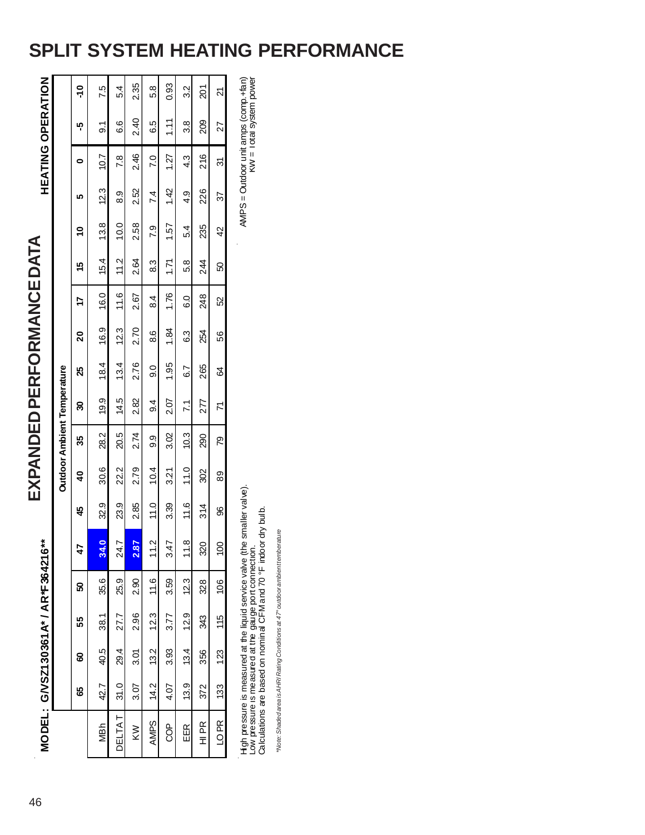| MODEL: G/VSZ130361A* / AR*F364216**                                                                                                                                                                     |      |         |      |      |                          |      |               |      |                                    | EANDED FERFORMANE DAIR |                 |               |        |               |                                      | <b>HEATING OPERATION</b> |                             |      |
|---------------------------------------------------------------------------------------------------------------------------------------------------------------------------------------------------------|------|---------|------|------|--------------------------|------|---------------|------|------------------------------------|------------------------|-----------------|---------------|--------|---------------|--------------------------------------|--------------------------|-----------------------------|------|
|                                                                                                                                                                                                         |      |         |      |      |                          |      |               |      | <b>Outdoor Ambient Temperature</b> |                        |                 |               |        |               |                                      |                          |                             |      |
|                                                                                                                                                                                                         | ౪    | 8       | 55   | 50   |                          | 45   | $\frac{1}{4}$ | ౘ    | g                                  | 25                     | $\overline{20}$ | 17            | 15     | $\frac{1}{2}$ | ۱Ω                                   | 0                        | ပှ                          | ٥ŗ   |
| MBh                                                                                                                                                                                                     | 42.7 | 40.5    | 38.1 | 35.6 | 34.0                     | 32.9 | 30.6          | 28.2 | 19.9                               | 18.4                   | 16.9            | 16.0          | 15.4   | 13.8          | 12.3                                 | 10.7                     | $\overline{9}$              | 7.5  |
| <b>DELTAT</b>                                                                                                                                                                                           | 31.0 | 29.4    | 27.7 | 25.9 | 24.7                     | 23.9 | 22.2          | 20.5 | 14.5                               | 13.4                   | 12.3            | 11.6          | 112    | 10.0          | 8.9                                  | $\overline{7.8}$         | 6.6                         | 54   |
| $\geq$                                                                                                                                                                                                  | 3.07 | 3.<br>S | 2.96 | 290  | 87<br>$\dot{\mathbf{v}}$ | 2.85 | 279           | 2.74 | 2.82                               | 2.76                   | 2.70            | 2.67          | 2.64   | 2.58          | 252                                  | 246                      | 2.40                        | 235  |
| <b>AMPS</b>                                                                                                                                                                                             | 14.2 | 13.2    | 123  | 11.6 | $\frac{1}{2}$            | 11.0 | 10.4          | ၀၀   | 94                                 | 9.0                    | 8.6             | $\frac{4}{6}$ | 8.3    | 7.9           | 74                                   | $\overline{C}$           | 6.5                         | 58   |
| င်                                                                                                                                                                                                      | 4.07 | 3.93    | 3.77 | 3.59 | 347                      | 3.39 | 321           | 3.02 | 2.07                               | 1.95                   | 1.84            | 1.76          | $\leq$ | 1.57          | 1.42                                 | 1.27                     | 1.11                        | 0.93 |
| EBR                                                                                                                                                                                                     | 13.9 | 13.4    | 12.9 | 12.3 | $\infty$                 | 11.6 | 11.0          | 10.3 | $\overline{7.1}$                   | $\overline{6}$         | C.3             | C.G           | 5.8    | 5.4           | 4.9                                  | 4.3                      | 38                          | 32   |
| H PR                                                                                                                                                                                                    | 372  | 356     | 343  | 328  | 320                      | 314  | 302           | 290  | 277                                | 265                    | 254             | 248           | 24     | 235           | 226                                  | 216                      | 209                         | 201  |
| LO <sub>PR</sub>                                                                                                                                                                                        | 133  | 123     | 115  | 106  | g                        | 96   | 89            | R)   | $\overline{K}$                     | \$4                    | 56              | S             | 8      | $\frac{2}{4}$ | 57                                   | ᢌ                        | 27                          | ম    |
| High pressure is measured at the liquid service valve (the smaller valve).<br>Calculations are based on nominal CFM and 70 °F indoor dry bulb.<br>Low pressure is measured at the gauge port connection |      |         |      |      |                          |      |               |      |                                    |                        |                 |               |        |               | AMPS = Outdoor unit amps (comp.+fan) |                          | $K/V = 1$ otal system power |      |

\*Note: Shaded area is AHRI Rating Conditions at 47° outdoor ambient temberature High pressure is measured at the liquid service valve (the sm<br>Low pressure is measured at the gauge port connection.<br>Calculations are based on nominal CFM and 70 °F indoor dry<br><sup>v</sup>ive: Shadedareats AHRI Rating Conditions at

# **SPLIT SYSTEM HEATING PERFORMANCE**

EXPANDED PERFORMANCE DATA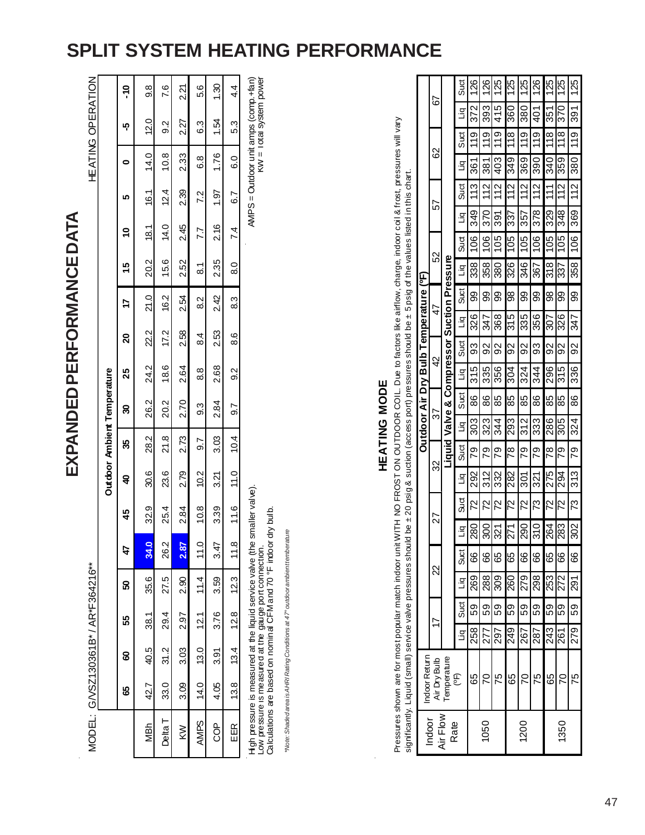| MODEL: G/VSZ130361B* / AR*F364216**                                       |      |        |                             |      |                  |                                                    |                     |      |                             |                |           |               |               |            |             |         | <b>HEATING OPERATION</b>             |                |
|---------------------------------------------------------------------------|------|--------|-----------------------------|------|------------------|----------------------------------------------------|---------------------|------|-----------------------------|----------------|-----------|---------------|---------------|------------|-------------|---------|--------------------------------------|----------------|
|                                                                           |      |        |                             |      |                  |                                                    |                     |      | Outdoor Ambient Temperature |                |           |               |               |            |             |         |                                      |                |
|                                                                           | ట్టి | ෂ      | 55                          | ន    | 47               | 45                                                 | $\ddot{\mathbf{z}}$ | ౘ    | ೫                           | 25             | <u>ន</u>  | ¢             | 15            | $\ddot{ }$ | ŋ           |         | ၯ                                    | ۹.             |
| MBh                                                                       | 42.7 | 40.5   | 38.1                        | 35.6 | 34.0             | 32.9                                               | 30.6                | 282  | 26.2                        | 24.2           | 22<br>22  | 21.0          | 20.2          | 18.1       | 16.1        | 14.0    | <b>12.0</b>                          | 9.8            |
| Delta T <sup>1</sup>                                                      |      |        | 33.0 31.2 $29.4$ 27.5       |      | 262              | 25.4                                               | 23.6                | 21.8 |                             | 20.2 18.6 17.2 |           | 162           | 15.6          | 14.0       | $12.4$ 10.8 |         | 92                                   | 7.6            |
| KW                                                                        |      |        | 3.09 3.03 $2.97$ 2.90       |      | 2.87             |                                                    | 2.84 2.79           | 2.73 | 2.70 2.64                   |                | 2.58 2.54 |               | 2.52 2.45     |            | 2.39 2.33   |         | 2.27                                 | 2.21           |
| AMPS                                                                      |      |        | $14.0$ $13.0$ $12.1$ $11.4$ |      | 0.11             | $\begin{array}{c}\n 10.8 \\  \hline\n \end{array}$ | 10.2                | 9.7  | ე.<br>თ                     | .<br>හ         | 8.4       | $\frac{2}{3}$ | $\frac{1}{8}$ | 7.7 7.2    |             | 68<br>0 | 6.3                                  | 5.6            |
| င်                                                                        | 4.85 | ನ<br>ನ | 3.76                        | 3.59 | 3.47             | 3.39                                               | 3.21                | 3.03 | 2.84                        | 2.68           | 2.53      | 2.42          | 235           | 2.16       | 1.97        | 1.76    | 1.54                                 | $\frac{30}{5}$ |
| ER                                                                        |      |        | $13.8$ $13.4$ $12.8$ $12.3$ |      | œ<br>$\tilde{t}$ | 11.6                                               | 11.0                | 10.4 | 9.7                         | 9.2            | 8.6       | 83            | 8.0           | 74         | 6.7         | 6.0     | 53                                   | 4.4            |
| High pressure is measured at the liquid service valve (the smaller valve) |      |        |                             |      |                  |                                                    |                     |      |                             |                |           |               |               |            |             |         | AMPS = Outdoor unit amps (comp.+fan) |                |

**EXPANDED PERFORMANCE DATA**

**EXPANDED PERFORMANCE DATA** 

Low pressure is measured at the gauge port connection.<br>Calculations are based on nominal CFM and 70 °F indoor dry bulb. Calculations are based on nominal CFM and 70 °F indoor dry bulb. High pressure is measured at the liquid service valve (the sm<br>Low pressure is measured at the gauge port connection.<br>Calculations are based on nominal CFM and 70 °F indoor dry<br>"voie: Shaded area is AHRI Rating Conditions a Low pressure is measured at the gauge port connection.

"Note: Shaded area is AHRI Rating Conditions at 47° outdoor ambient temberature

 $K/V =$  I otal system power Total system power

# **HEATING MODE HEATING MODE**

Pressures shown are for most popular match indoor unit WITH NO FROST ON OUTDOOR COIL. Due to factors like airflow, charge, indoor coil & frost, pressures will vary Pressures shown are for most popular match indoor unit WITH NO FROST ON OUTDOOR COIL. Due to factors like airflow, charge, indoor coil & frost, pressures will vary significantly. Liquid (small) service valve pressures should be ±20 psig & suction (access port) pressures should be ± 5 psig of the values listed in this chart. significantly. Liquid (small) service valve pressures should be ± 20 psig & suction (access port) pressures should be ± 5 psig of the values listed in this chart.

|                                       |                    |                         | Suct      | 126      | 126           | 25  | 125 | 125           | 126 | 125           | 125            | 125                         |
|---------------------------------------|--------------------|-------------------------|-----------|----------|---------------|-----|-----|---------------|-----|---------------|----------------|-----------------------------|
|                                       | 5                  |                         | υū        | 372      | 393           | 415 | 360 | 380           | 401 | 351           | 370            | 391                         |
|                                       |                    |                         | Suct      | ი<br>ს   | $\frac{8}{1}$ | 119 | 118 | $\frac{0}{1}$ | 119 | $\frac{8}{1}$ | $\frac{8}{18}$ | 119                         |
|                                       | 8                  |                         | ٩Ĺ        | 361      | 381           | 403 | 349 | 369           | 390 | 340           | 359            | 380                         |
|                                       |                    |                         | Suct      | 113      | 11<br>12      | 112 | 112 | 112           | 112 | $-111$        | 12<br>11       | 112<br>T                    |
|                                       | 57                 |                         | ں<br>ت    | 349      | 370           | శ్ల | 337 | 357           | 378 | 329           | 348            | 369                         |
|                                       | 52                 |                         | Sud       | 80       | 8             | 105 | 105 | 105           | 106 | 105           | 105            | 106                         |
|                                       |                    | <b>Suction Pressure</b> | ٥Li       | 338      | 358           | 380 | 326 | 346           | 367 | $\frac{8}{3}$ | 337            | 358                         |
|                                       | $\overline{4}$     |                         | Suct      | 8        | ஜ             | 8   | 8   | 8             | ஜ   | ஜ             | 8              | 8                           |
| Outdoor Air Dry Bulb Temperature (°F) |                    |                         | ٩Ĺ        | 326      | 347           | 368 | 315 | 335           | 356 | 307           | 326            | 347                         |
|                                       | Ą                  |                         | Suct      | ဘ        | 92            | 92  | 92  | SS            | တ္တ | 92            | SS             | $\mathcal{S}^{\mathcal{S}}$ |
|                                       |                    | Valve & Compressor      | υū        | 315      | 335           | 356 | 304 | 324           | 344 | 296           | 315            | 336                         |
|                                       | 57                 |                         | Suct      | 86       | 86            | 85  | 85  | 85            | 86  | 85            | 85             | 86                          |
|                                       |                    |                         | <u>ت</u>  | 303      | 323           | 344 | 293 | 312           | 333 | 286           | 305            | 324                         |
|                                       | 32                 | Liquid                  | Suct      | లై       | 79            | లై  | 78  | 79            | 79  | 78            | 79             | 79                          |
|                                       |                    |                         | Ξ         | 292      | 312           | 332 | 282 | వ్ల           | 321 | 275           | 294            | 313                         |
|                                       | 27                 |                         | Suđ       | 22       | 2             | 22  | 22  | 22            | గ్ర | 22            | 22             | 73                          |
|                                       |                    |                         | نات       | <u>ಇ</u> | ೩೦            | ୍ସି | 271 | ೫             | ಸ   | 264           | 283            | 302                         |
|                                       | $\approx$          |                         | Suct      | 8        | 8             | 89  | 65  | 8             | 8   | 65            | 66             | 8                           |
|                                       |                    |                         | نات       | 269      | 288           | 309 | 260 | 279           | 298 | 253           | 272            | 291                         |
|                                       |                    |                         | Suct      | 59       | တ             | 59  | 59  | င္ပာ          | 59  | 59            | 59             | SS                          |
|                                       |                    |                         | ن<br>ت    | 258      | 277           | 297 | 249 | 267           | 287 | 243           | 261            | 279                         |
| Indoor Return                         | Air Dry Bulb       | Temperature             | <b>GD</b> | 65       | 20            | 75  | 65  | 20            | 75  | 65            | ξ              | 75                          |
|                                       | Indoor<br>Air Flow | Rate                    |           |          | 050           |     |     | 1200          |     |               | 1350           |                             |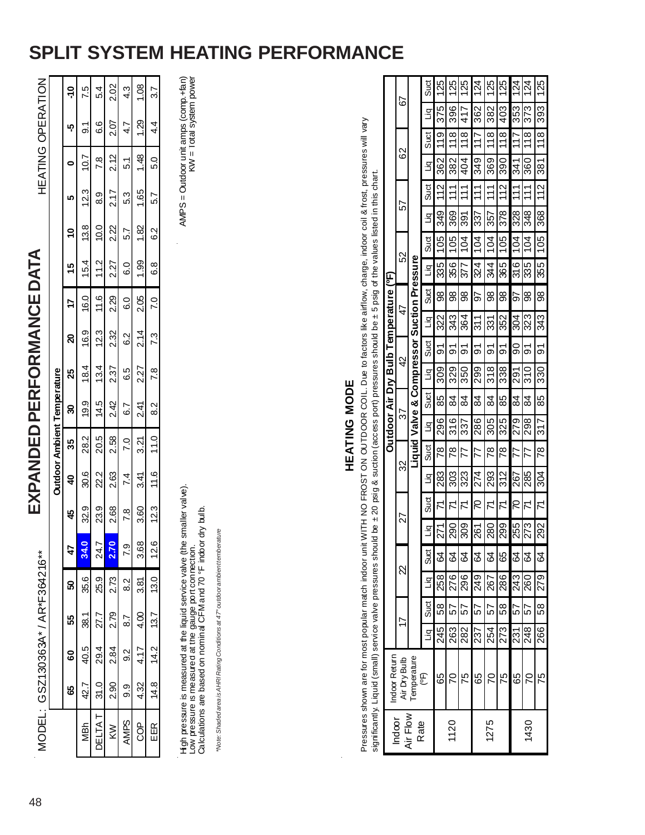| MODEL: GSZ130363A* / AR*F364216**                                                                                                                                                                                                                                                          |            |      |                |      |                       |      | <b>EXPANDED PERFORMANCE DATA</b> |      |                                    |                 |          |                |        |               |                                      |      | HEATING OPERATION           |      |
|--------------------------------------------------------------------------------------------------------------------------------------------------------------------------------------------------------------------------------------------------------------------------------------------|------------|------|----------------|------|-----------------------|------|----------------------------------|------|------------------------------------|-----------------|----------|----------------|--------|---------------|--------------------------------------|------|-----------------------------|------|
|                                                                                                                                                                                                                                                                                            |            |      |                |      |                       |      |                                  |      | <b>Outdoor Ambient Temperature</b> |                 |          |                |        |               |                                      |      |                             |      |
|                                                                                                                                                                                                                                                                                            | 65         | ဓ    | ပ္ပ            | ន    | 4                     | 45   | ੩                                | 35   | వి                                 | 25              | <u>ន</u> | 17             | 15     | \$            | <u>က</u>                             | 0    | ယူ                          | ۵Ļ   |
| MBh                                                                                                                                                                                                                                                                                        | 42.7       | 40.5 | 38.1           | 35.G | 34.0                  | 32.9 | 30.6                             | 28.2 | 19.9                               | 184             | 16.9     | 16.0           | 15.4   | 13.8          | 123                                  | 10.7 | <u>ာ</u>                    | 7.5  |
| <b>DELTAT</b>                                                                                                                                                                                                                                                                              | .<br>ನ     | 29.4 | 27.7           | 25.9 | র্শ                   | 23.9 | 22.2                             | 20.5 | 14.5                               | 13.4            | 12.3     | 11.6           | 11.2   | 10.0          | 0<br>හ                               | 78   | <u>င်</u>                   | 54   |
| $\geqslant$                                                                                                                                                                                                                                                                                | ର<br>2.9   | 2.84 | 2.79           | 273  | 2.70                  | 2.68 | ದ<br>2                           | 2.58 | 2.42                               | 237             | 2.32     | 2.29           | 2.27   | 22<br>2       | 217                                  | 2.12 | 207                         | 2.02 |
| <b>AMPS</b>                                                                                                                                                                                                                                                                                | 0.<br>ඉ    | 9.2  | $\overline{8}$ | 82   | P.S                   | 8 Z  | 7.4                              | 0.7  | 67                                 | 65              | 62       | 6.0            | 6.0    | 57            | 53                                   | 5.1  | 4.7                         | 4.3  |
| င်                                                                                                                                                                                                                                                                                         | 32<br>4.32 | 4.17 | $\frac{8}{4}$  | 381  | 3.68                  | 3.60 | 3.41                             | 3.21 | 241                                | 227             | 2.14     | 2.05           | 1.99   | 1.82          | 1.65                                 | 1.48 | 1.29                        | 1.08 |
| E<br>ER                                                                                                                                                                                                                                                                                    | 14.8       | 14.2 | 13.7           | 13.0 | <u>ဖ</u><br><u>بہ</u> | 12.3 | 11.6                             | 11.0 | $\frac{2}{3}$                      | $\overline{7}8$ | 73       | $\overline{C}$ | .<br>စ | $\frac{2}{3}$ | 57                                   | 5.0  | $4\overline{4}$             | 37   |
| High pressure is measured at the liquid service valve (the smaller valve).<br>Calculations are based on nominal CFM and 70 °F indoor dry bulb.<br>"Note: Shaded area is AHRI Rating Conditions at 47° outdoor ambient temberature<br>Low pressure is measured at the gauge port connection |            |      |                |      |                       |      |                                  |      |                                    |                 |          |                |        |               | AMPS = Outdoor unit amps (comp.+fan) |      | $KVV = 1$ otal system power |      |

# **HEATING MODE HEATING MODE**

l,

Pressures shown are for most popular match indoor unit WITH NO FROST ON OUTDOOR COIL. Due to factors like airflow, charge, indoor coil & frost, pressures will vary<br>significantly. Liquid (small) service valve pressures sho Pressures shown are for most popular match indoor unit WITH NO FROST ON OUTDOOR COIL. Due to factors like airflow, charge, indoor coil & frost, pressures will vary significantly. Liquid (small) service valve pressures should be ± 20 psig & suction (access port) pressures should be ± 5 psig of the values listed in this chart.

|                                  |                    |                           | Suct      | 125            | 81                       | 125         | 124           | 125           | 125 | 124           | $\frac{1}{2}$ | 125           |
|----------------------------------|--------------------|---------------------------|-----------|----------------|--------------------------|-------------|---------------|---------------|-----|---------------|---------------|---------------|
|                                  | 53                 |                           | Ξ         | 375            | 396                      | r<br>41     | 362           | 382           | 403 | 353           | 373           | 393           |
|                                  |                    |                           | Suct      | $\frac{8}{1}$  | $\frac{8}{1}$            | 118         | 117           | $\frac{8}{1}$ | 118 | 117           | 18<br>11      | 118           |
|                                  | 29                 |                           | Lg        | 362            | 382                      | 404         | 349           | 369           | 390 | 341           | 360           | 381           |
|                                  |                    |                           | ರ<br>ನ    | 12<br>11       | $\overline{\phantom{0}}$ | $\tilde{t}$ | ۲<br>1        | $-111$        | 112 | <del>با</del> | :             | 112           |
|                                  | 57                 |                           | Ĵg        | 349            | 369                      | 391         | 337           | 357           | 378 | 328           | 348           | 368           |
|                                  |                    |                           | Suđ       | $\frac{5}{10}$ | 105                      | 104         | 104           | 104           | 105 | 104           | 104           | 105           |
| €                                | 52                 | <b>Suction Pressure</b>   | ٥Li       | 335            | 356                      | 377         | 324           | 344           | 365 | 316           | 335           | 355           |
|                                  |                    |                           | Suct      | 88             | 8                        | 8           | 56            | 88            | 88  | 5             | 8             | 88            |
| Outdoor Air Dry Bulb Temperature | 47                 |                           | ٥L        | 322            | 343                      | 364         | $\frac{1}{3}$ | 331           | 352 | 304           | 323           | 343           |
|                                  |                    |                           | Suct      | δ              | δ                        | ္တ          | ္တ            | ္တ            | 5   | ဓ             | 51            | δ             |
|                                  | $\frac{2}{3}$      |                           | Ξ         | 309            | 329                      | 350         | 299           | $\frac{8}{3}$ | 338 | <u>ನ್ನ</u>    | $\frac{1}{3}$ | 330           |
|                                  |                    |                           | Suct      | န္တ            | ಜೆ                       | 84          | 84            | 84            | 85  | 84            | 84            | 85            |
|                                  | 37                 | Liquid Valve & Compressor | ٩Ĺ        | 296            | 316                      | 337         | 286           | 305           | 325 | 279           | 298           | 317           |
|                                  |                    |                           | Suct      | 78             | 78                       | 77          | 77            | 78            | 78  | 77            | 77            | $\frac{8}{1}$ |
|                                  | 32                 |                           | Ľg        | 283            | 303                      | 323         | 274           | 293           | 312 | 267           | 285           | 304           |
|                                  |                    |                           | ರ<br>ನ    | 7              |                          | 7           | S             | 7             | 71  | R             | Σ             | 71            |
|                                  | 27                 |                           | ٥Li       | 271            | ႙ၟ                       | 309         | ନ୍ଧି          | 280           | 299 | 255           | 273           | 292           |
|                                  |                    |                           | Suct      | S,             | 8                        | \$          | \$            | \$            | 65  | \$            | S4            | \$            |
|                                  | 22                 |                           | Lig       | 258            | 276                      | 296         | 672           | 267           | 286 | 243           | 260           | 279           |
|                                  |                    |                           | Suct      | 58             | 57                       | 57          | 57            | 57            | 58  | 57            | 57            | 58            |
|                                  |                    |                           | Lig<br>Li | 245            | 263                      | 282         | 237           | 254           | 273 | 231           | 248           | 266           |
| Indoor Returr                    | Air Dry Bulb       | Temperature               | (e)       | 65             |                          | 75          | 65            | ξ             | 15  | 65            |               | 75            |
|                                  | Air Flow<br>Indoor | Rate                      |           |                | 1120                     |             |               | 1275          |     |               | 1430          |               |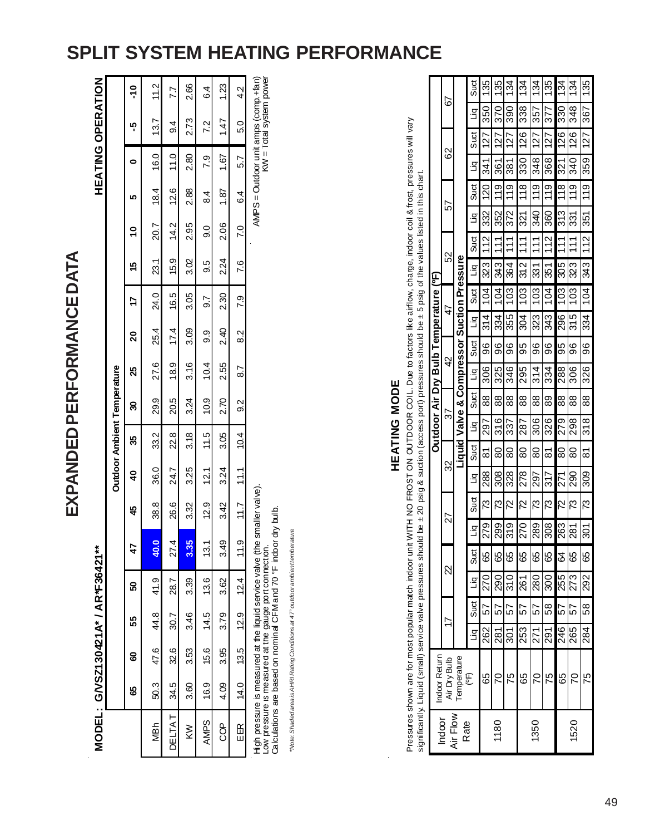| MODEL: G/VSZ130421A* / AR*F36421**                                                                                                                                                                     |      |      |      |      |                     |      |               |      |                                    |                |                 |         |      |                          |               |            | <b>HEATING OPERATION</b>                                        |        |
|--------------------------------------------------------------------------------------------------------------------------------------------------------------------------------------------------------|------|------|------|------|---------------------|------|---------------|------|------------------------------------|----------------|-----------------|---------|------|--------------------------|---------------|------------|-----------------------------------------------------------------|--------|
|                                                                                                                                                                                                        |      |      |      |      |                     |      |               |      | <b>Outdoor Ambient Temperature</b> |                |                 |         |      |                          |               |            |                                                                 |        |
|                                                                                                                                                                                                        | යි   | 8    | 55   | ន    | 4                   | 45   | $\frac{1}{4}$ | 35   | ని                                 | 25             | $\overline{20}$ | 17      | 15   | $\overline{\phantom{0}}$ | ഥ             | 0          | ပ္ပ္                                                            | ە<br>7 |
| MBh                                                                                                                                                                                                    | 50.3 | 47.6 | 44.8 | 41.9 | 40.0                | 38.8 | 36.0          | 33.2 | 29.9                               | 27.6           | 25.4            | 24.0    | 23.1 | 20.7                     | 18.4          | 16.0       | 13.7                                                            | 11.2   |
| DELTAT                                                                                                                                                                                                 | 34.5 | 32.6 | 30.7 | 28.7 | 27.4                | 26.6 | 24.7          | 22.8 | 20.5                               | 18.9           | 17.4            | 16.5    | 15.9 | 14.2                     | 12.6          | 11.0       | თ.<br>მ                                                         | 77     |
| $\geq$                                                                                                                                                                                                 | 3.60 | 353  | 3.46 | 339  | $\frac{1}{2}$<br>್ಲ | 3.32 | 3.25          | 3.18 | 3.24                               | 3.16           | 3.09            | 3.05    | 3.02 | 2.95                     | 88<br>2.      | 280        | 2.73                                                            | 2.66   |
| <b>AMPS</b>                                                                                                                                                                                            | 16.9 | 15.6 | 14.5 | 13.6 | 13.1                | 12.9 | 12.1          | 11.5 | 10.9                               | 10.4           | 9.9             | 56      | ပ်   | 9.0                      | $\frac{4}{8}$ | <b>P.7</b> | 7.2                                                             | 4<br>0 |
| င်                                                                                                                                                                                                     | 4.09 | 3.95 | 3.79 | 3.62 | 3.49                | 3.42 | 3.24          | 3.05 | 2.70                               | 2.55           | 2.40            | 2.30    | 2.24 | 2.06                     | 1.87          | 1.67       | 147                                                             | 1.23   |
| EER                                                                                                                                                                                                    | 14.0 | 13.5 | 12.9 | 12.4 | 11.9                | 11.7 | 11.1          | 10.4 | 92                                 | $\overline{8}$ | $\frac{2}{8}$   | 0م<br>7 | 7.6  | 7.0                      | 64            | 57         | 5.0                                                             | 42     |
| High pressure is measured at the liquid service valve (the smaller valve)<br>Calculations are based on nominal CFM and 70 °F indoor dry bulb.<br>Low pressure is measured at the gauge port connection |      |      |      |      |                     |      |               |      |                                    |                |                 |         |      |                          |               |            | AMPS = Outdoor unit amps (comp.+fan)<br>KW = lotal system power |        |
| "Note: Shaded area is AHRI Rating Conditions at 47° outdoor ambient temberature                                                                                                                        |      |      |      |      |                     |      |               |      |                                    |                |                 |         |      |                          |               |            |                                                                 |        |

# **HEATING MODE HEATING MODE**

Pressures shown are for most popular match indoor unit WITH NO FROST ON OUTDOOR COIL. Due to factors like airflow, charge, indoor coil & frost, pressures will vary Pressures shown are for most popular match indoor unit WITH NO FROST ON OUTDOOR COIL. Due to factors like airflow, charge, indoor coil & frost, pressures will vary significantly. Liquid (small) service valve pressures should be ± 20 psig & suction (access port) pressures should be ± 5 psig of the values listed in this chart.

|                                                                                                                                                                |                                       |                    |                           | Suct     | సి            | సి                   | z               | ¥      | श्र<br>अ      | 8             | <u>ক্ত</u> | $\mathbb{R}^-$ | ౘ   |
|----------------------------------------------------------------------------------------------------------------------------------------------------------------|---------------------------------------|--------------------|---------------------------|----------|---------------|----------------------|-----------------|--------|---------------|---------------|------------|----------------|-----|
|                                                                                                                                                                |                                       | 52                 |                           | υū       | 350           | 370                  | 390             | 338    | 357           | 377           | 330        | 348            | 367 |
|                                                                                                                                                                |                                       |                    |                           | Suct     | 127           | 127                  | 127             | 126    | 127           | 127           | 26<br>2    | 126            | 127 |
|                                                                                                                                                                |                                       | 62                 |                           |          |               |                      |                 |        |               |               |            |                |     |
|                                                                                                                                                                |                                       |                    |                           | Ĵ        | 341           | 361                  | శ్ల             | 330    | 348           | 368           | 321        | 340            | 359 |
|                                                                                                                                                                |                                       | 57                 |                           | ರ<br>ನ   | 120           | 119                  | 119             | 118    | 119           | 119           | 118        | 119            | 119 |
|                                                                                                                                                                |                                       |                    |                           | Ĵ        | 332           | 352                  | 372             | 321    | 340           | 360           | 313        | 331            | 351 |
|                                                                                                                                                                |                                       | δS                 |                           | Suđ      | $\frac{2}{1}$ | $\ddot{\phantom{0}}$ | 11 <sub>1</sub> | 111    | 111           | 112           | $-11$      | $\vdots$       | 112 |
|                                                                                                                                                                |                                       |                    |                           | ٥Ĺ       | 323           | 343                  | 364             | স<br>স | శ్ల           | 351           | 305        | 323            | 343 |
|                                                                                                                                                                |                                       |                    |                           | Suct     | $\frac{1}{2}$ | $\overline{5}$       | $\frac{3}{2}$   | 103    | 103           | $\frac{4}{3}$ | 103        | $\frac{2}{3}$  | 104 |
|                                                                                                                                                                |                                       | 47                 | <b>Suction Pressure</b>   | ٥Ĺ       | 314           | 334                  | 355             | 304    | 323           | 343           | 296        | 315            | 334 |
|                                                                                                                                                                |                                       |                    |                           | Suct     | 96            | 96                   | 96              | 95     | 96            | 96            | မ္မ        | 96             | 96  |
|                                                                                                                                                                |                                       | $\frac{2}{3}$      |                           | Liq      | 306           | 325                  | 346             | 295    | 314           | 334           | 288        | 306            | 326 |
|                                                                                                                                                                |                                       |                    |                           | Suct     | 88            | 88                   | 88              | 88     | 88            | 89            | 88         | 88             | 88  |
|                                                                                                                                                                | Outdoor Air Dry Bulb Temperature (°F) | 57                 | Liquid Valve & Compressor | <u>ت</u> | 297           | 316                  | 337             | 287    | 306           | 326           | 279        | 298            | 318 |
|                                                                                                                                                                |                                       |                    |                           | Suct     | ळ<br>0        | 80                   | 80              | 80     | $\frac{8}{2}$ | 81            | 80         | 80             | 81  |
|                                                                                                                                                                |                                       | ೫                  |                           | Ĵ        | 288           | 308                  | 328             | 278    | 297           | 317           | 77<br>27   | <u>දි</u>      | 309 |
|                                                                                                                                                                |                                       |                    |                           | Suđ      | 73            | స్                   | 2               | 22     | ಌ             | ಌ             | 2          | S.             | SZ. |
|                                                                                                                                                                |                                       | 27                 |                           | نات      | 279           | 299                  | 319             | 270    | 289           | 308           | <u>ಇ</u>   | జ              | వ్ల |
|                                                                                                                                                                |                                       |                    |                           | Suct     | 89            | 89                   | 65              | 65     | 65            | 65            | \$         | မိ             | မိ  |
|                                                                                                                                                                |                                       | $\approx$          |                           | ن<br>آ   | 270           | 290                  | 310             | 261    | 280           | 300           | 255        | 273            | 292 |
|                                                                                                                                                                |                                       |                    |                           | Suct     | 57            | 57                   | 57              | 57     | 57            | 58            | 57         | 57             | 58  |
|                                                                                                                                                                |                                       | ŗ                  |                           | ن<br>ت   | 262           |                      | 301             | 253    |               | 291           | 246        | 265            | 284 |
|                                                                                                                                                                |                                       |                    |                           |          |               | 281                  |                 |        | 271           |               |            |                |     |
| significantly. Liquid (small) service yalve pressures should be ±20 psig & suction (access port) pressures should be±5 psig of the values listed in this chart | Indoor Return                         | Air Dry Bulb       | Temperature               | E        | 65            |                      | 75              | 65     | 20            | 75            | 65         | 20             | 75  |
|                                                                                                                                                                |                                       | Air Flow<br>Indoor | Rate                      |          |               | 1180                 |                 |        | 1350          |               |            | 1520           |     |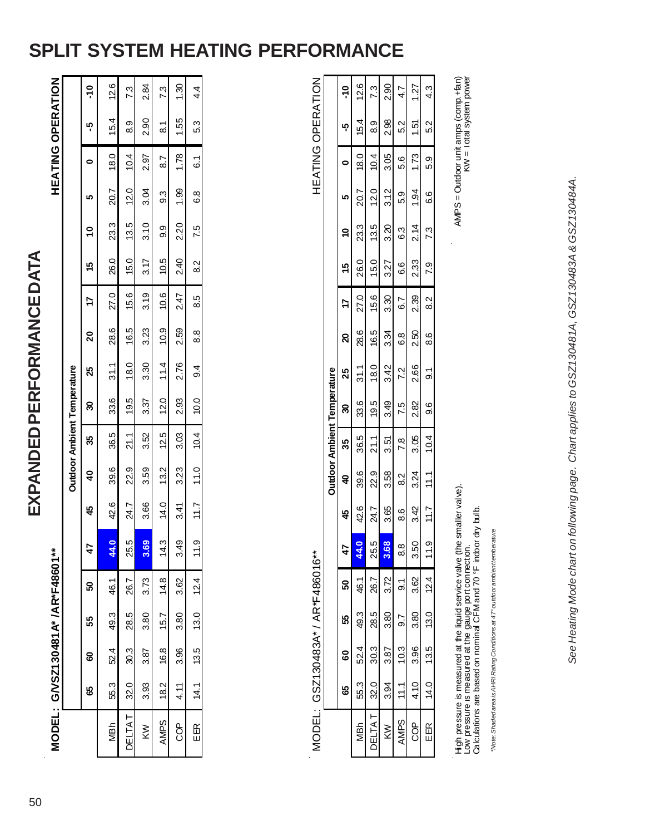| MODEL: G/VSZ130481A*/AR*F48601** |      |                      |                             |        |                  |           |                             |      |                             |    |                             |                |                             |               |                   |                 | <b>HEATING OPERATION</b> |        |
|----------------------------------|------|----------------------|-----------------------------|--------|------------------|-----------|-----------------------------|------|-----------------------------|----|-----------------------------|----------------|-----------------------------|---------------|-------------------|-----------------|--------------------------|--------|
|                                  |      |                      |                             |        |                  |           | Outdoor Ambient Temperature |      |                             |    |                             |                |                             |               |                   |                 |                          |        |
|                                  | 69   | 8                    | 55                          | ន<br>  | 47               | 45        | $\frac{4}{1}$               | ౘ    | 8                           | 25 | $\overline{a}$              | $\overline{1}$ | <b>15</b>                   | $\frac{1}{2}$ | $\mathbf{c}$      |                 | ဂှ                       | 0<br>7 |
| MBh                              |      | 55.3 52.4 49.3       |                             | 46.1 - | $\bullet$        | 42.6 39.6 |                             | 36.5 | 33.6                        |    | $31.1$ 28.6 27.0            |                | 26.0 23.3                   |               | 20.7              | 18.0            | 15.4                     | 12.6   |
| DELTAT                           |      | $32.0$ $30.3$ $28.5$ |                             | 26.7   | ပ<br>25.         | 24.7      | 22.9 21.1                   |      | 19.5                        |    | 18.0 16.5 15.6              |                | $15.0$ $13.5$ $12.0$ $10.4$ |               |                   |                 | 8.9                      | 73     |
| Ķ                                |      |                      | 3.93 $3.87$ $3.80$ $3.73$   |        | 3.69             | $-3.66$   | 3.59                        | 3.52 |                             |    | $3.37$ $3.30$ $3.23$ $3.19$ |                | $3.17$ $3.10$ $3.04$ $2.97$ |               |                   |                 | 2.90                     | 2.84   |
| <b>AMPS</b>                      |      | 18.2 16.8 15.7       |                             | 14.8   | ω<br>4           |           | $14.0$ $13.2$ $12.5$        |      | $12.0$ $11.4$ $10.9$ $10.6$ |    |                             |                | 10.5                        | 0.<br>0.      | 93                | $\overline{87}$ | $\frac{1}{8}$            | 73     |
| င်                               | 4.11 |                      | 3.96 3.80 3.62              |        | 3.49             | 3.41      | 3.23 3.03                   |      |                             |    | 2.93 2.76 2.59 2.47         |                | 2.40 2.20                   |               | <u>ನೆ</u><br>1.99 | 1.78            | 1.55                     | 1.30   |
| EE<br>EE                         |      |                      | $14.1$ $13.5$ $13.0$ $12.4$ |        | თ<br>$\tilde{t}$ |           | $11.7$ 11.0 10.4            |      | $10.0$ 9.4                  |    | 88                          | 85<br>8        | 8.2                         | 7.5           | 68<br>0           | 61<br>0         | 5.3                      | 4<br>4 |
|                                  |      |                      |                             |        |                  |           |                             |      |                             |    |                             |                |                             |               |                   |                 |                          |        |

 MODEL: GSZ130483A\* / AR\*F486016\*\* HEATING OPERATION MODEL: GSZ130483A\* / AR\*F486016\*\*

**HEATING OPERATION** 

|                             | <u>ុ</u>      | $\frac{12.6}{ }$ | 7.3           | 2.90                 | 4.7            | 1.27    | 4.3           |  |
|-----------------------------|---------------|------------------|---------------|----------------------|----------------|---------|---------------|--|
|                             | ပှ            | 15.4             | 8.9           | 2.98                 | 5.2            | 1.51    | 5.2           |  |
|                             |               | 18.0             | 10.4          | 3.05                 | 6.<br>6        | 1.73    | 59            |  |
|                             | LŊ            | 20.7             | 12.0          | 3.12                 | 5.9            | 1.94    | 6.6           |  |
|                             | ុ<br>ក        | 23.3             | 13.5          | 3.20                 | 63             | 2.14    | r.3           |  |
|                             | 15            | 26.0             | 15.0          | 3.27                 | 6.6            | 2.33    | 7.9           |  |
|                             | $\frac{1}{2}$ | 27.0             | 15.6          | 3.30                 | 6.7            | 2.39    | $\frac{2}{3}$ |  |
|                             | ຊ             | 28.6             | 16.5          | 3.34                 | 6.8            | 2.50    | 8.6           |  |
|                             | 25            | 31.1             | 18.0          | 3.42                 | 7.2            | 2.66    | 5<br>၁        |  |
|                             | ౚౢ            | 33.6             | 19.5          | 3.49                 | 7.5            | 2.82    | 9.6           |  |
| Outdoor Ambient Temperature | 35            | 36.5             | 21.1          | 3.51                 | 7.8            | 3.05    | 10.4          |  |
|                             | <del>ទ</del>  | 39.6             | 29.9          | 3.58                 | $\frac{2}{3}$  | 3.24    | 11.1          |  |
|                             | 4             | 42.6             | 24.7          | 3.65                 | 8.6            | 3.42    | 11.7          |  |
|                             | h             | 4.0              | 5.5           | $\overline{68}$<br>ო | $rac{8}{1}$    | 50<br>ო | $\frac{0}{1}$ |  |
|                             | ន             | 46.1             | 26.7          | 3.72                 | $\overline{5}$ | 3.62    | 12.4          |  |
|                             | 55            | 49.3             | 28.5          | 3.80                 | $\overline{6}$ | 3.80    | 13.0          |  |
|                             | ဓ             | 52.4             | 30.3          | 3.87                 | 10.3           | 3.96    | 13.5          |  |
|                             | rs<br>G       | 553              | 32.0          | 3.94                 | 11.1           | 4.10    | 14.0          |  |
|                             |               | NBh              | <b>JELTAT</b> | $\geq$               | <b>AMPS</b>    | ၉၉၁     | E<br>ER       |  |

High pressure is measured at the liquid service valve (the smaller valve).<br>Low pressure is measured at the gauge port connection.<br>Calculations are based on nominal CFM and 70 °F indoor dry bulb. gh pressure is measured at the liquid service valve (the smaller valve). Low pressure is measured at the gauge port connection. Calculations are based on nominal CFM and 70 °F indoor dry bulb.

AMPS = Outdoor unit amps (comp.+fan)

AMPS =  $Outdoor$  unit amps (comp.+fan)<br>KW = 1otal system power

KW = Total system power

"Note: Shaded area is AHRI Rating Conditions at 47° outdoor ambient temberature *\*Note: Shaded area is AHRI Rating Conditions at 47° outdoor ambient temberature*

# **SPLIT SYSTEM HEATING PERFORMANCE**

See Heating Mode chart on following page. Chart applies to GSZ130481A, GSZ130483A & GSZ130484A. *See Heating Mode chart on following page. Chart applies to GSZ130481A, GSZ130483A & GSZ130484A.*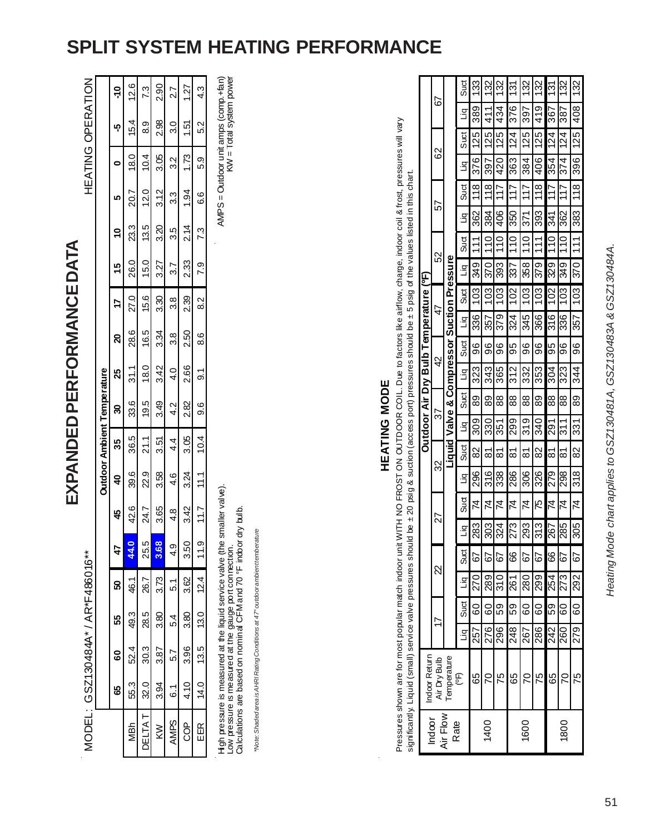# MODEL: GSZ130484A\* / AR\*F486016\*\* / AR\*F486016\*\* HEATING OPERATION MODEL: GSZ130484A\* / AR\*F486016\*\*

# **EXPANDED PERFORMANCE DATA EXPANDED PERFORMANCE DATA**

HEATING OPERATION

|                             | <u>이</u>   | $12.6$ |               | $\frac{7.3}{2.90}$ | 2.7              | 1.27     | 4.3     |  |
|-----------------------------|------------|--------|---------------|--------------------|------------------|----------|---------|--|
|                             | ပ္ပ္       | 15.4   | 8.9           | 2.98               | 3.0              | 1.51     | 5.2     |  |
|                             | $\bullet$  | 18.0   | 10.4          | 3.05               | 3.2              | 1.73     | 5.9     |  |
|                             | <u>I</u> O | 20.7   | 12.0          | 3.12               | 3.3              | 1.94     | 66      |  |
|                             | ុ<br>ខ     | 23.3   | 13.5          | 3.20               | 3.5              | 2.14     | 7.3     |  |
|                             | 15         | 26.0   | 15.0          | 3.27               | 3.7              | 2.33     | 7.9     |  |
|                             | 17         | 27.0   | 15.6          | 3.30               | 3.8              | 2.39     | 8.2     |  |
|                             | ສ          | 28.6   | 16.5          | 3.34               | 3.8              | 2.50     | 8.6     |  |
|                             | 25         | 31.1   | 18.0          | 3.42               | 4.0              | 2.66     | 5.1     |  |
|                             | వ్గ        | 33.6   | 19.5          | 3.49               | 4.2              | 2.82     | 9.6     |  |
| Outdoor Ambient Temperature | 35         | 36.5   | 21.1          | 3.51               | 4.4              | 3.05     | 10.4    |  |
|                             | ੩          | 39.6   | 22.9          | 3.58               | 4.6              | 3.24     | 11.1    |  |
|                             | 45         | 42.6   | 24.7          | 3.65               | 4.8              | 3.42     | 11.7    |  |
|                             | Þ          | 44.0   | 25.5          | 3.68               | $\overline{a}$   | 50<br>ო  | 0.1     |  |
|                             | <u>ន</u>   | 46.1   | 26.7          | 3.73               | $\overline{5}$ 1 | 3.62     | 12.4    |  |
|                             | 55         | 49.3   | 28.5          | 3.80               | 54               | 3.80     | 13.0    |  |
|                             | 8          | 524    | 30.3          | 3.87               | 5.7              | 3.96     | 13.5    |  |
|                             | සි         | 55.3   | 32.0          | 3.94               | -ა<br>ბ          | 4.10     | 14.0    |  |
|                             |            | NBh    | <b>JELTAT</b> | <b>KN</b>          | AMPS             | $\sigma$ | E<br>ER |  |

High pressure is measured at the liquid service valve (the smaller valve).<br>Low pressure is measured at the gauge port connection.<br>Calculations are based on nominal CFM and 70 °F indoor dry bulb. gh pressure is measured at the liquid service valve (the smaller valve). Calculations are based on nominal CFM and 70 °F indoor dry bulb. High pressure is measured at the liquid service valve (the sm<br>Low pressure is measured at the gauge port connection.<br>Calculations are based on nominal CFM and 70 °F indoor dry<br>"vae: Shadedaresis AHRI Rating Conditionsat 47 Low pressure is measured at the gauge port connection.

"Note: Shaded area is AHRI Rating Conditions at 47° outdoor ambient temberature

**HEATING MODE HEATING MODE** 

Pressures shown are for most popular match indoor unit WITH NO FROST ON OUTDOOR COIL. Due to factors like airflow, charge, indoor coil & frost, pressures will vary Pressures shown are for most popular match indoor unit WITH NO FROST ON OUTDOOR COIL. Due to factors like airflow, charge, indoor coil & frost, pressures will vary significantly. Liquid (small) service valve pressures should be ± 20 psig & suction (access port) pressures should be ± 5 psig of the values listed in this chart.  $\overline{\phantom{a}}$  $\frac{1}{2}$  $\tilde{\Omega}$ cinnificantly

|                                                                                                                                                                                                                              |                                  |               |                                     | Suct           | 133                  | ೫              | $\frac{8}{3}$   | ᠻ         | ೫    | ೫               | 131           | $\frac{8}{2}$      | $\frac{32}{2}$ |
|------------------------------------------------------------------------------------------------------------------------------------------------------------------------------------------------------------------------------|----------------------------------|---------------|-------------------------------------|----------------|----------------------|----------------|-----------------|-----------|------|-----------------|---------------|--------------------|----------------|
|                                                                                                                                                                                                                              |                                  | 5             |                                     | Ξ              | 389                  | 41<br>1        | 434             | 376       | 397  | 419             | 798           | 387                | 408            |
|                                                                                                                                                                                                                              |                                  |               |                                     | suct           | 125                  | 125            | 125             | 124       | 125  | 125             | $\frac{4}{2}$ | 124                | 125            |
|                                                                                                                                                                                                                              |                                  | 29            |                                     | ٩L             | 376                  | 397            | 420             | 363       | 384  | 406             | 354           | 374                | 396            |
|                                                                                                                                                                                                                              |                                  |               |                                     | Suct           | 18<br>11             | 18<br>11       | 117             | 117       | 117  | $\frac{8}{18}$  | 117           | 117                | 118            |
|                                                                                                                                                                                                                              |                                  | 57            |                                     | ٩L             | 362                  | 384            | 406             | 350       | 371  | 393             | 341           | 362                | 383            |
|                                                                                                                                                                                                                              |                                  | 52            |                                     | Suđ            | $\frac{1}{\sqrt{2}}$ | 110            | 110             | 110       | 110  | 11              | 110           | 110                | 11             |
|                                                                                                                                                                                                                              | €                                |               |                                     | ٥Li            | 9<br>34              | 370            | 393             | 337       | 358  | 379             | 329           | ex                 | 370            |
|                                                                                                                                                                                                                              |                                  | 47            |                                     | Suct           | පි                   | පි             | C3              | $\approx$ | පි   | පි              | $\approx$     | 3                  | $\frac{2}{3}$  |
|                                                                                                                                                                                                                              | Outdoor Air Dry Bulb Temperature |               | Valve & Compressor Suction Pressure | $\overline{a}$ | 336                  | 357            | 379             | 324       | 345  | 366             | 316           | 336                | 357            |
|                                                                                                                                                                                                                              |                                  | $\frac{2}{3}$ |                                     | Suct           | 96                   | 96             | 96              | 95        | 96   | 96              | 95            | 96                 | 96             |
|                                                                                                                                                                                                                              |                                  |               |                                     | Ĵд             | 323                  | 343            | 365             | 312       | 332  | 353             | 304           | 323                | 344            |
|                                                                                                                                                                                                                              |                                  | 57            |                                     | Suct           | 89                   | 89             | 88              | 88        | 88   | 89              | 88            | 88                 | 89             |
|                                                                                                                                                                                                                              |                                  |               |                                     | <u>و:</u>      | 309                  | 330            | 351             | 299       | 319  | 340             | స్ట్          | $\frac{2}{3}$      | 331            |
|                                                                                                                                                                                                                              |                                  | ೫             | Liquid                              | Suct           | 82                   | $\overline{8}$ | ఠ               | ౚ         | ౚ    | 82              | ळ<br>०        | $\overline{\circ}$ | 82             |
|                                                                                                                                                                                                                              |                                  |               |                                     | Ĵg             | 286                  | 316            | 38              | 286       | 306  | 326             | 279           | 288                | 318            |
|                                                                                                                                                                                                                              |                                  | 27            |                                     | ರ<br>ನ         | 74                   | 74             | 4               | 74        | 4    | 52              | 74            | 4                  | 4              |
|                                                                                                                                                                                                                              |                                  |               |                                     | ٩L             | 283                  | 303            | 324             | 273       | 293  | 313             | 267           | 285                | 305            |
|                                                                                                                                                                                                                              |                                  |               |                                     | Suct           | 67                   | 59             | 67              | 8         | 59   | 67              | 66            | 67                 | 67             |
|                                                                                                                                                                                                                              |                                  | R             |                                     | ن<br>آ         | 270                  | 289            | $\frac{310}{5}$ | 261       | 280  | 299             | 254           | 273                | 292            |
|                                                                                                                                                                                                                              |                                  |               |                                     | Suct           | 8                    | 8              | 59              | 59        | 60   | $\overline{60}$ | 59            | 8                  | $\frac{6}{6}$  |
|                                                                                                                                                                                                                              |                                  |               |                                     | ں<br>ت         | 257                  | 276            | 296             | 248       | 267  | 286             | 242           | 260                | 279            |
| о начая и начая в состали по начая состали в том, как по начая в том, как по начая в том, как по начая в поседняя устания и начая по начая и начая и начая и начая и начая и начая и начая и начая и начая и начая и начая и | Indoor Return                    | Air Dry Bulb  | Temperature                         | E              | 65                   |                | 75              | 65        |      | 75              | 65            |                    | 75             |
|                                                                                                                                                                                                                              | Indoor                           |               | Air Flow<br>Rate                    |                |                      | 1400           |                 |           | 1600 |                 |               | 1800               |                |

# **SPLIT SYSTEM HEATING PERFORMANCE**

AMPS = Outdoor unit amps (comp.+fan) AMPS =  $Outdoor$  unit amps (comp.+fan)<br>KW = 1otal system power

Total system power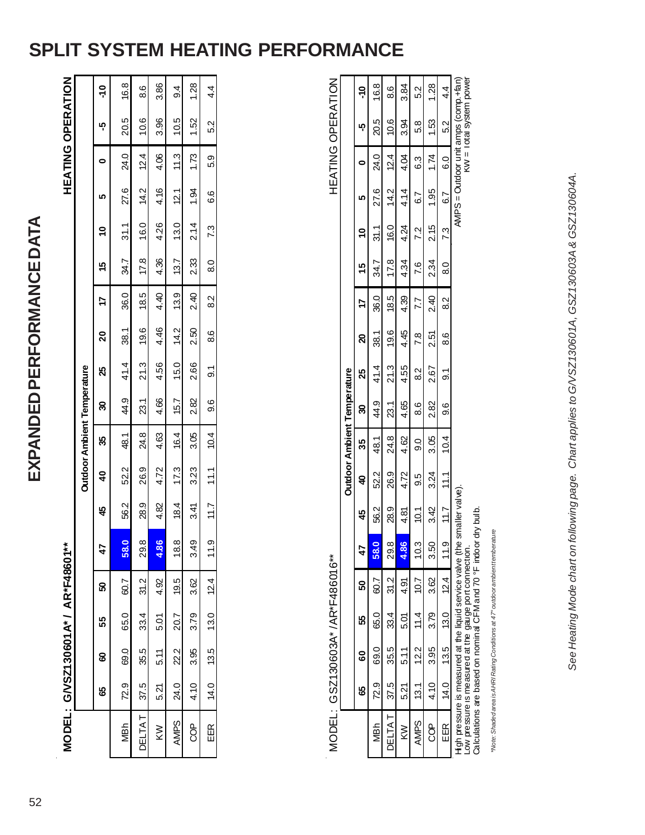**EXPANDED PERFORMANCE DATA MODEL: G/VSZ130601A\* / AR\*F48601\*\* HEATING OPERATION Outdoor Ambient Temperature 65 60 55 50 47 45 40 35 30 25 20 17 15 10 5 0 -5 -10** MBh 72.9 69.0 65.0 60.7 **58.0** 56.2 52.2 48.1 44.9 41.4 38.1 36.0 34.7 31.1 27.6 24.0 20.5 16.8 DELTA T 37.5 35.5 33.4 31.2 29.8 28.9 26.9 24.8 23.1 21.3 19.6 18.5 17.8 16.0 14.2 12.4 10.6 8.6 KW 5.21 5.11 5.01 4.92 **4.86** 4.82 4.72 4.63 4.66 4.56 4.46 4.40 4.36 4.26 4.16 4.06 3.96 3.86 AMPS 24.0 22.2 20.7 19.5 18.8 18.4 17.3 16.4 15.7 15.0 14.2 13.9 13.7 13.0 12.1 11.3 10.5 9.4 COP 4.10 3.95 3.79 3.62 3.49 3.41 3.23 3.05 2.82 2.66 2.50 2.40 2.33 2.14 1.94 1.73 1.52 1.28 EER 14.0 13.5 13.0 12.4 11.9 11.7 11.1 10.4 9.6 9.1 8.6 8.2 8.0 7.3 6.6 5.9 5.2 4.4

 MODEL: GSZ130603A\* /AR\*F486016\*\* HEATING OPERATION MODEL: GSZ130603A\*/AR\*F486016\*\*

**HEATING OPERATION** 

|                                                                                                                                                                                         |      |                |                             |      |      |                |                     |      | <b>Outdoor Ambient Temperature</b> |               |          |                  |               |               |      |      |                                                                    |                 |
|-----------------------------------------------------------------------------------------------------------------------------------------------------------------------------------------|------|----------------|-----------------------------|------|------|----------------|---------------------|------|------------------------------------|---------------|----------|------------------|---------------|---------------|------|------|--------------------------------------------------------------------|-----------------|
|                                                                                                                                                                                         | 65   | 60             | i8                          | S,   |      | 45             | $\ddot{\mathbf{z}}$ | 35   | ೫                                  | 25            | <u>ສ</u> | $\ddot{ }$       | 15<br>1       | $\frac{1}{2}$ | ŋ    |      | ပှ                                                                 | ۹r              |
| MBh                                                                                                                                                                                     |      | 72.9 69.0 65.0 |                             | 60.7 | 58.0 | 56.2           | 52.2                | 48.1 | 44.9                               | 41.4          | 38.1     | 36.0             | 34.7          | 31.1          | 27.6 | 24.0 | 20.5                                                               | 16.8            |
| DELTA T 37.5 35.5 33.4 31.2                                                                                                                                                             |      |                |                             |      | 29.8 | 28.9           | 26.9                | 24.8 | 23.1                               | 21.3          | 19.6     | $\frac{18.5}{ }$ | 17.8          | 16.0          | 14.2 | 12.4 | 10.6                                                               | 8.6             |
|                                                                                                                                                                                         | 5.21 | 5.11           | 5.01                        | 4.91 | 4.86 | 4.81           | 4.72                | 4.62 | 4.65                               | 4.55          | 4.45     | 4.39             | 4.34          | 4.24          | 4.14 | 4.04 | 3.94                                                               | 3.84            |
| AMPS<br>K                                                                                                                                                                               |      |                | $13.1$ $12.2$ $11.4$ $10.7$ |      | 10.3 | 10.1           | 9.5                 | 9.0  | 8.6                                | $\frac{2}{3}$ | 7.8      | 7.7              | 7.6           | 72            | 67   | 63   | 5.8                                                                | 5.2             |
| ဗွိ                                                                                                                                                                                     |      |                | 4.10 3.95 3.79 3.62         |      | 3.50 | 3.42           | 3.24                | 3.05 | 2.82                               | 2.67          | 251      | $\frac{40}{24}$  | 234           | 2.15          | 1.95 | 1.74 | 1.53                                                               | 1.28            |
| EE                                                                                                                                                                                      |      |                | $14.0$ $13.5$ $13.0$ $12.4$ |      | 11.9 | 11.7           | 11.1                | 10.4 | 9.6                                | 5<br>၁        | 88       | $\frac{2}{3}$    | $\frac{8}{3}$ | 73            | 67   | C.G  | 5.2                                                                | $4\overline{4}$ |
| Calculations are based on nominal CFM and 70 °F indoor dry bulb.<br>igh pressure is measured at the liquid service valve (the<br>Low pressure is measured at the gauge port connection. |      |                |                             |      |      | smaller valve) |                     |      |                                    |               |          |                  |               |               |      |      | AMPS = Outdoor unit amps (comp.+fan)<br>KW $=$ 1 otal system power |                 |

Note: Shaded area is AHRI Rating Conditions at 47° outdoor ambient temberature *\*Note: Shaded area is AHRI Rating Conditions at 47° outdoor ambient temberature*

*See Heating Mode chart on following page. Chart applies to G/VSZ130601A, GSZ130603A & GSZ130604A.*

See Heating Mode chart on following page. Chart applies to G/VSZ130601A, GSZ130603A & GSZ130604A.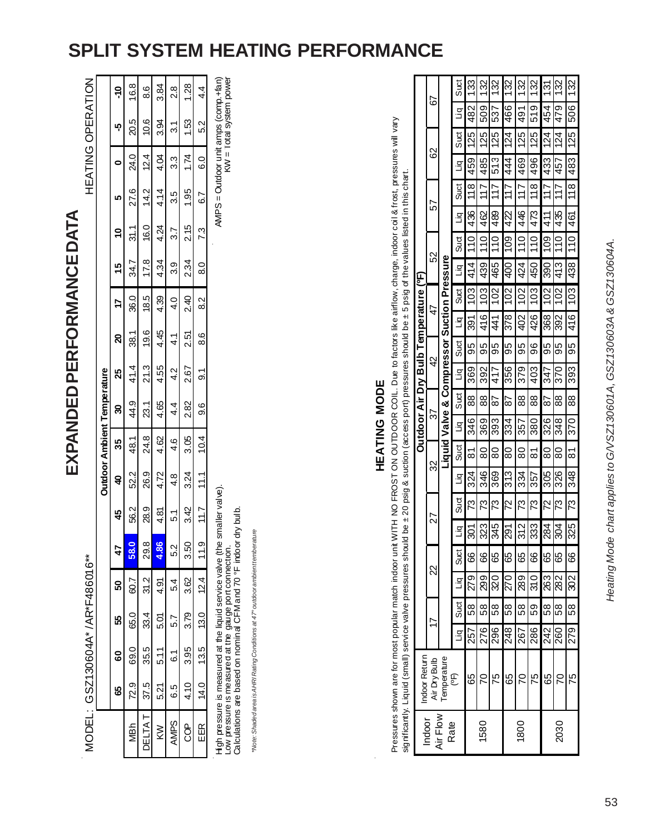| MODEL: GSZ130604A*/AR*F486016**                                                                                                      |                 |               |                             |          |                              |          |                     |      |                                    |          |               |        |               |                      |                |      | HEATING OPERATION                                                 |                 |
|--------------------------------------------------------------------------------------------------------------------------------------|-----------------|---------------|-----------------------------|----------|------------------------------|----------|---------------------|------|------------------------------------|----------|---------------|--------|---------------|----------------------|----------------|------|-------------------------------------------------------------------|-----------------|
|                                                                                                                                      |                 |               |                             |          |                              |          |                     |      | <b>Outdoor Ambient Temperature</b> |          |               |        |               |                      |                |      |                                                                   |                 |
|                                                                                                                                      | S               | $\frac{6}{3}$ | Ľ,                          | <u>ន</u> |                              | 4        | $\ddot{\mathbf{z}}$ | 35   | ఇ                                  | 25       | <u>ន</u>      | t      | <b>جا</b>     | $\ddot{\phantom{0}}$ | LQ,            |      | ဂု                                                                | ۹P              |
| MBh                                                                                                                                  | 729             | 69.0          | 65.0                        | 5.09     | $\bullet$<br>$\overline{58}$ | 56.2     | 52.2                | 48.1 | 44<br>4                            | 41.4     | 38.1          | 36.0   | 34.7          | $\overline{31.1}$    | 27.6           | 24.0 | 20.5                                                              | 16.8            |
| DELTA T   37.5 35.5 33.4 31.2                                                                                                        |                 |               |                             |          | 29.8                         | 28.9     | 26.9                | 24.8 | 23.1                               | 21.3     | 19.6          | 18.5   | 17.8          | 16.0                 | 14.2           | 12.4 | 10.6                                                              | ය<br>ය          |
|                                                                                                                                      | 5.21            | 5.11          | 5.01                        | 4.91     | 4.86                         | 4.81     | 4.72                | 4.62 | 4.65                               | 4.55     | 4.45          | 4.39   | 434           | 4.24                 | 4.14           | 4.04 | 3.34                                                              | 3.84            |
| AMPS                                                                                                                                 | <u>(ဂ</u><br>(၁ | 61            | 57                          | 54<br>4  | ς<br>Σ                       | 5        | 4.8                 | 4.6  | 4.4                                | 4.2      | $\frac{1}{4}$ | 4.0    | თ<br>ო        | 3.7                  | 3.5            | 33   | $\tilde{3}$                                                       | 28<br>21        |
| ဗွီ                                                                                                                                  |                 |               | $4.10$ 3.95 3.79 3.62       |          | 350                          | 342<br>ઝ | 3.24                | 3.05 | 2.82                               | 2.67     | 251<br>2      | 240    | 234           | 215                  | 1.95           | 1.74 | 1.53                                                              | 1.28            |
| 田<br>田                                                                                                                               |                 |               | $14.0$ $13.5$ $13.0$ $12.4$ |          | 11.9                         | 11.7     | 11.1                | 10.4 | .<br>ඉ                             | <u>ာ</u> | 88            | .<br>ಜ | $\frac{0}{8}$ | 73                   | $\overline{6}$ | C.O  | 52                                                                | $4\overline{4}$ |
| High pressure is measured at the liquid service valve (the smaller valve).<br>Low pressure is measured at the gauge port connection. |                 |               |                             |          |                              |          |                     |      |                                    |          |               |        |               |                      |                |      | AMPS = Outdoor unit amps (comp.+fan)<br>KW $=$ 10tal system power |                 |

High pressure is measured at the liquid service valve (the smaller valve).<br>Low pressure is measured at the gauge port connection.<br>Calculations are based on nominal CFM and 70 °F indoor dry bulb. gh pressure is measured at the liquid service valve (the smaller valve). Calculations are based on nominal CFM and 70 °F indoor dry bulb. High pressure is measured at the liquid service valve (the sm<br>Low pressure is measured at the gauge port connection.<br>Calculations are based on nominal CFM and 70 °F indoor dry<br><sup>1</sup>Note: Shaded area is AHRI Rating Conditions Low pressure is measured at the gauge port connection.

"Note: Shaded area is AHRI Rating Conditions at 47° outdoor ambient temberature

**HEATING MODE HEATING MODE** 

Pressures shown are for most popular match indoor unit WITH NO FROST ON OUTDOOR COIL. Due to factors like airflow, charge, indoor coil & frost, pressures will vary<br>significantly. Liquid (small) service valve pressures sho Pressures shown are for most popular match indoor unit WITH NO FROST ON OUTDOOR COIL. Due to factors like airflow, charge, indoor coil & frost, pressures will vary significantly. Liquid (small) service valve pressures should be ± 20 psig & suction (access port) pressures should be ± 5 psig of the values listed in this chart.

|                                         | 59                        |                         | Suct    | 133            | <u>ನಿ</u>          | 32            | 132            | $\frac{32}{2}$                     | 132           | 131           | 132                       | 132           |
|-----------------------------------------|---------------------------|-------------------------|---------|----------------|--------------------|---------------|----------------|------------------------------------|---------------|---------------|---------------------------|---------------|
|                                         |                           |                         | u<br>Li | 482            | 509                | 537           | 466            | $\frac{2}{9}$                      | മ<br>51       | 454           | 479                       | 506           |
|                                         | 8                         |                         | Suct    | 125            | 125                | 125           | 124            | 125                                | 125           | 124           | $\frac{4}{2}$             | 125           |
|                                         |                           |                         | $\Xi$   | 459            | 485                | 513           | 44<br>4        | 469                                | 496           | 433           | 457                       | 483           |
|                                         |                           |                         | Suct    | $\frac{8}{10}$ | 117                | $\frac{7}{1}$ | $\ddot{ }$     | 77                                 | 118           | $\frac{1}{2}$ | 117                       | $\frac{8}{1}$ |
|                                         | 57                        |                         | ں<br>آ  | 436            | 462                | 489           | 422            | 446                                | 473           | 411           | 435                       | 461           |
|                                         |                           |                         | Suđ     | $\tilde{=}$    | $\frac{1}{1}$      | $\frac{0}{1}$ | $\frac{8}{1}$  | 110                                | 110           | ဒီ            | $\stackrel{\circ}{\cdot}$ | 110           |
| €                                       | 52                        | <b>Suction Pressure</b> | قاـا    | 41 4           | 439                | 465           | $\overline{6}$ | 424                                | 450           | ೫             | 413                       | 438           |
|                                         |                           |                         | Suct    | පි             | පි                 | $\frac{2}{3}$ | $\frac{2}{10}$ | $\frac{2}{3}$                      | $\frac{3}{2}$ | $\frac{2}{3}$ | $\frac{2}{3}$             | 103           |
| <b>Outdoor Air Dry Bulb Temperature</b> | 47                        |                         | نات     | శ్ల            | 6<br>$\frac{4}{3}$ | 44            | 378            | 402                                | 426           | 368           | 392                       | 416           |
|                                         |                           |                         | Suct    | 95             | 95                 | 95            | 95             | 95                                 | 96            | 95            | 95                        | 95            |
|                                         | 42                        | Valve & Compressor      | υï      | 369            | 392                | 417           | 356            | 379                                | 403           | 347           | 370                       | 393           |
|                                         |                           |                         | Suct    | 88             | 88                 | 78            | 78             | 88                                 | 88            | 87            | 88                        | 88            |
|                                         | 57                        |                         | ig.     | 346            | 369                | 393           | 334            | 357                                | 380           | 326           | 348                       | 370           |
|                                         |                           | Liquid                  | Suct    | ္ထ             | 80                 | 80            | 80             | 80                                 | ౚ             | ဓ             | င္စ                       | ౚ             |
|                                         | 32                        |                         | ٩L      | 324            | 346                | 369           | 313            | 334                                | 357           | 305           | 326                       | 348           |
|                                         |                           |                         | Suđ     | ౘ              | ಌ                  | ಌ             | 22             | గ్ర                                | ೧             | 2             | ౘ                         | 73            |
|                                         | 27                        |                         | نات     | ଟ୍ଟ            | ೫                  | 345           | ନ୍ଧି           | $\overline{\mathbf{C}}$<br>रू<br>ल | ಔ             | 284           | 304                       | 325           |
|                                         |                           |                         | Suct    | 8              | 8                  | 89            | 65             | 65                                 | 8             | 89            | 89                        | 8             |
|                                         | $\approx$                 |                         | $\Xi$   | 279            | 299                | 320           | 270            | 289                                | 310           | 263           | 282                       | 302           |
|                                         |                           |                         | S uct   | 58             | 68                 | 58            | 58             | 58                                 | 59            | 58            | 58                        | 58            |
|                                         |                           |                         | g<br>コ  | 257            | 276                | 296           | 248            | 267                                | 286           | 242           | 260                       | 279           |
| Indoor Return                           | Air Dry Bulb              | Temperature             | (eF)    | 65             | 20                 | 75            | 65             | $\tilde{C}$                        | 15            | 65            |                           | 75            |
|                                         | Air Flow<br><b>Indoor</b> | Rate                    |         |                | 1580               |               |                | 1800                               |               |               | 2030                      |               |

# **SPLIT SYSTEM HEATING PERFORMANCE**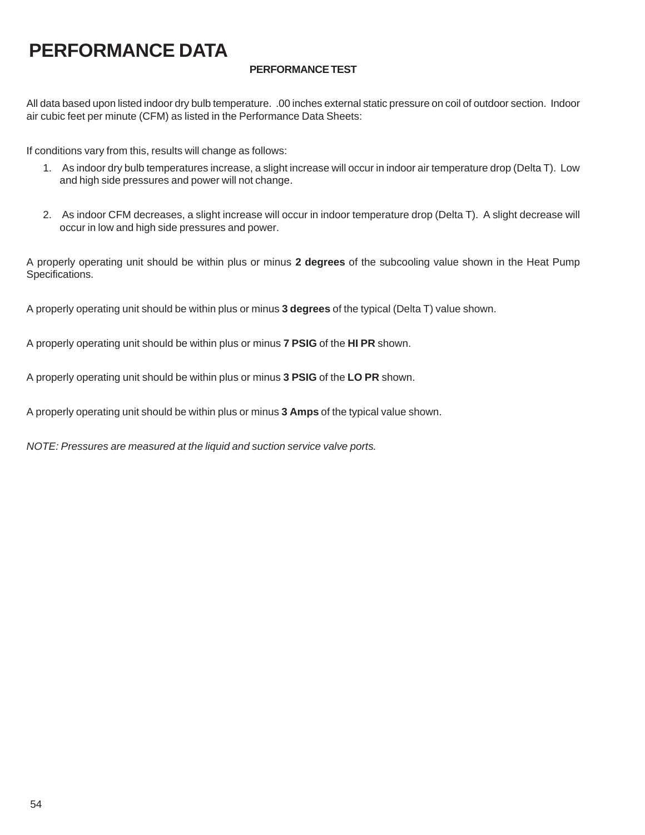# **PERFORMANCE DATA**

## **PERFORMANCE TEST**

All data based upon listed indoor dry bulb temperature. .00 inches external static pressure on coil of outdoor section. Indoor air cubic feet per minute (CFM) as listed in the Performance Data Sheets:

If conditions vary from this, results will change as follows:

- 1. As indoor dry bulb temperatures increase, a slight increase will occur in indoor air temperature drop (Delta T). Low and high side pressures and power will not change.
- 2. As indoor CFM decreases, a slight increase will occur in indoor temperature drop (Delta T). A slight decrease will occur in low and high side pressures and power.

A properly operating unit should be within plus or minus **2 degrees** of the subcooling value shown in the Heat Pump Specifications.

A properly operating unit should be within plus or minus **3 degrees** of the typical (Delta T) value shown.

A properly operating unit should be within plus or minus **7 PSIG** of the **HI PR** shown.

A properly operating unit should be within plus or minus **3 PSIG** of the **LO PR** shown.

A properly operating unit should be within plus or minus **3 Amps** of the typical value shown.

*NOTE: Pressures are measured at the liquid and suction service valve ports.*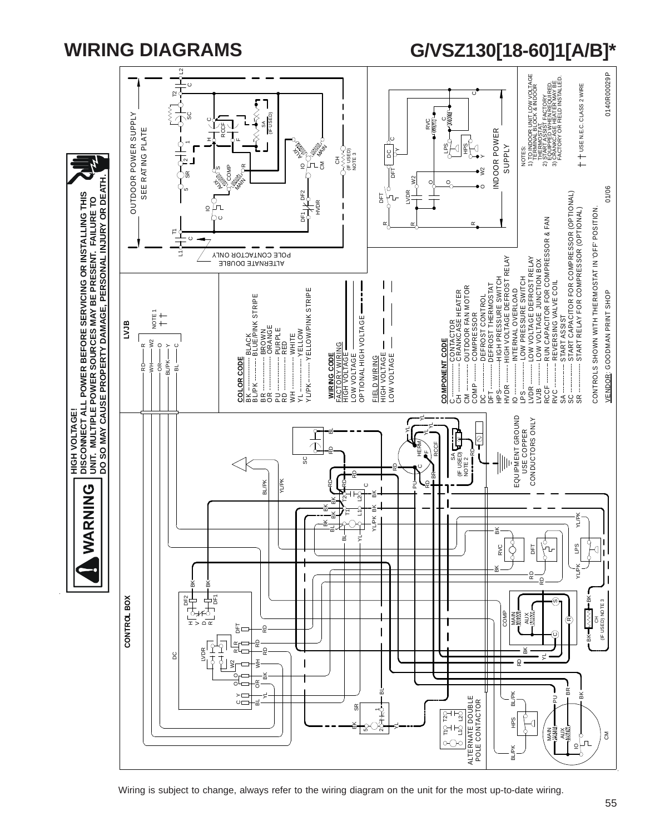

## **WIRING DIAGRAMS**

Wiring is subject to change, always refer to the wiring diagram on the unit for the most up-to-date wiring.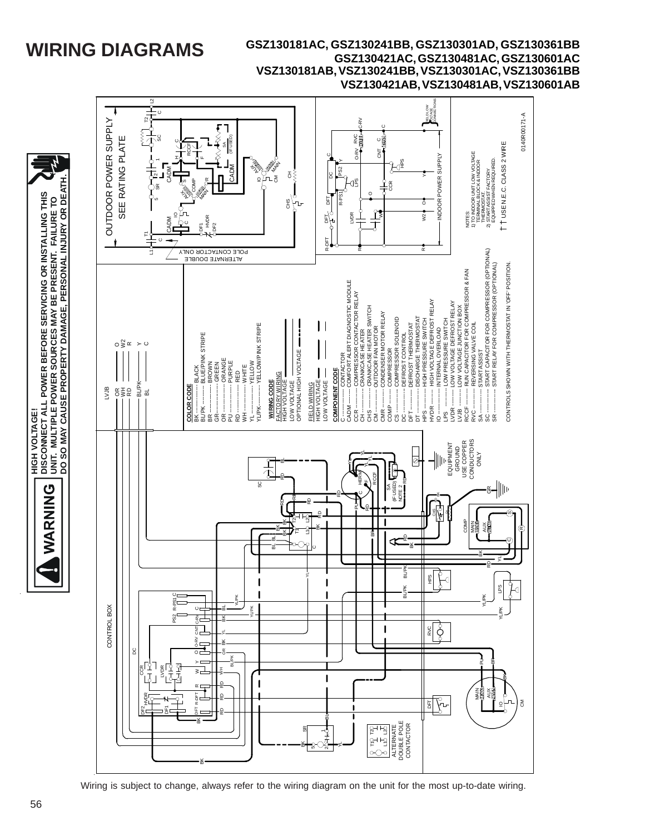## **WIRING DIAGRAMS**

## **GSZ130181AC, GSZ130241BB, GSZ130301AD, GSZ130361BB GSZ130421AC, GSZ130481AC, GSZ130601AC VSZ130181AB, VSZ130241BB, VSZ130301AC, VSZ130361BB VSZ130421AB, VSZ130481AB, VSZ130601AB**



Wiring is subject to change, always refer to the wiring diagram on the unit for the most up-to-date wiring.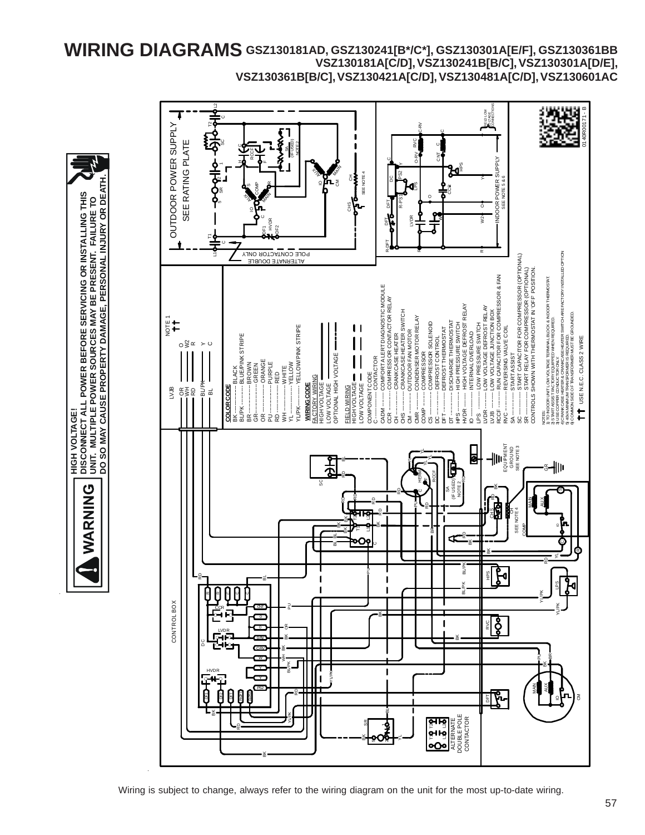## **WIRING DIAGRAMS GSZ130181AD, GSZ130241[B\*/C\*], GSZ130301A[E/F], GSZ130361BB VSZ130181A[C/D], VSZ130241B[B/C], VSZ130301A[D/E], VSZ130361B[B/C], VSZ130421A[C/D], VSZ130481A[C/D], VSZ130601AC**



**DO SO MAY CAUSE PROPERTY DAMAGE, PERSONAL INJURY OR DEATH.** DO SO MAY CAUSE PROPERTY DAMAGE, PERSONAL INJURY OR DEATH HIGH VOLTAGE!<br>DISCONNECT ALL POWER BEFORE SERVICING OR INSTALLING THIS<br>UNIT. MULTIPLE POWER SOURCES MAY BE PRESENT. FAILURE TO **DISCONNECT ALL POWER BEFORE SERVICING OR INSTALLING THIS UNIT. MULTIPLE POWER SOURCES MAY BE PRESENT. FAILURE TO HIGH VOLTAGE! ONNAKANG**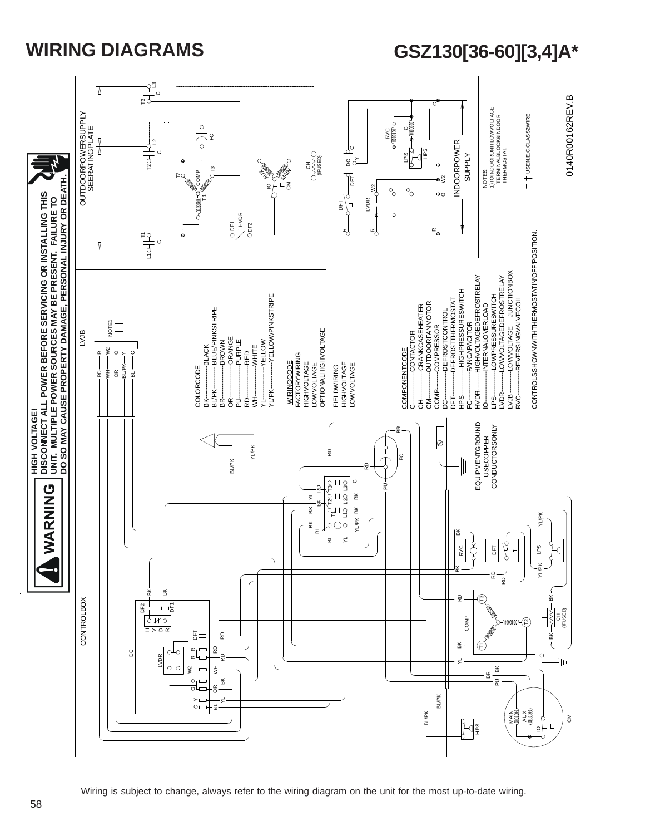

# **WIRING DIAGRAMS**

**GSZ130[36-60][3,4]A\***